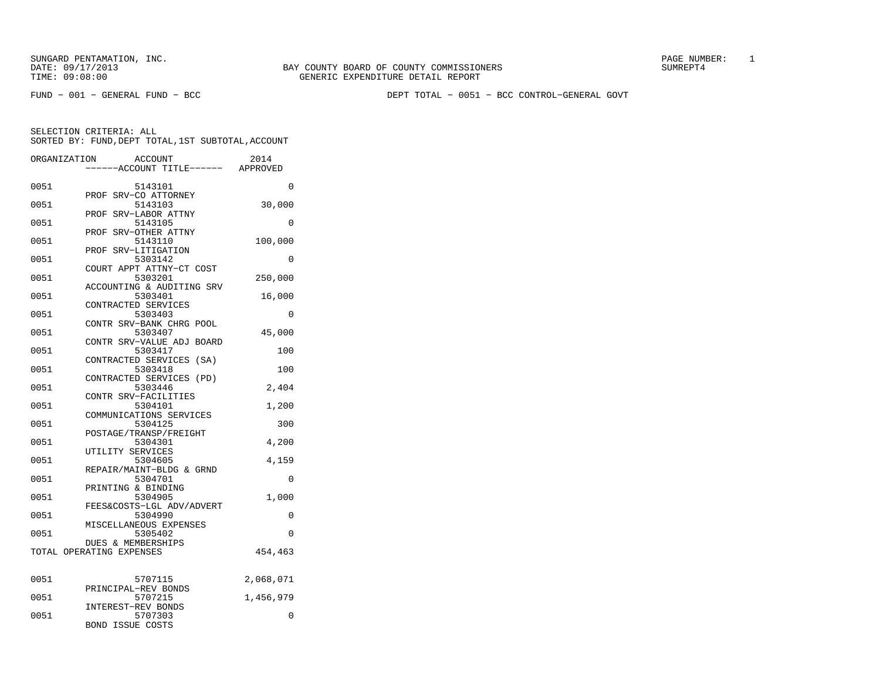FUND − 001 − GENERAL FUND − BCC DEPT TOTAL − 0051 − BCC CONTROL−GENERAL GOVT

| ORGANIZATION | ---ACCOUNT TITLE------ APPROVED        | <b>ACCOUNT</b>             |      | 2014      |
|--------------|----------------------------------------|----------------------------|------|-----------|
| 0051         |                                        | 5143101                    |      | 0         |
| 0051         | PROF                                   | SRV-CO ATTORNEY<br>5143103 |      | 30,000    |
| 0051         | PROF SRV-LABOR ATTNY                   | 5143105                    |      | 0         |
| 0051         | PROF                                   | SRV-OTHER ATTNY<br>5143110 |      | 100,000   |
| 0051         | PROF                                   | SRV-LITIGATION<br>5303142  |      | 0         |
| 0051         | COURT APPT ATTNY-CT COST               | 5303201                    |      | 250,000   |
| 0051         | ACCOUNTING & AUDITING SRV              | 5303401                    |      | 16,000    |
| 0051         | CONTRACTED SERVICES                    | 5303403                    |      | 0         |
| 0051         | CONTR SRV-BANK CHRG POOL               | 5303407                    |      | 45,000    |
| 0051         | CONTR SRV-VALUE ADJ BOARD              | 5303417                    |      | 100       |
| 0051         | CONTRACTED SERVICES (SA)               | 5303418                    |      | 100       |
| 0051         | CONTRACTED SERVICES                    | 5303446                    | (PD) | 2,404     |
| 0051         | CONTR SRV-FACILITIES                   | 5304101                    |      | 1,200     |
| 0051         | COMMUNICATIONS SERVICES                | 5304125                    |      | 300       |
| 0051         | POSTAGE/TRANSP/FREIGHT                 | 5304301                    |      | 4,200     |
| 0051         | UTILITY SERVICES                       | 5304605                    |      | 4,159     |
| 0051         | REPAIR/MAINT-BLDG & GRND               | 5304701                    |      | $\Omega$  |
| 0051         | PRINTING & BINDING                     | 5304905                    |      | 1,000     |
| 0051         | FEES&COSTS-LGL ADV/ADVERT              | 5304990                    |      | 0         |
|              | MISCELLANEOUS EXPENSES                 |                            |      | 0         |
| 0051         | DUES & MEMBERSHIPS                     | 5305402                    |      |           |
|              | TOTAL OPERATING EXPENSES               |                            |      | 454,463   |
| 0051         |                                        | 5707115                    |      | 2,068,071 |
| 0051         | PRINCIPAL-REV BONDS                    | 5707215                    |      | 1,456,979 |
| 0051         | INTEREST-REV BONDS<br>BOND ISSUE COSTS | 5707303                    |      | 0         |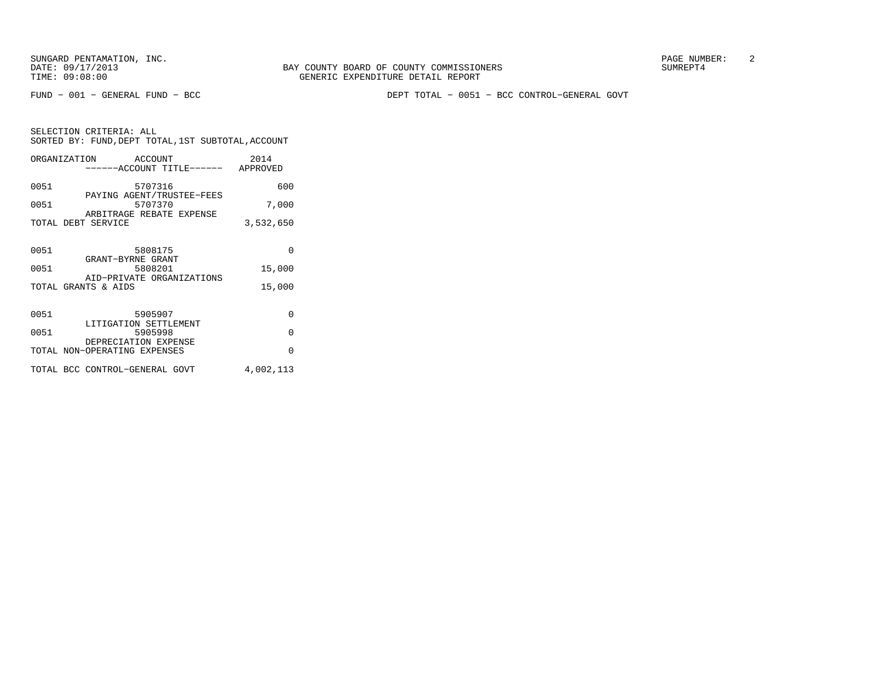FUND − 001 − GENERAL FUND − BCC DEPT TOTAL − 0051 − BCC CONTROL−GENERAL GOVT

|      | ORGANIZATION ACCOUNT<br>------ACCOUNT TITLE------ APPROVED | 2014      |
|------|------------------------------------------------------------|-----------|
| 0051 | 5707316<br>PAYING AGENT/TRUSTEE-FEES                       | 600       |
| 0051 | 5707370                                                    | 7,000     |
|      | ARBITRAGE REBATE EXPENSE<br>TOTAL DEBT SERVICE             | 3,532,650 |
| 0051 | 5808175                                                    | $\Omega$  |
| 0051 | GRANT-BYRNE GRANT<br>5808201                               | 15,000    |
|      | AID-PRIVATE ORGANIZATIONS<br>TOTAL GRANTS & AIDS           | 15,000    |
| 0051 | 5905907<br>LITIGATION SETTLEMENT                           | $\Omega$  |
| 0051 | 5905998                                                    | $\Omega$  |
|      | DEPRECIATION EXPENSE<br>TOTAL NON-OPERATING EXPENSES       | $\Omega$  |
|      | TOTAL BCC CONTROL-GENERAL GOVT                             | 4,002,113 |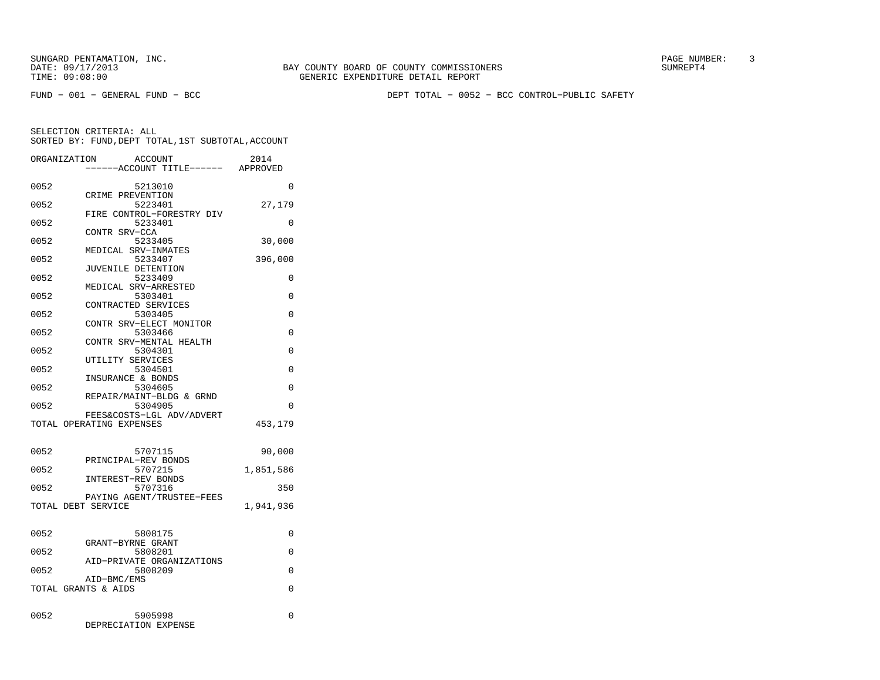FUND − 001 − GENERAL FUND − BCC DEPT TOTAL − 0052 − BCC CONTROL−PUBLIC SAFETY

|      | ORGANIZATION<br><b>ACCOUNT</b><br>---ACCOUNT TITLE------ APPROVED | 2014      |
|------|-------------------------------------------------------------------|-----------|
| 0052 | 5213010                                                           | $\Omega$  |
| 0052 | CRIME PREVENTION<br>5223401                                       | 27,179    |
| 0052 | FIRE CONTROL-FORESTRY DIV<br>5233401                              | 0         |
| 0052 | CONTR SRV-CCA<br>5233405                                          | 30,000    |
| 0052 | MEDICAL SRV-INMATES<br>5233407                                    | 396,000   |
| 0052 | JUVENILE DETENTION<br>5233409                                     | 0         |
| 0052 | MEDICAL SRV-ARRESTED<br>5303401                                   | 0         |
| 0052 | CONTRACTED SERVICES<br>5303405                                    | 0         |
| 0052 | CONTR SRV-ELECT MONITOR<br>5303466                                | $\Omega$  |
|      | CONTR SRV-MENTAL HEALTH                                           |           |
| 0052 | 5304301<br>UTILITY SERVICES                                       | 0         |
| 0052 | 5304501<br>INSURANCE & BONDS                                      | $\Omega$  |
| 0052 | 5304605<br>REPAIR/MAINT-BLDG & GRND                               | $\Omega$  |
| 0052 | 5304905<br>FEES&COSTS-LGL ADV/ADVERT                              | $\Omega$  |
|      | TOTAL OPERATING EXPENSES                                          | 453,179   |
| 0052 | 5707115                                                           | 90,000    |
| 0052 | PRINCIPAL-REV BONDS<br>5707215                                    | 1,851,586 |
| 0052 | INTEREST-REV BONDS<br>5707316                                     | 350       |
|      | PAYING AGENT/TRUSTEE-FEES                                         |           |
|      | TOTAL DEBT SERVICE                                                | 1,941,936 |
| 0052 | 5808175                                                           | 0         |
| 0052 | GRANT-BYRNE GRANT<br>5808201                                      | 0         |
| 0052 | AID-PRIVATE ORGANIZATIONS<br>5808209                              | $\Omega$  |
|      | AID-BMC/EMS<br>TOTAL GRANTS & AIDS                                | $\Omega$  |
|      |                                                                   |           |
| 0052 | 5905998<br>DEPRECIATION EXPENSE                                   | 0         |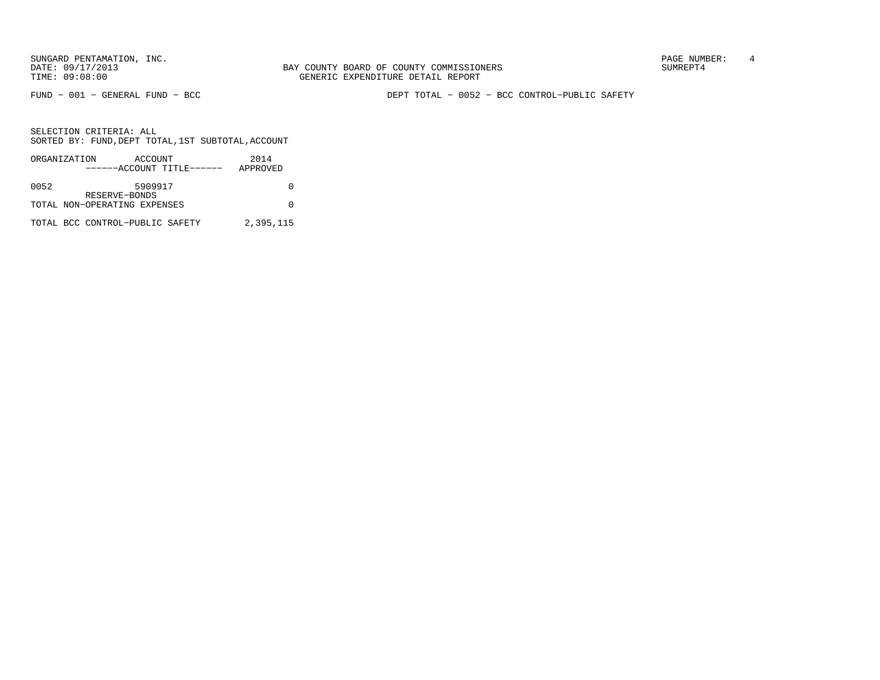SUNGARD PENTAMATION, INC.<br>
BAY COUNTY BOARD OF COUNTY COMMISSIONERS AND SUNREPT4 SUMREPT4

FUND − 001 − GENERAL FUND − BCC DEPT TOTAL − 0052 − BCC CONTROL−PUBLIC SAFETY

|      | ORGANIZATION                    | ACCOUNT       |                           | 2014      |
|------|---------------------------------|---------------|---------------------------|-----------|
|      |                                 |               | ------ACCOUNT TITLE------ | APPROVED  |
|      |                                 |               |                           |           |
| 0052 |                                 | 5909917       |                           |           |
|      |                                 | RESERVE-BONDS |                           |           |
|      | TOTAL NON-OPERATING EXPENSES    |               |                           |           |
|      |                                 |               |                           |           |
|      | TOTAL BCC CONTROL-PUBLIC SAFETY |               |                           | 2,395,115 |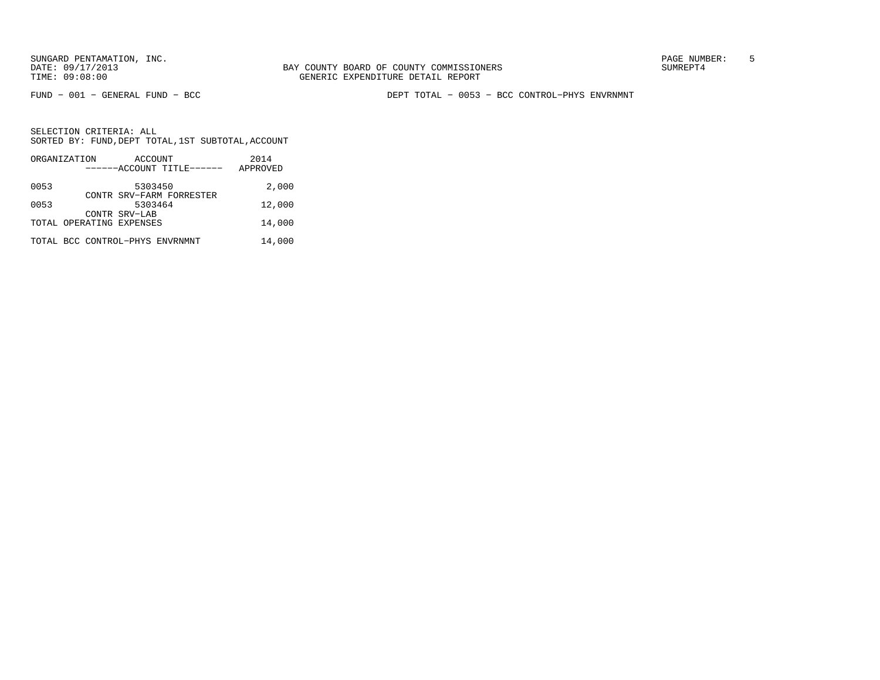BAY COUNTY BOARD OF COUNTY COMMISSIONERS TIME: 09:08:00 GENERIC EXPENDITURE DETAIL REPORT

FUND − 001 − GENERAL FUND − BCC DEPT TOTAL − 0053 − BCC CONTROL−PHYS ENVRNMNT

|      | ORGANIZATION                    | ACCOUNT       |                           | 2014     |
|------|---------------------------------|---------------|---------------------------|----------|
|      |                                 |               | ------ACCOUNT TITLE------ | APPROVED |
| 0053 |                                 | 5303450       |                           | 2,000    |
| 0053 |                                 | 5303464       | CONTR SRV-FARM FORRESTER  |          |
|      |                                 | CONTR SRV-LAB |                           | 12,000   |
|      | TOTAL OPERATING EXPENSES        |               |                           | 14,000   |
|      | TOTAL BCC CONTROL-PHYS ENVRNMNT |               |                           | 14,000   |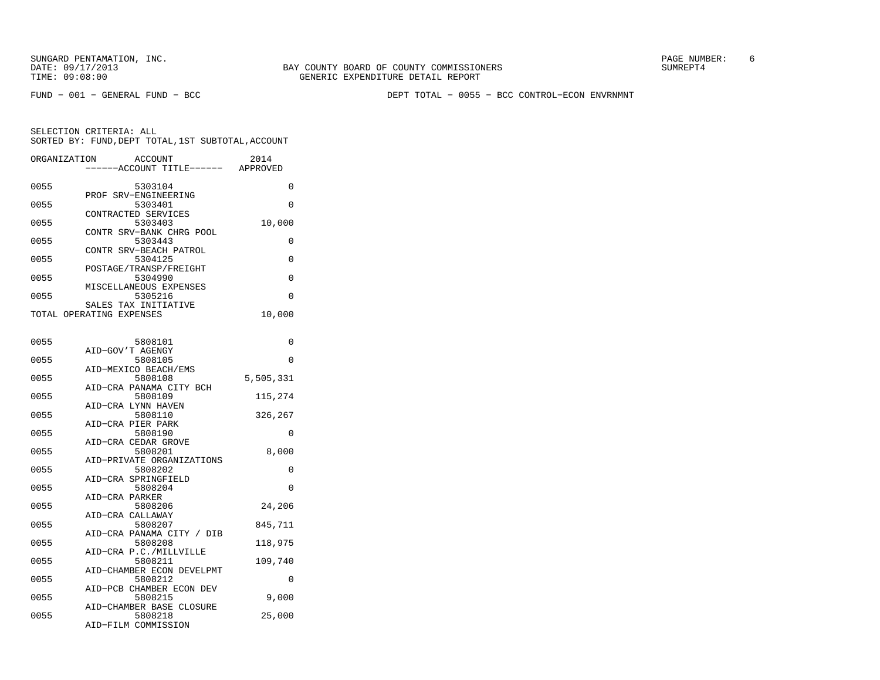FUND − 001 − GENERAL FUND − BCC DEPT TOTAL − 0055 − BCC CONTROL−ECON ENVRNMNT

SELECTION CRITERIA: ALL SORTED BY: FUND,DEPT TOTAL,1ST SUBTOTAL,ACCOUNTORGANIZATION ACCOUNT 2014

| ORGANIZATION             |                      | ACCOUNT |                                    | ZU14      |
|--------------------------|----------------------|---------|------------------------------------|-----------|
|                          |                      |         | ------ACCOUNT TITLE------ APPROVED |           |
| 0055                     |                      | 5303104 |                                    | 0         |
|                          | PROF SRV-ENGINEERING |         |                                    |           |
| 0055                     |                      | 5303401 |                                    | $\Omega$  |
|                          | CONTRACTED SERVICES  |         |                                    |           |
| 0055                     |                      | 5303403 |                                    | 10,000    |
|                          |                      |         | CONTR SRV-BANK CHRG POOL           |           |
| 0055                     |                      | 5303443 |                                    | 0         |
| 0055                     |                      | 5304125 | CONTR SRV-BEACH PATROL             | $\Omega$  |
|                          |                      |         | POSTAGE/TRANSP/FREIGHT             |           |
| 0055                     |                      | 5304990 |                                    | 0         |
|                          |                      |         | MISCELLANEOUS EXPENSES             |           |
| 0055                     |                      | 5305216 |                                    | $\Omega$  |
|                          | SALES TAX INITIATIVE |         |                                    |           |
| TOTAL OPERATING EXPENSES |                      |         |                                    | 10,000    |
|                          |                      |         |                                    |           |
| 0055                     |                      | 5808101 |                                    | 0         |
|                          | AID-GOV'T AGENGY     |         |                                    |           |
| 0055                     |                      | 5808105 |                                    | 0         |
|                          | AID-MEXICO BEACH/EMS |         |                                    |           |
| 0055                     |                      | 5808108 |                                    | 5,505,331 |
|                          |                      |         | AID-CRA PANAMA CITY BCH            |           |
| 0055                     |                      | 5808109 |                                    | 115,274   |
|                          | AID-CRA LYNN HAVEN   |         |                                    |           |
| 0055                     |                      | 5808110 |                                    | 326,267   |
| 0055                     | AID-CRA PIER PARK    | 5808190 |                                    | 0         |
|                          | AID-CRA CEDAR GROVE  |         |                                    |           |
| 0055                     |                      | 5808201 |                                    | 8,000     |
|                          |                      |         | AID-PRIVATE ORGANIZATIONS          |           |
| 0055                     |                      | 5808202 |                                    | 0         |
|                          | AID-CRA SPRINGFIELD  |         |                                    |           |
| 0055                     |                      | 5808204 |                                    | $\Omega$  |
|                          | AID-CRA PARKER       |         |                                    |           |
| 0055                     | AID-CRA CALLAWAY     | 5808206 |                                    | 24,206    |
| 0055                     |                      | 5808207 |                                    | 845,711   |
|                          |                      |         | AID-CRA PANAMA CITY / DIB          |           |
| 0055                     |                      | 5808208 |                                    | 118,975   |
|                          |                      |         | AID-CRA P.C./MILLVILLE             |           |
| 0055                     |                      | 5808211 |                                    | 109,740   |
|                          |                      |         | AID-CHAMBER ECON DEVELPMT          |           |
| 0055                     |                      | 5808212 |                                    | 0         |
|                          |                      |         | AID-PCB CHAMBER ECON DEV           |           |
| 0055                     |                      | 5808215 | AID-CHAMBER BASE CLOSURE           | 9,000     |
| 0055                     |                      | 5808218 |                                    | 25,000    |
|                          | AID-FILM COMMISSION  |         |                                    |           |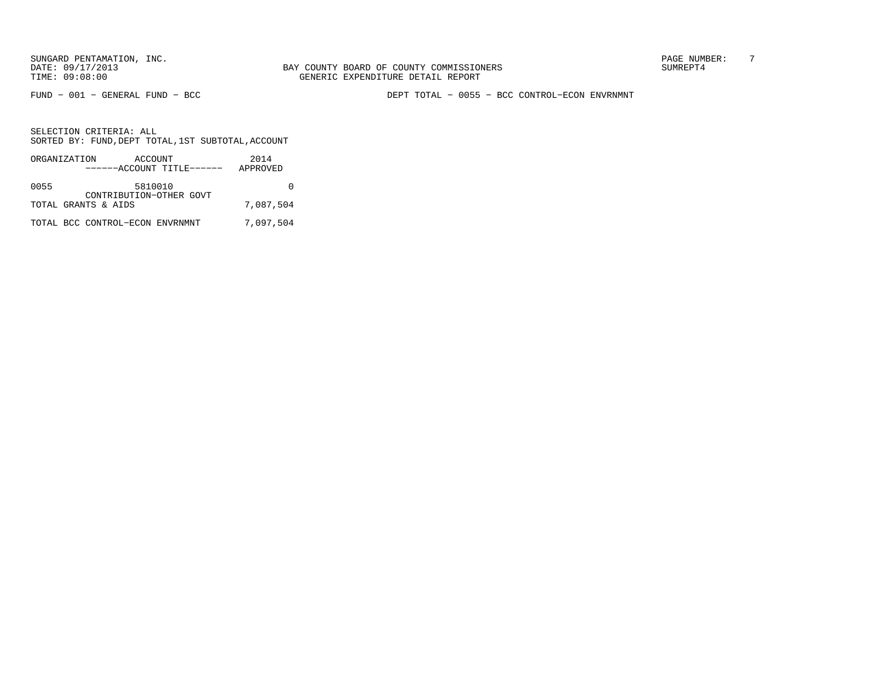BAY COUNTY BOARD OF COUNTY COMMISSIONERS TIME: 09:08:00 GENERIC EXPENDITURE DETAIL REPORT

FUND − 001 − GENERAL FUND − BCC DEPT TOTAL − 0055 − BCC CONTROL−ECON ENVRNMNT

|      | ORGANIZATION                    | ACCOUNT | ------ACCOUNT TITLE------ | 2014<br>APPROVED |
|------|---------------------------------|---------|---------------------------|------------------|
| 0055 |                                 | 5810010 | CONTRIBUTION-OTHER GOVT   |                  |
|      | TOTAL GRANTS & AIDS             |         |                           | 7,087,504        |
|      | TOTAL BCC CONTROL-ECON ENVRNMNT |         |                           | 7,097,504        |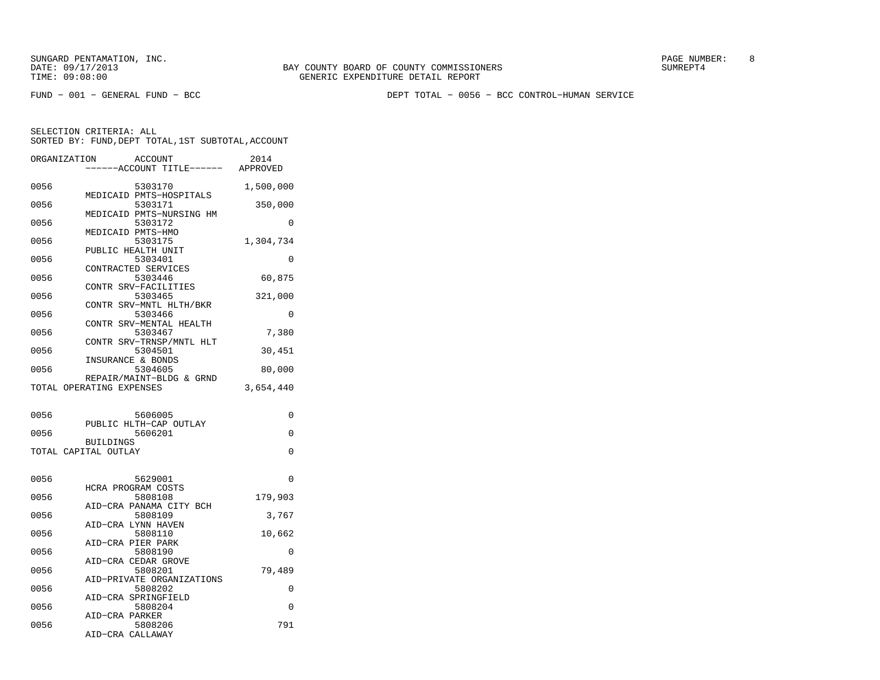SUNGARD PENTAMATION, INC.<br>
BAY COUNTY BOARD OF COUNTY COMMISSIONERS AND SUNREPT4 SUMREPT4

FUND − 001 − GENERAL FUND − BCC DEPT TOTAL − 0056 − BCC CONTROL−HUMAN SERVICE

| ORGANIZATION             |                  | <b>ACCOUNT</b><br>----ACCOUNT TITLE------ APPROVED | 2014      |
|--------------------------|------------------|----------------------------------------------------|-----------|
| 0056                     |                  | 5303170<br>MEDICAID PMTS-HOSPITALS                 | 1,500,000 |
| 0056                     |                  | 5303171<br>MEDICAID PMTS-NURSING HM                | 350,000   |
| 0056                     |                  | 5303172                                            | 0         |
| 0056                     |                  | MEDICAID PMTS-HMO<br>5303175                       | 1,304,734 |
| 0056                     |                  | PUBLIC HEALTH UNIT<br>5303401                      | 0         |
| 0056                     |                  | CONTRACTED SERVICES<br>5303446                     | 60,875    |
| 0056                     |                  | CONTR SRV-FACILITIES<br>5303465                    | 321,000   |
| 0056                     |                  | CONTR SRV-MNTL HLTH/BKR<br>5303466                 | 0         |
| 0056                     |                  | CONTR SRV-MENTAL HEALTH<br>5303467                 | 7,380     |
| 0056                     |                  | CONTR SRV-TRNSP/MNTL HLT<br>5304501                | 30,451    |
| 0056                     |                  | INSURANCE & BONDS<br>5304605                       | 80,000    |
| TOTAL OPERATING EXPENSES |                  | REPAIR/MAINT-BLDG & GRND                           | 3,654,440 |
| 0056                     |                  | 5606005                                            | 0         |
| 0056                     |                  | PUBLIC HLTH-CAP OUTLAY<br>5606201                  | 0         |
| TOTAL CAPITAL OUTLAY     | <b>BUILDINGS</b> |                                                    | $\Omega$  |
| 0056                     |                  | 5629001                                            | 0         |
| 0056                     |                  | HCRA PROGRAM COSTS<br>5808108                      | 179,903   |
| 0056                     |                  | AID-CRA PANAMA CITY BCH<br>5808109                 | 3,767     |
| 0056                     |                  | AID-CRA LYNN HAVEN<br>5808110                      | 10,662    |
| 0056                     |                  | AID-CRA PIER PARK<br>5808190                       | 0         |
| 0056                     |                  | AID-CRA CEDAR GROVE<br>5808201                     | 79,489    |
| 0056                     |                  | AID-PRIVATE ORGANIZATIONS<br>5808202               | 0         |
| 0056                     |                  | AID-CRA SPRINGFIELD<br>5808204                     | 0         |
| 0056                     | AID-CRA PARKER   | 5808206                                            | 791       |
|                          |                  | AID-CRA CALLAWAY                                   |           |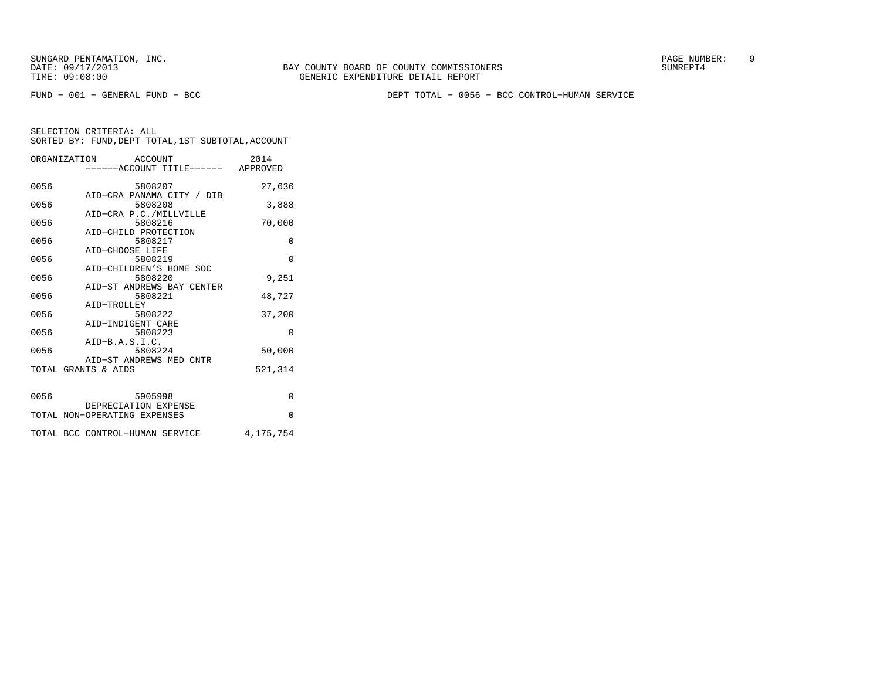FUND − 001 − GENERAL FUND − BCC DEPT TOTAL − 0056 − BCC CONTROL−HUMAN SERVICE

|      | ORGANIZATION ACCOUNT<br>------ACCOUNT TITLE------ APPROVED | 2014      |
|------|------------------------------------------------------------|-----------|
| 0056 | 5808207                                                    | 27,636    |
| 0056 | AID-CRA PANAMA CITY / DIB<br>5808208                       | 3,888     |
| 0056 | AID-CRA P.C./MILLVILLE<br>5808216                          | 70,000    |
| 0056 | AID-CHILD PROTECTION<br>5808217                            | $\Omega$  |
| 0056 | AID-CHOOSE LIFE<br>5808219                                 | $\Omega$  |
| 0056 | AID-CHILDREN'S HOME SOC<br>5808220                         | 9,251     |
| 0056 | AID-ST ANDREWS BAY CENTER<br>5808221                       | 48,727    |
| 0056 | AID-TROLLEY<br>5808222                                     | 37,200    |
| 0056 | AID-INDIGENT CARE<br>5808223                               | $\Omega$  |
| 0056 | $AID-B.A.S.I.C.$<br>5808224                                | 50,000    |
|      | AID-ST ANDREWS MED CNTR<br>TOTAL GRANTS & AIDS             | 521,314   |
| 0056 | 5905998                                                    | $\Omega$  |
|      | DEPRECIATION EXPENSE<br>TOTAL NON-OPERATING EXPENSES       | $\Omega$  |
|      |                                                            |           |
|      | TOTAL BCC CONTROL-HUMAN SERVICE                            | 4,175,754 |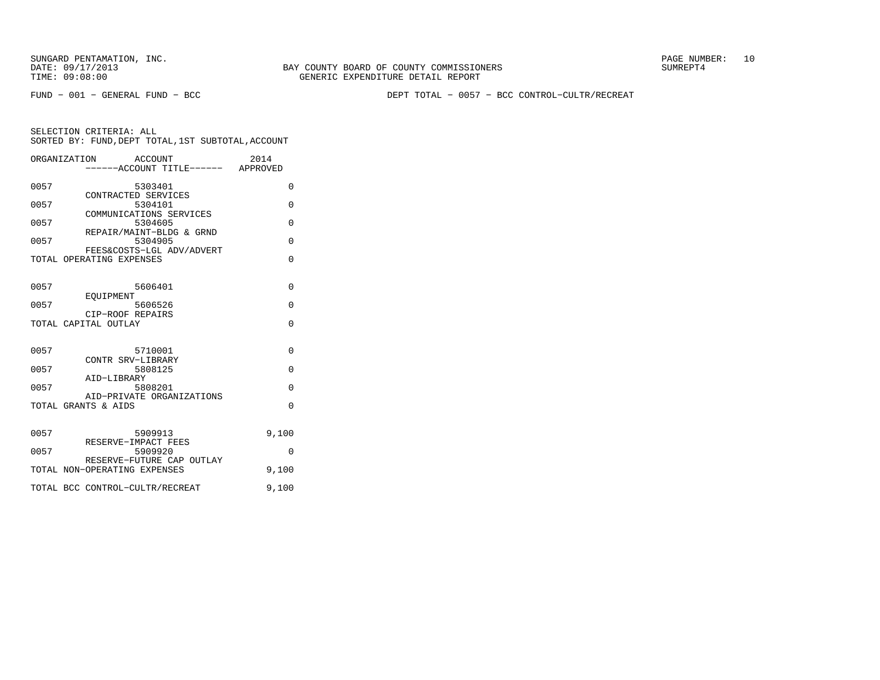FUND − 001 − GENERAL FUND − BCC DEPT TOTAL − 0057 − BCC CONTROL−CULTR/RECREAT

|              | ORGANIZATION<br>ACCOUNT                 | 2014<br>----ACCOUNT TITLE------ APPROVED |
|--------------|-----------------------------------------|------------------------------------------|
| 0057         | 5303401<br>CONTRACTED SERVICES          | 0                                        |
| 0057         | 5304101<br>COMMUNICATIONS SERVICES      | 0                                        |
| 0057         | 5304605<br>REPAIR/MAINT-BLDG & GRND     | 0                                        |
| 0057         | 5304905<br>FEES&COSTS-LGL ADV/ADVERT    | $\Omega$                                 |
|              | TOTAL OPERATING EXPENSES                | O                                        |
| 0057         | 5606401<br>EOUIPMENT                    | $\Omega$                                 |
| 0057         | 5606526<br>CIP-ROOF REPAIRS             | U                                        |
|              | TOTAL CAPITAL OUTLAY                    | $\Omega$                                 |
| 0057<br>0057 | 5710001<br>CONTR SRV-LIBRARY<br>5808125 | $\Omega$<br>$\Omega$                     |
|              | AID-LIBRARY                             |                                          |
| 0057         | 5808201<br>AID-PRIVATE ORGANIZATIONS    | $\Omega$                                 |
|              | TOTAL GRANTS & AIDS                     | $\Omega$                                 |
| 0057         | 5909913<br>RESERVE-IMPACT FEES          | 9,100                                    |
| 0057         | 5909920<br>RESERVE-FUTURE CAP OUTLAY    | O                                        |
|              | TOTAL NON-OPERATING EXPENSES            | 9,100                                    |
|              | TOTAL BCC CONTROL-CULTR/RECREAT         | 9,100                                    |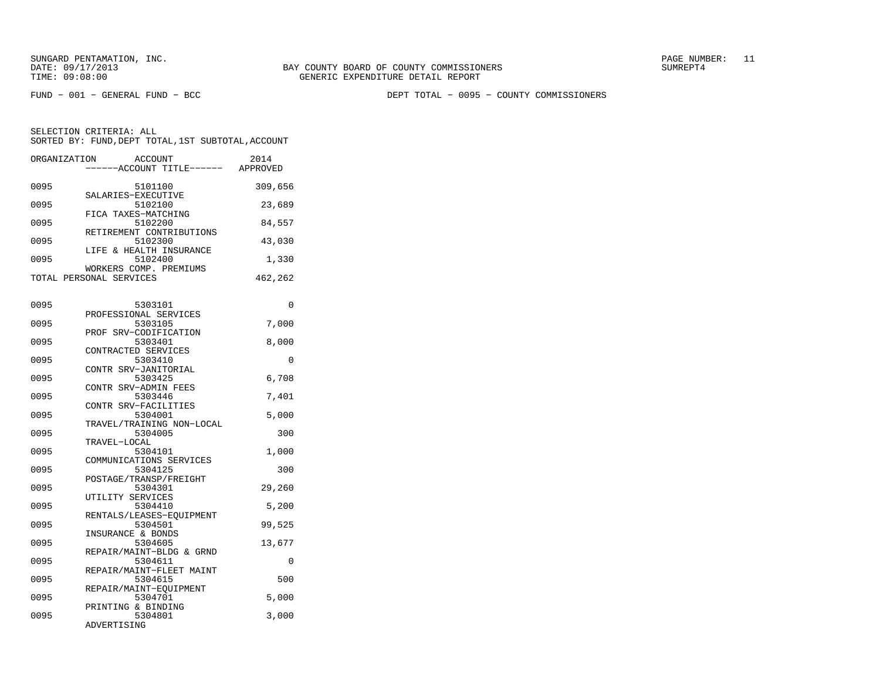FUND − 001 − GENERAL FUND − BCC DEPT TOTAL − 0095 − COUNTY COMMISSIONERS

| ORGANIZATION            |                   | ACCOUNT<br>---ACCOUNT TITLE------ APPROVED           | 2014           |
|-------------------------|-------------------|------------------------------------------------------|----------------|
| 0095                    |                   | 5101100<br>SALARIES-EXECUTIVE                        | 309,656        |
| 0095                    |                   | 5102100<br>FICA TAXES-MATCHING                       | 23,689         |
| 0095                    |                   | 5102200<br>RETIREMENT CONTRIBUTIONS                  | 84,557         |
| 0095                    |                   | 5102300<br>LIFE & HEALTH INSURANCE                   | 43,030         |
| 0095                    |                   | 5102400<br>WORKERS COMP. PREMIUMS                    | 1,330          |
| TOTAL PERSONAL SERVICES |                   |                                                      | 462,262        |
| 0095                    |                   | 5303101                                              | 0              |
| 0095                    | PROF              | PROFESSIONAL SERVICES<br>5303105<br>SRV-CODIFICATION | 7,000          |
| 0095                    |                   | 5303401<br>CONTRACTED SERVICES                       | 8,000          |
| 0095                    |                   | 5303410<br>CONTR SRV-JANITORIAL                      | 0              |
| 0095                    |                   | 5303425<br>CONTR SRV-ADMIN FEES                      | 6,708          |
| 0095                    |                   | 5303446<br>CONTR SRV-FACILITIES                      | 7,401          |
| 0095                    |                   | 5304001<br>TRAVEL/TRAINING NON-LOCAL                 | 5,000          |
| 0095                    | TRAVEL-LOCAL      | 5304005                                              | 300            |
| 0095                    |                   | 5304101<br>COMMUNICATIONS SERVICES                   | 1,000          |
| 0095                    |                   | 5304125<br>POSTAGE/TRANSP/FREIGHT                    | 300            |
| 0095                    | UTILITY SERVICES  | 5304301                                              | 29,260         |
| 0095                    |                   | 5304410<br>RENTALS/LEASES-EOUIPMENT                  | 5,200          |
| 0095                    | INSURANCE & BONDS | 5304501                                              | 99,525         |
| 0095                    |                   | 5304605<br>REPAIR/MAINT-BLDG & GRND                  | 13,677         |
| 0095<br>0095            |                   | 5304611<br>REPAIR/MAINT-FLEET MAINT<br>5304615       | 0<br>500       |
| 0095                    |                   | REPAIR/MAINT-EOUIPMENT<br>5304701                    |                |
| 0095                    |                   | PRINTING & BINDING<br>5304801                        | 5,000<br>3,000 |
|                         | ADVERTISING       |                                                      |                |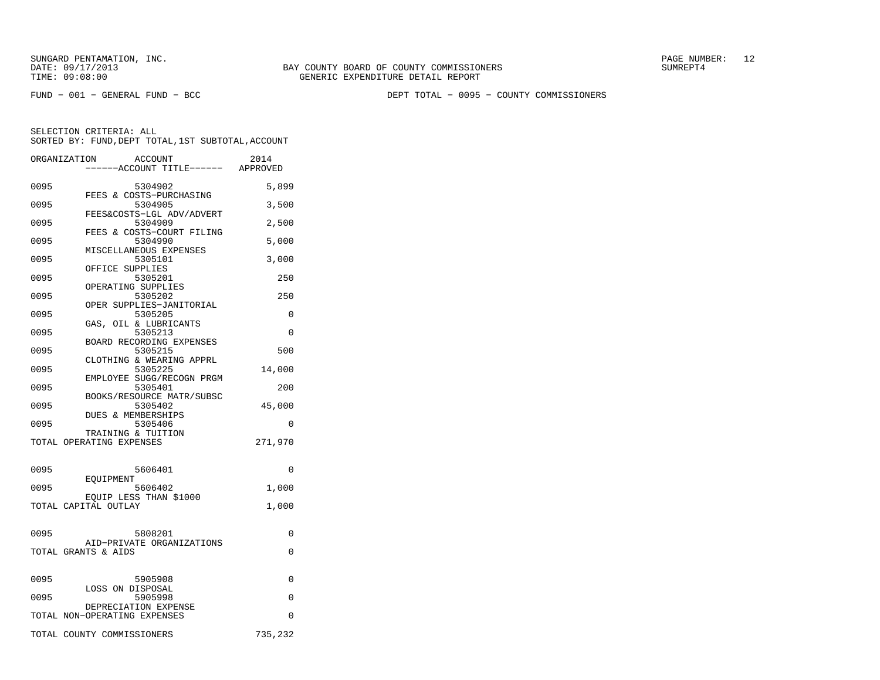FUND − 001 − GENERAL FUND − BCC DEPT TOTAL − 0095 − COUNTY COMMISSIONERS

|      | ORGANIZATION<br><b>ACCOUNT</b><br>---ACCOUNT TITLE------ APPROVED | 2014     |
|------|-------------------------------------------------------------------|----------|
|      |                                                                   |          |
| 0095 | 5304902<br>FEES & COSTS-PURCHASING                                | 5,899    |
| 0095 | 5304905                                                           | 3,500    |
| 0095 | FEES&COSTS-LGL ADV/ADVERT<br>5304909                              | 2,500    |
| 0095 | FEES & COSTS-COURT FILING<br>5304990                              | 5,000    |
| 0095 | MISCELLANEOUS EXPENSES<br>5305101                                 | 3,000    |
|      | OFFICE SUPPLIES                                                   |          |
| 0095 | 5305201<br>OPERATING SUPPLIES                                     | 250      |
| 0095 | 5305202<br>OPER SUPPLIES-JANITORIAL                               | 250      |
| 0095 | 5305205<br>GAS, OIL & LUBRICANTS                                  | 0        |
| 0095 | 5305213                                                           | $\Omega$ |
| 0095 | BOARD RECORDING EXPENSES<br>5305215                               | 500      |
| 0095 | CLOTHING & WEARING APPRL<br>5305225                               | 14,000   |
| 0095 | EMPLOYEE SUGG/RECOGN PRGM<br>5305401                              | 200      |
|      | BOOKS/RESOURCE MATR/SUBSC                                         |          |
| 0095 | 5305402<br>DUES & MEMBERSHIPS                                     | 45,000   |
| 0095 | 5305406<br>TRAINING & TUITION                                     | 0        |
|      | TOTAL OPERATING EXPENSES                                          | 271,970  |
| 0095 | 5606401                                                           | 0        |
|      | EOUIPMENT                                                         |          |
| 0095 | 5606402<br>EQUIP LESS THAN \$1000                                 | 1,000    |
|      | TOTAL CAPITAL OUTLAY                                              | 1,000    |
| 0095 | 5808201                                                           | 0        |
|      | AID-PRIVATE ORGANIZATIONS                                         |          |
|      | TOTAL GRANTS & AIDS                                               | 0        |
| 0095 | 5905908                                                           | 0        |
| 0095 | LOSS ON DISPOSAL<br>5905998                                       | 0        |
|      | DEPRECIATION EXPENSE<br>TOTAL NON-OPERATING EXPENSES              | 0        |
|      |                                                                   |          |
|      | TOTAL COUNTY COMMISSIONERS                                        | 735,232  |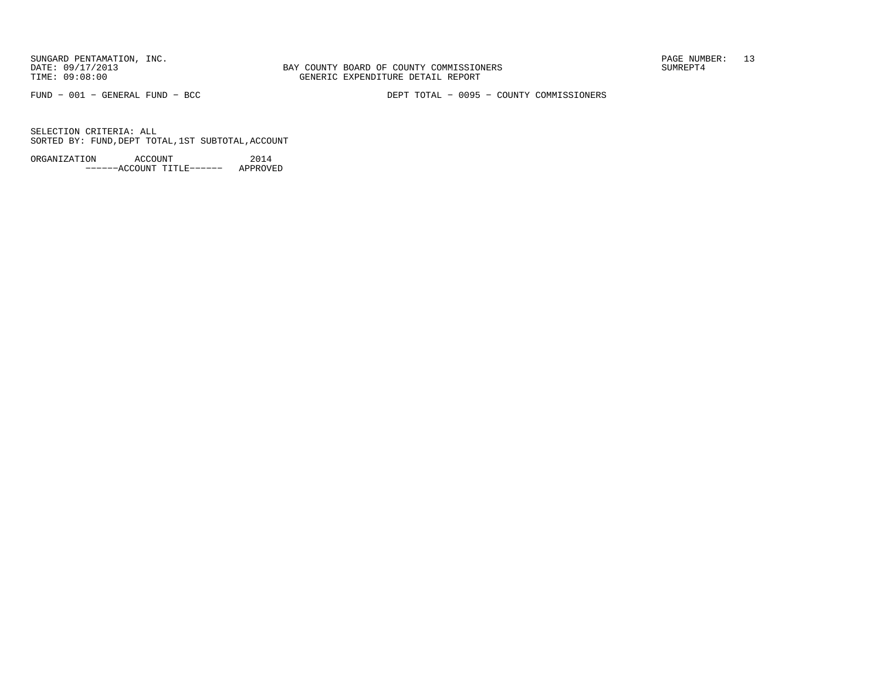BAY COUNTY BOARD OF COUNTY COMMISSIONERS TIME: 09:08:00 GENERIC EXPENDITURE DETAIL REPORT

FUND − 001 − GENERAL FUND − BCC DEPT TOTAL − 0095 − COUNTY COMMISSIONERS

SELECTION CRITERIA: ALLSORTED BY: FUND,DEPT TOTAL,1ST SUBTOTAL,ACCOUNT

ORGANIZATION ACCOUNT 2014−−−−−−ACCOUNT TITLE−−−−−− APPROVED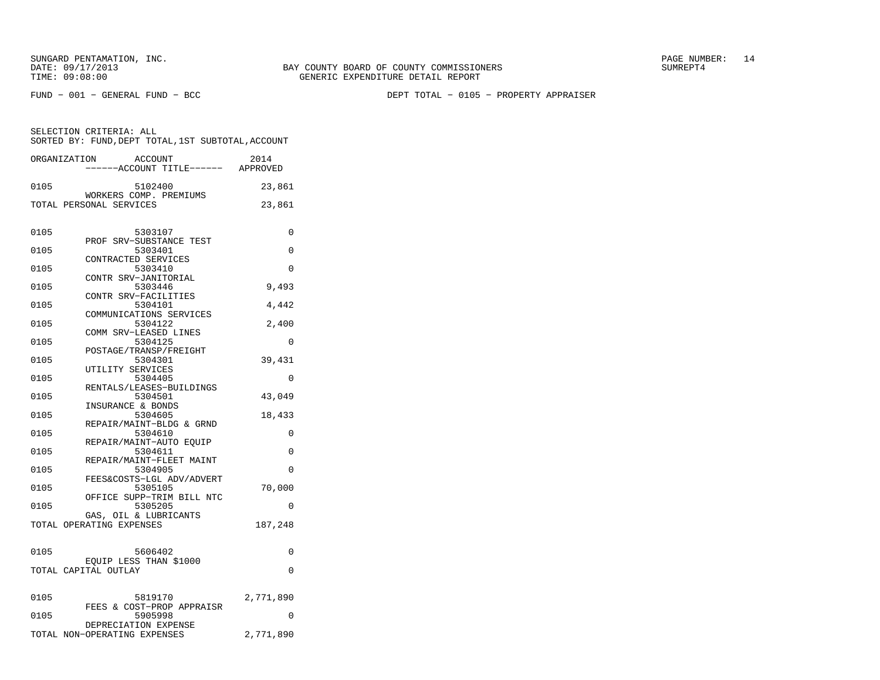FUND − 001 − GENERAL FUND − BCC DEPT TOTAL − 0105 − PROPERTY APPRAISER

|      | ORGANIZATION<br><b>ACCOUNT</b><br>----ACCOUNT TITLE------ APPROVED | 2014      |
|------|--------------------------------------------------------------------|-----------|
| 0105 | 5102400                                                            | 23,861    |
|      | WORKERS COMP. PREMIUMS<br>TOTAL PERSONAL SERVICES                  | 23,861    |
| 0105 | 5303107<br>PROF SRV-SUBSTANCE TEST                                 | 0         |
| 0105 | 5303401                                                            | $\Omega$  |
| 0105 | CONTRACTED SERVICES<br>5303410                                     | 0         |
| 0105 | CONTR SRV-JANITORIAL<br>5303446                                    | 9,493     |
| 0105 | CONTR SRV-FACILITIES<br>5304101                                    | 4,442     |
| 0105 | COMMUNICATIONS SERVICES<br>5304122                                 | 2,400     |
| 0105 | COMM SRV-LEASED LINES<br>5304125                                   | 0         |
|      | POSTAGE/TRANSP/FREIGHT                                             |           |
| 0105 | 5304301<br>UTILITY SERVICES                                        | 39,431    |
| 0105 | 5304405<br>RENTALS/LEASES-BUILDINGS                                | 0         |
| 0105 | 5304501                                                            | 43,049    |
| 0105 | INSURANCE & BONDS<br>5304605                                       | 18,433    |
| 0105 | REPAIR/MAINT-BLDG & GRND<br>5304610                                | $\Omega$  |
| 0105 | REPAIR/MAINT-AUTO EOUIP<br>5304611                                 | $\Omega$  |
| 0105 | REPAIR/MAINT-FLEET MAINT<br>5304905                                | 0         |
|      | FEES&COSTS-LGL ADV/ADVERT                                          |           |
| 0105 | 5305105<br>OFFICE SUPP-TRIM BILL NTC                               | 70,000    |
| 0105 | 5305205<br>GAS, OIL & LUBRICANTS                                   | 0         |
|      | TOTAL OPERATING EXPENSES                                           | 187,248   |
| 0105 | 5606402                                                            | 0         |
|      | EQUIP LESS THAN \$1000<br>TOTAL CAPITAL OUTLAY                     | $\Omega$  |
| 0105 | 5819170<br>FEES & COST-PROP APPRAISR                               | 2,771,890 |
| 0105 | 5905998                                                            | $\Omega$  |
|      | DEPRECIATION EXPENSE<br>TOTAL NON-OPERATING EXPENSES               | 2,771,890 |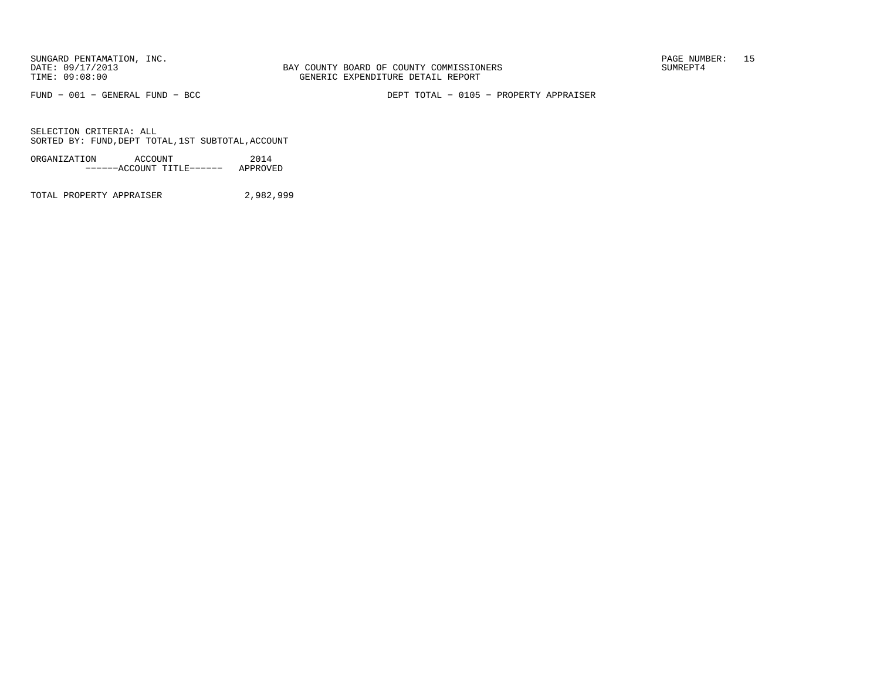FUND − 001 − GENERAL FUND − BCC DEPT TOTAL − 0105 − PROPERTY APPRAISER

SELECTION CRITERIA: ALLSORTED BY: FUND,DEPT TOTAL,1ST SUBTOTAL,ACCOUNT

ORGANIZATION ACCOUNT 2014−−−−−−ACCOUNT TITLE−−−−−− APPROVED

TOTAL PROPERTY APPRAISER 2,982,999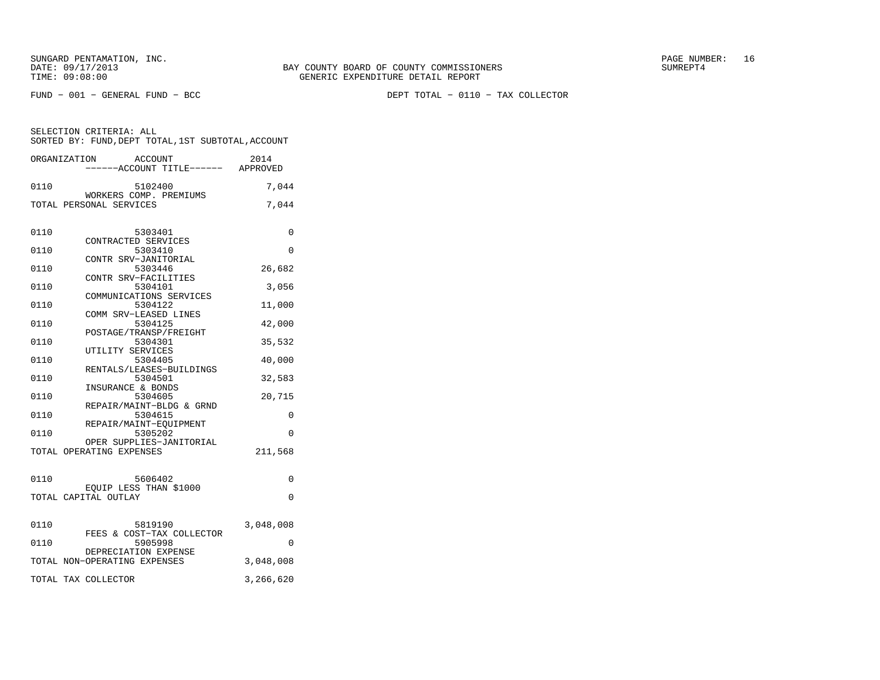FUND − 001 − GENERAL FUND − BCC DEPT TOTAL − 0110 − TAX COLLECTOR

| ORGANIZATION        | ACCOUNT<br>----ACCOUNT TITLE------ APPROVED                | 2014      |
|---------------------|------------------------------------------------------------|-----------|
| 0110                | 5102400<br>WORKERS COMP. PREMIUMS                          | 7,044     |
|                     | TOTAL PERSONAL SERVICES                                    | 7,044     |
| 0110                | 5303401                                                    | 0         |
| 0110                | CONTRACTED SERVICES<br>5303410                             | 0         |
| 0110                | CONTR SRV-JANITORIAL<br>5303446                            | 26,682    |
| 0110                | CONTR SRV-FACILITIES<br>5304101<br>COMMUNICATIONS SERVICES | 3,056     |
| 0110                | 5304122<br>COMM SRV-LEASED LINES                           | 11,000    |
| 0110                | 5304125<br>POSTAGE/TRANSP/FREIGHT                          | 42,000    |
| 0110                | 5304301<br>UTILITY SERVICES                                | 35,532    |
| 0110                | 5304405<br>RENTALS/LEASES-BUILDINGS                        | 40,000    |
| 0110                | 5304501<br>INSURANCE & BONDS                               | 32,583    |
| 0110                | 5304605<br>REPAIR/MAINT-BLDG & GRND                        | 20,715    |
| 0110                | 5304615<br>REPAIR/MAINT-EOUIPMENT                          | 0         |
| 0110                | 5305202<br>OPER SUPPLIES-JANITORIAL                        | 0         |
|                     | TOTAL OPERATING EXPENSES                                   | 211,568   |
| 0110                | 5606402                                                    | 0         |
|                     | EOUIP LESS THAN \$1000<br>TOTAL CAPITAL OUTLAY             | $\Omega$  |
|                     |                                                            |           |
| 0110                | 5819190<br>FEES & COST-TAX COLLECTOR                       | 3,048,008 |
| 0110                | 5905998<br>DEPRECIATION EXPENSE                            | $\Omega$  |
|                     | TOTAL NON-OPERATING EXPENSES                               | 3,048,008 |
| TOTAL TAX COLLECTOR |                                                            | 3,266,620 |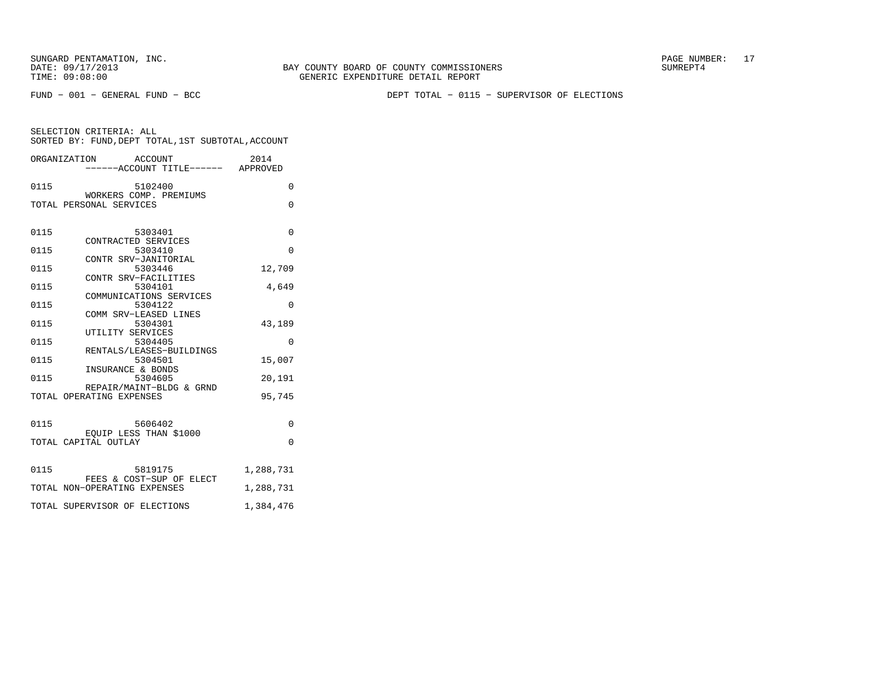BAY COUNTY BOARD OF COUNTY COMMISSIONERS TIME: 09:08:00 GENERIC EXPENDITURE DETAIL REPORT

FUND − 001 − GENERAL FUND − BCC DEPT TOTAL − 0115 − SUPERVISOR OF ELECTIONS

|      | ORGANIZATION<br><b>ACCOUNT</b>                    | 2014      |
|------|---------------------------------------------------|-----------|
|      | ------ACCOUNT TITLE------ APPROVED                |           |
| 0115 | 5102400                                           | $\Omega$  |
|      | WORKERS COMP. PREMIUMS<br>TOTAL PERSONAL SERVICES | 0         |
|      |                                                   |           |
| 0115 | 5303401                                           | $\Omega$  |
| 0115 | CONTRACTED SERVICES<br>5303410                    | 0         |
|      | CONTR SRV-JANITORIAL                              |           |
| 0115 | 5303446                                           | 12,709    |
| 0115 | CONTR SRV-FACILITIES<br>5304101                   | 4,649     |
|      | COMMUNICATIONS SERVICES                           |           |
| 0115 | 5304122<br>COMM SRV-LEASED LINES                  | $\Omega$  |
| 0115 | 5304301                                           | 43,189    |
|      | UTILITY SERVICES                                  |           |
| 0115 | 5304405<br>RENTALS/LEASES-BUILDINGS               | 0         |
| 0115 | 5304501                                           | 15,007    |
| 0115 | INSURANCE & BONDS<br>5304605                      | 20,191    |
|      | REPAIR/MAINT-BLDG & GRND                          |           |
|      | TOTAL OPERATING EXPENSES                          | 95,745    |
|      |                                                   |           |
| 0115 | 5606402                                           | $\Omega$  |
|      | EQUIP LESS THAN \$1000<br>TOTAL CAPITAL OUTLAY    | $\Omega$  |
|      |                                                   |           |
| 0115 | 5819175                                           | 1,288,731 |
|      | FEES & COST-SUP OF ELECT                          |           |
|      | TOTAL NON-OPERATING EXPENSES                      | 1,288,731 |
|      | TOTAL SUPERVISOR OF ELECTIONS                     | 1,384,476 |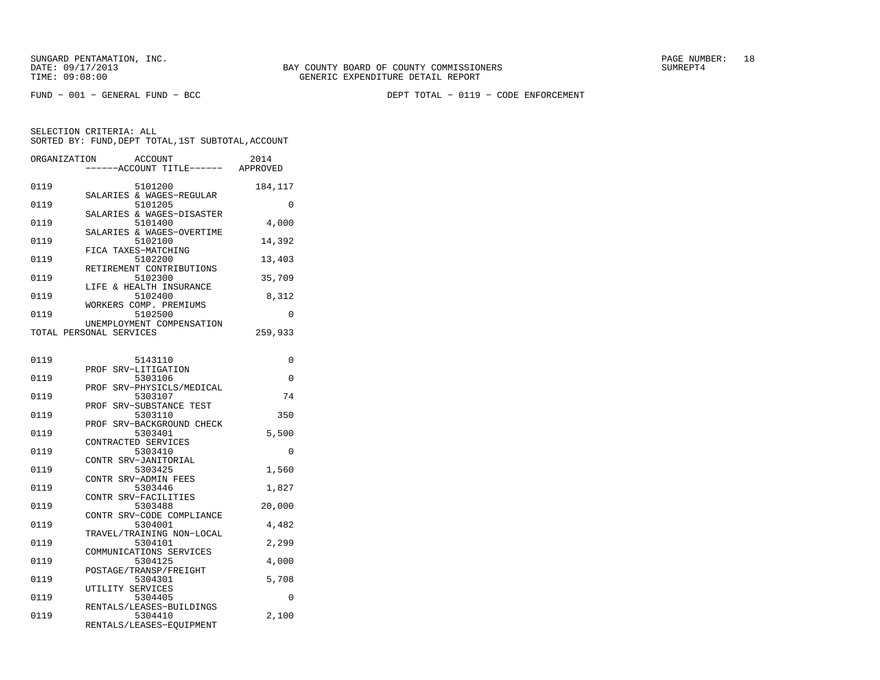FUND − 001 − GENERAL FUND − BCC DEPT TOTAL − 0119 − CODE ENFORCEMENT

| ORGANIZATION | <b>ACCOUNT</b>                  | 2014     |
|--------------|---------------------------------|----------|
|              | -----ACCOUNT TITLE------        | APPROVED |
|              |                                 |          |
| 0119         | 5101200                         | 184,117  |
|              | SALARIES & WAGES-REGULAR        |          |
| 0119         | 5101205                         | $\Omega$ |
|              | SALARIES & WAGES-DISASTER       |          |
| 0119         | 5101400                         | 4,000    |
|              | SALARIES & WAGES-OVERTIME       |          |
| 0119         | 5102100                         | 14,392   |
| 0119         | FICA TAXES-MATCHING<br>5102200  | 13,403   |
|              | RETIREMENT CONTRIBUTIONS        |          |
| 0119         | 5102300                         | 35,709   |
|              | LIFE & HEALTH INSURANCE         |          |
| 0119         | 5102400                         | 8,312    |
|              | WORKERS COMP. PREMIUMS          |          |
| 0119         | 5102500                         | 0        |
|              | UNEMPLOYMENT COMPENSATION       |          |
|              | TOTAL PERSONAL SERVICES         | 259,933  |
|              |                                 |          |
|              |                                 |          |
| 0119         | 5143110                         | 0        |
|              | PROF SRV-LITIGATION             |          |
| 0119         | 5303106                         | $\Omega$ |
|              | SRV-PHYSICLS/MEDICAL<br>PROF    |          |
| 0119         | 5303107                         | 74       |
|              | SRV-SUBSTANCE TEST<br>PROF      |          |
| 0119         | 5303110                         | 350      |
|              | SRV-BACKGROUND CHECK<br>PROF    |          |
| 0119         | 5303401                         | 5,500    |
|              | CONTRACTED SERVICES             |          |
| 0119         | 5303410                         | 0        |
|              | CONTR SRV-JANITORIAL            |          |
| 0119         | 5303425                         | 1,560    |
| 0119         | CONTR SRV-ADMIN FEES<br>5303446 |          |
|              | CONTR SRV-FACILITIES            | 1,827    |
| 0119         | 5303488                         | 20,000   |
|              | CONTR SRV-CODE COMPLIANCE       |          |
| 0119         | 5304001                         | 4,482    |
|              | TRAVEL/TRAINING NON-LOCAL       |          |
| 0119         | 5304101                         | 2,299    |
|              | COMMUNICATIONS SERVICES         |          |
| 0119         | 5304125                         | 4,000    |
|              | POSTAGE/TRANSP/FREIGHT          |          |
| 0119         | 5304301                         | 5,708    |
|              | UTILITY SERVICES                |          |
| 0119         | 5304405                         | 0        |
|              | RENTALS/LEASES-BUILDINGS        |          |
| 0119         | 5304410                         | 2,100    |
|              | RENTALS/LEASES-EOUIPMENT        |          |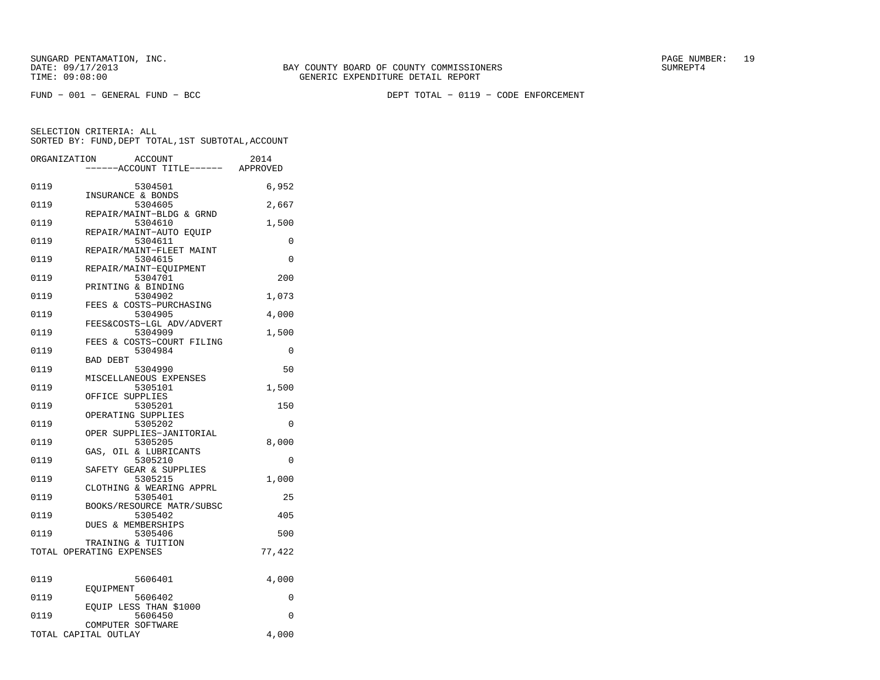FUND − 001 − GENERAL FUND − BCC DEPT TOTAL − 0119 − CODE ENFORCEMENT

| ORGANIZATION | <b>ACCOUNT</b>                       | 2014     |
|--------------|--------------------------------------|----------|
|              | ---ACCOUNT TITLE------ APPROVED      |          |
| 0119         | 5304501                              | 6,952    |
|              | INSURANCE & BONDS                    |          |
| 0119         | 5304605                              | 2,667    |
| 0119         | REPAIR/MAINT-BLDG & GRND<br>5304610  | 1,500    |
|              | REPAIR/MAINT-AUTO EQUIP              |          |
| 0119         | 5304611                              | $\Omega$ |
|              | REPAIR/MAINT-FLEET MAINT             |          |
| 0119         | 5304615                              | $\Omega$ |
| 0119         | REPAIR/MAINT-EQUIPMENT<br>5304701    | 200      |
|              | PRINTING & BINDING                   |          |
| 0119         | 5304902                              | 1,073    |
|              | FEES & COSTS-PURCHASING              |          |
| 0119         | 5304905                              | 4,000    |
| 0119         | FEES&COSTS-LGL ADV/ADVERT<br>5304909 | 1,500    |
|              | FEES & COSTS-COURT FILING            |          |
| 0119         | 5304984                              | 0        |
|              | <b>BAD DEBT</b>                      |          |
| 0119         | 5304990                              | 50       |
| 0119         | MISCELLANEOUS EXPENSES<br>5305101    | 1,500    |
|              | OFFICE SUPPLIES                      |          |
| 0119         | 5305201                              | 150      |
|              | OPERATING SUPPLIES                   |          |
| 0119         | 5305202                              | 0        |
| 0119         | OPER SUPPLIES-JANITORIAL<br>5305205  | 8,000    |
|              | GAS, OIL & LUBRICANTS                |          |
| 0119         | 5305210                              | 0        |
|              | SAFETY GEAR & SUPPLIES               |          |
| 0119         | 5305215<br>CLOTHING & WEARING APPRL  | 1,000    |
| 0119         | 5305401                              | 25       |
|              | BOOKS/RESOURCE MATR/SUBSC            |          |
| 0119         | 5305402                              | 405      |
|              | DUES & MEMBERSHIPS                   |          |
| 0119         | 5305406<br>TRAINING & TUITION        | 500      |
|              | TOTAL OPERATING EXPENSES             | 77,422   |
|              |                                      |          |
|              |                                      |          |
| 0119         | 5606401                              | 4,000    |
| 0119         | EOUIPMENT<br>5606402                 | 0        |
|              | EQUIP LESS THAN \$1000               |          |
| 0119         | 5606450                              | 0        |
|              | COMPUTER SOFTWARE                    |          |
|              | TOTAL CAPITAL OUTLAY                 | 4,000    |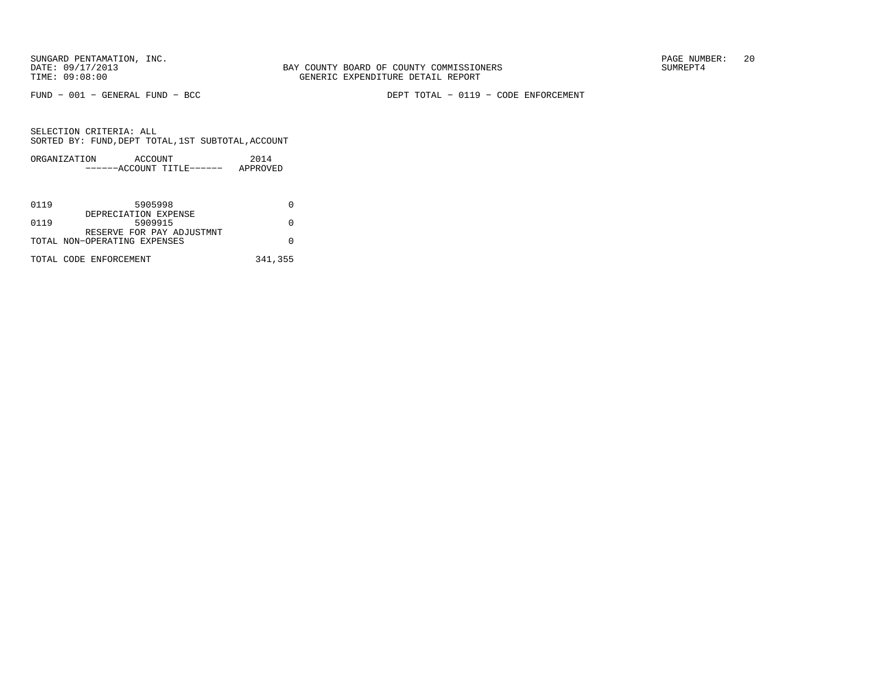FUND − 001 − GENERAL FUND − BCC DEPT TOTAL − 0119 − CODE ENFORCEMENT

| ORGANIZATION | ACCOUNT |                       | 2014     |
|--------------|---------|-----------------------|----------|
|              |         | $---ACCOINT TITLE---$ | APPROVED |

| 0119 | 5905998                      |         |
|------|------------------------------|---------|
|      | DEPRECIATION EXPENSE         |         |
| 0119 | 5909915                      |         |
|      | RESERVE FOR PAY ADJUSTMNT    |         |
|      | TOTAL NON-OPERATING EXPENSES |         |
|      |                              |         |
|      | TOTAL CODE ENFORCEMENT       | 341,355 |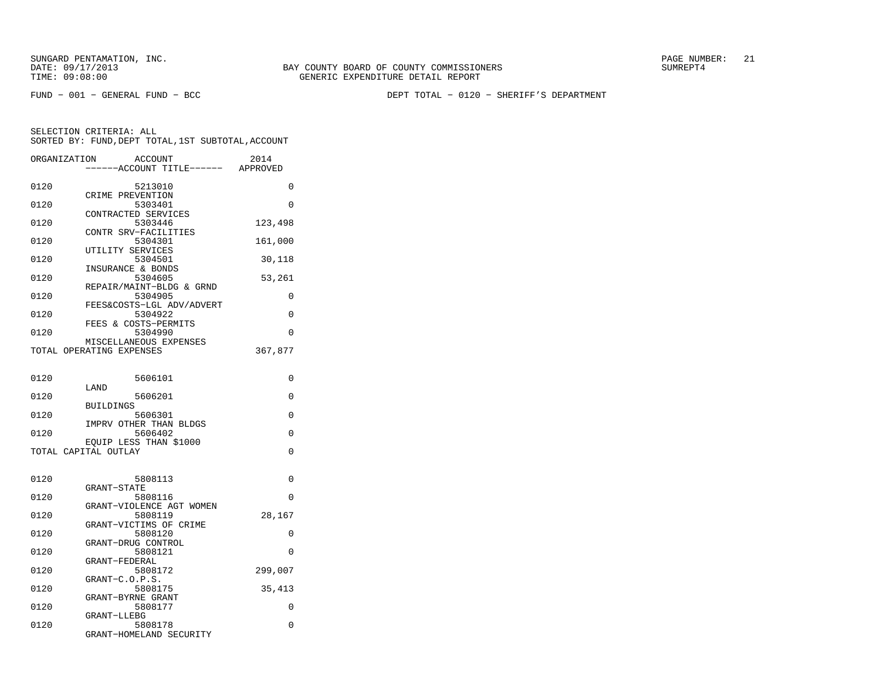SUNGARD PENTAMATION, INC. PAGE NUMBER: 21DATE: 09/17/2013 BAY COUNTY BOARD OF COUNTY COMMISSIONERS SUMREPT4

SELECTION CRITERIA: ALL

GENERIC EXPENDITURE DETAIL REPORT

FUND − 001 − GENERAL FUND − BCC DEPT TOTAL − 0120 − SHERIFF'S DEPARTMENT

| SORTED BY: FUND, DEPT TOTAL, 1ST SUBTOTAL, ACCOUNT |                                      |                  |
|----------------------------------------------------|--------------------------------------|------------------|
| ORGANIZATION                                       | ACCOUNT<br>------ACCOUNT TITLE------ | 2014<br>APPROVED |

| 0120 | 5213010                              | 0        |
|------|--------------------------------------|----------|
| 0120 | CRIME PREVENTION<br>5303401          | $\Omega$ |
| 0120 | CONTRACTED SERVICES<br>5303446       | 123,498  |
| 0120 | CONTR SRV-FACILITIES<br>5304301      | 161,000  |
|      | UTILITY SERVICES                     |          |
| 0120 | 5304501                              | 30,118   |
| 0120 | INSURANCE & BONDS<br>5304605         | 53,261   |
|      | REPAIR/MAINT-BLDG & GRND             |          |
| 0120 | 5304905<br>FEES&COSTS-LGL ADV/ADVERT | 0        |
| 0120 | 5304922                              | $\Omega$ |
|      | & COSTS-PERMITS<br>FEES              |          |
| 0120 | 5304990<br>MISCELLANEOUS EXPENSES    | $\Omega$ |
|      | TOTAL OPERATING EXPENSES             | 367,877  |
|      |                                      |          |
| 0120 | 5606101                              | 0        |
|      | LAND                                 |          |
| 0120 | 5606201                              | 0        |
| 0120 | <b>BUILDINGS</b><br>5606301          | 0        |
|      | IMPRV OTHER THAN BLDGS               |          |
| 0120 | 5606402                              | 0        |
|      | EOUIP LESS THAN \$1000               |          |
|      | TOTAL CAPITAL OUTLAY                 | 0        |
|      |                                      |          |
| 0120 | 5808113<br><b>GRANT-STATE</b>        | 0        |
| 0120 | 5808116                              | 0        |
|      | GRANT-VIOLENCE AGT WOMEN             |          |
| 0120 | 5808119<br>GRANT-VICTIMS OF CRIME    | 28,167   |
| 0120 | 5808120                              | 0        |
| 0120 | GRANT-DRUG CONTROL<br>5808121        | $\Omega$ |
|      | GRANT-FEDERAL                        |          |
| 0120 | 5808172                              | 299,007  |
| 0120 | GRANT-C.O.P.S.<br>5808175            | 35,413   |
|      | GRANT-BYRNE GRANT                    |          |
| 0120 | 5808177                              | 0        |
|      | GRANT-LLEBG                          |          |
| 0120 | 5808178<br>GRANT-HOMELAND SECURITY   | 0        |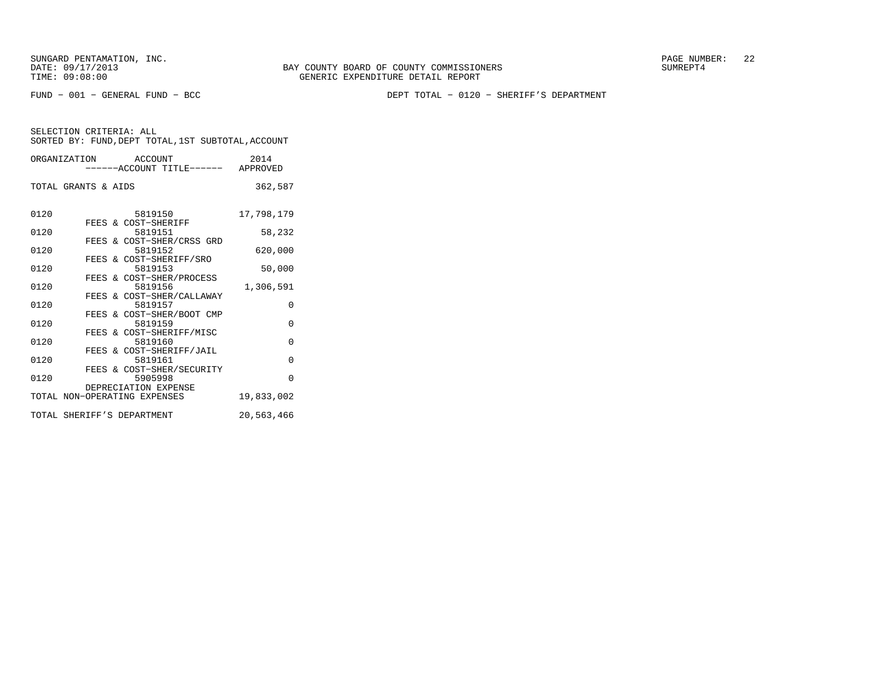FUND − 001 − GENERAL FUND − BCC DEPT TOTAL − 0120 − SHERIFF'S DEPARTMENT

SELECTION CRITERIA: ALL

|                     | SORTED BY: FUND, DEPT TOTAL, 1ST SUBTOTAL, ACCOUNT |                  |
|---------------------|----------------------------------------------------|------------------|
| ORGANIZATION        | ACCOUNT<br>------ACCOUNT TITLE------               | 2014<br>APPROVED |
| TOTAL GRANTS & AIDS |                                                    | 362,587          |
| 0120                | 5819150                                            | 17,798,179       |
| 0120                | FEES & COST-SHERIFF<br>5819151                     | 58,232           |
| 0120                | FEES & COST-SHER/CRSS GRD<br>5819152               | 620,000          |
| 0120                | FEES & COST-SHERIFF/SRO<br>5819153                 | 50,000           |
|                     | FEES & COST-SHER/PROCESS                           |                  |

| 0120 |  | 5819156                      | 1,306,591  |
|------|--|------------------------------|------------|
|      |  | FEES & COST-SHER/CALLAWAY    |            |
| 0120 |  | 5819157                      |            |
|      |  | FEES & COST-SHER/BOOT CMP    |            |
| 0120 |  | 5819159                      | 0          |
|      |  | FEES & COST-SHERIFF/MISC     |            |
| 0120 |  | 5819160                      | 0          |
|      |  | FEES & COST-SHERIFF/JAIL     |            |
| 0120 |  | 5819161                      | 0          |
|      |  | FEES & COST-SHER/SECURITY    |            |
| 0120 |  | 5905998                      | U          |
|      |  | DEPRECIATION EXPENSE         |            |
|      |  | TOTAL NON-OPERATING EXPENSES | 19,833,002 |
|      |  |                              |            |

TOTAL SHERIFF'S DEPARTMENT 20,563,466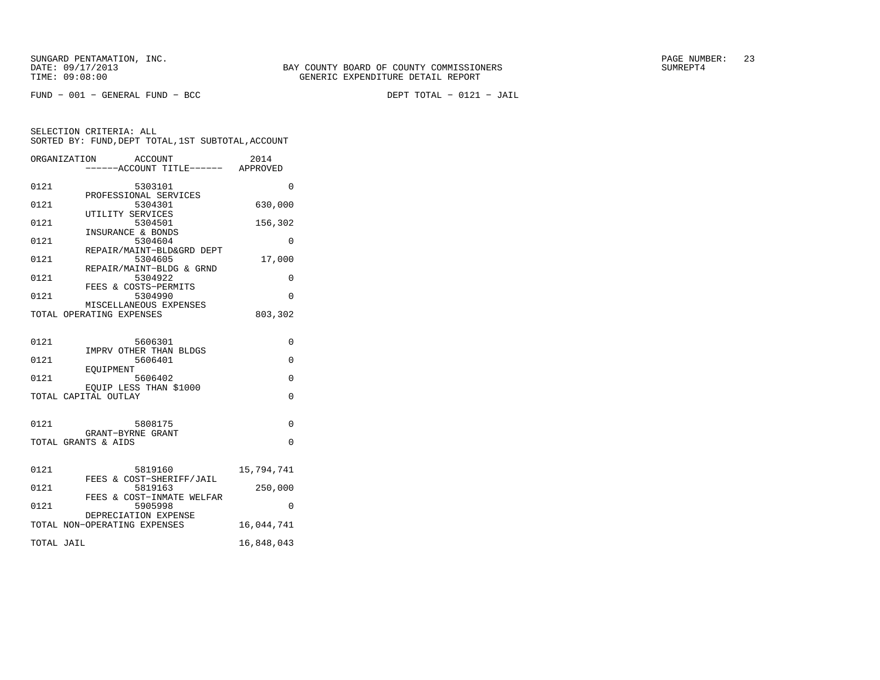FUND − 001 − GENERAL FUND − BCC DEPT TOTAL − 0121 − JAIL

|            | ORGANIZATION<br>ACCOUNT<br>-----ACCOUNT TITLE------ APPROVED | 2014       |
|------------|--------------------------------------------------------------|------------|
| 0121       | 5303101<br>PROFESSIONAL SERVICES                             | 0          |
| 0121       | 5304301<br>UTILITY SERVICES                                  | 630,000    |
| 0121       | 5304501<br>INSURANCE & BONDS                                 | 156,302    |
| 0121       | 5304604<br>REPAIR/MAINT-BLD&GRD DEPT                         | 0          |
| 0121       | 5304605<br>REPAIR/MAINT-BLDG & GRND                          | 17,000     |
| 0121       | 5304922<br>FEES & COSTS-PERMITS                              | 0          |
| 0121       | 5304990<br>MISCELLANEOUS EXPENSES                            | $\Omega$   |
|            | TOTAL OPERATING EXPENSES                                     | 803,302    |
| 0121       | 5606301                                                      | 0          |
| 0121       | IMPRV OTHER THAN BLDGS<br>5606401                            | $\Omega$   |
| 0121       | EOUIPMENT<br>5606402                                         | 0          |
|            | EQUIP LESS THAN \$1000<br>TOTAL CAPITAL OUTLAY               | $\Omega$   |
| 0121       | 5808175                                                      | $\Omega$   |
|            | GRANT-BYRNE GRANT<br>TOTAL GRANTS & AIDS                     | $\Omega$   |
|            |                                                              |            |
| 0121       | 5819160<br>FEES & COST-SHERIFF/JAIL                          | 15,794,741 |
| 0121       | 5819163<br>FEES & COST-INMATE WELFAR                         | 250,000    |
| 0121       | 5905998<br>DEPRECIATION EXPENSE                              | 0          |
|            | TOTAL NON-OPERATING EXPENSES                                 | 16,044,741 |
| TOTAL JAIL |                                                              | 16,848,043 |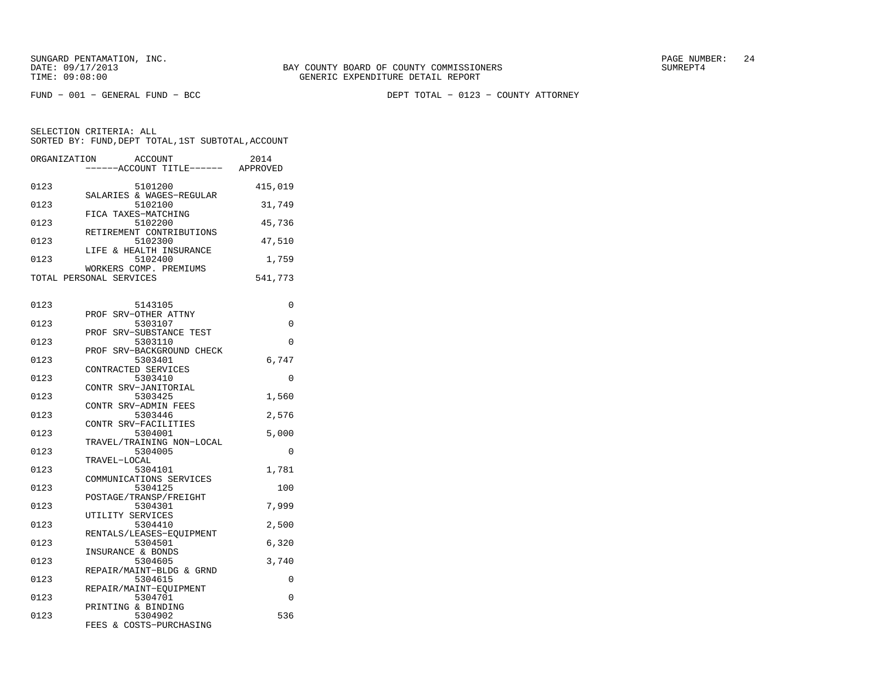FUND − 001 − GENERAL FUND − BCC DEPT TOTAL − 0123 − COUNTY ATTORNEY

| ORGANIZATION | ACCOUNT                            | 2014     |
|--------------|------------------------------------|----------|
|              | -----ACCOUNT TITLE------           | APPROVED |
|              |                                    |          |
| 0123         | 5101200                            | 415,019  |
|              | SALARIES & WAGES-REGULAR           |          |
| 0123         | 5102100                            | 31,749   |
|              | FICA TAXES-MATCHING                |          |
| 0123         | 5102200                            | 45,736   |
|              | RETIREMENT CONTRIBUTIONS           |          |
| 0123         | 5102300                            | 47,510   |
| 0123         | LIFE & HEALTH INSURANCE<br>5102400 | 1,759    |
|              | WORKERS COMP. PREMIUMS             |          |
|              | TOTAL PERSONAL SERVICES            | 541,773  |
|              |                                    |          |
|              |                                    |          |
| 0123         | 5143105                            | 0        |
|              | PROF SRV-OTHER ATTNY               |          |
| 0123         | 5303107                            | 0        |
|              | PROF SRV-SUBSTANCE TEST            |          |
| 0123         | 5303110                            | 0        |
|              | PROF SRV-BACKGROUND CHECK          |          |
| 0123         | 5303401                            | 6,747    |
|              | CONTRACTED SERVICES                |          |
| 0123         | 5303410                            | $\Omega$ |
|              | CONTR SRV-JANITORIAL               |          |
| 0123         | 5303425<br>CONTR SRV-ADMIN FEES    | 1,560    |
| 0123         | 5303446                            | 2,576    |
|              | CONTR SRV-FACILITIES               |          |
| 0123         | 5304001                            | 5,000    |
|              | TRAVEL/TRAINING NON-LOCAL          |          |
| 0123         | 5304005                            | 0        |
|              | TRAVEL-LOCAL                       |          |
| 0123         | 5304101                            | 1,781    |
|              | COMMUNICATIONS SERVICES            |          |
| 0123         | 5304125                            | 100      |
|              | POSTAGE/TRANSP/FREIGHT             |          |
| 0123         | 5304301                            | 7,999    |
|              | UTILITY SERVICES                   |          |
| 0123         | 5304410                            | 2,500    |
|              | RENTALS/LEASES-EOUIPMENT           |          |
| 0123         | 5304501<br>INSURANCE & BONDS       | 6,320    |
| 0123         | 5304605                            | 3,740    |
|              | REPAIR/MAINT-BLDG & GRND           |          |
| 0123         | 5304615                            | 0        |
|              | REPAIR/MAINT-EQUIPMENT             |          |
| 0123         | 5304701                            | 0        |
|              | PRINTING & BINDING                 |          |
| 0123         | 5304902                            | 536      |
|              | FEES & COSTS-PURCHASING            |          |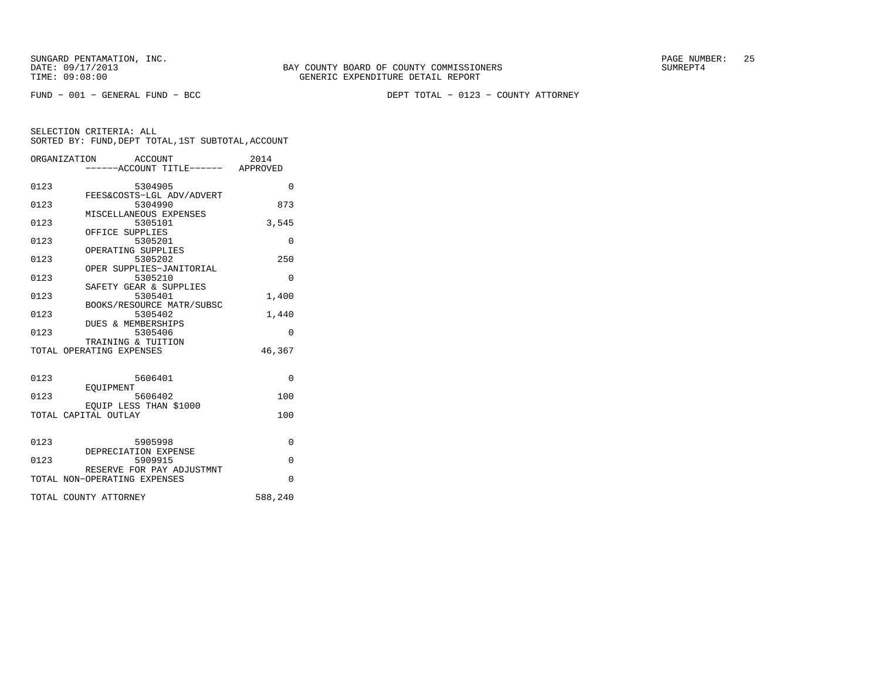FUND − 001 − GENERAL FUND − BCC DEPT TOTAL − 0123 − COUNTY ATTORNEY

|      | ORGANIZATION ACCOUNT<br>-----ACCOUNT TITLE------ APPROVED | 2014     |
|------|-----------------------------------------------------------|----------|
| 0123 | 5304905<br>FEES&COSTS-LGL ADV/ADVERT                      | $\Omega$ |
| 0123 | 5304990                                                   | 873      |
| 0123 | MISCELLANEOUS EXPENSES<br>5305101                         | 3,545    |
| 0123 | OFFICE SUPPLIES<br>5305201                                | $\Omega$ |
| 0123 | OPERATING SUPPLIES<br>5305202                             | 250      |
| 0123 | OPER SUPPLIES-JANITORIAL<br>5305210                       | 0        |
| 0123 | SAFETY GEAR & SUPPLIES<br>5305401                         | 1,400    |
| 0123 | BOOKS/RESOURCE MATR/SUBSC<br>5305402                      | 1,440    |
| 0123 | DUES & MEMBERSHIPS<br>5305406                             | $\Omega$ |
|      | TRAINING & TUITION<br>TOTAL OPERATING EXPENSES            | 46,367   |
|      |                                                           |          |
| 0123 | 5606401                                                   | $\Omega$ |
| 0123 | EOUIPMENT<br>5606402                                      | 100      |
|      | EOUIP LESS THAN \$1000<br>TOTAL CAPITAL OUTLAY            | 100      |
|      |                                                           |          |
| 0123 | 5905998<br>DEPRECIATION EXPENSE                           | $\Omega$ |
| 0123 | 5909915<br>RESERVE FOR PAY ADJUSTMNT                      | $\Omega$ |
|      | TOTAL NON-OPERATING EXPENSES                              | $\Omega$ |
|      | TOTAL COUNTY ATTORNEY                                     | 588,240  |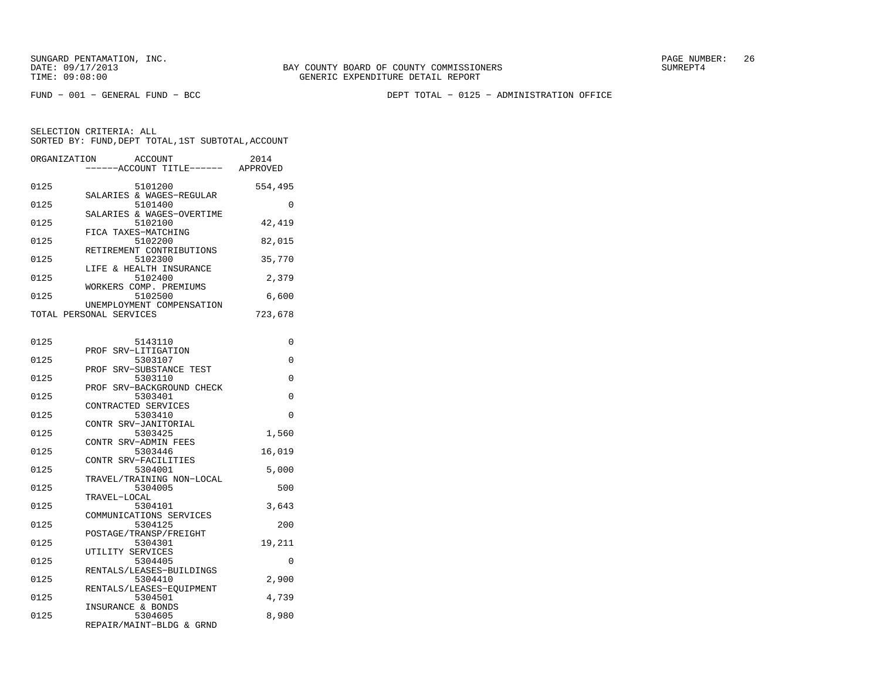FUND − 001 − GENERAL FUND − BCC DEPT TOTAL − 0125 − ADMINISTRATION OFFICE

SELECTION CRITERIA: ALLSORTED BY: FUND,DEPT TOTAL,1ST SUBTOTAL,ACCOUNT

| ORGANIZATION | ACCOUNT                                              | 2014<br>-----ACCOUNT TITLE------ APPROVED |
|--------------|------------------------------------------------------|-------------------------------------------|
| 0125         | 5101200                                              | 554,495                                   |
| 0125         | SALARIES & WAGES-REGULAR<br>5101400                  | 0                                         |
| 0125         | SALARIES & WAGES-OVERTIME<br>5102100                 | 42,419                                    |
| 0125         | FICA TAXES-MATCHING<br>5102200                       | 82,015                                    |
| 0125         | RETIREMENT CONTRIBUTIONS<br>5102300                  | 35,770                                    |
| 0125         | LIFE & HEALTH INSURANCE<br>5102400                   | 2,379                                     |
| 0125         | WORKERS COMP. PREMIUMS<br>5102500                    | 6,600                                     |
|              | UNEMPLOYMENT COMPENSATION<br>TOTAL PERSONAL SERVICES | 723,678                                   |
|              |                                                      |                                           |
| 0125         | 5143110                                              | $\Omega$                                  |
| 0125         | PROF SRV-LITIGATION<br>5303107                       | $\Omega$                                  |
| 0125         | PROF SRV-SUBSTANCE TEST<br>5303110                   | $\Omega$                                  |
| 0125         | PROF SRV-BACKGROUND CHECK<br>5303401                 | $\Omega$                                  |
| 0125         | CONTRACTED SERVICES<br>5303410                       | 0                                         |
|              | CONTR SRV-JANITORIAL                                 |                                           |
| 0125         | 5303425<br>CONTR SRV-ADMIN FEES                      | 1,560                                     |
| 0125         | 5303446                                              | 16,019                                    |
| 0125         | CONTR SRV-FACILITIES<br>5304001                      | 5,000                                     |
| 0125         | TRAVEL/TRAINING NON-LOCAL<br>5304005                 | 500                                       |
| 0125         | TRAVEL-LOCAL<br>5304101                              | 3,643                                     |
| 0125         | COMMUNICATIONS SERVICES<br>5304125                   | 200                                       |

 POSTAGE/TRANSP/FREIGHT0125 5304301 19,211

 RENTALS/LEASES−EQUIPMENT0125 5304501 4,739

0125 5304405 0

 0125 5304605 8,980 REPAIR/MAINT−BLDG & GRND

0125 5304410 2,900

UTILITY SERVICES

RENTALS/LEASES-BUILDINGS<br>5304410

INSURANCE & BONDS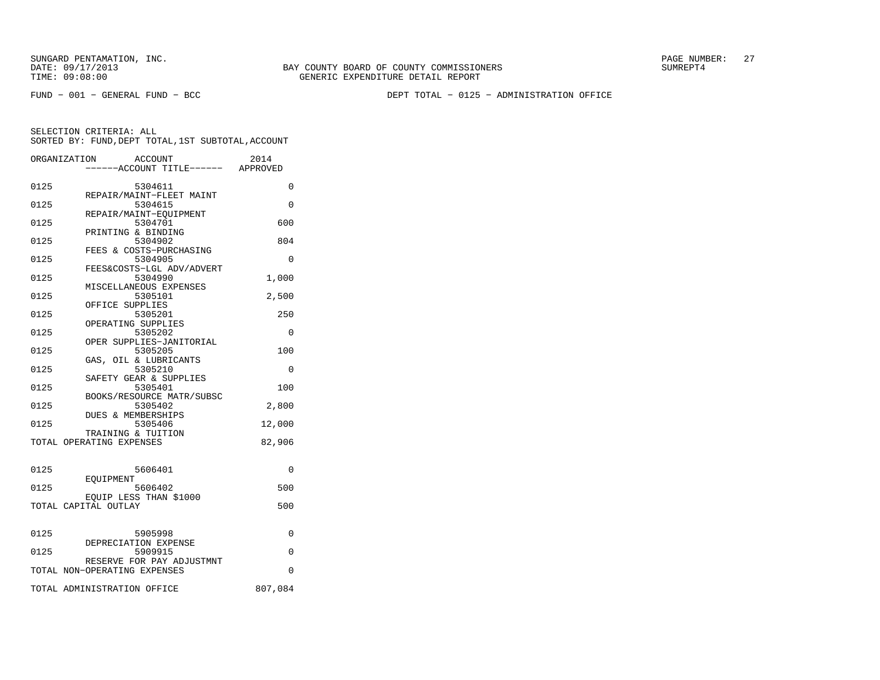FUND − 001 − GENERAL FUND − BCC DEPT TOTAL − 0125 − ADMINISTRATION OFFICE

|      | ORGANIZATION<br><b>ACCOUNT</b>                 | ----ACCOUNT TITLE------ APPROVED | 2014     |
|------|------------------------------------------------|----------------------------------|----------|
| 0125 | 5304611                                        |                                  | 0        |
| 0125 | REPAIR/MAINT-FLEET MAINT<br>5304615            |                                  | 0        |
| 0125 | REPAIR/MAINT-EOUIPMENT<br>5304701              |                                  | 600      |
| 0125 | PRINTING & BINDING<br>5304902                  |                                  | 804      |
| 0125 | FEES & COSTS-PURCHASING<br>5304905             |                                  | 0        |
| 0125 | FEES&COSTS-LGL ADV/ADVERT<br>5304990           |                                  | 1,000    |
| 0125 | MISCELLANEOUS EXPENSES<br>5305101              |                                  | 2,500    |
| 0125 | OFFICE SUPPLIES<br>5305201                     |                                  | 250      |
| 0125 | OPERATING SUPPLIES<br>5305202                  |                                  | 0        |
| 0125 | OPER SUPPLIES-JANITORIAL<br>5305205            |                                  | 100      |
| 0125 | GAS, OIL & LUBRICANTS<br>5305210               |                                  | 0        |
| 0125 | SAFETY GEAR & SUPPLIES<br>5305401              |                                  | 100      |
| 0125 | BOOKS/RESOURCE MATR/SUBSC<br>5305402           |                                  | 2,800    |
| 0125 | DUES & MEMBERSHIPS<br>5305406                  |                                  | 12,000   |
|      | TRAINING & TUITION<br>TOTAL OPERATING EXPENSES |                                  | 82,906   |
|      |                                                |                                  |          |
| 0125 | 5606401<br>EOUIPMENT                           |                                  | $\Omega$ |
| 0125 | 5606402<br>EOUIP LESS THAN \$1000              |                                  | 500      |
|      | TOTAL CAPITAL OUTLAY                           |                                  | 500      |
| 0125 | 5905998                                        |                                  | $\Omega$ |
|      | DEPRECIATION EXPENSE                           |                                  |          |
| 0125 | 5909915<br>RESERVE FOR PAY ADJUSTMNT           |                                  | 0        |
|      | TOTAL NON-OPERATING EXPENSES                   |                                  | $\Omega$ |
|      | TOTAL ADMINISTRATION OFFICE                    |                                  | 807,084  |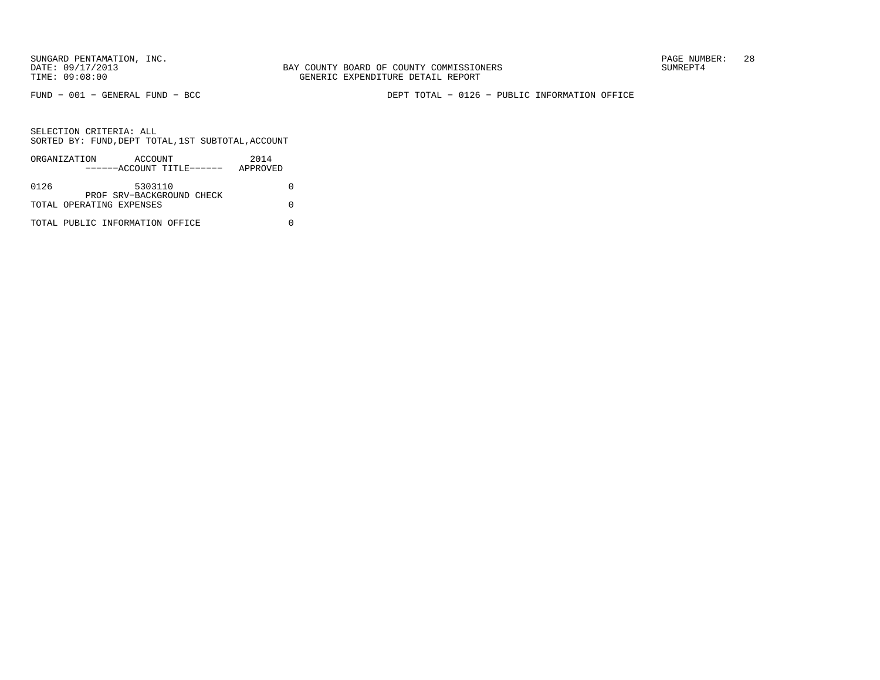FUND − 001 − GENERAL FUND − BCC DEPT TOTAL − 0126 − PUBLIC INFORMATION OFFICE

|      | ORGANIZATION                    | ACCOUNT                   |  | 2014     |  |
|------|---------------------------------|---------------------------|--|----------|--|
|      |                                 | ------ACCOUNT TITLE------ |  | APPROVED |  |
|      |                                 |                           |  |          |  |
| 0126 |                                 | 5303110                   |  |          |  |
|      |                                 | PROF SRV-BACKGROUND CHECK |  |          |  |
|      | TOTAL OPERATING EXPENSES        |                           |  |          |  |
|      |                                 |                           |  |          |  |
|      | TOTAL PUBLIC INFORMATION OFFICE |                           |  |          |  |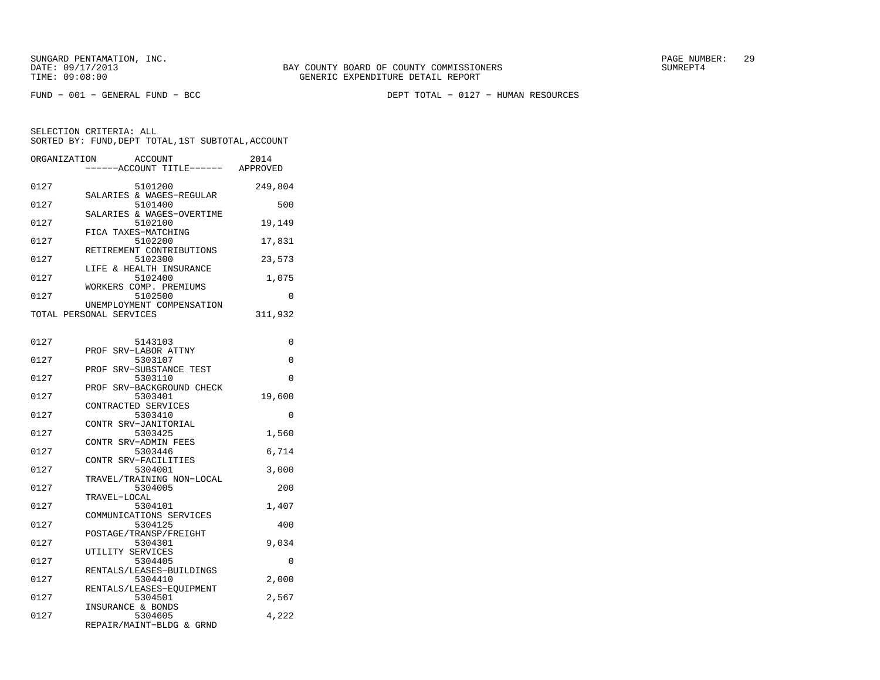FUND − 001 − GENERAL FUND − BCC DEPT TOTAL − 0127 − HUMAN RESOURCES

| ORGANIZATION | ACCOUNT<br>---ACCOUNT TITLE------ APPROVED           | 2014     |
|--------------|------------------------------------------------------|----------|
| 0127         | 5101200<br>SALARIES & WAGES-REGULAR                  | 249,804  |
| 0127         | 5101400                                              | 500      |
| 0127         | SALARIES & WAGES-OVERTIME<br>5102100                 | 19,149   |
| 0127         | FICA TAXES-MATCHING<br>5102200                       | 17,831   |
| 0127         | RETIREMENT CONTRIBUTIONS<br>5102300                  | 23,573   |
| 0127         | LIFE & HEALTH INSURANCE<br>5102400                   | 1,075    |
| 0127         | WORKERS COMP. PREMIUMS<br>5102500                    | $\Omega$ |
|              | UNEMPLOYMENT COMPENSATION<br>TOTAL PERSONAL SERVICES | 311,932  |
| 0127         | 5143103                                              | 0        |
| 0127         | PROF SRV-LABOR ATTNY<br>5303107                      | 0        |
| 0127         | SRV-SUBSTANCE TEST<br>PROF<br>5303110                | 0        |
| 0127         | PROF SRV-BACKGROUND CHECK<br>5303401                 | 19,600   |
| 0127         | CONTRACTED SERVICES<br>5303410                       | 0        |
| 0127         | CONTR SRV-JANITORIAL<br>5303425                      | 1,560    |
| 0127         | CONTR SRV-ADMIN FEES<br>5303446                      | 6,714    |
|              | CONTR SRV-FACILITIES                                 |          |
| 0127         | 5304001<br>TRAVEL/TRAINING NON-LOCAL                 | 3,000    |
| 0127         | 5304005<br>TRAVEL-LOCAL                              | 200      |
| 0127         | 5304101<br>COMMUNICATIONS SERVICES                   | 1,407    |
| 0127         | 5304125<br>POSTAGE/TRANSP/FREIGHT                    | 400      |
| 0127         | 5304301<br>UTILITY SERVICES                          | 9,034    |
| 0127         | 5304405<br>RENTALS/LEASES-BUILDINGS                  | 0        |
| 0127         | 5304410<br>RENTALS/LEASES-EOUIPMENT                  | 2,000    |
| 0127         | 5304501<br>INSURANCE & BONDS                         | 2,567    |
| 0127         | 5304605<br>REPAIR/MAINT-BLDG & GRND                  | 4,222    |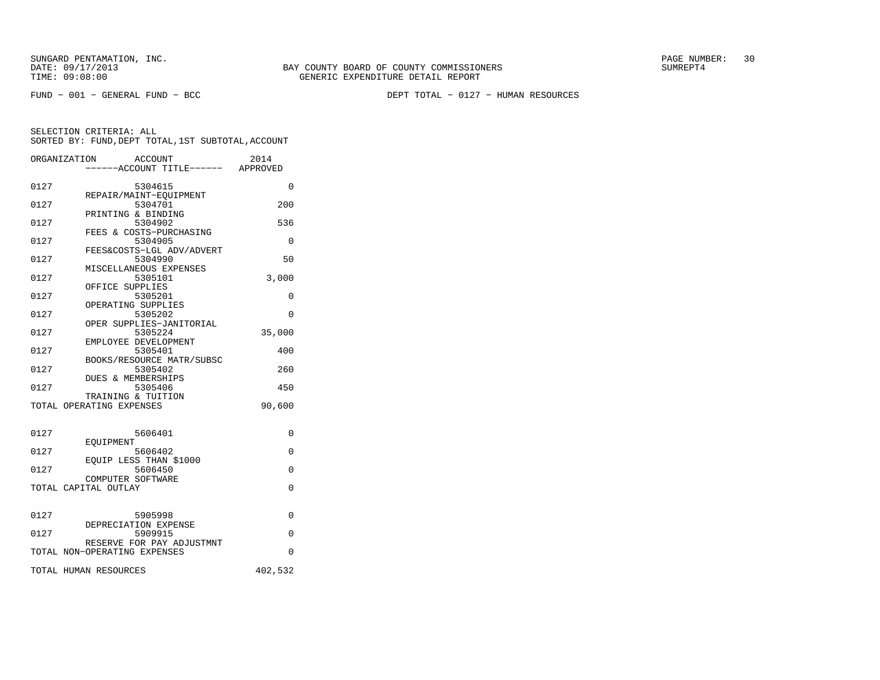FUND − 001 − GENERAL FUND − BCC DEPT TOTAL − 0127 − HUMAN RESOURCES

|      | ORGANIZATION<br><b>ACCOUNT</b><br>----ACCOUNT TITLE------ APPROVED | 2014     |
|------|--------------------------------------------------------------------|----------|
| 0127 | 5304615                                                            | $\Omega$ |
| 0127 | REPAIR/MAINT-EQUIPMENT<br>5304701                                  | 200      |
| 0127 | PRINTING & BINDING<br>5304902                                      | 536      |
| 0127 | FEES & COSTS-PURCHASING<br>5304905                                 | 0        |
| 0127 | FEES&COSTS-LGL ADV/ADVERT<br>5304990                               | 50       |
| 0127 | MISCELLANEOUS EXPENSES<br>5305101                                  | 3,000    |
| 0127 | OFFICE SUPPLIES<br>5305201                                         | $\Omega$ |
| 0127 | OPERATING SUPPLIES<br>5305202                                      | $\Omega$ |
| 0127 | OPER SUPPLIES-JANITORIAL<br>5305224                                | 35,000   |
| 0127 | EMPLOYEE DEVELOPMENT<br>5305401                                    | 400      |
| 0127 | BOOKS/RESOURCE MATR/SUBSC<br>5305402                               | 260      |
| 0127 | DUES & MEMBERSHIPS<br>5305406                                      | 450      |
|      | TRAINING & TUITION<br>TOTAL OPERATING EXPENSES                     | 90,600   |
| 0127 | 5606401                                                            | 0        |
| 0127 | EOUIPMENT<br>5606402                                               | $\Omega$ |
| 0127 | EOUIP LESS THAN \$1000<br>5606450                                  | $\Omega$ |
|      | COMPUTER SOFTWARE<br>TOTAL CAPITAL OUTLAY                          | $\Omega$ |
| 0127 |                                                                    |          |
|      | 5905998<br>DEPRECIATION EXPENSE                                    | 0        |
| 0127 | 5909915<br>RESERVE FOR PAY ADJUSTMNT                               | 0        |
|      | TOTAL NON-OPERATING EXPENSES                                       | $\Omega$ |
|      | TOTAL HUMAN RESOURCES                                              | 402,532  |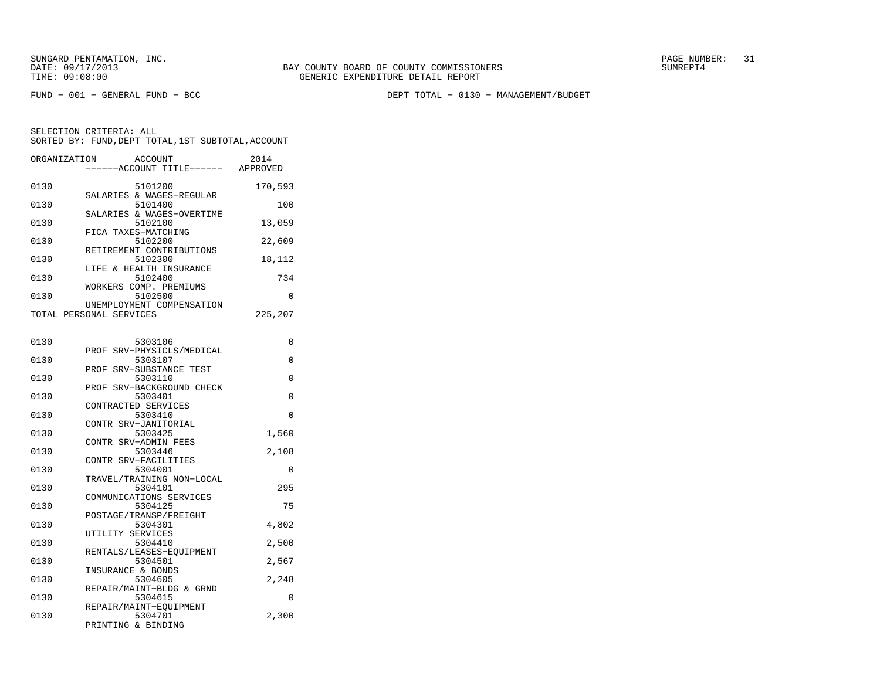FUND − 001 − GENERAL FUND − BCC DEPT TOTAL − 0130 − MANAGEMENT/BUDGET

SELECTION CRITERIA: ALLSORTED BY: FUND,DEPT TOTAL,1ST SUBTOTAL,ACCOUNT

| ORGANIZATION | ACCOUNT<br>----ACCOUNT TITLE------ APPROVED                | 2014    |
|--------------|------------------------------------------------------------|---------|
| 0130         | 5101200                                                    | 170,593 |
| 0130         | SALARIES & WAGES-REGULAR<br>5101400                        | 100     |
| 0130         | SALARIES & WAGES-OVERTIME<br>5102100                       | 13,059  |
| 0130         | FICA TAXES-MATCHING<br>5102200<br>RETIREMENT CONTRIBUTIONS | 22,609  |
| 0130         | 5102300<br>LIFE & HEALTH INSURANCE                         | 18,112  |
| 0130         | 5102400<br>WORKERS COMP. PREMIUMS                          | 734     |
| 0130         | 5102500<br>UNEMPLOYMENT COMPENSATION                       | 0       |
|              | TOTAL PERSONAL SERVICES                                    | 225,207 |
| 0130         | 5303106                                                    | 0       |
| 0130         | PROF SRV-PHYSICLS/MEDICAL<br>5303107                       | 0       |
| 0130         | PROF SRV-SUBSTANCE TEST<br>5303110                         | 0       |
| 0130         | PROF SRV-BACKGROUND CHECK<br>5303401                       | 0       |
| 0130         | CONTRACTED SERVICES<br>5303410                             | 0       |
| 0130         | CONTR SRV-JANITORIAL<br>5303425                            | 1,560   |
| 0130         | CONTR SRV-ADMIN FEES<br>5303446                            | 2,108   |
| 0130         | CONTR SRV-FACILITIES<br>5304001                            | 0       |
| 0130         | TRAVEL/TRAINING NON-LOCAL<br>5304101                       | 295     |
| 0130         | COMMUNICATIONS SERVICES<br>5304125                         | 75      |
| 0130         | POSTAGE/TRANSP/FREIGHT<br>5304301                          | 4,802   |
| 0130         | UTILITY SERVICES<br>5304410                                | 2,500   |
| 0130         | RENTALS/LEASES-EQUIPMENT<br>5304501                        | 2,567   |
| 0130         | INSURANCE & BONDS<br>5304605                               | 2,248   |
| 0130         | REPAIR/MAINT-BLDG & GRND<br>5304615                        | 0       |
| 0130         | REPAIR/MAINT-EQUIPMENT<br>5304701                          | 2,300   |

PRINTING & BINDING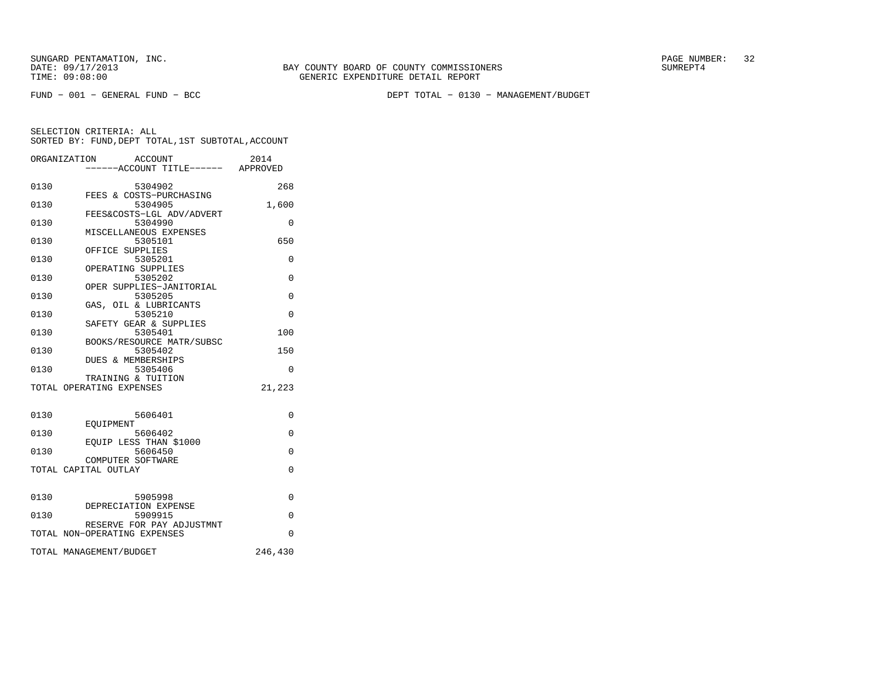FUND − 001 − GENERAL FUND − BCC DEPT TOTAL − 0130 − MANAGEMENT/BUDGET

|      | ORGANIZATION<br>ACCOUNT<br>-----ACCOUNT TITLE------ APPROVED | 2014     |
|------|--------------------------------------------------------------|----------|
| 0130 | 5304902<br>FEES & COSTS-PURCHASING                           | 268      |
| 0130 | 5304905<br>FEES&COSTS-LGL ADV/ADVERT                         | 1,600    |
| 0130 | 5304990<br>MISCELLANEOUS EXPENSES                            | 0        |
| 0130 | 5305101<br>OFFICE SUPPLIES                                   | 650      |
| 0130 | 5305201<br>OPERATING SUPPLIES                                | $\Omega$ |
| 0130 | 5305202                                                      | $\Omega$ |
| 0130 | OPER SUPPLIES-JANITORIAL<br>5305205                          | 0        |
| 0130 | GAS, OIL & LUBRICANTS<br>5305210<br>SAFETY GEAR & SUPPLIES   | $\Omega$ |
| 0130 | 5305401                                                      | 100      |
| 0130 | BOOKS/RESOURCE MATR/SUBSC<br>5305402                         | 150      |
| 0130 | <b>DUES &amp; MEMBERSHIPS</b><br>5305406                     | $\Omega$ |
|      | TRAINING & TUITION<br>TOTAL OPERATING EXPENSES               | 21,223   |
| 0130 | 5606401                                                      | $\Omega$ |
| 0130 | <b>EOUIPMENT</b><br>5606402                                  | $\Omega$ |
| 0130 | EQUIP LESS THAN \$1000<br>5606450                            | $\Omega$ |
|      | COMPUTER SOFTWARE<br>TOTAL CAPITAL OUTLAY                    | $\Omega$ |
| 0130 | 5905998                                                      | $\Omega$ |
| 0130 | DEPRECIATION EXPENSE<br>5909915                              | $\Omega$ |
|      | RESERVE FOR PAY ADJUSTMNT<br>TOTAL NON-OPERATING EXPENSES    | $\Omega$ |
|      | TOTAL MANAGEMENT/BUDGET                                      | 246,430  |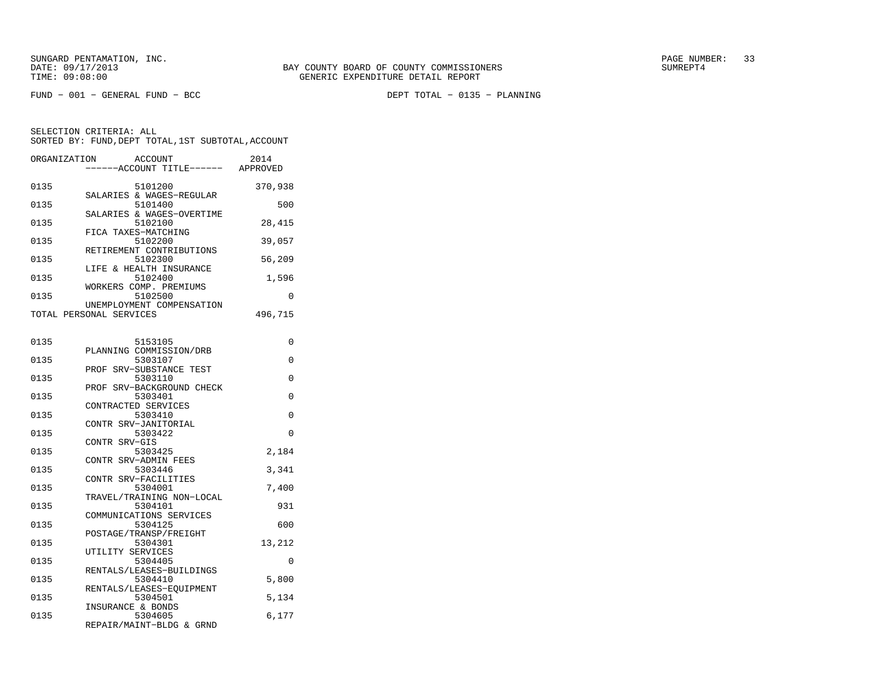SELECTION CRITERIA: ALLSORTED BY: FUND,DEPT TOTAL,1ST SUBTOTAL,ACCOUNT

| ORGANIZATION | ACCOUNT<br>----ACCOUNT TITLE------ APPROVED | 2014     |
|--------------|---------------------------------------------|----------|
|              |                                             |          |
| 0135         | 5101200                                     | 370,938  |
|              | SALARIES & WAGES-REGULAR                    |          |
| 0135         | 5101400                                     | 500      |
|              | SALARIES & WAGES-OVERTIME                   |          |
| 0135         | 5102100                                     | 28,415   |
|              | FICA TAXES-MATCHING                         |          |
| 0135         | 5102200                                     | 39,057   |
|              | RETIREMENT CONTRIBUTIONS                    |          |
| 0135         | 5102300                                     | 56,209   |
|              | LIFE & HEALTH INSURANCE                     |          |
| 0135         | 5102400                                     | 1,596    |
|              | WORKERS COMP. PREMIUMS                      |          |
| 0135         | 5102500                                     | $\Omega$ |
|              | UNEMPLOYMENT COMPENSATION                   |          |
|              | TOTAL PERSONAL SERVICES                     | 496,715  |
|              |                                             |          |
|              |                                             |          |
| 0135         | 5153105                                     | 0        |
|              | PLANNING COMMISSION/DRB                     |          |
| 0135         | 5303107                                     | 0        |
|              | PROF SRV-SUBSTANCE TEST                     |          |
| 0135         | 5303110                                     | 0        |
|              | PROF SRV-BACKGROUND CHECK                   |          |
| 0135         | 5303401                                     | 0        |
|              | CONTRACTED SERVICES                         |          |
| 0135         | 5303410                                     | 0        |
|              | CONTR SRV-JANITORIAL                        |          |
| 0135         | 5303422                                     | $\Omega$ |
|              | CONTR SRV-GIS                               |          |
| 0135         | 5303425                                     | 2,184    |
|              | CONTR SRV-ADMIN FEES                        |          |
| 0135         | 5303446                                     | 3,341    |
|              | CONTR SRV-FACILITIES                        |          |
| 0135         | 5304001                                     | 7,400    |
|              | TRAVEL/TRAINING NON-LOCAL                   |          |
| 0135         | 5304101                                     | 931      |
|              | COMMUNICATIONS SERVICES                     |          |
| 0135         | 5304125                                     | 600      |
|              | POSTAGE/TRANSP/FREIGHT                      |          |
| 0135         | 5304301                                     | 13,212   |
|              | UTILITY SERVICES                            |          |
| 0135         | 5304405                                     | 0        |
|              | RENTALS/LEASES-BUILDINGS                    |          |
| 0135         | 5304410                                     | 5,800    |

 RENTALS/LEASES−EQUIPMENT0135 5304501 5,134

 0135 5304605 6,177 REPAIR/MAINT−BLDG & GRND

INSURANCE & BONDS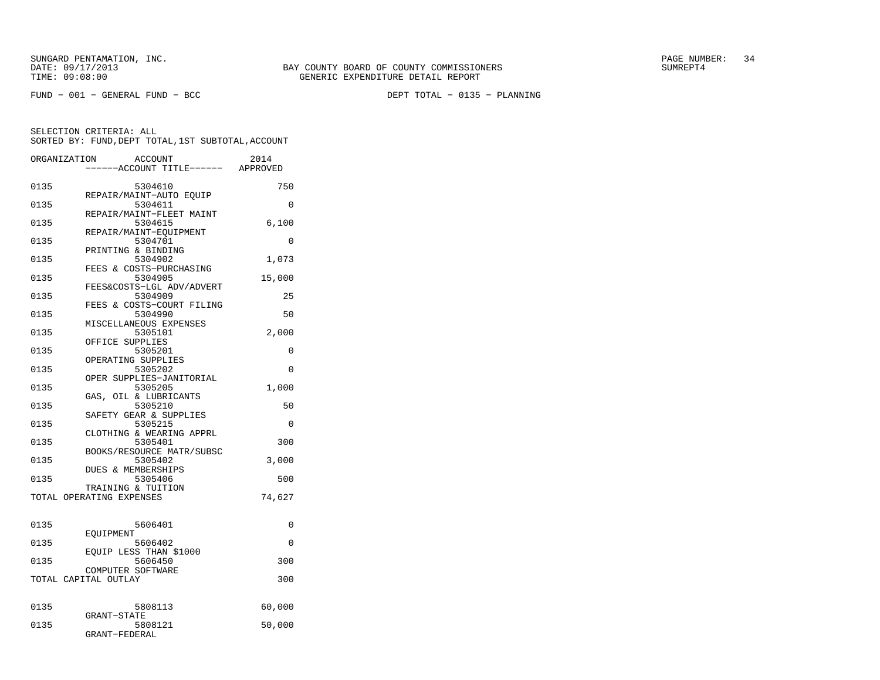| ORGANIZATION | <b>ACCOUNT</b><br>---ACCOUNT TITLE------ APPROVED | 2014     |
|--------------|---------------------------------------------------|----------|
| 0135         | 5304610                                           | 750      |
| 0135         | REPAIR/MAINT-AUTO EQUIP<br>5304611                | 0        |
| 0135         | REPAIR/MAINT-FLEET MAINT<br>5304615               | 6,100    |
| 0135         | REPAIR/MAINT-EQUIPMENT<br>5304701                 | $\Omega$ |
| 0135         | PRINTING & BINDING<br>5304902                     | 1,073    |
| 0135         | FEES & COSTS-PURCHASING<br>5304905                | 15,000   |
| 0135         | FEES&COSTS-LGL ADV/ADVERT<br>5304909              | 25       |
| 0135         | FEES & COSTS-COURT FILING<br>5304990              | 50       |
| 0135         | MISCELLANEOUS EXPENSES<br>5305101                 | 2,000    |
| 0135         | OFFICE SUPPLIES<br>5305201                        | 0        |
| 0135         | OPERATING SUPPLIES<br>5305202                     | 0        |
| 0135         | OPER SUPPLIES-JANITORIAL<br>5305205               | 1,000    |
| 0135         | GAS, OIL & LUBRICANTS<br>5305210                  | 50       |
| 0135         | SAFETY GEAR & SUPPLIES<br>5305215                 | $\Omega$ |
| 0135         | CLOTHING & WEARING APPRL<br>5305401               | 300      |
| 0135         | BOOKS/RESOURCE MATR/SUBSC<br>5305402              | 3,000    |
| 0135         | DUES & MEMBERSHIPS<br>5305406                     | 500      |
|              | TRAINING & TUITION<br>TOTAL OPERATING EXPENSES    | 74,627   |
|              |                                                   |          |
| 0135         | 5606401<br>EOUIPMENT                              | 0        |
| 0135         | 5606402<br>EQUIP LESS THAN \$1000                 | 0        |
| 0135         | 5606450<br>COMPUTER SOFTWARE                      | 300      |
|              | TOTAL CAPITAL OUTLAY                              | 300      |
| 0135         | 5808113                                           | 60,000   |
| 0135         | GRANT-STATE<br>5808121<br>GRANT-FEDERAL           | 50,000   |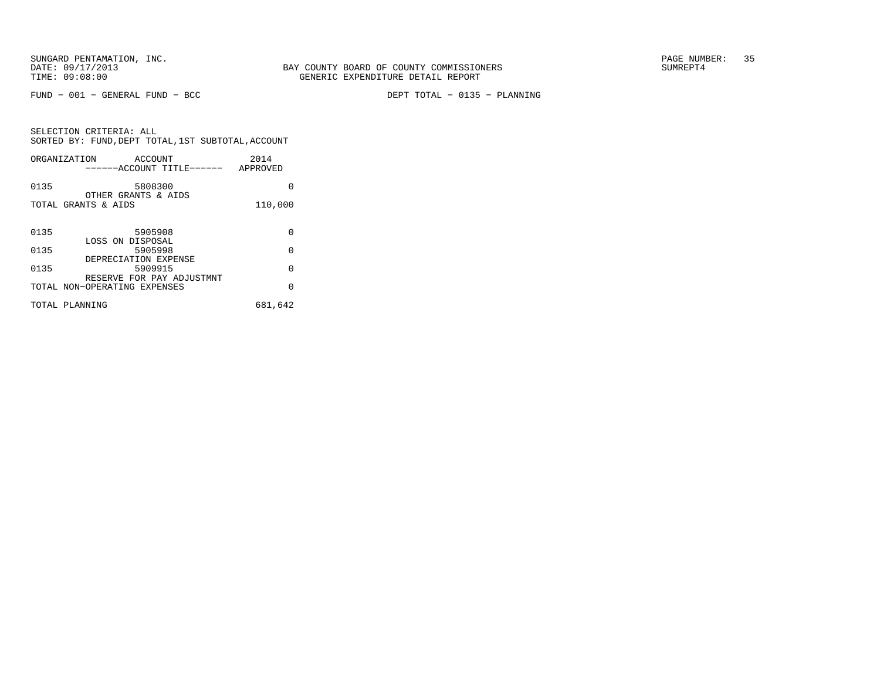FUND − 001 − GENERAL FUND − BCC DEPT TOTAL − 0135 − PLANNING

SELECTION CRITERIA: ALL SORTED BY: FUND,DEPT TOTAL,1ST SUBTOTAL,ACCOUNTORGANIZATION ACCOUNT 2014

|      | ORGANIZATION<br>ACCOUN'I'<br>------ACCOUNT TITLE------ APPROVED | 2014     |
|------|-----------------------------------------------------------------|----------|
| 0135 | 5808300<br>OTHER GRANTS & AIDS                                  | U        |
|      | TOTAL GRANTS & AIDS                                             | 110,000  |
| 0135 | 5905908                                                         | 0        |
| 0135 | LOSS ON DISPOSAL<br>5905998                                     | $\Omega$ |
| 0135 | DEPRECIATION EXPENSE<br>5909915                                 | $\Omega$ |
|      | RESERVE FOR PAY ADJUSTMNT<br>TOTAL NON-OPERATING EXPENSES       | O        |
|      | TOTAL PLANNING                                                  | 681,642  |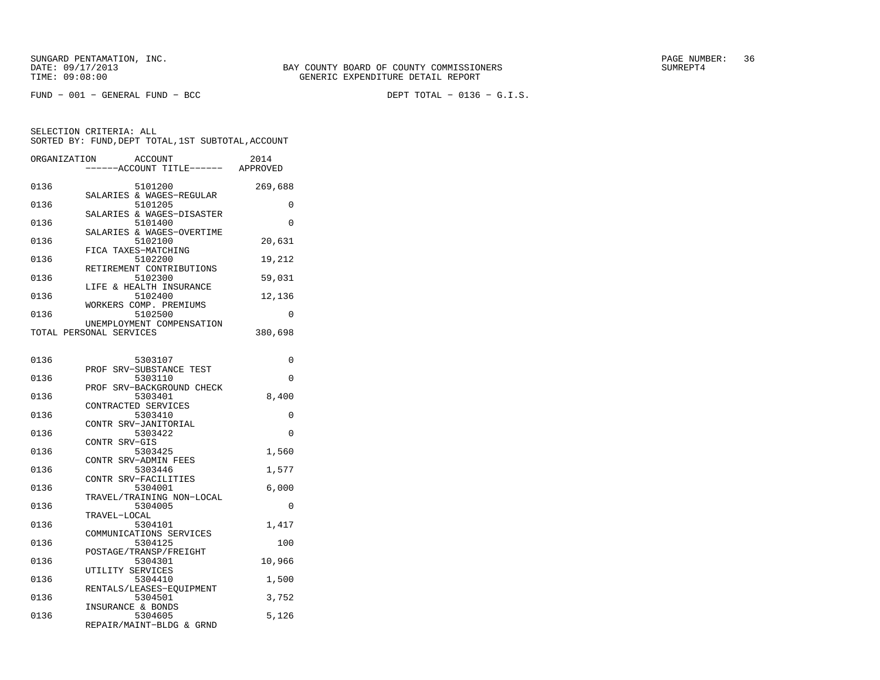| ORGANIZATION | ACCOUNT<br>----ACCOUNT TITLE------ APPROVED          | 2014     |
|--------------|------------------------------------------------------|----------|
| 0136         | 5101200                                              | 269,688  |
| 0136         | SALARIES & WAGES-REGULAR<br>5101205                  | 0        |
| 0136         | SALARIES & WAGES-DISASTER<br>5101400                 | 0        |
| 0136         | SALARIES & WAGES-OVERTIME<br>5102100                 | 20,631   |
| 0136         | FICA TAXES-MATCHING<br>5102200                       | 19,212   |
| 0136         | RETIREMENT CONTRIBUTIONS<br>5102300                  | 59,031   |
| 0136         | LIFE & HEALTH INSURANCE<br>5102400                   | 12,136   |
| 0136         | WORKERS COMP. PREMIUMS<br>5102500                    | 0        |
|              | UNEMPLOYMENT COMPENSATION<br>TOTAL PERSONAL SERVICES | 380,698  |
|              |                                                      |          |
| 0136         | 5303107<br>PROF SRV-SUBSTANCE TEST                   | 0        |
| 0136         | 5303110<br>PROF SRV-BACKGROUND CHECK                 | 0        |
| 0136         | 5303401<br>CONTRACTED SERVICES                       | 8,400    |
| 0136         | 5303410<br>CONTR SRV-JANITORIAL                      | 0        |
| 0136         | 5303422<br>CONTR SRV-GIS                             | 0        |
| 0136         | 5303425<br>CONTR SRV-ADMIN FEES                      | 1,560    |
| 0136         | 5303446<br>CONTR SRV-FACILITIES                      | 1,577    |
| 0136         | 5304001<br>TRAVEL/TRAINING NON-LOCAL                 | 6,000    |
| 0136         | 5304005<br>TRAVEL-LOCAL                              | $\Omega$ |
| 0136         | 5304101<br>COMMUNICATIONS SERVICES                   | 1,417    |
| 0136         | 5304125<br>POSTAGE/TRANSP/FREIGHT                    | 100      |
| 0136         | 5304301<br>UTILITY SERVICES                          | 10,966   |
| 0136         | 5304410<br>RENTALS/LEASES-EQUIPMENT                  | 1,500    |
| 0136         | 5304501<br>INSURANCE & BONDS                         | 3,752    |
| 0136         | 5304605<br>REPAIR/MAINT-BLDG & GRND                  | 5,126    |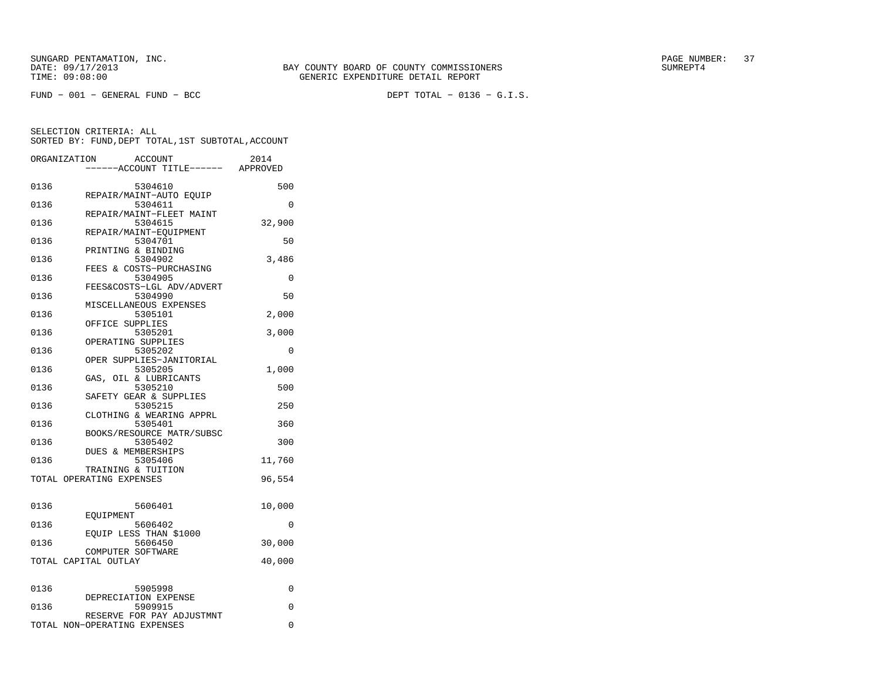FUND − 001 − GENERAL FUND − BCC DEPT TOTAL − 0136 − G.I.S.

BAY COUNTY BOARD OF COUNTY COMMISSIONERS

|      | ORGANIZATION<br>ACCOUNT<br>----ACCOUNT TITLE------ APPROVED | 2014     |
|------|-------------------------------------------------------------|----------|
|      |                                                             |          |
| 0136 | 5304610                                                     | 500      |
|      | REPAIR/MAINT-AUTO EQUIP                                     |          |
| 0136 | 5304611                                                     | 0        |
|      | REPAIR/MAINT-FLEET MAINT                                    |          |
| 0136 | 5304615                                                     | 32,900   |
|      | REPAIR/MAINT-EQUIPMENT                                      |          |
| 0136 | 5304701                                                     | 50       |
|      | PRINTING & BINDING                                          |          |
| 0136 | 5304902                                                     | 3,486    |
|      | FEES & COSTS-PURCHASING                                     |          |
| 0136 | 5304905                                                     | 0        |
| 0136 | FEES&COSTS-LGL ADV/ADVERT<br>5304990                        | 50       |
|      | MISCELLANEOUS EXPENSES                                      |          |
| 0136 | 5305101                                                     | 2,000    |
|      | OFFICE SUPPLIES                                             |          |
| 0136 | 5305201                                                     | 3,000    |
|      | OPERATING SUPPLIES                                          |          |
| 0136 | 5305202                                                     | $\Omega$ |
|      | OPER SUPPLIES-JANITORIAL                                    |          |
| 0136 | 5305205                                                     | 1,000    |
|      | GAS, OIL & LUBRICANTS                                       |          |
| 0136 | 5305210                                                     | 500      |
|      | SAFETY GEAR & SUPPLIES                                      |          |
| 0136 | 5305215                                                     | 250      |
|      | CLOTHING & WEARING APPRL                                    |          |
| 0136 | 5305401                                                     | 360      |
|      | BOOKS/RESOURCE MATR/SUBSC                                   |          |
| 0136 | 5305402                                                     | 300      |
|      | DUES & MEMBERSHIPS                                          |          |
| 0136 | 5305406                                                     | 11,760   |
|      | TRAINING & TUITION<br>TOTAL OPERATING EXPENSES              | 96,554   |
|      |                                                             |          |
| 0136 | 5606401                                                     | 10,000   |
|      | EOUIPMENT                                                   |          |
| 0136 | 5606402                                                     | 0        |
|      | EQUIP LESS THAN \$1000                                      |          |
| 0136 | 5606450                                                     | 30,000   |
|      | COMPUTER SOFTWARE                                           |          |
|      | TOTAL CAPITAL OUTLAY                                        | 40,000   |
| 0136 | 5905998                                                     | 0        |
|      | DEPRECIATION EXPENSE                                        |          |
| 0136 | 5909915                                                     | $\Omega$ |
|      | RESERVE FOR PAY ADJUSTMNT                                   |          |
|      | TOTAL NON-OPERATING EXPENSES                                | $\Omega$ |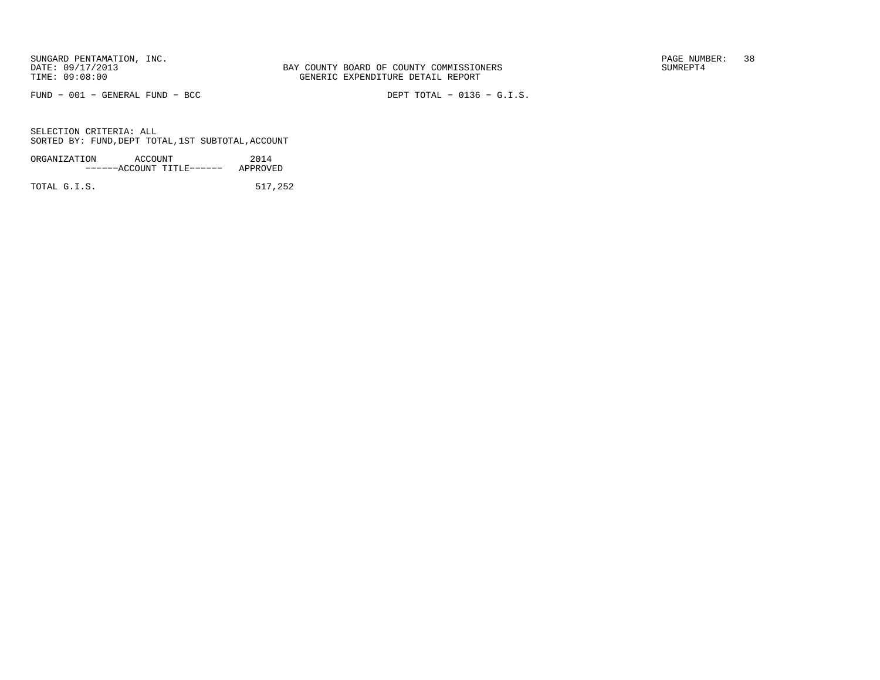FUND − 001 − GENERAL FUND − BCC DEPT TOTAL − 0136 − G.I.S.

SELECTION CRITERIA: ALLSORTED BY: FUND,DEPT TOTAL,1ST SUBTOTAL,ACCOUNT

| ORGANIZATION | ACCOUNT |                           | 2014     |
|--------------|---------|---------------------------|----------|
|              |         | ------ACCOUNT TITLE------ | APPROVED |
|              |         |                           |          |

TOTAL G.I.S. 517,252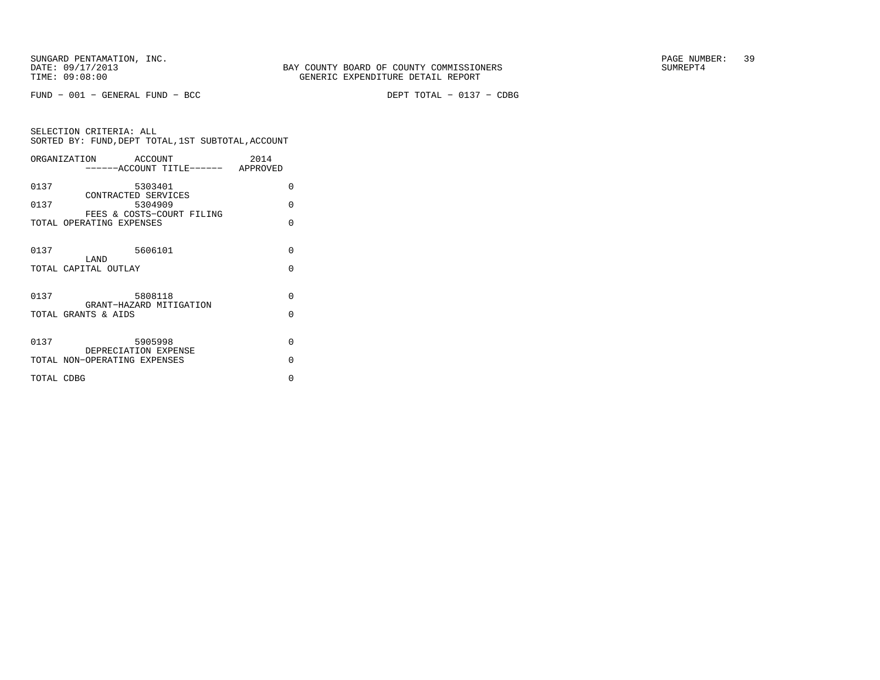FUND − 001 − GENERAL FUND − BCC DEPT TOTAL − 0137 − CDBG

SELECTION CRITERIA: ALL SORTED BY: FUND,DEPT TOTAL,1ST SUBTOTAL,ACCOUNTORGANIZATION ACCOUNT 2014−−−−−−ACCOUNT TITLE−−−−−− APPROVED

| 0137       | 5303401                                               | U        |
|------------|-------------------------------------------------------|----------|
| 0137       | CONTRACTED SERVICES<br>5304909                        | U        |
|            | FEES & COSTS-COURT FILING<br>TOTAL OPERATING EXPENSES | O        |
| 0137       | 5606101<br>LAND                                       | $\Omega$ |
|            | TOTAL CAPITAL OUTLAY                                  | U        |
| 0137       | 5808118                                               | $\Omega$ |
|            | GRANT-HAZARD MITIGATION                               |          |
|            | TOTAL GRANTS & AIDS                                   | U        |
| 0137       | 5905998                                               | $\Omega$ |
|            | DEPRECIATION EXPENSE                                  |          |
|            | TOTAL NON-OPERATING EXPENSES                          | U        |
| TOTAL CDBG |                                                       | O        |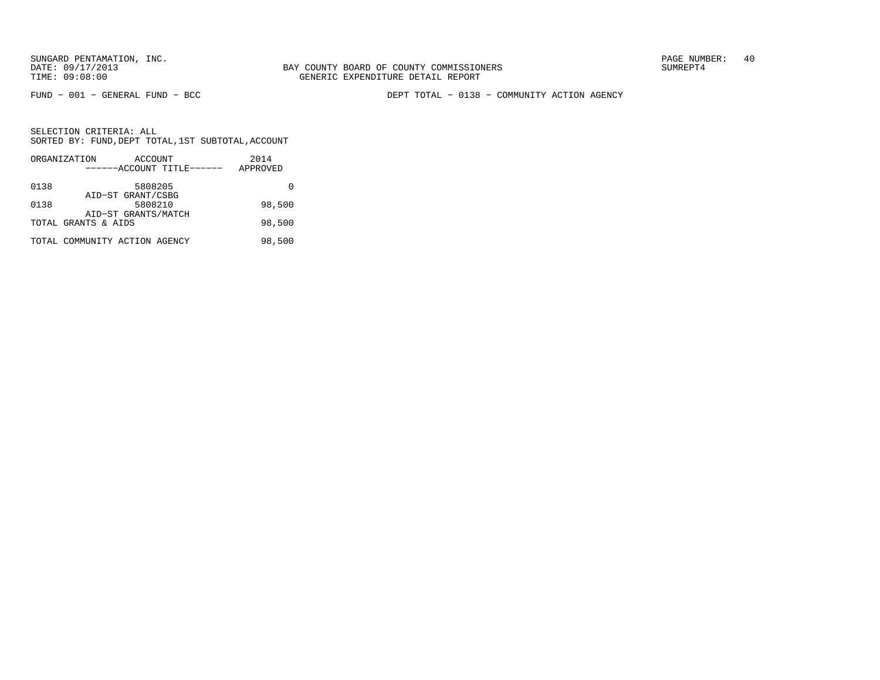BAY COUNTY BOARD OF COUNTY COMMISSIONERS TIME: 09:08:00 GENERIC EXPENDITURE DETAIL REPORT

FUND − 001 − GENERAL FUND − BCC DEPT TOTAL − 0138 − COMMUNITY ACTION AGENCY

|      | ORGANIZATION                  | ACCOUNT             |                           | 2014     |
|------|-------------------------------|---------------------|---------------------------|----------|
|      |                               |                     | ------ACCOUNT TITLE------ | APPROVED |
| 0138 |                               | 5808205             |                           |          |
|      |                               | AID-ST GRANT/CSBG   |                           |          |
| 0138 |                               | 5808210             |                           | 98,500   |
|      |                               | AID-ST GRANTS/MATCH |                           |          |
|      | TOTAL GRANTS & AIDS           |                     |                           | 98,500   |
|      | TOTAL COMMUNITY ACTION AGENCY |                     |                           | 98,500   |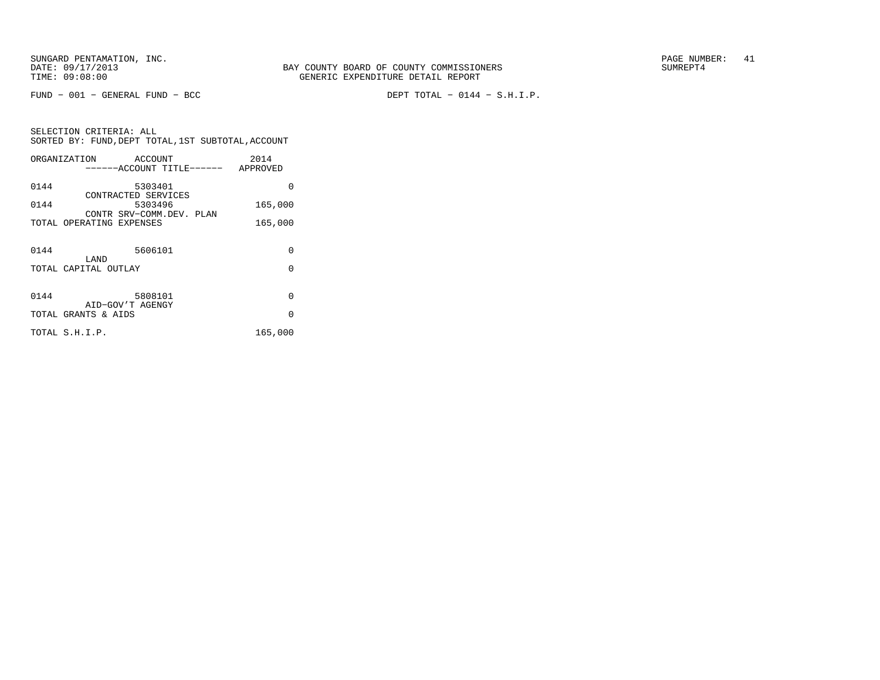FUND − 001 − GENERAL FUND − BCC DEPT TOTAL − 0144 − S.H.I.P.

SELECTION CRITERIA: ALL SORTED BY: FUND,DEPT TOTAL,1ST SUBTOTAL,ACCOUNTORGANIZATION ACCOUNT 2014

|      | ------ACCOUNT TITLE------ APPROVED                   |          |
|------|------------------------------------------------------|----------|
| 0144 | 5303401                                              | O        |
| 0144 | CONTRACTED SERVICES<br>5303496                       | 165,000  |
|      | CONTR SRV-COMM.DEV. PLAN<br>TOTAL OPERATING EXPENSES | 165,000  |
|      |                                                      |          |
| 0144 | 5606101<br>LAND                                      | $\Omega$ |
|      | TOTAL CAPITAL OUTLAY                                 | $\Omega$ |
|      |                                                      |          |
| 0144 | 5808101<br>AID-GOV'T AGENGY                          | $\Omega$ |
|      | TOTAL GRANTS & AIDS                                  | $\Omega$ |
|      | TOTAL S.H.I.P.                                       | 165,000  |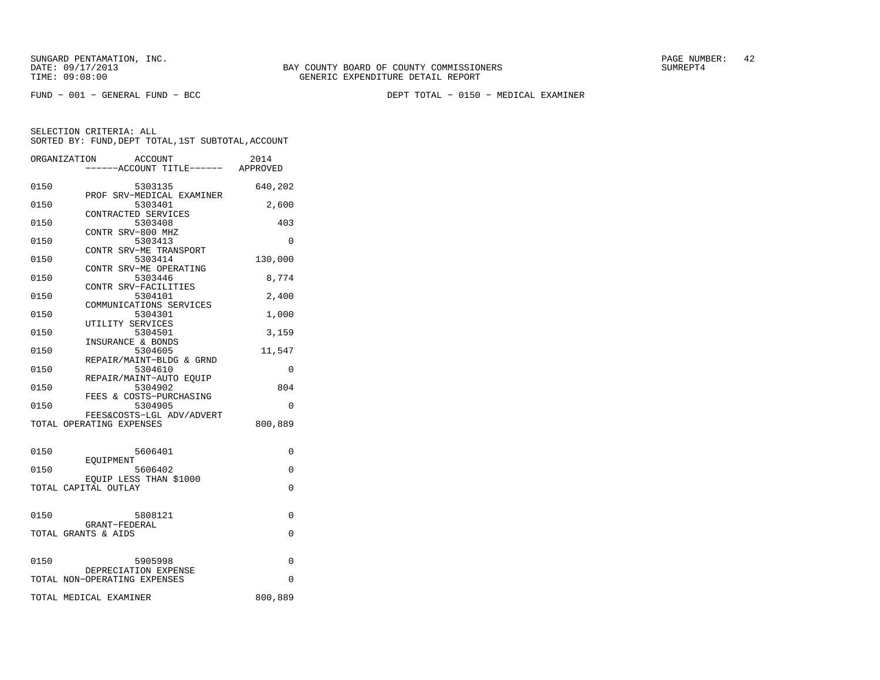FUND − 001 − GENERAL FUND − BCC DEPT TOTAL − 0150 − MEDICAL EXAMINER

|      | ORGANIZATION<br><b>ACCOUNT</b><br>----ACCOUNT TITLE------ APPROVED | 2014     |
|------|--------------------------------------------------------------------|----------|
| 0150 | 5303135                                                            | 640,202  |
| 0150 | PROF SRV-MEDICAL EXAMINER<br>5303401<br>CONTRACTED SERVICES        | 2,600    |
| 0150 | 5303408<br>CONTR SRV-800 MHZ                                       | 403      |
| 0150 | 5303413<br>CONTR SRV-ME TRANSPORT                                  | $\Omega$ |
| 0150 | 5303414<br>CONTR SRV-ME OPERATING                                  | 130,000  |
| 0150 | 5303446<br>CONTR SRV-FACILITIES                                    | 8,774    |
| 0150 | 5304101<br>COMMUNICATIONS SERVICES                                 | 2,400    |
| 0150 | 5304301<br>UTILITY SERVICES                                        | 1,000    |
| 0150 | 5304501<br>INSURANCE & BONDS                                       | 3,159    |
| 0150 | 5304605<br>REPAIR/MAINT-BLDG & GRND                                | 11,547   |
| 0150 | 5304610<br>REPAIR/MAINT-AUTO EQUIP                                 | 0        |
| 0150 | 5304902<br>FEES & COSTS-PURCHASING                                 | 804      |
| 0150 | 5304905<br>FEES&COSTS-LGL ADV/ADVERT                               | 0        |
|      | TOTAL OPERATING EXPENSES                                           | 800,889  |
| 0150 | 5606401                                                            | 0        |
| 0150 | EOUIPMENT<br>5606402                                               | 0        |
|      | EQUIP LESS THAN \$1000<br>TOTAL CAPITAL OUTLAY                     | $\Omega$ |
| 0150 | 5808121                                                            | 0        |
|      | GRANT-FEDERAL<br>TOTAL GRANTS & AIDS                               | 0        |
| 0150 | 5905998                                                            | $\Omega$ |
|      | DEPRECIATION EXPENSE<br>TOTAL NON-OPERATING EXPENSES               | $\Omega$ |
|      | TOTAL MEDICAL EXAMINER                                             | 800,889  |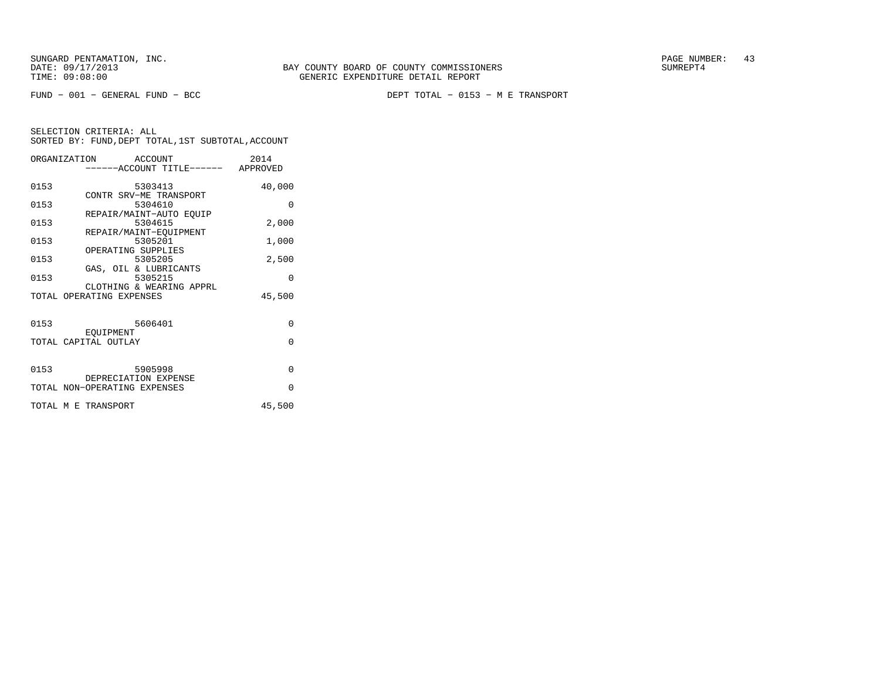FUND − 001 − GENERAL FUND − BCC DEPT TOTAL − 0153 − M E TRANSPORT

|                     | ORGANIZATION ACCOUNT              | 2014<br>-----ACCOUNT TITLE------ APPROVED |
|---------------------|-----------------------------------|-------------------------------------------|
|                     |                                   |                                           |
| 0153                | 5303413                           | 40,000                                    |
| 0153                | CONTR SRV-ME TRANSPORT<br>5304610 | $\Omega$                                  |
|                     | REPAIR/MAINT-AUTO EOUIP           |                                           |
| 0153                | 5304615                           | 2,000                                     |
|                     | REPAIR/MAINT-EOUIPMENT            |                                           |
| 0153                | 5305201                           | 1,000                                     |
|                     | OPERATING SUPPLIES                |                                           |
| 0153                | 5305205<br>GAS, OIL & LUBRICANTS  | 2,500                                     |
| 0153                | 5305215                           | 0                                         |
|                     | CLOTHING & WEARING APPRL          |                                           |
|                     | TOTAL OPERATING EXPENSES          | 45,500                                    |
|                     |                                   |                                           |
| 0153                | 5606401                           | $\Omega$                                  |
|                     | EOUIPMENT                         |                                           |
|                     | TOTAL CAPITAL OUTLAY              | $\Omega$                                  |
|                     |                                   |                                           |
| 0153                | 5905998                           | $\Omega$                                  |
|                     | DEPRECIATION EXPENSE              |                                           |
|                     | TOTAL NON-OPERATING EXPENSES      | $\Omega$                                  |
|                     |                                   |                                           |
| TOTAL M E TRANSPORT |                                   | 45,500                                    |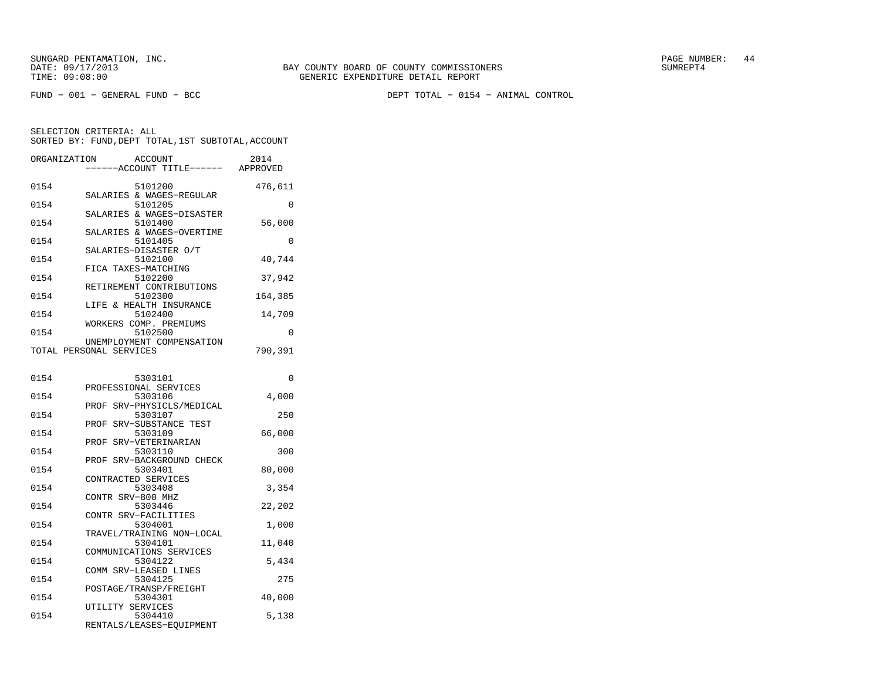FUND − 001 − GENERAL FUND − BCC DEPT TOTAL − 0154 − ANIMAL CONTROL

| ORGANIZATION |                         | ACCOUNT<br>---ACCOUNT TITLE------    | 2014<br>APPROVED |
|--------------|-------------------------|--------------------------------------|------------------|
| 0154         |                         | 5101200                              | 476,611          |
| 0154         |                         | SALARIES & WAGES-REGULAR<br>5101205  | 0                |
| 0154         |                         | SALARIES & WAGES-DISASTER<br>5101400 | 56,000           |
| 0154         |                         | SALARIES & WAGES-OVERTIME<br>5101405 | $\Omega$         |
| 0154         |                         | SALARIES-DISASTER O/T<br>5102100     | 40,744           |
| 0154         |                         | FICA TAXES-MATCHING<br>5102200       | 37,942           |
| 0154         |                         | RETIREMENT CONTRIBUTIONS<br>5102300  | 164,385          |
| 0154         |                         | LIFE & HEALTH INSURANCE<br>5102400   | 14,709           |
| 0154         |                         | WORKERS COMP. PREMIUMS<br>5102500    | $\Omega$         |
|              | TOTAL PERSONAL SERVICES | UNEMPLOYMENT COMPENSATION            | 790,391          |
|              |                         |                                      |                  |
| 0154         |                         | 5303101<br>PROFESSIONAL SERVICES     | 0                |
| 0154         |                         | 5303106<br>PROF SRV-PHYSICLS/MEDICAL | 4,000            |
| 0154         | PROF                    | 5303107<br>SRV-SUBSTANCE TEST        | 250              |
| 0154         | PROF                    | 5303109<br>SRV-VETERINARIAN          | 66,000           |
| 0154         |                         | 5303110                              | 300              |
| 0154         | PROF                    | SRV-BACKGROUND CHECK<br>5303401      | 80,000           |
| 0154         |                         | CONTRACTED SERVICES<br>5303408       | 3,354            |
| 0154         | CONTR SRV-800 MHZ       | 5303446                              | 22,202           |
| 0154         |                         | CONTR SRV-FACILITIES<br>5304001      | 1,000            |
| 0154         |                         | TRAVEL/TRAINING NON-LOCAL<br>5304101 | 11,040           |
| 0154         |                         | COMMUNICATIONS SERVICES<br>5304122   | 5,434            |
| 0154         |                         | COMM SRV-LEASED LINES<br>5304125     | 275              |
| 0154         |                         | POSTAGE/TRANSP/FREIGHT<br>5304301    | 40,000           |
| 0154         | UTILITY SERVICES        | 5304410                              | 5,138            |
|              |                         | RENTALS/LEASES-EQUIPMENT             |                  |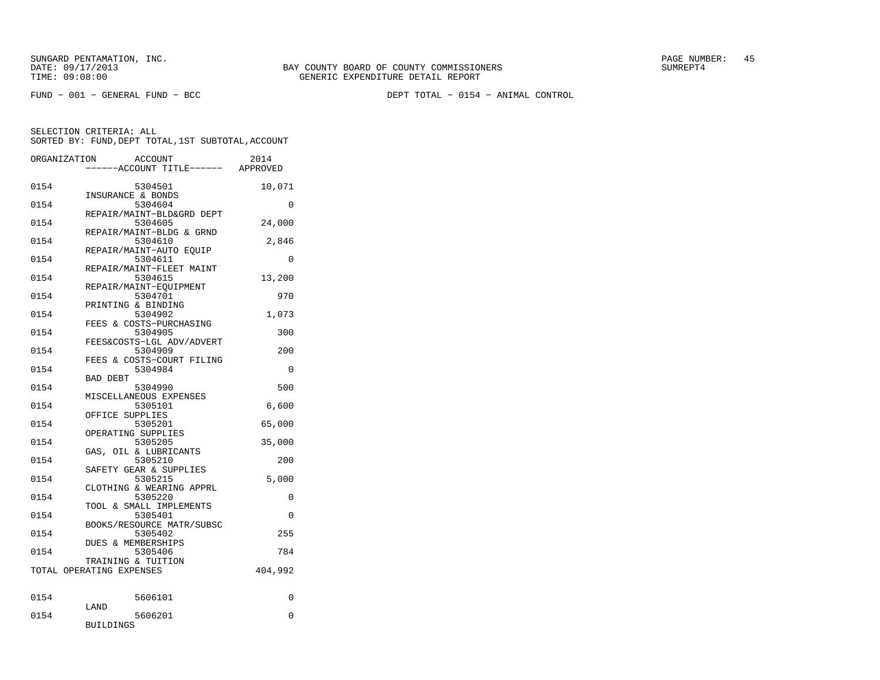FUND − 001 − GENERAL FUND − BCC DEPT TOTAL − 0154 − ANIMAL CONTROL

| ORGANIZATION             |                   | <b>ACCOUNT</b><br>---ACCOUNT TITLE------ APPROVED              | 2014     |
|--------------------------|-------------------|----------------------------------------------------------------|----------|
| 0154                     | INSURANCE & BONDS | 5304501                                                        | 10,071   |
| 0154                     |                   | 5304604<br>REPAIR/MAINT-BLD&GRD DEPT                           | $\Omega$ |
| 0154                     |                   | 5304605                                                        | 24,000   |
| 0154                     |                   | REPAIR/MAINT-BLDG & GRND<br>5304610<br>REPAIR/MAINT-AUTO EOUIP | 2,846    |
| 0154                     |                   | 5304611                                                        | $\Omega$ |
| 0154                     |                   | REPAIR/MAINT-FLEET MAINT<br>5304615                            | 13,200   |
| 0154                     |                   | REPAIR/MAINT-EOUIPMENT<br>5304701                              | 970      |
| 0154                     |                   | PRINTING & BINDING<br>5304902                                  | 1,073    |
| 0154                     |                   | FEES & COSTS-PURCHASING<br>5304905                             | 300      |
| 0154                     |                   | FEES&COSTS-LGL ADV/ADVERT<br>5304909                           | 200      |
| 0154                     |                   | FEES & COSTS-COURT FILING<br>5304984                           | $\Omega$ |
| 0154                     | <b>BAD DEBT</b>   | 5304990                                                        | 500      |
| 0154                     |                   | MISCELLANEOUS EXPENSES<br>5305101                              | 6,600    |
| 0154                     | OFFICE SUPPLIES   | 5305201                                                        | 65,000   |
| 0154                     |                   | OPERATING SUPPLIES<br>5305205                                  | 35,000   |
| 0154                     |                   | GAS, OIL & LUBRICANTS<br>5305210                               | 200      |
| 0154                     |                   | SAFETY GEAR & SUPPLIES<br>5305215                              | 5,000    |
| 0154                     |                   | CLOTHING & WEARING APPRL<br>5305220                            | 0        |
| 0154                     |                   | TOOL & SMALL IMPLEMENTS<br>5305401                             | 0        |
| 0154                     |                   | BOOKS/RESOURCE MATR/SUBSC<br>5305402                           | 255      |
| 0154                     |                   | DUES & MEMBERSHIPS<br>5305406                                  | 784      |
| TOTAL OPERATING EXPENSES |                   | TRAINING & TUITION                                             | 404,992  |
| 0154                     |                   | 5606101                                                        | 0        |
| 0154                     | LAND              | 5606201                                                        | 0        |
|                          | <b>BUILDINGS</b>  |                                                                |          |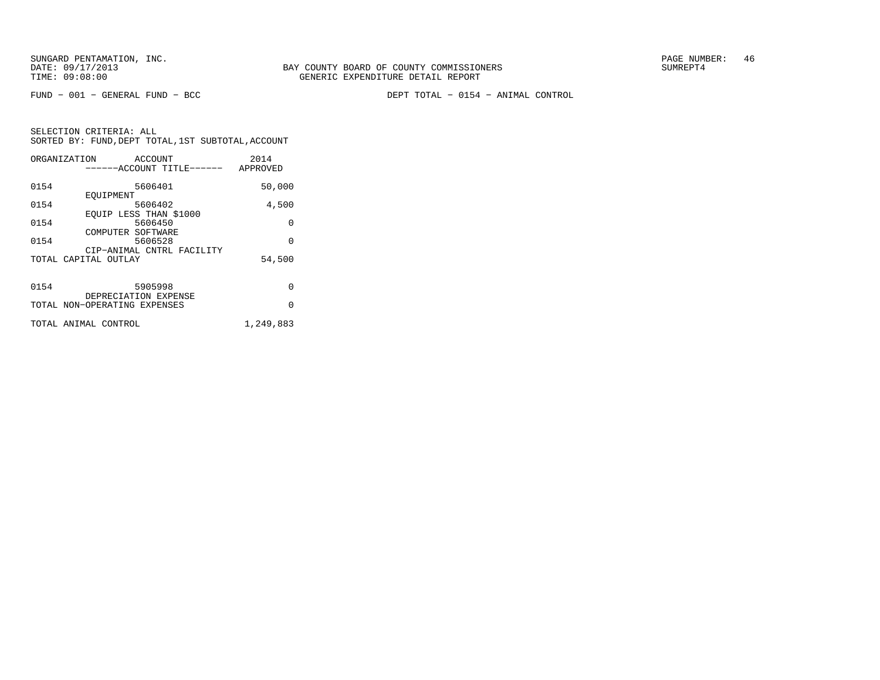FUND − 001 − GENERAL FUND − BCC DEPT TOTAL − 0154 − ANIMAL CONTROL

|      | ORGANIZATION<br>ACCOUNT      | 2014      |
|------|------------------------------|-----------|
|      | ------ACCOUNT TITLE------    | APPROVED  |
|      |                              |           |
| 0154 | 5606401                      | 50,000    |
|      | EOUIPMENT                    |           |
| 0154 | 5606402                      | 4,500     |
|      | EOUIP LESS THAN \$1000       |           |
| 0154 | 5606450                      | $\Omega$  |
|      | COMPUTER SOFTWARE            |           |
| 0154 | 5606528                      | $\Omega$  |
|      | CIP-ANIMAL CNTRL FACILITY    |           |
|      | TOTAL CAPITAL OUTLAY         | 54,500    |
|      |                              |           |
|      |                              |           |
| 0154 | 5905998                      | $\Omega$  |
|      | DEPRECIATION EXPENSE         |           |
|      | TOTAL NON-OPERATING EXPENSES | O         |
|      |                              |           |
|      | TOTAL ANIMAL CONTROL         | 1,249,883 |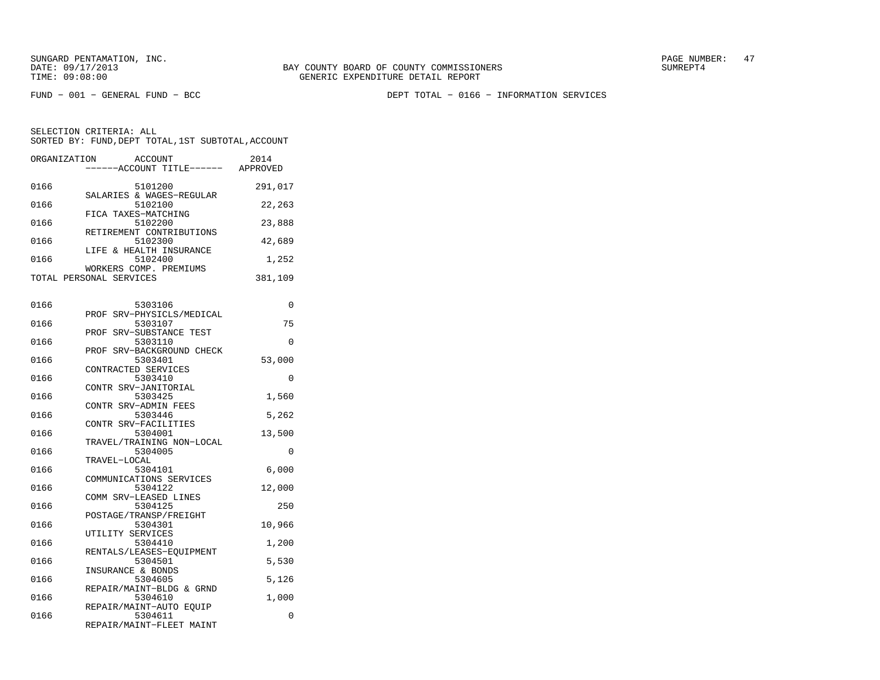FUND − 001 − GENERAL FUND − BCC DEPT TOTAL − 0166 − INFORMATION SERVICES

| ORGANIZATION | <b>ACCOUNT</b><br>----ACCOUNT TITLE------ APPROVED | 2014     |
|--------------|----------------------------------------------------|----------|
| 0166         | 5101200                                            | 291,017  |
|              | SALARIES & WAGES-REGULAR                           |          |
| 0166         | 5102100                                            | 22,263   |
|              | FICA TAXES-MATCHING                                |          |
| 0166         | 5102200                                            | 23,888   |
|              | RETIREMENT CONTRIBUTIONS                           |          |
| 0166         | 5102300                                            | 42,689   |
|              | LIFE & HEALTH INSURANCE                            |          |
| 0166         | 5102400                                            | 1,252    |
|              | WORKERS COMP. PREMIUMS                             |          |
|              | TOTAL PERSONAL SERVICES                            | 381,109  |
|              |                                                    |          |
| 0166         | 5303106                                            | $\Omega$ |
|              | SRV-PHYSICLS/MEDICAL<br>PROF                       |          |
| 0166         | 5303107                                            | 75       |
|              | SRV-SUBSTANCE TEST<br>PROF                         |          |
| 0166         | 5303110                                            | 0        |
|              | PROF SRV-BACKGROUND CHECK                          |          |
| 0166         | 5303401                                            | 53,000   |
|              | CONTRACTED SERVICES                                |          |
| 0166         | 5303410                                            | 0        |
|              | CONTR SRV-JANITORIAL                               |          |
| 0166         | 5303425                                            | 1,560    |
|              | CONTR SRV-ADMIN FEES                               |          |
| 0166         | 5303446                                            | 5,262    |
|              | CONTR SRV-FACILITIES                               |          |
| 0166         | 5304001                                            | 13,500   |
|              | TRAVEL/TRAINING NON-LOCAL                          |          |
| 0166         | 5304005<br>TRAVEL-LOCAL                            | 0        |
| 0166         | 5304101                                            | 6,000    |
|              | COMMUNICATIONS SERVICES                            |          |
| 0166         | 5304122                                            | 12,000   |
|              | COMM SRV-LEASED LINES                              |          |
| 0166         | 5304125                                            | 250      |
|              | POSTAGE/TRANSP/FREIGHT                             |          |
| 0166         | 5304301                                            | 10,966   |
|              | UTILITY SERVICES                                   |          |
| 0166         | 5304410                                            | 1,200    |
|              | RENTALS/LEASES-EQUIPMENT                           |          |
| 0166         | 5304501                                            | 5,530    |
|              | INSURANCE & BONDS                                  |          |
| 0166         | 5304605                                            | 5,126    |
|              | REPAIR/MAINT-BLDG & GRND                           |          |
| 0166         | 5304610                                            | 1,000    |
|              | REPAIR/MAINT-AUTO EQUIP                            |          |
| 0166         | 5304611                                            | 0        |
|              | REPAIR/MAINT-FLEET MAINT                           |          |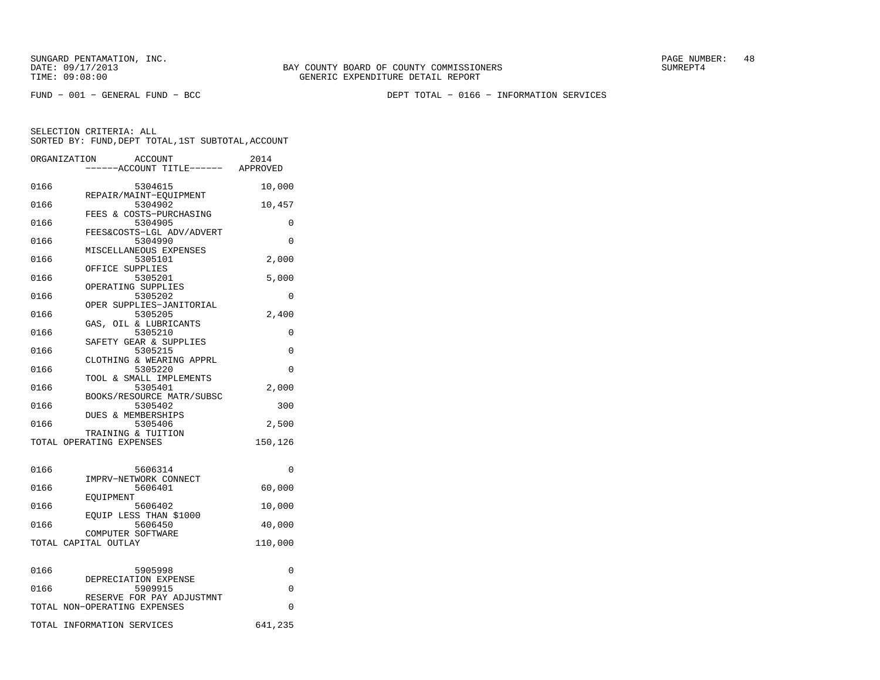FUND − 001 − GENERAL FUND − BCC DEPT TOTAL − 0166 − INFORMATION SERVICES

|      | ORGANIZATION<br>ACCOUNT<br>---ACCOUNT TITLE------ APPROVED | 2014    |
|------|------------------------------------------------------------|---------|
|      |                                                            |         |
| 0166 | 5304615<br>REPAIR/MAINT-EQUIPMENT                          | 10,000  |
| 0166 | 5304902<br>FEES & COSTS-PURCHASING                         | 10,457  |
| 0166 | 5304905                                                    | 0       |
| 0166 | FEES&COSTS-LGL ADV/ADVERT<br>5304990                       | 0       |
| 0166 | MISCELLANEOUS EXPENSES<br>5305101                          | 2,000   |
| 0166 | OFFICE SUPPLIES<br>5305201                                 | 5,000   |
| 0166 | OPERATING SUPPLIES<br>5305202                              | 0       |
| 0166 | OPER SUPPLIES-JANITORIAL<br>5305205                        | 2,400   |
| 0166 | GAS, OIL & LUBRICANTS<br>5305210                           | 0       |
| 0166 | SAFETY GEAR & SUPPLIES<br>5305215                          | 0       |
|      | CLOTHING & WEARING APPRL                                   | 0       |
| 0166 | 5305220<br>TOOL & SMALL IMPLEMENTS                         |         |
| 0166 | 5305401<br>BOOKS/RESOURCE MATR/SUBSC                       | 2,000   |
| 0166 | 5305402<br><b>DUES &amp; MEMBERSHIPS</b>                   | 300     |
| 0166 | 5305406<br>TRAINING & TUITION                              | 2,500   |
|      | TOTAL OPERATING EXPENSES                                   | 150,126 |
| 0166 | 5606314                                                    | 0       |
| 0166 | IMPRV-NETWORK CONNECT<br>5606401                           | 60,000  |
| 0166 | EOUIPMENT<br>5606402                                       | 10,000  |
| 0166 | EQUIP LESS THAN \$1000<br>5606450                          | 40,000  |
|      | COMPUTER SOFTWARE<br>TOTAL CAPITAL OUTLAY                  | 110,000 |
|      |                                                            |         |
| 0166 | 5905998                                                    | 0       |
| 0166 | DEPRECIATION EXPENSE<br>5909915                            | 0       |
|      | RESERVE FOR PAY ADJUSTMNT<br>TOTAL NON-OPERATING EXPENSES  | 0       |
|      | TOTAL INFORMATION SERVICES                                 | 641,235 |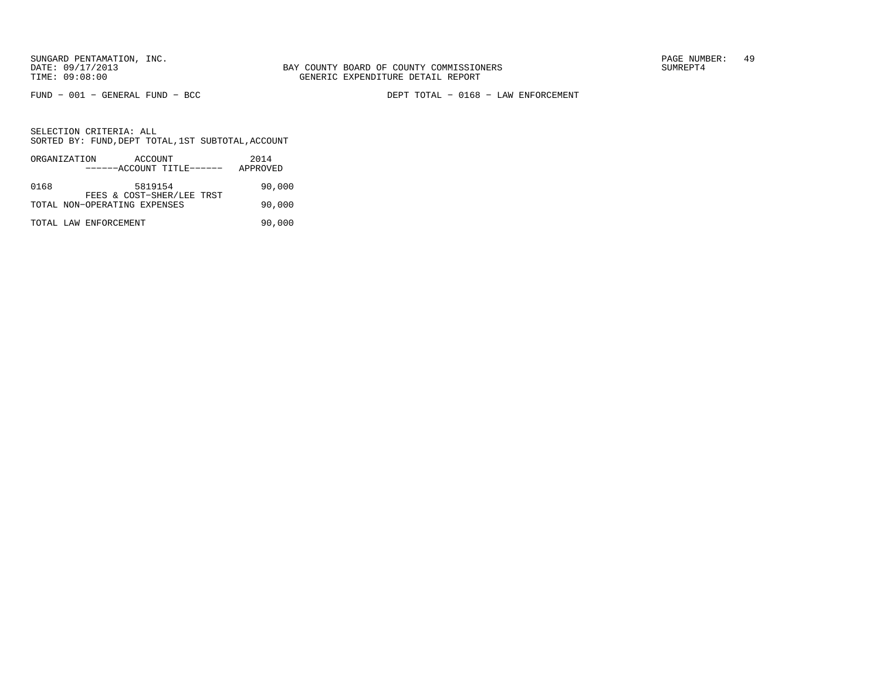FUND − 001 − GENERAL FUND − BCC DEPT TOTAL − 0168 − LAW ENFORCEMENT

|      | ORGANIZATION                 | ACCOUNT<br>------ACCOUNT TITLE------ |  | 2014<br>APPROVED |        |
|------|------------------------------|--------------------------------------|--|------------------|--------|
|      |                              |                                      |  |                  |        |
| 0168 |                              | 5819154<br>FEES & COST-SHER/LEE TRST |  |                  | 90,000 |
|      | TOTAL NON-OPERATING EXPENSES |                                      |  |                  | 90,000 |
|      | TOTAL LAW ENFORCEMENT        |                                      |  |                  | 90,000 |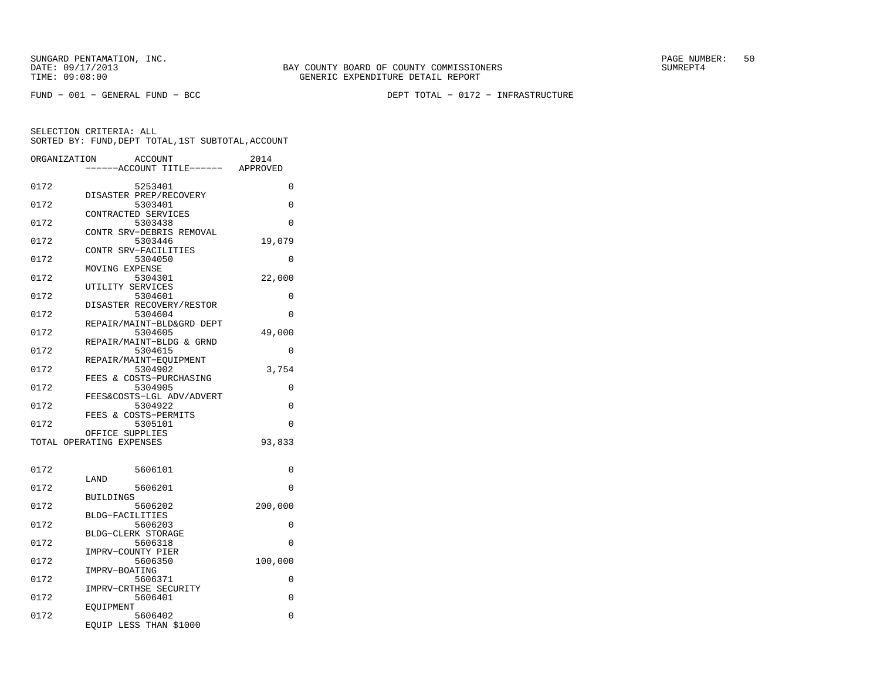FUND − 001 − GENERAL FUND − BCC DEPT TOTAL − 0172 − INFRASTRUCTURE

| ORGANIZATION |                          | ACCOUNT                             | 2014     |
|--------------|--------------------------|-------------------------------------|----------|
|              |                          | ---ACCOUNT TITLE------ APPROVED     |          |
| 0172         |                          | 5253401                             | 0        |
|              |                          | DISASTER PREP/RECOVERY              |          |
| 0172         |                          | 5303401                             | 0        |
| 0172         | CONTRACTED SERVICES      | 5303438                             | 0        |
|              |                          | CONTR SRV-DEBRIS REMOVAL            |          |
| 0172         |                          | 5303446                             | 19,079   |
|              | CONTR SRV-FACILITIES     |                                     |          |
| 0172         | MOVING EXPENSE           | 5304050                             | $\Omega$ |
| 0172         |                          | 5304301                             | 22,000   |
|              | UTILITY SERVICES         |                                     |          |
| 0172         |                          | 5304601                             | 0        |
| 0172         |                          | DISASTER RECOVERY/RESTOR<br>5304604 | 0        |
|              |                          | REPAIR/MAINT-BLD&GRD DEPT           |          |
| 0172         |                          | 5304605                             | 49,000   |
|              |                          | REPAIR/MAINT-BLDG & GRND            |          |
| 0172         |                          | 5304615                             | 0        |
| 0172         |                          | REPAIR/MAINT-EOUIPMENT<br>5304902   | 3,754    |
|              |                          | FEES & COSTS-PURCHASING             |          |
| 0172         |                          | 5304905                             | 0        |
|              |                          | FEES&COSTS-LGL ADV/ADVERT           |          |
| 0172         | FEES & COSTS-PERMITS     | 5304922                             | $\Omega$ |
| 0172         |                          | 5305101                             | 0        |
|              | OFFICE SUPPLIES          |                                     |          |
|              | TOTAL OPERATING EXPENSES |                                     | 93,833   |
|              |                          |                                     |          |
| 0172         |                          | 5606101                             | 0        |
|              | LAND                     |                                     |          |
| 0172         |                          | 5606201                             | 0        |
| 0172         | <b>BUILDINGS</b>         | 5606202                             | 200,000  |
|              | BLDG-FACILITIES          |                                     |          |
| 0172         |                          | 5606203                             | 0        |
|              | BLDG-CLERK STORAGE       |                                     |          |
| 0172         | IMPRV-COUNTY PIER        | 5606318                             | 0        |
| 0172         |                          | 5606350                             | 100,000  |
|              | IMPRV-BOATING            |                                     |          |
| 0172         |                          | 5606371                             | 0        |
|              |                          | IMPRV-CRTHSE SECURITY               |          |
| 0172         | EOUIPMENT                | 5606401                             | 0        |
| 0172         |                          | 5606402                             | 0        |
|              |                          | EQUIP LESS THAN \$1000              |          |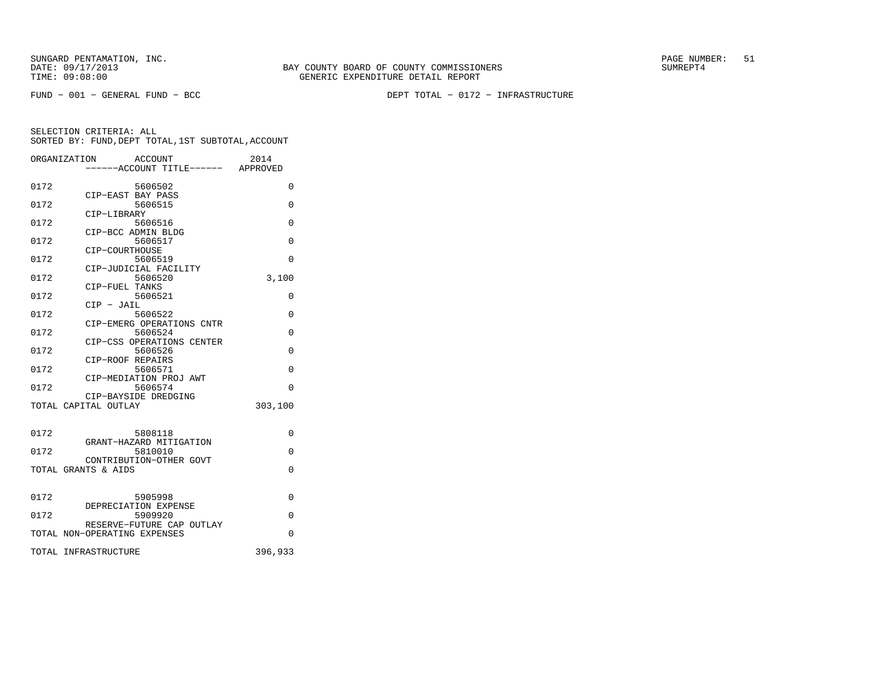SUNGARD PENTAMATION, INC. PAGE NUMBER: 51TIME: 09:08:00 GENERIC EXPENDITURE DETAIL REPORT

BAY COUNTY BOARD OF COUNTY COMMISSIONERS

FUND − 001 − GENERAL FUND − BCC DEPT TOTAL − 0172 − INFRASTRUCTURE

|      | ORGANIZATION<br>ACCOUNT              | 2014     |
|------|--------------------------------------|----------|
|      |                                      |          |
| 0172 | 5606502                              | 0        |
| 0172 | CIP-EAST BAY PASS<br>5606515         | $\Omega$ |
|      | CIP-LIBRARY                          |          |
| 0172 | 5606516<br>CIP-BCC ADMIN BLDG        | 0        |
| 0172 | 5606517                              | $\Omega$ |
|      | CIP-COURTHOUSE                       |          |
| 0172 | 5606519<br>CIP-JUDICIAL FACILITY     | $\Omega$ |
| 0172 | 5606520                              | 3,100    |
| 0172 | CIP-FUEL TANKS<br>5606521            | $\Omega$ |
|      | $CIP$ - $JAIL$                       |          |
| 0172 | 5606522                              | $\Omega$ |
| 0172 | CIP-EMERG OPERATIONS CNTR<br>5606524 | $\Omega$ |
|      | CIP-CSS OPERATIONS CENTER            |          |
| 0172 | 5606526<br>CIP-ROOF REPAIRS          | 0        |
| 0172 | 5606571                              | $\Omega$ |
|      | CIP-MEDIATION PROJ AWT               |          |
| 0172 | 5606574<br>CIP-BAYSIDE DREDGING      | $\Omega$ |
|      | TOTAL CAPITAL OUTLAY                 | 303,100  |
|      |                                      |          |
| 0172 | 5808118                              | $\Omega$ |
| 0172 | GRANT-HAZARD MITIGATION              | $\Omega$ |
|      | 5810010<br>CONTRIBUTION-OTHER GOVT   |          |
|      | TOTAL GRANTS & AIDS                  | $\Omega$ |
|      |                                      |          |
| 0172 | 5905998                              | $\Omega$ |
| 0172 | DEPRECIATION EXPENSE<br>5909920      | 0        |
|      | RESERVE-FUTURE CAP OUTLAY            |          |
|      | TOTAL NON-OPERATING EXPENSES         | 0        |
|      | TOTAL INFRASTRUCTURE                 | 396,933  |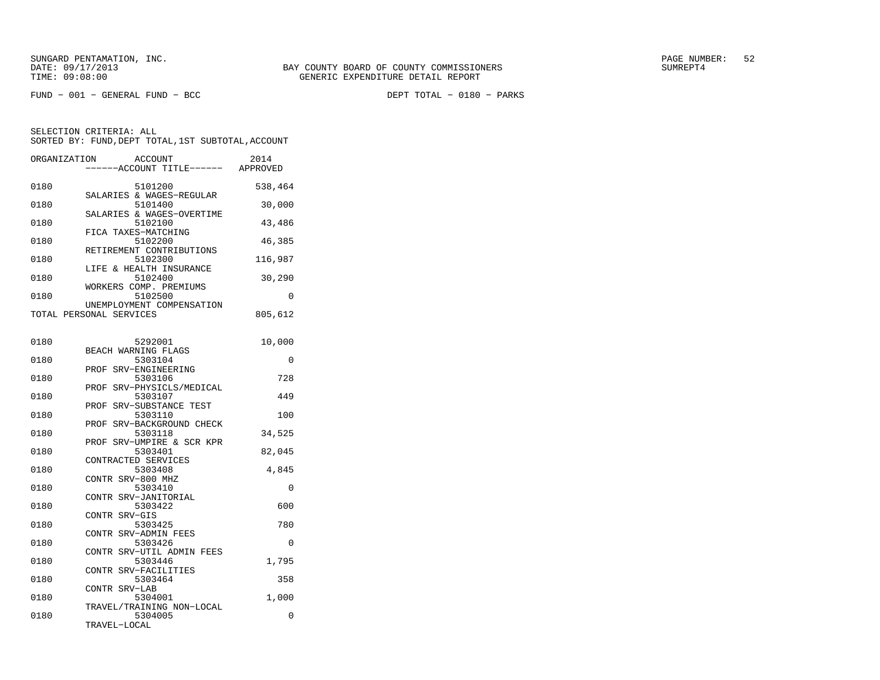| ORGANIZATION | ACCOUNT<br>----ACCOUNT TITLE------ APPROVED          | 2014     |
|--------------|------------------------------------------------------|----------|
| 0180         | 5101200                                              | 538,464  |
| 0180         | SALARIES & WAGES-REGULAR<br>5101400                  | 30,000   |
| 0180         | SALARIES & WAGES-OVERTIME<br>5102100                 | 43,486   |
| 0180         | FICA TAXES-MATCHING<br>5102200                       | 46,385   |
| 0180         | RETIREMENT CONTRIBUTIONS<br>5102300                  | 116,987  |
| 0180         | LIFE & HEALTH INSURANCE<br>5102400                   | 30,290   |
| 0180         | WORKERS COMP. PREMIUMS<br>5102500                    | 0        |
|              | UNEMPLOYMENT COMPENSATION<br>TOTAL PERSONAL SERVICES | 805,612  |
| 0180         | 5292001                                              | 10,000   |
| 0180         | BEACH WARNING FLAGS<br>5303104                       | 0        |
| 0180         | SRV-ENGINEERING<br>PROF<br>5303106                   | 728      |
| 0180         | SRV-PHYSICLS/MEDICAL<br>PROF<br>5303107              | 449      |
| 0180         | PROF<br>SRV-SUBSTANCE TEST<br>5303110                | 100      |
| 0180         | SRV-BACKGROUND CHECK<br>PROF<br>5303118              | 34,525   |
| 0180         | SRV-UMPIRE & SCR KPR<br>PROF<br>5303401              | 82,045   |
| 0180         | CONTRACTED SERVICES<br>5303408                       | 4,845    |
| 0180         | CONTR SRV-800 MHZ<br>5303410                         | 0        |
| 0180         | CONTR SRV-JANITORIAL<br>5303422                      | 600      |
| 0180         | CONTR SRV-GIS<br>5303425                             | 780      |
| 0180         | CONTR SRV-ADMIN FEES<br>5303426                      | 0        |
| 0180         | CONTR SRV-UTIL ADMIN FEES<br>5303446                 | 1,795    |
| 0180         | CONTR SRV-FACILITIES<br>5303464                      | 358      |
| 0180         | CONTR SRV-LAB<br>5304001                             | 1,000    |
| 0180         | TRAVEL/TRAINING NON-LOCAL<br>5304005<br>TRAVEL-LOCAL | $\Omega$ |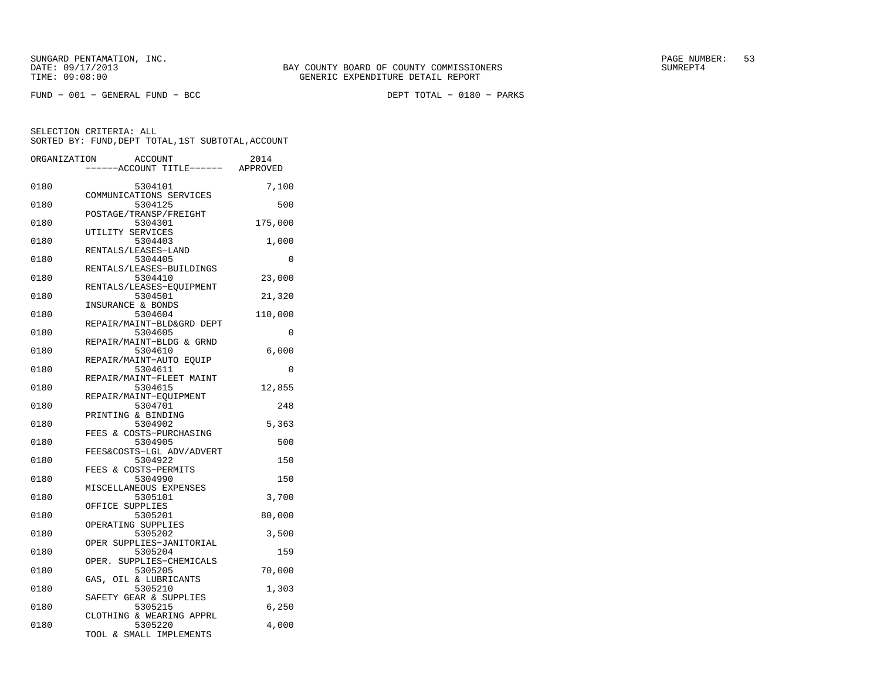FUND − 001 − GENERAL FUND − BCC DEPT TOTAL − 0180 − PARKS

| ORGANIZATION | <b>ACCOUNT</b><br>---ACCOUNT TITLE------ | 2014<br>APPROVED |
|--------------|------------------------------------------|------------------|
|              |                                          |                  |
| 0180         | 5304101<br>COMMUNICATIONS SERVICES       | 7,100            |
| 0180         | 5304125                                  | 500              |
| 0180         | POSTAGE/TRANSP/FREIGHT<br>5304301        | 175,000          |
| 0180         | UTILITY SERVICES<br>5304403              | 1,000            |
| 0180         | RENTALS/LEASES-LAND<br>5304405           | $\Omega$         |
| 0180         | RENTALS/LEASES-BUILDINGS<br>5304410      | 23,000           |
|              | RENTALS/LEASES-EQUIPMENT                 |                  |
| 0180         | 5304501<br>INSURANCE & BONDS             | 21,320           |
| 0180         | 5304604                                  | 110,000          |
| 0180         | REPAIR/MAINT-BLD&GRD DEPT<br>5304605     | $\Omega$         |
| 0180         | REPAIR/MAINT-BLDG & GRND<br>5304610      | 6,000            |
| 0180         | REPAIR/MAINT-AUTO EQUIP<br>5304611       | 0                |
| 0180         | REPAIR/MAINT-FLEET MAINT<br>5304615      | 12,855           |
| 0180         | REPAIR/MAINT-EOUIPMENT<br>5304701        | 248              |
|              | PRINTING & BINDING                       |                  |
| 0180         | 5304902<br>FEES & COSTS-PURCHASING       | 5,363            |
| 0180         | 5304905<br>FEES&COSTS-LGL ADV/ADVERT     | 500              |
| 0180         | 5304922                                  | 150              |
| 0180         | FEES & COSTS-PERMITS<br>5304990          | 150              |
| 0180         | MISCELLANEOUS EXPENSES<br>5305101        | 3,700            |
|              | OFFICE SUPPLIES                          |                  |
| 0180         | 5305201<br>OPERATING SUPPLIES            | 80,000           |
| 0180         | 5305202                                  | 3,500            |
| 0180         | OPER SUPPLIES-JANITORIAL<br>5305204      | 159              |
| 0180         | OPER. SUPPLIES-CHEMICALS<br>5305205      | 70,000           |
| 0180         | GAS, OIL & LUBRICANTS<br>5305210         | 1,303            |
| 0180         | SAFETY GEAR & SUPPLIES<br>5305215        | 6,250            |
|              | CLOTHING & WEARING APPRL                 |                  |
| 0180         | 5305220<br>TOOL & SMALL IMPLEMENTS       | 4,000            |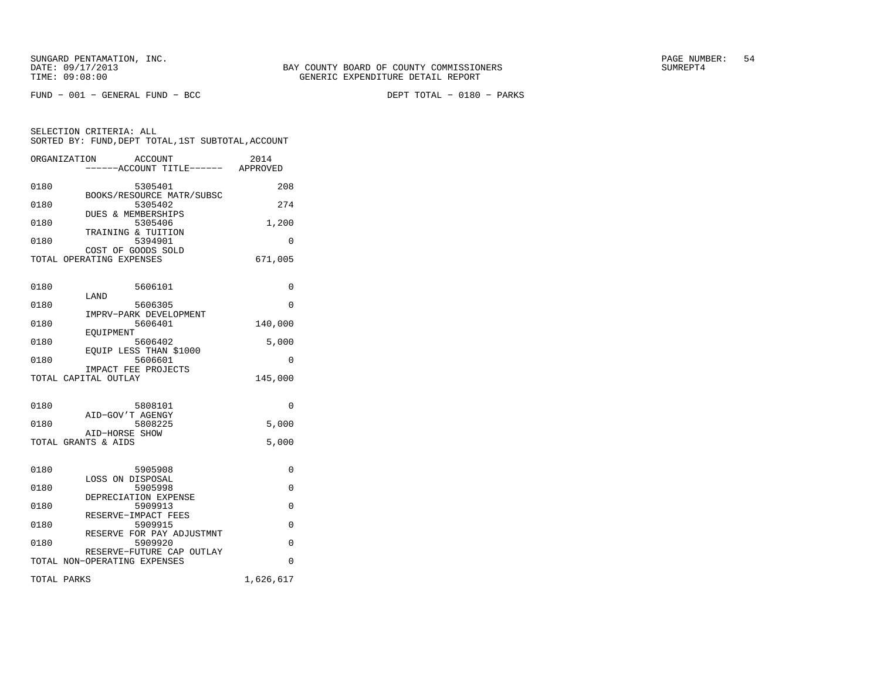SELECTION CRITERIA: ALL

FUND − 001 − GENERAL FUND − BCC DEPT TOTAL − 0180 − PARKS

 SORTED BY: FUND,DEPT TOTAL,1ST SUBTOTAL,ACCOUNTORGANIZATION ACCOUNT 2014 −−−−−−ACCOUNT TITLE−−−−−− APPROVED0180 5305401 208 BOOKS/RESOURCE MATR/SUBSC<br>0180 5305402 0180 5305402 274

|      | DUES & MEMBERSHIPS |       |
|------|--------------------|-------|
| 0180 | 5305406            | 1,200 |
|      | TRAINING & TUITION |       |
| 0180 | 5394901            |       |
|      | COST OF GOODS SOLD |       |

TOTAL OPERATING EXPENSES 671,005

| 0180 | 5606101                                                   | $\Omega$  |
|------|-----------------------------------------------------------|-----------|
| 0180 | LAND<br>5606305                                           | $\Omega$  |
| 0180 | IMPRV-PARK DEVELOPMENT<br>5606401                         | 140,000   |
| 0180 | EOUIPMENT<br>5606402                                      | 5,000     |
| 0180 | EOUIP LESS THAN \$1000<br>5606601                         | $\Omega$  |
|      | IMPACT FEE PROJECTS<br>TOTAL CAPITAL OUTLAY               | 145,000   |
|      |                                                           |           |
| 0180 | 5808101                                                   | $\Omega$  |
| 0180 | AID-GOV'T AGENGY<br>5808225                               | 5,000     |
|      | AID-HORSE SHOW<br>TOTAL GRANTS & AIDS                     | 5,000     |
|      |                                                           |           |
| 0180 | 5905908                                                   | 0         |
| 0180 | LOSS ON DISPOSAL<br>5905998                               | $\Omega$  |
| 0180 | DEPRECIATION EXPENSE<br>5909913                           | $\Omega$  |
| 0180 | RESERVE-IMPACT FEES<br>5909915                            | $\Omega$  |
| 0180 | RESERVE FOR PAY ADJUSTMNT<br>5909920                      | $\Omega$  |
|      | RESERVE-FUTURE CAP OUTLAY<br>TOTAL NON-OPERATING EXPENSES | $\Omega$  |
|      |                                                           |           |
|      | TOTAL PARKS                                               | 1,626,617 |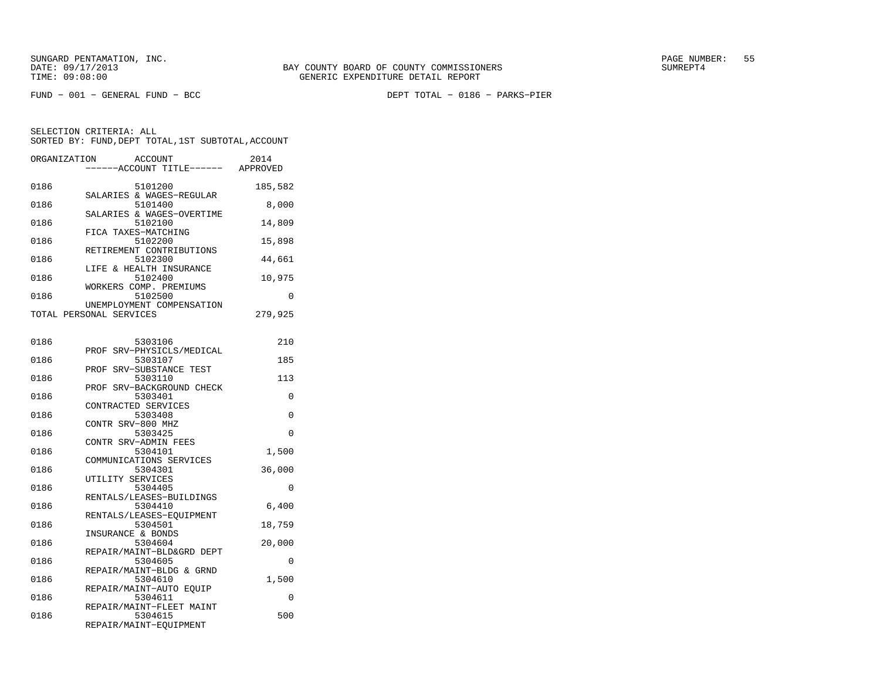FUND − 001 − GENERAL FUND − BCC DEPT TOTAL − 0186 − PARKS−PIER

SELECTION CRITERIA: ALLSORTED BY: FUND,DEPT TOTAL,1ST SUBTOTAL,ACCOUNT

| ORGANIZATION | ACCOUNT<br>---ACCOUNT TITLE------ APPROVED                   | 2014    |
|--------------|--------------------------------------------------------------|---------|
| 0186         | 5101200                                                      | 185,582 |
| 0186         | SALARIES & WAGES-REGULAR<br>5101400                          | 8,000   |
| 0186         | SALARIES & WAGES-OVERTIME<br>5102100                         | 14,809  |
| 0186         | FICA TAXES-MATCHING<br>5102200                               | 15,898  |
| 0186         | RETIREMENT CONTRIBUTIONS<br>5102300                          | 44,661  |
| 0186         | LIFE & HEALTH INSURANCE<br>5102400<br>WORKERS COMP. PREMIUMS | 10,975  |
| 0186         | 5102500                                                      | 0       |
|              | UNEMPLOYMENT COMPENSATION<br>TOTAL PERSONAL SERVICES         | 279,925 |
| 0186         | 5303106                                                      | 210     |
| 0186         | SRV-PHYSICLS/MEDICAL<br>PROF<br>5303107                      | 185     |
| 0186         | PROF SRV-SUBSTANCE TEST<br>5303110                           | 113     |
| 0186         | PROF SRV-BACKGROUND CHECK<br>5303401                         | 0       |
| 0186         | CONTRACTED SERVICES<br>5303408                               | 0       |
| 0186         | CONTR SRV-800 MHZ<br>5303425                                 | 0       |
| 0186         | CONTR SRV-ADMIN FEES<br>5304101                              | 1,500   |
| 0186         | COMMUNICATIONS SERVICES<br>5304301                           | 36,000  |
| 0186         | UTILITY SERVICES<br>5304405                                  | 0       |
| 0186         | RENTALS/LEASES-BUILDINGS<br>5304410                          | 6,400   |
| 0186         | RENTALS/LEASES-EQUIPMENT<br>5304501                          | 18,759  |
| 0186         | INSURANCE & BONDS<br>5304604                                 | 20,000  |
| 0186         | REPAIR/MAINT-BLD&GRD DEPT<br>5304605                         | 0       |
| 0186         | REPAIR/MAINT-BLDG & GRND<br>5304610                          | 1,500   |
| 0186         | REPAIR/MAINT-AUTO EOUIP<br>5304611                           | 0       |
| 0186         | REPAIR/MAINT-FLEET MAINT<br>5304615                          | 500     |

REPAIR/MAINT−EQUIPMENT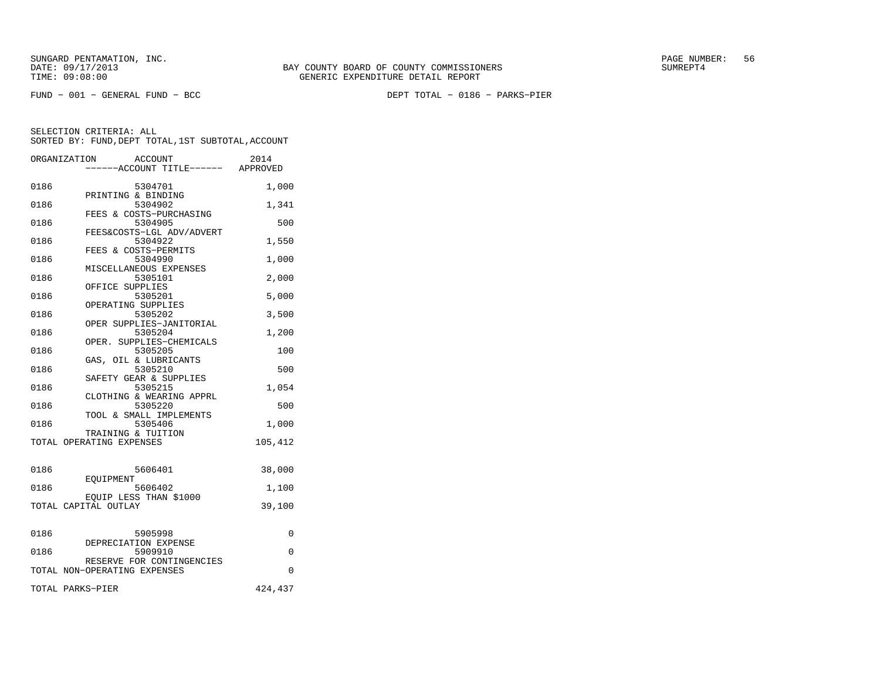FUND − 001 − GENERAL FUND − BCC DEPT TOTAL − 0186 − PARKS−PIER

|      | ORGANIZATION<br>ACCOUNT<br>----ACCOUNT TITLE------ APPROVED | 2014    |
|------|-------------------------------------------------------------|---------|
|      |                                                             |         |
| 0186 | 5304701                                                     | 1,000   |
|      | PRINTING & BINDING                                          |         |
| 0186 | 5304902                                                     | 1,341   |
|      | FEES & COSTS-PURCHASING                                     |         |
| 0186 | 5304905                                                     | 500     |
|      | FEES&COSTS-LGL ADV/ADVERT                                   |         |
| 0186 | 5304922                                                     | 1,550   |
|      | FEES & COSTS-PERMITS                                        |         |
| 0186 | 5304990                                                     | 1,000   |
|      | MISCELLANEOUS EXPENSES                                      |         |
| 0186 | 5305101                                                     | 2,000   |
|      | OFFICE SUPPLIES                                             |         |
| 0186 | 5305201                                                     | 5,000   |
|      | OPERATING SUPPLIES                                          |         |
| 0186 | 5305202                                                     | 3,500   |
|      | OPER SUPPLIES-JANITORIAL                                    |         |
| 0186 | 5305204                                                     | 1,200   |
|      | OPER. SUPPLIES-CHEMICALS                                    |         |
| 0186 | 5305205                                                     | 100     |
|      | GAS, OIL & LUBRICANTS                                       |         |
| 0186 | 5305210                                                     | 500     |
|      | SAFETY GEAR & SUPPLIES                                      |         |
| 0186 | 5305215                                                     | 1,054   |
|      | CLOTHING & WEARING APPRL                                    |         |
| 0186 | 5305220                                                     | 500     |
|      | TOOL & SMALL IMPLEMENTS                                     |         |
| 0186 | 5305406                                                     | 1,000   |
|      | TRAINING & TUITION                                          |         |
|      | TOTAL OPERATING EXPENSES                                    | 105,412 |
|      |                                                             |         |
|      |                                                             |         |
| 0186 | 5606401                                                     | 38,000  |
|      | EOUIPMENT                                                   |         |
| 0186 | 5606402                                                     | 1,100   |
|      | EQUIP LESS THAN \$1000                                      |         |
|      | TOTAL CAPITAL OUTLAY                                        | 39,100  |
|      |                                                             |         |
|      |                                                             |         |
| 0186 | 5905998                                                     | 0       |
|      | DEPRECIATION EXPENSE                                        |         |
| 0186 | 5909910                                                     | 0       |
|      | RESERVE FOR CONTINGENCIES                                   |         |
|      | TOTAL NON-OPERATING EXPENSES                                | 0       |
|      |                                                             |         |
|      | TOTAL PARKS-PIER                                            | 424,437 |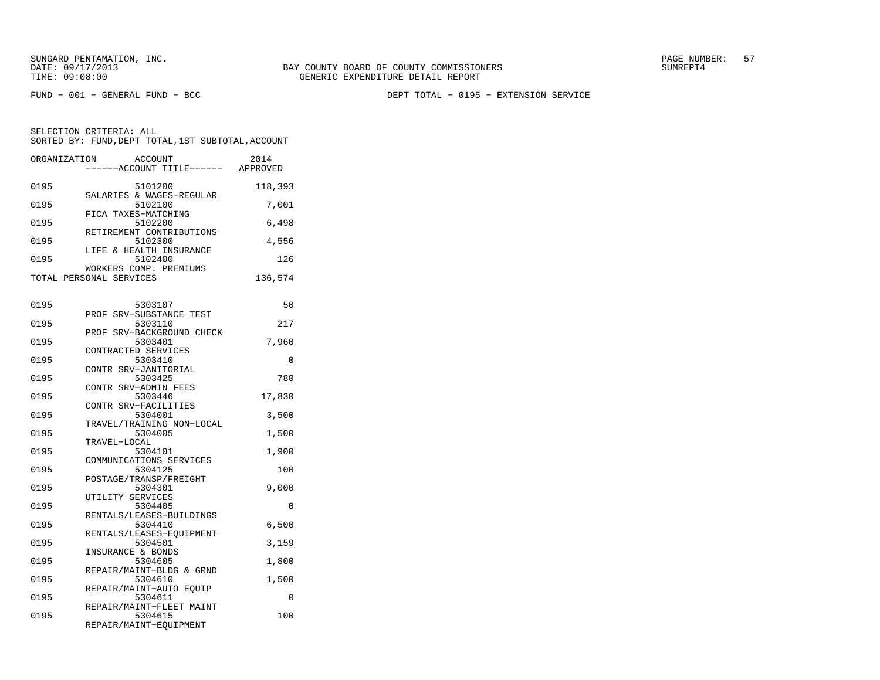FUND − 001 − GENERAL FUND − BCC DEPT TOTAL − 0195 − EXTENSION SERVICE

SELECTION CRITERIA: ALL SORTED BY: FUND,DEPT TOTAL,1ST SUBTOTAL,ACCOUNTORGANIZATION ACCOUNT 2014

|      | -----ACCOUNT TITLE------            | APPROVED |
|------|-------------------------------------|----------|
| 0195 | 5101200                             | 118,393  |
| 0195 | SALARIES & WAGES-REGULAR<br>5102100 | 7,001    |
|      | FICA TAXES-MATCHING                 |          |
| 0195 | 5102200<br>RETIREMENT CONTRIBUTIONS | 6,498    |
| 0195 | 5102300                             | 4,556    |
| 0195 | LIFE & HEALTH INSURANCE<br>5102400  | 126      |
|      | WORKERS COMP. PREMIUMS              |          |
|      | TOTAL PERSONAL SERVICES             | 136,574  |
|      |                                     |          |
| 0195 | 5303107<br>PROF SRV-SUBSTANCE TEST  | 50       |
| 0195 | 5303110                             | 217      |
|      | PROF SRV-BACKGROUND CHECK           |          |
| 0195 | 5303401                             | 7,960    |
|      | CONTRACTED SERVICES                 |          |
| 0195 | 5303410                             | $\Omega$ |
| 0195 | CONTR SRV-JANITORIAL                | 780      |
|      | 5303425<br>CONTR SRV-ADMIN FEES     |          |
| 0195 | 5303446                             | 17,830   |
|      | CONTR SRV-FACILITIES                |          |
| 0195 | 5304001                             | 3,500    |
|      | TRAVEL/TRAINING NON-LOCAL           |          |
| 0195 | 5304005                             | 1,500    |
|      | TRAVEL-LOCAL                        |          |
| 0195 | 5304101                             | 1,900    |
| 0195 | COMMUNICATIONS SERVICES<br>5304125  | 100      |
|      | POSTAGE/TRANSP/FREIGHT              |          |
| 0195 | 5304301                             | 9,000    |
|      | UTILITY SERVICES                    |          |
| 0195 | 5304405                             | $\Omega$ |
|      | RENTALS/LEASES-BUILDINGS            |          |
| 0195 | 5304410                             | 6,500    |
| 0195 | RENTALS/LEASES-EOUIPMENT<br>5304501 | 3,159    |
|      | INSURANCE & BONDS                   |          |
| 0195 | 5304605                             | 1,800    |
|      | REPAIR/MAINT-BLDG & GRND            |          |
| 0195 | 5304610                             | 1,500    |
|      | REPAIR/MAINT-AUTO EQUIP             |          |
| 0195 | 5304611                             | $\Omega$ |
| 0195 | REPAIR/MAINT-FLEET MAINT<br>5304615 | 100      |
|      | REPAIR/MAINT-EQUIPMENT              |          |
|      |                                     |          |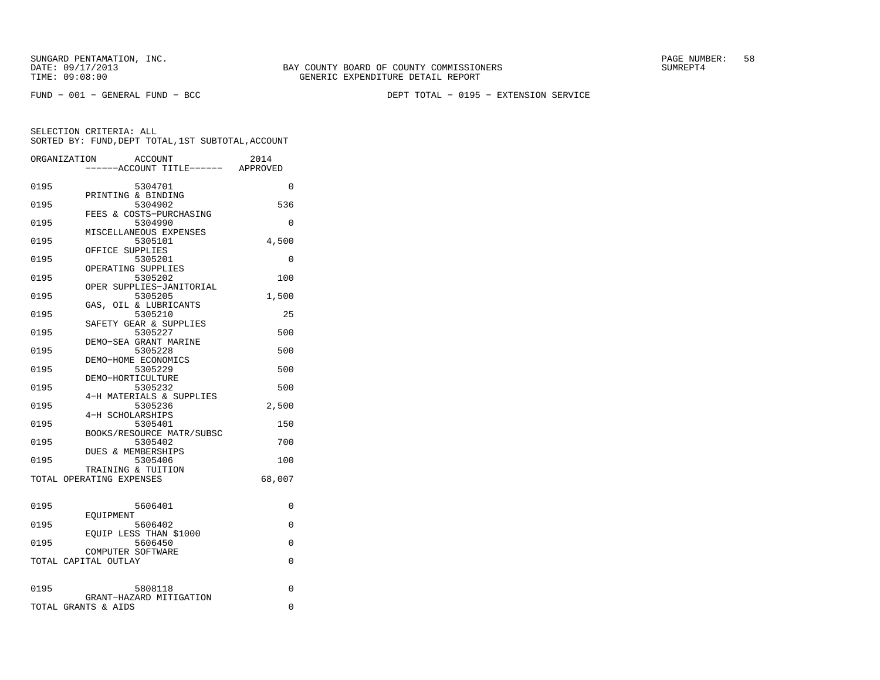FUND − 001 − GENERAL FUND − BCC DEPT TOTAL − 0195 − EXTENSION SERVICE

| ORGANIZATION |                          | ACCOUNT                          | 2014     |
|--------------|--------------------------|----------------------------------|----------|
|              |                          | ----ACCOUNT TITLE------ APPROVED |          |
|              |                          |                                  |          |
| 0195         | PRINTING & BINDING       | 5304701                          | $\Omega$ |
| 0195         |                          | 5304902                          | 536      |
|              |                          | FEES & COSTS-PURCHASING          |          |
| 0195         |                          | 5304990                          | $\Omega$ |
|              |                          | MISCELLANEOUS EXPENSES           |          |
| 0195         |                          | 5305101                          | 4,500    |
|              | OFFICE SUPPLIES          |                                  |          |
| 0195         |                          | 5305201                          | 0        |
| 0195         | OPERATING SUPPLIES       | 5305202                          | 100      |
|              |                          | OPER SUPPLIES-JANITORIAL         |          |
| 0195         |                          | 5305205                          | 1,500    |
|              |                          | GAS, OIL & LUBRICANTS            |          |
| 0195         |                          | 5305210                          | 25       |
|              |                          | SAFETY GEAR & SUPPLIES           |          |
| 0195         |                          | 5305227                          | 500      |
|              |                          | DEMO-SEA GRANT MARINE            |          |
| 0195         | DEMO-HOME ECONOMICS      | 5305228                          | 500      |
| 0195         |                          | 5305229                          | 500      |
|              | DEMO-HORTICULTURE        |                                  |          |
| 0195         |                          | 5305232                          | 500      |
|              |                          | 4-H MATERIALS & SUPPLIES         |          |
| 0195         |                          | 5305236                          | 2,500    |
|              | 4-H SCHOLARSHIPS         |                                  |          |
| 0195         |                          | 5305401                          | 150      |
|              |                          | BOOKS/RESOURCE MATR/SUBSC        |          |
| 0195         | DUES & MEMBERSHIPS       | 5305402                          | 700      |
| 0195         |                          | 5305406                          | 100      |
|              | TRAINING & TUITION       |                                  |          |
|              | TOTAL OPERATING EXPENSES |                                  | 68,007   |
|              |                          |                                  |          |
|              |                          |                                  |          |
| 0195         |                          | 5606401                          | 0        |
| 0195         | EOUIPMENT                | 5606402                          | 0        |
|              |                          | EQUIP LESS THAN \$1000           |          |
| 0195         |                          | 5606450                          | 0        |
|              | COMPUTER SOFTWARE        |                                  |          |
|              | TOTAL CAPITAL OUTLAY     |                                  | 0        |
|              |                          |                                  |          |
|              |                          |                                  |          |
| 0195         |                          | 5808118                          | 0        |
|              | TOTAL GRANTS & AIDS      | GRANT-HAZARD MITIGATION          | $\Omega$ |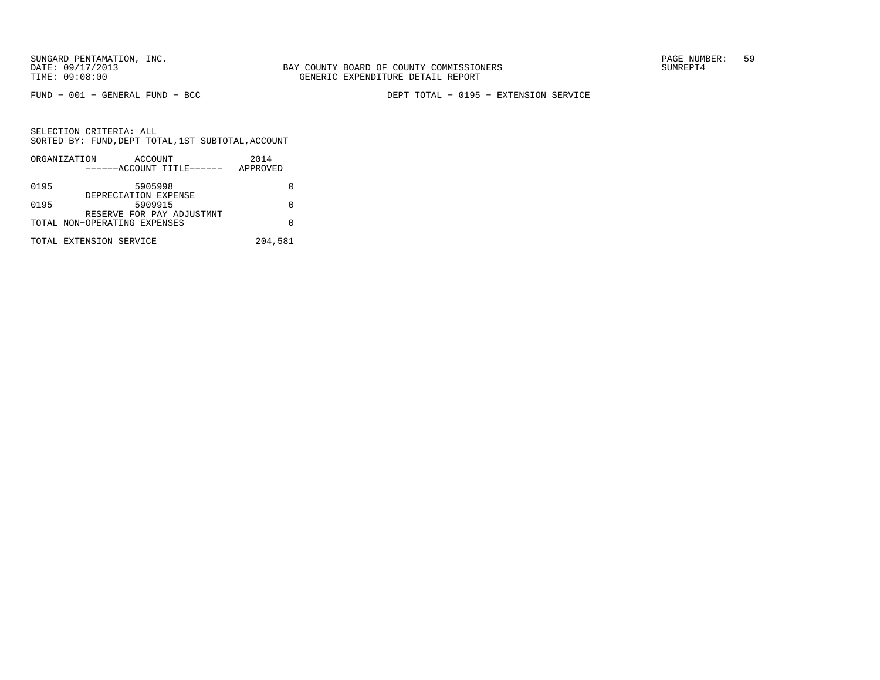BAY COUNTY BOARD OF COUNTY COMMISSIONERS TIME: 09:08:00 GENERIC EXPENDITURE DETAIL REPORT

FUND − 001 − GENERAL FUND − BCC DEPT TOTAL − 0195 − EXTENSION SERVICE

|      | ORGANIZATION                 | ACCOUNT                         |                           | 2014     |  |
|------|------------------------------|---------------------------------|---------------------------|----------|--|
|      |                              |                                 | ------ACCOUNT TITLE------ | APPROVED |  |
| 0195 |                              | 5905998<br>DEPRECIATION EXPENSE |                           |          |  |
| 0195 |                              | 5909915                         | RESERVE FOR PAY ADJUSTMNT |          |  |
|      | TOTAL NON-OPERATING EXPENSES |                                 |                           |          |  |
|      | TOTAL EXTENSION SERVICE      |                                 |                           | 204,581  |  |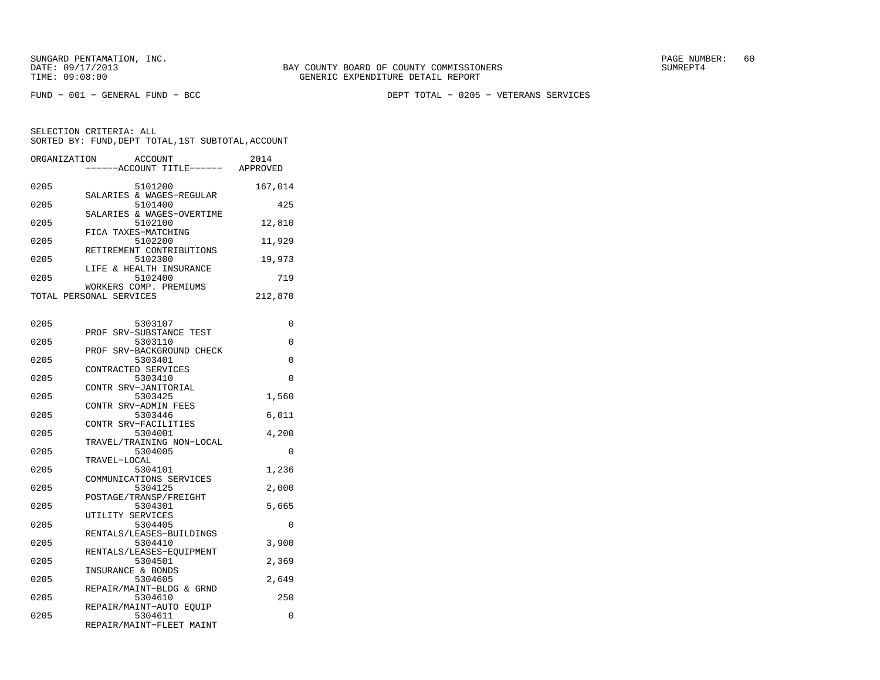FUND − 001 − GENERAL FUND − BCC DEPT TOTAL − 0205 − VETERANS SERVICES

| ORGANIZATION | <b>ACCOUNT</b><br>----ACCOUNT TITLE------ APPROVED | 2014     |
|--------------|----------------------------------------------------|----------|
| 0205         | 5101200<br>SALARIES & WAGES-REGULAR                | 167,014  |
| 0205         | 5101400<br>SALARIES & WAGES-OVERTIME               | 425      |
| 0205         | 5102100<br>FICA TAXES-MATCHING                     | 12,810   |
| 0205         | 5102200<br>RETIREMENT CONTRIBUTIONS                | 11,929   |
| 0205         | 5102300<br>LIFE & HEALTH INSURANCE                 | 19,973   |
| 0205         | 5102400<br>WORKERS COMP. PREMIUMS                  | 719      |
|              | TOTAL PERSONAL SERVICES                            | 212,870  |
| 0205         | 5303107                                            | 0        |
| 0205         | SRV-SUBSTANCE TEST<br>PROF<br>5303110              | 0        |
| 0205         | PROF SRV-BACKGROUND CHECK<br>5303401               | 0        |
| 0205         | CONTRACTED SERVICES<br>5303410                     | 0        |
| 0205         | CONTR SRV-JANITORIAL<br>5303425                    | 1,560    |
| 0205         | CONTR SRV-ADMIN FEES<br>5303446                    | 6,011    |
| 0205         | CONTR SRV-FACILITIES<br>5304001                    | 4,200    |
| 0205         | TRAVEL/TRAINING NON-LOCAL<br>5304005               | 0        |
| 0205         | TRAVEL-LOCAL<br>5304101                            | 1,236    |
| 0205         | COMMUNICATIONS SERVICES<br>5304125                 | 2,000    |
| 0205         | POSTAGE/TRANSP/FREIGHT<br>5304301                  | 5,665    |
| 0205         | UTILITY SERVICES<br>5304405                        | $\Omega$ |
| 0205         | RENTALS/LEASES-BUILDINGS<br>5304410                | 3,900    |
| 0205         | RENTALS/LEASES-EOUIPMENT<br>5304501                | 2,369    |
| 0205         | INSURANCE & BONDS<br>5304605                       | 2,649    |
| 0205         | REPAIR/MAINT-BLDG & GRND<br>5304610                | 250      |
| 0205         | REPAIR/MAINT-AUTO EOUIP<br>5304611                 | 0        |
|              | REPAIR/MAINT-FLEET MAINT                           |          |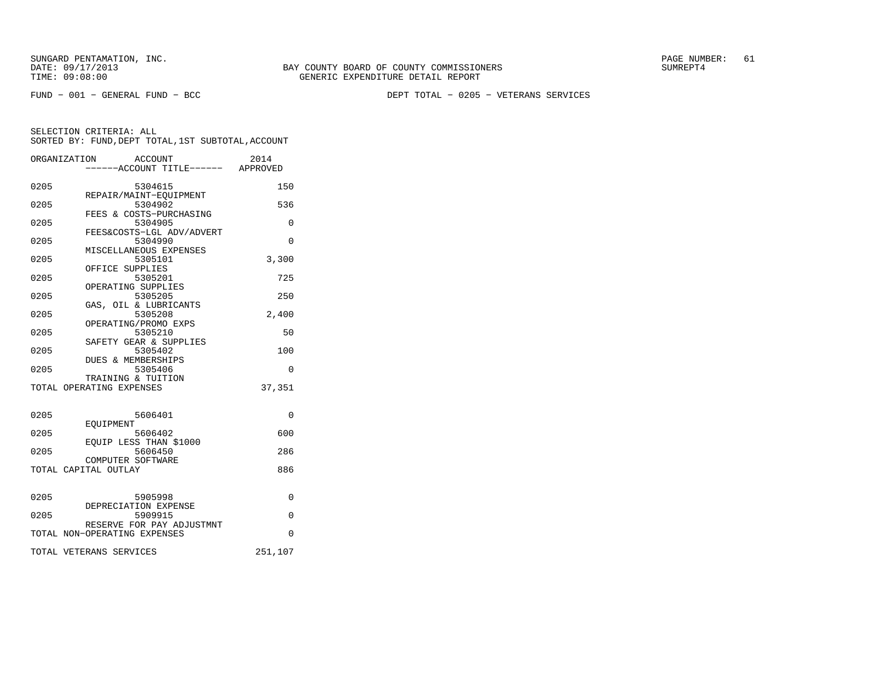FUND − 001 − GENERAL FUND − BCC DEPT TOTAL − 0205 − VETERANS SERVICES

|      | ORGANIZATION<br>ACCOUNT<br>-----ACCOUNT TITLE------ APPROVED | 2014        |
|------|--------------------------------------------------------------|-------------|
| 0205 | 5304615<br>REPAIR/MAINT-EOUIPMENT                            | 150         |
| 0205 | 5304902<br>FEES & COSTS-PURCHASING                           | 536         |
| 0205 | 5304905<br>FEES&COSTS-LGL ADV/ADVERT                         | 0           |
| 0205 | 5304990<br>MISCELLANEOUS EXPENSES                            | $\Omega$    |
| 0205 | 5305101<br>OFFICE SUPPLIES                                   | 3,300       |
| 0205 | 5305201                                                      | 725         |
| 0205 | OPERATING SUPPLIES<br>5305205                                | 250         |
| 0205 | GAS, OIL & LUBRICANTS<br>5305208<br>OPERATING/PROMO EXPS     | 2,400       |
| 0205 | 5305210<br>SAFETY GEAR & SUPPLIES                            | 50          |
| 0205 | 5305402                                                      | 100         |
| 0205 | DUES & MEMBERSHIPS<br>5305406                                | $\Omega$    |
|      | TRAINING & TUITION<br>TOTAL OPERATING EXPENSES               | 37,351      |
| 0205 | 5606401                                                      | $\Omega$    |
| 0205 | EOUIPMENT<br>5606402                                         | 600         |
| 0205 | EQUIP LESS THAN \$1000<br>5606450                            | 286         |
|      | COMPUTER SOFTWARE<br>TOTAL CAPITAL OUTLAY                    | 886         |
| 0205 | 5905998                                                      | 0           |
| 0205 | DEPRECIATION EXPENSE<br>5909915                              | $\mathbf 0$ |
|      | RESERVE FOR PAY ADJUSTMNT<br>TOTAL NON-OPERATING EXPENSES    | $\Omega$    |
|      | TOTAL VETERANS SERVICES                                      | 251,107     |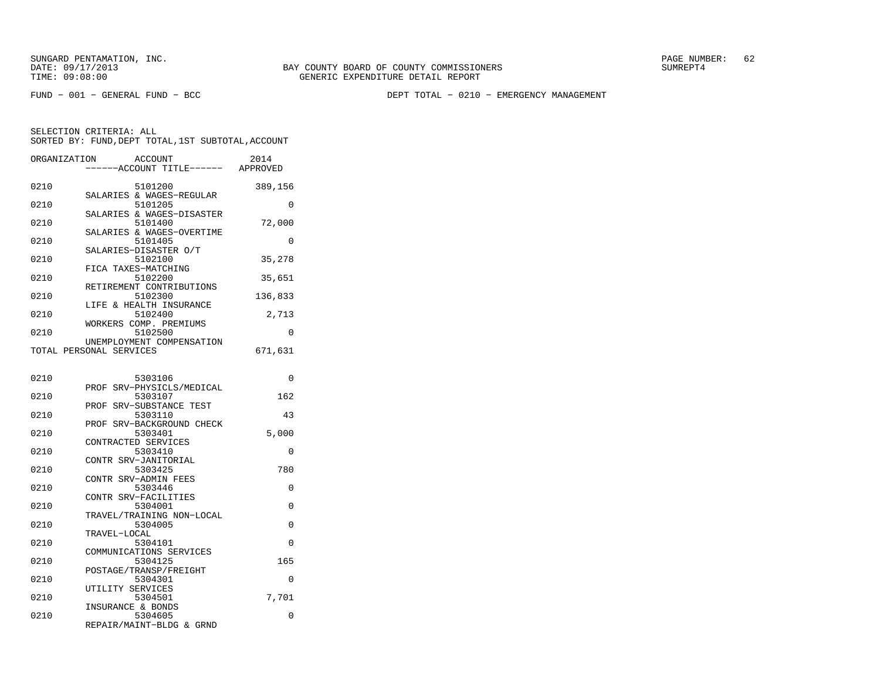FUND − 001 − GENERAL FUND − BCC DEPT TOTAL − 0210 − EMERGENCY MANAGEMENT

| ORGANIZATION |                         | <b>ACCOUNT</b>                       | 2014     |
|--------------|-------------------------|--------------------------------------|----------|
|              |                         | ----ACCOUNT TITLE------              | APPROVED |
|              |                         |                                      |          |
| 0210         |                         | 5101200                              | 389,156  |
|              |                         | SALARIES & WAGES-REGULAR             |          |
| 0210         |                         | 5101205                              | 0        |
| 0210         |                         | SALARIES & WAGES-DISASTER<br>5101400 |          |
|              |                         | SALARIES & WAGES-OVERTIME            | 72,000   |
| 0210         |                         | 5101405                              | 0        |
|              | SALARIES-DISASTER O/T   |                                      |          |
| 0210         |                         | 5102100                              | 35,278   |
|              | FICA TAXES-MATCHING     |                                      |          |
| 0210         |                         | 5102200                              | 35,651   |
|              |                         | RETIREMENT CONTRIBUTIONS             |          |
| 0210         |                         | 5102300                              | 136,833  |
|              |                         | LIFE & HEALTH INSURANCE              |          |
| 0210         |                         | 5102400                              | 2,713    |
|              |                         | WORKERS COMP. PREMIUMS               |          |
| 0210         |                         | 5102500                              | 0        |
|              |                         | UNEMPLOYMENT COMPENSATION            |          |
|              | TOTAL PERSONAL SERVICES |                                      | 671,631  |
|              |                         |                                      |          |
|              |                         |                                      |          |
| 0210         |                         | 5303106                              | 0        |
|              |                         | PROF SRV-PHYSICLS/MEDICAL            |          |
| 0210         |                         | 5303107                              | 162      |
| 0210         |                         | PROF SRV-SUBSTANCE TEST<br>5303110   | 43       |
|              |                         | PROF SRV-BACKGROUND CHECK            |          |
| 0210         |                         | 5303401                              | 5,000    |
|              | CONTRACTED SERVICES     |                                      |          |
| 0210         |                         | 5303410                              | 0        |
|              | CONTR SRV-JANITORIAL    |                                      |          |
| 0210         |                         | 5303425                              | 780      |
|              | CONTR SRV-ADMIN FEES    |                                      |          |
| 0210         |                         | 5303446                              | 0        |
|              | CONTR SRV-FACILITIES    |                                      |          |
| 0210         |                         | 5304001                              | 0        |
|              |                         | TRAVEL/TRAINING NON-LOCAL            |          |
| 0210         |                         | 5304005                              | $\Omega$ |
|              | TRAVEL-LOCAL            |                                      |          |
| 0210         |                         | 5304101                              | $\Omega$ |
|              |                         | COMMUNICATIONS SERVICES              |          |
| 0210         |                         | 5304125                              | 165      |
|              |                         | POSTAGE/TRANSP/FREIGHT               |          |
| 0210         |                         | 5304301                              | 0        |
|              | UTILITY SERVICES        |                                      |          |
| 0210         |                         | 5304501                              | 7,701    |
| 0210         | INSURANCE & BONDS       | 5304605                              | 0        |
|              |                         | REPAIR/MAINT-BLDG & GRND             |          |
|              |                         |                                      |          |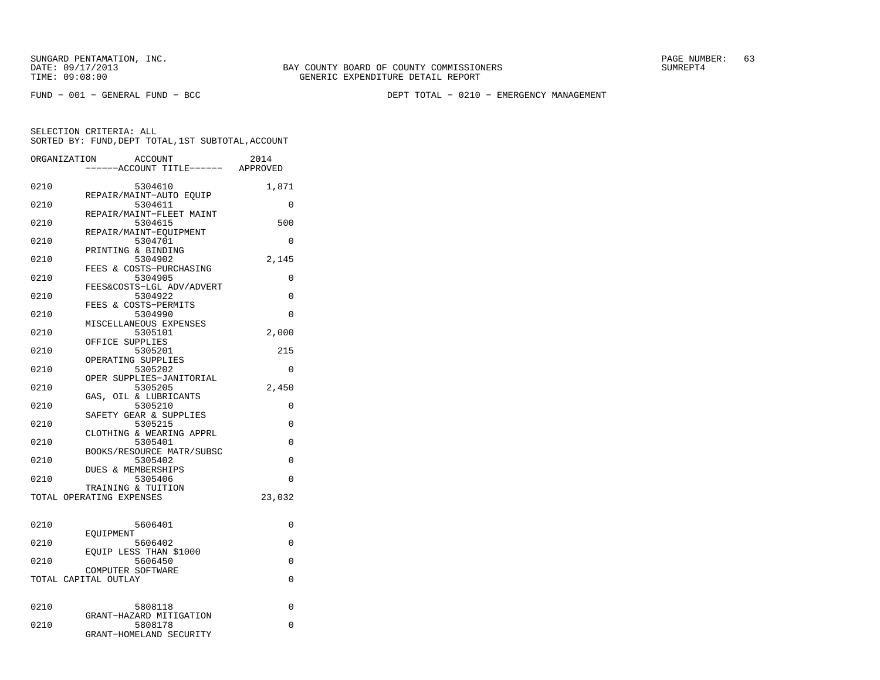FUND − 001 − GENERAL FUND − BCC DEPT TOTAL − 0210 − EMERGENCY MANAGEMENT

| ORGANIZATION |                          | <b>ACCOUNT</b>                       | 2014     |
|--------------|--------------------------|--------------------------------------|----------|
|              |                          | ---ACCOUNT TITLE------ APPROVED      |          |
| 0210         |                          | 5304610                              | 1,871    |
| 0210         |                          | REPAIR/MAINT-AUTO EQUIP<br>5304611   | $\Omega$ |
| 0210         |                          | REPAIR/MAINT-FLEET MAINT<br>5304615  | 500      |
| 0210         |                          | REPAIR/MAINT-EOUIPMENT<br>5304701    | $\Omega$ |
|              | PRINTING & BINDING       |                                      |          |
| 0210         |                          | 5304902<br>FEES & COSTS-PURCHASING   | 2,145    |
| 0210         |                          | 5304905                              | 0        |
| 0210         |                          | FEES&COSTS-LGL ADV/ADVERT<br>5304922 | $\Omega$ |
| 0210         |                          | FEES & COSTS-PERMITS<br>5304990      | $\Omega$ |
|              |                          | MISCELLANEOUS EXPENSES               |          |
| 0210         |                          | 5305101                              | 2,000    |
|              | OFFICE SUPPLIES          |                                      |          |
| 0210         | OPERATING SUPPLIES       | 5305201                              | 215      |
| 0210         |                          | 5305202                              | $\Omega$ |
|              |                          | OPER SUPPLIES-JANITORIAL             |          |
| 0210         |                          | 5305205                              | 2,450    |
| 0210         |                          | GAS, OIL & LUBRICANTS<br>5305210     | 0        |
|              |                          | SAFETY GEAR & SUPPLIES               |          |
| 0210         |                          | 5305215                              | 0        |
|              |                          | CLOTHING & WEARING APPRL             |          |
| 0210         |                          | 5305401                              | $\Omega$ |
| 0210         |                          | BOOKS/RESOURCE MATR/SUBSC<br>5305402 | $\Omega$ |
|              | DUES & MEMBERSHIPS       |                                      |          |
| 0210         |                          | 5305406                              | $\Omega$ |
|              | TRAINING & TUITION       |                                      |          |
|              | TOTAL OPERATING EXPENSES |                                      | 23,032   |
|              |                          |                                      |          |
| 0210         | EOUIPMENT                | 5606401                              | 0        |
| 0210         |                          | 5606402                              | 0        |
| 0210         |                          | EOUIP LESS THAN \$1000<br>5606450    | 0        |
|              | COMPUTER SOFTWARE        |                                      |          |
|              | TOTAL CAPITAL OUTLAY     |                                      | 0        |
| 0210         |                          | 5808118                              | 0        |
|              |                          | GRANT-HAZARD MITIGATION              |          |
| 0210         |                          | 5808178                              | 0        |
|              |                          | GRANT-HOMELAND SECURITY              |          |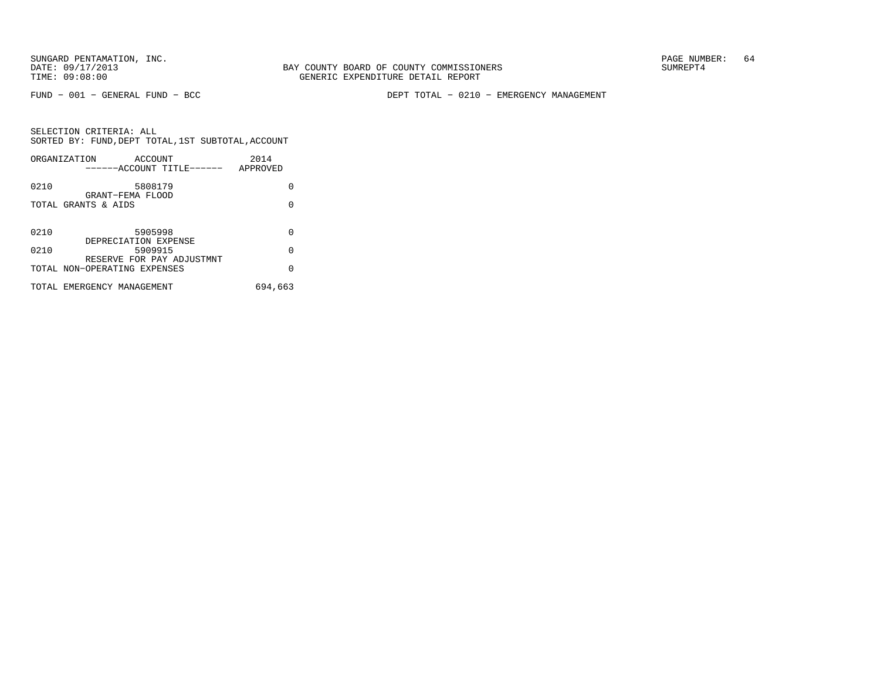BAY COUNTY BOARD OF COUNTY COMMISSIONERS TIME: 09:08:00 GENERIC EXPENDITURE DETAIL REPORT

FUND − 001 − GENERAL FUND − BCC DEPT TOTAL − 0210 − EMERGENCY MANAGEMENT

|      | ORGANIZATION<br>ACCOUNT<br>------ACCOUNT TITLE------         | 2014<br>APPROVED |
|------|--------------------------------------------------------------|------------------|
| 0210 | 5808179<br>GRANT-FEMA FLOOD                                  | O                |
|      | TOTAL GRANTS & AIDS                                          | O                |
| 0210 | 5905998                                                      | U                |
| 0210 | DEPRECIATION EXPENSE<br>5909915<br>RESERVE FOR PAY ADJUSTMNT | $\Omega$         |
|      | TOTAL NON-OPERATING EXPENSES                                 | $\Omega$         |
|      | TOTAL EMERGENCY MANAGEMENT                                   | 694,663          |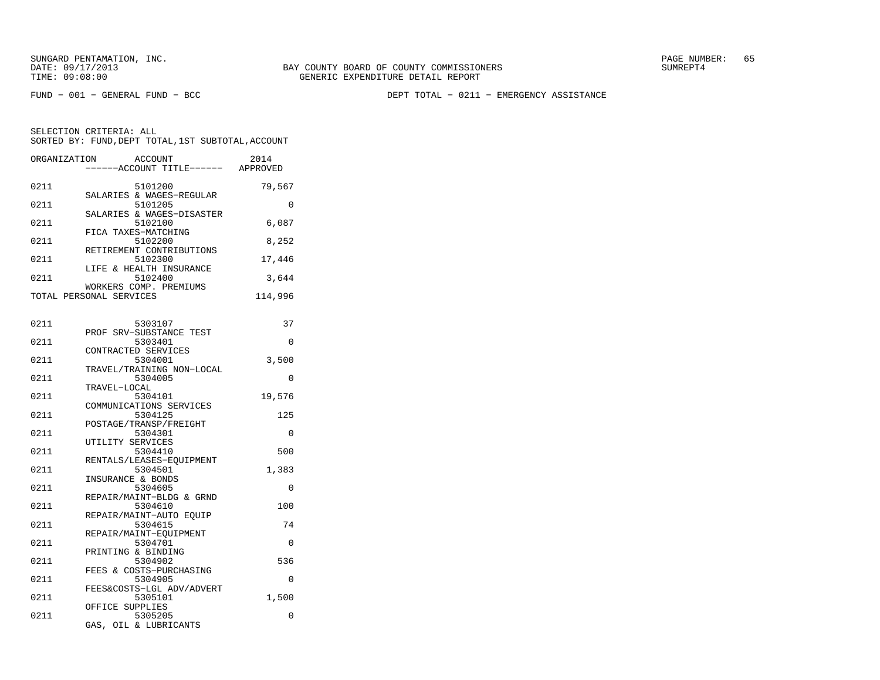FUND − 001 − GENERAL FUND − BCC DEPT TOTAL − 0211 − EMERGENCY ASSISTANCE

| ORGANIZATION | <b>ACCOUNT</b><br>---ACCOUNT TITLE------ APPROVED | 2014     |
|--------------|---------------------------------------------------|----------|
| 0211         | 5101200                                           | 79,567   |
| 0211         | SALARIES & WAGES-REGULAR<br>5101205               | $\Omega$ |
| 0211         | SALARIES & WAGES-DISASTER<br>5102100              | 6,087    |
| 0211         | FICA TAXES-MATCHING<br>5102200                    | 8,252    |
| 0211         | RETIREMENT CONTRIBUTIONS<br>5102300               | 17,446   |
| 0211         | LIFE & HEALTH INSURANCE<br>5102400                | 3,644    |
|              | WORKERS COMP. PREMIUMS<br>TOTAL PERSONAL SERVICES | 114,996  |
|              |                                                   |          |
| 0211         | 5303107                                           | 37       |
| 0211         | PROF SRV-SUBSTANCE TEST<br>5303401                | 0        |
| 0211         | CONTRACTED SERVICES<br>5304001                    | 3,500    |
| 0211         | TRAVEL/TRAINING NON-LOCAL<br>5304005              | $\Omega$ |
| 0211         | TRAVEL-LOCAL<br>5304101                           | 19,576   |
| 0211         | COMMUNICATIONS SERVICES<br>5304125                | 125      |
|              | POSTAGE/TRANSP/FREIGHT                            |          |
| 0211         | 5304301<br>UTILITY SERVICES                       | $\Omega$ |
| 0211         | 5304410<br>RENTALS/LEASES-EOUIPMENT               | 500      |
| 0211         | 5304501<br>INSURANCE & BONDS                      | 1,383    |
| 0211         | 5304605<br>REPAIR/MAINT-BLDG & GRND               | $\Omega$ |
| 0211         | 5304610<br>REPAIR/MAINT-AUTO EQUIP                | 100      |
| 0211         | 5304615                                           | 74       |
| 0211         | REPAIR/MAINT-EQUIPMENT<br>5304701                 | 0        |
| 0211         | PRINTING & BINDING<br>5304902                     | 536      |
| 0211         | FEES & COSTS-PURCHASING<br>5304905                | $\Omega$ |
| 0211         | FEES&COSTS-LGL ADV/ADVERT<br>5305101              | 1,500    |
| 0211         | OFFICE SUPPLIES<br>5305205                        | 0        |
|              | GAS,<br>OIL & LUBRICANTS                          |          |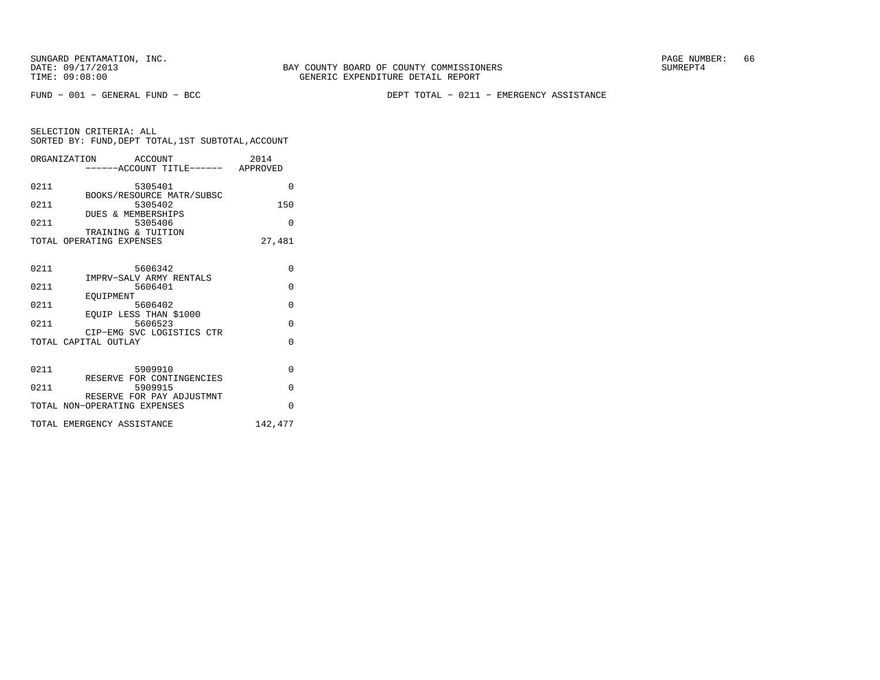FUND − 001 − GENERAL FUND − BCC DEPT TOTAL − 0211 − EMERGENCY ASSISTANCE

| SELECTION CRITERIA: ALL |  |  |                                                    |  |
|-------------------------|--|--|----------------------------------------------------|--|
|                         |  |  | SORTED BY: FUND, DEPT TOTAL, 1ST SUBTOTAL, ACCOUNT |  |

|      | ORGANIZATION ACCOUNT<br>-----ACCOUNT TITLE------ APPROVED | 2014     |
|------|-----------------------------------------------------------|----------|
| 0211 | 5305401                                                   | $\Omega$ |
| 0211 | BOOKS/RESOURCE MATR/SUBSC<br>5305402                      | 150      |
| 0211 | DUES & MEMBERSHIPS<br>5305406                             | $\Omega$ |
|      | TRAINING & TUITION<br>TOTAL OPERATING EXPENSES            | 27,481   |
| 0211 | 5606342                                                   | $\Omega$ |
|      | IMPRV-SALV ARMY RENTALS                                   |          |
| 0211 | 5606401                                                   | $\Omega$ |
| 0211 | EOUIPMENT<br>5606402                                      | $\Omega$ |
| 0211 | EQUIP LESS THAN \$1000<br>5606523                         | $\Omega$ |
|      | CIP-EMG SVC LOGISTICS CTR                                 |          |
|      | TOTAL CAPITAL OUTLAY                                      | $\Omega$ |
|      |                                                           |          |
| 0211 | 5909910                                                   | $\Omega$ |
| 0211 | RESERVE FOR CONTINGENCIES<br>5909915                      | $\Omega$ |
|      | RESERVE FOR PAY ADJUSTMNT<br>TOTAL NON-OPERATING EXPENSES | $\Omega$ |
|      | TOTAL EMERGENCY ASSISTANCE                                | 142,477  |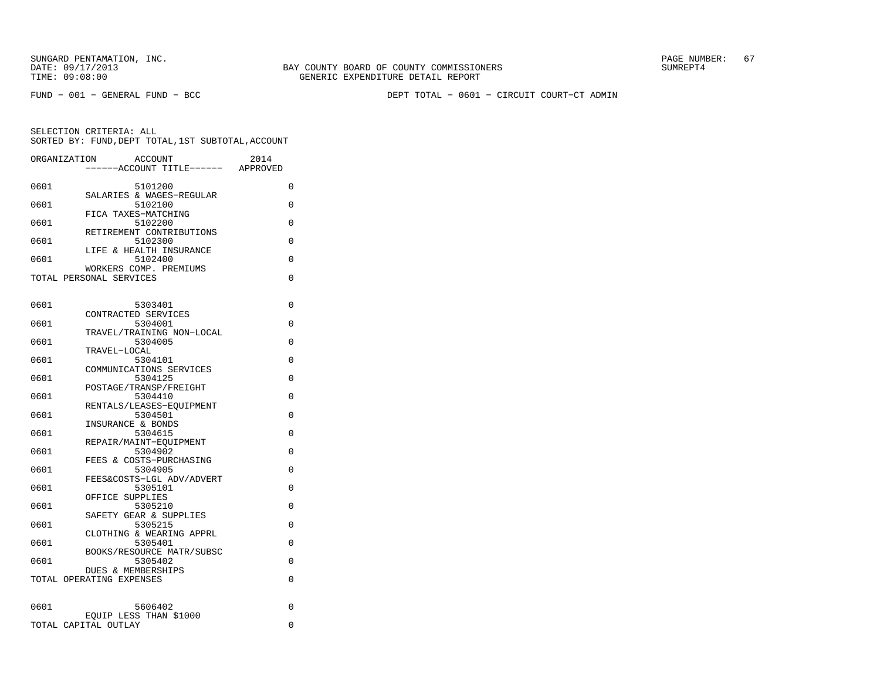FUND − 001 − GENERAL FUND − BCC DEPT TOTAL − 0601 − CIRCUIT COURT−CT ADMIN

| ----ACCOUNT TITLE------<br>APPROVED<br>0601<br>5101200<br>0<br>SALARIES & WAGES-REGULAR<br>0601<br>5102100<br>0<br>FICA TAXES-MATCHING<br>0601<br>5102200<br>0<br>RETIREMENT CONTRIBUTIONS<br>0601<br>5102300<br>0<br>LIFE & HEALTH INSURANCE<br>0601<br>5102400<br>0 |
|-----------------------------------------------------------------------------------------------------------------------------------------------------------------------------------------------------------------------------------------------------------------------|
|                                                                                                                                                                                                                                                                       |
|                                                                                                                                                                                                                                                                       |
|                                                                                                                                                                                                                                                                       |
|                                                                                                                                                                                                                                                                       |
|                                                                                                                                                                                                                                                                       |
|                                                                                                                                                                                                                                                                       |
|                                                                                                                                                                                                                                                                       |
|                                                                                                                                                                                                                                                                       |
| WORKERS COMP. PREMIUMS                                                                                                                                                                                                                                                |
| TOTAL PERSONAL SERVICES<br>0                                                                                                                                                                                                                                          |
|                                                                                                                                                                                                                                                                       |
| 0601<br>5303401<br>0                                                                                                                                                                                                                                                  |
| CONTRACTED SERVICES                                                                                                                                                                                                                                                   |
| 0601<br>5304001<br>0<br>TRAVEL/TRAINING NON-LOCAL                                                                                                                                                                                                                     |
| 5304005<br>0<br>0601                                                                                                                                                                                                                                                  |
| TRAVEL-LOCAL                                                                                                                                                                                                                                                          |
| 0601<br>5304101<br>0                                                                                                                                                                                                                                                  |
| COMMUNICATIONS SERVICES<br>5304125<br>0601<br>$\Omega$                                                                                                                                                                                                                |
| POSTAGE/TRANSP/FREIGHT                                                                                                                                                                                                                                                |
| 0601<br>5304410<br>0                                                                                                                                                                                                                                                  |
| RENTALS/LEASES-EQUIPMENT<br>5304501<br>0601<br>$\Omega$                                                                                                                                                                                                               |
| INSURANCE & BONDS                                                                                                                                                                                                                                                     |
| 0601<br>5304615<br>0                                                                                                                                                                                                                                                  |
| REPAIR/MAINT-EQUIPMENT                                                                                                                                                                                                                                                |
| 0601<br>5304902<br>$\Omega$<br>FEES & COSTS-PURCHASING                                                                                                                                                                                                                |
| 0601<br>5304905<br>0                                                                                                                                                                                                                                                  |
| FEES&COSTS-LGL ADV/ADVERT                                                                                                                                                                                                                                             |
| 0601<br>5305101<br>$\Omega$<br>OFFICE SUPPLIES                                                                                                                                                                                                                        |
| 5305210<br>0601<br>0                                                                                                                                                                                                                                                  |
| SAFETY GEAR & SUPPLIES                                                                                                                                                                                                                                                |
| 0601<br>5305215<br>0<br>CLOTHING & WEARING APPRL                                                                                                                                                                                                                      |
| 5305401<br>0601<br>0                                                                                                                                                                                                                                                  |
| BOOKS/RESOURCE MATR/SUBSC                                                                                                                                                                                                                                             |
| 0601<br>5305402<br>0                                                                                                                                                                                                                                                  |
| DUES & MEMBERSHIPS<br>TOTAL OPERATING EXPENSES<br>0                                                                                                                                                                                                                   |
|                                                                                                                                                                                                                                                                       |
|                                                                                                                                                                                                                                                                       |
| 0601<br>5606402<br>0<br>EOUIP LESS THAN \$1000                                                                                                                                                                                                                        |
| TOTAL CAPITAL OUTLAY<br>0                                                                                                                                                                                                                                             |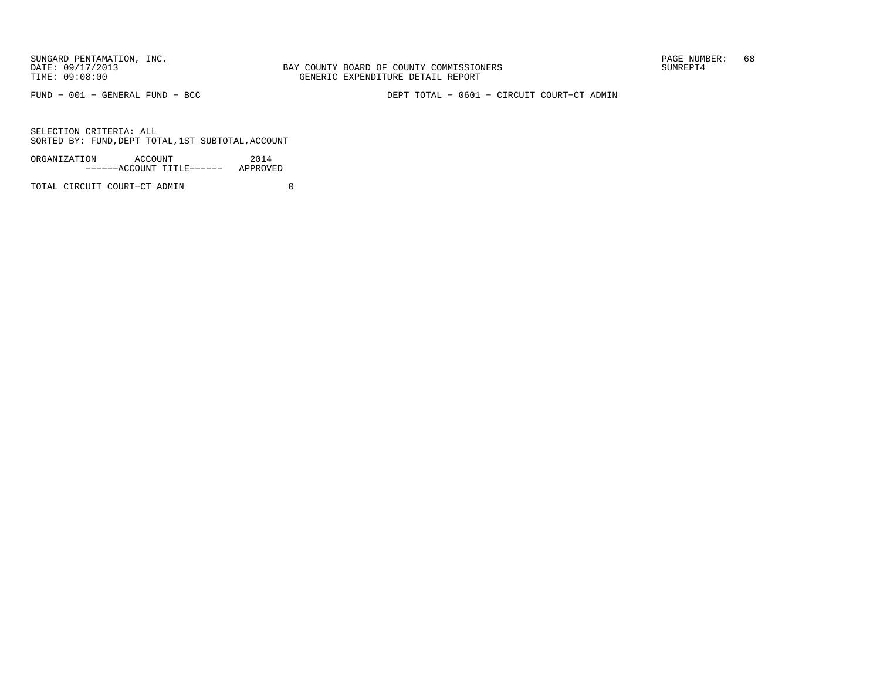BAY COUNTY BOARD OF COUNTY COMMISSIONERS TIME: 09:08:00 GENERIC EXPENDITURE DETAIL REPORT

FUND − 001 − GENERAL FUND − BCC DEPT TOTAL − 0601 − CIRCUIT COURT−CT ADMIN

SELECTION CRITERIA: ALLSORTED BY: FUND,DEPT TOTAL,1ST SUBTOTAL,ACCOUNT

| ORGANIZATION<br>ACCOUNT |  |                           | 2014     |
|-------------------------|--|---------------------------|----------|
|                         |  | ------ACCOUNT TITLE------ | APPROVED |

TOTAL CIRCUIT COURT−CT ADMIN 0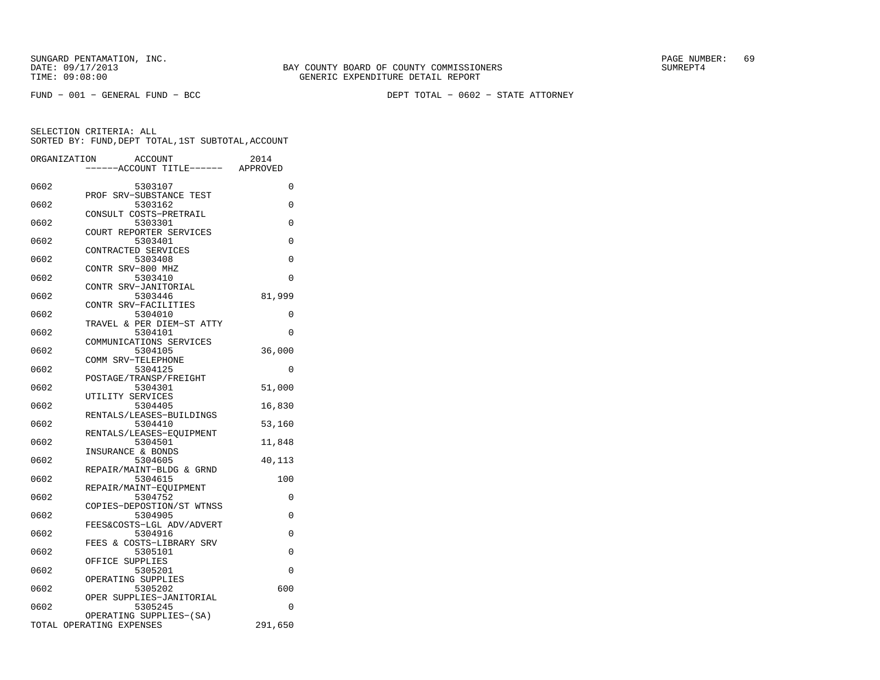FUND − 001 − GENERAL FUND − BCC DEPT TOTAL − 0602 − STATE ATTORNEY

|      | ORGANIZATION<br><b>ACCOUNT</b><br>---ACCOUNT TITLE------ APPROVED | 2014     |
|------|-------------------------------------------------------------------|----------|
|      |                                                                   |          |
| 0602 | 5303107                                                           | 0        |
|      | PROF SRV-SUBSTANCE TEST                                           |          |
| 0602 | 5303162<br>CONSULT COSTS-PRETRAIL                                 | 0        |
| 0602 | 5303301                                                           | 0        |
|      | COURT REPORTER SERVICES                                           |          |
| 0602 | 5303401                                                           | $\Omega$ |
|      | CONTRACTED SERVICES                                               |          |
| 0602 | 5303408                                                           | $\Omega$ |
|      | CONTR SRV-800 MHZ                                                 |          |
| 0602 | 5303410                                                           | $\Omega$ |
|      | CONTR SRV-JANITORIAL                                              |          |
| 0602 | 5303446                                                           | 81,999   |
| 0602 | CONTR SRV-FACILITIES                                              | 0        |
|      | 5304010<br>TRAVEL & PER DIEM-ST ATTY                              |          |
| 0602 | 5304101                                                           | $\Omega$ |
|      | COMMUNICATIONS SERVICES                                           |          |
| 0602 | 5304105                                                           | 36,000   |
|      | COMM SRV-TELEPHONE                                                |          |
| 0602 | 5304125                                                           | $\Omega$ |
|      | POSTAGE/TRANSP/FREIGHT                                            |          |
| 0602 | 5304301                                                           | 51,000   |
|      | UTILITY SERVICES                                                  |          |
| 0602 | 5304405                                                           | 16,830   |
| 0602 | RENTALS/LEASES-BUILDINGS                                          |          |
|      | 5304410<br>RENTALS/LEASES-EQUIPMENT                               | 53,160   |
| 0602 | 5304501                                                           | 11,848   |
|      | INSURANCE & BONDS                                                 |          |
| 0602 | 5304605                                                           | 40,113   |
|      | REPAIR/MAINT-BLDG & GRND                                          |          |
| 0602 | 5304615                                                           | 100      |
|      | REPAIR/MAINT-EOUIPMENT                                            |          |
| 0602 | 5304752                                                           | 0        |
|      | COPIES-DEPOSTION/ST WTNSS                                         |          |
| 0602 | 5304905<br>FEES&COSTS-LGL ADV/ADVERT                              | 0        |
| 0602 | 5304916                                                           | 0        |
|      | FEES & COSTS-LIBRARY SRV                                          |          |
| 0602 | 5305101                                                           | 0        |
|      | OFFICE<br>SUPPLIES                                                |          |
| 0602 | 5305201                                                           | 0        |
|      | OPERATING SUPPLIES                                                |          |
| 0602 | 5305202                                                           | 600      |
|      | OPER SUPPLIES-JANITORIAL                                          |          |
| 0602 | 5305245                                                           | 0        |
|      | OPERATING SUPPLIES-(SA)<br>TOTAL OPERATING EXPENSES               | 291,650  |
|      |                                                                   |          |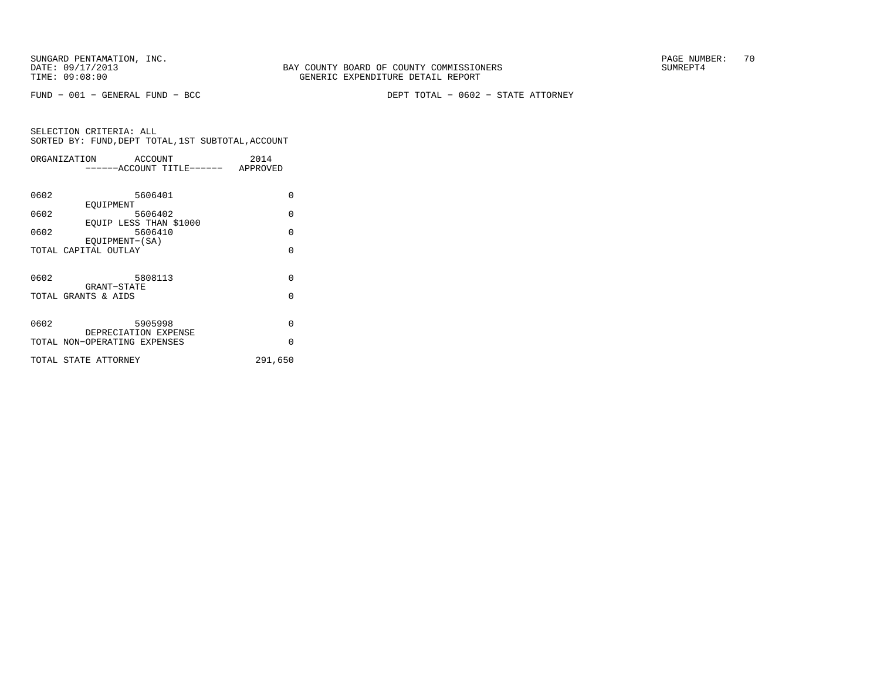FUND − 001 − GENERAL FUND − BCC DEPT TOTAL − 0602 − STATE ATTORNEY

|      | ORGANIZATION<br>ACCOUNT      | 2014     |
|------|------------------------------|----------|
|      | -----ACCOUNT TITLE------     | APPROVED |
|      |                              |          |
| 0602 | 5606401                      | $\Omega$ |
|      | EOUIPMENT                    |          |
| 0602 | 5606402                      | $\Omega$ |
|      | EOUIP LESS THAN \$1000       |          |
| 0602 | 5606410                      | $\Omega$ |
|      | EOUIPMENT-(SA)               | $\Omega$ |
|      | TOTAL CAPITAL OUTLAY         |          |
|      |                              |          |
| 0602 | 5808113                      | $\Omega$ |
|      | GRANT-STATE                  |          |
|      | TOTAL GRANTS & AIDS          | $\Omega$ |
|      |                              |          |
| 0602 | 5905998                      | $\Omega$ |
|      | DEPRECIATION EXPENSE         |          |
|      | TOTAL NON-OPERATING EXPENSES | $\Omega$ |
|      |                              |          |
|      | TOTAL STATE ATTORNEY         | 291,650  |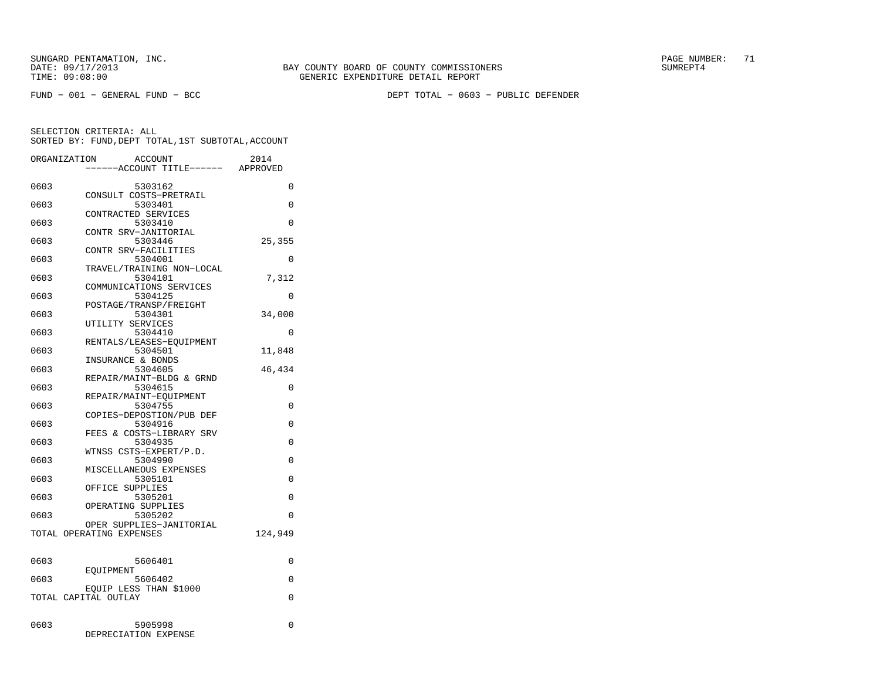FUND − 001 − GENERAL FUND − BCC DEPT TOTAL − 0603 − PUBLIC DEFENDER

|      | ORGANIZATION<br><b>ACCOUNT</b>      | 2014     |
|------|-------------------------------------|----------|
|      | ---ACCOUNT TITLE------ APPROVED     |          |
|      |                                     |          |
| 0603 | 5303162                             | $\Omega$ |
|      | CONSULT COSTS-PRETRAIL              |          |
| 0603 | 5303401                             | 0        |
|      | CONTRACTED SERVICES                 |          |
| 0603 | 5303410                             | $\Omega$ |
| 0603 | CONTR SRV-JANITORIAL                |          |
|      | 5303446<br>CONTR SRV-FACILITIES     | 25,355   |
| 0603 | 5304001                             | 0        |
|      | TRAVEL/TRAINING NON-LOCAL           |          |
| 0603 | 5304101                             | 7,312    |
|      | COMMUNICATIONS SERVICES             |          |
| 0603 | 5304125                             | $\Omega$ |
|      | POSTAGE/TRANSP/FREIGHT              |          |
| 0603 | 5304301                             | 34,000   |
|      | UTILITY SERVICES                    |          |
| 0603 | 5304410                             | $\Omega$ |
|      | RENTALS/LEASES-EQUIPMENT            |          |
| 0603 | 5304501                             | 11,848   |
|      | INSURANCE & BONDS                   |          |
| 0603 | 5304605                             | 46,434   |
|      | REPAIR/MAINT-BLDG & GRND            |          |
| 0603 | 5304615                             | 0        |
|      | REPAIR/MAINT-EQUIPMENT              |          |
| 0603 | 5304755                             | 0        |
|      | COPIES-DEPOSTION/PUB DEF            |          |
| 0603 | 5304916<br>FEES & COSTS-LIBRARY SRV | 0        |
| 0603 | 5304935                             | $\Omega$ |
|      | WTNSS CSTS-EXPERT/P.D.              |          |
| 0603 | 5304990                             | 0        |
|      | MISCELLANEOUS EXPENSES              |          |
| 0603 | 5305101                             | 0        |
|      | OFFICE SUPPLIES                     |          |
| 0603 | 5305201                             | $\Omega$ |
|      | OPERATING SUPPLIES                  |          |
| 0603 | 5305202                             | $\Omega$ |
|      | OPER SUPPLIES-JANITORIAL            |          |
|      | TOTAL OPERATING EXPENSES            | 124,949  |
|      |                                     |          |
|      |                                     |          |
| 0603 | 5606401                             | 0        |
|      | EOUIPMENT                           |          |
| 0603 | 5606402                             | $\Omega$ |
|      | EQUIP LESS THAN \$1000              |          |
|      | TOTAL CAPITAL OUTLAY                | $\Omega$ |
|      |                                     |          |
| 0603 | 5905998                             | 0        |
|      | DEPRECIATION EXPENSE                |          |
|      |                                     |          |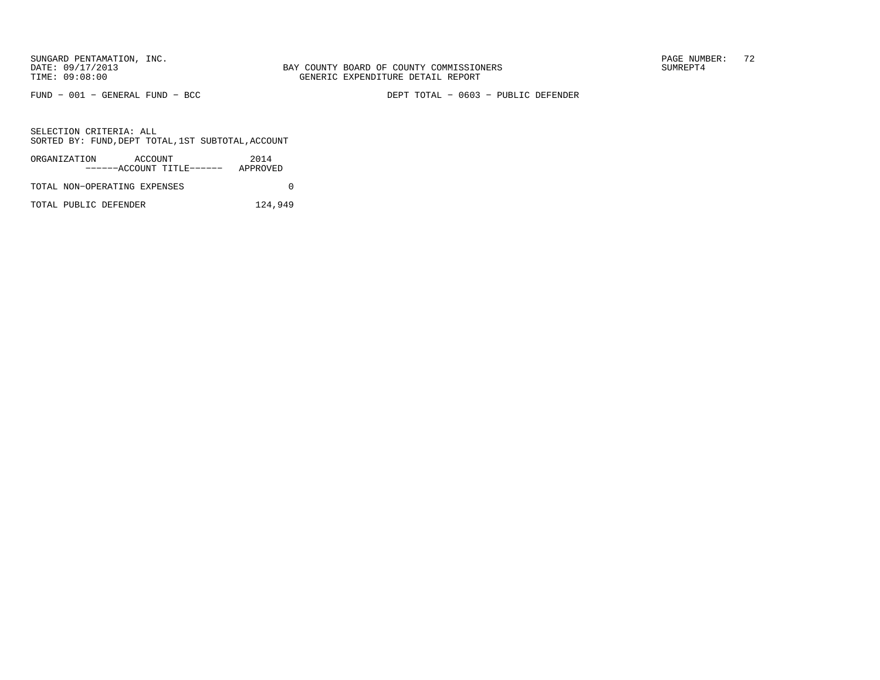FUND − 001 − GENERAL FUND − BCC DEPT TOTAL − 0603 − PUBLIC DEFENDER

SELECTION CRITERIA: ALLSORTED BY: FUND,DEPT TOTAL,1ST SUBTOTAL,ACCOUNT

| ORGANIZATION                 | ACCOUNT |                           | 2014     |  |
|------------------------------|---------|---------------------------|----------|--|
|                              |         | ------ACCOUNT TITLE------ | APPROVED |  |
| TOTAL NON-OPERATING EXPENSES |         |                           |          |  |

TOTAL PUBLIC DEFENDER 124,949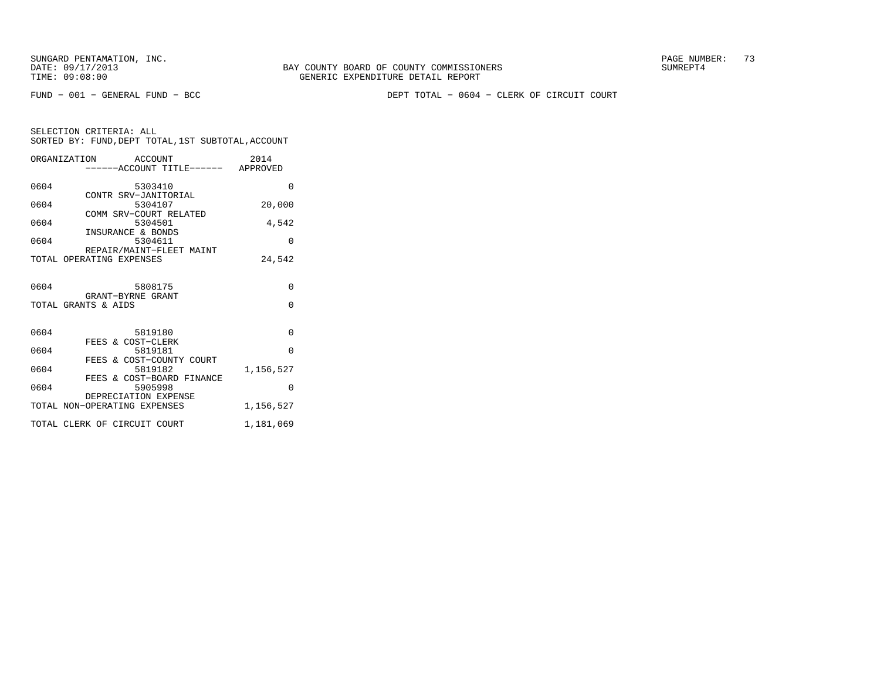FUND − 001 − GENERAL FUND − BCC DEPT TOTAL − 0604 − CLERK OF CIRCUIT COURT

|      | ORGANIZATION<br>ACCOUNT           | 2014      |
|------|-----------------------------------|-----------|
|      | -----ACCOUNT TITLE------ APPROVED |           |
|      |                                   |           |
| 0604 | 5303410                           | $\Omega$  |
|      | CONTR SRV-JANITORIAL              |           |
| 0604 | 5304107                           | 20,000    |
|      | COMM SRV-COURT RELATED            |           |
| 0604 | 5304501                           | 4,542     |
|      | INSURANCE & BONDS                 |           |
| 0604 | 5304611                           | $\Omega$  |
|      | REPAIR/MAINT-FLEET MAINT          |           |
|      | TOTAL OPERATING EXPENSES          | 24,542    |
|      |                                   |           |
| 0604 | 5808175                           | $\Omega$  |
|      | GRANT-BYRNE GRANT                 |           |
|      | TOTAL GRANTS & AIDS               | $\Omega$  |
|      |                                   |           |
|      |                                   |           |
| 0604 | 5819180                           | $\Omega$  |
|      | FEES & COST-CLERK                 |           |
| 0604 | 5819181                           | $\Omega$  |
|      | FEES & COST-COUNTY COURT          |           |
| 0604 | 5819182                           | 1,156,527 |
|      | FEES & COST-BOARD FINANCE         |           |
| 0604 | 5905998                           | $\Omega$  |
|      | DEPRECIATION EXPENSE              |           |
|      | TOTAL NON-OPERATING EXPENSES      | 1,156,527 |
|      |                                   |           |
|      | TOTAL CLERK OF CIRCUIT COURT      | 1,181,069 |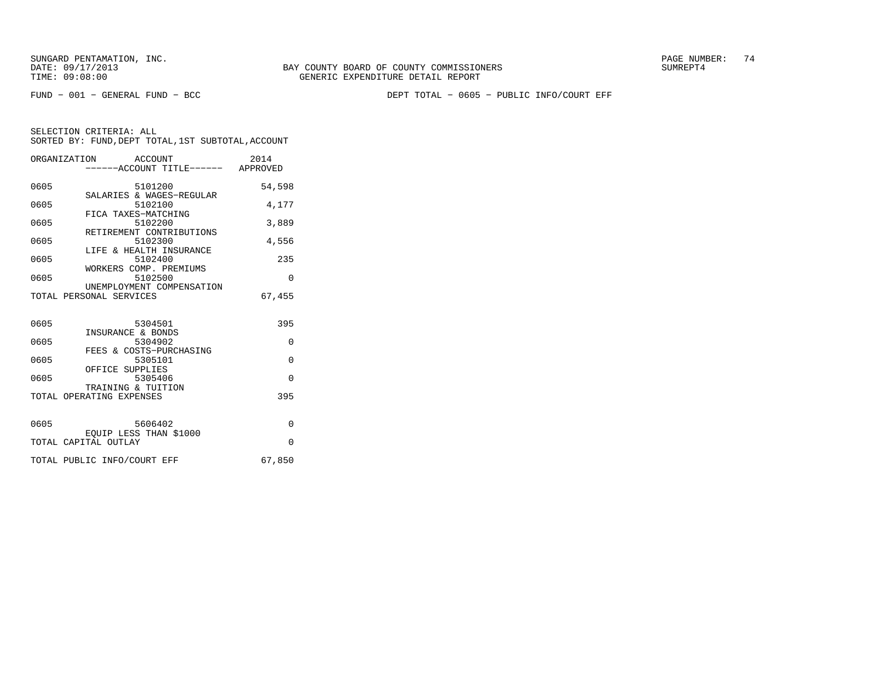FUND − 001 − GENERAL FUND − BCC DEPT TOTAL − 0605 − PUBLIC INFO/COURT EFF

|      | ORGANIZATION ACCOUNT<br>-----ACCOUNT TITLE------ APPROVED | 2014     |
|------|-----------------------------------------------------------|----------|
| 0605 | 5101200                                                   | 54,598   |
| 0605 | SALARIES & WAGES-REGULAR<br>5102100                       | 4.177    |
| 0605 | FICA TAXES-MATCHING<br>5102200                            | 3,889    |
| 0605 | RETIREMENT CONTRIBUTIONS<br>5102300                       | 4,556    |
| 0605 | LIFE & HEALTH INSURANCE<br>5102400                        | 235      |
| 0605 | WORKERS COMP. PREMIUMS<br>5102500                         | $\Omega$ |
|      | UNEMPLOYMENT COMPENSATION<br>TOTAL PERSONAL SERVICES      | 67,455   |
|      |                                                           |          |
| 0605 | 5304501<br>INSURANCE & BONDS                              | 395      |
| 0605 | 5304902                                                   | $\Omega$ |
| 0605 | FEES & COSTS-PURCHASING<br>5305101                        | $\Omega$ |
| 0605 | OFFICE SUPPLIES<br>5305406                                | $\Omega$ |
|      | TRAINING & TUITION<br>TOTAL OPERATING EXPENSES            | 395      |
|      |                                                           |          |
| 0605 | 5606402<br>EQUIP LESS THAN \$1000                         | $\Omega$ |
|      | TOTAL CAPITAL OUTLAY                                      | $\Omega$ |
|      | TOTAL PUBLIC INFO/COURT EFF                               | 67,850   |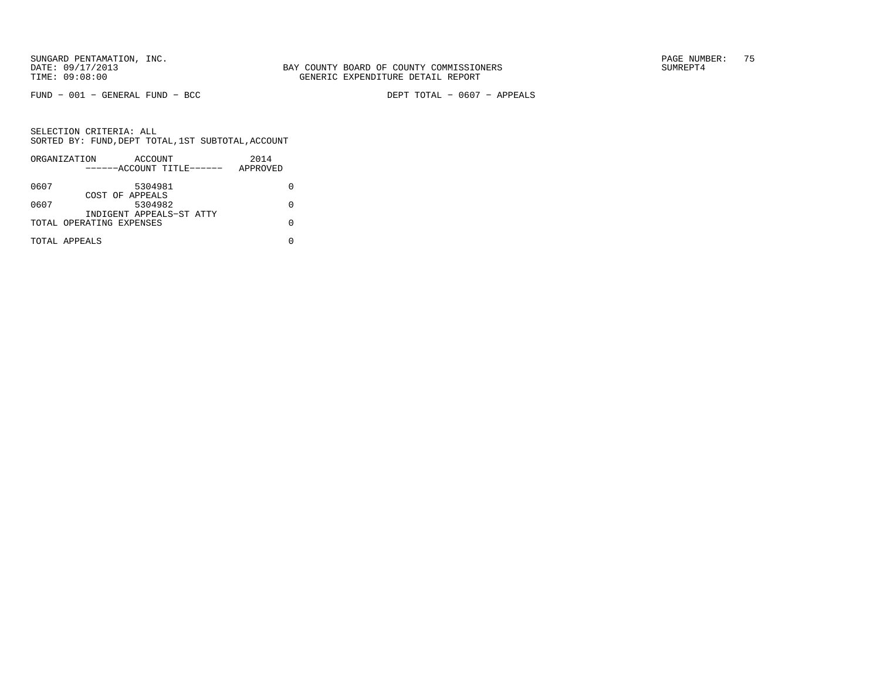FUND − 001 − GENERAL FUND − BCC DEPT TOTAL − 0607 − APPEALS

|      | ORGANIZATION              | ACCOUNT |  | 2014     |  |
|------|---------------------------|---------|--|----------|--|
|      | ------ACCOUNT TITLE------ |         |  | APPROVED |  |
| 0607 |                           | 5304981 |  |          |  |
|      | COST OF APPEALS           |         |  |          |  |
| 0607 |                           | 5304982 |  |          |  |
|      | INDIGENT APPEALS-ST ATTY  |         |  |          |  |
|      | TOTAL OPERATING EXPENSES  |         |  |          |  |
|      | TOTAL APPEALS             |         |  |          |  |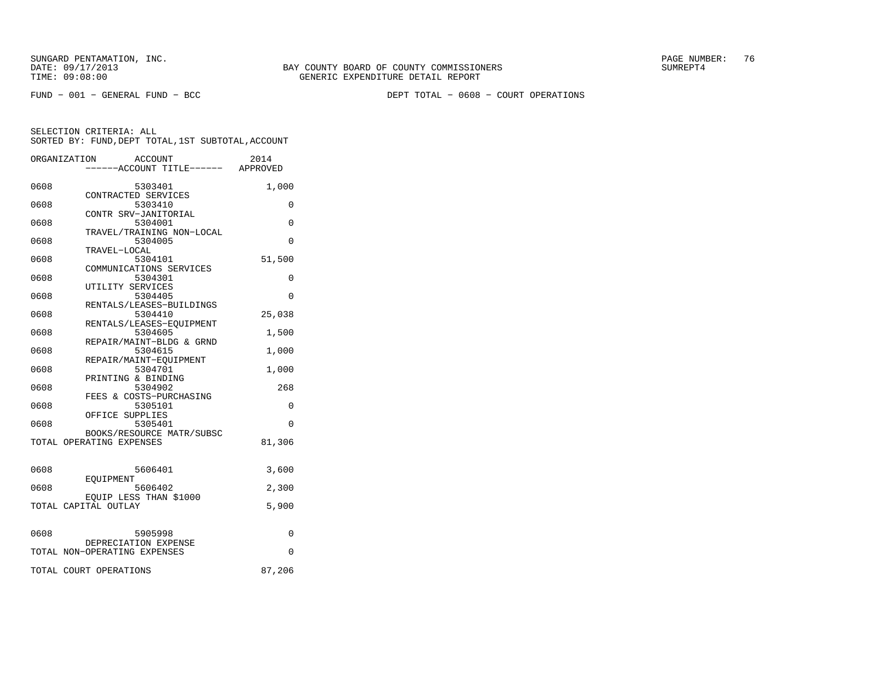FUND − 001 − GENERAL FUND − BCC DEPT TOTAL − 0608 − COURT OPERATIONS

|      | ORGANIZATION<br>ACCOUNT<br>-----ACCOUNT TITLE------ APPROVED | 2014   |
|------|--------------------------------------------------------------|--------|
| 0608 | 5303401                                                      | 1,000  |
| 0608 | CONTRACTED SERVICES<br>5303410                               | 0      |
| 0608 | CONTR SRV-JANITORIAL<br>5304001                              | 0      |
| 0608 | TRAVEL/TRAINING NON-LOCAL<br>5304005                         | 0      |
| 0608 | TRAVEL-LOCAL<br>5304101                                      | 51,500 |
| 0608 | COMMUNICATIONS SERVICES<br>5304301                           | 0      |
| 0608 | UTILITY SERVICES<br>5304405                                  | 0      |
| 0608 | RENTALS/LEASES-BUILDINGS<br>5304410                          | 25,038 |
| 0608 | RENTALS/LEASES-EOUIPMENT<br>5304605                          | 1,500  |
| 0608 | REPAIR/MAINT-BLDG & GRND<br>5304615                          | 1,000  |
| 0608 | REPAIR/MAINT-EOUIPMENT<br>5304701                            | 1,000  |
| 0608 | PRINTING & BINDING<br>5304902<br>FEES & COSTS-PURCHASING     | 268    |
| 0608 | 5305101<br>OFFICE SUPPLIES                                   | 0      |
| 0608 | 5305401<br>BOOKS/RESOURCE MATR/SUBSC                         | 0      |
|      | TOTAL OPERATING EXPENSES                                     | 81,306 |
| 0608 | 5606401                                                      | 3,600  |
| 0608 | EOUIPMENT<br>5606402                                         | 2,300  |
|      | EQUIP LESS THAN \$1000<br>TOTAL CAPITAL OUTLAY               | 5,900  |
| 0608 | 5905998                                                      | 0      |
|      | DEPRECIATION EXPENSE<br>TOTAL NON-OPERATING EXPENSES         | 0      |
|      | TOTAL COURT OPERATIONS                                       | 87,206 |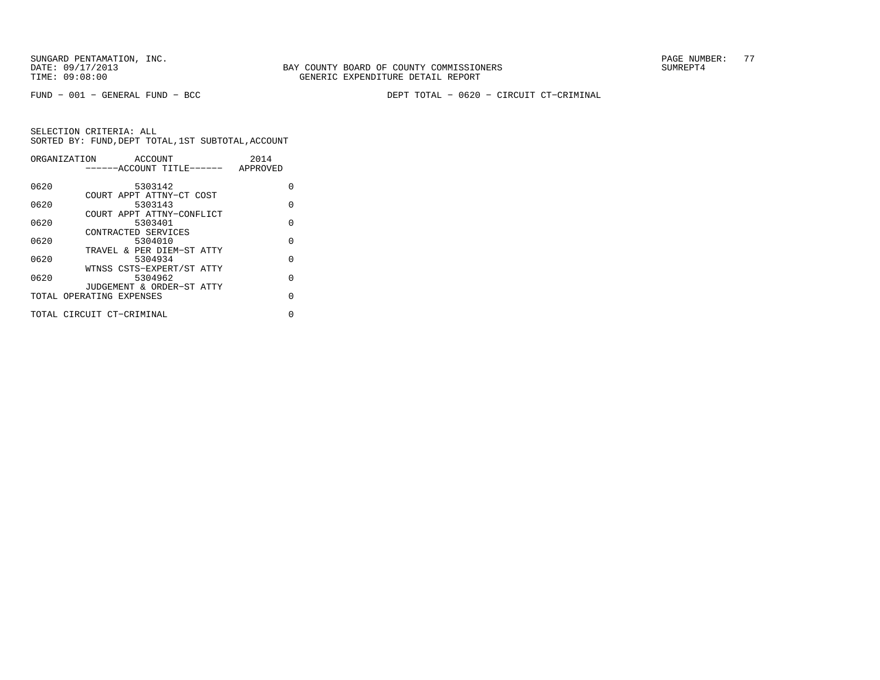FUND − 001 − GENERAL FUND − BCC DEPT TOTAL − 0620 − CIRCUIT CT−CRIMINAL

|      | ORGANIZATION<br>ACCOUNT   | 2014     |
|------|---------------------------|----------|
|      | ------ACCOUNT TITLE------ | APPROVED |
|      |                           |          |
| 0620 | 5303142                   | O        |
|      | COURT APPT ATTNY-CT COST  |          |
| 0620 | 5303143                   | $\Omega$ |
|      | COURT APPT ATTNY-CONFLICT |          |
| 0620 | 5303401                   | O        |
|      | CONTRACTED SERVICES       |          |
| 0620 | 5304010                   | $\Omega$ |
|      | TRAVEL & PER DIEM-ST ATTY |          |
| 0620 | 5304934                   | $\Omega$ |
|      | WTNSS CSTS-EXPERT/ST ATTY |          |
| 0620 | 5304962                   | $\Omega$ |
|      | JUDGEMENT & ORDER-ST ATTY |          |
|      | TOTAL OPERATING EXPENSES  | $\Omega$ |
|      |                           |          |
|      | TOTAL CIRCUIT CT-CRIMINAL | 0        |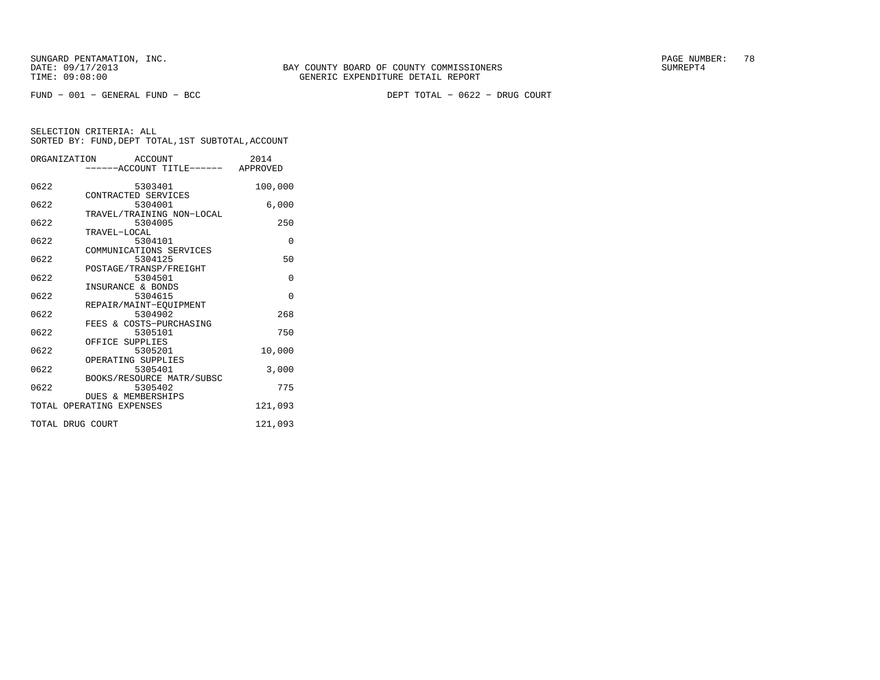|                  | ORGANIZATION ACCOUNT<br>------ACCOUNT TITLE------ APPROVED | 2014     |
|------------------|------------------------------------------------------------|----------|
| 0622             | 5303401<br>CONTRACTED SERVICES                             | 100,000  |
| 0622             | 5304001<br>TRAVEL/TRAINING NON-LOCAL                       | 6,000    |
| 0622             | 5304005<br>TRAVEL-LOCAL                                    | 250      |
| 0622             | 5304101<br>COMMUNICATIONS SERVICES                         | $\Omega$ |
| 0622             | 5304125<br>POSTAGE/TRANSP/FREIGHT                          | 50       |
| 0622             | 5304501<br>INSURANCE & BONDS                               | $\Omega$ |
| 0622             | 5304615<br>REPAIR/MAINT-EQUIPMENT                          | $\Omega$ |
| 0622             | 5304902<br>FEES & COSTS-PURCHASING                         | 268      |
| 0622             | 5305101<br>OFFICE SUPPLIES                                 | 750      |
| 0622             | 5305201<br>OPERATING SUPPLIES                              | 10,000   |
| 0622             | 5305401<br>BOOKS/RESOURCE MATR/SUBSC                       | 3,000    |
| 0622             | 5305402<br>DUES & MEMBERSHIPS                              | 775      |
|                  | TOTAL OPERATING EXPENSES                                   | 121,093  |
| TOTAL DRUG COURT |                                                            | 121,093  |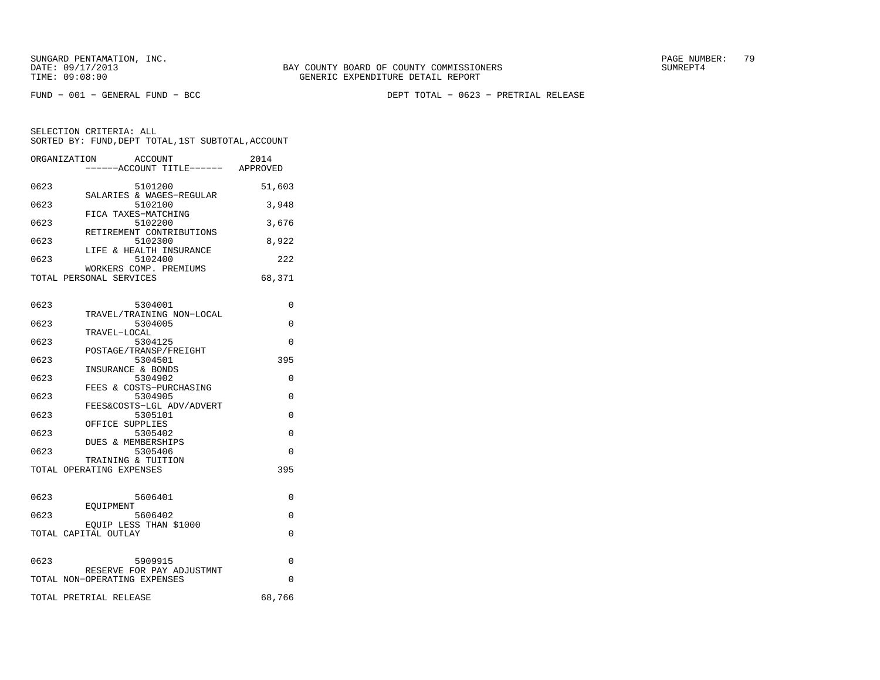FUND − 001 − GENERAL FUND − BCC DEPT TOTAL − 0623 − PRETRIAL RELEASE

| ORGANIZATION<br><b>ACCOUNT</b><br>----ACCOUNT TITLE------ APPROVED | 2014   |
|--------------------------------------------------------------------|--------|
| 0623<br>5101200                                                    | 51,603 |
| SALARIES & WAGES-REGULAR<br>0623<br>5102100                        | 3,948  |
| FICA TAXES-MATCHING<br>0623<br>5102200                             | 3,676  |
| RETIREMENT CONTRIBUTIONS<br>0623<br>5102300                        | 8,922  |
| LIFE & HEALTH INSURANCE<br>0623<br>5102400                         | 222    |
| WORKERS COMP. PREMIUMS<br>TOTAL PERSONAL SERVICES                  | 68,371 |
| 0623<br>5304001                                                    | 0      |
| TRAVEL/TRAINING NON-LOCAL<br>5304005<br>0623                       | 0      |
| TRAVEL-LOCAL<br>0623<br>5304125                                    | 0      |
| POSTAGE/TRANSP/FREIGHT<br>0623<br>5304501                          | 395    |
| INSURANCE & BONDS<br>5304902<br>0623                               | 0      |
| FEES & COSTS-PURCHASING<br>0623<br>5304905                         | 0      |
| FEES&COSTS-LGL ADV/ADVERT<br>0623<br>5305101                       | 0      |
| OFFICE SUPPLIES<br>0623<br>5305402                                 | 0      |
| DUES & MEMBERSHIPS<br>0623<br>5305406                              | 0      |
| TRAINING & TUITION<br>TOTAL OPERATING EXPENSES                     | 395    |
| 0623<br>5606401                                                    | 0      |
| EOUIPMENT<br>0623<br>5606402                                       | 0      |
| EQUIP LESS THAN \$1000<br>TOTAL CAPITAL OUTLAY                     | 0      |
|                                                                    |        |
| 0623<br>5909915<br>RESERVE FOR PAY ADJUSTMNT                       | 0      |
| TOTAL NON-OPERATING EXPENSES                                       | 0      |
| TOTAL PRETRIAL RELEASE                                             | 68,766 |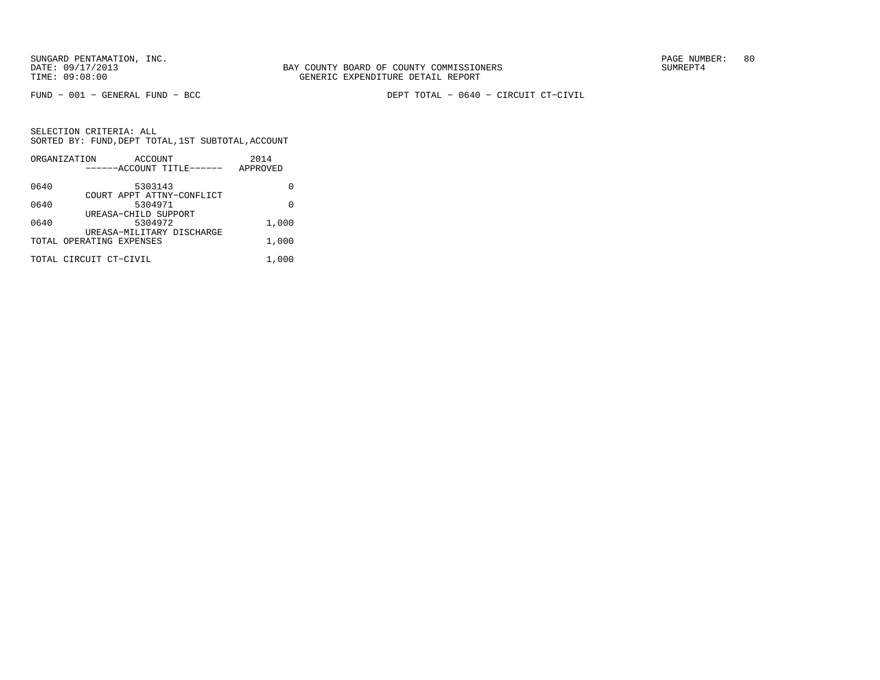FUND − 001 − GENERAL FUND − BCC DEPT TOTAL − 0640 − CIRCUIT CT−CIVIL

|      | ORGANIZATION              | ACCOUNT | 2014     |
|------|---------------------------|---------|----------|
|      | ------ACCOUNT TITLE------ |         | APPROVED |
| 0640 |                           | 5303143 |          |
|      | COURT APPT ATTNY-CONFLICT |         |          |
| 0640 |                           | 5304971 | U        |
|      | UREASA-CHILD SUPPORT      |         |          |
| 0640 |                           | 5304972 | 1,000    |
|      | UREASA-MILITARY DISCHARGE |         |          |
|      | TOTAL OPERATING EXPENSES  |         | 1,000    |
|      | TOTAL CIRCUIT CT-CIVIL    |         | 1,000    |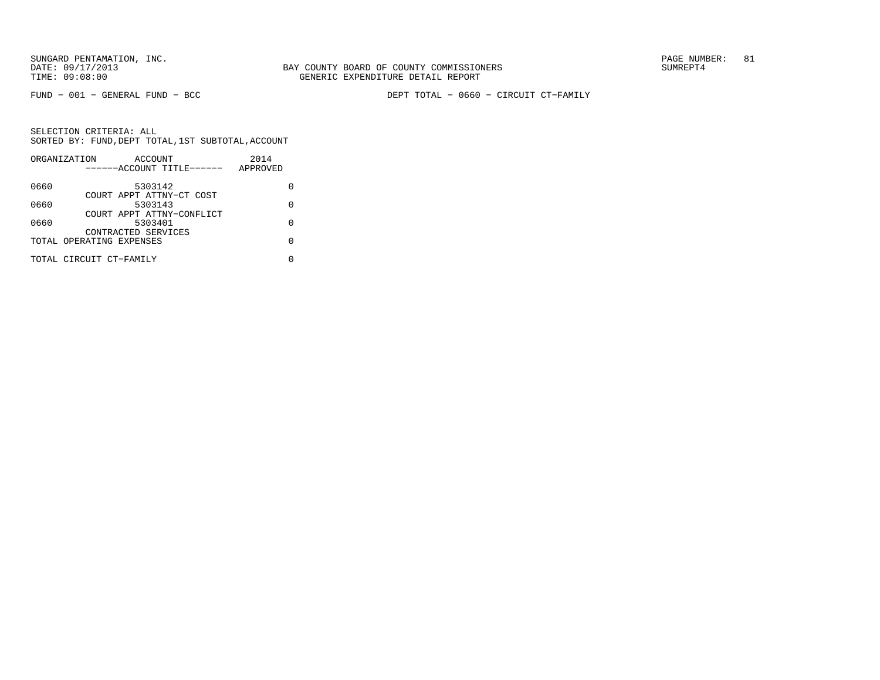FUND − 001 − GENERAL FUND − BCC DEPT TOTAL − 0660 − CIRCUIT CT−FAMILY

| ORGANIZATION |                         |                                                                                             | 2014                                                                               |   |
|--------------|-------------------------|---------------------------------------------------------------------------------------------|------------------------------------------------------------------------------------|---|
|              |                         |                                                                                             | APPROVED                                                                           |   |
|              |                         |                                                                                             |                                                                                    |   |
|              |                         |                                                                                             |                                                                                    |   |
|              |                         |                                                                                             |                                                                                    | O |
|              |                         |                                                                                             |                                                                                    |   |
|              |                         |                                                                                             |                                                                                    | U |
|              |                         |                                                                                             |                                                                                    |   |
|              |                         |                                                                                             |                                                                                    | U |
|              |                         |                                                                                             |                                                                                    |   |
|              | TOTAL CIRCUIT CT-FAMILY | ACCOUNT<br>5303142<br>5303143<br>5303401<br>CONTRACTED SERVICES<br>TOTAL OPERATING EXPENSES | ------ACCOUNT TITLE------<br>COURT APPT ATTNY-CT COST<br>COURT APPT ATTNY-CONFLICT |   |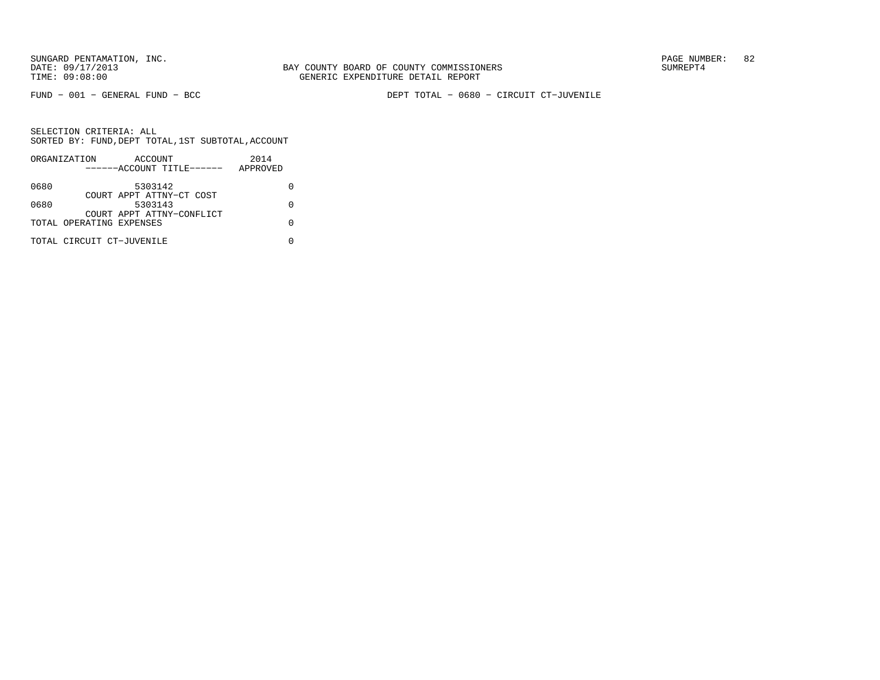FUND − 001 − GENERAL FUND − BCC DEPT TOTAL − 0680 − CIRCUIT CT−JUVENILE

|      | ORGANIZATION              | ACCOUNT                   |  | 2014     |  |
|------|---------------------------|---------------------------|--|----------|--|
|      |                           | ------ACCOUNT TITLE------ |  | APPROVED |  |
| 0680 |                           | 5303142                   |  |          |  |
|      |                           | COURT APPT ATTNY-CT COST  |  |          |  |
| 0680 |                           | 5303143                   |  |          |  |
|      | TOTAL OPERATING EXPENSES  | COURT APPT ATTNY-CONFLICT |  |          |  |
|      |                           |                           |  |          |  |
|      | TOTAL CIRCUIT CT-JUVENILE |                           |  |          |  |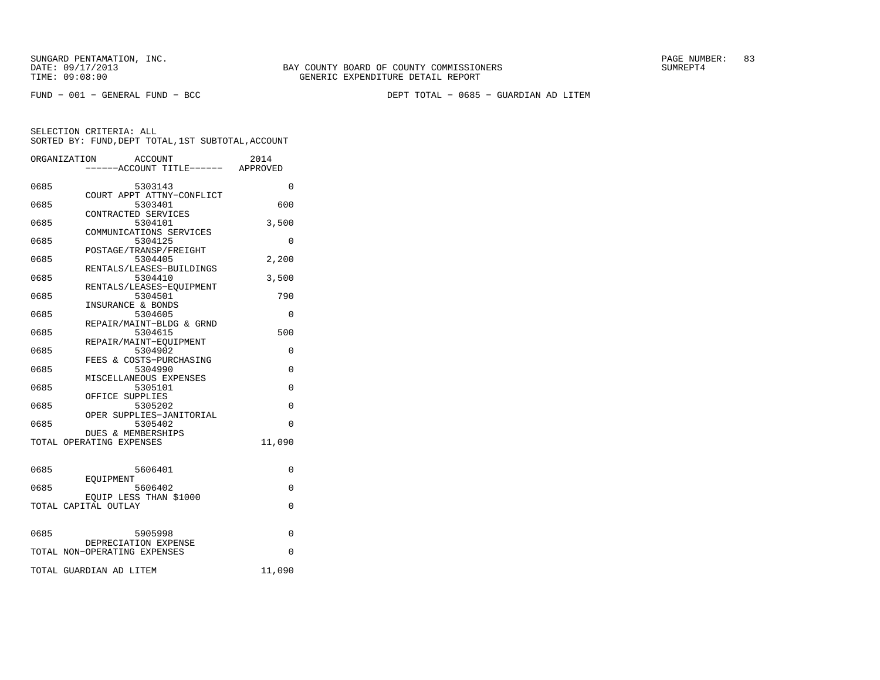FUND − 001 − GENERAL FUND − BCC DEPT TOTAL − 0685 − GUARDIAN AD LITEM

|      | ORGANIZATION<br><b>ACCOUNT</b><br>----ACCOUNT TITLE------ APPROVED | 2014     |
|------|--------------------------------------------------------------------|----------|
| 0685 | 5303143                                                            | $\Omega$ |
| 0685 | COURT APPT ATTNY-CONFLICT<br>5303401                               | 600      |
| 0685 | CONTRACTED SERVICES<br>5304101                                     | 3,500    |
| 0685 | COMMUNICATIONS SERVICES<br>5304125                                 | 0        |
| 0685 | POSTAGE/TRANSP/FREIGHT<br>5304405                                  | 2,200    |
| 0685 | RENTALS/LEASES-BUILDINGS<br>5304410                                | 3,500    |
| 0685 | RENTALS/LEASES-EOUIPMENT<br>5304501                                | 790      |
| 0685 | INSURANCE & BONDS<br>5304605                                       | 0        |
| 0685 | REPAIR/MAINT-BLDG & GRND<br>5304615                                | 500      |
| 0685 | REPAIR/MAINT-EQUIPMENT<br>5304902                                  | $\Omega$ |
| 0685 | FEES & COSTS-PURCHASING<br>5304990                                 | $\Omega$ |
| 0685 | MISCELLANEOUS EXPENSES<br>5305101                                  | $\Omega$ |
| 0685 | OFFICE SUPPLIES<br>5305202                                         | $\Omega$ |
| 0685 | OPER SUPPLIES-JANITORIAL<br>5305402                                | $\Omega$ |
|      | <b>DUES &amp; MEMBERSHIPS</b><br>TOTAL OPERATING EXPENSES          | 11,090   |
|      |                                                                    |          |
| 0685 | 5606401<br><b>EOUIPMENT</b>                                        | 0        |
| 0685 | 5606402<br>EQUIP LESS THAN \$1000                                  | 0        |
|      | TOTAL CAPITAL OUTLAY                                               | 0        |
| 0685 | 5905998                                                            | 0        |
|      | DEPRECIATION EXPENSE<br>TOTAL NON-OPERATING EXPENSES               | 0        |
|      | TOTAL GUARDIAN AD LITEM                                            | 11,090   |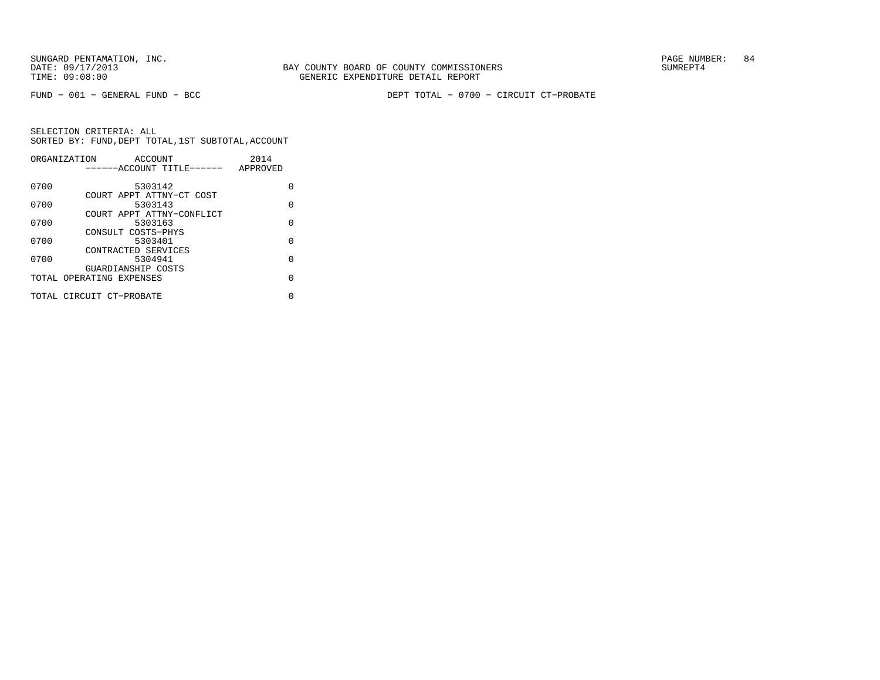FUND − 001 − GENERAL FUND − BCC DEPT TOTAL − 0700 − CIRCUIT CT−PROBATE

|      | ORGANIZATION<br>ACCOUNT   | 2014     |
|------|---------------------------|----------|
|      | ------ACCOUNT TITLE------ | APPROVED |
| 0700 | 5303142                   | U        |
|      | COURT APPT ATTNY-CT COST  |          |
| 0700 | 5303143                   | O        |
|      | COURT APPT ATTNY-CONFLICT |          |
| 0700 | 5303163                   | $\Omega$ |
|      | CONSULT COSTS-PHYS        |          |
| 0700 | 5303401                   | O        |
|      | CONTRACTED SERVICES       |          |
| 0700 | 5304941                   | $\Omega$ |
|      | GUARDIANSHIP COSTS        |          |
|      | TOTAL OPERATING EXPENSES  | U        |
|      |                           |          |
|      | TOTAL CIRCUIT CT-PROBATE  | N        |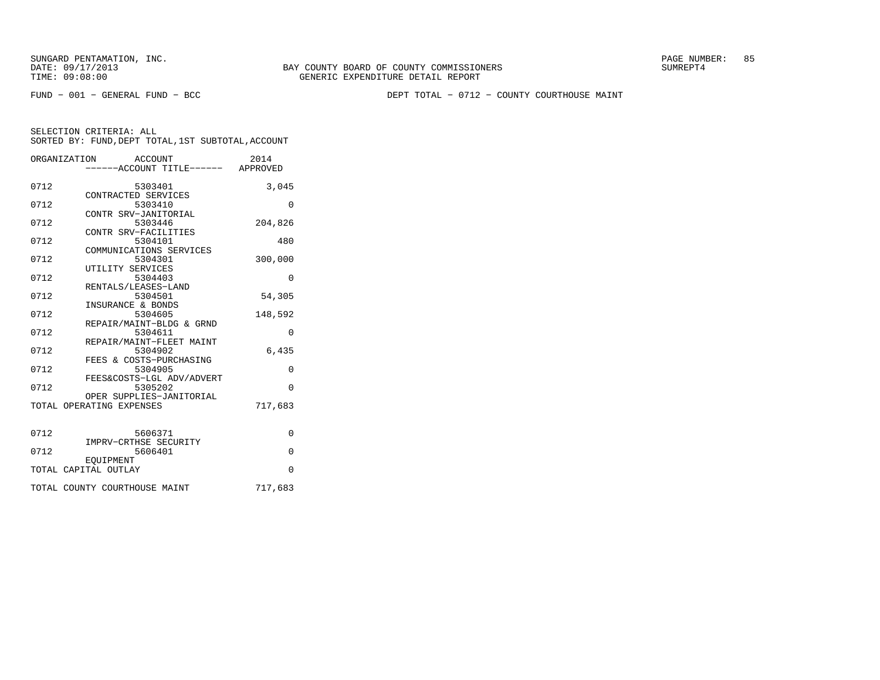FUND − 001 − GENERAL FUND − BCC DEPT TOTAL − 0712 − COUNTY COURTHOUSE MAINT

|      | ORGANIZATION<br>ACCOUNT                              | 2014     |
|------|------------------------------------------------------|----------|
|      | ----ACCOUNT TITLE------ APPROVED                     |          |
| 0712 | 5303401                                              | 3,045    |
| 0712 | CONTRACTED SERVICES<br>5303410                       | 0        |
|      | CONTR SRV-JANITORIAL                                 |          |
| 0712 | 5303446<br>CONTR SRV-FACILITIES                      | 204,826  |
| 0712 | 5304101                                              | 480      |
|      | COMMUNICATIONS SERVICES                              |          |
| 0712 | 5304301<br>UTILITY SERVICES                          | 300,000  |
| 0712 | 5304403                                              | 0        |
| 0712 | RENTALS/LEASES-LAND<br>5304501                       | 54,305   |
|      | INSURANCE & BONDS                                    |          |
| 0712 | 5304605<br>REPAIR/MAINT-BLDG & GRND                  | 148,592  |
| 0712 | 5304611                                              | $\Omega$ |
| 0712 | REPAIR/MAINT-FLEET MAINT<br>5304902                  | 6,435    |
|      | FEES & COSTS-PURCHASING                              |          |
| 0712 | 5304905<br>FEES&COSTS-LGL ADV/ADVERT                 | $\Omega$ |
| 0712 | 5305202                                              | $\Omega$ |
|      | OPER SUPPLIES-JANITORIAL<br>TOTAL OPERATING EXPENSES | 717,683  |
|      |                                                      |          |
| 0712 | 5606371                                              | $\Omega$ |
|      | IMPRV-CRTHSE SECURITY                                |          |
| 0712 | 5606401                                              | $\Omega$ |
|      | EOUIPMENT<br>TOTAL CAPITAL OUTLAY                    | $\Omega$ |
|      | TOTAL COUNTY COURTHOUSE MAINT                        | 717,683  |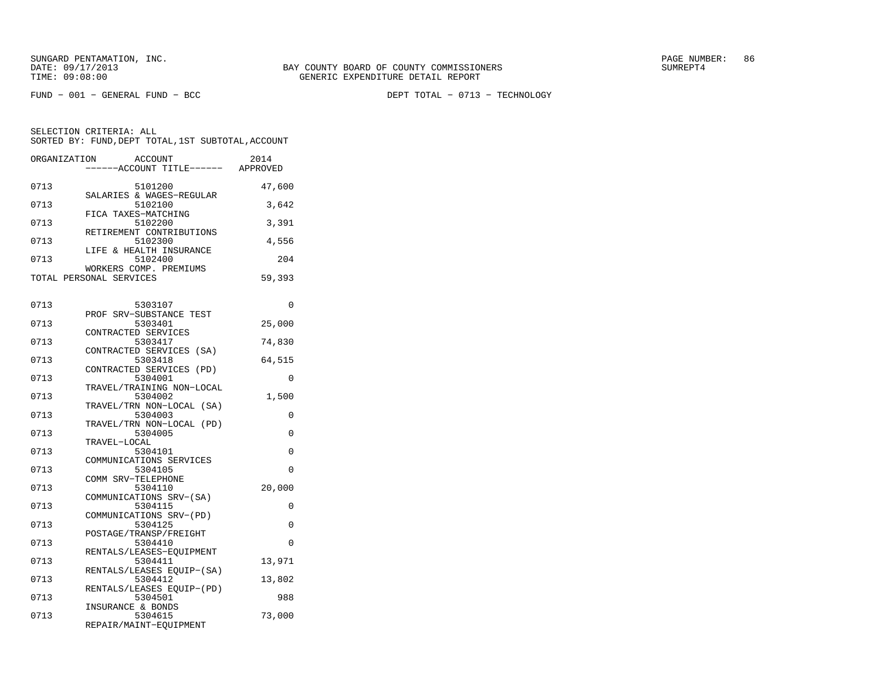FUND − 001 − GENERAL FUND − BCC DEPT TOTAL − 0713 − TECHNOLOGY

| ORGANIZATION            |                         | <b>ACCOUNT</b> |                           | 2014     |
|-------------------------|-------------------------|----------------|---------------------------|----------|
|                         |                         |                | -----ACCOUNT TITLE------  | APPROVED |
|                         |                         |                |                           |          |
| 0713                    |                         | 5101200        | SALARIES & WAGES-REGULAR  | 47,600   |
| 0713                    |                         | 5102100        |                           | 3,642    |
|                         | FICA TAXES-MATCHING     |                |                           |          |
| 0713                    |                         | 5102200        |                           | 3,391    |
|                         |                         |                | RETIREMENT CONTRIBUTIONS  |          |
| 0713                    |                         | 5102300        |                           | 4,556    |
| 0713                    | LIFE & HEALTH INSURANCE | 5102400        |                           | 204      |
|                         | WORKERS COMP. PREMIUMS  |                |                           |          |
| TOTAL PERSONAL SERVICES |                         |                |                           | 59,393   |
|                         |                         |                |                           |          |
|                         |                         |                |                           |          |
| 0713                    |                         | 5303107        |                           | 0        |
| 0713                    | PROF SRV-SUBSTANCE TEST |                |                           | 25,000   |
|                         | CONTRACTED SERVICES     | 5303401        |                           |          |
| 0713                    |                         | 5303417        |                           | 74,830   |
|                         |                         |                | CONTRACTED SERVICES (SA)  |          |
| 0713                    |                         | 5303418        |                           | 64,515   |
|                         |                         |                | CONTRACTED SERVICES (PD)  |          |
| 0713                    |                         | 5304001        |                           | $\Omega$ |
|                         |                         |                | TRAVEL/TRAINING NON-LOCAL |          |
| 0713                    |                         | 5304002        | TRAVEL/TRN NON-LOCAL (SA) | 1,500    |
| 0713                    |                         | 5304003        |                           | $\Omega$ |
|                         |                         |                | TRAVEL/TRN NON-LOCAL (PD) |          |
| 0713                    |                         | 5304005        |                           | 0        |
|                         | TRAVEL-LOCAL            |                |                           |          |
| 0713                    |                         | 5304101        |                           | $\Omega$ |
|                         | COMMUNICATIONS SERVICES |                |                           |          |
| 0713                    | COMM SRV-TELEPHONE      | 5304105        |                           | 0        |
| 0713                    |                         | 5304110        |                           | 20,000   |
|                         | COMMUNICATIONS SRV-(SA) |                |                           |          |
| 0713                    |                         | 5304115        |                           | 0        |
|                         | COMMUNICATIONS SRV-(PD) |                |                           |          |
| 0713                    |                         | 5304125        |                           | 0        |
| 0713                    | POSTAGE/TRANSP/FREIGHT  | 5304410        |                           | $\Omega$ |
|                         |                         |                | RENTALS/LEASES-EQUIPMENT  |          |
| 0713                    |                         | 5304411        |                           | 13,971   |
|                         |                         |                | RENTALS/LEASES EQUIP-(SA) |          |
| 0713                    |                         | 5304412        |                           | 13,802   |
|                         |                         |                | RENTALS/LEASES EQUIP-(PD) |          |
| 0713                    |                         | 5304501        |                           | 988      |
| 0713                    | INSURANCE & BONDS       | 5304615        |                           | 73,000   |
|                         | REPAIR/MAINT-EQUIPMENT  |                |                           |          |
|                         |                         |                |                           |          |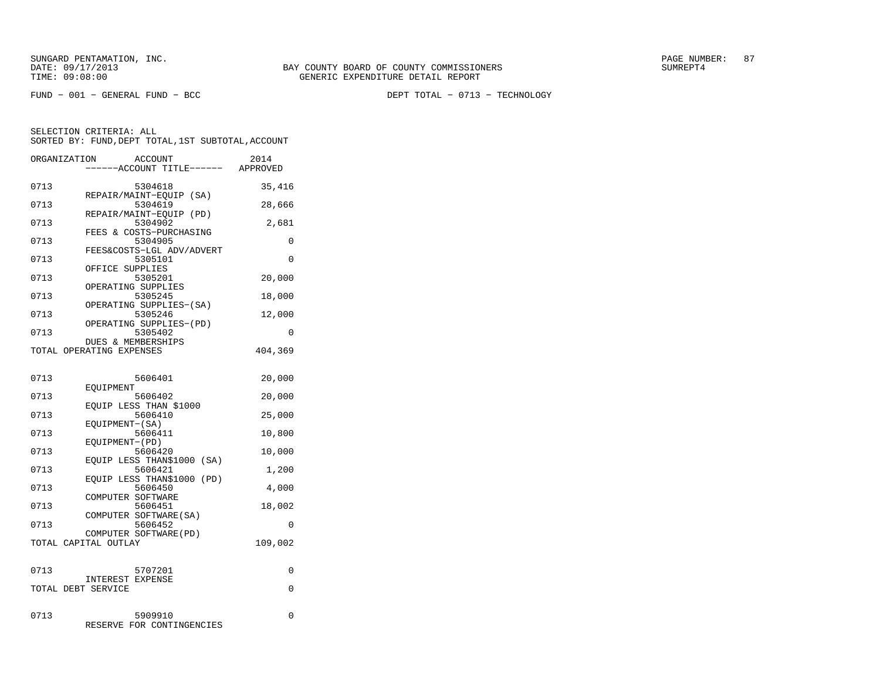FUND − 001 − GENERAL FUND − BCC DEPT TOTAL − 0713 − TECHNOLOGY

| ORGANIZATION       |                          | <b>ACCOUNT</b><br>---ACCOUNT TITLE------ |      | 2014<br>APPROVED |
|--------------------|--------------------------|------------------------------------------|------|------------------|
| 0713               |                          | 5304618<br>REPAIR/MAINT-EOUIP (SA)       |      | 35,416           |
| 0713               |                          | 5304619                                  |      | 28,666           |
| 0713               |                          | REPAIR/MAINT-EQUIP (PD)<br>5304902       |      | 2,681            |
| 0713               |                          | FEES & COSTS-PURCHASING<br>5304905       |      | 0                |
| 0713               |                          | FEES&COSTS-LGL ADV/ADVERT<br>5305101     |      | 0                |
| 0713               | OFFICE SUPPLIES          | 5305201                                  |      | 20,000           |
| 0713               |                          | OPERATING SUPPLIES<br>5305245            |      | 18,000           |
| 0713               |                          | OPERATING SUPPLIES-(SA)<br>5305246       |      | 12,000           |
| 0713               |                          | OPERATING SUPPLIES-(PD)<br>5305402       |      | 0                |
|                    | TOTAL OPERATING EXPENSES | DUES & MEMBERSHIPS                       |      | 404,369          |
| 0713               | EOUIPMENT                | 5606401                                  |      | 20,000           |
| 0713               |                          | 5606402                                  |      | 20,000           |
| 0713               |                          | EOUIP LESS THAN \$1000<br>5606410        |      | 25,000           |
| 0713               | EQUIPMENT-(SA)           | 5606411                                  |      | 10,800           |
| 0713               | EQUIPMENT-(PD)           | 5606420                                  |      | 10,000           |
| 0713               |                          | EQUIP LESS THAN\$1000<br>5606421         | (SA) | 1,200            |
| 0713               |                          | EQUIP LESS THAN\$1000<br>5606450         | (PD) | 4,000            |
| 0713               | COMPUTER SOFTWARE        | 5606451                                  |      | 18,002           |
| 0713               |                          | COMPUTER SOFTWARE (SA)<br>5606452        |      | 0                |
|                    | TOTAL CAPITAL OUTLAY     | COMPUTER SOFTWARE (PD)                   |      | 109,002          |
| 0713               |                          | 5707201                                  |      | $\Omega$         |
| TOTAL DEBT SERVICE | <b>INTEREST EXPENSE</b>  |                                          |      | $\Omega$         |
|                    |                          |                                          |      |                  |
| 0713               | <b>RESERVE</b>           | 5909910<br>FOR CONTINGENCIES             |      | 0                |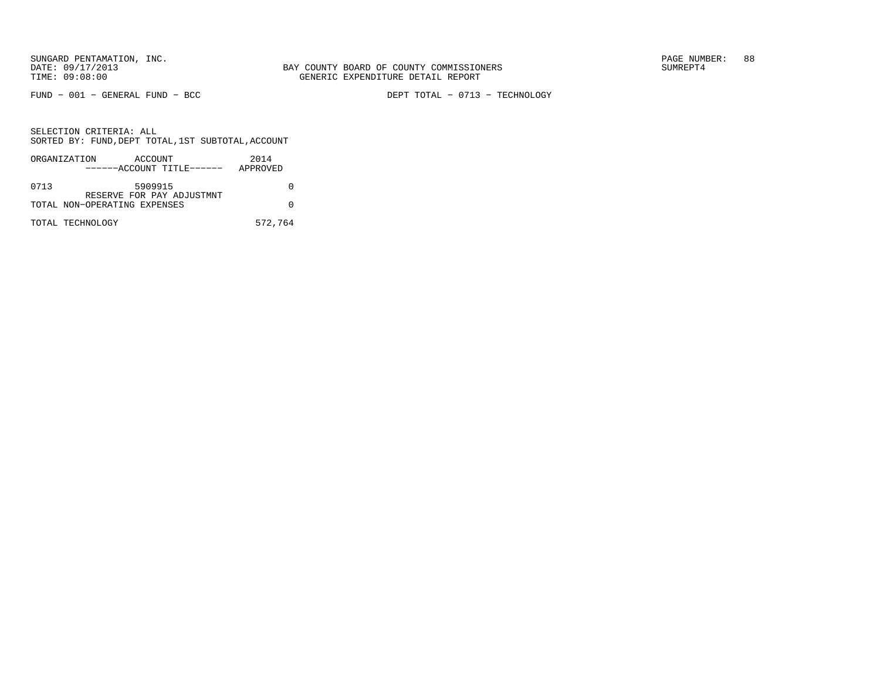FUND − 001 − GENERAL FUND − BCC DEPT TOTAL − 0713 − TECHNOLOGY

| ORGANIZATION |                              | ACCOUNT                   | 2014     |
|--------------|------------------------------|---------------------------|----------|
|              |                              | ------ACCOUNT TITLE------ | APPROVED |
|              |                              |                           |          |
| 0713         |                              | 5909915                   |          |
|              |                              | RESERVE FOR PAY ADJUSTMNT |          |
|              | TOTAL NON-OPERATING EXPENSES |                           |          |
|              |                              |                           |          |
|              | TOTAL TECHNOLOGY             |                           | 572,764  |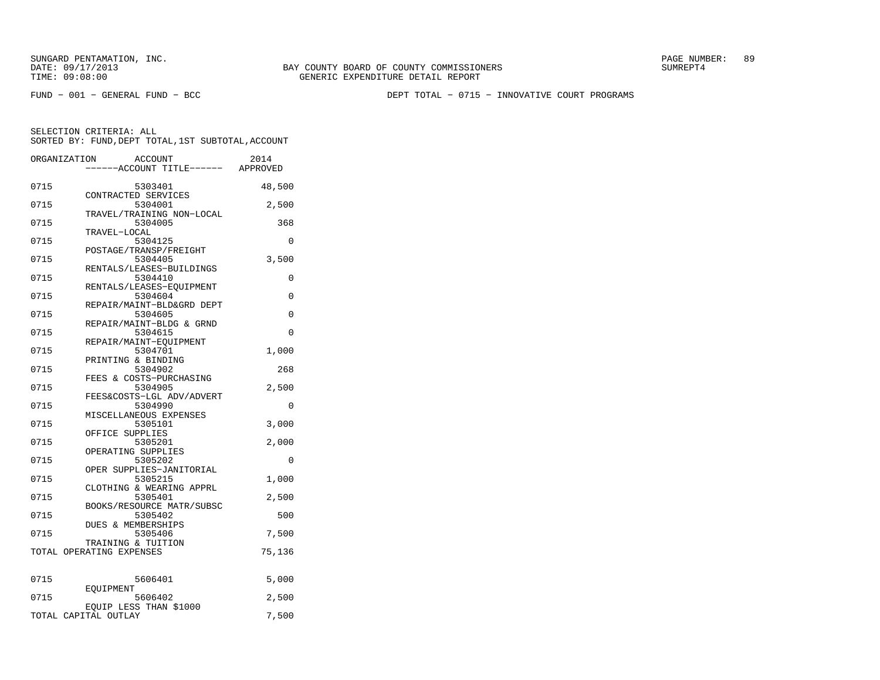FUND − 001 − GENERAL FUND − BCC DEPT TOTAL − 0715 − INNOVATIVE COURT PROGRAMS

SELECTION CRITERIA: ALL

|      | SORTED BY: FUND, DEPT TOTAL, 1ST SUBTOTAL, ACCOUNT          |          |
|------|-------------------------------------------------------------|----------|
|      | ORGANIZATION<br>ACCOUNT<br>----ACCOUNT TITLE------ APPROVED | 2014     |
| 0715 | 5303401                                                     | 48,500   |
| 0715 | CONTRACTED SERVICES<br>5304001                              | 2,500    |
| 0715 | TRAVEL/TRAINING NON-LOCAL<br>5304005                        | 368      |
| 0715 | TRAVEL-LOCAL<br>5304125                                     | 0        |
| 0715 | POSTAGE/TRANSP/FREIGHT<br>5304405                           | 3,500    |
| 0715 | RENTALS/LEASES-BUILDINGS<br>5304410                         | 0        |
| 0715 | RENTALS/LEASES-EQUIPMENT<br>5304604                         | $\Omega$ |
| 0715 | REPAIR/MAINT-BLD&GRD DEPT<br>5304605                        | 0        |
| 0715 | REPAIR/MAINT-BLDG & GRND<br>5304615                         | $\Omega$ |
| 0715 | REPAIR/MAINT-EOUIPMENT<br>5304701                           | 1,000    |
| 0715 | PRINTING & BINDING<br>5304902                               | 268      |
| 0715 | FEES & COSTS-PURCHASING<br>5304905                          | 2,500    |
| 0715 | FEES&COSTS-LGL ADV/ADVERT<br>5304990                        | 0        |
| 0715 | MISCELLANEOUS EXPENSES<br>5305101                           |          |
|      | OFFICE SUPPLIES                                             | 3,000    |
| 0715 | 5305201<br>OPERATING SUPPLIES                               | 2,000    |
| 0715 | 5305202<br>OPER SUPPLIES-JANITORIAL                         | 0        |
| 0715 | 5305215<br>CLOTHING & WEARING APPRL                         | 1,000    |
| 0715 | 5305401<br>BOOKS/RESOURCE MATR/SUBSC                        | 2,500    |
| 0715 | 5305402<br><b>DUES &amp; MEMBERSHIPS</b>                    | 500      |
| 0715 | 5305406<br>TRAINING & TUITION                               | 7,500    |
|      | TOTAL OPERATING EXPENSES                                    | 75,136   |
| 0715 | 5606401                                                     | 5,000    |
| 0715 | <b>EOUIPMENT</b><br>5606402                                 | 2,500    |
|      | EQUIP LESS THAN \$1000<br>TOTAL CAPITAL OUTLAY              | 7,500    |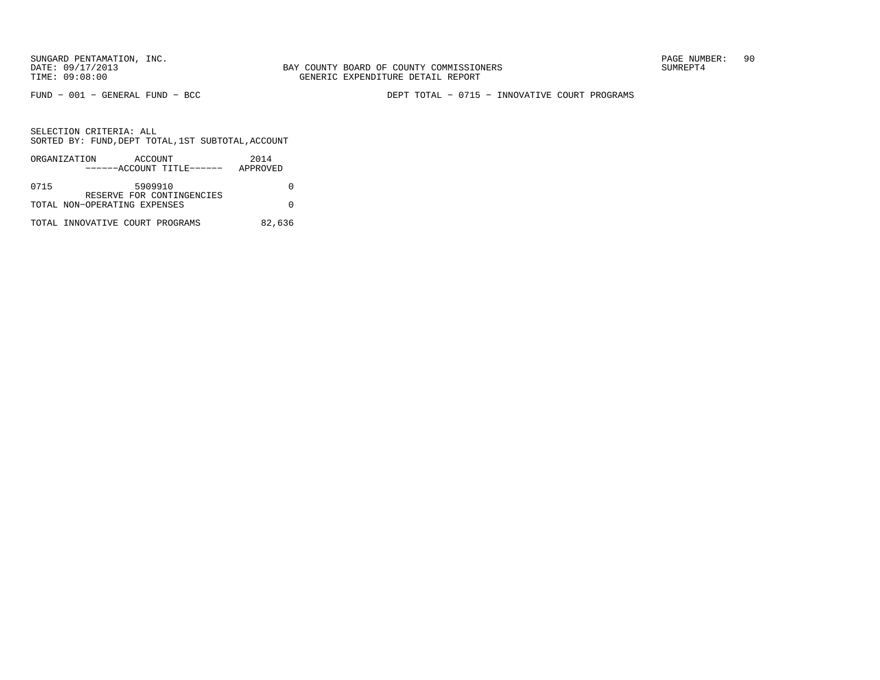FUND − 001 − GENERAL FUND − BCC DEPT TOTAL − 0715 − INNOVATIVE COURT PROGRAMS

|      | ORGANIZATION                    | ACCOUNT |                           | 2014     |
|------|---------------------------------|---------|---------------------------|----------|
|      |                                 |         | ------ACCOUNT TITLE------ | APPROVED |
|      |                                 |         |                           |          |
| 0715 |                                 | 5909910 |                           |          |
|      |                                 |         | RESERVE FOR CONTINGENCIES |          |
|      | TOTAL NON-OPERATING EXPENSES    |         |                           |          |
|      |                                 |         |                           |          |
|      | TOTAL INNOVATIVE COURT PROGRAMS |         |                           | 82,636   |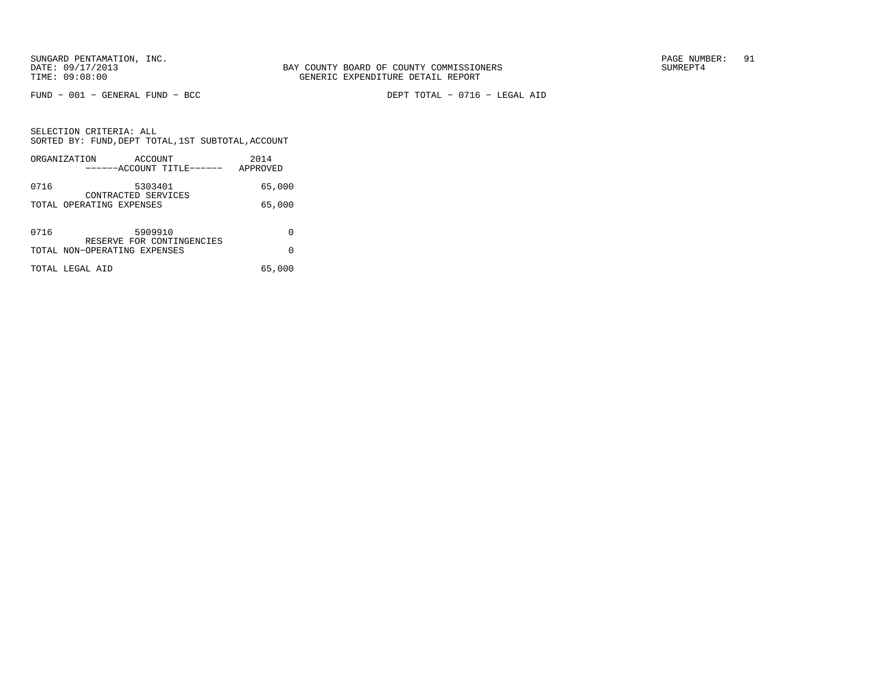FUND − 001 − GENERAL FUND − BCC DEPT TOTAL − 0716 − LEGAL AID

SELECTION CRITERIA: ALL SORTED BY: FUND,DEPT TOTAL,1ST SUBTOTAL,ACCOUNTORGANIZATION ACCOUNT 2014

|      | ORGANIZATION<br>ACCOUNT<br>------ACCOUNT TITLE------      | 2014<br>APPROVED |
|------|-----------------------------------------------------------|------------------|
| 0716 | 5303401<br>CONTRACTED SERVICES                            | 65,000           |
|      | TOTAL OPERATING EXPENSES                                  | 65,000           |
| 0716 | 5909910                                                   | 0                |
|      | RESERVE FOR CONTINGENCIES<br>TOTAL NON-OPERATING EXPENSES | 0                |
|      | TOTAL LEGAL AID                                           | 65,000           |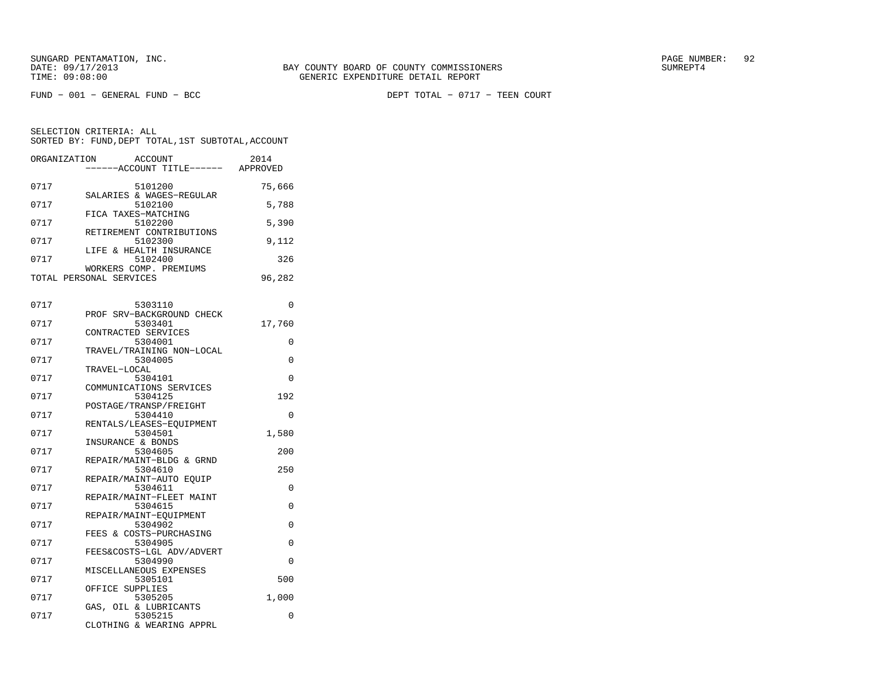| ORGANIZATION | ACCOUNT<br>----ACCOUNT TITLE------ APPROVED                 | 2014          |
|--------------|-------------------------------------------------------------|---------------|
| 0717         | 5101200                                                     | 75,666        |
| 0717         | SALARIES & WAGES-REGULAR<br>5102100                         | 5,788         |
| 0717         | FICA TAXES-MATCHING<br>5102200<br>RETIREMENT CONTRIBUTIONS  | 5,390         |
| 0717         | 5102300<br>LIFE & HEALTH INSURANCE                          | 9,112         |
| 0717         | 5102400<br>WORKERS COMP. PREMIUMS                           | 326           |
|              | TOTAL PERSONAL SERVICES                                     | 96,282        |
| 0717         | 5303110                                                     | $\Omega$      |
| 0717         | PROF SRV-BACKGROUND CHECK<br>5303401                        | 17,760        |
| 0717         | CONTRACTED SERVICES<br>5304001<br>TRAVEL/TRAINING NON-LOCAL | 0             |
| 0717         | 5304005<br>TRAVEL-LOCAL                                     | 0             |
| 0717         | 5304101<br>COMMUNICATIONS SERVICES                          | $\Omega$      |
| 0717         | 5304125<br>POSTAGE/TRANSP/FREIGHT                           | 192           |
| 0717         | 5304410<br>RENTALS/LEASES-EOUIPMENT                         | $\Omega$      |
| 0717         | 5304501<br>INSURANCE & BONDS                                | 1,580         |
| 0717         | 5304605<br>REPAIR/MAINT-BLDG & GRND                         | 200           |
| 0717         | 5304610<br>REPAIR/MAINT-AUTO EQUIP                          | 250           |
| 0717         | 5304611<br>REPAIR/MAINT-FLEET MAINT                         | 0             |
| 0717         | 5304615<br>REPAIR/MAINT-EQUIPMENT                           | 0             |
| 0717<br>0717 | 5304902<br>FEES & COSTS-PURCHASING                          | 0<br>$\Omega$ |
| 0717         | 5304905<br>FEES&COSTS-LGL ADV/ADVERT<br>5304990             | $\Omega$      |
| 0717         | MISCELLANEOUS EXPENSES<br>5305101                           | 500           |
| 0717         | OFFICE SUPPLIES<br>5305205                                  | 1,000         |
| 0717         | GAS, OIL & LUBRICANTS<br>5305215                            | 0             |
|              | CLOTHING & WEARING APPRL                                    |               |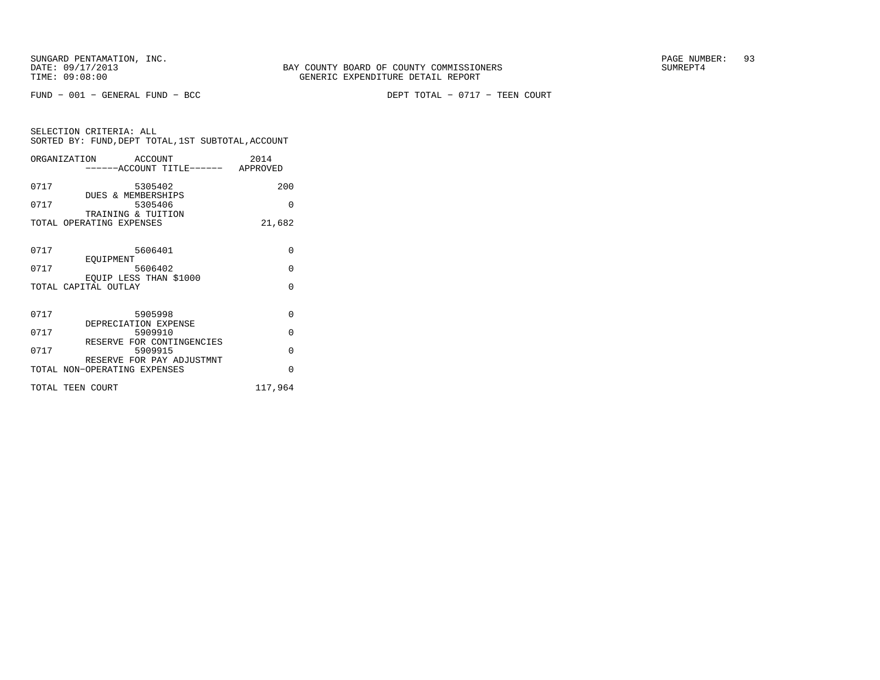FUND − 001 − GENERAL FUND − BCC DEPT TOTAL − 0717 − TEEN COURT

| SELECTION CRITERIA: ALL |  |  |                                                    |  |
|-------------------------|--|--|----------------------------------------------------|--|
|                         |  |  | SORTED BY: FUND, DEPT TOTAL, 1ST SUBTOTAL, ACCOUNT |  |

| ORGANIZATION ACCOUNT         |                                   |                                    | 2014     |
|------------------------------|-----------------------------------|------------------------------------|----------|
|                              |                                   | ------ACCOUNT TITLE------ APPROVED |          |
| 0717                         | 5305402                           |                                    | 200      |
| 0717                         | DUES & MEMBERSHIPS<br>5305406     |                                    | $\Omega$ |
|                              | TRAINING & TUITION                |                                    |          |
| TOTAL OPERATING EXPENSES     |                                   |                                    | 21,682   |
|                              |                                   |                                    |          |
| 0717                         | 5606401                           |                                    | $\Omega$ |
|                              | EOUIPMENT                         |                                    |          |
| 0717                         | 5606402<br>EQUIP LESS THAN \$1000 |                                    | $\Omega$ |
| TOTAL CAPITAL OUTLAY         |                                   |                                    | $\Omega$ |
|                              |                                   |                                    |          |
| 0717                         | 5905998                           |                                    | $\Omega$ |
|                              | DEPRECIATION EXPENSE              |                                    |          |
| 0717                         | 5909910                           |                                    | $\Omega$ |
|                              | RESERVE FOR CONTINGENCIES         |                                    |          |
| 0717                         | 5909915                           |                                    | $\Omega$ |
| TOTAL NON-OPERATING EXPENSES | RESERVE FOR PAY ADJUSTMNT         |                                    | $\Omega$ |
| TOTAL TEEN COURT             |                                   |                                    | 117,964  |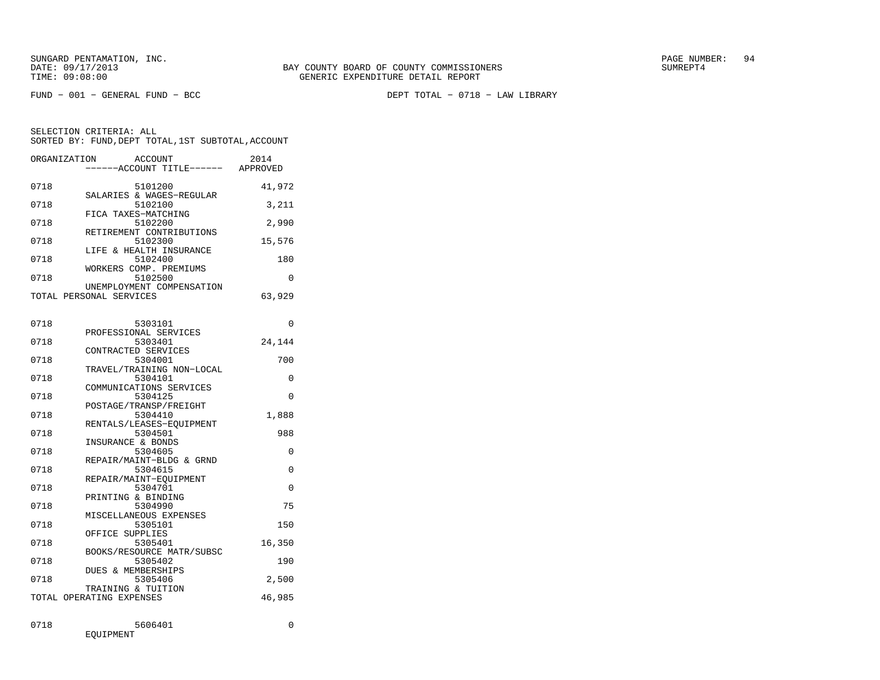FUND − 001 − GENERAL FUND − BCC DEPT TOTAL − 0718 − LAW LIBRARY

| ORGANIZATION | ACCOUNT                              | 2014     |
|--------------|--------------------------------------|----------|
|              | ----ACCOUNT TITLE------ APPROVED     |          |
| 0718         | 5101200                              | 41,972   |
|              | SALARIES & WAGES-REGULAR             |          |
| 0718         | 5102100                              | 3,211    |
|              | FICA TAXES-MATCHING                  |          |
| 0718         | 5102200                              | 2,990    |
|              | RETIREMENT CONTRIBUTIONS             |          |
| 0718         | 5102300                              | 15,576   |
|              | LIFE & HEALTH INSURANCE              |          |
| 0718         | 5102400                              | 180      |
|              | WORKERS COMP. PREMIUMS               |          |
| 0718         | 5102500                              | $\Omega$ |
|              | UNEMPLOYMENT COMPENSATION            |          |
|              | TOTAL PERSONAL SERVICES              | 63,929   |
|              |                                      |          |
| 0718         | 5303101                              | 0        |
|              | PROFESSIONAL SERVICES                |          |
| 0718         | 5303401                              | 24,144   |
|              | CONTRACTED SERVICES                  |          |
| 0718         | 5304001                              | 700      |
|              | TRAVEL/TRAINING NON-LOCAL            |          |
| 0718         | 5304101                              | 0        |
|              | COMMUNICATIONS SERVICES              |          |
| 0718         | 5304125                              | $\Omega$ |
|              | POSTAGE/TRANSP/FREIGHT               |          |
| 0718         | 5304410                              | 1,888    |
|              | RENTALS/LEASES-EQUIPMENT             |          |
| 0718         | 5304501                              | 988      |
| 0718         | INSURANCE & BONDS<br>5304605         | 0        |
|              | REPAIR/MAINT-BLDG & GRND             |          |
| 0718         | 5304615                              | 0        |
|              | REPAIR/MAINT-EQUIPMENT               |          |
| 0718         | 5304701                              | 0        |
|              | PRINTING & BINDING                   |          |
| 0718         | 5304990                              | 75       |
|              | MISCELLANEOUS EXPENSES               |          |
| 0718         | 5305101                              | 150      |
|              | OFFICE SUPPLIES                      |          |
| 0718         | 5305401                              | 16,350   |
| 0718         | BOOKS/RESOURCE MATR/SUBSC<br>5305402 | 190      |
|              | <b>DUES &amp; MEMBERSHIPS</b>        |          |
| 0718         | 5305406                              | 2,500    |
|              | TRAINING & TUITION                   |          |
|              | TOTAL OPERATING EXPENSES             | 46,985   |
|              |                                      |          |
|              |                                      |          |
| 0718         | 5606401                              | 0        |
|              | EOUIPMENT                            |          |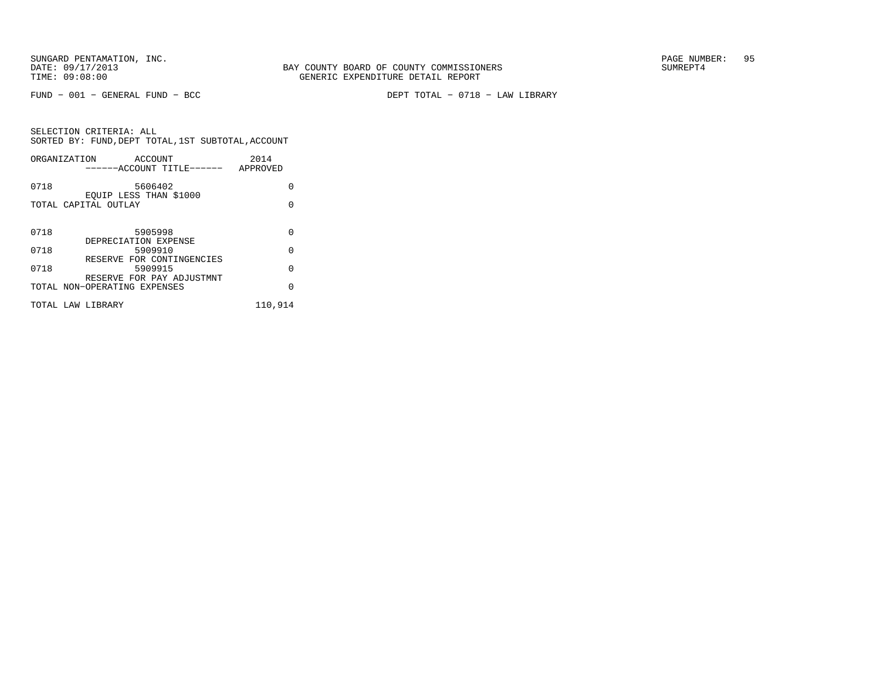FUND − 001 − GENERAL FUND − BCC DEPT TOTAL − 0718 − LAW LIBRARY

|      | ORGANIZATION<br>ACCOUNT<br>------ACCOUNT TITLE------      | 2014<br>APPROVED |
|------|-----------------------------------------------------------|------------------|
| 0718 | 5606402                                                   | U                |
|      | EOUIP LESS THAN \$1000<br>TOTAL CAPITAL OUTLAY            | O                |
| 0718 | 5905998                                                   | 0                |
|      | DEPRECIATION EXPENSE                                      |                  |
| 0718 | 5909910                                                   | 0                |
| 0718 | RESERVE FOR CONTINGENCIES<br>5909915                      | O                |
|      | RESERVE FOR PAY ADJUSTMNT<br>TOTAL NON-OPERATING EXPENSES | O                |
|      | TOTAL LAW LIBRARY                                         | 110,914          |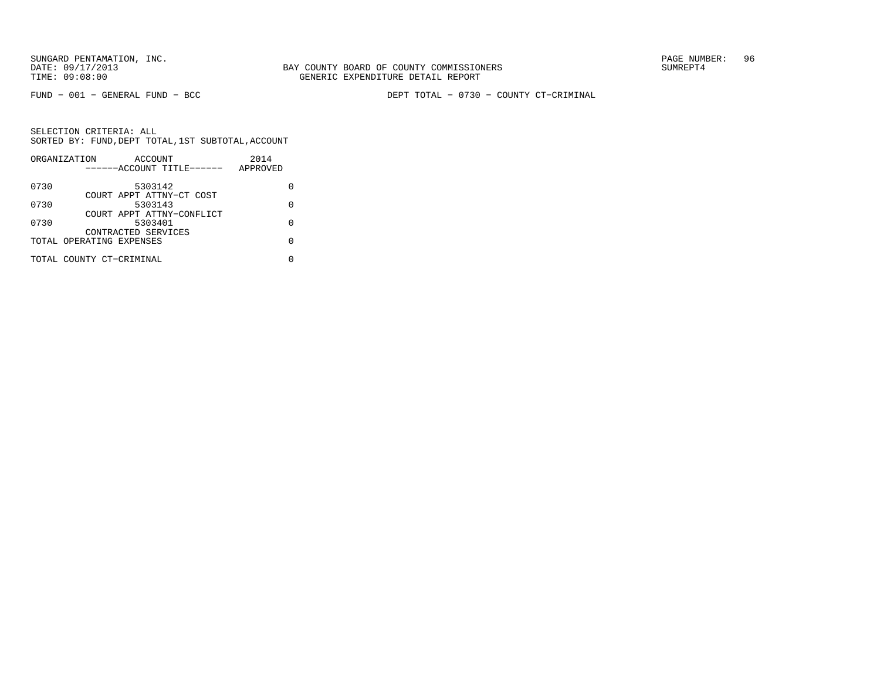BAY COUNTY BOARD OF COUNTY COMMISSIONERS TIME: 09:08:00 GENERIC EXPENDITURE DETAIL REPORT

FUND − 001 − GENERAL FUND − BCC DEPT TOTAL − 0730 − COUNTY CT−CRIMINAL

|      | ORGANIZATION             | ACCOUNT                   |  | 2014     |   |
|------|--------------------------|---------------------------|--|----------|---|
|      |                          | ------ACCOUNT TITLE------ |  | APPROVED |   |
| 0730 |                          | 5303142                   |  |          |   |
|      |                          | COURT APPT ATTNY-CT COST  |  |          |   |
| 0730 |                          | 5303143                   |  |          | U |
|      |                          | COURT APPT ATTNY-CONFLICT |  |          |   |
| 0730 |                          | 5303401                   |  |          | U |
|      |                          | CONTRACTED SERVICES       |  |          |   |
|      | TOTAL OPERATING EXPENSES |                           |  |          |   |
|      | TOTAL COUNTY CT-CRIMINAL |                           |  |          |   |
|      |                          |                           |  |          |   |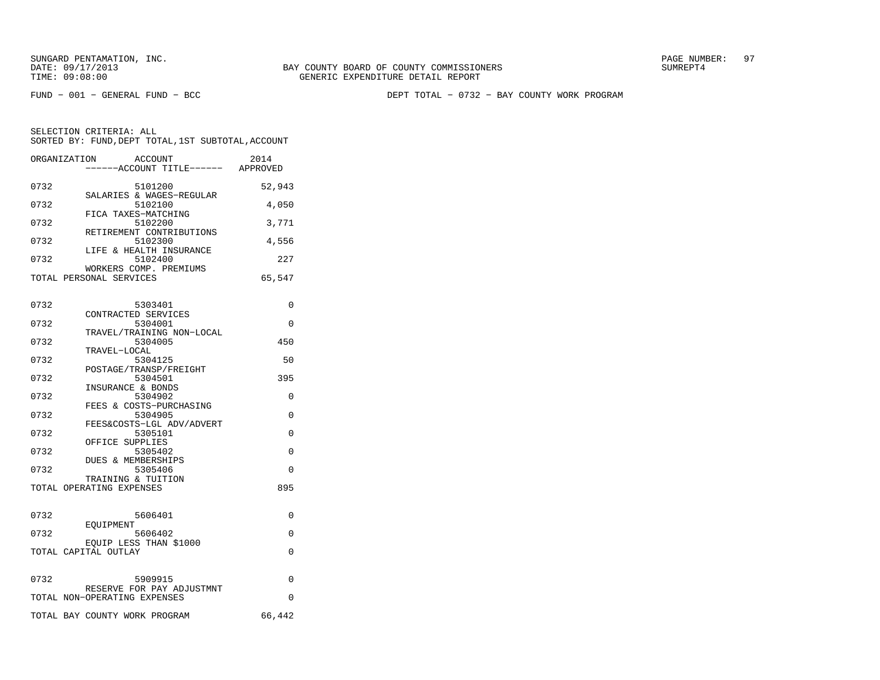FUND − 001 − GENERAL FUND − BCC DEPT TOTAL − 0732 − BAY COUNTY WORK PROGRAM

| ORGANIZATION | ACCOUNT<br>----ACCOUNT TITLE------ APPROVED                     | 2014     |
|--------------|-----------------------------------------------------------------|----------|
| 0732         | 5101200                                                         | 52,943   |
| 0732         | SALARIES & WAGES-REGULAR<br>5102100                             | 4,050    |
| 0732         | FICA TAXES-MATCHING<br>5102200                                  | 3,771    |
| 0732         | RETIREMENT CONTRIBUTIONS<br>5102300                             | 4,556    |
| 0732         | LIFE & HEALTH INSURANCE<br>5102400<br>WORKERS COMP. PREMIUMS    | 227      |
|              | TOTAL PERSONAL SERVICES                                         | 65,547   |
| 0732         | 5303401                                                         | 0        |
| 0732         | CONTRACTED SERVICES<br>5304001                                  | 0        |
| 0732         | TRAVEL/TRAINING NON-LOCAL<br>5304005                            | 450      |
| 0732         | TRAVEL-LOCAL<br>5304125                                         | 50       |
| 0732         | POSTAGE/TRANSP/FREIGHT<br>5304501                               | 395      |
| 0732         | INSURANCE & BONDS<br>5304902                                    | 0        |
| 0732         | FEES & COSTS-PURCHASING<br>5304905<br>FEES&COSTS-LGL ADV/ADVERT | 0        |
| 0732         | 5305101<br>OFFICE SUPPLIES                                      | $\Omega$ |
| 0732         | 5305402<br>DUES & MEMBERSHIPS                                   | 0        |
| 0732         | 5305406<br>TRAINING & TUITION                                   | $\Omega$ |
|              | TOTAL OPERATING EXPENSES                                        | 895      |
| 0732         | 5606401                                                         | 0        |
| 0732         | EOUIPMENT<br>5606402                                            | 0        |
|              | EQUIP LESS THAN \$1000<br>TOTAL CAPITAL OUTLAY                  | 0        |
| 0732         | 5909915                                                         | 0        |
|              | RESERVE FOR PAY ADJUSTMNT<br>TOTAL NON-OPERATING EXPENSES       | $\Omega$ |
|              | TOTAL BAY COUNTY WORK PROGRAM                                   | 66,442   |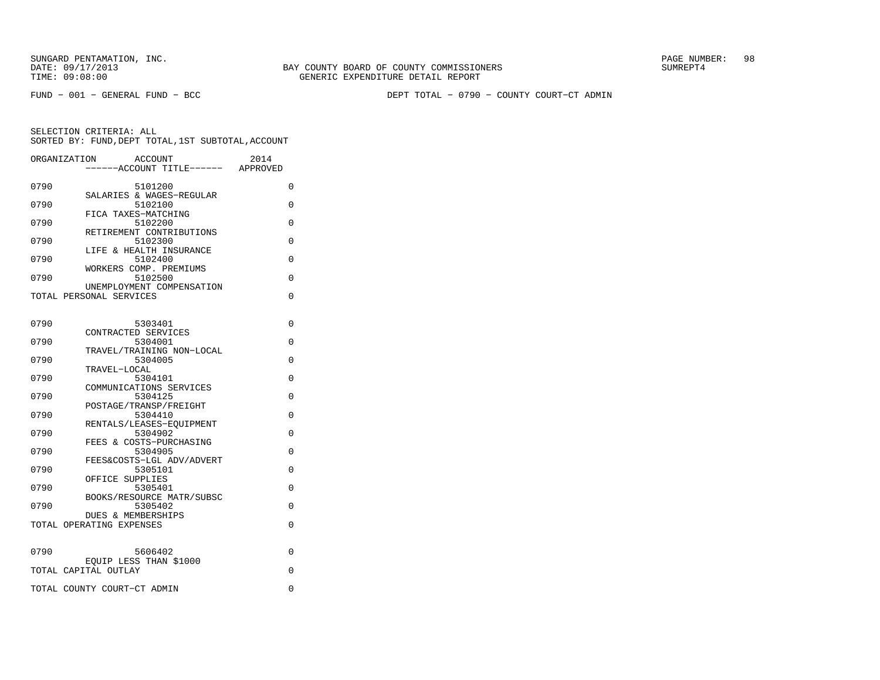FUND − 001 − GENERAL FUND − BCC DEPT TOTAL − 0790 − COUNTY COURT−CT ADMIN

| ORGANIZATION | ACCOUNT<br>---ACCOUNT TITLE------ APPROVED                | 2014     |
|--------------|-----------------------------------------------------------|----------|
| 0790         | 5101200                                                   | 0        |
| 0790         | SALARIES & WAGES-REGULAR<br>5102100                       | 0        |
| 0790         | FICA TAXES-MATCHING<br>5102200                            | 0        |
| 0790         | RETIREMENT CONTRIBUTIONS<br>5102300                       | 0        |
| 0790         | LIFE & HEALTH INSURANCE<br>5102400                        | 0        |
|              | WORKERS COMP. PREMIUMS                                    |          |
| 0790         | 5102500<br>UNEMPLOYMENT COMPENSATION                      | $\Omega$ |
|              | TOTAL PERSONAL SERVICES                                   | 0        |
| 0790         | 5303401                                                   | 0        |
|              | CONTRACTED SERVICES                                       |          |
| 0790         | 5304001<br>TRAVEL/TRAINING NON-LOCAL                      | 0        |
| 0790         | 5304005<br>TRAVEL-LOCAL                                   | 0        |
| 0790         | 5304101                                                   | 0        |
| 0790         | COMMUNICATIONS SERVICES<br>5304125                        | 0        |
| 0790         | POSTAGE/TRANSP/FREIGHT<br>5304410                         | 0        |
| 0790         | RENTALS/LEASES-EOUIPMENT<br>5304902                       | 0        |
|              | FEES & COSTS-PURCHASING                                   |          |
| 0790         | 5304905<br>FEES&COSTS-LGL ADV/ADVERT                      | 0        |
| 0790         | 5305101<br>OFFICE SUPPLIES                                | 0        |
| 0790         | 5305401                                                   | 0        |
| 0790         | BOOKS/RESOURCE MATR/SUBSC<br>5305402                      | 0        |
|              | <b>DUES &amp; MEMBERSHIPS</b><br>TOTAL OPERATING EXPENSES | 0        |
|              |                                                           |          |
| 0790         | 5606402                                                   | 0        |
|              | EQUIP LESS THAN \$1000<br>TOTAL CAPITAL OUTLAY            | 0        |
|              | TOTAL COUNTY COURT-CT ADMIN                               | 0        |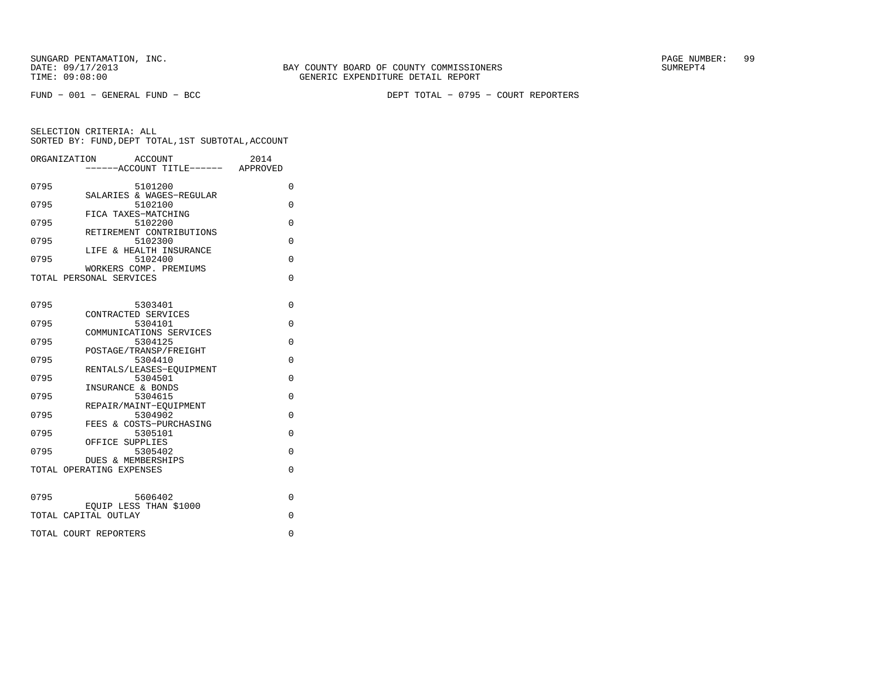FUND − 001 − GENERAL FUND − BCC DEPT TOTAL − 0795 − COURT REPORTERS

|      | ORGANIZATION<br>ACCOUNT             | 2014        |
|------|-------------------------------------|-------------|
|      | ------ACCOUNT TITLE------ APPROVED  |             |
|      |                                     |             |
| 0795 | 5101200<br>SALARIES & WAGES-REGULAR | $\Omega$    |
| 0795 | 5102100                             | $\Omega$    |
|      | FICA TAXES-MATCHING                 |             |
| 0795 | 5102200                             | $\Omega$    |
|      | RETIREMENT CONTRIBUTIONS            |             |
| 0795 | 5102300<br>LIFE & HEALTH INSURANCE  | $\Omega$    |
| 0795 | 5102400                             | $\mathbf 0$ |
|      | WORKERS COMP. PREMIUMS              |             |
|      | TOTAL PERSONAL SERVICES             | $\Omega$    |
|      |                                     |             |
|      |                                     |             |
| 0795 | 5303401<br>CONTRACTED SERVICES      | 0           |
| 0795 | 5304101                             | $\Omega$    |
|      | COMMUNICATIONS SERVICES             |             |
| 0795 | 5304125                             | $\Omega$    |
|      | POSTAGE/TRANSP/FREIGHT              |             |
| 0795 | 5304410                             | $\Omega$    |
| 0795 | RENTALS/LEASES-EOUIPMENT<br>5304501 | $\Omega$    |
|      | INSURANCE & BONDS                   |             |
| 0795 | 5304615                             | $\Omega$    |
|      | REPAIR/MAINT-EOUIPMENT              |             |
| 0795 | 5304902                             | $\Omega$    |
| 0795 | FEES & COSTS-PURCHASING             |             |
|      | 5305101<br>OFFICE SUPPLIES          | $\Omega$    |
| 0795 | 5305402                             | $\Omega$    |
|      | DUES & MEMBERSHIPS                  |             |
|      | TOTAL OPERATING EXPENSES            | $\Omega$    |
|      |                                     |             |
|      |                                     |             |
| 0795 | 5606402<br>EQUIP LESS THAN \$1000   | 0           |
|      | TOTAL CAPITAL OUTLAY                | $\Omega$    |
|      |                                     |             |
|      | TOTAL COURT REPORTERS               | 0           |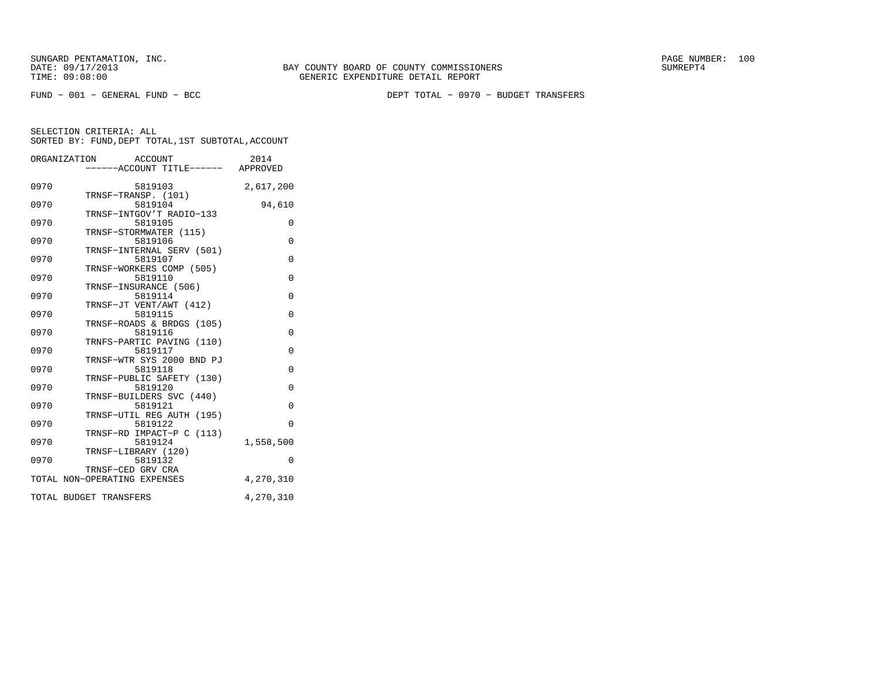FUND − 001 − GENERAL FUND − BCC DEPT TOTAL − 0970 − BUDGET TRANSFERS

|      | ORGANIZATION ACCOUNT<br>-----ACCOUNT TITLE------ APPROVED | 2014           |
|------|-----------------------------------------------------------|----------------|
|      |                                                           |                |
| 0970 | 5819103                                                   | 2,617,200      |
| 0970 | TRNSF-TRANSP. (101)<br>5819104                            | 94,610         |
| 0970 | TRNSF-INTGOV'T RADIO-133<br>5819105                       | 0              |
| 0970 | TRNSF-STORMWATER (115)<br>5819106                         | $\Omega$       |
| 0970 | TRNSF-INTERNAL SERV (501)<br>5819107                      | 0              |
|      | TRNSF-WORKERS COMP (505)                                  |                |
| 0970 | 5819110<br>TRNSF-INSURANCE (506)                          | $\Omega$       |
| 0970 | 5819114<br>TRNSF-JT VENT/AWT (412)                        | $\Omega$       |
| 0970 | 5819115<br>TRNSF-ROADS & BRDGS (105)                      | $\overline{0}$ |
| 0970 | 5819116                                                   | 0              |
| 0970 | TRNFS-PARTIC PAVING (110)<br>5819117                      | $\Omega$       |
| 0970 | TRNSF-WTR SYS 2000 BND PJ<br>5819118                      | 0              |
| 0970 | TRNSF-PUBLIC SAFETY (130)<br>5819120                      | $\Omega$       |
| 0970 | TRNSF-BUILDERS SVC (440)<br>5819121                       | $\Omega$       |
|      | TRNSF-UTIL REG AUTH (195)                                 |                |
| 0970 | 5819122<br>TRNSF-RD IMPACT-P C (113)                      | $\Omega$       |
| 0970 | 5819124<br>TRNSF-LIBRARY (120)                            | 1,558,500      |
| 0970 | 5819132<br>TRNSF-CED GRV CRA                              | $\Omega$       |
|      | TOTAL NON-OPERATING EXPENSES                              | 4,270,310      |
|      | TOTAL BUDGET TRANSFERS                                    | 4,270,310      |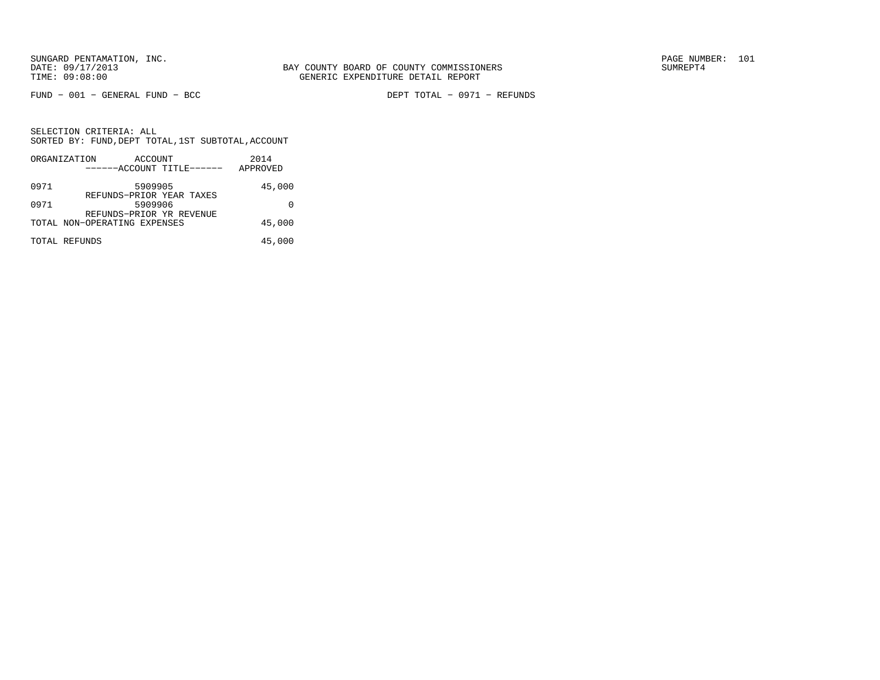FUND − 001 − GENERAL FUND − BCC DEPT TOTAL − 0971 − REFUNDS

|      | ORGANIZATION                 | ACCOUNT |                           | 2014     |
|------|------------------------------|---------|---------------------------|----------|
|      |                              |         | ------ACCOUNT TITLE------ | APPROVED |
| 0971 |                              | 5909905 | REFUNDS-PRIOR YEAR TAXES  | 45,000   |
| 0971 |                              | 5909906 | REFUNDS-PRIOR YR REVENUE  |          |
|      | TOTAL NON-OPERATING EXPENSES |         |                           | 45,000   |
|      | TOTAL REFUNDS                |         |                           | 45,000   |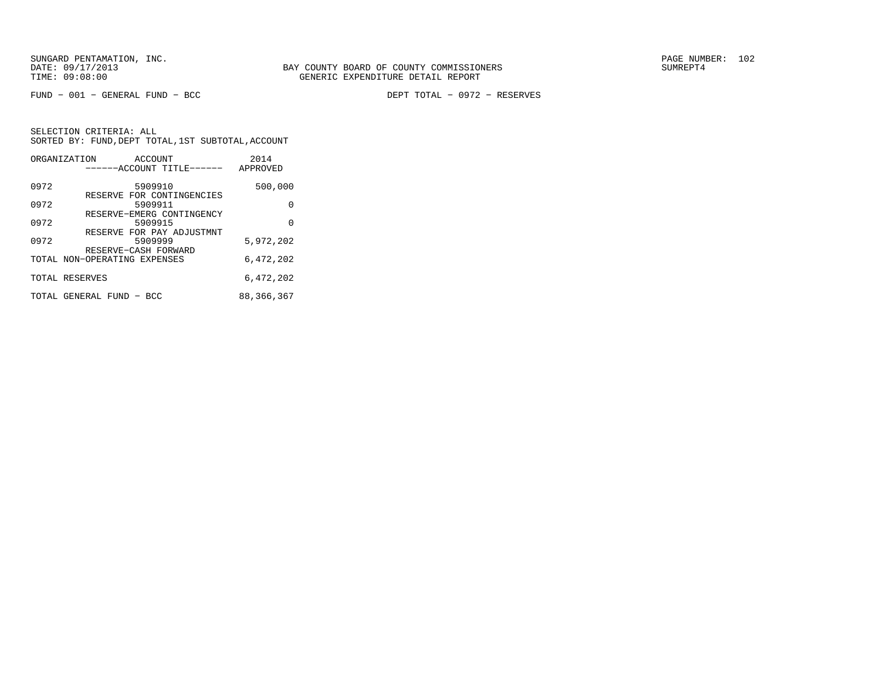FUND − 001 − GENERAL FUND − BCC DEPT TOTAL − 0972 − RESERVES

|      | ORGANIZATION<br>ACCOUNT<br>------ACCOUNT TITLE------ | 2014<br>APPROVED |
|------|------------------------------------------------------|------------------|
| 0972 | 5909910<br>RESERVE FOR CONTINGENCIES                 | 500,000          |
| 0972 | 5909911                                              | 0                |
| 0972 | RESERVE-EMERG CONTINGENCY<br>5909915                 | 0                |
| 0972 | RESERVE FOR PAY ADJUSTMNT<br>5909999                 | 5,972,202        |
|      | RESERVE-CASH FORWARD<br>TOTAL NON-OPERATING EXPENSES | 6,472,202        |
|      | TOTAL RESERVES                                       | 6,472,202        |
|      | TOTAL GENERAL FUND - BCC                             | 88,366,367       |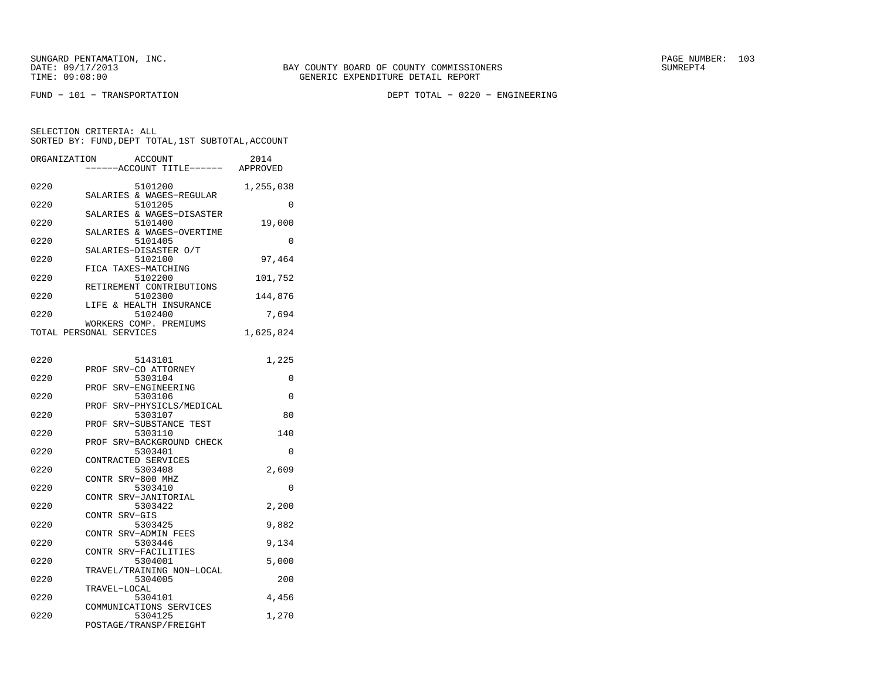FUND − 101 − TRANSPORTATION DEPT TOTAL − 0220 − ENGINEERING

| ORGANIZATION            |               | ACCOUNT                            | 2014      |
|-------------------------|---------------|------------------------------------|-----------|
|                         |               | ---ACCOUNT TITLE------             | APPROVED  |
|                         |               |                                    |           |
| 0220                    |               | 5101200                            | 1,255,038 |
|                         |               | SALARIES & WAGES-REGULAR           |           |
| 0220                    |               | 5101205                            | $\Omega$  |
|                         |               | SALARIES & WAGES-DISASTER          |           |
| 0220                    |               | 5101400                            | 19,000    |
|                         |               | SALARIES & WAGES-OVERTIME          |           |
| 0220                    |               | 5101405<br>SALARIES-DISASTER O/T   | 0         |
| 0220                    |               | 5102100                            | 97,464    |
|                         |               | FICA TAXES-MATCHING                |           |
| 0220                    |               | 5102200                            | 101,752   |
|                         |               | RETIREMENT CONTRIBUTIONS           |           |
| 0220                    |               | 5102300                            | 144,876   |
|                         |               | LIFE & HEALTH INSURANCE            |           |
| 0220                    |               | 5102400                            | 7,694     |
|                         |               | WORKERS COMP. PREMIUMS             |           |
| TOTAL PERSONAL SERVICES |               |                                    | 1,625,824 |
|                         |               |                                    |           |
|                         |               |                                    |           |
| 0220                    |               | 5143101                            | 1,225     |
|                         |               | PROF SRV-CO ATTORNEY               |           |
| 0220                    |               | 5303104                            | 0         |
|                         |               | PROF SRV-ENGINEERING               |           |
| 0220                    |               | 5303106                            | 0         |
|                         |               | PROF SRV-PHYSICLS/MEDICAL          |           |
| 0220                    |               | 5303107                            | 80        |
| 0220                    |               | PROF SRV-SUBSTANCE TEST<br>5303110 | 140       |
|                         | PROF          | SRV-BACKGROUND CHECK               |           |
| 0220                    |               | 5303401                            | $\Omega$  |
|                         |               | CONTRACTED SERVICES                |           |
| 0220                    |               | 5303408                            | 2,609     |
|                         |               | CONTR SRV-800 MHZ                  |           |
| 0220                    |               | 5303410                            | 0         |
|                         | CONTR         | SRV-JANITORIAL                     |           |
| 0220                    |               | 5303422                            | 2,200     |
|                         | CONTR SRV-GIS |                                    |           |
| 0220                    |               | 5303425                            | 9,882     |
|                         |               | CONTR SRV-ADMIN FEES               |           |
| 0220                    |               | 5303446                            | 9,134     |
|                         |               | CONTR SRV-FACILITIES               |           |
| 0220                    |               | 5304001                            | 5,000     |
|                         |               | TRAVEL/TRAINING NON-LOCAL          |           |
| 0220                    |               | 5304005                            | 200       |
|                         | TRAVEL-LOCAL  |                                    |           |
| 0220                    |               | 5304101                            | 4,456     |
| 0220                    |               | COMMUNICATIONS SERVICES<br>5304125 | 1,270     |
|                         |               | POSTAGE/TRANSP/FREIGHT             |           |
|                         |               |                                    |           |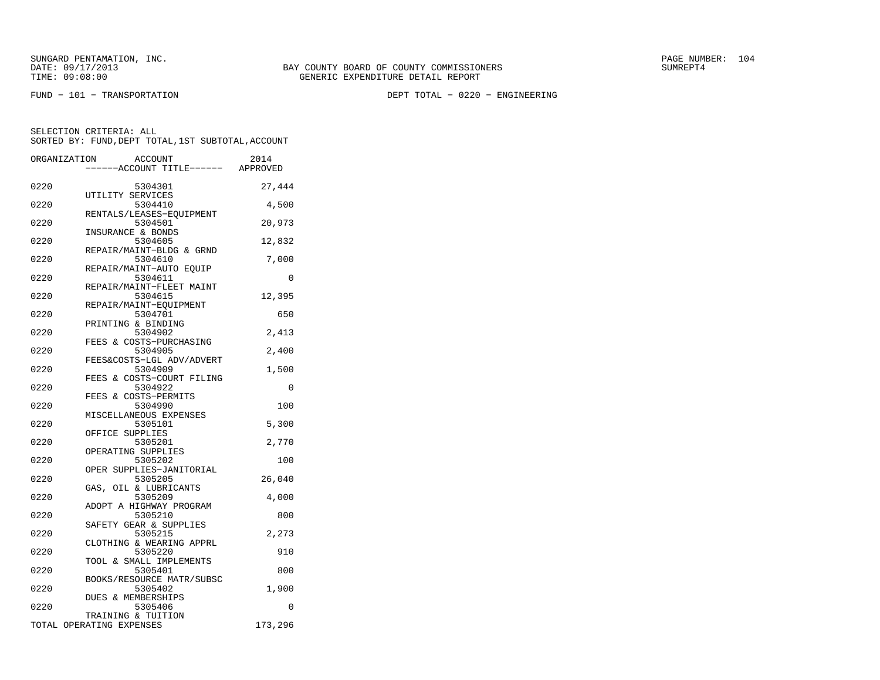FUND − 101 − TRANSPORTATION DEPT TOTAL − 0220 − ENGINEERING

| ORGANIZATION |                                                | <b>ACCOUNT</b>                       | 2014    |
|--------------|------------------------------------------------|--------------------------------------|---------|
|              |                                                | ---ACCOUNT TITLE------ APPROVED      |         |
| 0220         |                                                | 5304301                              | 27,444  |
| 0220         | UTILITY SERVICES                               | 5304410                              | 4,500   |
| 0220         |                                                | RENTALS/LEASES-EQUIPMENT<br>5304501  | 20,973  |
| 0220         | INSURANCE & BONDS                              | 5304605                              | 12,832  |
| 0220         |                                                | REPAIR/MAINT-BLDG & GRND<br>5304610  | 7,000   |
| 0220         |                                                | REPAIR/MAINT-AUTO EQUIP<br>5304611   | 0       |
| 0220         |                                                | REPAIR/MAINT-FLEET MAINT<br>5304615  | 12,395  |
| 0220         |                                                | REPAIR/MAINT-EQUIPMENT<br>5304701    | 650     |
| 0220         | PRINTING & BINDING                             | 5304902                              | 2,413   |
| 0220         |                                                | FEES & COSTS-PURCHASING<br>5304905   | 2,400   |
| 0220         |                                                | FEES&COSTS-LGL ADV/ADVERT<br>5304909 | 1,500   |
| 0220         |                                                | FEES & COSTS-COURT FILING<br>5304922 | 0       |
| 0220         | FEES & COSTS-PERMITS                           | 5304990                              | 100     |
| 0220         |                                                | MISCELLANEOUS EXPENSES<br>5305101    | 5,300   |
| 0220         | OFFICE SUPPLIES                                | 5305201                              | 2,770   |
| 0220         | OPERATING SUPPLIES                             | 5305202                              | 100     |
| 0220         |                                                | OPER SUPPLIES-JANITORIAL<br>5305205  | 26,040  |
| 0220         | GAS, OIL & LUBRICANTS                          | 5305209                              | 4,000   |
| 0220         |                                                | ADOPT A HIGHWAY PROGRAM<br>5305210   | 800     |
| 0220         |                                                | SAFETY GEAR & SUPPLIES<br>5305215    | 2,273   |
| 0220         |                                                | CLOTHING & WEARING APPRL<br>5305220  | 910     |
| 0220         |                                                | TOOL & SMALL IMPLEMENTS<br>5305401   | 800     |
| 0220         |                                                | BOOKS/RESOURCE MATR/SUBSC<br>5305402 | 1,900   |
| 0220         | DUES & MEMBERSHIPS                             | 5305406                              | 0       |
|              | TRAINING & TUITION<br>TOTAL OPERATING EXPENSES |                                      | 173,296 |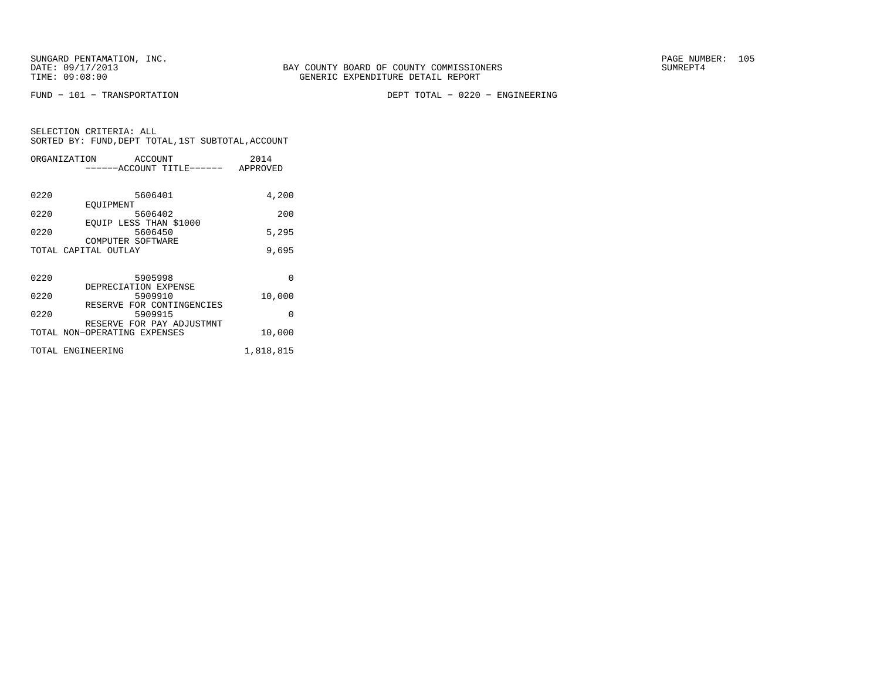FUND − 101 − TRANSPORTATION DEPT TOTAL − 0220 − ENGINEERING

| SELECTION CRITERIA: ALL |  |  |                                                    |  |
|-------------------------|--|--|----------------------------------------------------|--|
|                         |  |  | SORTED BY: FUND, DEPT TOTAL, 1ST SUBTOTAL, ACCOUNT |  |

|      | ORGANIZATION ACCOUNT                      | 2014      |
|------|-------------------------------------------|-----------|
|      | ------ACCOUNT TITLE------ APPROVED        |           |
|      |                                           |           |
| 0220 | 5606401                                   | 4,200     |
|      | EOUIPMENT                                 |           |
| 0220 | 5606402                                   | 200       |
|      | EQUIP LESS THAN \$1000                    |           |
| 0220 | 5606450                                   | 5,295     |
|      | COMPUTER SOFTWARE<br>TOTAL CAPITAL OUTLAY | 9,695     |
|      |                                           |           |
|      |                                           |           |
| 0220 | 5905998                                   | $\Omega$  |
|      | DEPRECIATION EXPENSE                      |           |
| 0220 | 5909910                                   | 10,000    |
|      | RESERVE FOR CONTINGENCIES                 |           |
| 0220 | 5909915                                   | $\Omega$  |
|      | RESERVE FOR PAY ADJUSTMNT                 |           |
|      | TOTAL NON-OPERATING EXPENSES              | 10,000    |
|      |                                           |           |
|      | TOTAL ENGINEERING                         | 1,818,815 |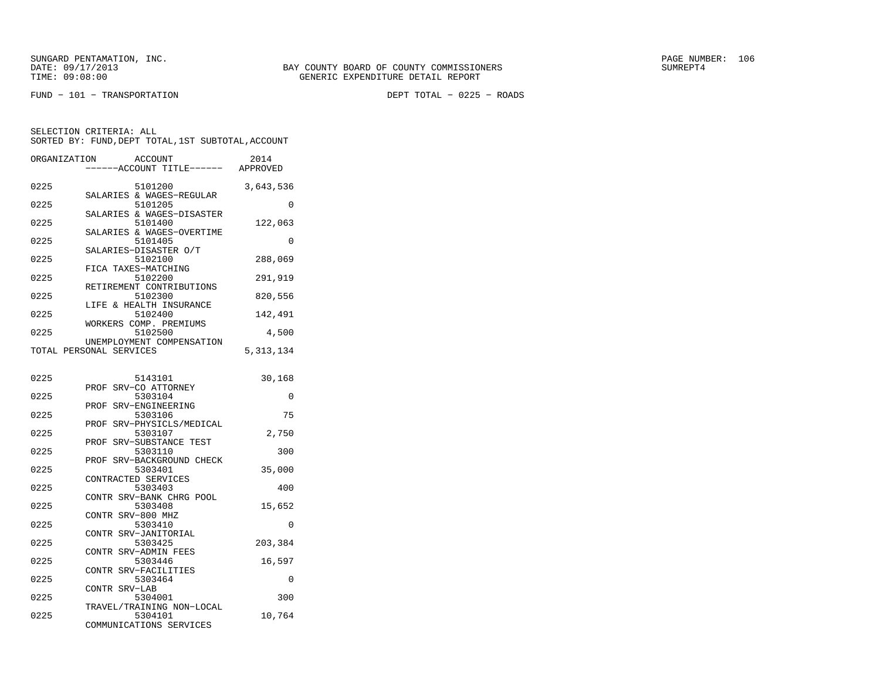FUND − 101 − TRANSPORTATION DEPT TOTAL − 0225 − ROADS

| ORGANIZATION            |                   | <b>ACCOUNT</b><br>---ACCOUNT TITLE------ | 2014<br>APPROVED |
|-------------------------|-------------------|------------------------------------------|------------------|
| 0225                    |                   | 5101200<br>SALARIES & WAGES-REGULAR      | 3,643,536        |
| 0225                    |                   | 5101205<br>SALARIES & WAGES-DISASTER     | 0                |
| 0225                    |                   | 5101400                                  | 122,063          |
| 0225                    |                   | SALARIES & WAGES-OVERTIME<br>5101405     | $\Omega$         |
| 0225                    |                   | SALARIES-DISASTER O/T<br>5102100         | 288,069          |
| 0225                    |                   | FICA TAXES-MATCHING<br>5102200           | 291,919          |
| 0225                    |                   | RETIREMENT CONTRIBUTIONS<br>5102300      | 820,556          |
| 0225                    |                   | LIFE & HEALTH INSURANCE<br>5102400       | 142,491          |
| 0225                    |                   | WORKERS COMP. PREMIUMS<br>5102500        | 4,500            |
| TOTAL PERSONAL SERVICES |                   | UNEMPLOYMENT COMPENSATION                | 5, 313, 134      |
| 0225                    |                   | 5143101                                  | 30,168           |
| 0225                    | PROF              | SRV-CO ATTORNEY<br>5303104               | 0                |
| 0225                    | PROF              | SRV-ENGINEERING<br>5303106               | 75               |
| 0225                    | PROF              | SRV-PHYSICLS/MEDICAL<br>5303107          | 2,750            |
| 0225                    | PROF              | SRV-SUBSTANCE TEST<br>5303110            | 300              |
| 0225                    | PROF              | SRV-BACKGROUND CHECK<br>5303401          | 35,000           |
| 0225                    |                   | CONTRACTED SERVICES<br>5303403           | 400              |
| 0225                    |                   | CONTR SRV-BANK CHRG POOL<br>5303408      | 15,652           |
|                         | CONTR SRV-800 MHZ |                                          |                  |
| 0225                    |                   | 5303410<br>CONTR SRV-JANITORIAL          | 0                |
| 0225                    |                   | 5303425<br>CONTR SRV-ADMIN FEES          | 203,384          |
| 0225                    | CONTR             | 5303446<br>SRV-FACILITIES                | 16,597           |
| 0225                    | CONTR SRV-LAB     | 5303464                                  | 0                |
| 0225                    |                   | 5304001<br>TRAVEL/TRAINING NON-LOCAL     | 300              |
| 0225                    |                   | 5304101<br>COMMUNICATIONS SERVICES       | 10,764           |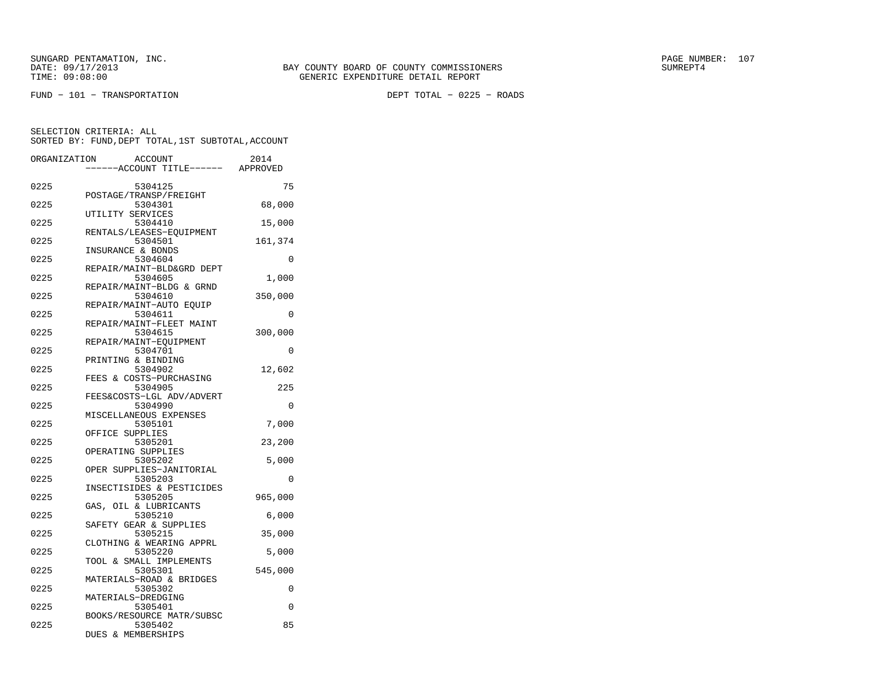FUND − 101 − TRANSPORTATION DEPT TOTAL − 0225 − ROADS

| ORGANIZATION | <b>ACCOUNT</b>                       | 2014     |
|--------------|--------------------------------------|----------|
|              | ---ACCOUNT TITLE------ APPROVED      |          |
| 0225         | 5304125                              | 75       |
| 0225         | POSTAGE/TRANSP/FREIGHT<br>5304301    | 68,000   |
|              | UTILITY SERVICES                     |          |
| 0225         | 5304410<br>RENTALS/LEASES-EQUIPMENT  | 15,000   |
| 0225         | 5304501                              | 161,374  |
| 0225         | INSURANCE & BONDS<br>5304604         | 0        |
| 0225         | REPAIR/MAINT-BLD&GRD DEPT<br>5304605 |          |
|              | REPAIR/MAINT-BLDG & GRND             | 1,000    |
| 0225         | 5304610                              | 350,000  |
| 0225         | REPAIR/MAINT-AUTO EOUIP<br>5304611   | 0        |
|              | REPAIR/MAINT-FLEET MAINT             |          |
| 0225         | 5304615<br>REPAIR/MAINT-EOUIPMENT    | 300,000  |
| 0225         | 5304701                              | 0        |
| 0225         | PRINTING & BINDING<br>5304902        | 12,602   |
|              | FEES & COSTS-PURCHASING              |          |
| 0225         | 5304905                              | 225      |
| 0225         | FEES&COSTS-LGL ADV/ADVERT<br>5304990 | 0        |
|              | MISCELLANEOUS EXPENSES               |          |
| 0225         | 5305101<br>OFFICE SUPPLIES           | 7,000    |
| 0225         | 5305201                              | 23,200   |
| 0225         | OPERATING SUPPLIES<br>5305202        | 5,000    |
|              | OPER SUPPLIES-JANITORIAL             |          |
| 0225         | 5305203<br>INSECTISIDES & PESTICIDES | $\Omega$ |
| 0225         | 5305205                              | 965,000  |
|              | GAS, OIL & LUBRICANTS                |          |
| 0225         | 5305210<br>SAFETY GEAR & SUPPLIES    | 6,000    |
| 0225         | 5305215                              | 35,000   |
| 0225         | CLOTHING & WEARING APPRL<br>5305220  | 5,000    |
|              | TOOL & SMALL IMPLEMENTS              |          |
| 0225         | 5305301<br>MATERIALS-ROAD & BRIDGES  | 545,000  |
| 0225         | 5305302                              | 0        |
| 0225         | MATERIALS-DREDGING<br>5305401        | 0        |
|              | BOOKS/RESOURCE MATR/SUBSC            |          |
| 0225         | 5305402                              | 85       |
|              | DUES & MEMBERSHIPS                   |          |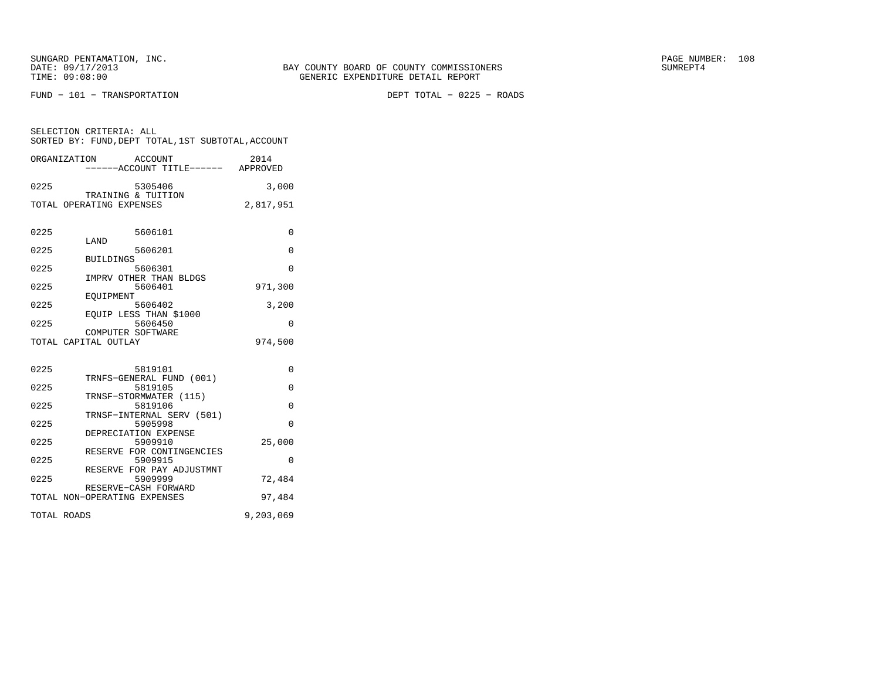FUND − 101 − TRANSPORTATION DEPT TOTAL − 0225 − ROADS

| SELECTION CRITERIA: ALL                            |         |      |
|----------------------------------------------------|---------|------|
| SORTED BY: FUND. DEPT TOTAL. 1ST SUBTOTAL. ACCOUNT |         |      |
|                                                    |         |      |
| ORGANIZATION                                       | ACCOUNT | 2014 |

|             | ------ACCOUNT TITLE------ APPROVED                   |           |
|-------------|------------------------------------------------------|-----------|
| 0225        | 5305406                                              | 3,000     |
|             | TRAINING & TUITION<br>TOTAL OPERATING EXPENSES       | 2,817,951 |
|             |                                                      |           |
| 0225        | 5606101<br>LAND                                      | $\Omega$  |
| 0225        | 5606201                                              | 0         |
| 0225        | <b>BUILDINGS</b><br>5606301                          | $\Omega$  |
|             | IMPRV OTHER THAN BLDGS                               |           |
| 0225        | 5606401<br>EOUIPMENT                                 | 971,300   |
| 0225        | 5606402                                              | 3,200     |
| 0225        | EQUIP LESS THAN \$1000<br>5606450                    | $\Omega$  |
|             | COMPUTER SOFTWARE<br>TOTAL CAPITAL OUTLAY            | 974,500   |
|             |                                                      |           |
| 0225        | 5819101                                              | $\Omega$  |
|             | TRNFS-GENERAL FUND (001)                             |           |
| 0225        | 5819105<br>TRNSF-STORMWATER (115)                    | $\Omega$  |
| 0225        | 5819106                                              | $\Omega$  |
| 0225        | TRNSF-INTERNAL SERV (501)<br>5905998                 | $\Omega$  |
|             | DEPRECIATION EXPENSE                                 |           |
| 0225        | 5909910<br>RESERVE FOR CONTINGENCIES                 | 25,000    |
| 0225        | 5909915<br>RESERVE FOR PAY ADJUSTMNT                 | $\Omega$  |
| 0225        | 5909999                                              | 72,484    |
|             | RESERVE-CASH FORWARD<br>TOTAL NON-OPERATING EXPENSES | 97,484    |
|             |                                                      |           |
| TOTAL ROADS |                                                      | 9,203,069 |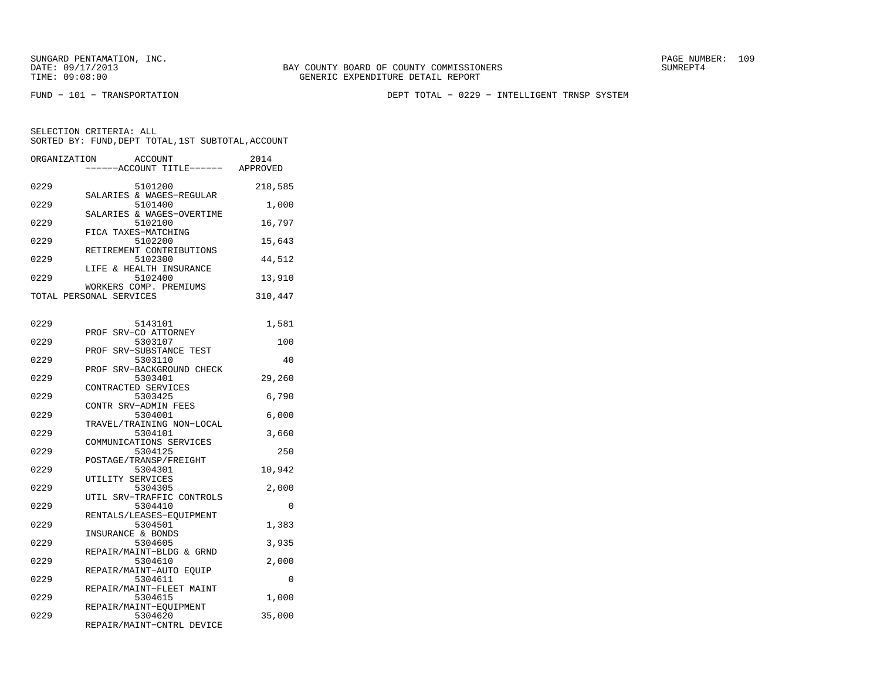BAY COUNTY BOARD OF COUNTY COMMISSIONERS TIME: 09:08:00 GENERIC EXPENDITURE DETAIL REPORT

FUND − 101 − TRANSPORTATION DEPT TOTAL − 0229 − INTELLIGENT TRNSP SYSTEM

| ORGANIZATION | <b>ACCOUNT</b><br>---ACCOUNT TITLE------ APPROVED | 2014    |
|--------------|---------------------------------------------------|---------|
| 0229         | 5101200<br>SALARIES & WAGES-REGULAR               | 218,585 |
| 0229         | 5101400<br>SALARIES & WAGES-OVERTIME              | 1,000   |
| 0229         | 5102100<br>FICA TAXES-MATCHING                    | 16,797  |
| 0229         | 5102200                                           | 15,643  |
| 0229         | RETIREMENT CONTRIBUTIONS<br>5102300               | 44,512  |
| 0229         | LIFE & HEALTH INSURANCE<br>5102400                | 13,910  |
|              | WORKERS COMP. PREMIUMS<br>TOTAL PERSONAL SERVICES | 310,447 |
| 0229         | 5143101                                           | 1,581   |
| 0229         | PROF SRV-CO ATTORNEY<br>5303107                   | 100     |
| 0229         | SRV-SUBSTANCE TEST<br>PROF<br>5303110             | 40      |
| 0229         | SRV-BACKGROUND CHECK<br>PROF<br>5303401           | 29,260  |
| 0229         | CONTRACTED SERVICES<br>5303425                    | 6,790   |
| 0229         | CONTR SRV-ADMIN FEES<br>5304001                   | 6,000   |
| 0229         | TRAVEL/TRAINING NON-LOCAL<br>5304101              | 3,660   |
| 0229         | COMMUNICATIONS SERVICES<br>5304125                | 250     |
| 0229         | POSTAGE/TRANSP/FREIGHT<br>5304301                 | 10,942  |
| 0229         | UTILITY SERVICES<br>5304305                       | 2,000   |
| 0229         | UTIL SRV-TRAFFIC CONTROLS<br>5304410              | 0       |
| 0229         | RENTALS/LEASES-EQUIPMENT<br>5304501               | 1,383   |
| 0229         | INSURANCE & BONDS<br>5304605                      | 3,935   |
| 0229         | REPAIR/MAINT-BLDG & GRND<br>5304610               | 2,000   |
| 0229         | REPAIR/MAINT-AUTO EOUIP<br>5304611                | 0       |
| 0229         | REPAIR/MAINT-FLEET MAINT<br>5304615               | 1,000   |
| 0229         | REPAIR/MAINT-EOUIPMENT<br>5304620                 | 35,000  |
|              | REPAIR/MAINT-CNTRL DEVICE                         |         |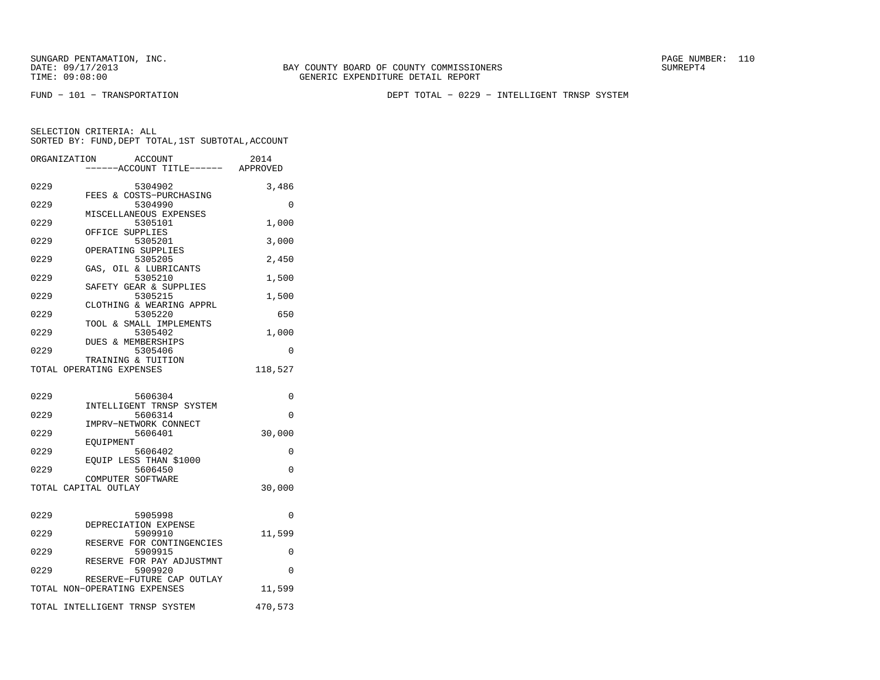FUND − 101 − TRANSPORTATION DEPT TOTAL − 0229 − INTELLIGENT TRNSP SYSTEM

|      | <b>ACCOUNT</b><br>ORGANIZATION<br>---ACCOUNT TITLE------ APPROVED | 2014     |
|------|-------------------------------------------------------------------|----------|
| 0229 | 5304902                                                           | 3,486    |
| 0229 | FEES & COSTS-PURCHASING<br>5304990                                | 0        |
| 0229 | MISCELLANEOUS EXPENSES<br>5305101                                 | 1,000    |
| 0229 | OFFICE SUPPLIES<br>5305201                                        | 3,000    |
| 0229 | OPERATING SUPPLIES<br>5305205                                     | 2,450    |
| 0229 | GAS, OIL & LUBRICANTS<br>5305210                                  | 1,500    |
| 0229 | SAFETY GEAR & SUPPLIES<br>5305215                                 | 1,500    |
| 0229 | CLOTHING & WEARING APPRL<br>5305220                               | 650      |
| 0229 | TOOL & SMALL IMPLEMENTS<br>5305402                                | 1,000    |
| 0229 | DUES & MEMBERSHIPS<br>5305406                                     | 0        |
|      | TRAINING & TUITION<br>TOTAL OPERATING EXPENSES                    | 118,527  |
|      |                                                                   |          |
| 0229 | 5606304<br>INTELLIGENT TRNSP SYSTEM                               | 0        |
| 0229 | 5606314<br>IMPRV-NETWORK CONNECT                                  | $\Omega$ |
| 0229 | 5606401                                                           | 30,000   |
| 0229 | EOUIPMENT<br>5606402                                              | 0        |
| 0229 | EQUIP LESS THAN \$1000<br>5606450                                 | 0        |
|      | COMPUTER SOFTWARE<br>TOTAL CAPITAL OUTLAY                         | 30,000   |
|      |                                                                   |          |
| 0229 | 5905998<br>DEPRECIATION EXPENSE                                   | 0        |
| 0229 | 5909910<br>RESERVE FOR CONTINGENCIES                              | 11,599   |
| 0229 | 5909915<br>RESERVE FOR PAY ADJUSTMNT                              | 0        |
| 0229 | 5909920<br>RESERVE-FUTURE CAP OUTLAY                              | $\Omega$ |
|      | TOTAL NON-OPERATING EXPENSES                                      | 11,599   |
|      | TOTAL INTELLIGENT TRNSP SYSTEM                                    | 470,573  |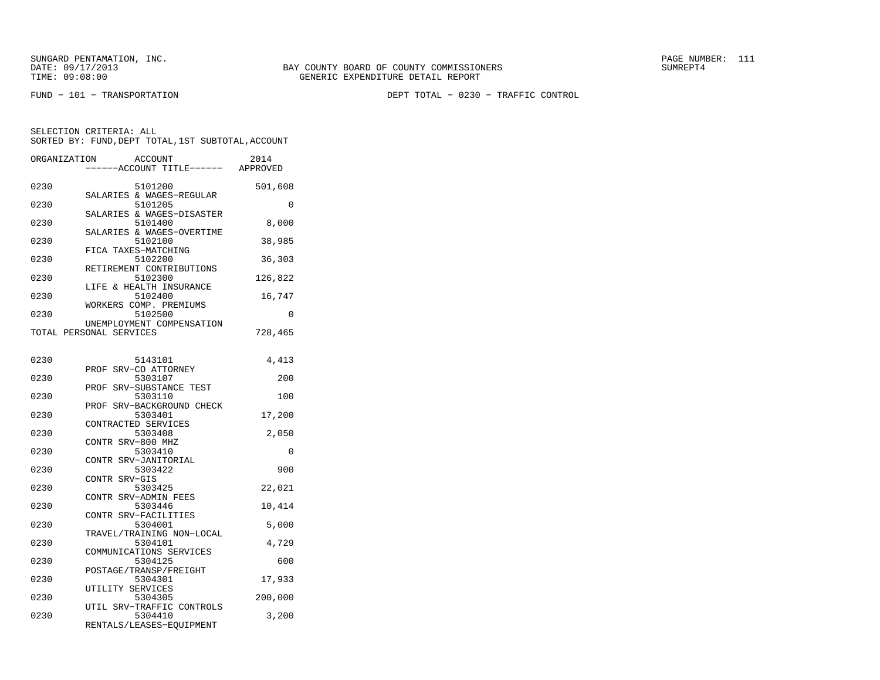FUND − 101 − TRANSPORTATION DEPT TOTAL − 0230 − TRAFFIC CONTROL

| ORGANIZATION |                         | <b>ACCOUNT</b><br>---ACCOUNT TITLE------ | 2014<br>APPROVED |
|--------------|-------------------------|------------------------------------------|------------------|
| 0230         |                         | 5101200<br>SALARIES & WAGES-REGULAR      | 501,608          |
| 0230         |                         | 5101205<br>SALARIES & WAGES-DISASTER     | 0                |
| 0230         |                         | 5101400                                  | 8,000            |
| 0230         |                         | SALARIES & WAGES-OVERTIME<br>5102100     | 38,985           |
| 0230         |                         | FICA TAXES-MATCHING<br>5102200           | 36,303           |
| 0230         |                         | RETIREMENT CONTRIBUTIONS<br>5102300      | 126,822          |
| 0230         |                         | LIFE & HEALTH INSURANCE<br>5102400       | 16,747           |
| 0230         |                         | WORKERS COMP. PREMIUMS<br>5102500        | 0                |
|              | TOTAL PERSONAL SERVICES | UNEMPLOYMENT COMPENSATION                | 728,465          |
| 0230         |                         | 5143101                                  | 4,413            |
| 0230         |                         | PROF SRV-CO ATTORNEY<br>5303107          | 200              |
| 0230         |                         | PROF SRV-SUBSTANCE TEST<br>5303110       | 100              |
| 0230         |                         | PROF SRV-BACKGROUND CHECK<br>5303401     | 17,200           |
| 0230         |                         | CONTRACTED SERVICES<br>5303408           | 2,050            |
| 0230         | CONTR SRV-800 MHZ       | 5303410                                  | 0                |
| 0230         |                         | CONTR SRV-JANITORIAL<br>5303422          | 900              |
| 0230         | CONTR SRV-GIS           | 5303425                                  | 22,021           |
| 0230         |                         | CONTR SRV-ADMIN FEES<br>5303446          | 10,414           |
| 0230         |                         | CONTR SRV-FACILITIES<br>5304001          | 5,000            |
| 0230         |                         | TRAVEL/TRAINING NON-LOCAL<br>5304101     | 4,729            |
| 0230         |                         | COMMUNICATIONS SERVICES<br>5304125       | 600              |
| 0230         |                         | POSTAGE/TRANSP/FREIGHT<br>5304301        | 17,933           |
| 0230         | UTILITY SERVICES        | 5304305                                  | 200,000          |
| 0230         |                         | UTIL SRV-TRAFFIC CONTROLS<br>5304410     | 3,200            |
|              |                         | RENTALS/LEASES-EQUIPMENT                 |                  |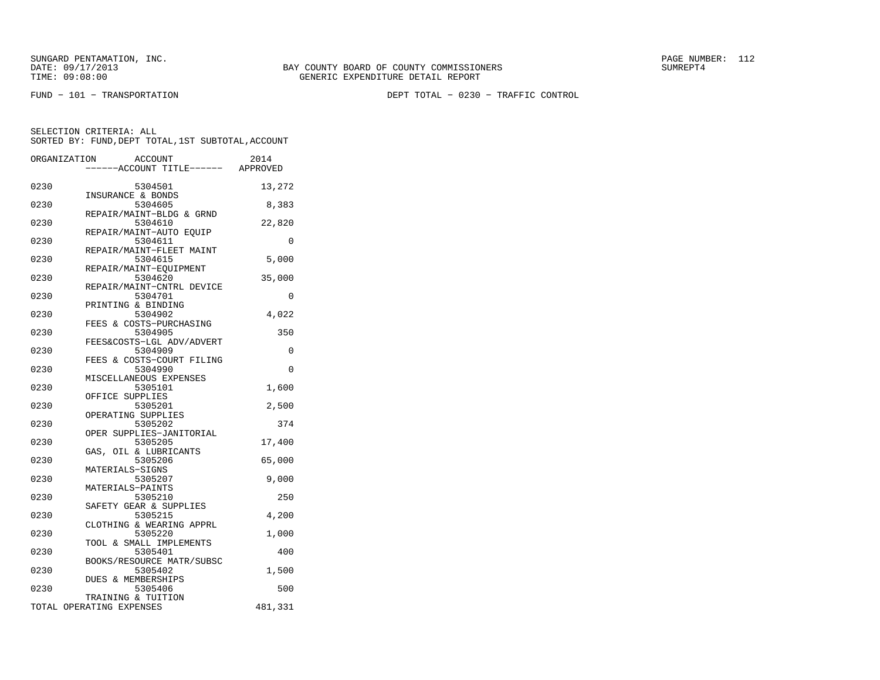FUND − 101 − TRANSPORTATION DEPT TOTAL − 0230 − TRAFFIC CONTROL

|      | ORGANIZATION<br><b>ACCOUNT</b><br>---ACCOUNT TITLE------ APPROVED | 2014     |
|------|-------------------------------------------------------------------|----------|
|      |                                                                   |          |
| 0230 | 5304501<br>INSURANCE & BONDS                                      | 13,272   |
| 0230 | 5304605                                                           | 8,383    |
| 0230 | REPAIR/MAINT-BLDG & GRND<br>5304610                               | 22,820   |
| 0230 | REPAIR/MAINT-AUTO EQUIP<br>5304611                                | 0        |
| 0230 | REPAIR/MAINT-FLEET MAINT<br>5304615                               | 5,000    |
| 0230 | REPAIR/MAINT-EQUIPMENT<br>5304620                                 | 35,000   |
|      | REPAIR/MAINT-CNTRL DEVICE                                         |          |
| 0230 | 5304701<br>PRINTING & BINDING                                     | 0        |
| 0230 | 5304902<br>FEES & COSTS-PURCHASING                                | 4,022    |
| 0230 | 5304905<br>FEES&COSTS-LGL ADV/ADVERT                              | 350      |
| 0230 | 5304909                                                           | 0        |
| 0230 | FEES & COSTS-COURT FILING<br>5304990                              | $\Omega$ |
| 0230 | MISCELLANEOUS EXPENSES<br>5305101                                 | 1,600    |
| 0230 | OFFICE SUPPLIES<br>5305201                                        | 2,500    |
| 0230 | OPERATING SUPPLIES<br>5305202                                     | 374      |
|      | OPER SUPPLIES-JANITORIAL                                          |          |
| 0230 | 5305205<br>GAS, OIL & LUBRICANTS                                  | 17,400   |
| 0230 | 5305206<br>MATERIALS-SIGNS                                        | 65,000   |
| 0230 | 5305207<br>MATERIALS-PAINTS                                       | 9,000    |
| 0230 | 5305210<br>SAFETY GEAR & SUPPLIES                                 | 250      |
| 0230 | 5305215                                                           | 4,200    |
| 0230 | CLOTHING & WEARING APPRL<br>5305220                               | 1,000    |
| 0230 | TOOL & SMALL IMPLEMENTS<br>5305401                                | 400      |
| 0230 | BOOKS/RESOURCE MATR/SUBSC<br>5305402                              | 1,500    |
| 0230 | DUES & MEMBERSHIPS<br>5305406                                     | 500      |
|      | TRAINING & TUITION                                                |          |
|      | TOTAL OPERATING EXPENSES                                          | 481,331  |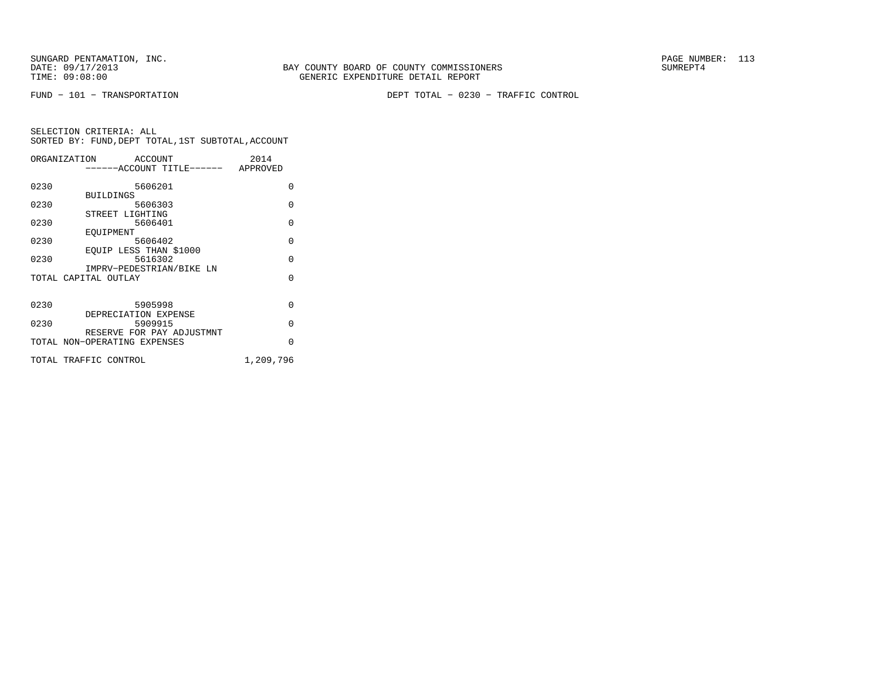FUND − 101 − TRANSPORTATION DEPT TOTAL − 0230 − TRAFFIC CONTROL

|      | ORGANIZATION<br>ACCOUNT      | 2014      |
|------|------------------------------|-----------|
|      | -----ACCOUNT TITLE------     | APPROVED  |
|      |                              |           |
| 0230 | 5606201                      | $\Omega$  |
|      | <b>BUILDINGS</b>             |           |
| 0230 | 5606303                      | $\Omega$  |
|      | STREET LIGHTING              |           |
| 0230 | 5606401                      | $\Omega$  |
|      | EOUIPMENT                    |           |
| 0230 | 5606402                      | $\Omega$  |
|      | EQUIP LESS THAN \$1000       |           |
| 0230 | 5616302                      | $\Omega$  |
|      | IMPRV-PEDESTRIAN/BIKE LN     |           |
|      | TOTAL CAPITAL OUTLAY         | $\Omega$  |
|      |                              |           |
| 0230 | 5905998                      | $\Omega$  |
|      | DEPRECIATION EXPENSE         |           |
| 0230 | 5909915                      | $\Omega$  |
|      | RESERVE FOR PAY ADJUSTMNT    |           |
|      | TOTAL NON-OPERATING EXPENSES | $\Omega$  |
|      |                              |           |
|      | TOTAL TRAFFIC CONTROL        | 1,209,796 |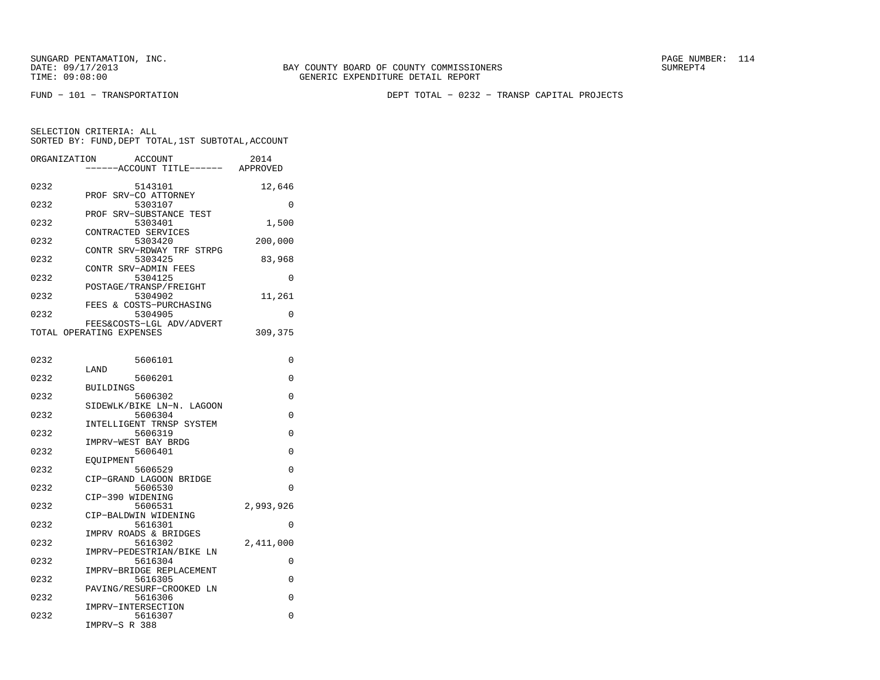FUND − 101 − TRANSPORTATION DEPT TOTAL − 0232 − TRANSP CAPITAL PROJECTS

| ORGANIZATION | <b>ACCOUNT</b><br>----ACCOUNT TITLE------             | 2014<br>APPROVED |
|--------------|-------------------------------------------------------|------------------|
| 0232         | 5143101<br>PROF SRV-CO ATTORNEY                       | 12,646           |
| 0232         | 5303107<br>PROF SRV-SUBSTANCE TEST                    | 0                |
| 0232         | 5303401<br>CONTRACTED SERVICES                        | 1,500            |
| 0232         | 5303420                                               | 200,000          |
| 0232         | CONTR SRV-RDWAY TRF STRPG<br>5303425                  | 83,968           |
| 0232         | CONTR SRV-ADMIN FEES<br>5304125                       | 0                |
| 0232         | POSTAGE/TRANSP/FREIGHT<br>5304902                     | 11,261           |
| 0232         | FEES & COSTS-PURCHASING<br>5304905                    | 0                |
|              | FEES&COSTS-LGL ADV/ADVERT<br>TOTAL OPERATING EXPENSES | 309,375          |
|              |                                                       |                  |
| 0232         | 5606101<br>LAND                                       | 0                |
| 0232         | 5606201<br><b>BUILDINGS</b>                           | 0                |
| 0232         | 5606302                                               | 0                |
| 0232         | SIDEWLK/BIKE LN-N. LAGOON<br>5606304                  | 0                |
| 0232         | INTELLIGENT TRNSP SYSTEM<br>5606319                   | 0                |
| 0232         | IMPRV-WEST BAY BRDG<br>5606401                        | 0                |
| 0232         | EOUIPMENT<br>5606529                                  | 0                |
| 0232         | CIP-GRAND LAGOON BRIDGE<br>5606530                    | $\Omega$         |
| 0232         | CIP-390 WIDENING<br>5606531                           |                  |
|              | CIP-BALDWIN WIDENING                                  | 2,993,926        |
| 0232         | 5616301<br>IMPRV ROADS & BRIDGES                      | 0                |
| 0232         | 5616302<br>IMPRV-PEDESTRIAN/BIKE LN                   | 2,411,000        |
| 0232         | 5616304<br>IMPRV-BRIDGE REPLACEMENT                   | 0                |
| 0232         | 5616305                                               | $\Omega$         |
| 0232         | PAVING/RESURF-CROOKED LN<br>5616306                   | 0                |
| 0232         | IMPRV-INTERSECTION<br>5616307<br>IMPRV-S R 388        | 0                |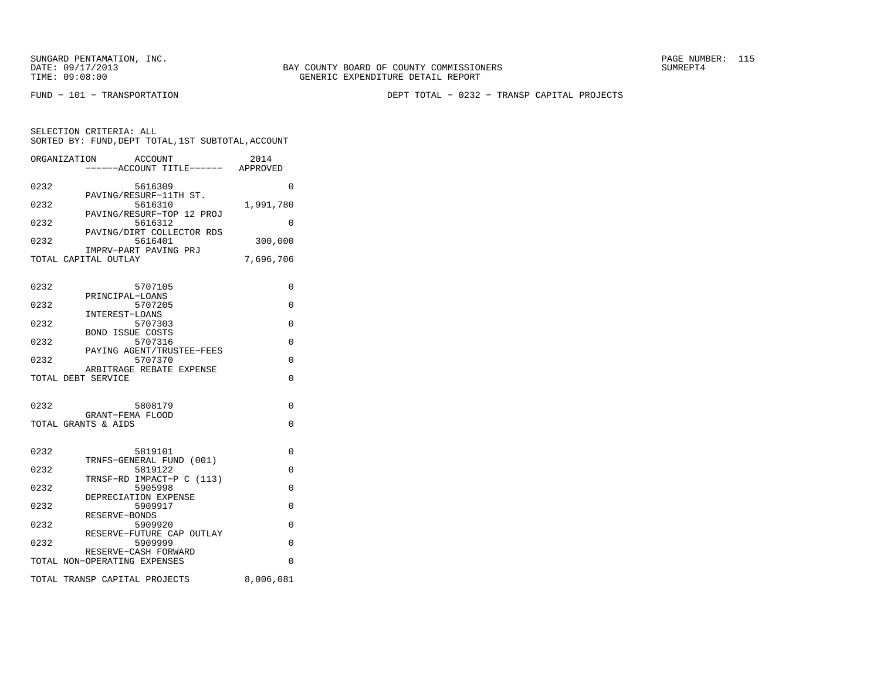SELECTION CRITERIA: ALL

FUND − 101 − TRANSPORTATION DEPT TOTAL − 0232 − TRANSP CAPITAL PROJECTS

| 0232<br>5616309                                | 0         |
|------------------------------------------------|-----------|
| PAVING/RESURF-11TH ST.<br>0232<br>5616310      | 1,991,780 |
| PAVING/RESURF-TOP 12 PROJ<br>0232<br>5616312   | 0         |
| PAVING/DIRT COLLECTOR RDS<br>0232<br>5616401   | 300,000   |
| IMPRV-PART PAVING PRJ                          |           |
| TOTAL CAPITAL OUTLAY                           | 7,696,706 |
| 0232<br>5707105<br>PRINCIPAL-LOANS             | 0         |
| 5707205<br>0232<br>INTEREST-LOANS              | 0         |
| 0232<br>5707303                                | 0         |
| <b>BOND ISSUE COSTS</b><br>0232<br>5707316     | 0         |
| PAYING AGENT/TRUSTEE-FEES<br>0232<br>5707370   | U         |
| ARBITRAGE REBATE EXPENSE<br>TOTAL DEBT SERVICE | 0         |
|                                                |           |
| 0232<br>5808179                                | $\Omega$  |
| GRANT-FEMA FLOOD<br>TOTAL GRANTS & AIDS        | 0         |
|                                                |           |
| 0232<br>5819101                                | 0         |
| TRNFS-GENERAL FUND (001)<br>0232<br>5819122    | 0         |
| TRNSF-RD IMPACT-P C (113)<br>0232<br>5905998   | 0         |
| DEPRECIATION EXPENSE<br>0232<br>5909917        | 0         |
| RESERVE-BONDS                                  |           |
| 0232<br>5909920<br>RESERVE-FUTURE CAP OUTLAY   | 0         |
| 0232<br>5909999<br>RESERVE-CASH FORWARD        | 0         |
| TOTAL NON-OPERATING EXPENSES                   | 0         |
| TOTAL TRANSP CAPITAL PROJECTS                  | 8,006,081 |
|                                                |           |

 SORTED BY: FUND,DEPT TOTAL,1ST SUBTOTAL,ACCOUNTORGANIZATION ACCOUNT 2014−−−−−−ACCOUNT TITLE−−−−−− APPROVED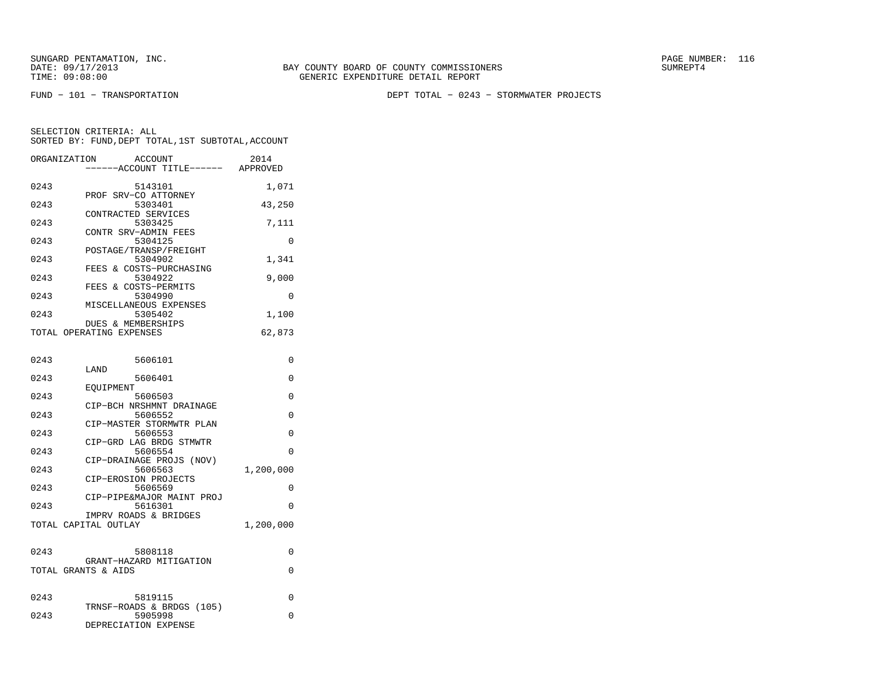FUND − 101 − TRANSPORTATION DEPT TOTAL − 0243 − STORMWATER PROJECTS

| ORGANIZATION | ACCOUNT                              | 2014      |
|--------------|--------------------------------------|-----------|
|              | -----ACCOUNT TITLE------             | APPROVED  |
| 0243         | 5143101                              | 1,071     |
|              | PROF SRV-CO ATTORNEY                 |           |
| 0243         | 5303401<br>CONTRACTED SERVICES       | 43,250    |
| 0243         | 5303425                              | 7,111     |
|              | CONTR SRV-ADMIN FEES                 |           |
| 0243         | 5304125                              | 0         |
| 0243         | POSTAGE/TRANSP/FREIGHT<br>5304902    | 1,341     |
|              | FEES & COSTS-PURCHASING              |           |
| 0243         | 5304922                              | 9,000     |
|              | FEES & COSTS-PERMITS                 |           |
| 0243         | 5304990<br>MISCELLANEOUS EXPENSES    | 0         |
| 0243         | 5305402                              | 1,100     |
|              | DUES & MEMBERSHIPS                   |           |
|              | TOTAL OPERATING EXPENSES             | 62,873    |
|              |                                      |           |
| 0243         | 5606101                              | $\Omega$  |
|              | LAND                                 |           |
| 0243         | 5606401                              | 0         |
| 0243         | EOUIPMENT                            | 0         |
|              | 5606503<br>CIP-BCH NRSHMNT DRAINAGE  |           |
| 0243         | 5606552                              | 0         |
|              | CIP-MASTER STORMWTR PLAN             |           |
| 0243         | 5606553                              | $\Omega$  |
| 0243         | CIP-GRD LAG BRDG STMWTR<br>5606554   | $\Omega$  |
|              | CIP-DRAINAGE PROJS (NOV)             |           |
| 0243         | 5606563                              | 1,200,000 |
|              | CIP-EROSION PROJECTS                 |           |
| 0243         | 5606569<br>CIP-PIPE&MAJOR MAINT PROJ | 0         |
| 0243         | 5616301                              | 0         |
|              | IMPRV ROADS & BRIDGES                |           |
|              | TOTAL CAPITAL OUTLAY                 | 1,200,000 |
|              |                                      |           |
| 0243         | 5808118                              | 0         |
|              | GRANT-HAZARD MITIGATION              |           |
|              | TOTAL GRANTS & AIDS                  | 0         |
|              |                                      |           |
| 0243         | 5819115                              | 0         |
|              | TRNSF-ROADS & BRDGS (105)            |           |
| 0243         | 5905998                              | 0         |
|              | DEPRECIATION EXPENSE                 |           |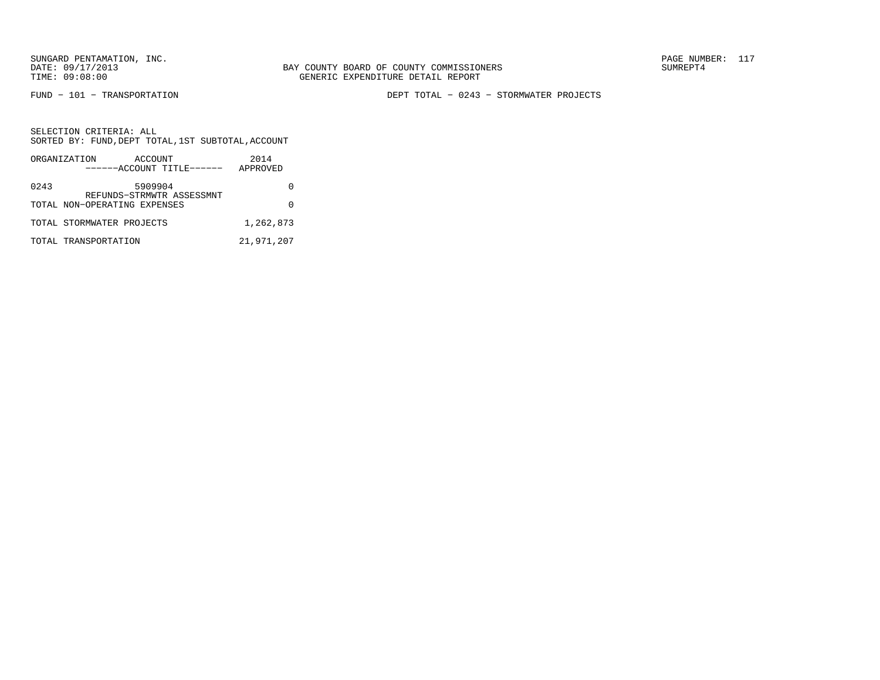FUND − 101 − TRANSPORTATION DEPT TOTAL − 0243 − STORMWATER PROJECTS

|      | ORGANIZATION<br>ACCOUNT<br>------ACCOUNT TITLE------      | 2014<br>APPROVED |
|------|-----------------------------------------------------------|------------------|
|      |                                                           |                  |
| 0243 | 5909904                                                   |                  |
|      | REFUNDS-STRMWTR ASSESSMNT<br>TOTAL NON-OPERATING EXPENSES |                  |
|      |                                                           |                  |
|      | TOTAL STORMWATER PROJECTS                                 | 1,262,873        |
|      | TOTAL TRANSPORTATION                                      | 21,971,207       |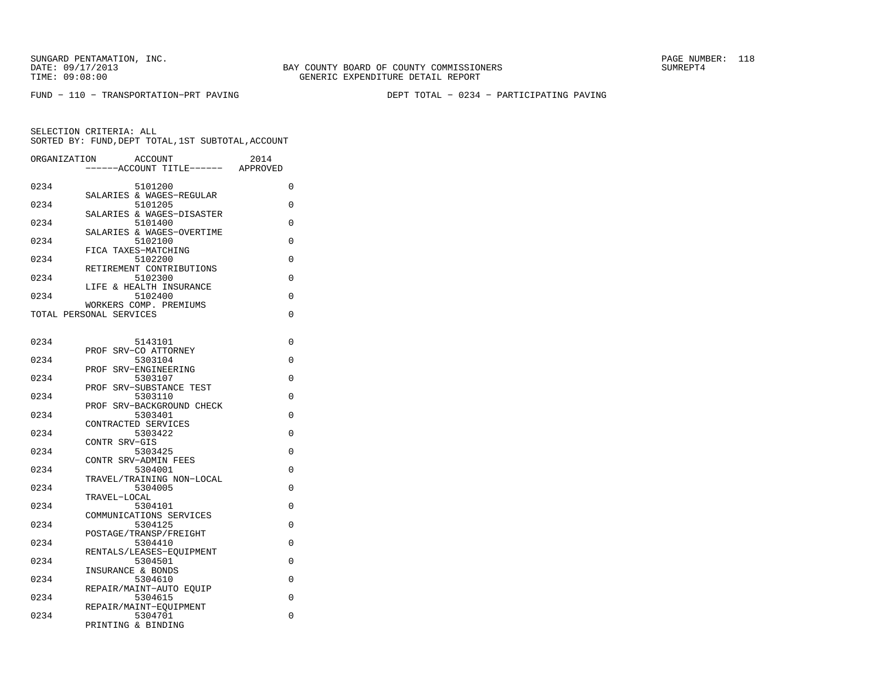FUND − 110 − TRANSPORTATION−PRT PAVING DEPT TOTAL − 0234 − PARTICIPATING PAVING

| ORGANIZATION            |                   | <b>ACCOUNT</b>                      | 2014     |
|-------------------------|-------------------|-------------------------------------|----------|
|                         |                   | ---ACCOUNT TITLE------              | APPROVED |
|                         |                   |                                     |          |
| 0234                    |                   | 5101200<br>SALARIES & WAGES-REGULAR | 0        |
| 0234                    |                   | 5101205                             | 0        |
|                         |                   | SALARIES & WAGES-DISASTER           |          |
| 0234                    |                   | 5101400                             | 0        |
|                         |                   | SALARIES & WAGES-OVERTIME           |          |
| 0234                    |                   | 5102100                             | $\Omega$ |
| 0234                    |                   | FICA TAXES-MATCHING<br>5102200      | 0        |
|                         |                   | RETIREMENT CONTRIBUTIONS            |          |
| 0234                    |                   | 5102300                             | 0        |
|                         |                   | LIFE & HEALTH INSURANCE             |          |
| 0234                    |                   | 5102400                             | 0        |
|                         |                   | WORKERS COMP. PREMIUMS              |          |
| TOTAL PERSONAL SERVICES |                   |                                     | 0        |
|                         |                   |                                     |          |
| 0234                    |                   | 5143101                             | 0        |
|                         |                   | PROF SRV-CO ATTORNEY                |          |
| 0234                    |                   | 5303104                             | 0        |
|                         | PROF              | SRV-ENGINEERING                     |          |
| 0234                    |                   | 5303107                             | 0        |
| 0234                    |                   | PROF SRV-SUBSTANCE TEST<br>5303110  | 0        |
|                         | PROF              | SRV-BACKGROUND CHECK                |          |
| 0234                    |                   | 5303401                             | 0        |
|                         |                   | CONTRACTED SERVICES                 |          |
| 0234                    |                   | 5303422                             | $\Omega$ |
|                         | CONTR SRV-GIS     |                                     |          |
| 0234                    |                   | 5303425                             | 0        |
| 0234                    |                   | CONTR SRV-ADMIN FEES<br>5304001     | 0        |
|                         |                   | TRAVEL/TRAINING NON-LOCAL           |          |
| 0234                    |                   | 5304005                             | 0        |
|                         | TRAVEL-LOCAL      |                                     |          |
| 0234                    |                   | 5304101                             | 0        |
| 0234                    |                   | COMMUNICATIONS SERVICES             |          |
|                         |                   | 5304125<br>POSTAGE/TRANSP/FREIGHT   | $\Omega$ |
| 0234                    |                   | 5304410                             | 0        |
|                         |                   | RENTALS/LEASES-EQUIPMENT            |          |
| 0234                    |                   | 5304501                             | 0        |
|                         | INSURANCE & BONDS |                                     |          |
| 0234                    |                   | 5304610                             | $\Omega$ |
| 0234                    |                   | REPAIR/MAINT-AUTO EOUIP<br>5304615  | 0        |
|                         |                   | REPAIR/MAINT-EOUIPMENT              |          |
| 0234                    |                   | 5304701                             | 0        |
|                         |                   | PRINTING & BINDING                  |          |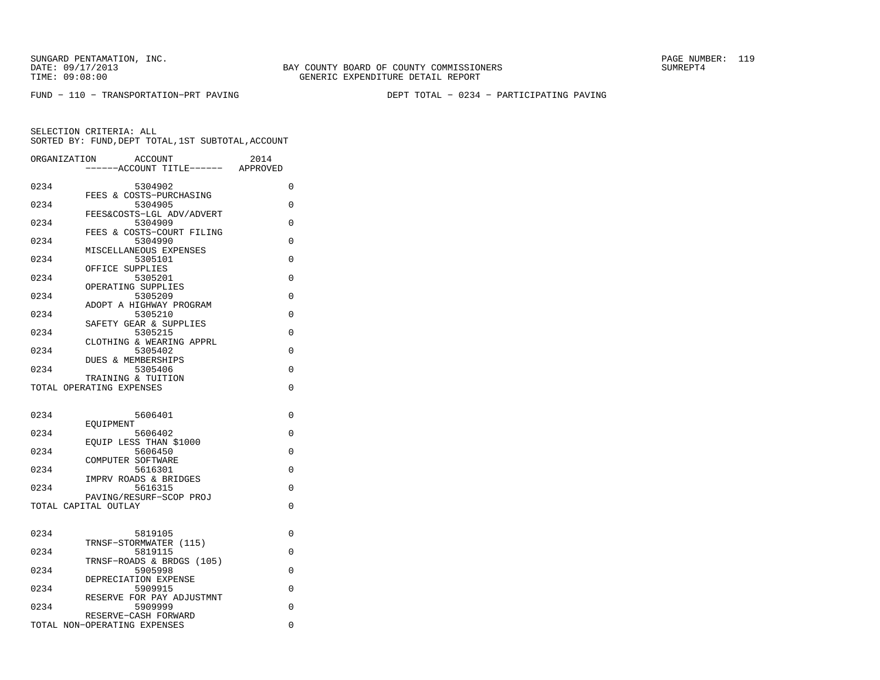FUND − 110 − TRANSPORTATION−PRT PAVING DEPT TOTAL − 0234 − PARTICIPATING PAVING

| ORGANIZATION | ACCOUNT                                        | 2014     |
|--------------|------------------------------------------------|----------|
|              | ----ACCOUNT TITLE------ APPROVED               |          |
| 0234         | 5304902                                        | 0        |
|              | FEES & COSTS-PURCHASING                        |          |
| 0234         | 5304905<br>FEES&COSTS-LGL ADV/ADVERT           | 0        |
| 0234         | 5304909                                        | 0        |
|              | FEES & COSTS-COURT FILING                      | $\Omega$ |
| 0234         | 5304990<br>MISCELLANEOUS EXPENSES              |          |
| 0234         | 5305101                                        | $\Omega$ |
| 0234         | OFFICE SUPPLIES<br>5305201                     | $\Omega$ |
|              | OPERATING SUPPLIES                             |          |
| 0234         | 5305209                                        | 0        |
| 0234         | ADOPT A HIGHWAY PROGRAM<br>5305210             | 0        |
|              | SAFETY GEAR & SUPPLIES                         |          |
| 0234         | 5305215                                        | 0        |
| 0234         | CLOTHING & WEARING APPRL<br>5305402            | $\Omega$ |
|              | <b>DUES &amp; MEMBERSHIPS</b>                  |          |
| 0234         | 5305406                                        | $\Omega$ |
|              | TRAINING & TUITION<br>TOTAL OPERATING EXPENSES | $\Omega$ |
|              |                                                |          |
|              |                                                |          |
| 0234         | 5606401<br>EOUIPMENT                           | 0        |
| 0234         | 5606402                                        | $\Omega$ |
|              | EOUIP LESS THAN \$1000                         |          |
| 0234         | 5606450<br>COMPUTER SOFTWARE                   | $\Omega$ |
| 0234         | 5616301                                        | $\Omega$ |
|              | IMPRV ROADS & BRIDGES                          |          |
| 0234         | 5616315<br>PAVING/RESURF-SCOP PROJ             | $\Omega$ |
|              | TOTAL CAPITAL OUTLAY                           | 0        |
|              |                                                |          |
| 0234         | 5819105                                        | 0        |
|              | TRNSF-STORMWATER (115)                         |          |
| 0234         | 5819115                                        | 0        |
| 0234         | TRNSF-ROADS & BRDGS (105)<br>5905998           | 0        |
|              | DEPRECIATION EXPENSE                           |          |
| 0234         | 5909915                                        | 0        |
| 0234         | RESERVE FOR PAY ADJUSTMNT<br>5909999           | $\Omega$ |
|              | RESERVE-CASH FORWARD                           |          |
|              | TOTAL NON-OPERATING EXPENSES                   | 0        |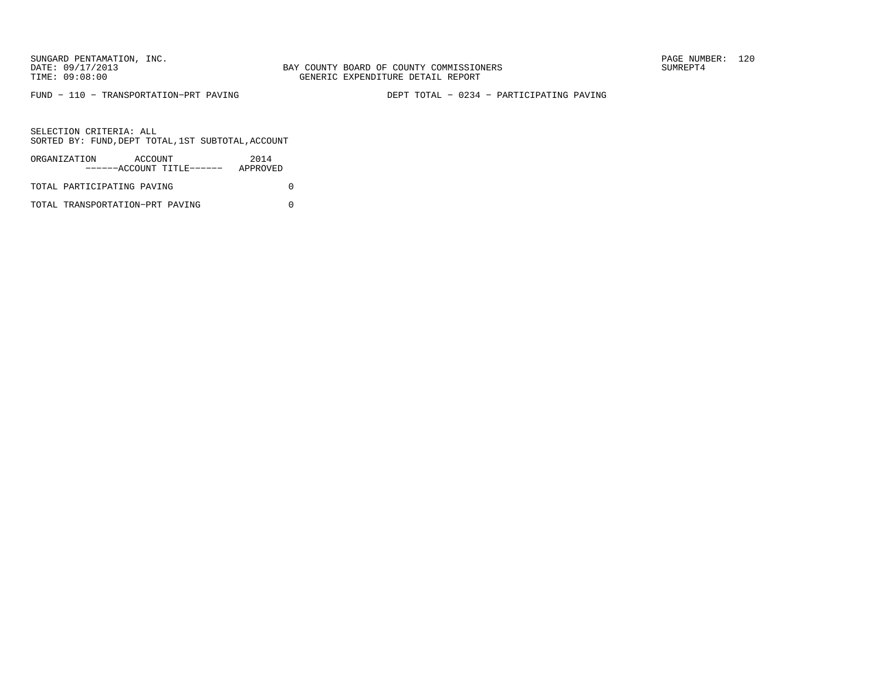FUND − 110 − TRANSPORTATION−PRT PAVING DEPT TOTAL − 0234 − PARTICIPATING PAVING

SELECTION CRITERIA: ALLSORTED BY: FUND,DEPT TOTAL,1ST SUBTOTAL,ACCOUNT

| ORGANIZATION               | ACCOUNT | ------ACCOUNT TITLE------ | 2014<br>APPROVED |  |
|----------------------------|---------|---------------------------|------------------|--|
| TOTAL PARTICIPATING PAVING |         |                           |                  |  |

TOTAL TRANSPORTATION−PRT PAVING 0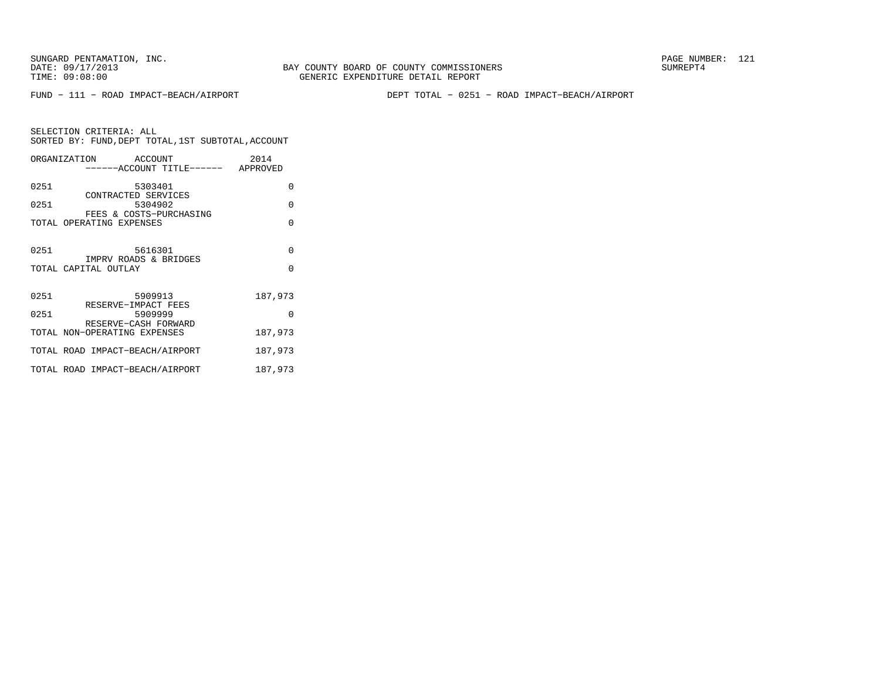FUND − 111 − ROAD IMPACT−BEACH/AIRPORT DEPT TOTAL − 0251 − ROAD IMPACT−BEACH/AIRPORT

SELECTION CRITERIA: ALL SORTED BY: FUND,DEPT TOTAL,1ST SUBTOTAL,ACCOUNTORGANIZATION ACCOUNT 2014 −−−−−−ACCOUNT TITLE−−−−−− APPROVED

|      | -----Allumi iiibb------ Appruvbd                    |          |
|------|-----------------------------------------------------|----------|
| 0251 | 5303401                                             | $\Omega$ |
| 0251 | CONTRACTED SERVICES<br>5304902                      | $\Omega$ |
|      | FEES & COSTS-PURCHASING<br>TOTAL OPERATING EXPENSES | $\Omega$ |
| 0251 | 5616301<br>IMPRV ROADS & BRIDGES                    | $\Omega$ |
|      | TOTAL CAPITAL OUTLAY                                | $\Omega$ |
| 0251 | 5909913<br>RESERVE-IMPACT FEES                      | 187,973  |
| 0251 | 5909999<br>RESERVE-CASH FORWARD                     | $\Omega$ |
|      | TOTAL NON-OPERATING EXPENSES                        | 187,973  |
|      | TOTAL ROAD IMPACT-BEACH/AIRPORT                     | 187,973  |
|      | TOTAL ROAD IMPACT-BEACH/AIRPORT                     | 187,973  |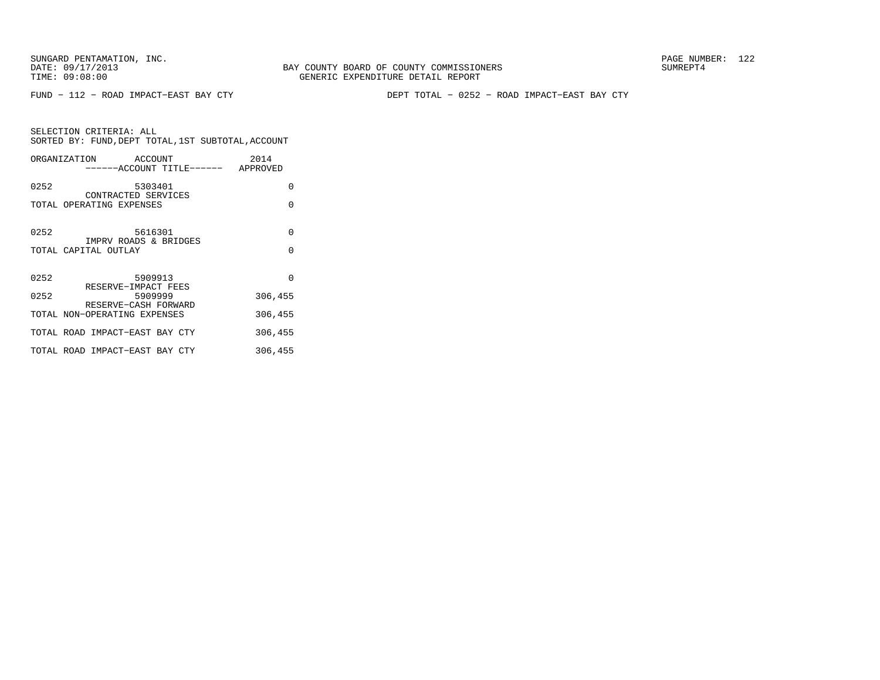FUND − 112 − ROAD IMPACT−EAST BAY CTY DEPT TOTAL − 0252 − ROAD IMPACT−EAST BAY CTY

|                      | ORGANIZATION ACCOUNT             | ------ACCOUNT TITLE------ APPROVED | 2014     |
|----------------------|----------------------------------|------------------------------------|----------|
| 0252                 | 5303401<br>CONTRACTED SERVICES   |                                    | $\Omega$ |
|                      | TOTAL OPERATING EXPENSES         |                                    | $\Omega$ |
| 0252                 | 5616301<br>IMPRV ROADS & BRIDGES |                                    | $\Omega$ |
| TOTAL CAPITAL OUTLAY |                                  |                                    | $\Omega$ |
| 0252                 | 5909913<br>RESERVE-IMPACT FEES   |                                    | $\Omega$ |
| 0252                 | 5909999<br>RESERVE-CASH FORWARD  |                                    | 306,455  |
|                      | TOTAL NON-OPERATING EXPENSES     |                                    | 306,455  |
|                      | TOTAL ROAD IMPACT-EAST BAY CTY   |                                    | 306,455  |
|                      | TOTAL ROAD IMPACT-EAST BAY CTY   |                                    | 306,455  |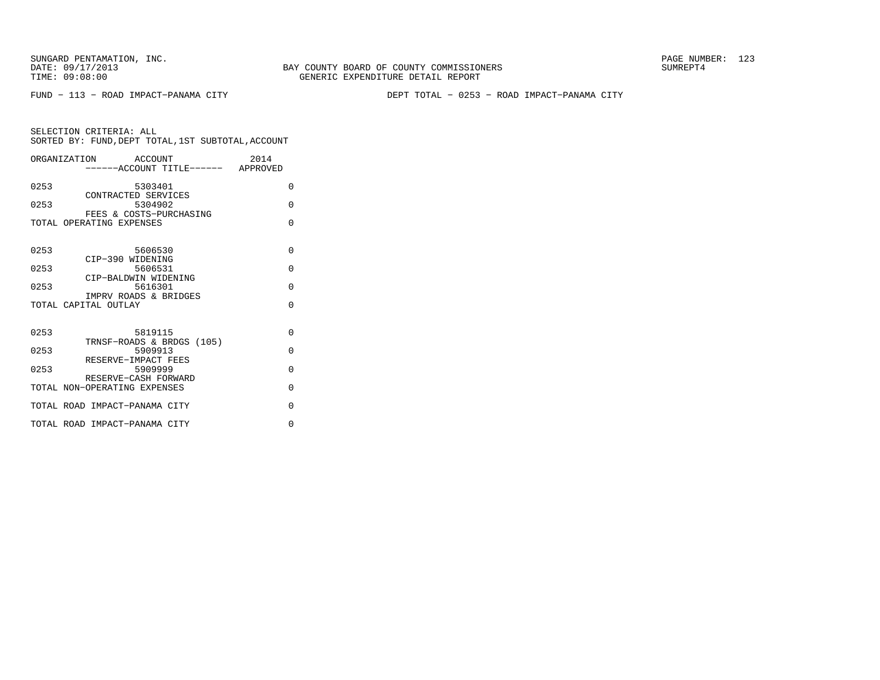BAY COUNTY BOARD OF COUNTY COMMISSIONERS TIME: 09:08:00 GENERIC EXPENDITURE DETAIL REPORT

FUND − 113 − ROAD IMPACT−PANAMA CITY DEPT TOTAL − 0253 − ROAD IMPACT−PANAMA CITY

| ORGANIZATION ACCOUNT<br>-----ACCOUNT TITLE------ APPROVED        | 2014     |
|------------------------------------------------------------------|----------|
| 0253<br>5303401                                                  | 0        |
| CONTRACTED SERVICES<br>0253<br>5304902                           | $\Omega$ |
| FEES & COSTS-PURCHASING<br>TOTAL OPERATING EXPENSES              | $\Omega$ |
| 0253<br>5606530                                                  | $\Omega$ |
| CIP-390 WIDENING<br>5606531<br>0253                              | $\Omega$ |
| CIP-BALDWIN WIDENING<br>0253<br>5616301<br>IMPRV ROADS & BRIDGES | $\Omega$ |
| TOTAL CAPITAL OUTLAY                                             | $\Omega$ |
| 0253<br>5819115<br>TRNSF-ROADS & BRDGS (105)                     | $\Omega$ |
| 0253<br>5909913<br>RESERVE-IMPACT FEES                           | $\Omega$ |
| 0253<br>5909999<br>RESERVE-CASH FORWARD                          | $\Omega$ |
| TOTAL NON-OPERATING EXPENSES                                     | $\Omega$ |
| TOTAL ROAD IMPACT-PANAMA CITY                                    | $\Omega$ |
| TOTAL ROAD IMPACT-PANAMA CITY                                    | $\Omega$ |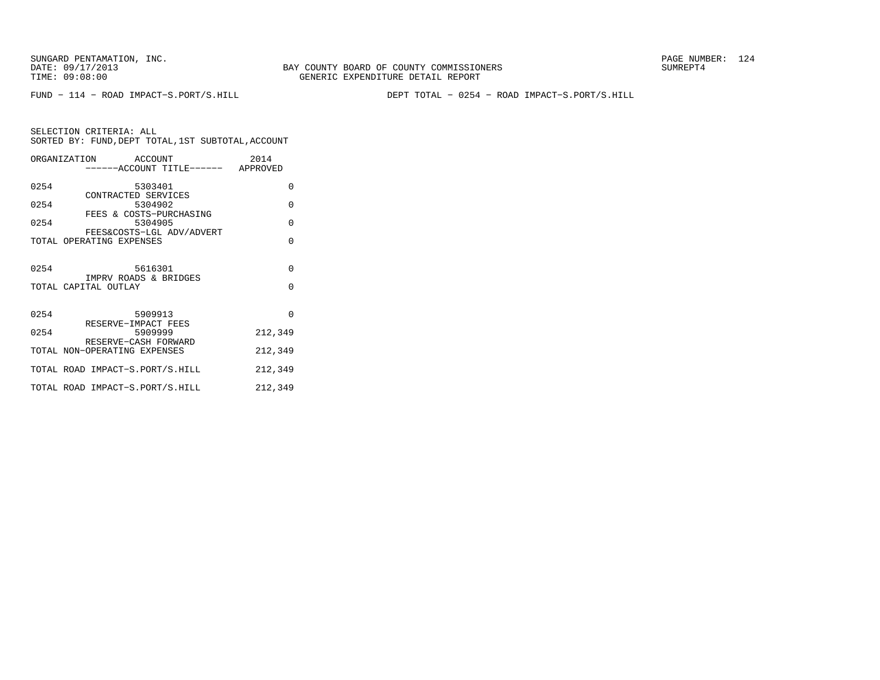BAY COUNTY BOARD OF COUNTY COMMISSIONERS TIME: 09:08:00 GENERIC EXPENDITURE DETAIL REPORT

FUND − 114 − ROAD IMPACT−S.PORT/S.HILL DEPT TOTAL − 0254 − ROAD IMPACT−S.PORT/S.HILL

|      | ORGANIZATION ACCOUNT                                 |         |                                    | 2014    |          |
|------|------------------------------------------------------|---------|------------------------------------|---------|----------|
|      |                                                      |         | ------ACCOUNT TITLE------ APPROVED |         |          |
| 0254 |                                                      | 5303401 |                                    |         | $\Omega$ |
| 0254 | CONTRACTED SERVICES                                  |         | 5304902                            |         | $\Omega$ |
| 0254 | FEES & COSTS-PURCHASING                              |         | 5304905                            |         | $\Omega$ |
|      | TOTAL OPERATING EXPENSES                             |         | FEES&COSTS-LGL ADV/ADVERT          |         | $\Omega$ |
|      |                                                      |         |                                    |         |          |
| 0254 | IMPRV ROADS & BRIDGES                                |         | 5616301                            |         | $\Omega$ |
|      | TOTAL CAPITAL OUTLAY                                 |         |                                    |         | $\Omega$ |
|      |                                                      |         |                                    |         |          |
| 0254 | RESERVE-IMPACT FEES                                  | 5909913 |                                    |         | $\Omega$ |
| 0254 |                                                      |         | 5909999                            | 212,349 |          |
|      | RESERVE-CASH FORWARD<br>TOTAL NON-OPERATING EXPENSES |         |                                    | 212,349 |          |
|      | TOTAL ROAD IMPACT-S.PORT/S.HILL                      |         |                                    | 212,349 |          |
|      | TOTAL ROAD IMPACT-S.PORT/S.HILL                      |         |                                    | 212,349 |          |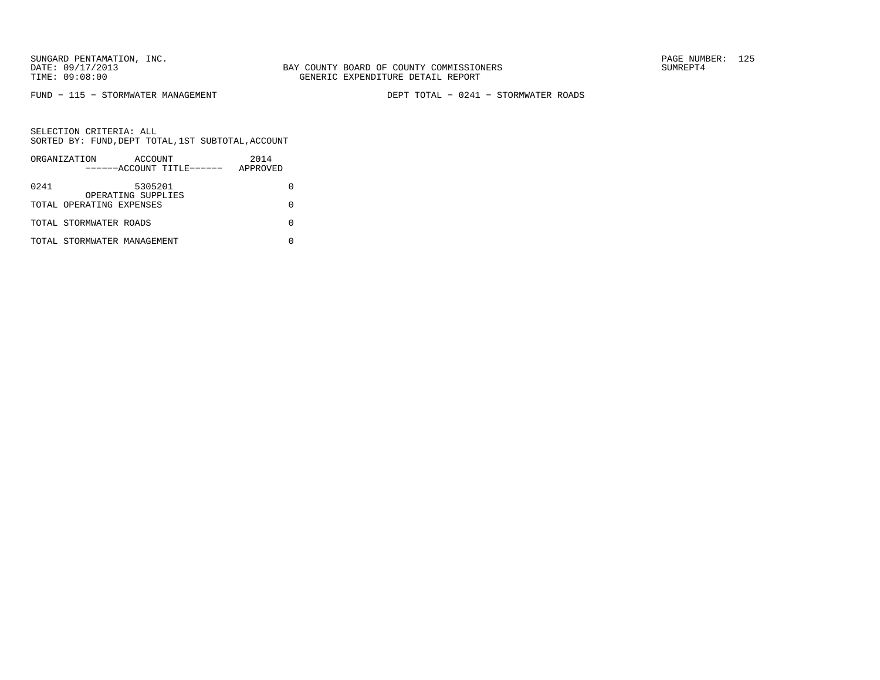FUND − 115 − STORMWATER MANAGEMENT DEPT TOTAL − 0241 − STORMWATER ROADS

|      | ORGANIZATION                | ACCOUNT                       |                           | 2014     |  |
|------|-----------------------------|-------------------------------|---------------------------|----------|--|
|      |                             |                               | ------ACCOUNT TITLE------ | APPROVED |  |
| 0241 |                             | 5305201<br>OPERATING SUPPLIES |                           |          |  |
|      | TOTAL OPERATING EXPENSES    |                               |                           |          |  |
|      | TOTAL STORMWATER ROADS      |                               |                           |          |  |
|      | TOTAL STORMWATER MANAGEMENT |                               |                           |          |  |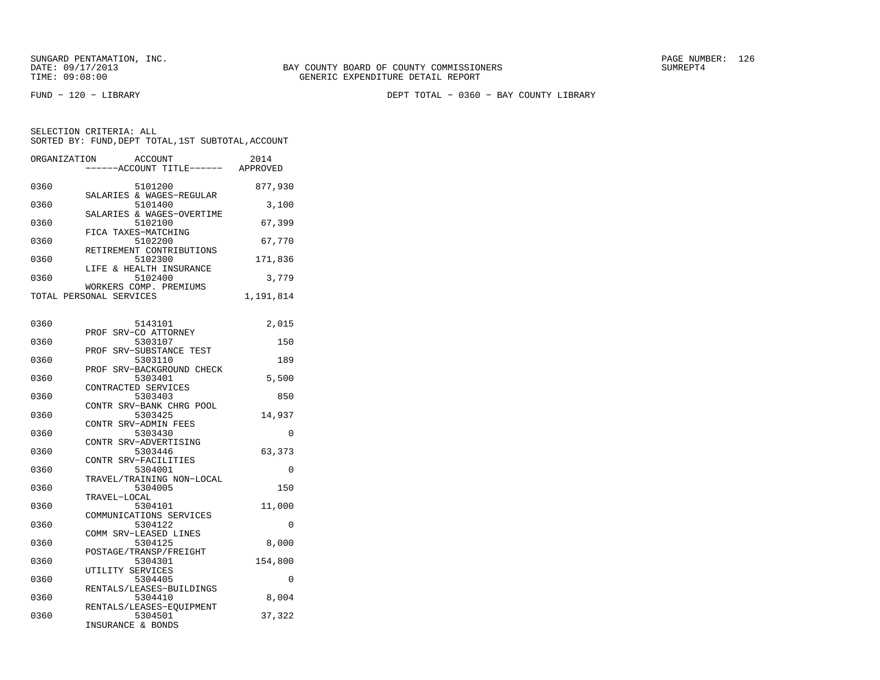FUND − 120 − LIBRARY DEPT TOTAL − 0360 − BAY COUNTY LIBRARY

| ORGANIZATION | ACCOUNT                                           | 2014      |
|--------------|---------------------------------------------------|-----------|
|              | ---ACCOUNT TITLE------ APPROVED                   |           |
| 0360         | 5101200                                           | 877,930   |
|              | SALARIES & WAGES-REGULAR                          |           |
| 0360         | 5101400<br>SALARIES & WAGES-OVERTIME              | 3,100     |
| 0360         | 5102100                                           | 67,399    |
|              | FICA TAXES-MATCHING                               |           |
| 0360         | 5102200                                           | 67,770    |
| 0360         | RETIREMENT CONTRIBUTIONS<br>5102300               | 171,836   |
|              | LIFE & HEALTH INSURANCE                           |           |
| 0360         | 5102400                                           | 3,779     |
|              | WORKERS COMP. PREMIUMS<br>TOTAL PERSONAL SERVICES | 1,191,814 |
|              |                                                   |           |
|              |                                                   |           |
| 0360         | 5143101<br>PROF SRV-CO ATTORNEY                   | 2,015     |
| 0360         | 5303107                                           | 150       |
|              | PROF SRV-SUBSTANCE TEST                           |           |
| 0360         | 5303110<br>PROF SRV-BACKGROUND CHECK              | 189       |
| 0360         | 5303401                                           | 5,500     |
|              | CONTRACTED SERVICES                               |           |
| 0360         | 5303403                                           | 850       |
| 0360         | CONTR SRV-BANK CHRG POOL<br>5303425               | 14,937    |
|              | CONTR SRV-ADMIN FEES                              |           |
| 0360         | 5303430                                           | 0         |
| 0360         | CONTR SRV-ADVERTISING<br>5303446                  | 63,373    |
|              | CONTR SRV-FACILITIES                              |           |
| 0360         | 5304001                                           | 0         |
| 0360         | TRAVEL/TRAINING NON-LOCAL<br>5304005              | 150       |
|              | TRAVEL-LOCAL                                      |           |
| 0360         | 5304101                                           | 11,000    |
| 0360         | COMMUNICATIONS SERVICES<br>5304122                | $\Omega$  |
|              | COMM SRV-LEASED LINES                             |           |
| 0360         | 5304125                                           | 8,000     |
|              | POSTAGE/TRANSP/FREIGHT<br>5304301                 |           |
| 0360         | UTILITY SERVICES                                  | 154,800   |
| 0360         | 5304405                                           | 0         |
|              | RENTALS/LEASES-BUILDINGS                          |           |
| 0360         | 5304410<br>RENTALS/LEASES-EQUIPMENT               | 8,004     |
| 0360         | 5304501                                           | 37,322    |
|              | INSURANCE & BONDS                                 |           |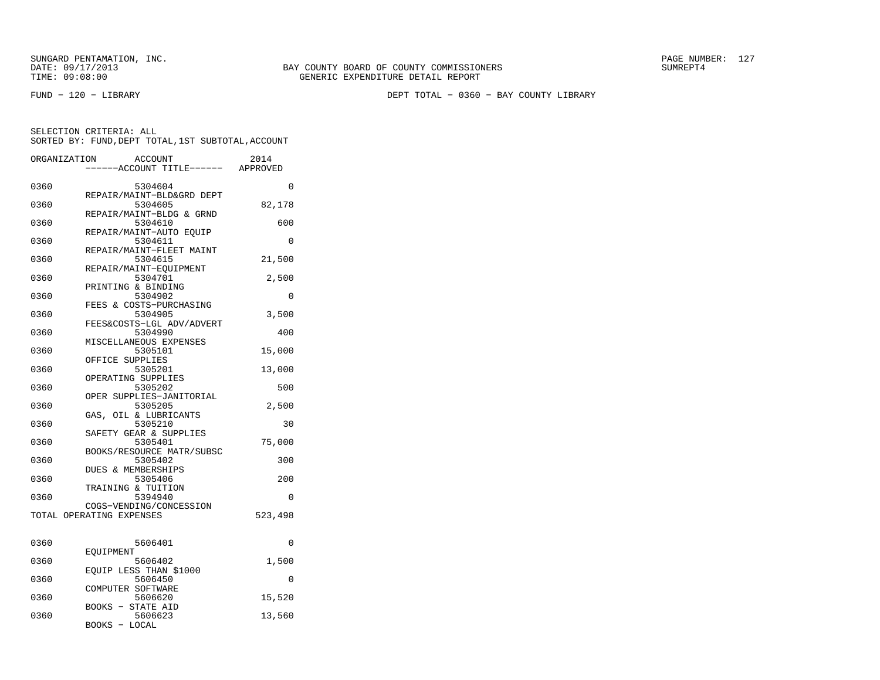FUND − 120 − LIBRARY DEPT TOTAL − 0360 − BAY COUNTY LIBRARY

| ORGANIZATION | <b>ACCOUNT</b>                      | 2014<br>---ACCOUNT TITLE------ APPROVED |
|--------------|-------------------------------------|-----------------------------------------|
|              |                                     |                                         |
| 0360         | 5304604                             | $\Omega$                                |
|              | REPAIR/MAINT-BLD&GRD DEPT           |                                         |
| 0360         | 5304605                             | 82,178                                  |
|              | REPAIR/MAINT-BLDG & GRND            |                                         |
| 0360         | 5304610                             | 600                                     |
|              | REPAIR/MAINT-AUTO EOUIP             |                                         |
| 0360         | 5304611                             | $\Omega$                                |
|              | REPAIR/MAINT-FLEET MAINT            |                                         |
| 0360         | 5304615                             | 21,500                                  |
| 0360         | REPAIR/MAINT-EQUIPMENT<br>5304701   | 2,500                                   |
|              | PRINTING & BINDING                  |                                         |
| 0360         | 5304902                             | 0                                       |
|              | FEES & COSTS-PURCHASING             |                                         |
| 0360         | 5304905                             | 3,500                                   |
|              | FEES&COSTS-LGL ADV/ADVERT           |                                         |
| 0360         | 5304990                             | 400                                     |
|              | MISCELLANEOUS EXPENSES              |                                         |
| 0360         | 5305101                             | 15,000                                  |
|              | OFFICE SUPPLIES                     |                                         |
| 0360         | 5305201                             | 13,000                                  |
|              | OPERATING SUPPLIES                  |                                         |
| 0360         | 5305202                             | 500                                     |
| 0360         | OPER SUPPLIES-JANITORIAL<br>5305205 |                                         |
|              | OIL & LUBRICANTS<br>GAS,            | 2,500                                   |
| 0360         | 5305210                             | 30                                      |
|              | SAFETY GEAR & SUPPLIES              |                                         |
| 0360         | 5305401                             | 75,000                                  |
|              | BOOKS/RESOURCE MATR/SUBSC           |                                         |
| 0360         | 5305402                             | 300                                     |
|              | DUES & MEMBERSHIPS                  |                                         |
| 0360         | 5305406                             | 200                                     |
|              | TRAINING & TUITION                  |                                         |
| 0360         | 5394940                             | 0                                       |
|              | COGS-VENDING/CONCESSION             |                                         |
|              | TOTAL OPERATING EXPENSES            | 523,498                                 |
| 0360         | 5606401                             | 0                                       |
|              | EQUIPMENT                           |                                         |
| 0360         | 5606402                             | 1,500                                   |
|              | EOUIP LESS THAN \$1000              |                                         |
| 0360         | 5606450<br>COMPUTER SOFTWARE        | 0                                       |
| 0360         | 5606620                             | 15,520                                  |
|              | <b>BOOKS - STATE AID</b>            |                                         |
| 0360         | 5606623                             | 13,560                                  |
|              | BOOKS -<br>LOCAL                    |                                         |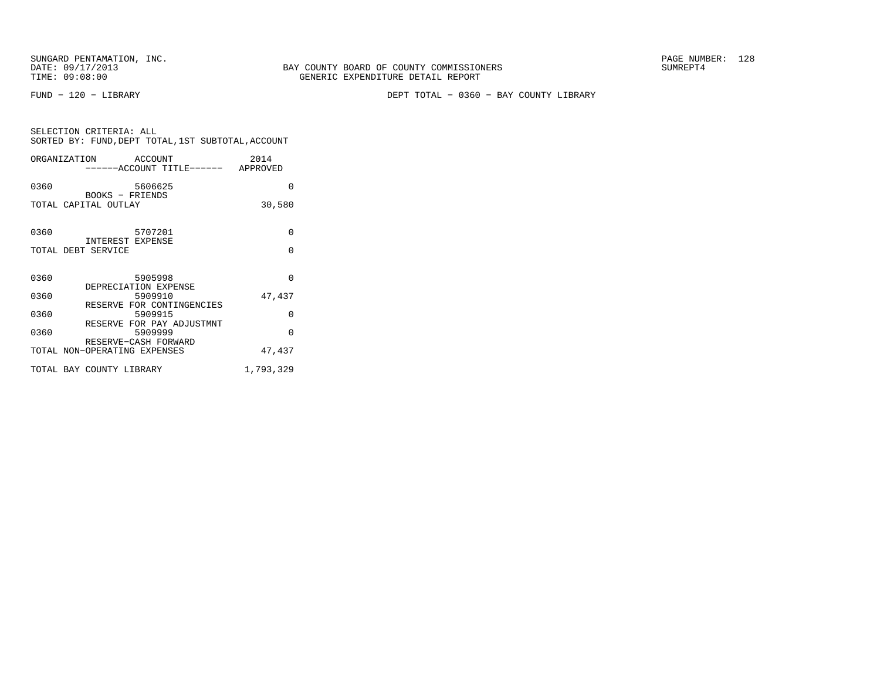FUND − 120 − LIBRARY DEPT TOTAL − 0360 − BAY COUNTY LIBRARY

| SELECTION CRITERIA: ALL<br>SORTED BY: FUND. DEPT TOTAL. 1ST SUBTOTAL. ACCOUNT |                           |         |  |                  |
|-------------------------------------------------------------------------------|---------------------------|---------|--|------------------|
| ORGANIZATION                                                                  | ------ACCOUNT TITLE------ | ACCOUNT |  | 2014<br>APPROVED |

| 0360 | 5606625                                 | O        |
|------|-----------------------------------------|----------|
|      | BOOKS - FRIENDS<br>TOTAL CAPITAL OUTLAY | 30,580   |
| 0360 | 5707201<br>INTEREST EXPENSE             | $\Omega$ |
|      | TOTAL DEBT SERVICE                      | $\Omega$ |
| 0360 | 5905998<br>DEPRECIATION EXPENSE         | $\Omega$ |
| 0360 | 5909910<br>RESERVE FOR CONTINGENCIES    | 47,437   |
| 0360 | 5909915                                 | $\Omega$ |
| 0360 | RESERVE FOR PAY ADJUSTMNT<br>5909999    | U        |
|      | RESERVE-CASH FORWARD                    |          |

 TOTAL NON−OPERATING EXPENSES 47,437 TOTAL BAY COUNTY LIBRARY 1,793,329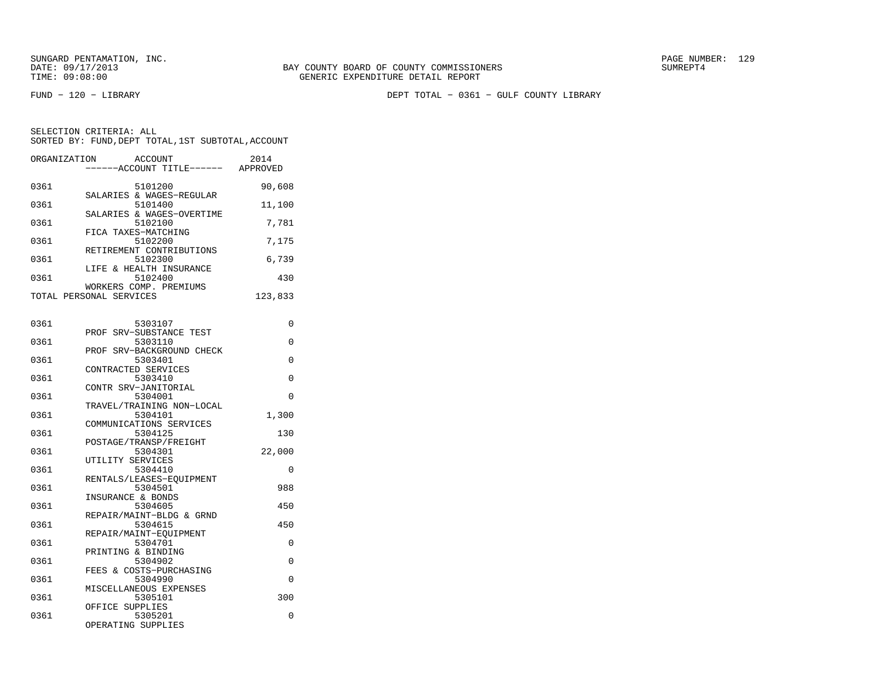FUND − 120 − LIBRARY DEPT TOTAL − 0361 − GULF COUNTY LIBRARY

SELECTION CRITERIA: ALLSORTED BY: FUND,DEPT TOTAL,1ST SUBTOTAL,ACCOUNT

| ORGANIZATION | ACCOUNT<br>---ACCOUNT TITLE------ APPROVED | 2014     |
|--------------|--------------------------------------------|----------|
| 0361         | 5101200                                    | 90,608   |
| 0361         | SALARIES & WAGES-REGULAR<br>5101400        | 11,100   |
| 0361         | SALARIES & WAGES-OVERTIME<br>5102100       | 7,781    |
| 0361         | FICA TAXES-MATCHING<br>5102200             | 7,175    |
| 0361         | RETIREMENT CONTRIBUTIONS<br>5102300        | 6,739    |
| 0361         | LIFE & HEALTH INSURANCE<br>5102400         | 430      |
|              | WORKERS COMP. PREMIUMS                     |          |
|              | TOTAL PERSONAL SERVICES                    | 123,833  |
| 0361         | 5303107                                    | 0        |
| 0361         | PROF SRV-SUBSTANCE TEST<br>5303110         | 0        |
|              | PROF SRV-BACKGROUND CHECK                  |          |
| 0361         | 5303401<br>CONTRACTED SERVICES             | 0        |
| 0361         | 5303410                                    | 0        |
| 0361         | CONTR SRV-JANITORIAL<br>5304001            | 0        |
| 0361         | TRAVEL/TRAINING NON-LOCAL<br>5304101       | 1,300    |
|              | COMMUNICATIONS SERVICES                    |          |
| 0361         | 5304125                                    | 130      |
| 0361         | POSTAGE/TRANSP/FREIGHT<br>5304301          | 22,000   |
| 0361         | UTILITY SERVICES<br>5304410                | 0        |
|              | RENTALS/LEASES-EQUIPMENT                   |          |
| 0361         | 5304501                                    | 988      |
| 0361         | INSURANCE & BONDS<br>5304605               | 450      |
|              | REPAIR/MAINT-BLDG & GRND                   |          |
| 0361         | 5304615<br>REPAIR/MAINT-EQUIPMENT          | 450      |
| 0361         | 5304701                                    | 0        |
| 0361         | PRINTING & BINDING<br>5304902              | 0        |
| 0361         | FEES & COSTS-PURCHASING<br>5304990         | $\Omega$ |
|              | MISCELLANEOUS EXPENSES                     |          |
| 0361         | 5305101                                    | 300      |
| 0361         | OFFICE SUPPLIES<br>5305201                 | $\Omega$ |

OPERATING SUPPLIES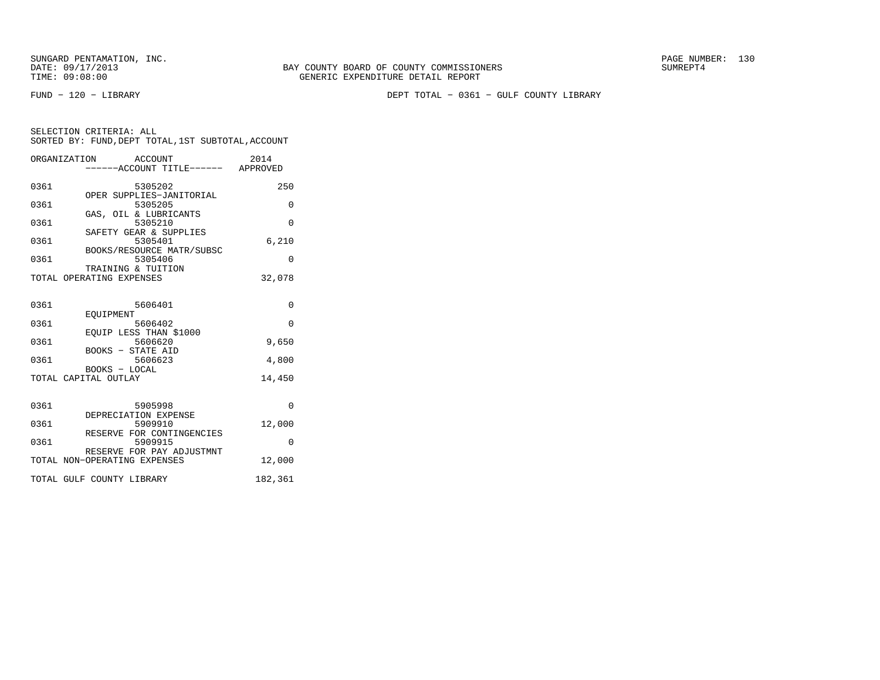FUND − 120 − LIBRARY DEPT TOTAL − 0361 − GULF COUNTY LIBRARY

|      | ORGANIZATION ACCOUNT                           | ----ACCOUNT TITLE------ APPROVED | 2014     |
|------|------------------------------------------------|----------------------------------|----------|
| 0361 | 5305202                                        |                                  | 250      |
| 0361 | OPER SUPPLIES-JANITORIAL<br>5305205            |                                  | 0        |
| 0361 | GAS, OIL & LUBRICANTS<br>5305210               |                                  | $\Omega$ |
| 0361 | SAFETY GEAR & SUPPLIES<br>5305401              |                                  | 6,210    |
| 0361 | BOOKS/RESOURCE MATR/SUBSC<br>5305406           |                                  | $\Omega$ |
|      | TRAINING & TUITION<br>TOTAL OPERATING EXPENSES |                                  | 32,078   |
| 0361 | 5606401                                        |                                  | $\Omega$ |
| 0361 | <b>EOUIPMENT</b><br>5606402                    |                                  | $\Omega$ |
| 0361 | EOUIP LESS THAN \$1000<br>5606620              |                                  | 9,650    |
| 0361 | BOOKS - STATE AID                              | 5606623                          | 4,800    |
|      | BOOKS - LOCAL<br>TOTAL CAPITAL OUTLAY          |                                  | 14,450   |
|      |                                                |                                  |          |
| 0361 | 5905998<br>DEPRECIATION EXPENSE                |                                  | $\Omega$ |
| 0361 | 5909910<br>RESERVE FOR CONTINGENCIES           |                                  | 12,000   |
| 0361 | 5909915<br>RESERVE FOR PAY ADJUSTMNT           |                                  | $\Omega$ |
|      | TOTAL NON-OPERATING EXPENSES                   |                                  | 12,000   |
|      | TOTAL GULF COUNTY LIBRARY                      |                                  | 182,361  |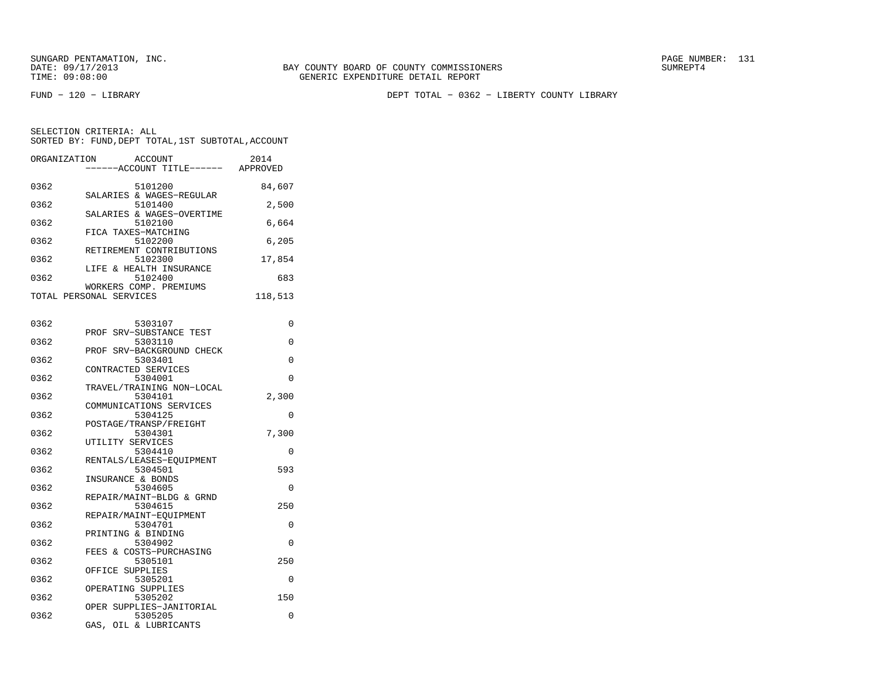BAY COUNTY BOARD OF COUNTY COMMISSIONERS TIME: 09:08:00 GENERIC EXPENDITURE DETAIL REPORT

FUND − 120 − LIBRARY DEPT TOTAL − 0362 − LIBERTY COUNTY LIBRARY

SELECTION CRITERIA: ALLSORTED BY: FUND,DEPT TOTAL,1ST SUBTOTAL,ACCOUNT

|      | ORGANIZATION ACCOUNT<br>------ACCOUNT TITLE------ APPROVED | 2014     |
|------|------------------------------------------------------------|----------|
| 0362 | 5101200                                                    | 84,607   |
| 0362 | SALARIES & WAGES-REGULAR<br>5101400                        | 2,500    |
| 0362 | SALARIES & WAGES-OVERTIME<br>5102100                       | 6,664    |
| 0362 | FICA TAXES-MATCHING<br>5102200                             | 6,205    |
| 0362 | RETIREMENT CONTRIBUTIONS<br>5102300                        | 17,854   |
| 0362 | LIFE & HEALTH INSURANCE<br>5102400                         | 683      |
|      | WORKERS COMP. PREMIUMS<br>TOTAL PERSONAL SERVICES          | 118,513  |
|      |                                                            |          |
| 0362 | 5303107                                                    | $\Omega$ |
| 0362 | PROF SRV-SUBSTANCE TEST<br>5303110                         | $\Omega$ |
| 0362 | PROF SRV-BACKGROUND CHECK<br>5303401                       | $\Omega$ |
| 0362 | CONTRACTED SERVICES<br>5304001                             | $\Omega$ |
|      | TRAVEL/TRAINING NON-LOCAL                                  |          |
| ハマドン | 5304101                                                    | ว วกก    |

|      | INAVELI INAINING NUNTIUCAL |       |  |
|------|----------------------------|-------|--|
| 0362 | 5304101                    | 2,300 |  |
|      | COMMUNICATIONS SERVICES    |       |  |
| 0362 | 5304125                    | 0     |  |
|      | POSTAGE/TRANSP/FREIGHT     |       |  |
| 0362 | 5304301                    | 7,300 |  |
|      | UTILITY SERVICES           |       |  |
| 0362 | 5304410                    | 0     |  |
|      | RENTALS/LEASES-EOUIPMENT   |       |  |
| 0362 | 5304501                    | 593   |  |
|      | INSURANCE & BONDS          |       |  |
| 0362 | 5304605                    | 0     |  |
|      | REPAIR/MAINT-BLDG & GRND   |       |  |
| 0362 | 5304615                    | 250   |  |
|      | REPAIR/MAINT-EOUIPMENT     |       |  |
| 0362 | 5304701                    | 0     |  |
|      | PRINTING & BINDING         |       |  |
| 0362 | 5304902                    | 0     |  |
|      | FEES & COSTS-PURCHASING    |       |  |
| 0362 | 5305101                    | 250   |  |
|      | OFFICE SUPPLIES            |       |  |
| 0362 | 5305201                    | 0     |  |
|      | OPERATING SUPPLIES         |       |  |
| 0362 | 5305202                    | 150   |  |

 OPER SUPPLIES−JANITORIAL0362 5305205 0 GAS, OIL & LUBRICANTS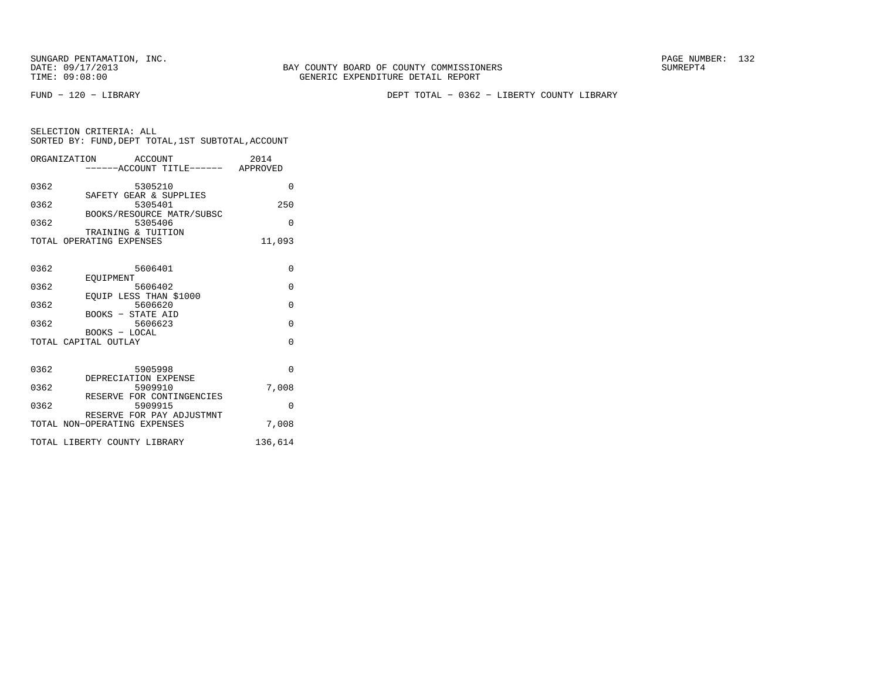FUND − 120 − LIBRARY DEPT TOTAL − 0362 − LIBERTY COUNTY LIBRARY

| SELECTION CRITERIA: ALL |                                                    |      |
|-------------------------|----------------------------------------------------|------|
|                         | SORTED BY: FUND, DEPT TOTAL, 1ST SUBTOTAL, ACCOUNT |      |
| ORGANIZATION            | ACCOUNT                                            | 2014 |

| 0362 | 5305210                                                   | $\Omega$ |
|------|-----------------------------------------------------------|----------|
| 0362 | SAFETY GEAR & SUPPLIES<br>5305401                         | 250      |
| 0362 | BOOKS/RESOURCE MATR/SUBSC<br>5305406                      | $\Omega$ |
|      | TRAINING & TUITION<br>TOTAL OPERATING EXPENSES            | 11,093   |
| 0362 | 5606401                                                   | $\Omega$ |
| 0362 | EOUIPMENT<br>5606402                                      | $\Omega$ |
| 0362 | EQUIP LESS THAN \$1000<br>5606620                         | $\Omega$ |
| 0362 | BOOKS - STATE AID<br>5606623                              | $\Omega$ |
|      | BOOKS - LOCAL<br>TOTAL CAPITAL OUTLAY                     | $\Omega$ |
| 0362 | 5905998                                                   | $\Omega$ |
| 0362 | DEPRECIATION EXPENSE<br>5909910                           | 7,008    |
| 0362 | RESERVE FOR CONTINGENCIES<br>5909915                      | $\Omega$ |
|      | RESERVE FOR PAY ADJUSTMNT<br>TOTAL NON-OPERATING EXPENSES | 7,008    |
|      | TOTAL LIBERTY COUNTY LIBRARY                              | 136,614  |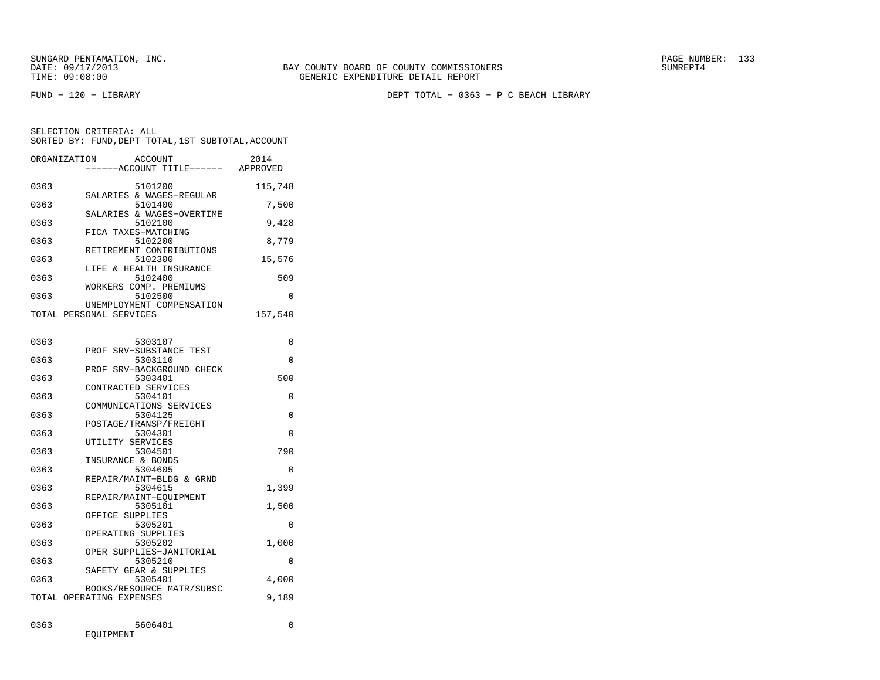FUND − 120 − LIBRARY DEPT TOTAL − 0363 − P C BEACH LIBRARY

| ORGANIZATION | <b>ACCOUNT</b><br>---ACCOUNT TITLE------ APPROVED    | 2014    |
|--------------|------------------------------------------------------|---------|
| 0363         | 5101200<br>SALARIES & WAGES-REGULAR                  | 115,748 |
| 0363         | 5101400<br>SALARIES & WAGES-OVERTIME                 | 7,500   |
| 0363         | 5102100<br>FICA TAXES-MATCHING                       | 9,428   |
| 0363         | 5102200<br>RETIREMENT CONTRIBUTIONS                  | 8,779   |
| 0363         | 5102300<br>LIFE & HEALTH INSURANCE                   | 15,576  |
| 0363         | 5102400<br>WORKERS COMP. PREMIUMS                    | 509     |
| 0363         | 5102500<br>UNEMPLOYMENT COMPENSATION                 | 0       |
|              | TOTAL PERSONAL SERVICES                              | 157,540 |
| 0363         | 5303107                                              | 0       |
| 0363         | SRV-SUBSTANCE TEST<br>PROF<br>5303110                | 0       |
| 0363         | PROF SRV-BACKGROUND CHECK<br>5303401                 | 500     |
| 0363         | CONTRACTED SERVICES<br>5304101                       | 0       |
| 0363         | COMMUNICATIONS SERVICES<br>5304125                   | 0       |
| 0363         | POSTAGE/TRANSP/FREIGHT<br>5304301                    | 0       |
| 0363         | UTILITY SERVICES<br>5304501                          | 790     |
| 0363         | INSURANCE & BONDS<br>5304605                         | 0       |
| 0363         | REPAIR/MAINT-BLDG & GRND<br>5304615                  | 1,399   |
| 0363         | REPAIR/MAINT-EQUIPMENT<br>5305101<br>OFFICE SUPPLIES | 1,500   |
| 0363         | 5305201<br>OPERATING SUPPLIES                        | 0       |
| 0363         | 5305202<br>OPER SUPPLIES-JANITORIAL                  | 1,000   |
| 0363         | 5305210<br>SAFETY GEAR & SUPPLIES                    | 0       |
| 0363         | 5305401<br>BOOKS/RESOURCE MATR/SUBSC                 | 4,000   |
|              | TOTAL OPERATING EXPENSES                             | 9,189   |
| 0363         | 5606401<br>EQUIPMENT                                 | 0       |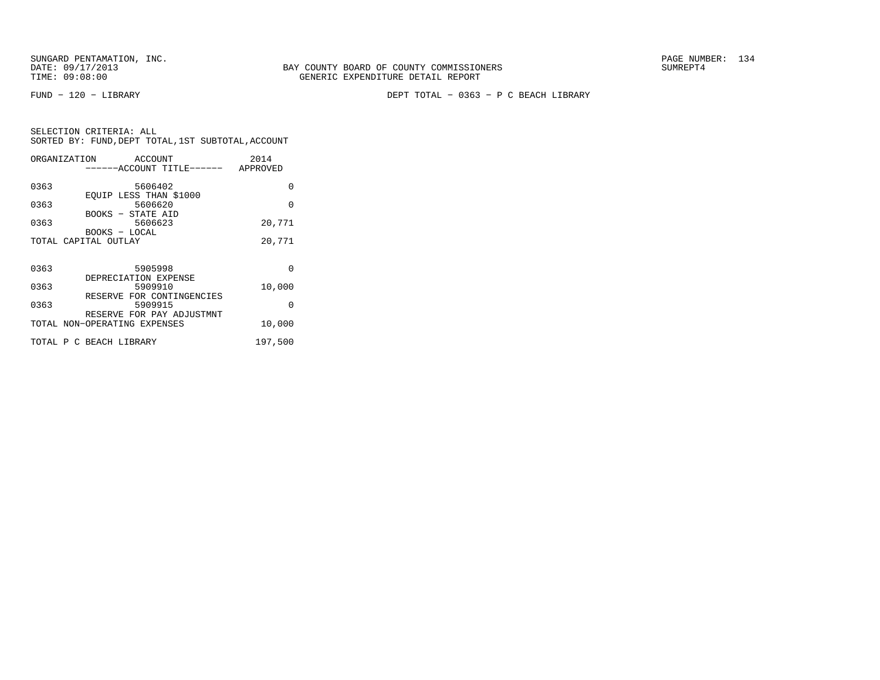FUND − 120 − LIBRARY DEPT TOTAL − 0363 − P C BEACH LIBRARY

| ORGANIZATION | ACCOUNT                            | 2014     |
|--------------|------------------------------------|----------|
|              | ------ACCOUNT TITLE------ APPROVED |          |
|              |                                    |          |
| 0363         | 5606402                            | $\Omega$ |
| 0363         | EOUIP LESS THAN \$1000<br>5606620  | $\Omega$ |
|              | BOOKS - STATE AID                  |          |
| 0363         | 5606623                            | 20,771   |
|              | BOOKS - LOCAL                      |          |
|              | TOTAL CAPITAL OUTLAY               | 20,771   |
|              |                                    |          |
|              |                                    |          |
| 0363         | 5905998                            | $\Omega$ |
| 0363         | DEPRECIATION EXPENSE<br>5909910    | 10,000   |
|              | RESERVE FOR CONTINGENCIES          |          |
| 0363         | 5909915                            | $\Omega$ |
|              | RESERVE FOR PAY ADJUSTMNT          |          |
|              | TOTAL NON-OPERATING EXPENSES       | 10,000   |
|              |                                    |          |
|              | TOTAL P C BEACH LIBRARY            | 197,500  |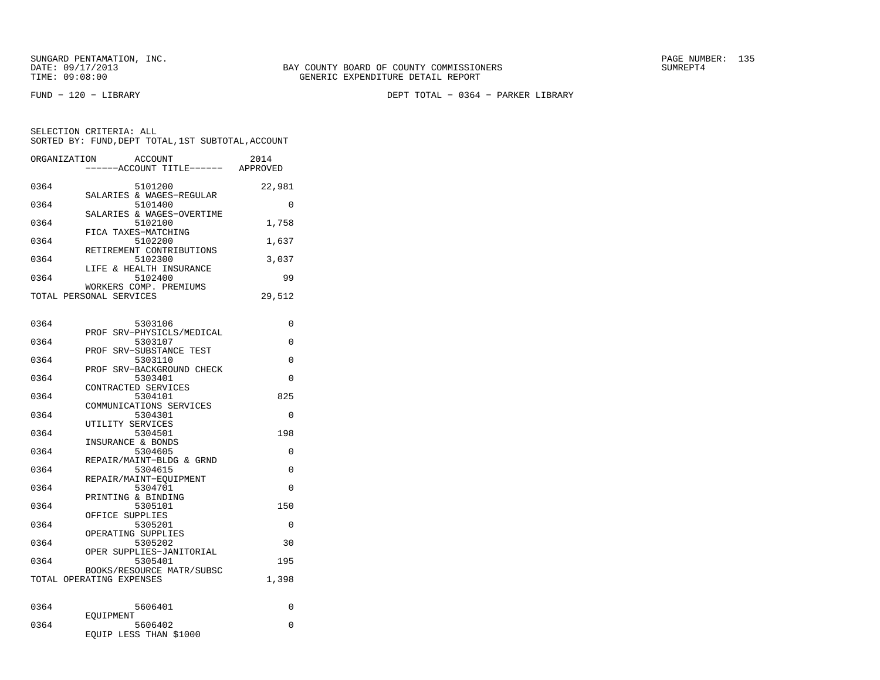FUND − 120 − LIBRARY DEPT TOTAL − 0364 − PARKER LIBRARY

| ORGANIZATION            | ACCOUNT<br>------ACCOUNT TITLE------ | 2014<br>APPROVED |
|-------------------------|--------------------------------------|------------------|
| 0364                    | 5101200                              | 22,981           |
| 0364                    | SALARIES & WAGES-REGULAR<br>5101400  | 0                |
| 0364                    | SALARIES & WAGES-OVERTIME<br>5102100 | 1,758            |
| 0364                    | FICA TAXES-MATCHING<br>5102200       | 1,637            |
| 0364                    | RETIREMENT CONTRIBUTIONS<br>5102300  | 3,037            |
| 0364                    | LIFE & HEALTH INSURANCE<br>5102400   | 99               |
|                         | WORKERS COMP. PREMIUMS               |                  |
| TOTAL PERSONAL SERVICES |                                      | 29,512           |

| 0364 | 5303106                              | 0            |
|------|--------------------------------------|--------------|
| 0364 | PROF SRV-PHYSICLS/MEDICAL<br>5303107 | $\Omega$     |
|      | PROF SRV-SUBSTANCE TEST              |              |
| 0364 | 5303110                              | $\Omega$     |
|      | PROF SRV-BACKGROUND CHECK            |              |
| 0364 | 5303401                              | $\Omega$     |
|      | CONTRACTED SERVICES                  |              |
| 0364 | 5304101                              | 825          |
|      | COMMUNICATIONS SERVICES              |              |
| 0364 | 5304301                              | $\Omega$     |
|      | UTILITY SERVICES                     |              |
| 0364 | 5304501                              | 198          |
|      | INSURANCE & BONDS                    |              |
| 0364 | 5304605                              | $\Omega$     |
|      | REPAIR/MAINT-BLDG & GRND             |              |
| 0364 | 5304615                              | $\Omega$     |
|      | REPAIR/MAINT-EOUIPMENT               |              |
| 0364 | 5304701                              | $\Omega$     |
|      | PRINTING & BINDING                   |              |
| 0364 | 5305101                              | 150          |
|      | OFFICE SUPPLIES                      |              |
| 0364 | 5305201                              | 0            |
| 0364 | OPERATING SUPPLIES                   | 30           |
|      | 5305202<br>OPER SUPPLIES-JANITORIAL  |              |
| 0364 | 5305401                              | 195          |
|      | BOOKS/RESOURCE MATR/SUBSC            |              |
|      | TOTAL OPERATING EXPENSES             | 1,398        |
|      |                                      |              |
|      |                                      |              |
| 0364 | 5606401                              | $\Omega$     |
|      | EOUIPMENT                            |              |
| 0364 | 5606402                              | <sup>n</sup> |

| 0364 | 5606402                |  |
|------|------------------------|--|
|      | EQUIP LESS THAN \$1000 |  |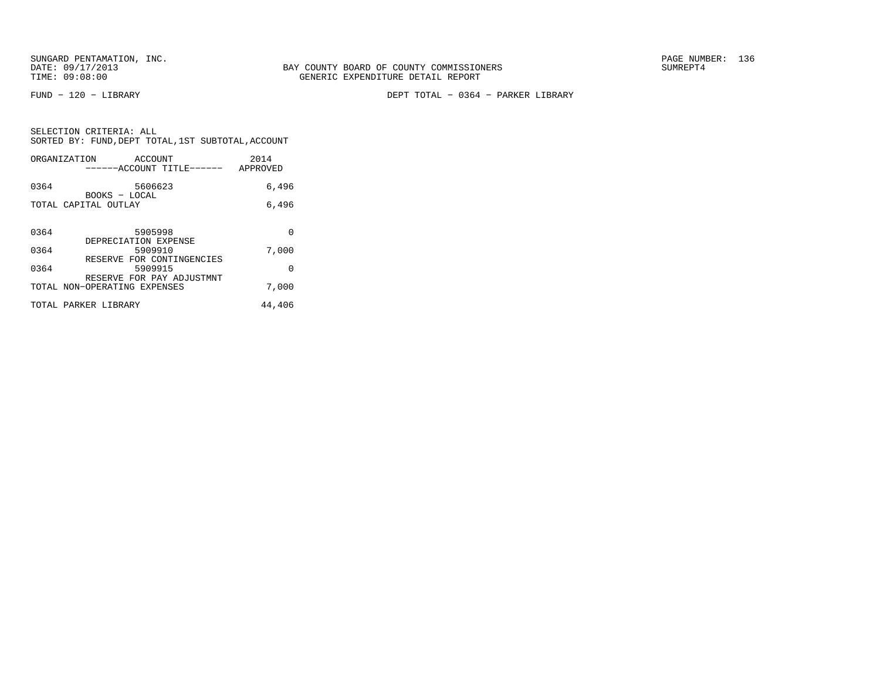FUND − 120 − LIBRARY DEPT TOTAL − 0364 − PARKER LIBRARY

|  | SELECTION CRITERIA: ALL                            |  |  |
|--|----------------------------------------------------|--|--|
|  | SORTED BY: FUND, DEPT TOTAL, 1ST SUBTOTAL, ACCOUNT |  |  |

| ORGANIZATION         | ACCOUNT                                                           | ------ACCOUNT TITLE------ | 2014<br>APPROVED |
|----------------------|-------------------------------------------------------------------|---------------------------|------------------|
| 0364                 | 5606623<br>BOOKS - LOCAL                                          |                           | 6,496            |
| TOTAL CAPITAL OUTLAY |                                                                   |                           | 6,496            |
| 0364                 | 5905998                                                           |                           | 0                |
| 0364                 | DEPRECIATION EXPENSE<br>5909910                                   |                           | 7,000            |
| 0364                 | RESERVE FOR CONTINGENCIES<br>5909915<br>RESERVE FOR PAY ADJUSTMNT |                           | $\Omega$         |
|                      | TOTAL NON-OPERATING EXPENSES                                      |                           | 7,000            |
| TOTAL PARKER LIBRARY |                                                                   |                           | 44,406           |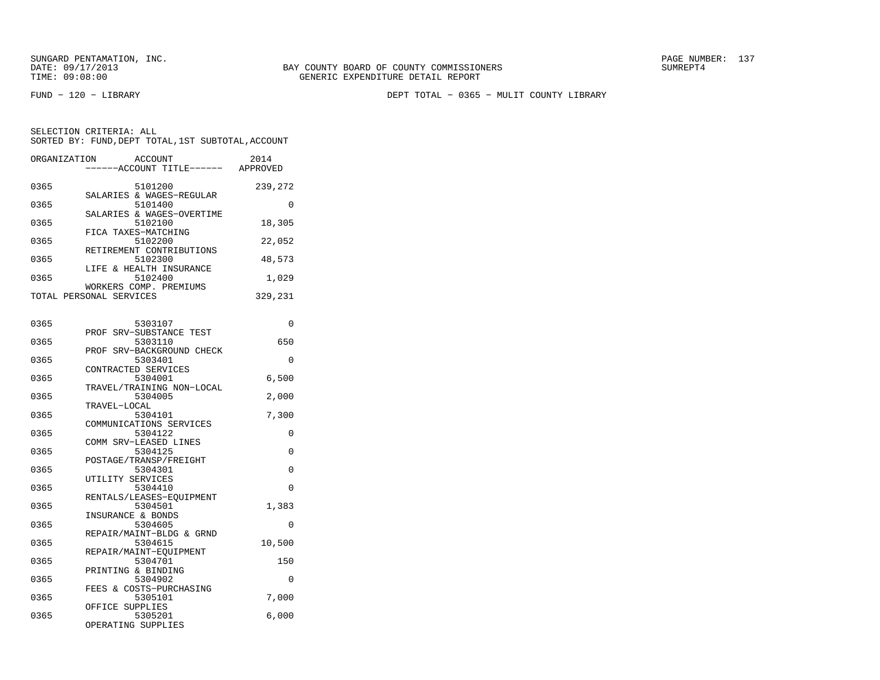FUND − 120 − LIBRARY DEPT TOTAL − 0365 − MULIT COUNTY LIBRARY

SELECTION CRITERIA: ALLSORTED BY: FUND,DEPT TOTAL,1ST SUBTOTAL,ACCOUNT

| ORGANIZATION | ACCOUNT<br>----ACCOUNT TITLE------ APPROVED       | 2014     |
|--------------|---------------------------------------------------|----------|
| 0365         | 5101200<br>SALARIES & WAGES-REGULAR               | 239,272  |
| 0365         | 5101400                                           | $\Omega$ |
| 0365         | SALARIES & WAGES-OVERTIME<br>5102100              | 18,305   |
| 0365         | FICA TAXES-MATCHING<br>5102200                    | 22,052   |
| 0365         | RETIREMENT CONTRIBUTIONS<br>5102300               | 48,573   |
| 0365         | LIFE & HEALTH INSURANCE<br>5102400                | 1,029    |
|              | WORKERS COMP. PREMIUMS<br>TOTAL PERSONAL SERVICES | 329,231  |
|              |                                                   |          |
| 0365         | 5303107<br>PROF SRV-SUBSTANCE TEST                | 0        |
| 0365         | 5303110<br>PROF SRV-BACKGROUND CHECK              | 650      |
| 0365         | 5303401                                           | 0        |
| 0365         | CONTRACTED SERVICES<br>5304001                    | 6,500    |
| 0365         | TRAVEL/TRAINING NON-LOCAL<br>5304005              | 2,000    |
| 0365         | TRAVEL-LOCAL<br>5304101                           | 7,300    |
| 0365         | COMMUNICATIONS SERVICES<br>5304122                | 0        |
| 0365         | COMM SRV-LEASED LINES<br>5304125                  | 0        |
| 0365         | POSTAGE/TRANSP/FREIGHT<br>5304301                 | 0        |
| 0365         | UTILITY SERVICES<br>5304410                       | 0        |
|              | RENTALS/LEASES-EQUIPMENT                          |          |
| 0365         | 5304501<br>INSURANCE & BONDS                      | 1,383    |
| 0365         | 5304605<br>REPAIR/MAINT-BLDG & GRND               | $\Omega$ |
| 0365         | 5304615<br>REPAIR/MAINT-EOUIPMENT                 | 10,500   |
| 0365         | 5304701<br>PRINTING & BINDING                     | 150      |

 0365 5304902 0 FEES & COSTS−PURCHASING0365 5305101 7,000

0365 5305201 6,000

OFFICE SUPPLIES

OPERATING SUPPLIES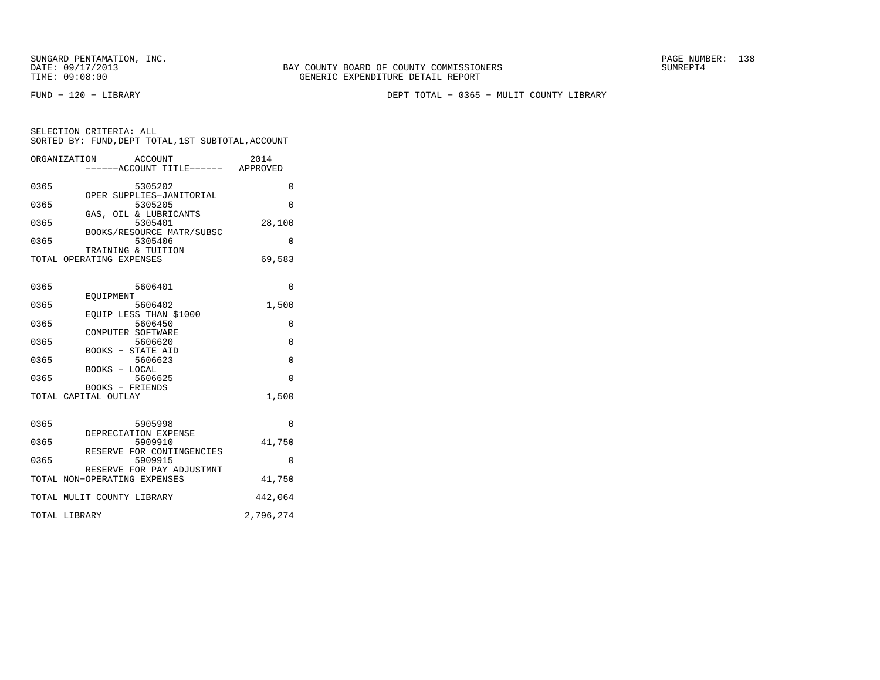FUND − 120 − LIBRARY DEPT TOTAL − 0365 − MULIT COUNTY LIBRARY

| SELECTION CRITERIA: ALL |                                                    |
|-------------------------|----------------------------------------------------|
|                         | SORTED BY: FUND, DEPT TOTAL, 1ST SUBTOTAL, ACCOUNT |

| ORGANIZATION                 |                          | ACCOUNT<br>------ACCOUNT TITLE------ APPROVED | 2014      |
|------------------------------|--------------------------|-----------------------------------------------|-----------|
| 0365                         |                          | 5305202                                       | $\Omega$  |
| 0365                         |                          | OPER SUPPLIES-JANITORIAL<br>5305205           | $\Omega$  |
| 0365                         |                          | GAS, OIL & LUBRICANTS<br>5305401              | 28,100    |
| 0365                         |                          | BOOKS/RESOURCE MATR/SUBSC<br>5305406          | $\Omega$  |
| TOTAL OPERATING EXPENSES     | TRAINING & TUITION       |                                               | 69,583    |
| 0365                         |                          | 5606401                                       | 0         |
| 0365                         | EOUIPMENT                | 5606402                                       | 1,500     |
| 0365                         |                          | EQUIP LESS THAN \$1000<br>5606450             | 0         |
| 0365                         | COMPUTER SOFTWARE        | 5606620                                       | $\Omega$  |
| 0365                         | <b>BOOKS - STATE AID</b> | 5606623                                       | $\Omega$  |
| 0365                         | BOOKS - LOCAL            | 5606625                                       | $\Omega$  |
| TOTAL CAPITAL OUTLAY         | BOOKS - FRIENDS          |                                               | 1,500     |
|                              |                          |                                               |           |
| 0365                         |                          | 5905998<br>DEPRECIATION EXPENSE               | 0         |
| 0365                         |                          | 5909910<br>RESERVE FOR CONTINGENCIES          | 41,750    |
| 0365                         |                          | 5909915                                       | $\Omega$  |
| TOTAL NON-OPERATING EXPENSES |                          | RESERVE FOR PAY ADJUSTMNT                     | 41,750    |
| TOTAL MULIT COUNTY LIBRARY   |                          |                                               | 442,064   |
| TOTAL LIBRARY                |                          |                                               | 2,796,274 |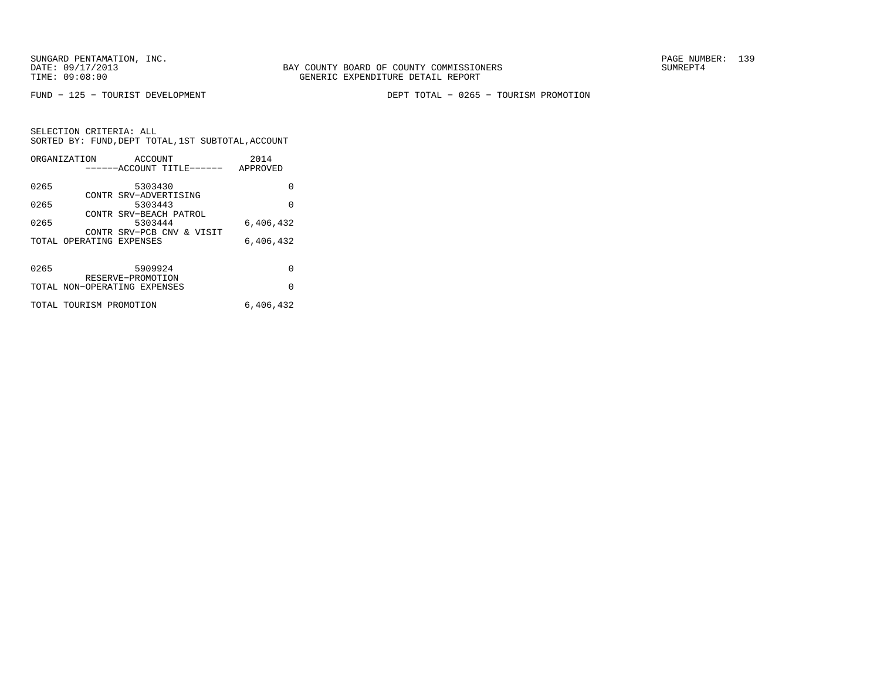FUND − 125 − TOURIST DEVELOPMENT DEPT TOTAL − 0265 − TOURISM PROMOTION

|      | ORGANIZATION                 | ACCOUNT                          |                           | 2014      |
|------|------------------------------|----------------------------------|---------------------------|-----------|
|      |                              |                                  | ------ACCOUNT TITLE------ | APPROVED  |
| 0265 |                              | 5303430                          |                           | 0         |
| 0265 |                              | CONTR SRV-ADVERTISING<br>5303443 |                           | $\Omega$  |
| 0265 |                              | 5303444                          | CONTR SRV-BEACH PATROL    | 6,406,432 |
|      |                              |                                  | CONTR SRV-PCB CNV & VISIT |           |
|      | TOTAL OPERATING EXPENSES     |                                  |                           | 6,406,432 |
| 0265 |                              | 5909924                          |                           | 0         |
|      |                              | RESERVE-PROMOTION                |                           |           |
|      | TOTAL NON-OPERATING EXPENSES |                                  |                           | $\Omega$  |
|      | TOTAL TOURISM PROMOTION      |                                  |                           | 6,406,432 |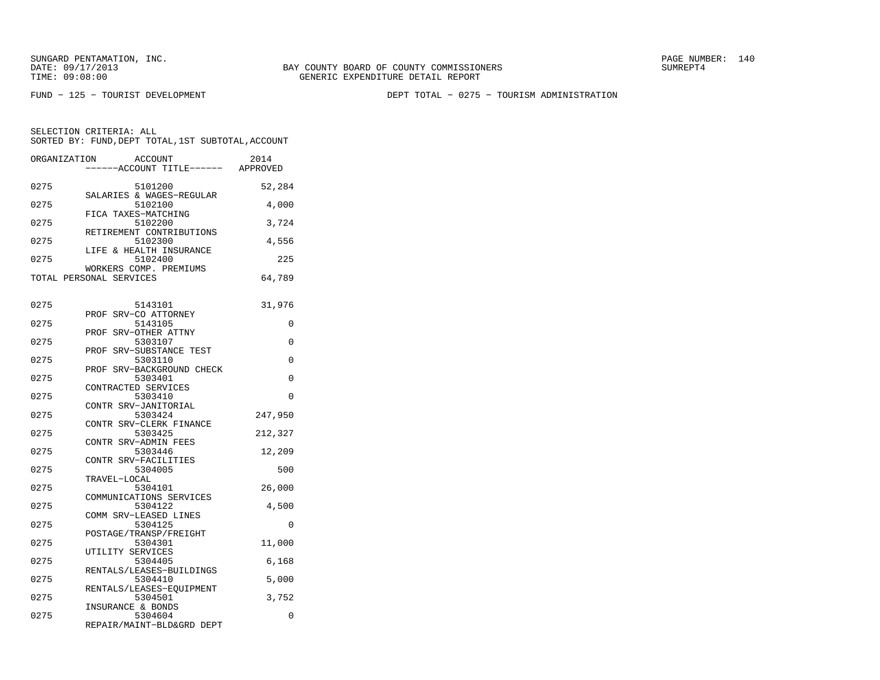BAY COUNTY BOARD OF COUNTY COMMISSIONERS TIME: 09:08:00 GENERIC EXPENDITURE DETAIL REPORT

FUND − 125 − TOURIST DEVELOPMENT DEPT TOTAL − 0275 − TOURISM ADMINISTRATION

| ORGANIZATION | ACCOUNT<br>----ACCOUNT TITLE------  | 2014<br>APPROVED |
|--------------|-------------------------------------|------------------|
|              |                                     |                  |
| 0275         | 5101200<br>SALARIES & WAGES-REGULAR | 52,284           |
| 0275         | 5102100                             | 4,000            |
| 0275         | FICA TAXES-MATCHING<br>5102200      | 3,724            |
| 0275         | RETIREMENT CONTRIBUTIONS<br>5102300 | 4,556            |
| 0275         | LIFE & HEALTH INSURANCE<br>5102400  | 225              |
|              | WORKERS COMP. PREMIUMS              |                  |
|              | TOTAL PERSONAL SERVICES             | 64,789           |
|              |                                     |                  |
|              |                                     |                  |
| 0275         | 5143101                             | 31,976           |
| 0275         | SRV-CO ATTORNEY<br>PROF<br>5143105  | 0                |
|              | SRV-OTHER ATTNY<br>PROF             |                  |
| 0275         | 5303107                             | 0                |
|              | PROF SRV-SUBSTANCE TEST             |                  |
| 0275         | 5303110                             | 0                |
|              | PROF SRV-BACKGROUND CHECK           |                  |
| 0275         | 5303401                             | 0                |
|              | CONTRACTED SERVICES                 |                  |
| 0275         | 5303410                             | $\Omega$         |
|              | CONTR SRV-JANITORIAL                |                  |
| 0275         | 5303424                             | 247,950          |
|              | CONTR SRV-CLERK FINANCE             |                  |
| 0275         | 5303425                             | 212,327          |
|              | CONTR SRV-ADMIN FEES                |                  |
| 0275         | 5303446                             | 12,209           |
|              | CONTR SRV-FACILITIES                |                  |
| 0275         | 5304005                             | 500              |
|              | TRAVEL-LOCAL                        |                  |
| 0275         | 5304101                             | 26,000           |
|              | COMMUNICATIONS SERVICES             |                  |
| 0275         | 5304122                             | 4,500            |
| 0275         | COMM SRV-LEASED LINES               | $\Omega$         |
|              | 5304125<br>POSTAGE/TRANSP/FREIGHT   |                  |
| 0275         | 5304301                             | 11,000           |
|              | UTILITY SERVICES                    |                  |
| 0275         | 5304405                             | 6,168            |
|              | RENTALS/LEASES-BUILDINGS            |                  |
| 0275         | 5304410                             | 5,000            |
|              | RENTALS/LEASES-EOUIPMENT            |                  |
| 0275         | 5304501                             | 3,752            |
|              | INSURANCE & BONDS                   |                  |
| 0275         | 5304604                             | 0                |
|              | REPAIR/MAINT-BLD&GRD DEPT           |                  |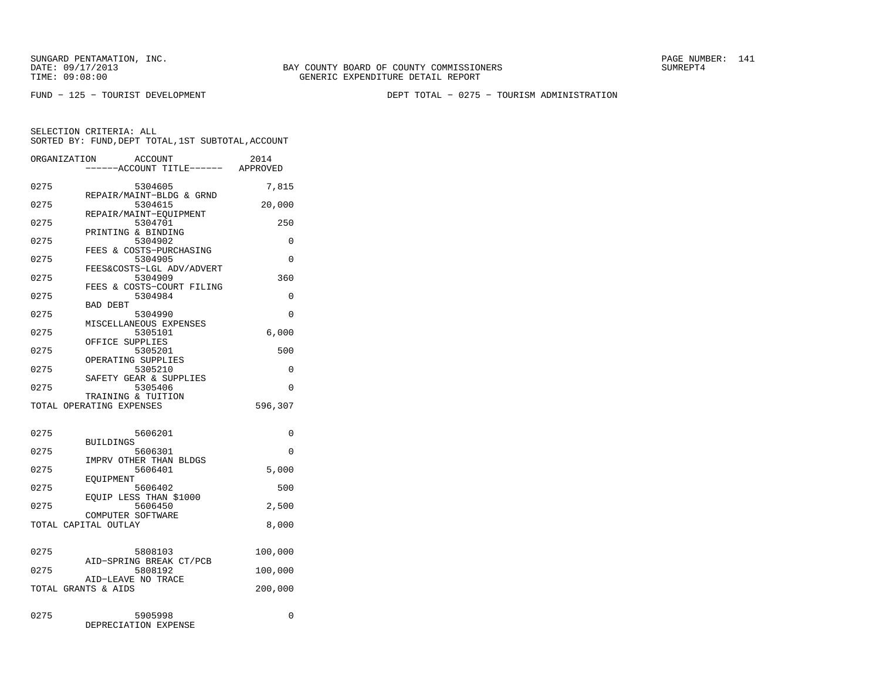BAY COUNTY BOARD OF COUNTY COMMISSIONERS TIME: 09:08:00 GENERIC EXPENDITURE DETAIL REPORT

FUND − 125 − TOURIST DEVELOPMENT DEPT TOTAL − 0275 − TOURISM ADMINISTRATION

| ORGANIZATION | ACCOUNT<br>----ACCOUNT TITLE------ APPROVED    | 2014     |
|--------------|------------------------------------------------|----------|
| 0275         | 5304605                                        | 7,815    |
| 0275         | REPAIR/MAINT-BLDG & GRND<br>5304615            | 20,000   |
| 0275         | REPAIR/MAINT-EQUIPMENT<br>5304701              | 250      |
| 0275         | PRINTING & BINDING<br>5304902                  | 0        |
| 0275         | FEES & COSTS-PURCHASING<br>5304905             | 0        |
| 0275         | FEES&COSTS-LGL ADV/ADVERT<br>5304909           | 360      |
| 0275         | FEES & COSTS-COURT FILING<br>5304984           | 0        |
| 0275         | <b>BAD DEBT</b><br>5304990                     | 0        |
| 0275         | MISCELLANEOUS EXPENSES<br>5305101              | 6,000    |
| 0275         | OFFICE SUPPLIES<br>5305201                     | 500      |
| 0275         | OPERATING SUPPLIES<br>5305210                  | 0        |
| 0275         | SAFETY GEAR & SUPPLIES<br>5305406              | $\Omega$ |
|              | TRAINING & TUITION<br>TOTAL OPERATING EXPENSES | 596,307  |
|              |                                                |          |
| 0275         | 5606201<br><b>BUILDINGS</b>                    | 0        |
| 0275         | 5606301<br>IMPRV OTHER THAN BLDGS              | $\Omega$ |
| 0275         | 5606401<br>EOUIPMENT                           | 5,000    |
| 0275         | 5606402<br>EQUIP LESS THAN \$1000              | 500      |
| 0275         | 5606450<br>COMPUTER SOFTWARE                   | 2,500    |
|              | TOTAL CAPITAL OUTLAY                           | 8,000    |
| 0275         | 5808103                                        | 100,000  |
| 0275         | AID-SPRING BREAK CT/PCB<br>5808192             | 100,000  |
|              | AID-LEAVE NO TRACE<br>TOTAL GRANTS & AIDS      | 200,000  |
| 0275         | 5905998<br>DEPRECIATION EXPENSE                | 0        |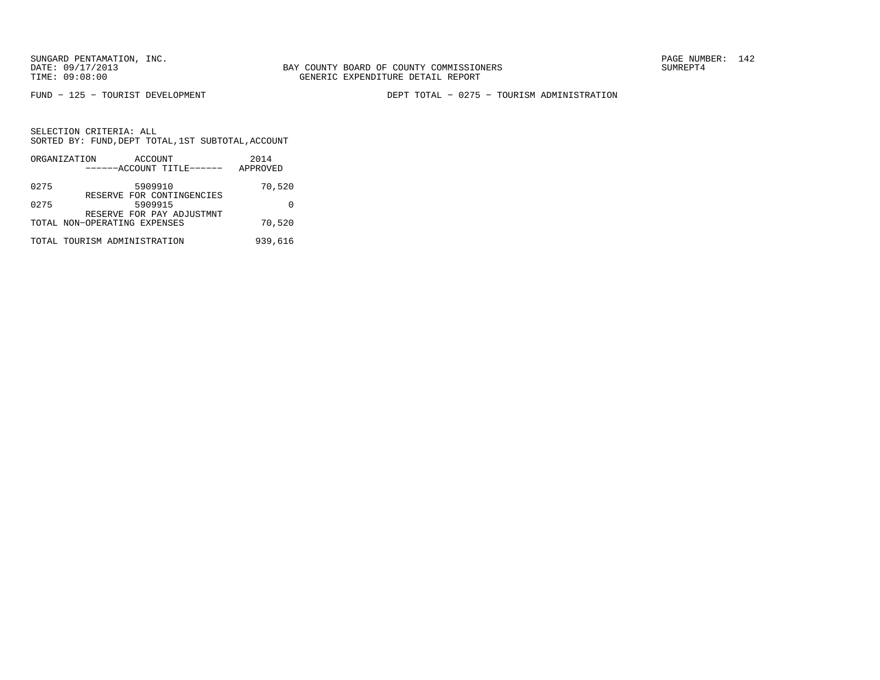FUND − 125 − TOURIST DEVELOPMENT DEPT TOTAL − 0275 − TOURISM ADMINISTRATION

|      | ORGANIZATION                 | ACCOUNT                              | 2014     |
|------|------------------------------|--------------------------------------|----------|
|      |                              | ------ACCOUNT TITLE------            | APPROVED |
| 0275 |                              | 5909910                              | 70,520   |
| 0275 |                              | RESERVE FOR CONTINGENCIES<br>5909915 |          |
|      | TOTAL NON-OPERATING EXPENSES | RESERVE FOR PAY ADJUSTMNT            | 70,520   |
|      | TOTAL TOURISM ADMINISTRATION |                                      | 939,616  |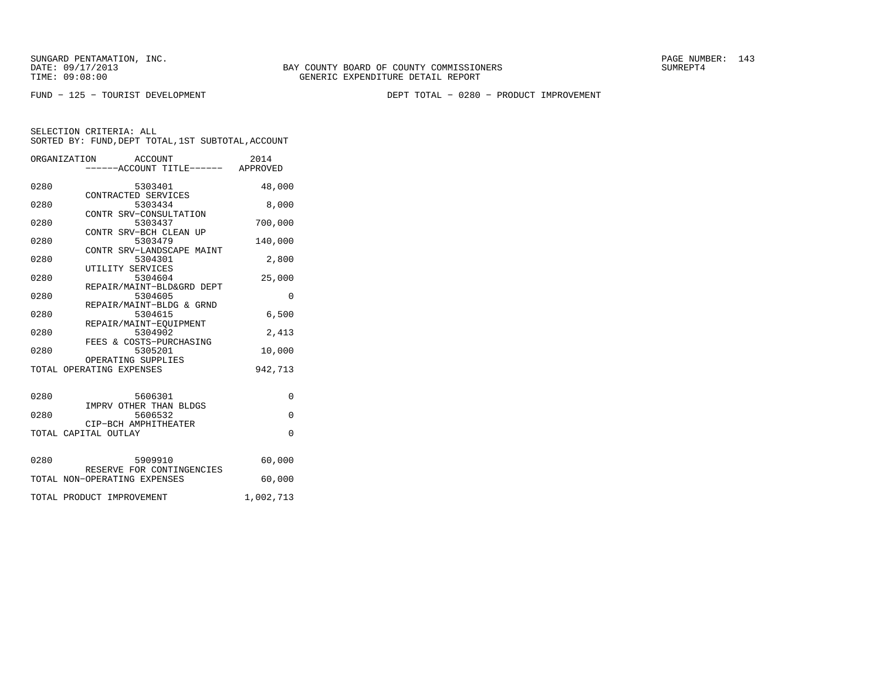FUND − 125 − TOURIST DEVELOPMENT DEPT TOTAL − 0280 − PRODUCT IMPROVEMENT

|      | ORGANIZATION<br>ACCOUNT<br>.<br>-----ACCOUNT TITLE------ APPROVED | 2014        |
|------|-------------------------------------------------------------------|-------------|
| 0280 | 5303401<br>CONTRACTED SERVICES                                    | 48,000      |
| 0280 | 5303434                                                           | 8,000       |
| 0280 | CONTR SRV-CONSULTATION<br>5303437                                 | 700,000     |
| 0280 | CONTR SRV-BCH CLEAN UP<br>5303479                                 | 140,000     |
| 0280 | CONTR SRV-LANDSCAPE MAINT<br>5304301                              | 2,800       |
| 0280 | UTILITY SERVICES<br>5304604                                       | 25,000      |
| 0280 | REPAIR/MAINT-BLD&GRD DEPT<br>5304605                              | $\Omega$    |
| 0280 | REPAIR/MAINT-BLDG & GRND<br>5304615                               | 6,500       |
| 0280 | REPAIR/MAINT-EQUIPMENT<br>5304902                                 | 2,413       |
| 0280 | FEES & COSTS-PURCHASING<br>5305201                                | 10,000      |
|      | OPERATING SUPPLIES                                                |             |
|      | TOTAL OPERATING EXPENSES                                          | 942,713     |
| 0280 | 5606301                                                           | 0           |
| 0280 | IMPRV OTHER THAN BLDGS<br>5606532                                 | $\mathbf 0$ |
|      | CIP-BCH AMPHITHEATER<br>TOTAL CAPITAL OUTLAY                      | $\Omega$    |
|      |                                                                   |             |
| 0280 | 5909910<br>RESERVE FOR CONTINGENCIES                              | 60,000      |
|      | TOTAL NON-OPERATING EXPENSES                                      | 60,000      |
|      | TOTAL PRODUCT IMPROVEMENT                                         | 1,002,713   |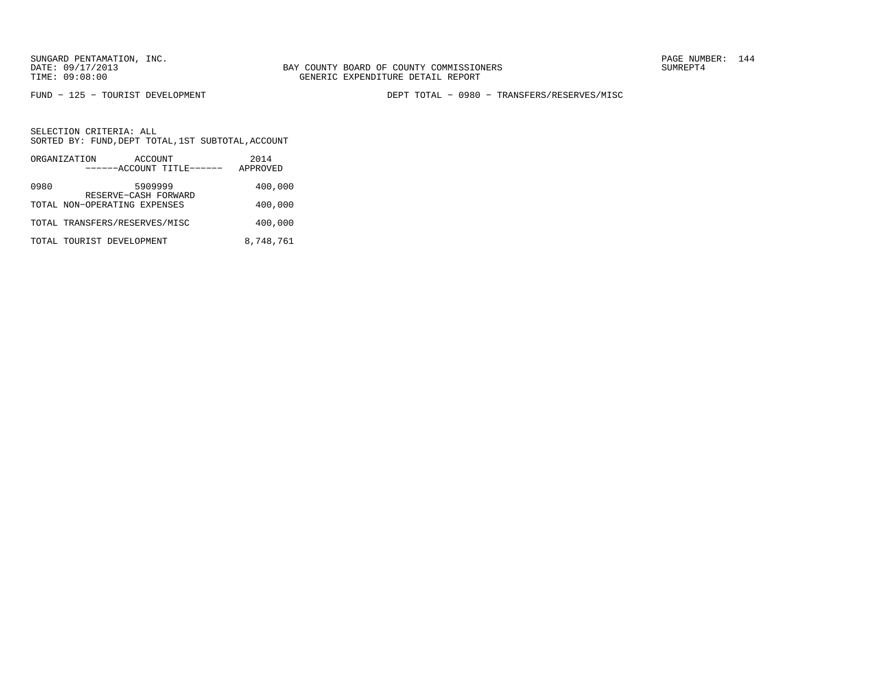FUND − 125 − TOURIST DEVELOPMENT DEPT TOTAL − 0980 − TRANSFERS/RESERVES/MISC

|      | ORGANIZATION                  | ACCOUNT                         | 2014      |
|------|-------------------------------|---------------------------------|-----------|
|      |                               | ------ACCOUNT TITLE------       | APPROVED  |
| 0980 |                               | 5909999<br>RESERVE-CASH FORWARD | 400,000   |
|      | TOTAL NON-OPERATING EXPENSES  |                                 | 400,000   |
|      | TOTAL TRANSFERS/RESERVES/MISC |                                 | 400,000   |
|      | TOTAL TOURIST DEVELOPMENT     |                                 | 8,748,761 |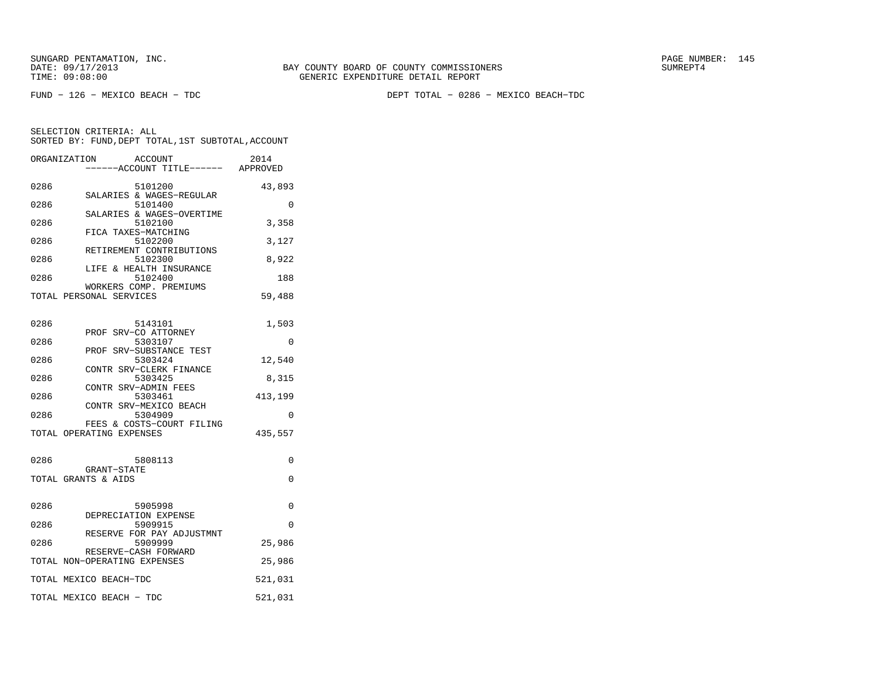FUND − 126 − MEXICO BEACH − TDC DEPT TOTAL − 0286 − MEXICO BEACH−TDC

|      | ORGANIZATION<br>ACCOUNT<br>----ACCOUNT TITLE------ APPROVED | 2014     |
|------|-------------------------------------------------------------|----------|
| 0286 | 5101200<br>SALARIES & WAGES-REGULAR                         | 43,893   |
| 0286 | 5101400                                                     | 0        |
| 0286 | SALARIES & WAGES-OVERTIME<br>5102100                        | 3,358    |
| 0286 | FICA TAXES-MATCHING<br>5102200                              | 3,127    |
| 0286 | RETIREMENT CONTRIBUTIONS<br>5102300                         | 8,922    |
| 0286 | LIFE & HEALTH INSURANCE<br>5102400                          | 188      |
|      | WORKERS COMP. PREMIUMS<br>TOTAL PERSONAL SERVICES           | 59,488   |
| 0286 | 5143101                                                     | 1,503    |
| 0286 | PROF SRV-CO ATTORNEY<br>5303107                             | $\Omega$ |
| 0286 | PROF SRV-SUBSTANCE TEST<br>5303424                          | 12,540   |
| 0286 | CONTR SRV-CLERK FINANCE<br>5303425                          | 8,315    |
| 0286 | CONTR SRV-ADMIN FEES<br>5303461                             | 413,199  |
| 0286 | CONTR SRV-MEXICO BEACH<br>5304909                           | $\Omega$ |
|      | FEES & COSTS-COURT FILING<br>TOTAL OPERATING EXPENSES       | 435,557  |
| 0286 | 5808113                                                     | 0        |
|      | GRANT-STATE<br>TOTAL GRANTS & AIDS                          | $\Omega$ |
| 0286 | 5905998<br>DEPRECIATION EXPENSE                             | 0        |
| 0286 | 5909915                                                     | $\Omega$ |
| 0286 | RESERVE FOR PAY ADJUSTMNT<br>5909999                        | 25,986   |
|      | RESERVE-CASH FORWARD<br>TOTAL NON-OPERATING EXPENSES        | 25,986   |
|      | TOTAL MEXICO BEACH-TDC                                      | 521,031  |
|      | TOTAL MEXICO BEACH - TDC                                    | 521,031  |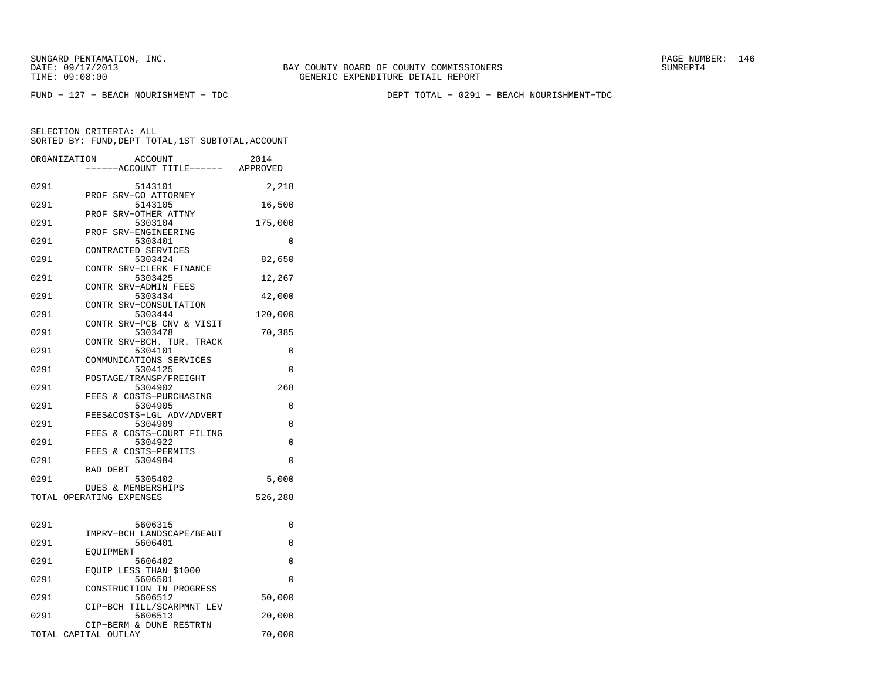FUND − 127 − BEACH NOURISHMENT − TDC DEPT TOTAL − 0291 − BEACH NOURISHMENT−TDC

| ORGANIZATION | <b>ACCOUNT</b><br>---ACCOUNT TITLE------        | 2014<br>APPROVED |
|--------------|-------------------------------------------------|------------------|
|              |                                                 |                  |
| 0291         | 5143101<br>PROF SRV-CO ATTORNEY                 | 2,218            |
| 0291         | 5143105<br>SRV-OTHER ATTNY<br>PROF              | 16,500           |
| 0291         | 5303104                                         | 175,000          |
| 0291         | SRV-ENGINEERING<br>PROF<br>5303401              | 0                |
| 0291         | CONTRACTED SERVICES<br>5303424                  | 82,650           |
| 0291         | CONTR SRV-CLERK FINANCE<br>5303425              | 12,267           |
| 0291         | CONTR SRV-ADMIN FEES<br>5303434                 | 42,000           |
| 0291         | CONTR SRV-CONSULTATION<br>5303444               | 120,000          |
| 0291         | CONTR SRV-PCB CNV & VISIT<br>5303478            | 70,385           |
| 0291         | CONTR SRV-BCH. TUR. TRACK<br>5304101            | 0                |
| 0291         | COMMUNICATIONS SERVICES<br>5304125              | $\Omega$         |
| 0291         | POSTAGE/TRANSP/FREIGHT<br>5304902               | 268              |
| 0291         | FEES & COSTS-PURCHASING<br>5304905              | 0                |
| 0291         | FEES&COSTS-LGL ADV/ADVERT<br>5304909            | 0                |
| 0291         | FEES & COSTS-COURT FILING<br>5304922            | 0                |
| 0291         | FEES & COSTS-PERMITS<br>5304984                 | $\Omega$         |
| 0291         | <b>BAD DEBT</b><br>5305402                      | 5,000            |
|              | DUES & MEMBERSHIPS<br>TOTAL OPERATING EXPENSES  | 526,288          |
|              |                                                 |                  |
| 0291         | 5606315                                         | 0                |
| 0291         | IMPRV-BCH LANDSCAPE/BEAUT<br>5606401            | 0                |
| 0291         | EOUIPMENT<br>5606402                            | 0                |
| 0291         | EQUIP LESS THAN \$1000<br>5606501               | $\Omega$         |
| 0291         | CONSTRUCTION IN PROGRESS<br>5606512             | 50,000           |
| 0291         | CIP-BCH TILL/SCARPMNT LEV<br>5606513            | 20,000           |
|              | CIP-BERM & DUNE RESTRTN<br>TOTAL CAPITAL OUTLAY | 70,000           |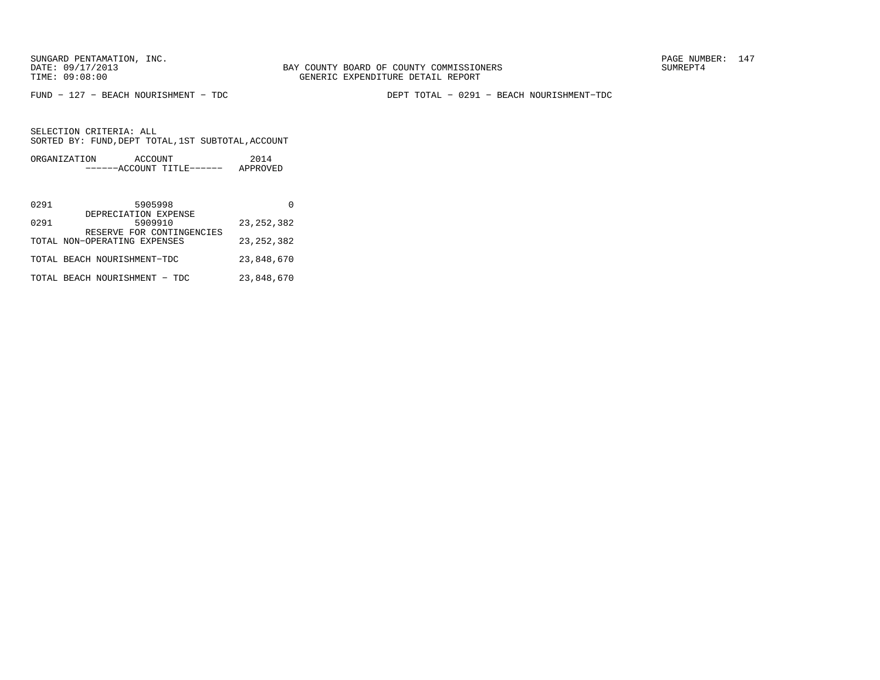FUND − 127 − BEACH NOURISHMENT − TDC DEPT TOTAL − 0291 − BEACH NOURISHMENT−TDC

| ORGANIZATION | ACCOUNT |                           | 2014     |
|--------------|---------|---------------------------|----------|
|              |         | ------ACCOUNT TITLE------ | APPROVED |

| 0291 | 5905998                                                      |              |
|------|--------------------------------------------------------------|--------------|
| 0291 | DEPRECIATION EXPENSE<br>5909910<br>RESERVE FOR CONTINGENCIES | 23, 252, 382 |
|      | TOTAL NON-OPERATING EXPENSES                                 | 23, 252, 382 |
|      | TOTAL BEACH NOURISHMENT-TDC                                  | 23,848,670   |
|      | TOTAL BEACH NOURISHMENT - TDC                                | 23,848,670   |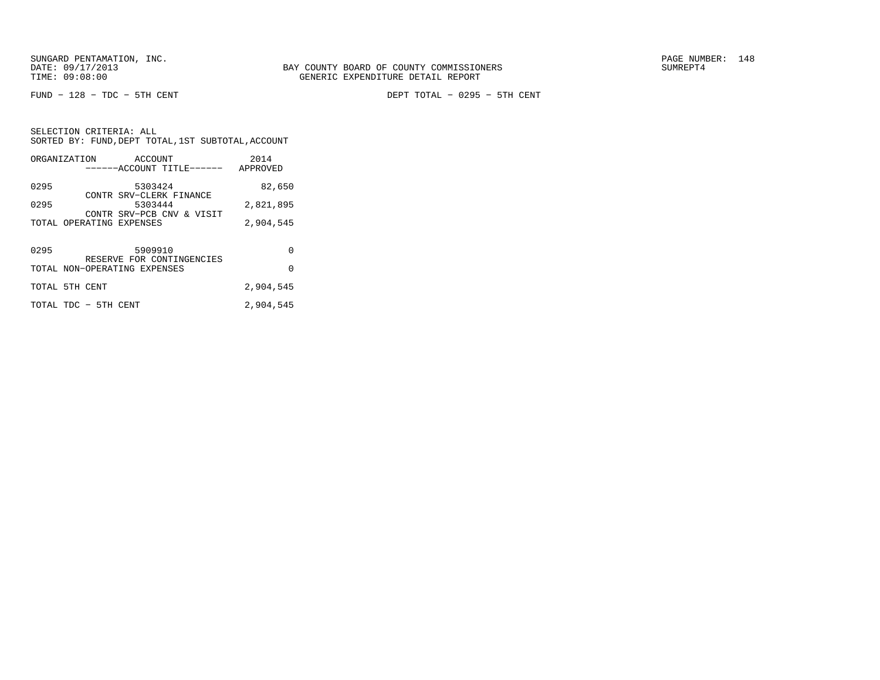FUND − 128 − TDC − 5TH CENT DEPT TOTAL − 0295 − 5TH CENT

SELECTION CRITERIA: ALL SORTED BY: FUND,DEPT TOTAL,1ST SUBTOTAL,ACCOUNTORGANIZATION ACCOUNT 2014

|      | URGANIZAIIUN             | ACCOUNT<br>------ACCOUNT TITLE------ | ZU 14<br>APPROVED |
|------|--------------------------|--------------------------------------|-------------------|
| 0295 |                          | 5303424                              | 82,650            |
| 0295 |                          | CONTR SRV-CLERK FINANCE<br>5303444   | 2,821,895         |
|      | TOTAL OPERATING EXPENSES | CONTR SRV-PCB CNV & VISIT            | 2,904,545         |
|      |                          |                                      |                   |
| 0295 |                          | 5909910<br>RESERVE FOR CONTINGENCIES | 0                 |
|      |                          | TOTAL NON-OPERATING EXPENSES         | $\Omega$          |
|      | TOTAL 5TH CENT           |                                      | 2,904,545         |
|      | TOTAL TDC - 5TH CENT     |                                      | 2,904,545         |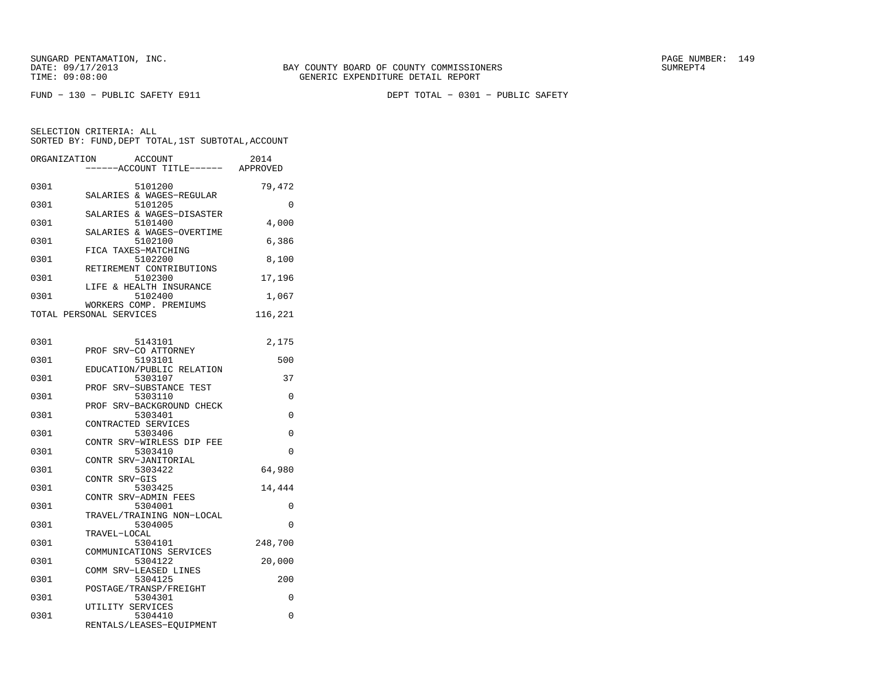| ORGANIZATION | <b>ACCOUNT</b><br>---ACCOUNT TITLE------ APPROVED       | 2014    |
|--------------|---------------------------------------------------------|---------|
| 0301         | 5101200<br>SALARIES & WAGES-REGULAR                     | 79,472  |
| 0301         | 5101205<br>SALARIES & WAGES-DISASTER                    | 0       |
| 0301         | 5101400<br>SALARIES & WAGES-OVERTIME                    | 4,000   |
| 0301         | 5102100<br>FICA TAXES-MATCHING                          | 6,386   |
| 0301         | 5102200<br>RETIREMENT CONTRIBUTIONS                     | 8,100   |
| 0301         | 5102300<br>LIFE & HEALTH INSURANCE                      | 17,196  |
| 0301         | 5102400<br>WORKERS COMP. PREMIUMS                       | 1,067   |
|              | TOTAL PERSONAL SERVICES                                 | 116,221 |
| 0301         | 5143101                                                 | 2,175   |
| 0301         | PROF SRV-CO ATTORNEY<br>5193101                         | 500     |
| 0301         | EDUCATION/PUBLIC RELATION<br>5303107                    | 37      |
| 0301         | PROF SRV-SUBSTANCE TEST<br>5303110                      | 0       |
| 0301         | PROF SRV-BACKGROUND CHECK<br>5303401                    | 0       |
| 0301         | CONTRACTED SERVICES<br>5303406                          | 0       |
| 0301         | CONTR SRV-WIRLESS DIP FEE<br>5303410                    | 0       |
| 0301         | CONTR SRV-JANITORIAL<br>5303422                         | 64,980  |
| 0301         | CONTR SRV-GIS<br>5303425                                | 14,444  |
| 0301         | CONTR SRV-ADMIN FEES<br>5304001                         | 0       |
| 0301         | TRAVEL/TRAINING NON-LOCAL<br>5304005                    | 0       |
| 0301         | TRAVEL-LOCAL<br>5304101                                 | 248,700 |
| 0301         | COMMUNICATIONS SERVICES<br>5304122                      | 20,000  |
| 0301         | COMM SRV-LEASED LINES<br>5304125                        | 200     |
| 0301         | POSTAGE/TRANSP/FREIGHT<br>5304301                       | 0       |
| 0301         | UTILITY SERVICES<br>5304410<br>RENTALS/LEASES-EQUIPMENT | 0       |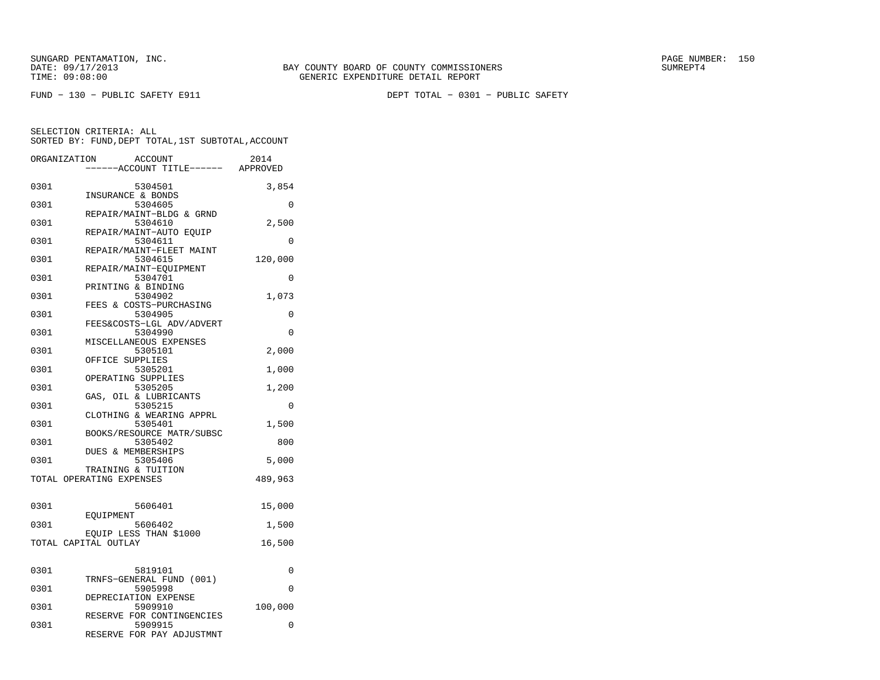| ORGANIZATION         |           | <b>ACCOUNT</b><br>---ACCOUNT TITLE------ APPROVED | 2014     |
|----------------------|-----------|---------------------------------------------------|----------|
| 0301                 |           | 5304501<br>INSURANCE & BONDS                      | 3,854    |
| 0301                 |           | 5304605<br>REPAIR/MAINT-BLDG & GRND               | 0        |
| 0301                 |           | 5304610<br>REPAIR/MAINT-AUTO EQUIP                | 2,500    |
| 0301                 |           | 5304611                                           | $\Omega$ |
| 0301                 |           | REPAIR/MAINT-FLEET MAINT<br>5304615               | 120,000  |
| 0301                 |           | REPAIR/MAINT-EOUIPMENT<br>5304701                 | 0        |
| 0301                 |           | PRINTING & BINDING<br>5304902                     | 1,073    |
| 0301                 |           | FEES & COSTS-PURCHASING<br>5304905                | 0        |
| 0301                 |           | FEES&COSTS-LGL ADV/ADVERT<br>5304990              | $\Omega$ |
| 0301                 |           | MISCELLANEOUS EXPENSES<br>5305101                 | 2,000    |
| 0301                 |           | OFFICE SUPPLIES<br>5305201                        | 1,000    |
| 0301                 |           | OPERATING SUPPLIES<br>5305205                     | 1,200    |
| 0301                 |           | GAS, OIL & LUBRICANTS<br>5305215                  | 0        |
| 0301                 |           | CLOTHING & WEARING APPRL<br>5305401               | 1,500    |
| 0301                 |           | BOOKS/RESOURCE MATR/SUBSC<br>5305402              | 800      |
| 0301                 |           | DUES & MEMBERSHIPS<br>5305406                     | 5,000    |
|                      |           | TRAINING & TUITION<br>TOTAL OPERATING EXPENSES    | 489,963  |
|                      |           |                                                   |          |
| 0301                 | EOUIPMENT | 5606401                                           | 15,000   |
| 0301                 |           | 5606402<br>EOUIP LESS THAN \$1000                 | 1,500    |
| TOTAL CAPITAL OUTLAY |           |                                                   | 16,500   |
| 0301                 |           | 5819101                                           | 0        |
| 0301                 |           | TRNFS-GENERAL FUND (001)<br>5905998               | $\Omega$ |
| 0301                 |           | DEPRECIATION EXPENSE<br>5909910                   | 100,000  |
| 0301                 |           | RESERVE FOR CONTINGENCIES<br>5909915              | 0        |
|                      |           | RESERVE FOR PAY ADJUSTMNT                         |          |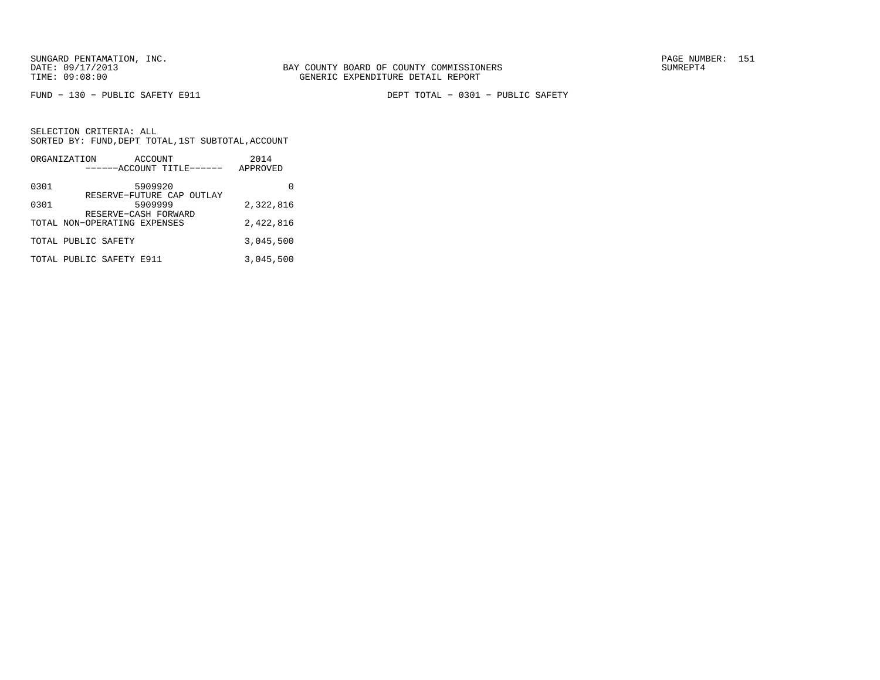FUND − 130 − PUBLIC SAFETY E911 DEPT TOTAL − 0301 − PUBLIC SAFETY

|      | ORGANIZATION                 | ACCOUNT |                           | 2014      |
|------|------------------------------|---------|---------------------------|-----------|
|      |                              |         | ------ACCOUNT TITLE------ | APPROVED  |
| 0301 |                              | 5909920 | RESERVE-FUTURE CAP OUTLAY |           |
| 0301 | RESERVE-CASH FORWARD         | 5909999 |                           | 2,322,816 |
|      | TOTAL NON-OPERATING EXPENSES |         |                           | 2,422,816 |
|      | TOTAL PUBLIC SAFETY          |         |                           | 3,045,500 |
|      | TOTAL PUBLIC SAFETY E911     |         |                           | 3,045,500 |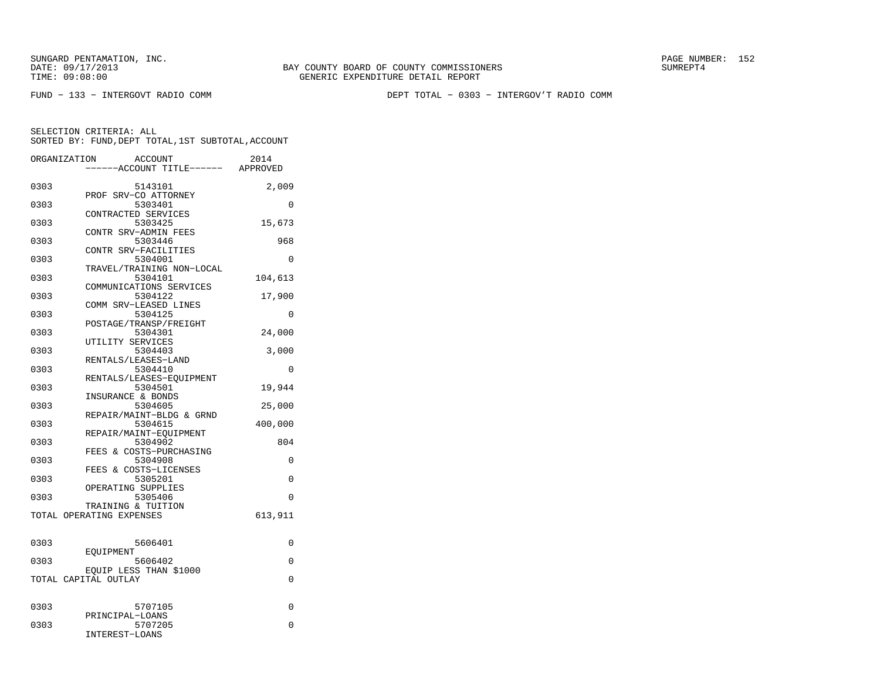DATE: 09/17/2013 BAY COUNTY BOARD OF COUNTY COMMISSIONERS SUMREPT4GENERIC EXPENDITURE DETAIL REPORT

FUND − 133 − INTERGOVT RADIO COMM DEPT TOTAL − 0303 − INTERGOV'T RADIO COMM

| ORGANIZATION |                      | <b>ACCOUNT</b><br>---ACCOUNT TITLE------       | 2014<br>APPROVED |
|--------------|----------------------|------------------------------------------------|------------------|
| 0303         |                      | 5143101<br>PROF SRV-CO ATTORNEY                | 2,009            |
| 0303         |                      | 5303401<br>CONTRACTED SERVICES                 | $\Omega$         |
| 0303         |                      | 5303425<br>CONTR SRV-ADMIN FEES                | 15,673           |
| 0303         |                      | 5303446<br>CONTR SRV-FACILITIES                | 968              |
| 0303         |                      | 5304001<br>TRAVEL/TRAINING NON-LOCAL           | 0                |
| 0303         |                      | 5304101<br>COMMUNICATIONS SERVICES             | 104,613          |
| 0303         |                      | 5304122<br>COMM SRV-LEASED LINES               | 17,900           |
| 0303         |                      | 5304125<br>POSTAGE/TRANSP/FREIGHT              | 0                |
| 0303         |                      | 5304301<br>UTILITY SERVICES                    | 24,000           |
| 0303         |                      | 5304403<br>RENTALS/LEASES-LAND                 | 3,000            |
| 0303         |                      | 5304410<br>RENTALS/LEASES-EQUIPMENT            | 0                |
| 0303         |                      | 5304501<br>INSURANCE & BONDS                   | 19,944           |
| 0303         |                      | 5304605<br>REPAIR/MAINT-BLDG & GRND            | 25,000           |
| 0303         |                      | 5304615<br>REPAIR/MAINT-EQUIPMENT              | 400,000          |
| 0303         |                      | 5304902<br>FEES & COSTS-PURCHASING             | 804              |
| 0303         |                      | 5304908<br>FEES & COSTS-LICENSES               | 0                |
| 0303<br>0303 |                      | 5305201<br>OPERATING SUPPLIES<br>5305406       | 0<br>$\Omega$    |
|              |                      | TRAINING & TUITION<br>TOTAL OPERATING EXPENSES | 613,911          |
|              |                      |                                                |                  |
| 0303         | EOUIPMENT            | 5606401                                        | 0                |
| 0303         |                      | 5606402<br>EQUIP LESS THAN \$1000              | 0                |
|              | TOTAL CAPITAL OUTLAY |                                                | 0                |
| 0303         |                      | 5707105                                        | 0                |
| 0303         |                      | PRINCIPAL-LOANS<br>5707205<br>INTEREST-LOANS   | $\Omega$         |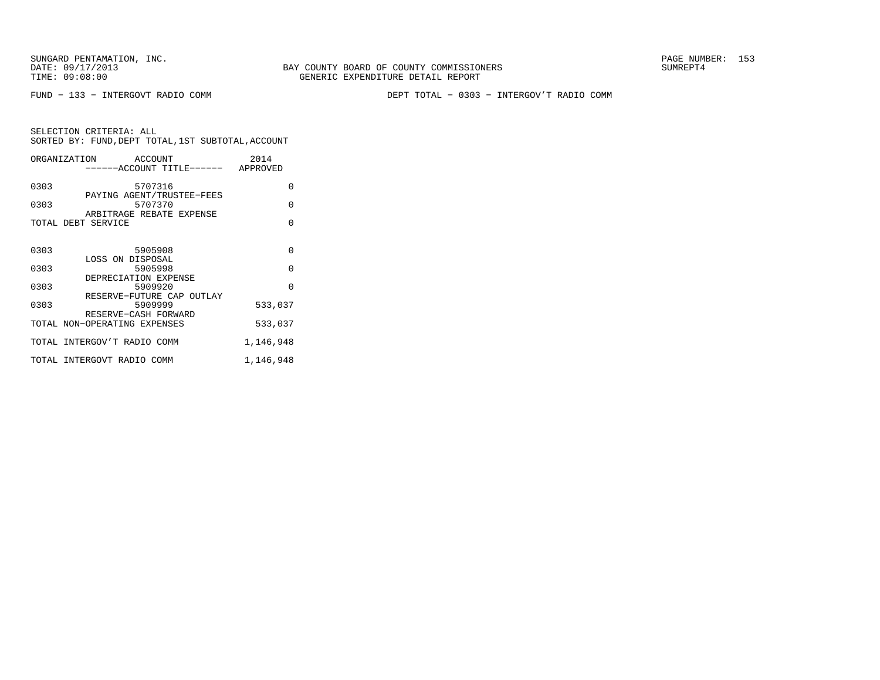BAY COUNTY BOARD OF COUNTY COMMISSIONERS TIME: 09:08:00 GENERIC EXPENDITURE DETAIL REPORT

FUND − 133 − INTERGOVT RADIO COMM DEPT TOTAL − 0303 − INTERGOV'T RADIO COMM

|      | ORGANIZATION ACCOUNT                                 | 2014      |
|------|------------------------------------------------------|-----------|
|      | ------ACCOUNT TITLE------ APPROVED                   |           |
| 0303 | 5707316                                              | $\Omega$  |
| 0303 | PAYING AGENT/TRUSTEE-FEES<br>5707370                 | $\Omega$  |
|      | ARBITRAGE REBATE EXPENSE                             |           |
|      | TOTAL DEBT SERVICE                                   | $\Omega$  |
|      |                                                      |           |
| 0303 | 5905908                                              | $\Omega$  |
| 0303 | LOSS ON DISPOSAL<br>5905998                          | $\Omega$  |
|      | DEPRECIATION EXPENSE                                 |           |
| 0303 | 5909920                                              | $\Omega$  |
| 0303 | RESERVE-FUTURE CAP OUTLAY<br>5909999                 | 533,037   |
|      | RESERVE-CASH FORWARD<br>TOTAL NON-OPERATING EXPENSES | 533,037   |
|      |                                                      |           |
|      | TOTAL INTERGOV'T RADIO COMM                          | 1,146,948 |
|      | TOTAL INTERGOVT RADIO COMM                           | 1,146,948 |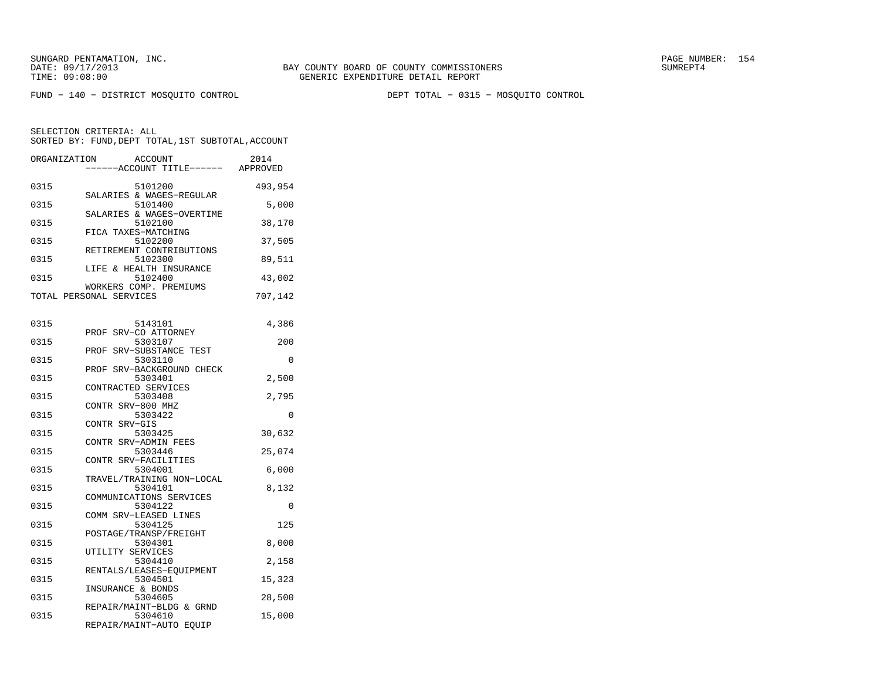FUND − 140 − DISTRICT MOSQUITO CONTROL DEPT TOTAL − 0315 − MOSQUITO CONTROL

| ORGANIZATION | <b>ACCOUNT</b><br>----ACCOUNT TITLE------ APPROVED             | 2014     |
|--------------|----------------------------------------------------------------|----------|
| 0315         | 5101200<br>SALARIES & WAGES-REGULAR                            | 493,954  |
| 0315         | 5101400<br>SALARIES & WAGES-OVERTIME                           | 5,000    |
| 0315         | 5102100<br>FICA TAXES-MATCHING                                 | 38,170   |
| 0315         | 5102200<br>RETIREMENT CONTRIBUTIONS                            | 37,505   |
| 0315         | 5102300<br>LIFE & HEALTH INSURANCE                             | 89,511   |
| 0315         | 5102400<br>WORKERS COMP. PREMIUMS                              | 43,002   |
|              | TOTAL PERSONAL SERVICES                                        | 707,142  |
| 0315         | 5143101                                                        | 4,386    |
| 0315         | PROF SRV-CO ATTORNEY<br>5303107                                | 200      |
| 0315         | PROF SRV-SUBSTANCE TEST<br>5303110                             | 0        |
| 0315         | PROF<br>SRV-BACKGROUND CHECK<br>5303401<br>CONTRACTED SERVICES | 2,500    |
| 0315         | 5303408<br>CONTR SRV-800 MHZ                                   | 2,795    |
| 0315         | 5303422<br>CONTR SRV-GIS                                       | $\Omega$ |
| 0315         | 5303425<br>CONTR SRV-ADMIN FEES                                | 30,632   |
| 0315         | 5303446<br>CONTR SRV-FACILITIES                                | 25,074   |
| 0315         | 5304001<br>TRAVEL/TRAINING NON-LOCAL                           | 6,000    |
| 0315         | 5304101<br>COMMUNICATIONS SERVICES                             | 8,132    |
| 0315         | 5304122<br>COMM SRV-LEASED LINES                               | 0        |
| 0315         | 5304125<br>POSTAGE/TRANSP/FREIGHT                              | 125      |
| 0315         | 5304301<br>UTILITY SERVICES                                    | 8,000    |
| 0315         | 5304410<br>RENTALS/LEASES-EQUIPMENT                            | 2,158    |
| 0315         | 5304501<br>INSURANCE & BONDS                                   | 15,323   |
| 0315         | 5304605<br>REPAIR/MAINT-BLDG & GRND                            | 28,500   |
| 0315         | 5304610<br>REPAIR/MAINT-AUTO EQUIP                             | 15,000   |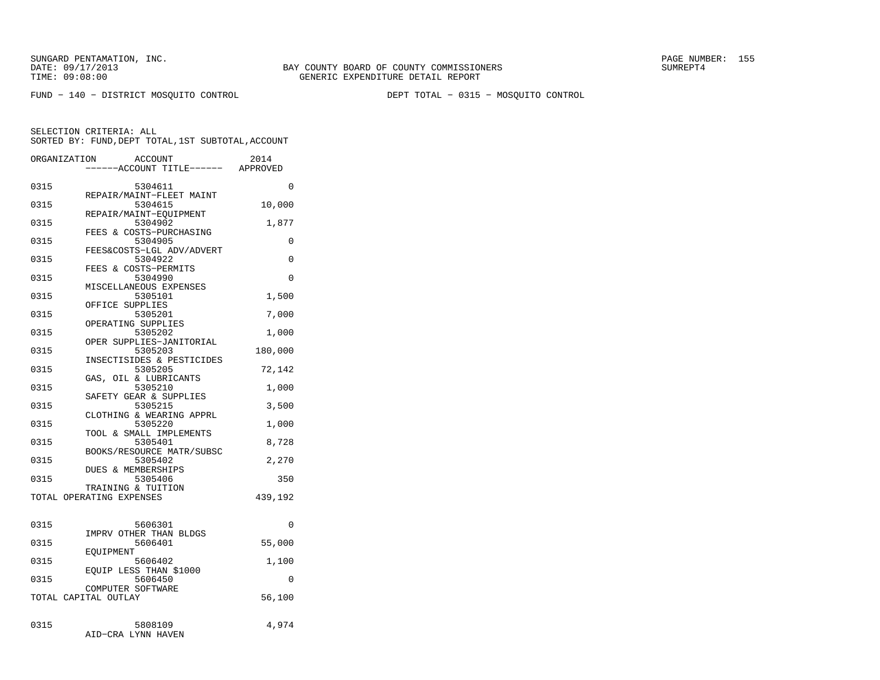FUND − 140 − DISTRICT MOSQUITO CONTROL DEPT TOTAL − 0315 − MOSQUITO CONTROL

|              | ORGANIZATION<br><b>ACCOUNT</b><br>---ACCOUNT TITLE------     | 2014<br>APPROVED |
|--------------|--------------------------------------------------------------|------------------|
| 0315         | 5304611                                                      | 0                |
| 0315         | REPAIR/MAINT-FLEET MAINT<br>5304615                          | 10,000           |
| 0315         | REPAIR/MAINT-EQUIPMENT<br>5304902<br>FEES & COSTS-PURCHASING | 1,877            |
| 0315         | 5304905<br>FEES&COSTS-LGL ADV/ADVERT                         | 0                |
| 0315         | 5304922<br>FEES & COSTS-PERMITS                              | 0                |
| 0315         | 5304990<br>MISCELLANEOUS EXPENSES                            | 0                |
| 0315         | 5305101<br>OFFICE SUPPLIES                                   | 1,500            |
| 0315         | 5305201<br>OPERATING SUPPLIES                                | 7,000            |
| 0315         | 5305202<br>OPER SUPPLIES-JANITORIAL                          | 1,000            |
| 0315         | 5305203<br>INSECTISIDES & PESTICIDES                         | 180,000          |
| 0315         | 5305205<br>GAS, OIL & LUBRICANTS                             | 72,142           |
| 0315         | 5305210<br>SAFETY GEAR & SUPPLIES                            | 1,000            |
| 0315<br>0315 | 5305215<br>CLOTHING & WEARING APPRL<br>5305220               | 3,500            |
| 0315         | TOOL & SMALL IMPLEMENTS<br>5305401                           | 1,000<br>8,728   |
| 0315         | BOOKS/RESOURCE MATR/SUBSC<br>5305402                         | 2,270            |
| 0315         | DUES & MEMBERSHIPS<br>5305406                                | 350              |
|              | TRAINING & TUITION<br>TOTAL OPERATING EXPENSES               | 439,192          |
|              |                                                              |                  |
| 0315         | 5606301<br>IMPRV OTHER THAN BLDGS                            | 0                |
| 0315         | 5606401<br>EQUIPMENT                                         | 55,000           |
| 0315         | 5606402<br>EQUIP LESS THAN \$1000                            | 1,100            |
| 0315         | 5606450<br>COMPUTER SOFTWARE                                 | 0                |
|              | TOTAL CAPITAL OUTLAY                                         | 56,100           |
| 0315         | 5808109<br>AID-CRA LYNN HAVEN                                | 4,974            |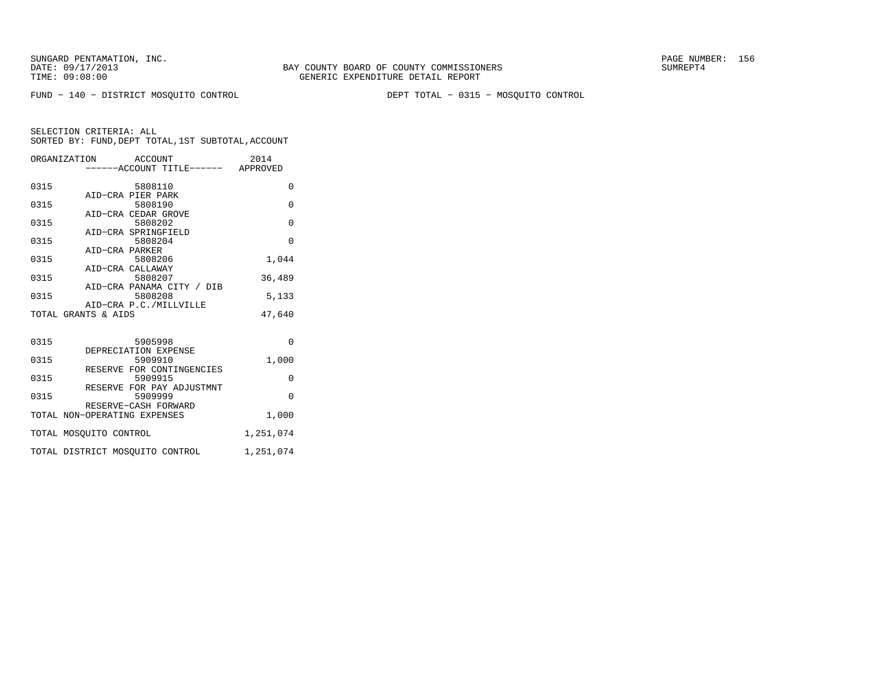FUND − 140 − DISTRICT MOSQUITO CONTROL DEPT TOTAL − 0315 − MOSQUITO CONTROL

|                        | ORGANIZATION ACCOUNT<br>-----ACCOUNT TITLE------ APPROVED | 2014      |
|------------------------|-----------------------------------------------------------|-----------|
| 0315                   | 5808110                                                   | $\Omega$  |
| 0315                   | AID-CRA PIER PARK<br>5808190                              | $\Omega$  |
| 0315                   | AID-CRA CEDAR GROVE<br>5808202                            | $\Omega$  |
| 0315                   | AID-CRA SPRINGFIELD<br>5808204                            | $\Omega$  |
| 0315                   | AID-CRA PARKER<br>5808206                                 | 1,044     |
|                        | AID-CRA CALLAWAY                                          |           |
| 0315                   | 5808207<br>AID-CRA PANAMA CITY / DIB                      | 36,489    |
| 0315                   | 5808208<br>AID-CRA P.C./MILLVILLE                         | 5,133     |
| TOTAL GRANTS & AIDS    |                                                           | 47.640    |
| 0315                   | 5905998                                                   | $\Omega$  |
|                        | DEPRECIATION EXPENSE                                      |           |
| 0315                   | 5909910<br>RESERVE FOR CONTINGENCIES                      | 1,000     |
| 0315                   | 5909915<br>RESERVE FOR PAY ADJUSTMNT                      | 0         |
| 0315                   | 5909999<br>RESERVE-CASH FORWARD                           | $\Omega$  |
|                        | TOTAL NON-OPERATING EXPENSES                              | 1,000     |
| TOTAL MOSOUITO CONTROL |                                                           | 1,251,074 |
|                        | TOTAL DISTRICT MOSQUITO CONTROL                           | 1,251,074 |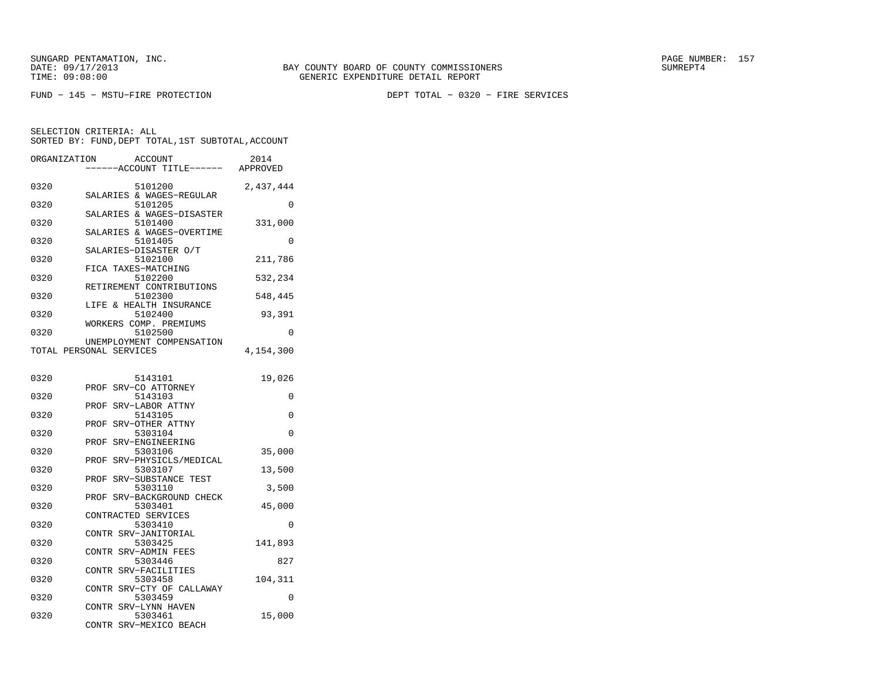FUND − 145 − MSTU−FIRE PROTECTION DEPT TOTAL − 0320 − FIRE SERVICES

| ORGANIZATION | <b>ACCOUNT</b><br>---ACCOUNT TITLE------                     | 2014<br>APPROVED |
|--------------|--------------------------------------------------------------|------------------|
| 0320         | 5101200<br>SALARIES & WAGES-REGULAR                          | 2,437,444        |
| 0320         | 5101205<br>SALARIES & WAGES-DISASTER                         | $\Omega$         |
| 0320         | 5101400                                                      | 331,000          |
| 0320         | SALARIES & WAGES-OVERTIME<br>5101405                         | 0                |
| 0320         | SALARIES-DISASTER O/T<br>5102100                             | 211,786          |
| 0320         | FICA TAXES-MATCHING<br>5102200                               | 532,234          |
| 0320         | RETIREMENT CONTRIBUTIONS<br>5102300                          | 548,445          |
| 0320         | LIFE & HEALTH INSURANCE<br>5102400                           | 93,391           |
| 0320         | WORKERS COMP. PREMIUMS<br>5102500                            | 0                |
|              | UNEMPLOYMENT COMPENSATION<br>TOTAL PERSONAL SERVICES         | 4,154,300        |
| 0320         | 5143101                                                      | 19,026           |
| 0320         | SRV-CO ATTORNEY<br>PROF<br>5143103                           | 0                |
| 0320         | SRV-LABOR ATTNY<br>PROF<br>5143105                           | 0                |
| 0320         | PROF<br>SRV-OTHER ATTNY<br>5303104                           | $\Omega$         |
| 0320         | SRV-ENGINEERING<br>PROF<br>5303106                           | 35,000           |
| 0320         | SRV-PHYSICLS/MEDICAL<br>PROF<br>5303107                      | 13,500           |
| 0320         | SRV-SUBSTANCE TEST<br>PROF<br>5303110                        | 3,500            |
| 0320         | SRV-BACKGROUND CHECK<br>PROF<br>5303401                      | 45,000           |
| 0320         | CONTRACTED SERVICES<br>5303410                               | 0                |
| 0320         | CONTR SRV-JANITORIAL<br>5303425                              | 141,893          |
| 0320         | CONTR SRV-ADMIN FEES<br>5303446                              | 827              |
| 0320         | CONTR SRV-FACILITIES<br>5303458                              | 104,311          |
| 0320         | SRV-CTY OF CALLAWAY<br>CONTR<br>5303459                      | 0                |
| 0320         | CONTR SRV-LYNN HAVEN<br>5303461<br>CONTR<br>SRV-MEXICO BEACH | 15,000           |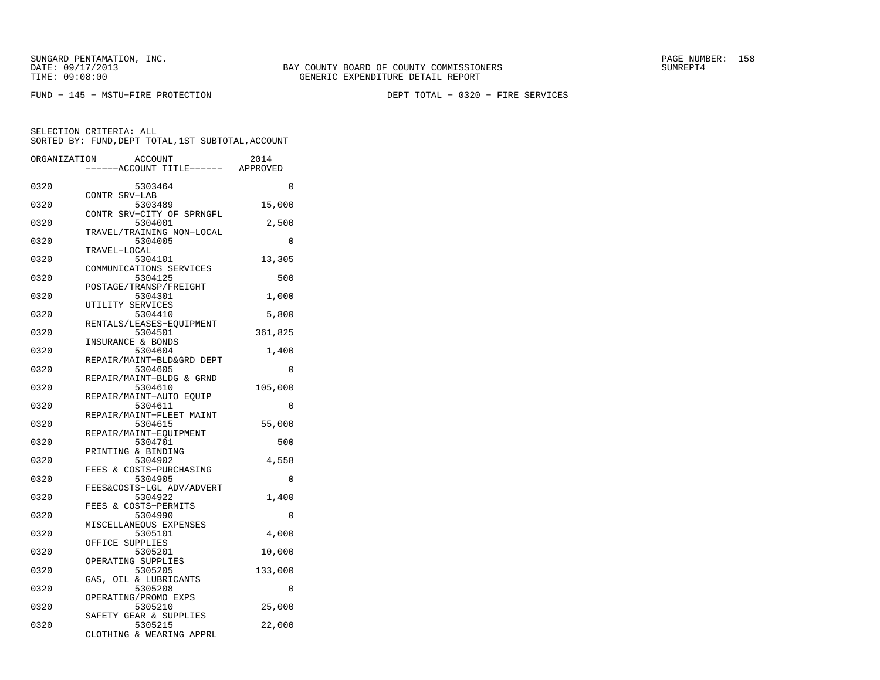FUND − 145 − MSTU−FIRE PROTECTION DEPT TOTAL − 0320 − FIRE SERVICES

| ORGANIZATION | ACCOUNT<br>---ACCOUNT TITLE------ APPROVED                     | 2014    |
|--------------|----------------------------------------------------------------|---------|
| 0320         | 5303464                                                        | 0       |
| 0320         | CONTR SRV-LAB<br>5303489                                       | 15,000  |
| 0320         | CONTR SRV-CITY OF SPRNGFL<br>5304001                           | 2,500   |
| 0320         | TRAVEL/TRAINING NON-LOCAL<br>5304005                           | 0       |
| 0320         | TRAVEL-LOCAL<br>5304101                                        | 13,305  |
| 0320         | COMMUNICATIONS SERVICES<br>5304125                             | 500     |
| 0320         | POSTAGE/TRANSP/FREIGHT<br>5304301<br>UTILITY SERVICES          | 1,000   |
| 0320         | 5304410<br>RENTALS/LEASES-EQUIPMENT                            | 5,800   |
| 0320         | 5304501<br>INSURANCE & BONDS                                   | 361,825 |
| 0320         | 5304604<br>REPAIR/MAINT-BLD&GRD DEPT                           | 1,400   |
| 0320         | 5304605<br>REPAIR/MAINT-BLDG & GRND                            | 0       |
| 0320         | 5304610                                                        | 105,000 |
| 0320         | REPAIR/MAINT-AUTO EQUIP<br>5304611<br>REPAIR/MAINT-FLEET MAINT | 0       |
| 0320         | 5304615<br>REPAIR/MAINT-EQUIPMENT                              | 55,000  |
| 0320         | 5304701<br>PRINTING & BINDING                                  | 500     |
| 0320         | 5304902<br>FEES & COSTS-PURCHASING                             | 4,558   |
| 0320         | 5304905<br>FEES&COSTS-LGL ADV/ADVERT                           | 0       |
| 0320         | 5304922<br>FEES & COSTS-PERMITS                                | 1,400   |
| 0320         | 5304990<br>MISCELLANEOUS EXPENSES                              | 0       |
| 0320         | 5305101<br>OFFICE SUPPLIES                                     | 4,000   |
| 0320         | 5305201<br>OPERATING SUPPLIES                                  | 10,000  |
| 0320         | 5305205<br>GAS, OIL & LUBRICANTS                               | 133,000 |
| 0320         | 5305208<br>OPERATING/PROMO EXPS                                | 0       |
| 0320         | 5305210<br>SAFETY GEAR & SUPPLIES                              | 25,000  |
| 0320         | 5305215<br>CLOTHING & WEARING APPRL                            | 22,000  |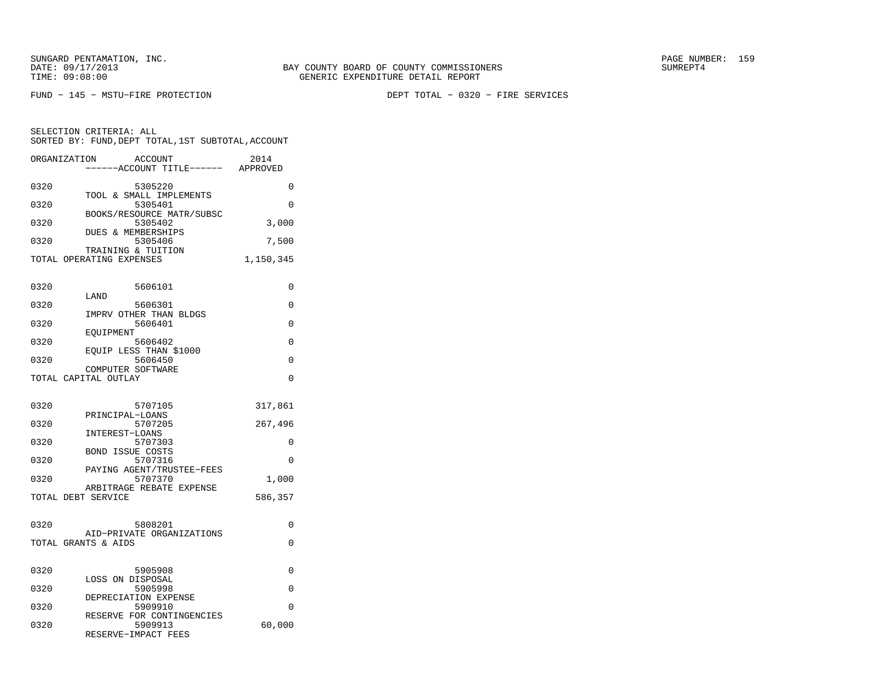SELECTION CRITERIA: ALL

FUND − 145 − MSTU−FIRE PROTECTION DEPT TOTAL − 0320 − FIRE SERVICES

SORTED BY: FUND,DEPT TOTAL,1ST SUBTOTAL,ACCOUNT

| ORGANIZATION       | <b>ACCOUNT</b><br>----ACCOUNT TITLE------                        | 2014<br>APPROVED |
|--------------------|------------------------------------------------------------------|------------------|
| 0320<br>0320       | 5305220<br>TOOL & SMALL IMPLEMENTS<br>5305401                    | 0<br>0           |
| 0320               | BOOKS/RESOURCE MATR/SUBSC<br>5305402                             | 3,000            |
| 0320               | DUES & MEMBERSHIPS<br>5305406<br>TRAINING & TUITION              | 7,500            |
|                    | TOTAL OPERATING EXPENSES                                         | 1,150,345        |
| 0320               | 5606101<br>LAND                                                  | 0                |
| 0320<br>0320       | 5606301<br>IMPRV OTHER THAN BLDGS<br>5606401                     | $\Omega$<br>0    |
| 0320               | EOUIPMENT<br>5606402                                             | $\Omega$         |
| 0320               | EOUIP LESS THAN \$1000<br>5606450<br>COMPUTER SOFTWARE           | 0                |
|                    | TOTAL CAPITAL OUTLAY                                             | $\Omega$         |
| 0320               | 5707105<br>PRINCIPAL-LOANS                                       | 317,861          |
| 0320<br>0320       | 5707205<br>INTEREST-LOANS<br>5707303                             | 267,496<br>0     |
| 0320               | <b>BOND ISSUE COSTS</b><br>5707316                               | $\Omega$         |
| 0320               | PAYING AGENT/TRUSTEE-FEES<br>5707370<br>ARBITRAGE REBATE EXPENSE | 1,000            |
| TOTAL DEBT SERVICE |                                                                  | 586,357          |
| 0320               | 5808201<br>AID-PRIVATE ORGANIZATIONS                             | $\Omega$         |
|                    | TOTAL GRANTS & AIDS                                              | $\Omega$         |
| 0320               | 5905908<br>LOSS ON DISPOSAL                                      | 0                |
| 0320<br>0320       | 5905998<br>DEPRECIATION EXPENSE<br>5909910                       | 0<br>$\Omega$    |
| 0320               | RESERVE FOR CONTINGENCIES<br>5909913<br>RESERVE-IMPACT FEES      | 60,000           |
|                    |                                                                  |                  |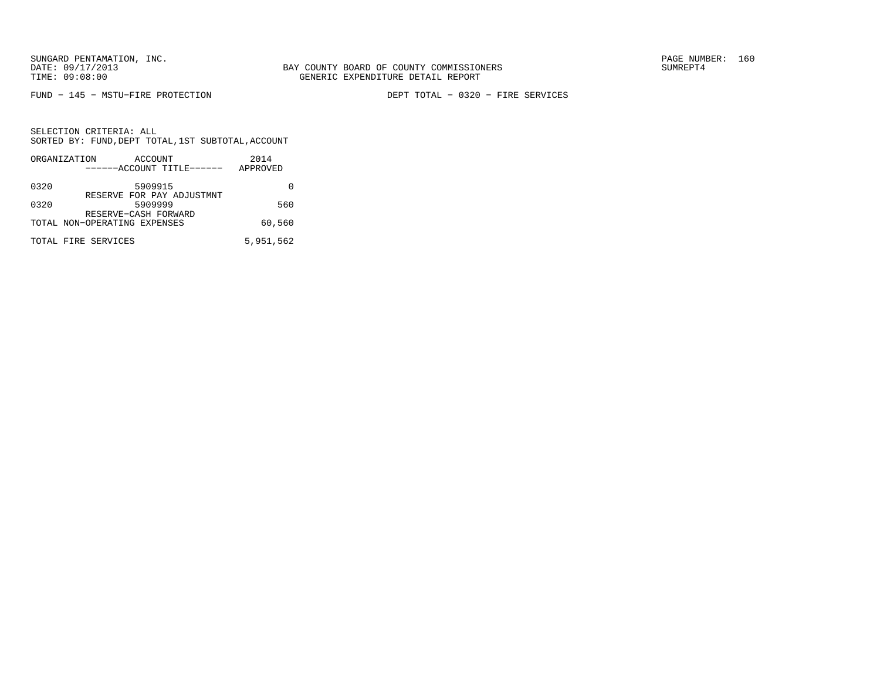FUND − 145 − MSTU−FIRE PROTECTION DEPT TOTAL − 0320 − FIRE SERVICES

|      | ORGANIZATION                 | ACCOUNT |                           | 2014      |  |
|------|------------------------------|---------|---------------------------|-----------|--|
|      |                              |         | ------ACCOUNT TITLE------ | APPROVED  |  |
| 0320 |                              | 5909915 |                           |           |  |
| 0320 |                              | 5909999 | RESERVE FOR PAY ADJUSTMNT | 560       |  |
|      | TOTAL NON-OPERATING EXPENSES |         | RESERVE-CASH FORWARD      | 60,560    |  |
|      | TOTAL FIRE SERVICES          |         |                           | 5,951,562 |  |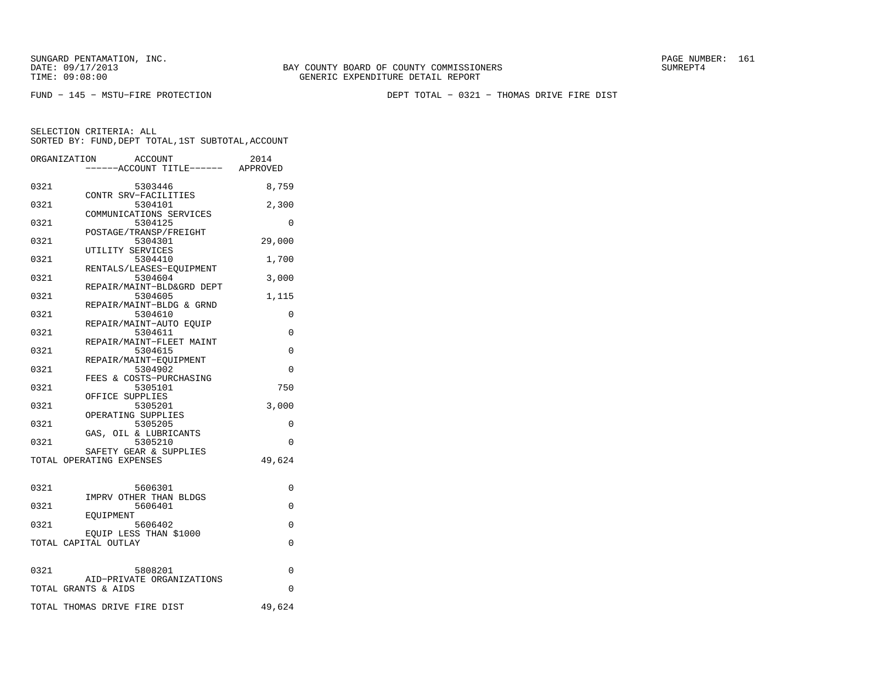BAY COUNTY BOARD OF COUNTY COMMISSIONERS TIME: 09:08:00 GENERIC EXPENDITURE DETAIL REPORT

FUND − 145 − MSTU−FIRE PROTECTION DEPT TOTAL − 0321 − THOMAS DRIVE FIRE DIST

|      | <b>ACCOUNT</b><br>ORGANIZATION<br>----ACCOUNT TITLE------ APPROVED | 2014     |
|------|--------------------------------------------------------------------|----------|
|      |                                                                    |          |
| 0321 | 5303446                                                            | 8,759    |
|      | CONTR SRV-FACILITIES                                               |          |
| 0321 | 5304101                                                            | 2,300    |
| 0321 | COMMUNICATIONS SERVICES<br>5304125                                 | $\Omega$ |
|      | POSTAGE/TRANSP/FREIGHT                                             |          |
| 0321 | 5304301                                                            | 29,000   |
|      | UTILITY SERVICES                                                   |          |
| 0321 | 5304410                                                            | 1,700    |
|      | RENTALS/LEASES-EQUIPMENT                                           |          |
| 0321 | 5304604                                                            | 3,000    |
|      | REPAIR/MAINT-BLD&GRD DEPT                                          |          |
| 0321 | 5304605                                                            | 1,115    |
|      | REPAIR/MAINT-BLDG & GRND                                           |          |
| 0321 | 5304610                                                            | 0        |
|      | REPAIR/MAINT-AUTO EOUIP                                            |          |
| 0321 | 5304611<br>REPAIR/MAINT-FLEET MAINT                                | 0        |
| 0321 | 5304615                                                            | 0        |
|      | REPAIR/MAINT-EOUIPMENT                                             |          |
| 0321 | 5304902                                                            | 0        |
|      | FEES & COSTS-PURCHASING                                            |          |
| 0321 | 5305101                                                            | 750      |
|      | OFFICE SUPPLIES                                                    |          |
| 0321 | 5305201                                                            | 3,000    |
|      | OPERATING SUPPLIES                                                 |          |
| 0321 | 5305205                                                            | 0        |
|      | GAS, OIL & LUBRICANTS                                              |          |
| 0321 | 5305210                                                            | 0        |
|      | SAFETY GEAR & SUPPLIES                                             |          |
|      | TOTAL OPERATING EXPENSES                                           | 49,624   |
| 0321 | 5606301                                                            | 0        |
|      | IMPRV OTHER THAN BLDGS                                             |          |
| 0321 | 5606401                                                            | $\Omega$ |
|      | EOUIPMENT                                                          |          |
| 0321 | 5606402                                                            | 0        |
|      | EQUIP LESS THAN \$1000                                             |          |
|      | TOTAL CAPITAL OUTLAY                                               | 0        |
|      |                                                                    |          |
| 0321 | 5808201                                                            | $\Omega$ |
|      | AID-PRIVATE ORGANIZATIONS                                          |          |
|      | TOTAL GRANTS & AIDS                                                | 0        |
|      | TOTAL THOMAS DRIVE FIRE DIST                                       | 49,624   |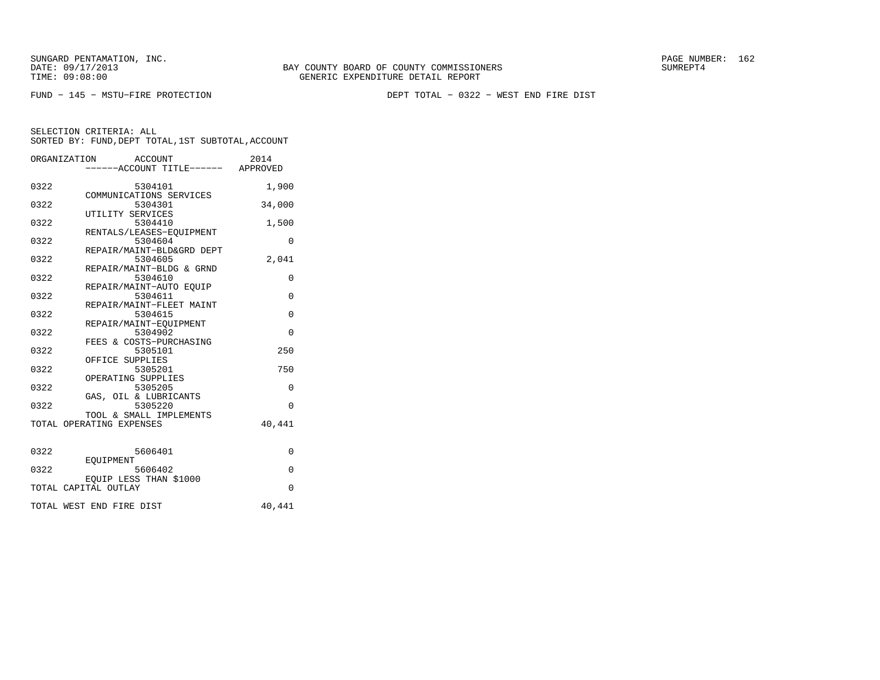FUND − 145 − MSTU−FIRE PROTECTION DEPT TOTAL − 0322 − WEST END FIRE DIST

|      | ORGANIZATION<br>ACCOUNT<br>----ACCOUNT TITLE------ APPROVED | 2014        |
|------|-------------------------------------------------------------|-------------|
| 0322 | 5304101<br>COMMUNICATIONS SERVICES                          | 1,900       |
| 0322 | 5304301<br>UTILITY SERVICES                                 | 34,000      |
| 0322 | 5304410                                                     | 1,500       |
| 0322 | RENTALS/LEASES-EQUIPMENT<br>5304604                         | $\Omega$    |
| 0322 | REPAIR/MAINT-BLD&GRD DEPT<br>5304605                        | 2,041       |
| 0322 | REPAIR/MAINT-BLDG & GRND<br>5304610                         | 0           |
| 0322 | REPAIR/MAINT-AUTO EOUIP<br>5304611                          | $\mathbf 0$ |
| 0322 | REPAIR/MAINT-FLEET MAINT<br>5304615                         | $\Omega$    |
| 0322 | REPAIR/MAINT-EOUIPMENT<br>5304902                           | $\Omega$    |
| 0322 | FEES & COSTS-PURCHASING<br>5305101                          | 250         |
| 0322 | OFFICE SUPPLIES<br>5305201                                  | 750         |
| 0322 | OPERATING SUPPLIES<br>5305205                               | 0           |
| 0322 | GAS, OIL & LUBRICANTS<br>5305220                            | $\Omega$    |
|      | TOOL & SMALL IMPLEMENTS<br>TOTAL OPERATING EXPENSES         | 40,441      |
| 0322 | 5606401                                                     | $\Omega$    |
| 0322 | <b>EOUIPMENT</b><br>5606402                                 | $\mathbf 0$ |
|      | EQUIP LESS THAN \$1000<br>TOTAL CAPITAL OUTLAY              | $\Omega$    |
|      | TOTAL WEST END FIRE DIST                                    | 40,441      |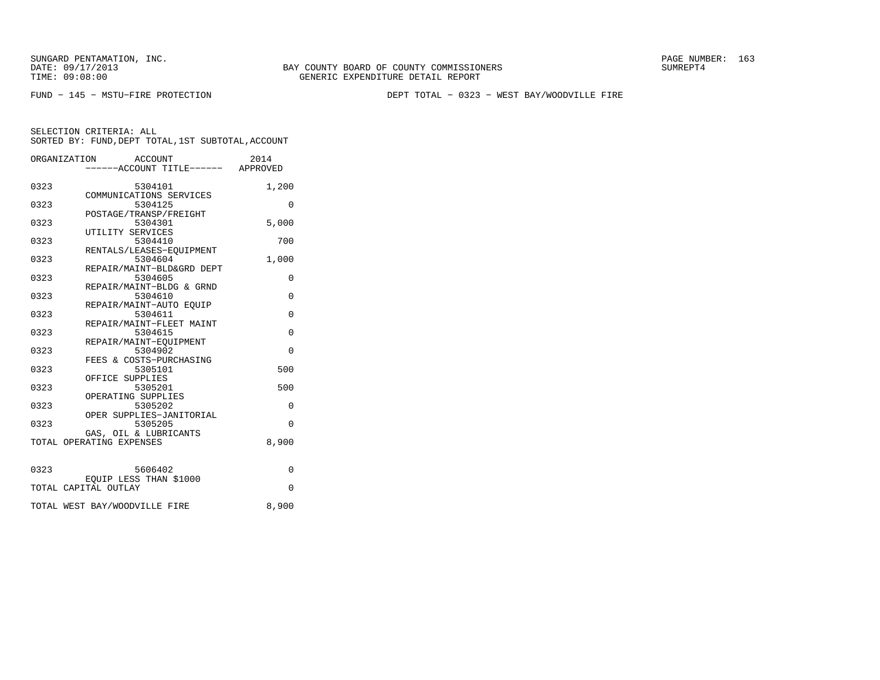BAY COUNTY BOARD OF COUNTY COMMISSIONERS TIME: 09:08:00 GENERIC EXPENDITURE DETAIL REPORT

FUND − 145 − MSTU−FIRE PROTECTION DEPT TOTAL − 0323 − WEST BAY/WOODVILLE FIRE

|      | ORGANIZATION<br>ACCOUNT                        | 2014        |
|------|------------------------------------------------|-------------|
|      | -----ACCOUNT TITLE------ APPROVED              |             |
| 0323 | 5304101                                        | 1,200       |
|      | COMMUNICATIONS SERVICES                        |             |
| 0323 | 5304125<br>POSTAGE/TRANSP/FREIGHT              | $\Omega$    |
| 0323 | 5304301                                        | 5,000       |
|      | UTILITY SERVICES                               |             |
| 0323 | 5304410<br>RENTALS/LEASES-EOUIPMENT            | 700         |
| 0323 | 5304604                                        | 1,000       |
|      | REPAIR/MAINT-BLD&GRD DEPT                      |             |
| 0323 | 5304605                                        | $\Omega$    |
| 0323 | REPAIR/MAINT-BLDG & GRND<br>5304610            | $\mathbf 0$ |
|      | REPAIR/MAINT-AUTO EOUIP                        |             |
| 0323 | 5304611                                        | $\Omega$    |
| 0323 | REPAIR/MAINT-FLEET MAINT<br>5304615            | $\Omega$    |
|      | REPAIR/MAINT-EOUIPMENT                         |             |
| 0323 | 5304902                                        | $\Omega$    |
| 0323 | FEES & COSTS-PURCHASING<br>5305101             | 500         |
|      | OFFICE SUPPLIES                                |             |
| 0323 | 5305201                                        | 500         |
| 0323 | OPERATING SUPPLIES<br>5305202                  | $\Omega$    |
|      | OPER SUPPLIES-JANITORIAL                       |             |
| 0323 | 5305205                                        | $\Omega$    |
|      | GAS, OIL & LUBRICANTS                          |             |
|      | TOTAL OPERATING EXPENSES                       | 8,900       |
|      |                                                |             |
| 0323 | 5606402                                        | $\Omega$    |
|      | EQUIP LESS THAN \$1000<br>TOTAL CAPITAL OUTLAY | $\Omega$    |
|      |                                                |             |
|      | TOTAL WEST BAY/WOODVILLE FIRE                  | 8,900       |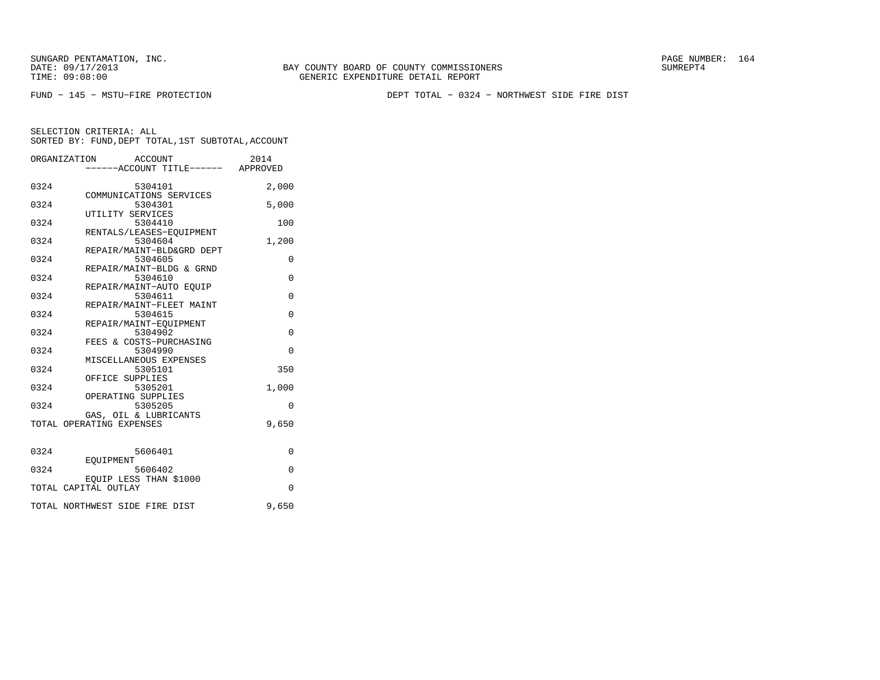FUND − 145 − MSTU−FIRE PROTECTION DEPT TOTAL − 0324 − NORTHWEST SIDE FIRE DIST

|      | ORGANIZATION<br>ACCOUNT<br>----ACCOUNT TITLE------ APPROVED  | 2014        |
|------|--------------------------------------------------------------|-------------|
| 0324 | 5304101<br>COMMUNICATIONS SERVICES                           | 2,000       |
| 0324 | 5304301<br>UTILITY SERVICES                                  | 5,000       |
| 0324 | 5304410<br>RENTALS/LEASES-EOUIPMENT                          | 100         |
| 0324 | 5304604<br>REPAIR/MAINT-BLD&GRD DEPT                         | 1,200       |
| 0324 | 5304605<br>REPAIR/MAINT-BLDG & GRND                          | 0           |
| 0324 | 5304610<br>REPAIR/MAINT-AUTO EOUIP                           | $\mathbf 0$ |
| 0324 | 5304611<br>REPAIR/MAINT-FLEET MAINT                          | $\Omega$    |
| 0324 | 5304615                                                      | $\mathbf 0$ |
| 0324 | REPAIR/MAINT-EQUIPMENT<br>5304902<br>FEES & COSTS-PURCHASING | $\Omega$    |
| 0324 | 5304990<br>MISCELLANEOUS EXPENSES                            | $\Omega$    |
| 0324 | 5305101<br>OFFICE SUPPLIES                                   | 350         |
| 0324 | 5305201<br>OPERATING SUPPLIES                                | 1,000       |
| 0324 | 5305205<br>GAS, OIL & LUBRICANTS                             | $\Omega$    |
|      | TOTAL OPERATING EXPENSES                                     | 9,650       |
| 0324 | 5606401                                                      | $\Omega$    |
| 0324 | EOUIPMENT<br>5606402                                         | $\Omega$    |
|      | EQUIP LESS THAN \$1000<br>TOTAL CAPITAL OUTLAY               | $\Omega$    |
|      | TOTAL NORTHWEST SIDE FIRE DIST                               | 9,650       |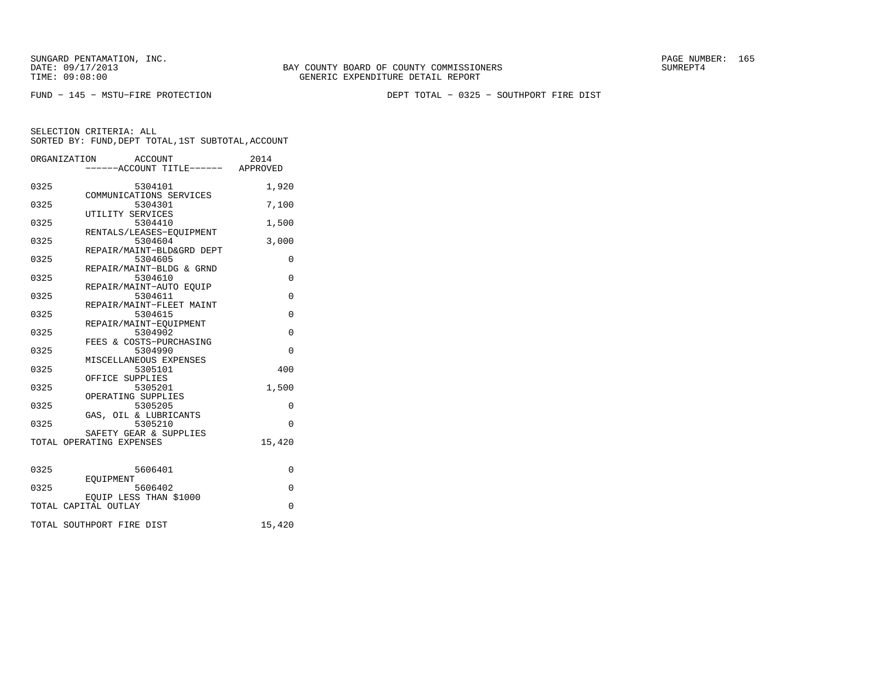FUND − 145 − MSTU−FIRE PROTECTION DEPT TOTAL − 0325 − SOUTHPORT FIRE DIST

|      | ORGANIZATION<br>ACCOUNT<br>-----ACCOUNT TITLE------ APPROVED | 2014        |
|------|--------------------------------------------------------------|-------------|
| 0325 | 5304101<br>COMMUNICATIONS SERVICES                           | 1,920       |
| 0325 | 5304301<br>UTILITY SERVICES                                  | 7,100       |
| 0325 | 5304410<br>RENTALS/LEASES-EQUIPMENT                          | 1,500       |
| 0325 | 5304604<br>REPAIR/MAINT-BLD&GRD DEPT                         | 3,000       |
| 0325 | 5304605<br>REPAIR/MAINT-BLDG & GRND                          | 0           |
| 0325 | 5304610<br>REPAIR/MAINT-AUTO EOUIP                           | $\Omega$    |
| 0325 | 5304611<br>REPAIR/MAINT-FLEET MAINT                          | 0           |
| 0325 | 5304615<br>REPAIR/MAINT-EOUIPMENT                            | $\Omega$    |
| 0325 | 5304902<br>FEES & COSTS-PURCHASING                           | $\mathbf 0$ |
| 0325 | 5304990<br>MISCELLANEOUS EXPENSES                            | $\Omega$    |
| 0325 | 5305101<br>OFFICE SUPPLIES                                   | 400         |
| 0325 | 5305201<br>OPERATING SUPPLIES                                | 1,500       |
| 0325 | 5305205                                                      | 0           |
| 0325 | GAS, OIL & LUBRICANTS<br>5305210<br>SAFETY GEAR & SUPPLIES   | $\Omega$    |
|      | TOTAL OPERATING EXPENSES                                     | 15,420      |
| 0325 | 5606401                                                      | 0           |
| 0325 | EOUIPMENT<br>5606402                                         | $\mathbf 0$ |
|      | EOUIP LESS THAN \$1000<br>TOTAL CAPITAL OUTLAY               | $\Omega$    |
|      | TOTAL SOUTHPORT FIRE DIST                                    | 15,420      |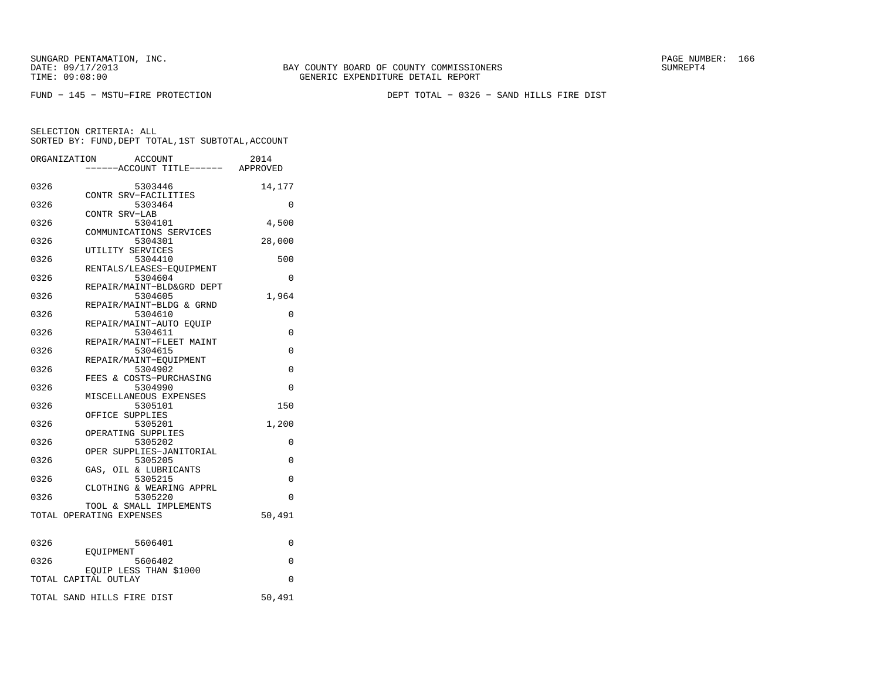BAY COUNTY BOARD OF COUNTY COMMISSIONERS TIME: 09:08:00 GENERIC EXPENDITURE DETAIL REPORT

FUND − 145 − MSTU−FIRE PROTECTION DEPT TOTAL − 0326 − SAND HILLS FIRE DIST

|      | ORGANIZATION<br><b>ACCOUNT</b>    |                                 | 2014     |
|------|-----------------------------------|---------------------------------|----------|
|      |                                   | ---ACCOUNT TITLE------ APPROVED |          |
| 0326 | 5303446                           |                                 | 14,177   |
|      | CONTR SRV-FACILITIES              |                                 |          |
| 0326 | 5303464                           |                                 | 0        |
|      | CONTR SRV-LAB                     |                                 |          |
| 0326 | 5304101                           |                                 | 4,500    |
|      | COMMUNICATIONS SERVICES           |                                 |          |
| 0326 | 5304301                           |                                 | 28,000   |
|      | UTILITY SERVICES                  |                                 |          |
| 0326 | 5304410                           |                                 | 500      |
|      | RENTALS/LEASES-EOUIPMENT          |                                 |          |
| 0326 | 5304604                           |                                 | $\Omega$ |
|      | REPAIR/MAINT-BLD&GRD DEPT         |                                 |          |
| 0326 | 5304605                           |                                 | 1,964    |
|      | REPAIR/MAINT-BLDG & GRND          |                                 |          |
| 0326 | 5304610                           |                                 | 0        |
|      | REPAIR/MAINT-AUTO EQUIP           |                                 |          |
| 0326 | 5304611                           |                                 | 0        |
|      | REPAIR/MAINT-FLEET MAINT          |                                 |          |
| 0326 | 5304615                           |                                 | 0        |
| 0326 | REPAIR/MAINT-EQUIPMENT<br>5304902 |                                 | 0        |
|      | FEES & COSTS-PURCHASING           |                                 |          |
| 0326 | 5304990                           |                                 | 0        |
|      | MISCELLANEOUS EXPENSES            |                                 |          |
| 0326 | 5305101                           |                                 | 150      |
|      | OFFICE SUPPLIES                   |                                 |          |
| 0326 | 5305201                           |                                 | 1,200    |
|      | OPERATING SUPPLIES                |                                 |          |
| 0326 | 5305202                           |                                 | 0        |
|      | OPER SUPPLIES-JANITORIAL          |                                 |          |
| 0326 | 5305205                           |                                 | $\Omega$ |
|      | GAS, OIL & LUBRICANTS             |                                 |          |
| 0326 | 5305215                           |                                 | $\Omega$ |
|      | CLOTHING & WEARING APPRL          |                                 |          |
| 0326 | 5305220                           |                                 | $\Omega$ |
|      | TOOL & SMALL IMPLEMENTS           |                                 |          |
|      | TOTAL OPERATING EXPENSES          |                                 | 50,491   |
|      |                                   |                                 |          |
| 0326 | 5606401                           |                                 | 0        |
|      | EOUIPMENT                         |                                 |          |
| 0326 | 5606402                           |                                 | 0        |
|      | EQUIP LESS THAN \$1000            |                                 |          |
|      | TOTAL CAPITAL OUTLAY              |                                 | $\Omega$ |
|      |                                   |                                 |          |
|      | TOTAL SAND HILLS FIRE DIST        |                                 | 50,491   |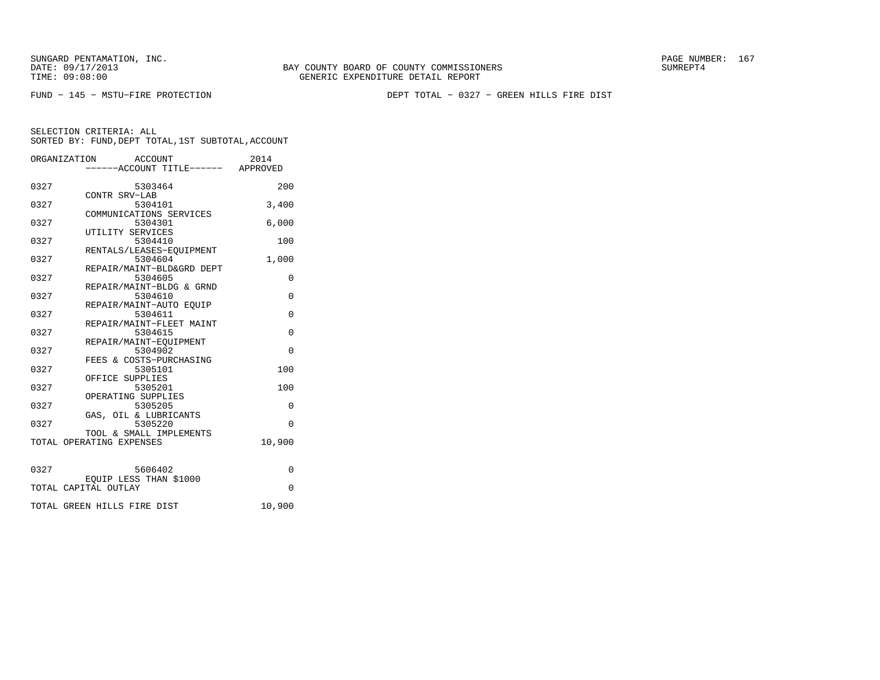TIME: 09:08:00 GENERIC EXPENDITURE DETAIL REPORT

FUND − 145 − MSTU−FIRE PROTECTION DEPT TOTAL − 0327 − GREEN HILLS FIRE DIST

BAY COUNTY BOARD OF COUNTY COMMISSIONERS

SELECTION CRITERIA: ALL

SORTED BY: FUND,DEPT TOTAL,1ST SUBTOTAL,ACCOUNT

|      | ORGANIZATION<br>ACCOUNT              | 2014     |
|------|--------------------------------------|----------|
|      | -----ACCOUNT TITLE------ APPROVED    |          |
| 0327 | 5303464                              | 200      |
|      | CONTR SRV-LAB                        |          |
| 0327 | 5304101                              | 3,400    |
| 0327 | COMMUNICATIONS SERVICES<br>5304301   | 6.000    |
|      | UTILITY SERVICES                     |          |
| 0327 | 5304410                              | 100      |
|      | RENTALS/LEASES-EOUIPMENT             |          |
| 0327 | 5304604                              | 1,000    |
| 0327 | REPAIR/MAINT-BLD&GRD DEPT<br>5304605 | $\Omega$ |
|      | REPAIR/MAINT-BLDG & GRND             |          |
| 0327 | 5304610                              | $\Omega$ |
|      | REPAIR/MAINT-AUTO EOUIP              |          |
| 0327 | 5304611                              | $\Omega$ |
| 0327 | REPAIR/MAINT-FLEET MAINT             | $\Omega$ |
|      | 5304615<br>REPAIR/MAINT-EOUIPMENT    |          |
| 0327 | 5304902                              | $\Omega$ |
|      | FEES & COSTS-PURCHASING              |          |
| 0327 | 5305101                              | 100      |
|      | OFFICE SUPPLIES                      |          |
| 0327 | 5305201<br>OPERATING SUPPLIES        | 100      |
| 0327 | 5305205                              | $\Omega$ |
|      | GAS, OIL & LUBRICANTS                |          |
| 0327 | 5305220                              | $\Omega$ |
|      | TOOL & SMALL IMPLEMENTS              |          |
|      | TOTAL OPERATING EXPENSES             | 10,900   |
|      |                                      |          |
| 0327 | 5606402                              | 0        |
|      | EQUIP LESS THAN \$1000               |          |
|      | TOTAL CAPITAL OUTLAY                 | $\Omega$ |
|      | TOTAL GREEN HILLS FIRE DIST          | 10,900   |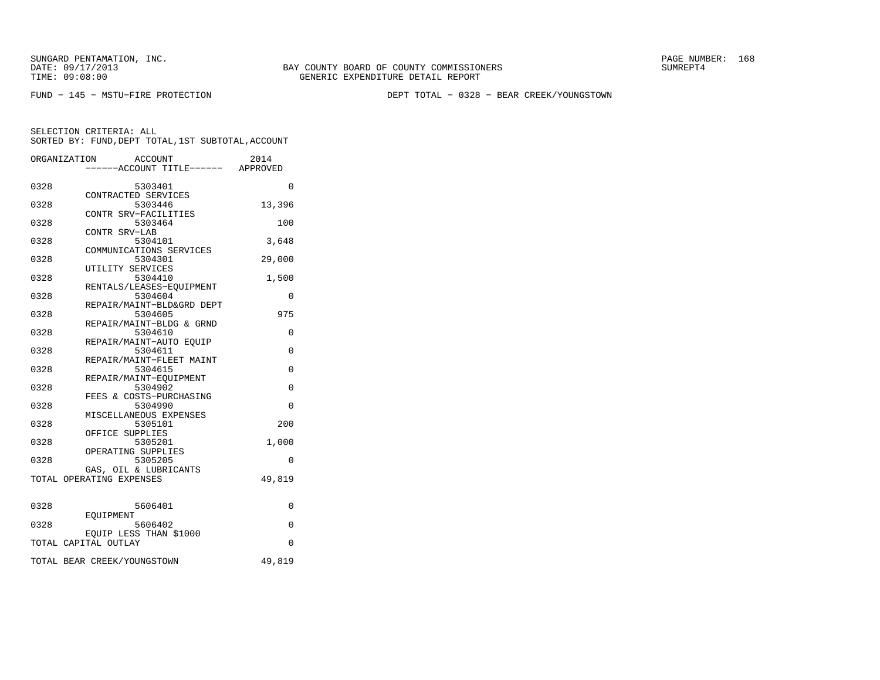BAY COUNTY BOARD OF COUNTY COMMISSIONERS TIME: 09:08:00 GENERIC EXPENDITURE DETAIL REPORT

FUND − 145 − MSTU−FIRE PROTECTION DEPT TOTAL − 0328 − BEAR CREEK/YOUNGSTOWN

|      | ORGANIZATION<br>ACCOUNT           | 2014     |
|------|-----------------------------------|----------|
|      | -----ACCOUNT TITLE------ APPROVED |          |
| 0328 | 5303401                           | 0        |
|      | CONTRACTED SERVICES               |          |
| 0328 | 5303446                           | 13,396   |
|      | CONTR SRV-FACILITIES              |          |
| 0328 | 5303464                           | 100      |
|      | CONTR SRV-LAB                     |          |
| 0328 | 5304101                           | 3,648    |
|      | COMMUNICATIONS SERVICES           |          |
| 0328 | 5304301                           | 29,000   |
|      | UTILITY SERVICES                  |          |
| 0328 | 5304410                           | 1,500    |
|      | RENTALS/LEASES-EQUIPMENT          |          |
| 0328 | 5304604                           | 0        |
|      | REPAIR/MAINT-BLD&GRD DEPT         |          |
| 0328 | 5304605                           | 975      |
|      | REPAIR/MAINT-BLDG & GRND          |          |
| 0328 | 5304610                           | 0        |
|      | REPAIR/MAINT-AUTO EQUIP           |          |
| 0328 | 5304611                           | $\Omega$ |
|      | REPAIR/MAINT-FLEET MAINT          |          |
| 0328 | 5304615                           | 0        |
|      | REPAIR/MAINT-EOUIPMENT            |          |
| 0328 | 5304902                           | 0        |
|      | FEES & COSTS-PURCHASING           |          |
| 0328 | 5304990                           | $\Omega$ |
|      | MISCELLANEOUS EXPENSES            |          |
| 0328 | 5305101                           | 200      |
|      | OFFICE SUPPLIES                   |          |
| 0328 | 5305201                           | 1,000    |
|      | OPERATING SUPPLIES                |          |
| 0328 | 5305205                           | $\Omega$ |
|      | GAS, OIL & LUBRICANTS             |          |
|      | TOTAL OPERATING EXPENSES          | 49,819   |
|      |                                   |          |
| 0328 | 5606401                           | 0        |
|      | EOUIPMENT                         |          |
| 0328 | 5606402                           | $\Omega$ |
|      | EOUIP LESS THAN \$1000            |          |
|      | TOTAL CAPITAL OUTLAY              | $\Omega$ |
|      |                                   |          |
|      | TOTAL BEAR CREEK/YOUNGSTOWN       | 49,819   |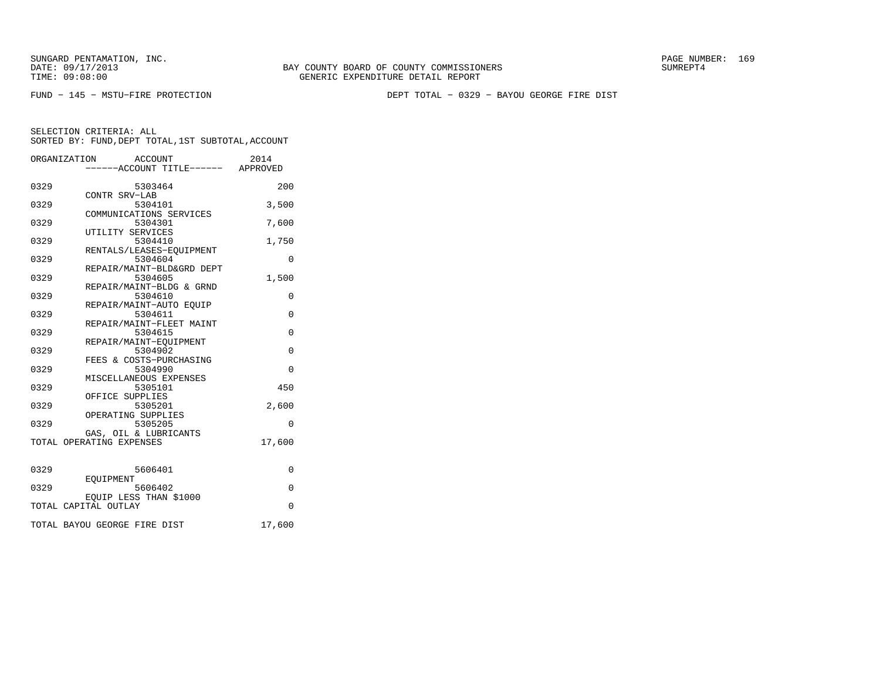FUND − 145 − MSTU−FIRE PROTECTION DEPT TOTAL − 0329 − BAYOU GEORGE FIRE DIST

|      | ORGANIZATION<br>ACCOUNT                        | 2014        |
|------|------------------------------------------------|-------------|
|      | ----ACCOUNT TITLE------ APPROVED               |             |
| 0329 | 5303464<br>CONTR SRV-LAB                       | 200         |
| 0329 | 5304101                                        | 3,500       |
| 0329 | COMMUNICATIONS SERVICES<br>5304301             | 7,600       |
| 0329 | UTILITY SERVICES<br>5304410                    | 1,750       |
| 0329 | RENTALS/LEASES-EOUIPMENT<br>5304604            | 0           |
| 0329 | REPAIR/MAINT-BLD&GRD DEPT<br>5304605           | 1,500       |
| 0329 | REPAIR/MAINT-BLDG & GRND<br>5304610            | 0           |
| 0329 | REPAIR/MAINT-AUTO EOUIP<br>5304611             | $\mathbf 0$ |
| 0329 | REPAIR/MAINT-FLEET MAINT<br>5304615            | 0           |
| 0329 | REPAIR/MAINT-EOUIPMENT<br>5304902              | $\Omega$    |
| 0329 | FEES & COSTS-PURCHASING<br>5304990             | $\Omega$    |
| 0329 | MISCELLANEOUS EXPENSES<br>5305101              | 450         |
| 0329 | OFFICE SUPPLIES<br>5305201                     | 2,600       |
|      | OPERATING SUPPLIES                             |             |
| 0329 | 5305205<br>GAS, OIL & LUBRICANTS               | $\Omega$    |
|      | TOTAL OPERATING EXPENSES                       | 17,600      |
| 0329 | 5606401                                        | 0           |
| 0329 | EOUIPMENT<br>5606402                           | 0           |
|      | EOUIP LESS THAN \$1000<br>TOTAL CAPITAL OUTLAY | $\Omega$    |
|      | TOTAL BAYOU GEORGE FIRE DIST                   | 17,600      |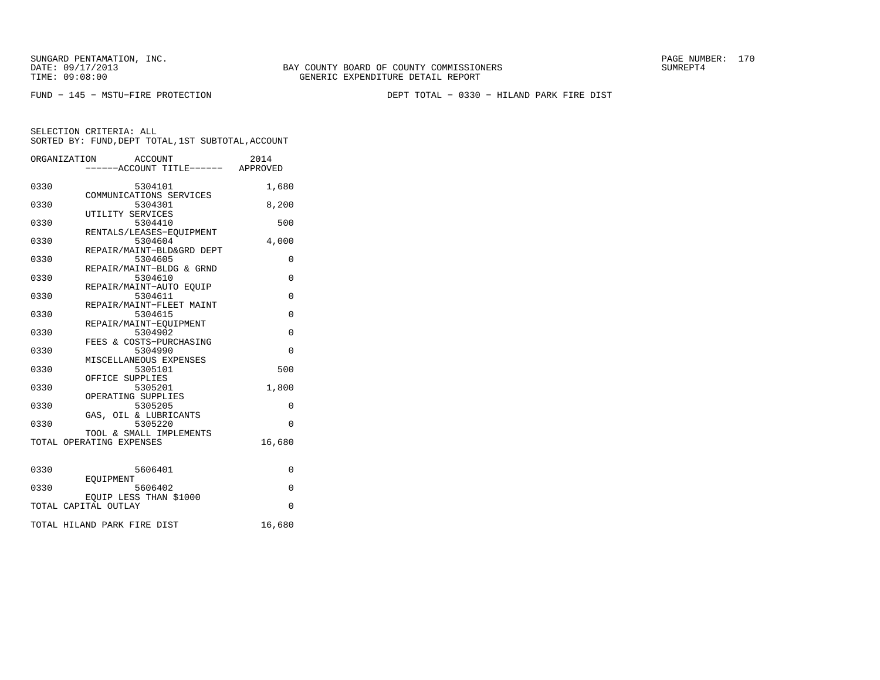TIME: 09:08:00 GENERIC EXPENDITURE DETAIL REPORT

BAY COUNTY BOARD OF COUNTY COMMISSIONERS

FUND − 145 − MSTU−FIRE PROTECTION DEPT TOTAL − 0330 − HILAND PARK FIRE DIST

|      | ORGANIZATION<br>ACCOUNT<br>-----ACCOUNT TITLE------ APPROVED | 2014        |
|------|--------------------------------------------------------------|-------------|
| 0330 | 5304101<br>COMMUNICATIONS SERVICES                           | 1,680       |
| 0330 | 5304301<br>UTILITY SERVICES                                  | 8,200       |
| 0330 | 5304410<br>RENTALS/LEASES-EQUIPMENT                          | 500         |
| 0330 | 5304604<br>REPAIR/MAINT-BLD&GRD DEPT                         | 4,000       |
| 0330 | 5304605<br>REPAIR/MAINT-BLDG & GRND                          | 0           |
| 0330 | 5304610<br>REPAIR/MAINT-AUTO EOUIP                           | $\Omega$    |
| 0330 | 5304611<br>REPAIR/MAINT-FLEET MAINT                          | 0           |
| 0330 | 5304615<br>REPAIR/MAINT-EQUIPMENT                            | $\Omega$    |
| 0330 | 5304902<br>FEES & COSTS-PURCHASING                           | $\mathbf 0$ |
| 0330 | 5304990<br>MISCELLANEOUS EXPENSES                            | $\Omega$    |
| 0330 | 5305101<br>OFFICE SUPPLIES                                   | 500         |
| 0330 | 5305201<br>OPERATING SUPPLIES                                | 1,800       |
| 0330 | 5305205<br>GAS, OIL & LUBRICANTS                             | 0           |
| 0330 | 5305220<br>TOOL & SMALL IMPLEMENTS                           | $\Omega$    |
|      | TOTAL OPERATING EXPENSES                                     | 16,680      |
| 0330 | 5606401                                                      | 0           |
| 0330 | EOUIPMENT<br>5606402                                         | $\mathbf 0$ |
|      | EOUIP LESS THAN \$1000<br>TOTAL CAPITAL OUTLAY               | $\Omega$    |
|      | TOTAL HILAND PARK FIRE DIST                                  | 16,680      |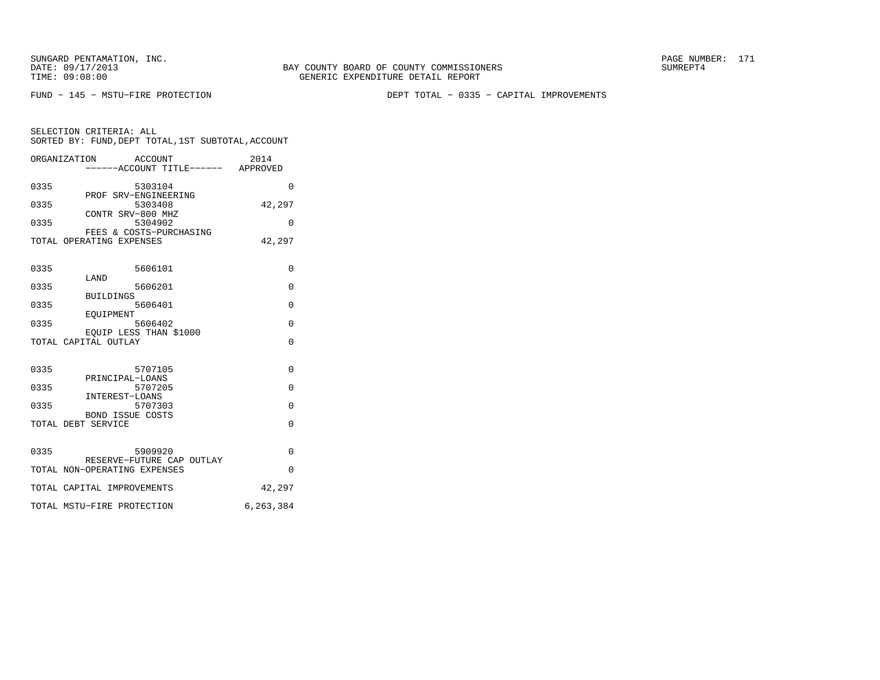FUND − 145 − MSTU−FIRE PROTECTION DEPT TOTAL − 0335 − CAPITAL IMPROVEMENTS

SELECTION CRITERIA: ALL SORTED BY: FUND,DEPT TOTAL,1ST SUBTOTAL,ACCOUNTORGANIZATION ACCOUNT 2014

|      | OLGHNI TUHI TOIM<br><b>ACCOONI</b><br>-----ACCOUNT TITLE------ APPROVED | ∠∪⊥ ±     |
|------|-------------------------------------------------------------------------|-----------|
| 0335 | 5303104                                                                 | $\Omega$  |
| 0335 | PROF SRV-ENGINEERING<br>5303408                                         | 42,297    |
| 0335 | CONTR SRV-800 MHZ<br>5304902                                            | $\Omega$  |
|      | FEES & COSTS-PURCHASING<br>TOTAL OPERATING EXPENSES                     | 42,297    |
| 0335 | 5606101                                                                 | 0         |
|      | LAND                                                                    |           |
| 0335 | 5606201<br><b>BUILDINGS</b>                                             | $\Omega$  |
| 0335 | 5606401                                                                 | $\Omega$  |
| 0335 | EOUIPMENT<br>5606402                                                    | 0         |
|      | EOUIP LESS THAN \$1000<br>TOTAL CAPITAL OUTLAY                          | $\Omega$  |
|      |                                                                         |           |
| 0335 | 5707105<br>PRINCIPAL-LOANS                                              | $\Omega$  |
| 0335 | 5707205<br>INTEREST-LOANS                                               | $\Omega$  |
| 0335 | 5707303                                                                 | $\Omega$  |
|      | <b>BOND ISSUE COSTS</b><br>TOTAL DEBT SERVICE                           | $\Omega$  |
| 0335 | 5909920                                                                 | $\Omega$  |
|      | RESERVE-FUTURE CAP OUTLAY<br>TOTAL NON-OPERATING EXPENSES               | $\Omega$  |
|      | TOTAL CAPITAL IMPROVEMENTS                                              | 42,297    |
|      | TOTAL MSTU-FIRE PROTECTION                                              | 6,263,384 |
|      |                                                                         |           |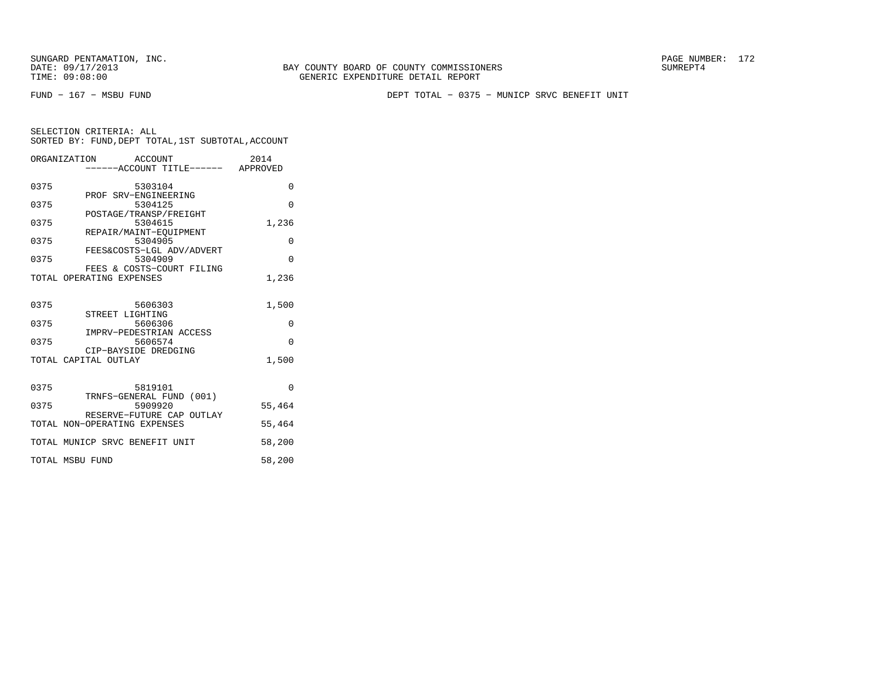FUND − 167 − MSBU FUND DEPT TOTAL − 0375 − MUNICP SRVC BENEFIT UNIT

| SELECTION CRITERIA: ALL |  |  |                                                    |  |
|-------------------------|--|--|----------------------------------------------------|--|
|                         |  |  | SORTED BY: FUND, DEPT TOTAL, 1ST SUBTOTAL, ACCOUNT |  |

|      | ORGANIZATION ACCOUNT<br>-----ACCOUNT TITLE------ APPROVED | 2014     |
|------|-----------------------------------------------------------|----------|
| 0375 | 5303104                                                   | $\Omega$ |
| 0375 | PROF SRV-ENGINEERING<br>5304125                           | $\Omega$ |
| 0375 | POSTAGE/TRANSP/FREIGHT<br>5304615                         | 1,236    |
| 0375 | REPAIR/MAINT-EOUIPMENT<br>5304905                         | $\Omega$ |
| 0375 | FEES&COSTS-LGL ADV/ADVERT<br>5304909                      | $\Omega$ |
|      | FEES & COSTS-COURT FILING<br>TOTAL OPERATING EXPENSES     | 1,236    |
| 0375 | 5606303                                                   | 1,500    |
| 0375 | STREET LIGHTING<br>5606306                                | 0        |
| 0375 | IMPRV-PEDESTRIAN ACCESS<br>5606574                        | $\Omega$ |
|      | CIP-BAYSIDE DREDGING<br>TOTAL CAPITAL OUTLAY              | 1,500    |
| 0375 | 5819101                                                   | $\Omega$ |
| 0375 | TRNFS-GENERAL FUND (001)<br>5909920                       | 55,464   |
|      | RESERVE-FUTURE CAP OUTLAY<br>TOTAL NON-OPERATING EXPENSES | 55,464   |
|      | TOTAL MUNICP SRVC BENEFIT UNIT                            | 58,200   |
|      | TOTAL MSBU FUND                                           | 58,200   |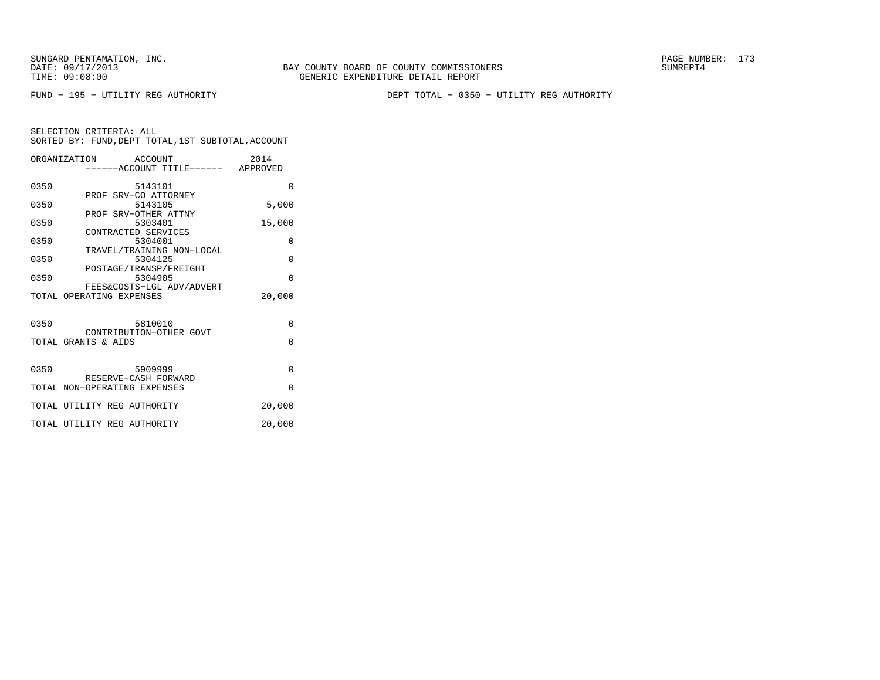FUND − 195 − UTILITY REG AUTHORITY DEPT TOTAL − 0350 − UTILITY REG AUTHORITY

|      | ORGANIZATION ACCOUNT<br>-----ACCOUNT TITLE------ APPROVED | 2014     |
|------|-----------------------------------------------------------|----------|
| 0350 | 5143101                                                   | $\Omega$ |
| 0350 | PROF SRV-CO ATTORNEY<br>5143105                           | 5,000    |
| 0350 | PROF SRV-OTHER ATTNY<br>5303401                           | 15,000   |
| 0350 | CONTRACTED SERVICES<br>5304001                            | $\Omega$ |
| 0350 | TRAVEL/TRAINING NON-LOCAL<br>5304125                      | $\Omega$ |
| 0350 | POSTAGE/TRANSP/FREIGHT<br>5304905                         | $\Omega$ |
|      | FEES&COSTS-LGL ADV/ADVERT<br>TOTAL OPERATING EXPENSES     | 20,000   |
| 0350 | 5810010                                                   | $\Omega$ |
|      | CONTRIBUTION-OTHER GOVT<br>TOTAL GRANTS & AIDS            | $\Omega$ |
| 0350 | 5909999<br>RESERVE-CASH FORWARD                           | $\Omega$ |
|      | TOTAL NON-OPERATING EXPENSES                              | $\Omega$ |
|      | TOTAL UTILITY REG AUTHORITY                               | 20,000   |
|      | TOTAL UTILITY REG AUTHORITY                               | 20,000   |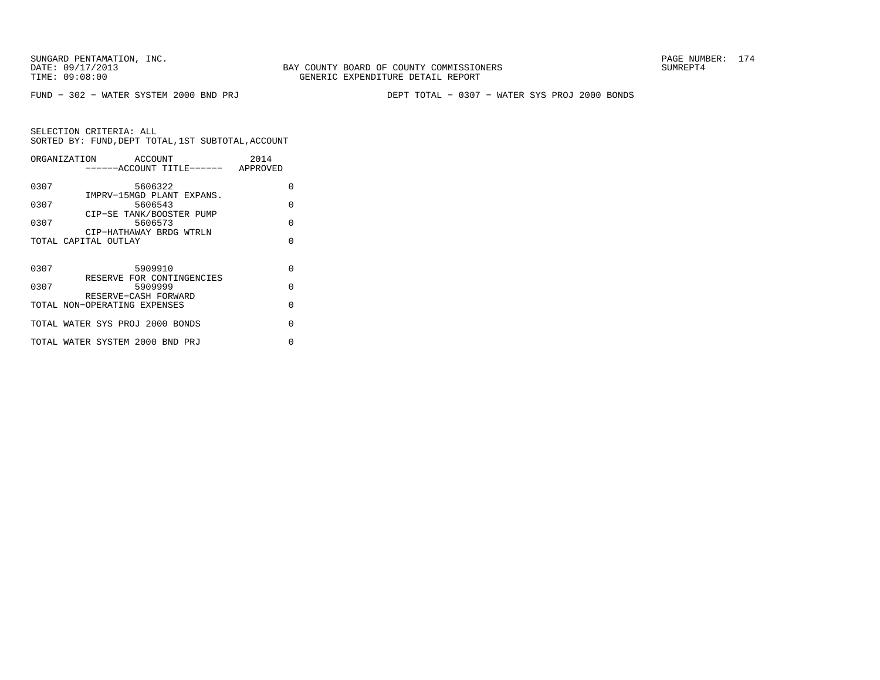FUND − 302 − WATER SYSTEM 2000 BND PRJ DEPT TOTAL − 0307 − WATER SYS PROJ 2000 BONDS

|      | ORGANIZATION<br>ACCOUNT<br>------ACCOUNT TITLE------ APPROVED | 2014     |
|------|---------------------------------------------------------------|----------|
| 0307 | 5606322                                                       | O        |
| 0307 | IMPRV-15MGD PLANT EXPANS.<br>5606543                          | $\Omega$ |
| 0307 | CIP-SE TANK/BOOSTER PUMP<br>5606573                           | $\Omega$ |
|      | CIP-HATHAWAY BRDG WTRLN<br>TOTAL CAPITAL OUTLAY               | O        |
|      |                                                               |          |
| 0307 | 5909910                                                       | $\Omega$ |
| 0307 | RESERVE FOR CONTINGENCIES<br>5909999                          | $\cap$   |
|      | RESERVE-CASH FORWARD<br>TOTAL NON-OPERATING EXPENSES          | O        |
|      | TOTAL WATER SYS PROJ 2000 BONDS                               | U        |
|      | TOTAL WATER SYSTEM 2000 BND PRJ                               | U        |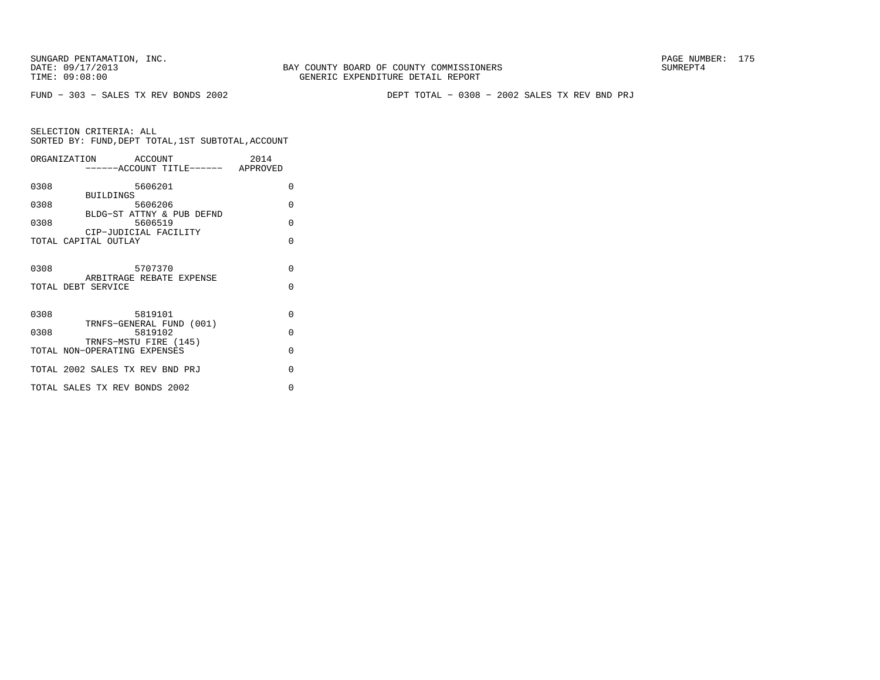BAY COUNTY BOARD OF COUNTY COMMISSIONERS TIME: 09:08:00 GENERIC EXPENDITURE DETAIL REPORT

FUND − 303 − SALES TX REV BONDS 2002 DEPT TOTAL − 0308 − 2002 SALES TX REV BND PRJ

|      | ORGANIZATION ACCOUNT<br>------ACCOUNT TITLE------ APPROVED | 2014               |
|------|------------------------------------------------------------|--------------------|
| 0308 | 5606201<br><b>BUILDINGS</b>                                | 0                  |
| 0308 | 5606206<br>BLDG-ST ATTNY & PUB DEFND                       | $\Omega$           |
| 0308 | 5606519<br>CIP-JUDICIAL FACILITY                           | $\Omega$           |
|      | TOTAL CAPITAL OUTLAY                                       | $\Omega$           |
| 0308 | 5707370<br>ARBITRAGE REBATE EXPENSE<br>TOTAL DEBT SERVICE  | $\Omega$<br>$\cap$ |
| 0308 | 5819101<br>TRNFS-GENERAL FUND (001)                        | $\Omega$           |
| 0308 | 5819102<br>TRNFS-MSTU FIRE (145)                           | $\Omega$           |
|      | TOTAL NON-OPERATING EXPENSES                               | $\Omega$           |
|      | TOTAL 2002 SALES TX REV BND PRJ                            | $\Omega$           |
|      | TOTAL SALES TX REV BONDS 2002                              | O                  |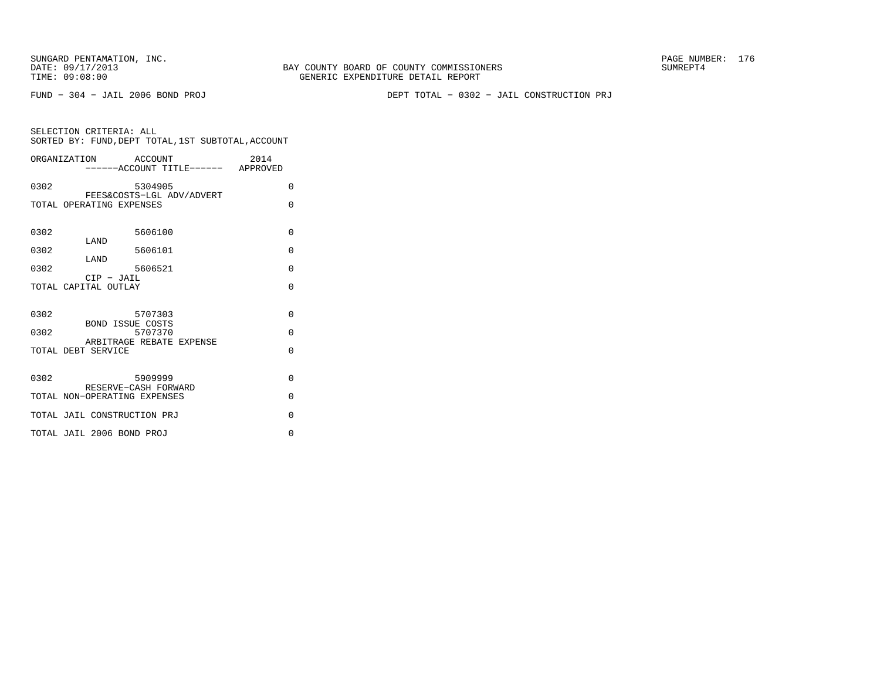FUND − 304 − JAIL 2006 BOND PROJ DEPT TOTAL − 0302 − JAIL CONSTRUCTION PRJ

| ORGANIZATION ACCOUNT                                                                                            | 2014<br>-----ACCOUNT TITLE------ APPROVED |
|-----------------------------------------------------------------------------------------------------------------|-------------------------------------------|
| 0302<br>5304905<br>FEES&COSTS-LGL ADV/ADVERT                                                                    | $\Omega$                                  |
| TOTAL OPERATING EXPENSES                                                                                        | $\Omega$                                  |
| 5606100<br>0302                                                                                                 | $\Omega$                                  |
| LAND<br>5606101<br>0302                                                                                         | $\Omega$                                  |
| LAND<br>0302<br>5606521                                                                                         | $\Omega$                                  |
| $CIP - JAIL$<br>TOTAL CAPITAL OUTLAY                                                                            | $\Omega$                                  |
| 0302<br>5707303<br><b>BOND ISSUE COSTS</b><br>5707370<br>0302<br>ARBITRAGE REBATE EXPENSE<br>TOTAL DEBT SERVICE | $\Omega$<br>$\Omega$<br>$\Omega$          |
| 0302<br>5909999<br>RESERVE-CASH FORWARD<br>TOTAL NON-OPERATING EXPENSES                                         | $\Omega$<br>$\Omega$                      |
| TOTAL JAIL CONSTRUCTION PRJ                                                                                     | $\Omega$                                  |
| TOTAL JAIL 2006 BOND PROJ                                                                                       | $\Omega$                                  |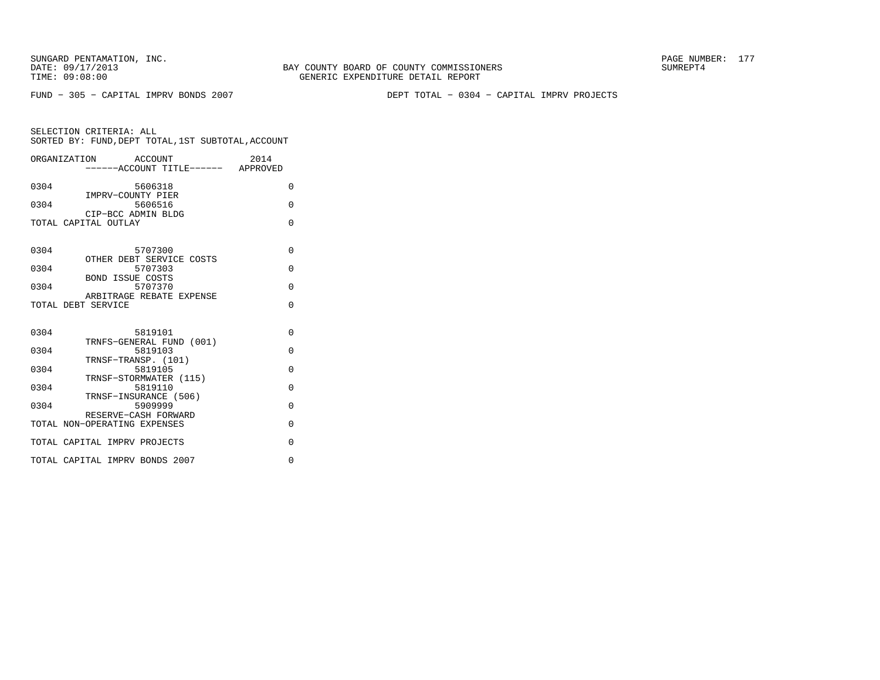BAY COUNTY BOARD OF COUNTY COMMISSIONERS TIME: 09:08:00 GENERIC EXPENDITURE DETAIL REPORT

FUND − 305 − CAPITAL IMPRV BONDS 2007 DEPT TOTAL − 0304 − CAPITAL IMPRV PROJECTS

|      | ORGANIZATION ACCOUNT<br>------ACCOUNT TITLE------ APPROVED | 2014     |
|------|------------------------------------------------------------|----------|
|      |                                                            |          |
| 0304 | 5606318                                                    | $\Omega$ |
| 0304 | IMPRV-COUNTY PIER<br>5606516                               | $\Omega$ |
|      | CIP-BCC ADMIN BLDG                                         |          |
|      | TOTAL CAPITAL OUTLAY                                       | $\Omega$ |
|      |                                                            |          |
| 0304 | 5707300                                                    | $\Omega$ |
| 0304 | OTHER DEBT SERVICE COSTS<br>5707303                        | $\Omega$ |
|      | <b>BOND ISSUE COSTS</b>                                    |          |
| 0304 | 5707370                                                    | $\Omega$ |
|      | ARBITRAGE REBATE EXPENSE<br>TOTAL DEBT SERVICE             | $\Omega$ |
|      |                                                            |          |
| 0304 | 5819101                                                    | $\Omega$ |
|      | TRNFS-GENERAL FUND (001)                                   |          |
| 0304 | 5819103                                                    | $\Omega$ |
| 0304 | TRNSF-TRANSP. (101)<br>5819105                             | $\Omega$ |
|      | TRNSF-STORMWATER (115)                                     |          |
| 0304 | 5819110                                                    | $\Omega$ |
| 0304 | TRNSF-INSURANCE (506)<br>5909999                           | $\Omega$ |
|      | RESERVE-CASH FORWARD                                       |          |
|      | TOTAL NON-OPERATING EXPENSES                               | $\Omega$ |
|      | TOTAL CAPITAL IMPRV PROJECTS                               | $\Omega$ |
|      | TOTAL CAPITAL IMPRV BONDS 2007                             | $\Omega$ |
|      |                                                            |          |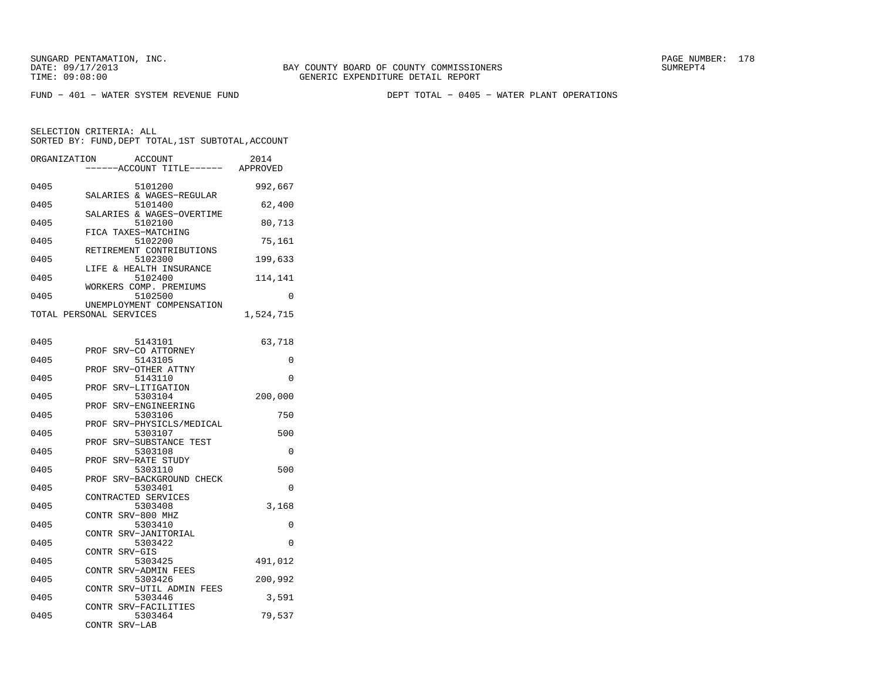FUND − 401 − WATER SYSTEM REVENUE FUND DEPT TOTAL − 0405 − WATER PLANT OPERATIONS

| SELECTION CRITERIA: ALL<br>SORTED BY: FUND, DEPT TOTAL, 1ST SUBTOTAL, ACCOUNT |                                                      |           |  |  |
|-------------------------------------------------------------------------------|------------------------------------------------------|-----------|--|--|
| ORGANIZATION                                                                  | ACCOUNT                                              | 2014      |  |  |
|                                                                               | ----ACCOUNT TITLE------ APPROVED                     |           |  |  |
| 0405                                                                          | 5101200<br>SALARIES & WAGES-REGULAR                  | 992,667   |  |  |
| 0405                                                                          | 5101400<br>SALARIES & WAGES-OVERTIME                 | 62,400    |  |  |
| 0405                                                                          | 5102100<br>FICA TAXES-MATCHING                       | 80,713    |  |  |
| 0405                                                                          | 5102200<br>RETIREMENT CONTRIBUTIONS                  | 75,161    |  |  |
| 0405                                                                          | 5102300<br>LIFE & HEALTH INSURANCE                   | 199,633   |  |  |
| 0405                                                                          | 5102400                                              | 114,141   |  |  |
| 0405                                                                          | WORKERS COMP. PREMIUMS<br>5102500                    | $\Omega$  |  |  |
|                                                                               | UNEMPLOYMENT COMPENSATION<br>TOTAL PERSONAL SERVICES | 1,524,715 |  |  |
| 0405                                                                          | 5143101                                              | 63,718    |  |  |
| 0405                                                                          | SRV-CO ATTORNEY<br>PROF<br>5143105                   | 0         |  |  |
| 0405                                                                          | SRV-OTHER ATTNY<br>PROF<br>5143110                   | $\Omega$  |  |  |
| 0405                                                                          | SRV-LITIGATION<br>PROF<br>5303104                    | 200,000   |  |  |
| 0405                                                                          | SRV-ENGINEERING<br>PROF<br>5303106                   | 750       |  |  |
| 0405                                                                          | SRV-PHYSICLS/MEDICAL<br>PROF<br>5303107              | 500       |  |  |
| 0405                                                                          | SRV-SUBSTANCE TEST<br>PROF<br>5303108                | $\Omega$  |  |  |
| 0405                                                                          | SRV-RATE STUDY<br>PROF<br>5303110                    | 500       |  |  |
| 0405                                                                          | PROF SRV-BACKGROUND CHECK<br>5303401                 | $\Omega$  |  |  |
| 0405                                                                          | CONTRACTED SERVICES<br>5303408                       | 3,168     |  |  |
| 0405                                                                          | CONTR SRV-800 MHZ<br>5303410                         | $\Omega$  |  |  |
| 0405                                                                          | CONTR SRV-JANITORIAL<br>5303422                      | 0         |  |  |
| 0405                                                                          | CONTR SRV-GIS<br>5303425                             | 491,012   |  |  |
| 0405                                                                          | CONTR SRV-ADMIN FEES<br>5303426                      | 200,992   |  |  |

 CONTR SRV−UTIL ADMIN FEES0405 5303446 3,591

0405 5303464 79,537

CONTR SRV−FACILITIES

CONTR SRV−LAB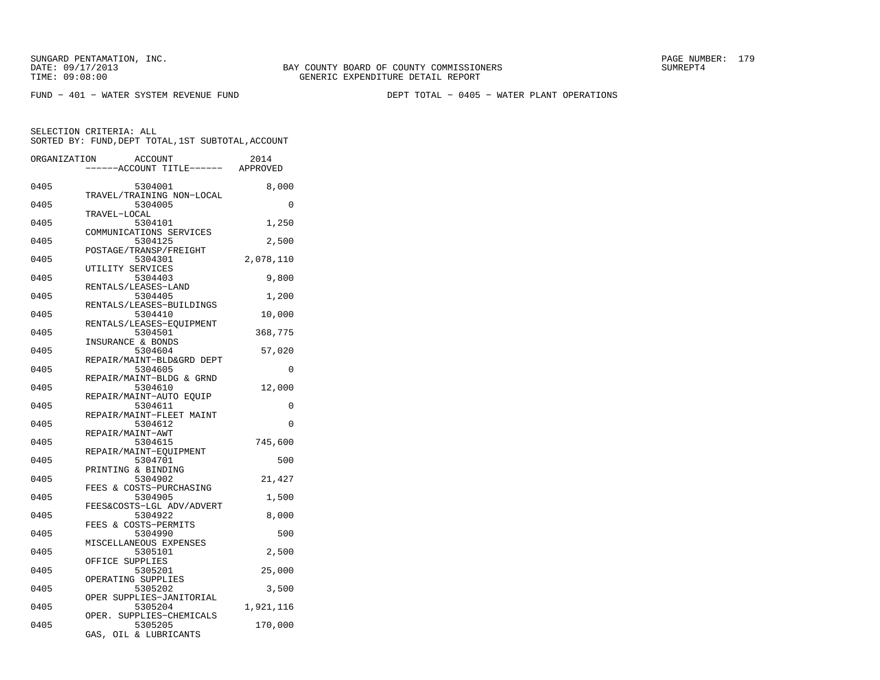BAY COUNTY BOARD OF COUNTY COMMISSIONERS TIME: 09:08:00 GENERIC EXPENDITURE DETAIL REPORT

FUND − 401 − WATER SYSTEM REVENUE FUND DEPT TOTAL − 0405 − WATER PLANT OPERATIONS

SELECTION CRITERIA: ALL

| SORTED BY: FUND, DEPT TOTAL, 1ST SUBTOTAL, ACCOUNT |                                             |           |  |  |
|----------------------------------------------------|---------------------------------------------|-----------|--|--|
| ORGANIZATION                                       | ACCOUNT<br>----ACCOUNT TITLE------ APPROVED | 2014      |  |  |
| 0405                                               | 5304001                                     | 8,000     |  |  |
| 0405                                               | TRAVEL/TRAINING NON-LOCAL<br>5304005        | 0         |  |  |
| 0405                                               | TRAVEL-LOCAL<br>5304101                     | 1,250     |  |  |
| 0405                                               | COMMUNICATIONS SERVICES<br>5304125          | 2,500     |  |  |
| 0405                                               | POSTAGE/TRANSP/FREIGHT<br>5304301           | 2,078,110 |  |  |
| 0405                                               | UTILITY SERVICES<br>5304403                 | 9,800     |  |  |
| 0405                                               | RENTALS/LEASES-LAND<br>5304405              | 1,200     |  |  |
| 0405                                               | RENTALS/LEASES-BUILDINGS<br>5304410         | 10,000    |  |  |
| 0405                                               | RENTALS/LEASES-EQUIPMENT<br>5304501         | 368,775   |  |  |
| 0405                                               | INSURANCE & BONDS<br>5304604                | 57,020    |  |  |
| 0405                                               | REPAIR/MAINT-BLD&GRD DEPT<br>5304605        | 0         |  |  |
| 0405                                               | REPAIR/MAINT-BLDG & GRND<br>5304610         | 12,000    |  |  |
| 0405                                               | REPAIR/MAINT-AUTO EQUIP<br>5304611          | 0         |  |  |
| 0405                                               | REPAIR/MAINT-FLEET MAINT<br>5304612         | 0         |  |  |
|                                                    | REPAIR/MAINT-AWT                            |           |  |  |
| 0405                                               | 5304615<br>REPAIR/MAINT-EOUIPMENT           | 745,600   |  |  |
| 0405                                               | 5304701<br>PRINTING & BINDING               | 500       |  |  |
| 0405                                               | 5304902<br>FEES & COSTS-PURCHASING          | 21,427    |  |  |
| 0405                                               | 5304905<br>FEES&COSTS-LGL ADV/ADVERT        | 1,500     |  |  |
| 0405                                               | 5304922<br>FEES & COSTS-PERMITS             | 8,000     |  |  |
| 0405                                               | 5304990<br>MISCELLANEOUS EXPENSES           | 500       |  |  |
| 0405                                               | 5305101<br>OFFICE SUPPLIES                  | 2,500     |  |  |
| 0405                                               | 5305201<br>OPERATING SUPPLIES               | 25,000    |  |  |
| 0405                                               | 5305202<br>OPER SUPPLIES-JANITORIAL         | 3,500     |  |  |
| 0405                                               | 5305204<br>OPER. SUPPLIES-CHEMICALS         | 1,921,116 |  |  |
| 0405                                               | 5305205<br>GAS, OIL & LUBRICANTS            | 170,000   |  |  |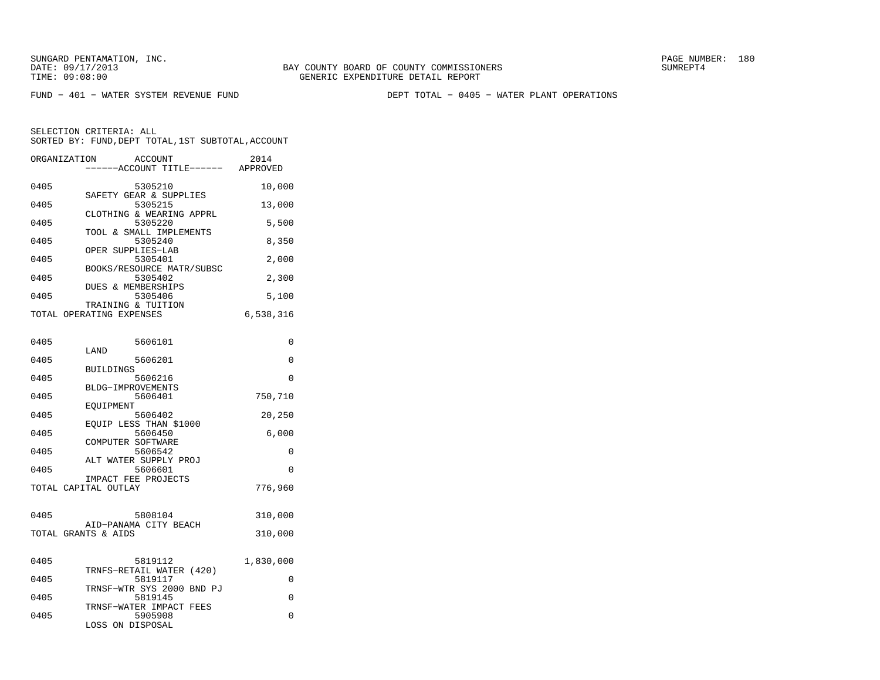BAY COUNTY BOARD OF COUNTY COMMISSIONERS TIME: 09:08:00 GENERIC EXPENDITURE DETAIL REPORT

FUND − 401 − WATER SYSTEM REVENUE FUND DEPT TOTAL − 0405 − WATER PLANT OPERATIONS

| ORGANIZATION        | ACCOUNT<br>------ACCOUNT TITLE------ APPROVED  | 2014      |
|---------------------|------------------------------------------------|-----------|
| 0405                | 5305210                                        | 10,000    |
| 0405                | SAFETY GEAR & SUPPLIES<br>5305215              | 13,000    |
| 0405                | CLOTHING & WEARING APPRL<br>5305220            | 5,500     |
| 0405                | TOOL & SMALL IMPLEMENTS<br>5305240             | 8,350     |
| 0405                | OPER SUPPLIES-LAB<br>5305401                   | 2,000     |
| 0405                | BOOKS/RESOURCE MATR/SUBSC<br>5305402           | 2,300     |
| 0405                | <b>DUES &amp; MEMBERSHIPS</b><br>5305406       | 5,100     |
|                     | TRAINING & TUITION<br>TOTAL OPERATING EXPENSES | 6,538,316 |
|                     |                                                |           |
| 0405                | 5606101                                        | 0         |
| 0405                | LAND<br>5606201                                | $\Omega$  |
| 0405                | <b>BUILDINGS</b><br>5606216                    | 0         |
| 0405                | BLDG-IMPROVEMENTS<br>5606401                   | 750,710   |
| 0405                | EOUIPMENT<br>5606402                           | 20,250    |
| 0405                | EOUIP LESS THAN \$1000<br>5606450              | 6,000     |
| 0405                | COMPUTER SOFTWARE<br>5606542                   | 0         |
| 0405                | ALT WATER SUPPLY PROJ<br>5606601               | $\Omega$  |
|                     | IMPACT FEE PROJECTS<br>TOTAL CAPITAL OUTLAY    | 776,960   |
|                     |                                                |           |
| 0405                | 5808104                                        | 310,000   |
| TOTAL GRANTS & AIDS | AID-PANAMA CITY BEACH                          | 310,000   |
|                     |                                                |           |
| 0405                | 5819112<br>TRNFS-RETAIL WATER (420)            | 1,830,000 |
| 0405                | 5819117<br>TRNSF-WTR SYS 2000 BND PJ           | 0         |
| 0405                | 5819145<br>TRNSF-WATER IMPACT FEES             | 0         |
| 0405                | 5905908<br>LOSS ON DISPOSAL                    | $\Omega$  |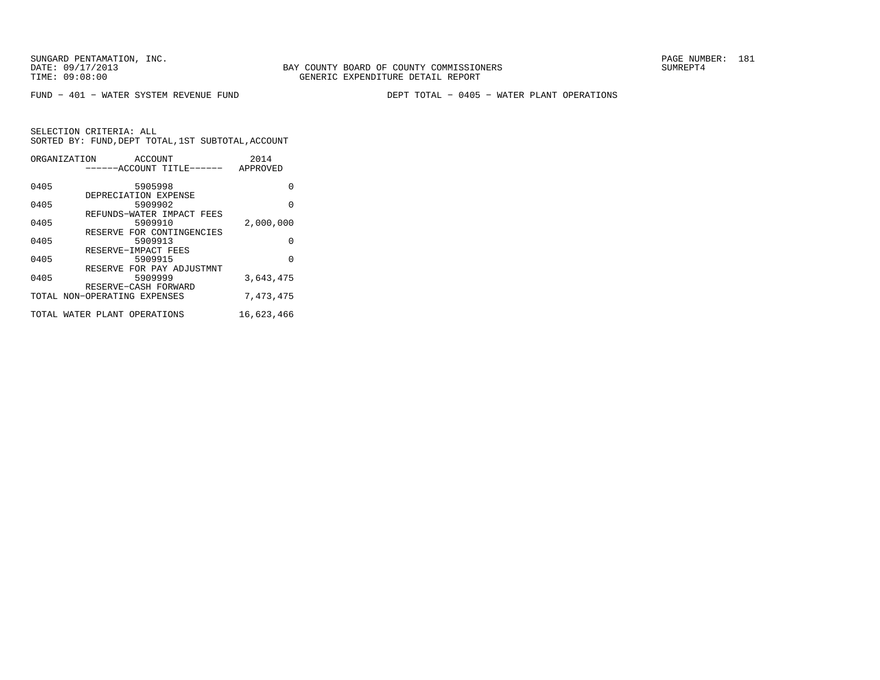BAY COUNTY BOARD OF COUNTY COMMISSIONERS TIME: 09:08:00 GENERIC EXPENDITURE DETAIL REPORT

FUND − 401 − WATER SYSTEM REVENUE FUND DEPT TOTAL − 0405 − WATER PLANT OPERATIONS

| ORGANIZATION                 |                      | ACCOUNT | ------ACCOUNT TITLE------ | 2014<br>APPROVED |
|------------------------------|----------------------|---------|---------------------------|------------------|
| 0405                         |                      | 5905998 |                           | O                |
| 0405                         | DEPRECIATION EXPENSE | 5909902 |                           | 0                |
| 0405                         |                      | 5909910 | REFUNDS-WATER IMPACT FEES | 2,000,000        |
| 0405                         |                      | 5909913 | RESERVE FOR CONTINGENCIES | O                |
| 0405                         | RESERVE-IMPACT FEES  | 5909915 |                           | $\Omega$         |
| 0405                         |                      | 5909999 | RESERVE FOR PAY ADJUSTMNT | 3,643,475        |
| TOTAL NON-OPERATING EXPENSES | RESERVE-CASH FORWARD |         |                           | 7,473,475        |
| TOTAL WATER PLANT OPERATIONS |                      |         |                           | 16,623,466       |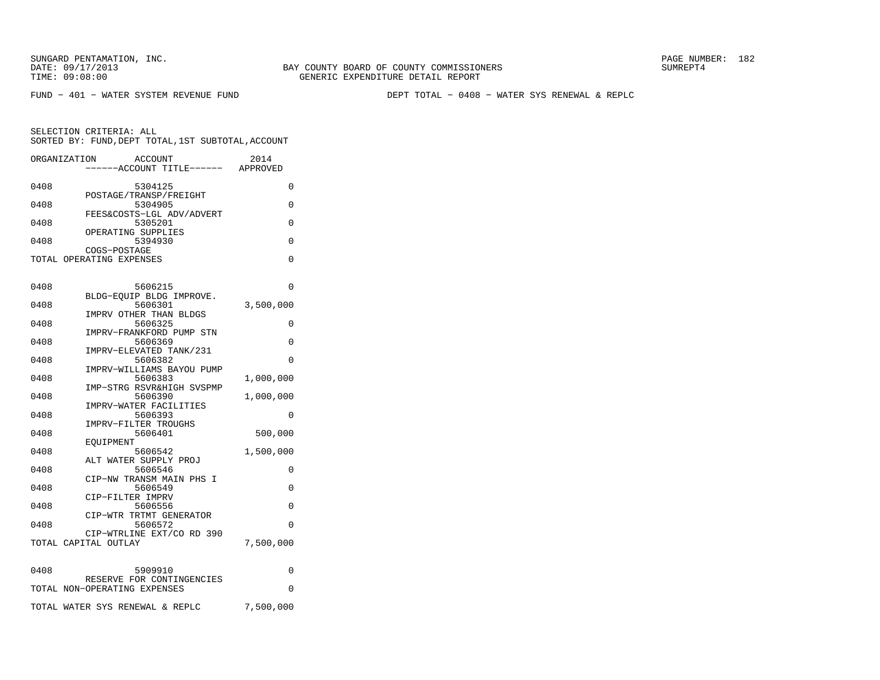BAY COUNTY BOARD OF COUNTY COMMISSIONERS TIME: 09:08:00 GENERIC EXPENDITURE DETAIL REPORT

FUND − 401 − WATER SYSTEM REVENUE FUND DEPT TOTAL − 0408 − WATER SYS RENEWAL & REPLC

|      | ORGANIZATION<br><b>ACCOUNT</b><br>----ACCOUNT TITLE------ APPROVED | 2014      |
|------|--------------------------------------------------------------------|-----------|
| 0408 | 5304125                                                            | 0         |
| 0408 | POSTAGE/TRANSP/FREIGHT<br>5304905                                  | 0         |
| 0408 | FEES&COSTS-LGL ADV/ADVERT<br>5305201                               | 0         |
| 0408 | OPERATING SUPPLIES<br>5394930                                      | 0         |
|      | COGS-POSTAGE<br>TOTAL OPERATING EXPENSES                           | 0         |
| 0408 | 5606215                                                            | 0         |
| 0408 | BLDG-EOUIP BLDG IMPROVE.<br>5606301<br>IMPRV OTHER THAN BLDGS      | 3,500,000 |
| 0408 | 5606325<br>IMPRV-FRANKFORD PUMP STN                                | $\Omega$  |
| 0408 | 5606369<br>IMPRV-ELEVATED TANK/231                                 | 0         |
| 0408 | 5606382<br>IMPRV-WILLIAMS BAYOU PUMP                               | $\Omega$  |
| 0408 | 5606383<br>IMP-STRG RSVR&HIGH SVSPMP                               | 1,000,000 |
| 0408 | 5606390<br>IMPRV-WATER FACILITIES                                  | 1,000,000 |
| 0408 | 5606393<br>IMPRV-FILTER TROUGHS                                    | 0         |
| 0408 | 5606401<br>EOUIPMENT                                               | 500,000   |
| 0408 | 5606542<br>ALT WATER SUPPLY PROJ                                   | 1,500,000 |
| 0408 | 5606546<br>CIP-NW TRANSM MAIN PHS I                                | 0         |
| 0408 | 5606549<br>CIP-FILTER IMPRV                                        | 0         |
| 0408 | 5606556<br>CIP-WTR TRTMT GENERATOR                                 | 0         |
| 0408 | 5606572<br>CIP-WTRLINE EXT/CO RD 390                               | $\Omega$  |
|      | TOTAL CAPITAL OUTLAY                                               | 7,500,000 |
| 0408 | 5909910                                                            | 0         |
|      | RESERVE FOR CONTINGENCIES<br>TOTAL NON-OPERATING EXPENSES          | 0         |
|      | TOTAL WATER SYS RENEWAL & REPLC                                    | 7,500,000 |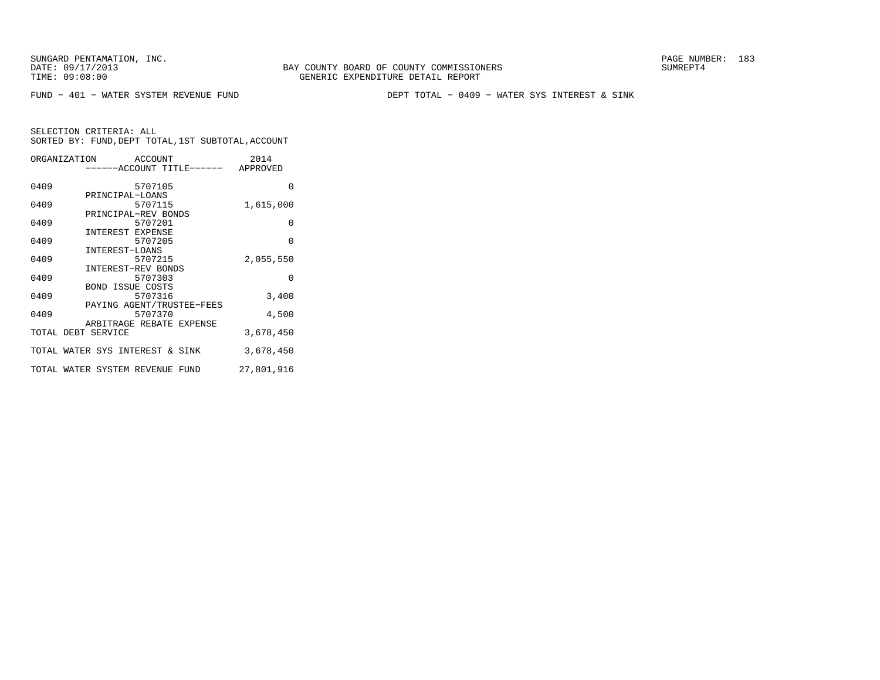FUND − 401 − WATER SYSTEM REVENUE FUND DEPT TOTAL − 0409 − WATER SYS INTEREST & SINK

| ORGANIZATION ACCOUNT            |                           |         | 2014       |
|---------------------------------|---------------------------|---------|------------|
| 0409                            |                           | 5707105 | $\Omega$   |
| 0409                            | PRINCIPAL-LOANS           | 5707115 | 1,615,000  |
| 0409                            | PRINCIPAL-REV BONDS       | 5707201 | $\Omega$   |
| 0409                            | INTEREST EXPENSE          | 5707205 | $\Omega$   |
| 0409                            | INTEREST-LOANS            | 5707215 | 2,055,550  |
| 0409                            | INTEREST-REV BONDS        | 5707303 | $\Omega$   |
| 0409                            | <b>BOND ISSUE COSTS</b>   | 5707316 | 3,400      |
| 0409                            | PAYING AGENT/TRUSTEE-FEES | 5707370 | 4,500      |
| TOTAL DEBT SERVICE              | ARBITRAGE REBATE EXPENSE  |         | 3,678,450  |
| TOTAL WATER SYS INTEREST & SINK |                           |         | 3,678,450  |
| TOTAL WATER SYSTEM REVENUE FUND |                           |         | 27,801,916 |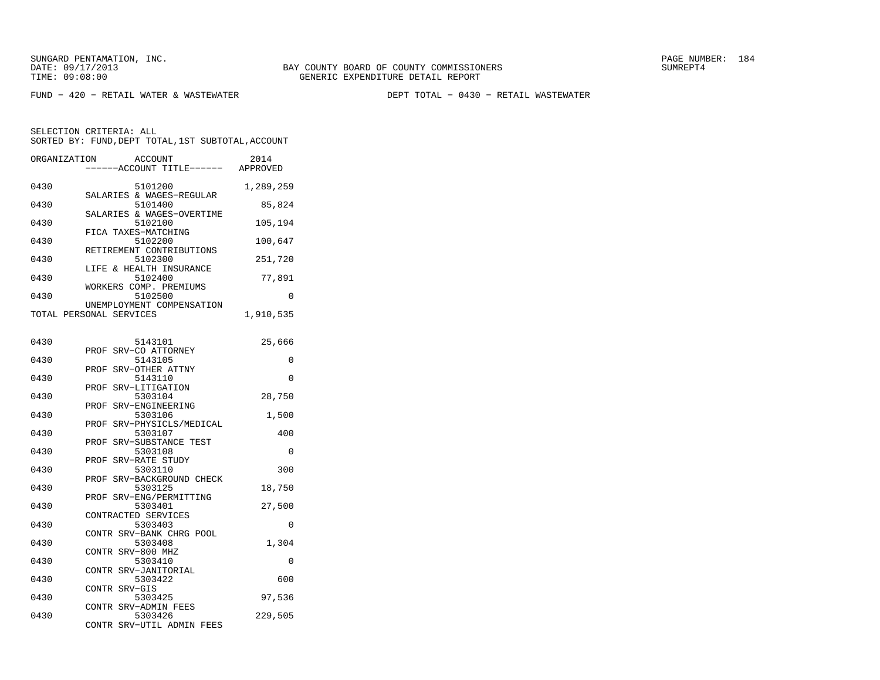FUND − 420 − RETAIL WATER & WASTEWATER DEPT TOTAL − 0430 − RETAIL WASTEWATER

| ORGANIZATION | <b>ACCOUNT</b><br>----ACCOUNT TITLE------ APPROVED              | 2014      |
|--------------|-----------------------------------------------------------------|-----------|
| 0430         | 5101200                                                         | 1,289,259 |
| 0430         | SALARIES & WAGES-REGULAR<br>5101400                             | 85,824    |
| 0430         | SALARIES & WAGES-OVERTIME<br>5102100                            | 105,194   |
| 0430         | FICA TAXES-MATCHING<br>5102200                                  | 100,647   |
| 0430         | RETIREMENT CONTRIBUTIONS<br>5102300                             | 251,720   |
| 0430         | LIFE & HEALTH INSURANCE<br>5102400<br>WORKERS COMP. PREMIUMS    | 77,891    |
| 0430         | 5102500<br>UNEMPLOYMENT COMPENSATION                            | 0         |
|              | TOTAL PERSONAL SERVICES                                         | 1,910,535 |
| 0430         | 5143101                                                         | 25,666    |
| 0430         | SRV-CO ATTORNEY<br>PROF<br>5143105                              | 0         |
| 0430         | SRV-OTHER ATTNY<br>PROF<br>5143110                              | 0         |
| 0430         | SRV-LITIGATION<br>PROF<br>5303104                               | 28,750    |
| 0430         | SRV-ENGINEERING<br>PROF<br>5303106                              | 1,500     |
| 0430         | PROF SRV-PHYSICLS/MEDICAL<br>5303107                            | 400       |
| 0430         | SRV-SUBSTANCE TEST<br>PROF<br>5303108                           | 0         |
| 0430         | SRV-RATE STUDY<br>PROF<br>5303110                               | 300       |
| 0430         | PROF<br>SRV-BACKGROUND CHECK<br>5303125                         | 18,750    |
| 0430         | SRV-ENG/PERMITTING<br>PROF<br>5303401                           | 27,500    |
| 0430         | CONTRACTED SERVICES<br>5303403                                  | 0         |
| 0430         | CONTR SRV-BANK CHRG POOL<br>5303408                             | 1,304     |
| 0430         | CONTR SRV-800 MHZ<br>5303410                                    | 0         |
| 0430         | CONTR SRV-JANITORIAL<br>5303422                                 | 600       |
| 0430         | CONTR SRV-GIS<br>5303425                                        | 97,536    |
| 0430         | CONTR SRV-ADMIN FEES<br>5303426<br>CONTR<br>SRV-UTIL ADMIN FEES | 229,505   |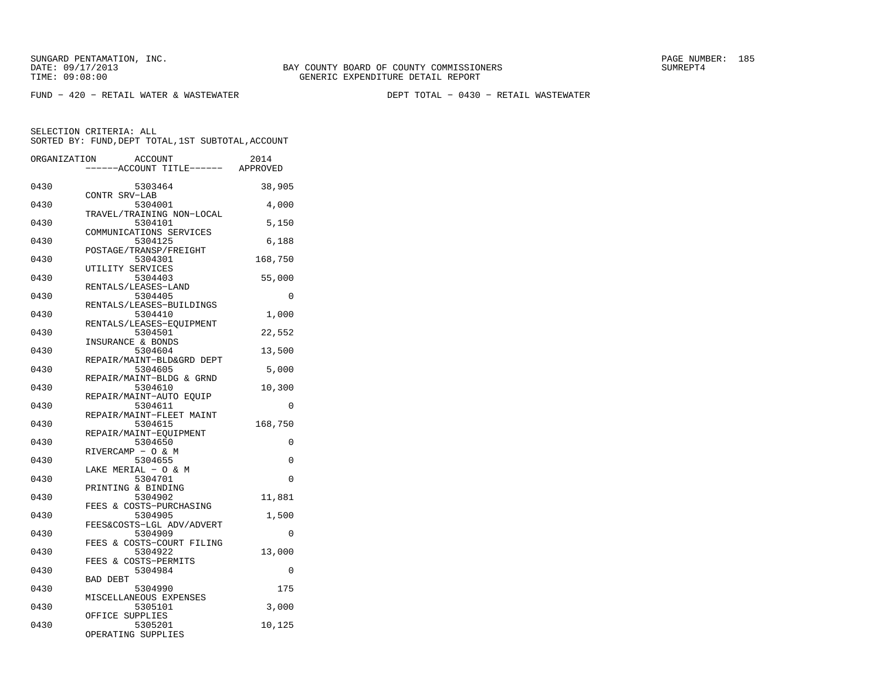FUND − 420 − RETAIL WATER & WASTEWATER DEPT TOTAL − 0430 − RETAIL WASTEWATER

| ORGANIZATION | ACCOUNT<br>----ACCOUNT TITLE------ APPROVED | 2014     |
|--------------|---------------------------------------------|----------|
| 0430         | 5303464                                     | 38,905   |
| 0430         | CONTR SRV-LAB<br>5304001                    | 4,000    |
| 0430         | TRAVEL/TRAINING NON-LOCAL<br>5304101        | 5,150    |
| 0430         | COMMUNICATIONS SERVICES<br>5304125          | 6,188    |
| 0430         | POSTAGE/TRANSP/FREIGHT<br>5304301           | 168,750  |
| 0430         | UTILITY SERVICES<br>5304403                 | 55,000   |
| 0430         | RENTALS/LEASES-LAND<br>5304405              | 0        |
| 0430         | RENTALS/LEASES-BUILDINGS<br>5304410         | 1,000    |
| 0430         | RENTALS/LEASES-EQUIPMENT<br>5304501         | 22,552   |
| 0430         | INSURANCE & BONDS<br>5304604                | 13,500   |
| 0430         | REPAIR/MAINT-BLD&GRD DEPT<br>5304605        | 5,000    |
| 0430         | REPAIR/MAINT-BLDG & GRND<br>5304610         | 10,300   |
| 0430         | REPAIR/MAINT-AUTO EOUIP<br>5304611          | 0        |
| 0430         | REPAIR/MAINT-FLEET MAINT<br>5304615         | 168,750  |
| 0430         | REPAIR/MAINT-EQUIPMENT<br>5304650           | 0        |
| 0430         | RIVERCAMP - O & M<br>5304655                | 0        |
| 0430         | LAKE MERIAL - O & M<br>5304701              | $\Omega$ |
| 0430         | PRINTING & BINDING<br>5304902               | 11,881   |
| 0430         | FEES & COSTS-PURCHASING<br>5304905          | 1,500    |
| 0430         | FEES&COSTS-LGL ADV/ADVERT<br>5304909        | $\Omega$ |
| 0430         | FEES & COSTS-COURT FILING<br>5304922        | 13,000   |
| 0430         | FEES & COSTS-PERMITS<br>5304984             | 0        |
| 0430         | <b>BAD DEBT</b><br>5304990                  | 175      |
| 0430         | MISCELLANEOUS EXPENSES<br>5305101           | 3,000    |
| 0430         | OFFICE SUPPLIES<br>5305201                  | 10,125   |
|              | OPERATING SUPPLIES                          |          |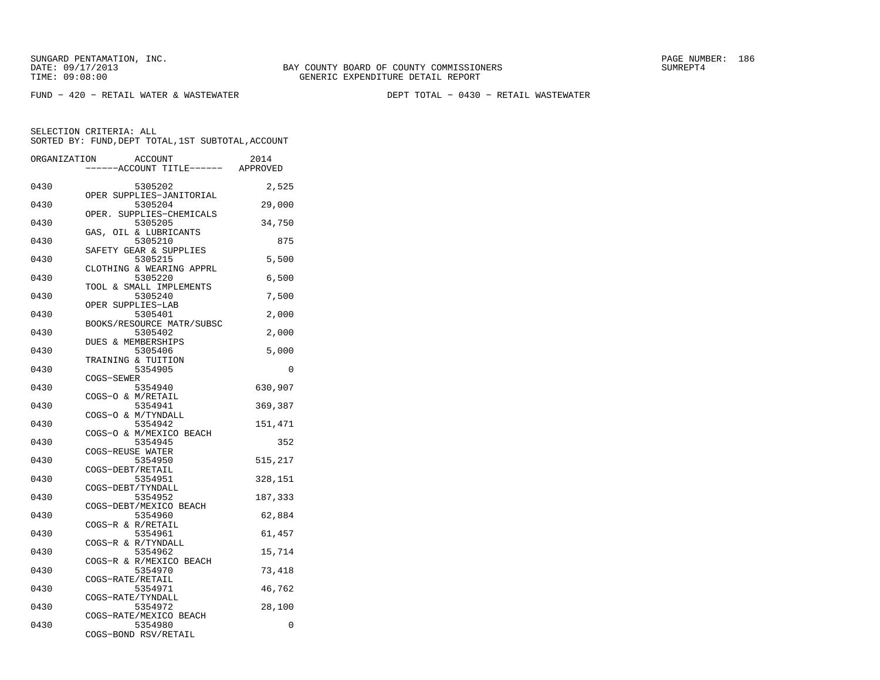FUND − 420 − RETAIL WATER & WASTEWATER DEPT TOTAL − 0430 − RETAIL WASTEWATER

| ORGANIZATION | <b>ACCOUNT</b>                                            | 2014     |
|--------------|-----------------------------------------------------------|----------|
|              | ---ACCOUNT TITLE------                                    | APPROVED |
| 0430         | 5305202                                                   | 2,525    |
| 0430         | OPER SUPPLIES-JANITORIAL<br>5305204                       | 29,000   |
| 0430         | OPER.<br>SUPPLIES-CHEMICALS<br>5305205                    | 34,750   |
| 0430         | GAS, OIL & LUBRICANTS<br>5305210                          | 875      |
| 0430         | SAFETY GEAR & SUPPLIES<br>5305215                         | 5,500    |
| 0430         | CLOTHING & WEARING APPRL<br>5305220                       | 6,500    |
| 0430         | TOOL & SMALL IMPLEMENTS<br>5305240                        | 7,500    |
| 0430         | OPER SUPPLIES-LAB<br>5305401                              | 2,000    |
|              | BOOKS/RESOURCE MATR/SUBSC                                 |          |
| 0430         | 5305402<br>DUES & MEMBERSHIPS                             | 2,000    |
| 0430         | 5305406<br>TRAINING & TUITION                             | 5,000    |
| 0430         | 5354905                                                   | 0        |
| 0430         | COGS-SEWER<br>5354940                                     | 630,907  |
| 0430         | COGS-O & M/RETAIL<br>5354941                              | 369,387  |
| 0430         | COGS-O & M/TYNDALL<br>5354942                             | 151,471  |
| 0430         | COGS-O & M/MEXICO BEACH<br>5354945                        | 352      |
| 0430         | COGS-REUSE WATER<br>5354950                               | 515,217  |
| 0430         | COGS-DEBT/RETAIL<br>5354951                               | 328,151  |
| 0430         | COGS-DEBT/TYNDALL<br>5354952                              | 187,333  |
|              | COGS-DEBT/MEXICO BEACH                                    |          |
| 0430         | 5354960<br>COGS-R & R/RETAIL                              | 62,884   |
| 0430         | 5354961<br>COGS-R & R/TYNDALL                             | 61,457   |
| 0430         | 5354962<br>COGS-R & R/MEXICO BEACH                        | 15,714   |
| 0430         | 5354970<br>COGS-RATE/RETAIL                               | 73,418   |
| 0430         | 5354971<br>COGS-RATE/TYNDALL                              | 46,762   |
| 0430         | 5354972                                                   | 28,100   |
| 0430         | COGS-RATE/MEXICO BEACH<br>5354980<br>COGS-BOND RSV/RETAIL | 0        |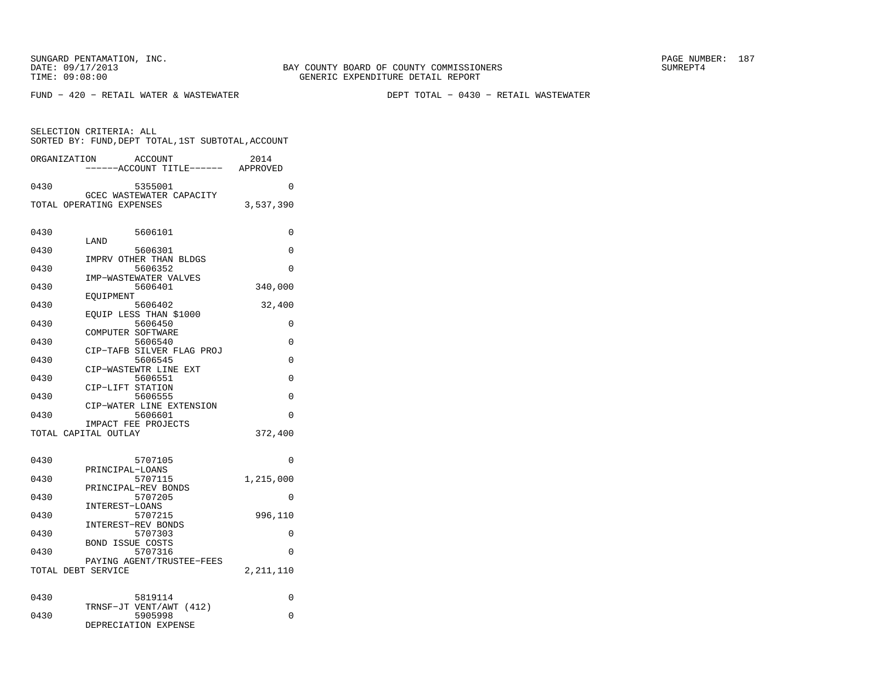SELECTION CRITERIA: ALL

FUND − 420 − RETAIL WATER & WASTEWATER DEPT TOTAL − 0430 − RETAIL WASTEWATER

 SORTED BY: FUND,DEPT TOTAL,1ST SUBTOTAL,ACCOUNTORGANIZATION ACCOUNT 2014−−−−−−ACCOUNT TITLE−−−−−− APPROVED

| 0430 | 5355001                                     | 0           |
|------|---------------------------------------------|-------------|
|      | GCEC WASTEWATER CAPACITY                    |             |
|      | TOTAL OPERATING EXPENSES                    | 3,537,390   |
|      |                                             |             |
| 0430 | 5606101                                     | 0           |
|      | LAND                                        |             |
| 0430 | 5606301<br>IMPRV OTHER THAN BLDGS           | 0           |
| 0430 | 5606352                                     | $\Omega$    |
|      | IMP-WASTEWATER VALVES                       |             |
| 0430 | 5606401                                     | 340,000     |
| 0430 | EOUIPMENT<br>5606402                        | 32,400      |
|      | EQUIP LESS THAN \$1000                      |             |
| 0430 | 5606450                                     | 0           |
| 0430 | COMPUTER SOFTWARE<br>5606540                | 0           |
|      | CIP-TAFB SILVER FLAG PROJ                   |             |
| 0430 | 5606545                                     | $\Omega$    |
|      | CIP-WASTEWTR LINE EXT                       |             |
| 0430 | 5606551<br>CIP-LIFT STATION                 | $\Omega$    |
| 0430 | 5606555                                     | 0           |
|      | CIP-WATER LINE EXTENSION                    |             |
| 0430 | 5606601                                     | 0           |
|      | IMPACT FEE PROJECTS<br>TOTAL CAPITAL OUTLAY | 372,400     |
|      |                                             |             |
|      |                                             |             |
| 0430 | 5707105                                     | 0           |
| 0430 | PRINCIPAL-LOANS<br>5707115                  | 1,215,000   |
|      | PRINCIPAL-REV BONDS                         |             |
| 0430 | 5707205                                     | 0           |
| 0430 | INTEREST-LOANS<br>5707215                   | 996,110     |
|      | INTEREST-REV BONDS                          |             |
| 0430 | 5707303                                     | 0           |
|      | <b>BOND ISSUE COSTS</b>                     |             |
| 0430 | 5707316<br>PAYING AGENT/TRUSTEE-FEES        | $\Omega$    |
|      | TOTAL DEBT SERVICE                          | 2, 211, 110 |
|      |                                             |             |
|      |                                             |             |
| 0430 | 5819114<br>TRNSF-JT VENT/AWT (412)          | 0           |
| 0430 | 5905998                                     | $\Omega$    |
|      | DEPRECIATION EXPENSE                        |             |
|      |                                             |             |
|      |                                             |             |
|      |                                             |             |
|      |                                             |             |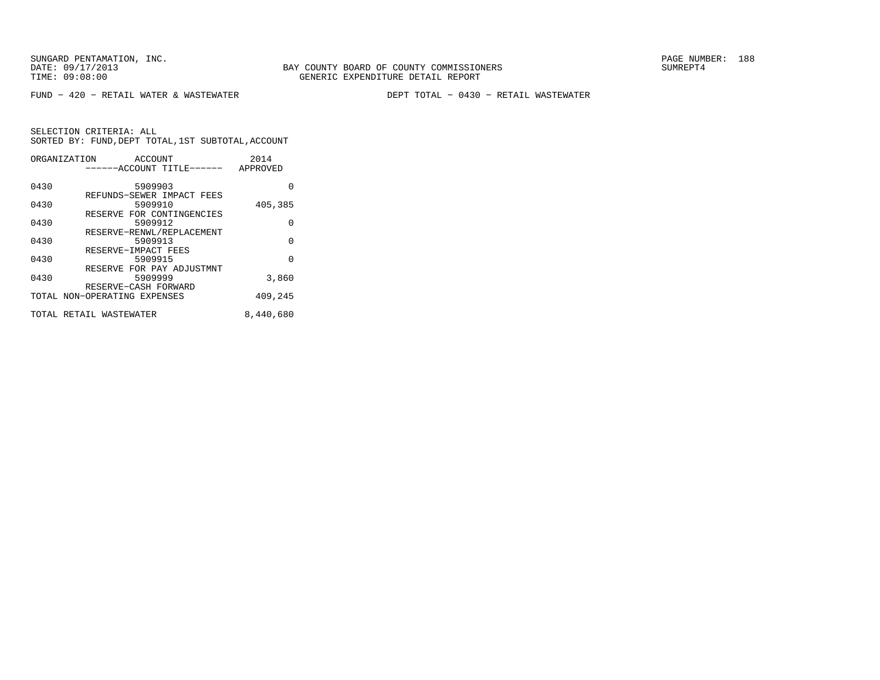FUND − 420 − RETAIL WATER & WASTEWATER DEPT TOTAL − 0430 − RETAIL WASTEWATER

|      | ORGANIZATION<br><b>ACCOUNT</b> | 2014      |
|------|--------------------------------|-----------|
|      | ------ACCOUNT TITLE------      | APPROVED  |
|      |                                |           |
| 0430 | 5909903                        | O         |
|      | REFUNDS-SEWER IMPACT FEES      |           |
| 0430 | 5909910                        | 405,385   |
|      | RESERVE FOR CONTINGENCIES      |           |
| 0430 | 5909912                        | $\Omega$  |
|      | RESERVE-RENWL/REPLACEMENT      |           |
| 0430 | 5909913                        | $\Omega$  |
|      | RESERVE-IMPACT FEES            |           |
| 0430 | 5909915                        | $\Omega$  |
|      | RESERVE FOR PAY ADJUSTMNT      |           |
| 0430 | 5909999                        | 3,860     |
|      | RESERVE-CASH FORWARD           |           |
|      | TOTAL NON-OPERATING EXPENSES   | 409,245   |
|      |                                |           |
|      | TOTAL RETAIL WASTEWATER        | 8,440,680 |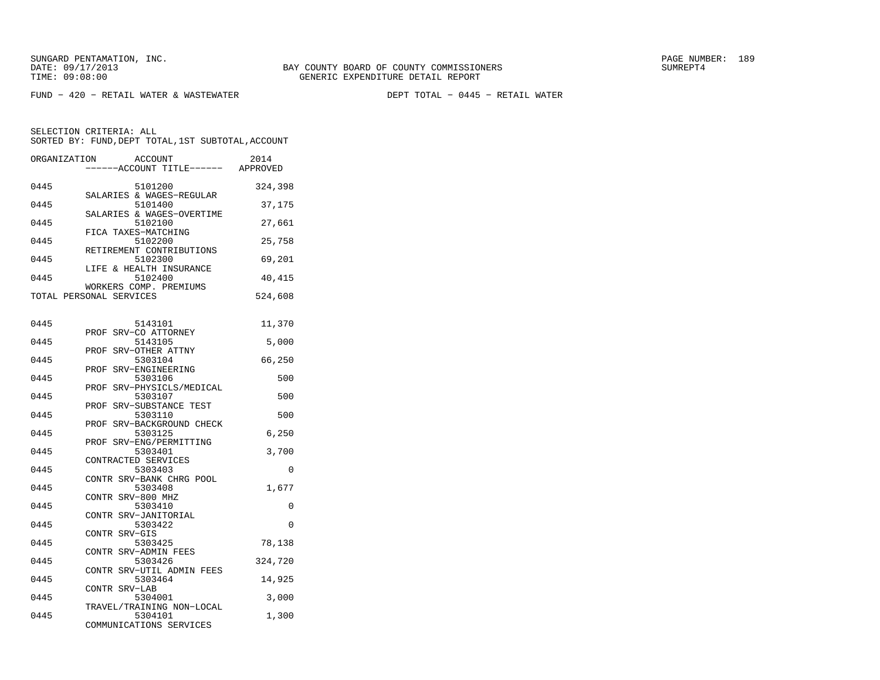FUND − 420 − RETAIL WATER & WASTEWATER DEPT TOTAL − 0445 − RETAIL WATER

| ORGANIZATION | <b>ACCOUNT</b><br>---ACCOUNT TITLE------                  | 2014<br>APPROVED |
|--------------|-----------------------------------------------------------|------------------|
| 0445         | 5101200<br>SALARIES & WAGES-REGULAR                       | 324,398          |
| 0445         | 5101400<br>SALARIES & WAGES-OVERTIME                      | 37,175           |
| 0445         | 5102100<br>FICA TAXES-MATCHING                            | 27,661           |
| 0445         | 5102200<br>RETIREMENT CONTRIBUTIONS                       | 25,758           |
| 0445         | 5102300<br>LIFE & HEALTH INSURANCE                        | 69,201           |
| 0445         | 5102400<br>WORKERS COMP. PREMIUMS                         | 40,415           |
|              | TOTAL PERSONAL SERVICES                                   | 524,608          |
| 0445         | 5143101                                                   | 11,370           |
| 0445         | SRV-CO ATTORNEY<br>PROF<br>5143105                        | 5,000            |
| 0445         | SRV-OTHER ATTNY<br>PROF<br>5303104                        | 66,250           |
| 0445         | SRV-ENGINEERING<br>PROF<br>5303106                        | 500              |
| 0445         | PROF SRV-PHYSICLS/MEDICAL<br>5303107                      | 500              |
| 0445         | PROF SRV-SUBSTANCE TEST<br>5303110                        | 500              |
| 0445         | PROF SRV-BACKGROUND CHECK<br>5303125                      | 6,250            |
| 0445         | PROF SRV-ENG/PERMITTING<br>5303401<br>CONTRACTED SERVICES | 3,700            |
| 0445         | 5303403<br>CONTR SRV-BANK CHRG POOL                       | 0                |
| 0445         | 5303408<br>CONTR SRV-800 MHZ                              | 1,677            |
| 0445         | 5303410<br>CONTR SRV-JANITORIAL                           | 0                |
| 0445         | 5303422<br>CONTR SRV-GIS                                  | $\Omega$         |
| 0445         | 5303425<br>CONTR SRV-ADMIN FEES                           | 78,138           |
| 0445         | 5303426<br>CONTR SRV-UTIL ADMIN FEES                      | 324,720          |
| 0445         | 5303464<br>CONTR SRV-LAB                                  | 14,925           |
| 0445         | 5304001<br>TRAVEL/TRAINING NON-LOCAL                      | 3,000            |
| 0445         | 5304101<br>COMMUNICATIONS SERVICES                        | 1,300            |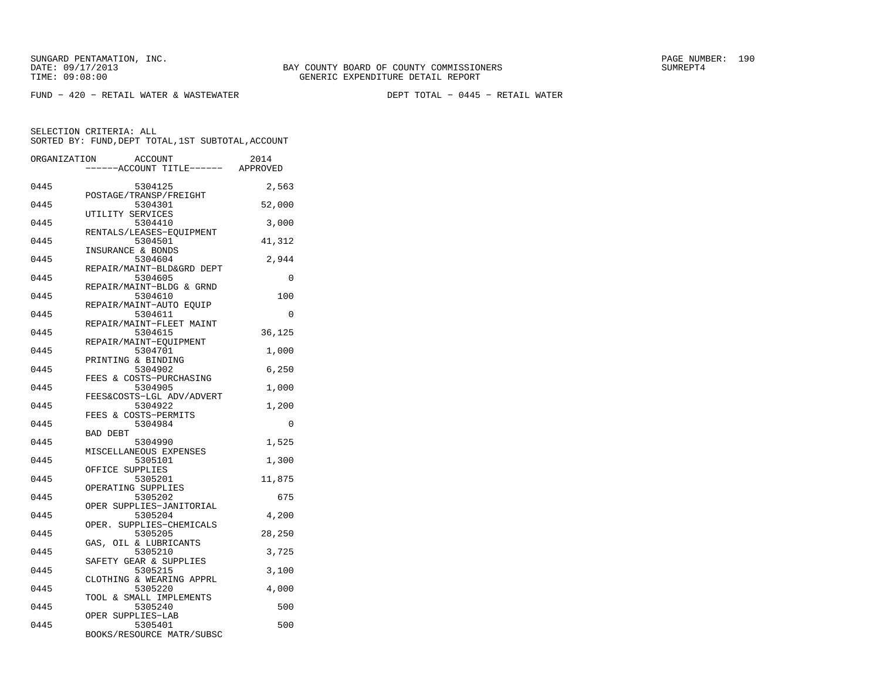FUND − 420 − RETAIL WATER & WASTEWATER DEPT TOTAL − 0445 − RETAIL WATER

| ORGANIZATION |                  | <b>ACCOUNT</b><br>---ACCOUNT TITLE------ APPROVED | 2014     |
|--------------|------------------|---------------------------------------------------|----------|
|              |                  |                                                   |          |
| 0445         |                  | 5304125<br>POSTAGE/TRANSP/FREIGHT                 | 2,563    |
| 0445         |                  | 5304301                                           | 52,000   |
| 0445         | UTILITY SERVICES | 5304410                                           | 3,000    |
| 0445         |                  | RENTALS/LEASES-EOUIPMENT<br>5304501               | 41,312   |
| 0445         |                  | INSURANCE & BONDS<br>5304604                      | 2,944    |
| 0445         |                  | REPAIR/MAINT-BLD&GRD DEPT<br>5304605              | $\Omega$ |
|              |                  | REPAIR/MAINT-BLDG & GRND                          |          |
| 0445         |                  | 5304610<br>REPAIR/MAINT-AUTO EQUIP                | 100      |
| 0445         |                  | 5304611<br>REPAIR/MAINT-FLEET MAINT               | 0        |
| 0445         |                  | 5304615<br>REPAIR/MAINT-EQUIPMENT                 | 36,125   |
| 0445         |                  | 5304701                                           | 1,000    |
| 0445         |                  | PRINTING & BINDING<br>5304902                     | 6,250    |
| 0445         |                  | FEES & COSTS-PURCHASING<br>5304905                | 1,000    |
| 0445         |                  | FEES&COSTS-LGL ADV/ADVERT<br>5304922              | 1,200    |
|              |                  | FEES & COSTS-PERMITS                              |          |
| 0445         | <b>BAD DEBT</b>  | 5304984                                           | $\Omega$ |
| 0445         |                  | 5304990<br>MISCELLANEOUS EXPENSES                 | 1,525    |
| 0445         | OFFICE SUPPLIES  | 5305101                                           | 1,300    |
| 0445         |                  | 5305201                                           | 11,875   |
| 0445         |                  | OPERATING SUPPLIES<br>5305202                     | 675      |
| 0445         |                  | OPER SUPPLIES-JANITORIAL<br>5305204               | 4,200    |
| 0445         |                  | OPER. SUPPLIES-CHEMICALS<br>5305205               | 28,250   |
|              |                  | GAS, OIL & LUBRICANTS                             |          |
| 0445         |                  | 5305210<br>SAFETY GEAR & SUPPLIES                 | 3,725    |
| 0445         |                  | 5305215<br>CLOTHING & WEARING APPRL               | 3,100    |
| 0445         |                  | 5305220                                           | 4,000    |
| 0445         |                  | TOOL & SMALL IMPLEMENTS<br>5305240                | 500      |
| 0445         |                  | OPER SUPPLIES-LAB<br>5305401                      | 500      |
|              |                  | BOOKS/RESOURCE MATR/SUBSC                         |          |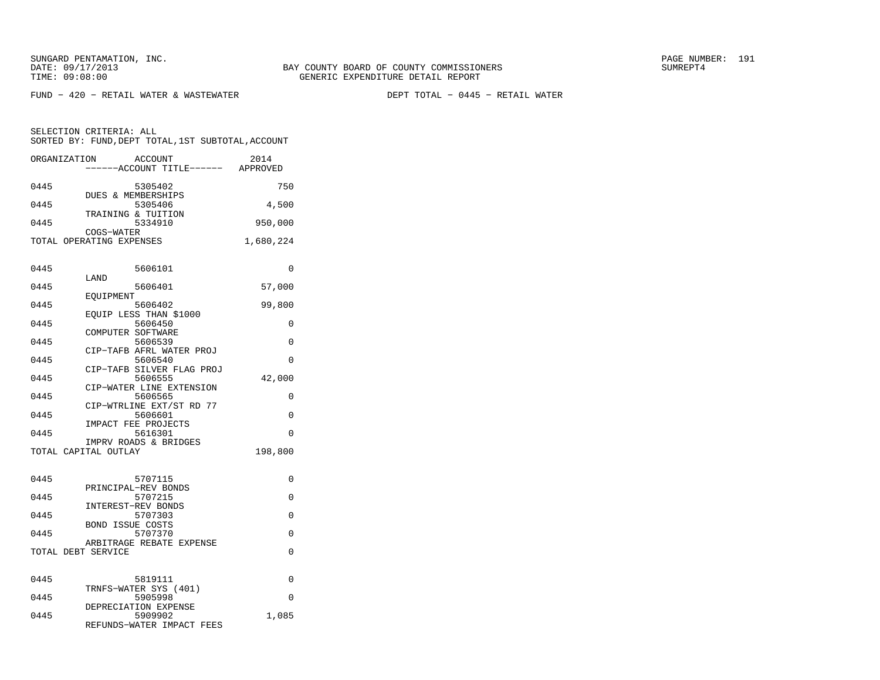FUND − 420 − RETAIL WATER & WASTEWATER DEPT TOTAL − 0445 − RETAIL WATER

| ORGANIZATION       | <b>ACCOUNT</b><br>-----ACCOUNT TITLE------ APPROVED | 2014      |
|--------------------|-----------------------------------------------------|-----------|
| 0445               | 5305402                                             | 750       |
| 0445               | DUES & MEMBERSHIPS<br>5305406                       | 4,500     |
| 0445               | TRAINING & TUITION<br>5334910                       | 950,000   |
|                    | COGS-WATER<br>TOTAL OPERATING EXPENSES              | 1,680,224 |
| 0445               | 5606101                                             | 0         |
| 0445               | LAND<br>5606401                                     | 57,000    |
| 0445               | EOUIPMENT<br>5606402                                | 99,800    |
| 0445               | EQUIP LESS THAN \$1000<br>5606450                   | 0         |
| 0445               | COMPUTER SOFTWARE<br>5606539                        | 0         |
| 0445               | CIP-TAFB AFRL WATER PROJ<br>5606540                 | $\Omega$  |
| 0445               | CIP-TAFB SILVER FLAG PROJ<br>5606555                | 42,000    |
| 0445               | CIP-WATER LINE EXTENSION<br>5606565                 | 0         |
| 0445               | CIP-WTRLINE EXT/ST RD 77<br>5606601                 | $\Omega$  |
| 0445               | IMPACT FEE PROJECTS<br>5616301                      | $\Omega$  |
|                    | IMPRV ROADS & BRIDGES<br>TOTAL CAPITAL OUTLAY       | 198,800   |
|                    |                                                     |           |
| 0445               | 5707115<br>PRINCIPAL-REV BONDS                      | 0         |
| 0445               | 5707215<br>INTEREST-REV BONDS                       | 0         |
| 0445               | 5707303<br><b>BOND ISSUE COSTS</b>                  | 0         |
| 0445               | 5707370<br>ARBITRAGE REBATE EXPENSE                 | 0         |
| TOTAL DEBT SERVICE |                                                     | 0         |
| 0445               | 5819111                                             | 0         |
| 0445               | TRNFS-WATER SYS (401)<br>5905998                    | 0         |
| 0445               | DEPRECIATION EXPENSE<br>5909902                     | 1,085     |
|                    | REFUNDS-WATER IMPACT FEES                           |           |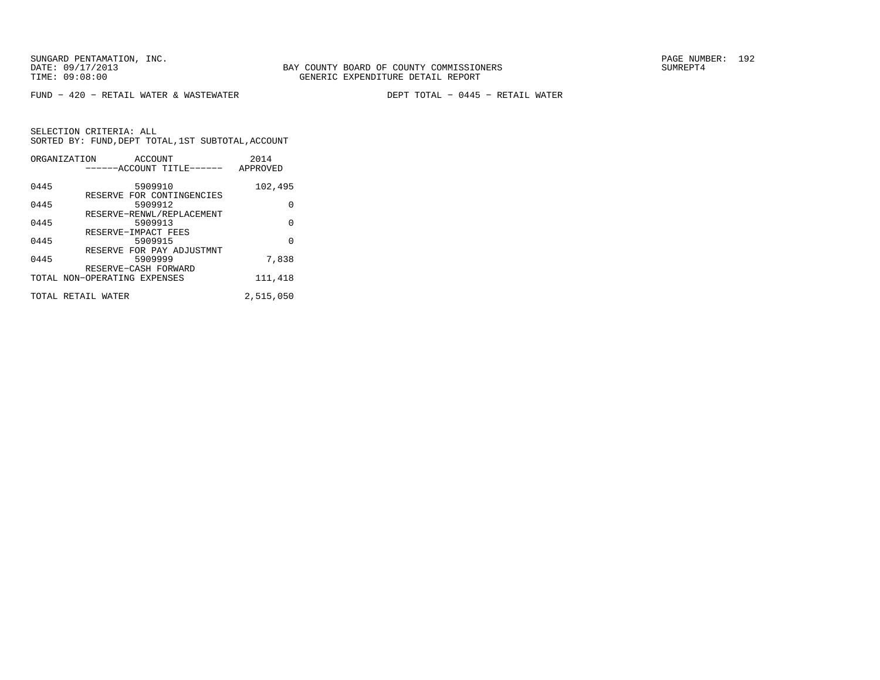FUND − 420 − RETAIL WATER & WASTEWATER DEPT TOTAL − 0445 − RETAIL WATER

|      | ORGANIZATION<br><b>ACCOUNT</b><br>------ACCOUNT TITLE------ | 2014<br>APPROVED |
|------|-------------------------------------------------------------|------------------|
|      |                                                             |                  |
| 0445 | 5909910                                                     | 102,495          |
| 0445 | RESERVE FOR CONTINGENCIES<br>5909912                        | 0                |
| 0445 | RESERVE-RENWL/REPLACEMENT<br>5909913                        | 0                |
|      | RESERVE-IMPACT FEES                                         |                  |
| 0445 | 5909915                                                     | 0                |
| 0445 | RESERVE FOR PAY ADJUSTMNT<br>5909999                        | 7,838            |
|      | RESERVE-CASH FORWARD<br>TOTAL NON-OPERATING EXPENSES        | 111,418          |
|      | TOTAL RETAIL WATER                                          | 2,515,050        |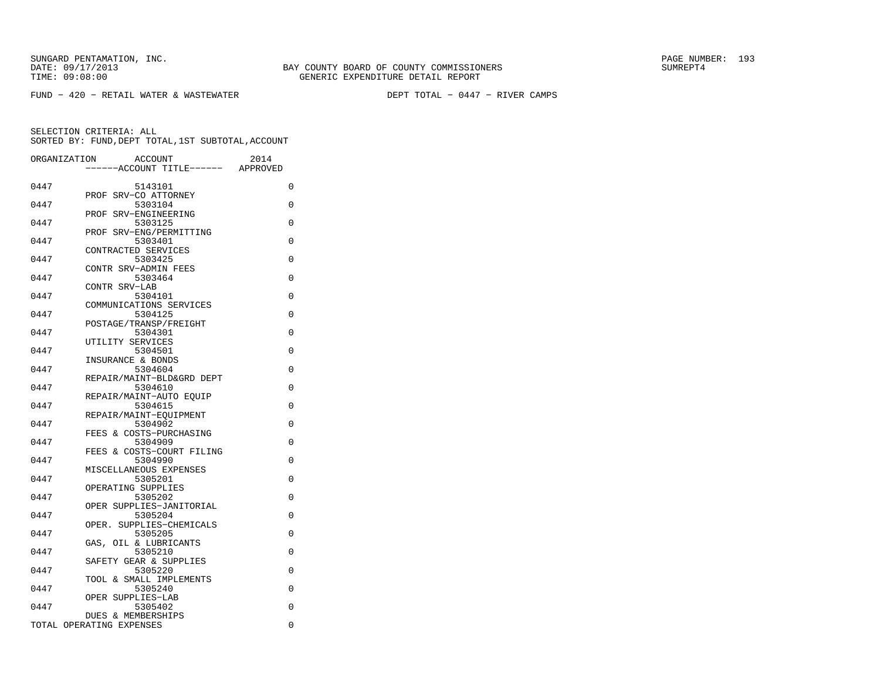FUND − 420 − RETAIL WATER & WASTEWATER DEPT TOTAL − 0447 − RIVER CAMPS

| ORGANIZATION | ACCOUNT<br>---ACCOUNT TITLE------                                  | 2014<br>APPROVED |
|--------------|--------------------------------------------------------------------|------------------|
| 0447         | 5143101                                                            | 0                |
| 0447         | SRV-CO ATTORNEY<br>PROF<br>5303104                                 | 0                |
| 0447         | PROF SRV-ENGINEERING<br>5303125                                    | 0                |
| 0447         | SRV-ENG/PERMITTING<br>PROF<br>5303401                              | $\Omega$         |
| 0447         | CONTRACTED SERVICES<br>5303425                                     | $\Omega$         |
| 0447         | CONTR SRV-ADMIN FEES<br>5303464                                    | $\Omega$         |
| 0447         | CONTR SRV-LAB<br>5304101                                           | $\Omega$         |
| 0447         | COMMUNICATIONS SERVICES<br>5304125                                 | $\Omega$         |
| 0447         | POSTAGE/TRANSP/FREIGHT<br>5304301                                  | 0                |
| 0447         | UTILITY SERVICES<br>5304501                                        | $\Omega$         |
| 0447         | INSURANCE & BONDS<br>5304604                                       | $\Omega$         |
| 0447         | REPAIR/MAINT-BLD&GRD DEPT<br>5304610                               | $\Omega$         |
| 0447         | REPAIR/MAINT-AUTO EOUIP<br>5304615                                 | 0                |
| 0447         | REPAIR/MAINT-EQUIPMENT<br>5304902                                  | $\Omega$         |
| 0447         | FEES & COSTS-PURCHASING<br>5304909                                 | $\Omega$         |
| 0447         | FEES & COSTS-COURT FILING<br>5304990                               | $\Omega$         |
| 0447         | MISCELLANEOUS EXPENSES<br>5305201                                  | $\Omega$         |
| 0447         | OPERATING SUPPLIES<br>5305202                                      | 0                |
| 0447         | OPER SUPPLIES-JANITORIAL<br>5305204<br>SUPPLIES-CHEMICALS<br>OPER. | 0                |
| 0447         | 5305205<br>OIL & LUBRICANTS                                        | 0                |
| 0447         | GAS,<br>5305210                                                    | 0                |
| 0447         | SAFETY GEAR & SUPPLIES<br>5305220                                  | 0                |
| 0447         | TOOL & SMALL IMPLEMENTS<br>5305240                                 | 0                |
| 0447         | OPER SUPPLIES-LAB<br>5305402                                       | 0                |
|              | DUES & MEMBERSHIPS<br>TOTAL OPERATING EXPENSES                     | $\mathbf 0$      |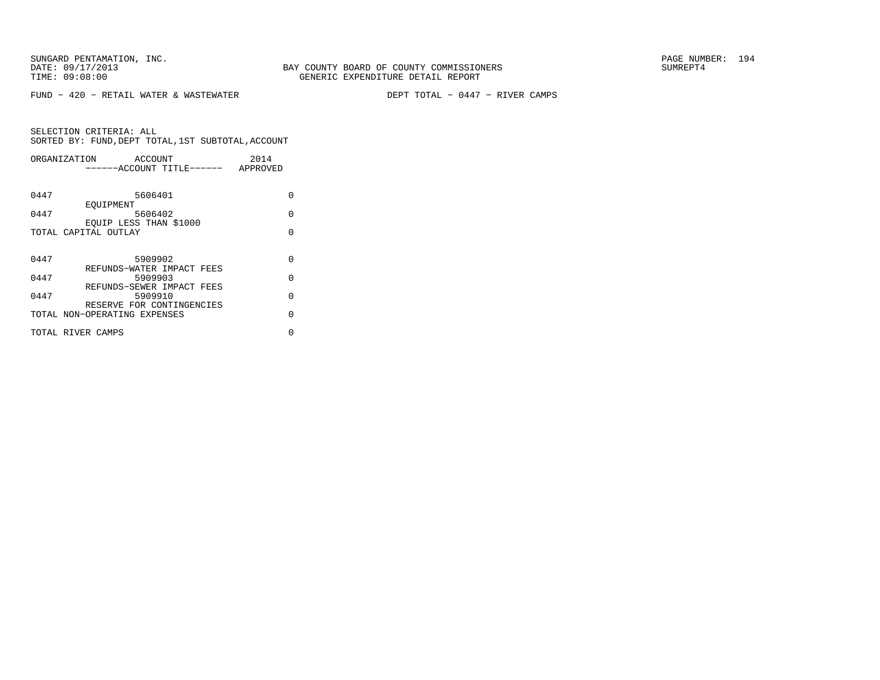FUND − 420 − RETAIL WATER & WASTEWATER DEPT TOTAL − 0447 − RIVER CAMPS

| ORGANIZATION         | 2014<br>ACCOUNT                       |          |
|----------------------|---------------------------------------|----------|
|                      | ------ACCOUNT TITLE------<br>APPROVED |          |
|                      |                                       |          |
| 0447                 | 5606401                               | O        |
|                      | EOUIPMENT                             |          |
| 0447                 | 5606402                               | $\Omega$ |
|                      | EOUIP LESS THAN \$1000                |          |
| TOTAL CAPITAL OUTLAY |                                       | O        |
|                      |                                       |          |
| 0447                 | 5909902                               | $\Omega$ |
|                      | REFUNDS-WATER IMPACT FEES             |          |
| 0447                 | 5909903                               | $\Omega$ |
|                      | REFUNDS-SEWER IMPACT FEES             |          |
| 0447                 | 5909910                               | $\Omega$ |
|                      | RESERVE FOR CONTINGENCIES             |          |
|                      | TOTAL NON-OPERATING EXPENSES          | $\cap$   |
| TOTAL RIVER CAMPS    |                                       | U        |
|                      |                                       |          |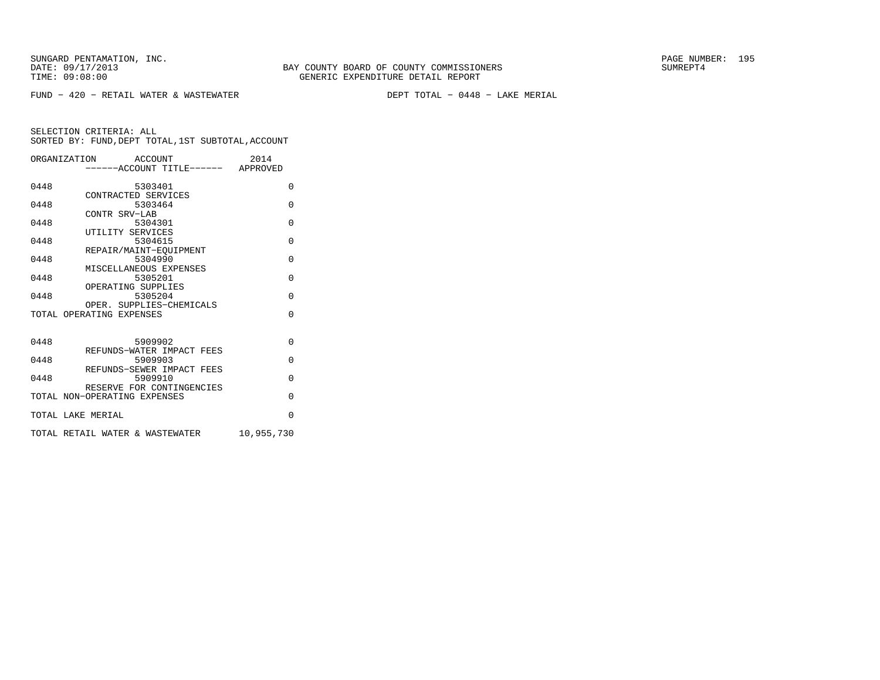FUND − 420 − RETAIL WATER & WASTEWATER DEPT TOTAL − 0448 − LAKE MERIAL

|      | ORGANIZATION ACCOUNT<br>-----ACCOUNT TITLE------ APPROVED | 2014       |
|------|-----------------------------------------------------------|------------|
| 0448 | 5303401                                                   | 0          |
| 0448 | CONTRACTED SERVICES<br>5303464                            | $\Omega$   |
| 0448 | CONTR SRV-LAB<br>5304301                                  | $\Omega$   |
| 0448 | UTILITY SERVICES<br>5304615                               | $\Omega$   |
| 0448 | REPAIR/MAINT-EOUIPMENT<br>5304990                         | $\Omega$   |
| 0448 | MISCELLANEOUS EXPENSES<br>5305201                         | $\Omega$   |
| 0448 | OPERATING SUPPLIES<br>5305204                             | $\Omega$   |
|      | OPER. SUPPLIES-CHEMICALS<br>TOTAL OPERATING EXPENSES      | $\Omega$   |
|      |                                                           |            |
| 0448 | 5909902<br>REFUNDS-WATER IMPACT FEES                      | $\Omega$   |
| 0448 | 5909903<br>REFUNDS-SEWER IMPACT FEES                      | $\Omega$   |
| 0448 | 5909910                                                   | $\Omega$   |
|      | RESERVE FOR CONTINGENCIES<br>TOTAL NON-OPERATING EXPENSES | $\Omega$   |
|      | TOTAL LAKE MERIAL                                         | $\Omega$   |
|      | TOTAL RETAIL WATER & WASTEWATER                           | 10,955,730 |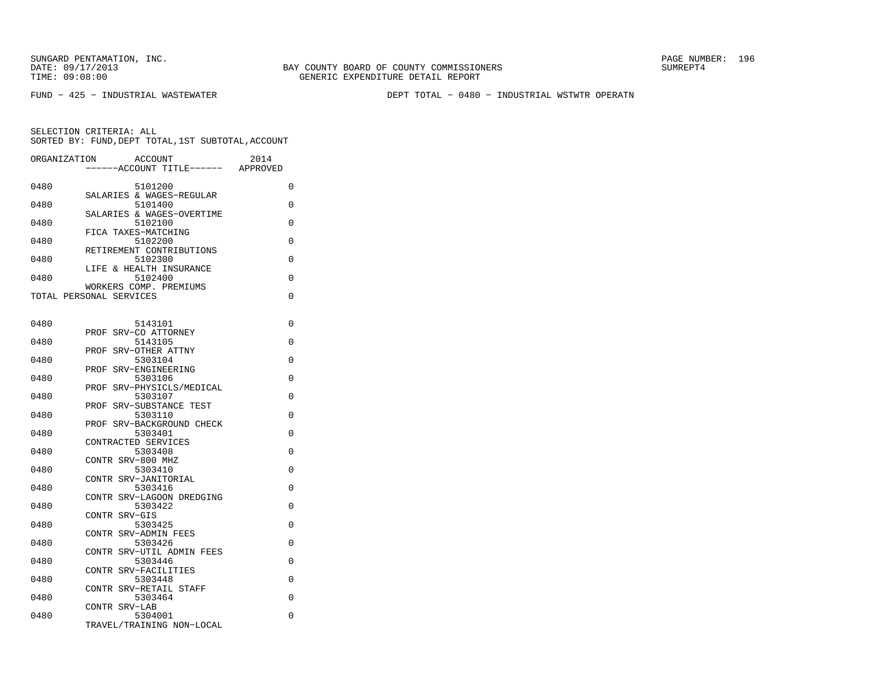FUND − 425 − INDUSTRIAL WASTEWATER DEPT TOTAL − 0480 − INDUSTRIAL WSTWTR OPERATN

| ORGANIZATION |                         | <b>ACCOUNT</b>                       | 2014     |
|--------------|-------------------------|--------------------------------------|----------|
|              |                         | ---ACCOUNT TITLE------               | APPROVED |
| 0480         |                         | 5101200                              | 0        |
|              |                         | SALARIES & WAGES-REGULAR             |          |
| 0480         |                         | 5101400<br>SALARIES & WAGES-OVERTIME | 0        |
| 0480         |                         | 5102100                              | 0        |
|              |                         | FICA TAXES-MATCHING                  |          |
| 0480         |                         | 5102200<br>RETIREMENT CONTRIBUTIONS  | 0        |
| 0480         |                         | 5102300                              | 0        |
|              |                         | LIFE & HEALTH INSURANCE              |          |
| 0480         |                         | 5102400<br>WORKERS COMP. PREMIUMS    | 0        |
|              | TOTAL PERSONAL SERVICES |                                      | 0        |
|              |                         |                                      |          |
| 0480         |                         | 5143101                              | 0        |
|              | PROF                    | SRV-CO ATTORNEY                      |          |
| 0480         |                         | 5143105                              | 0        |
|              | PROF                    | SRV-OTHER ATTNY                      | 0        |
| 0480         | PROF                    | 5303104<br>SRV-ENGINEERING           |          |
| 0480         |                         | 5303106                              | 0        |
|              |                         | PROF SRV-PHYSICLS/MEDICAL            |          |
| 0480         | PROF                    | 5303107<br>SRV-SUBSTANCE TEST        | 0        |
| 0480         |                         | 5303110                              | 0        |
|              |                         | PROF SRV-BACKGROUND CHECK            |          |
| 0480         |                         | 5303401<br>CONTRACTED SERVICES       | $\Omega$ |
| 0480         |                         | 5303408                              | 0        |
|              | CONTR SRV-800 MHZ       |                                      |          |
| 0480         |                         | 5303410                              | 0        |
| 0480         |                         | CONTR SRV-JANITORIAL<br>5303416      | 0        |
|              |                         | CONTR SRV-LAGOON DREDGING            |          |
| 0480         |                         | 5303422                              | 0        |
| 0480         | CONTR SRV-GIS           | 5303425                              | $\Omega$ |
|              |                         | CONTR SRV-ADMIN FEES                 |          |
| 0480         |                         | 5303426                              | 0        |
| 0480         |                         | CONTR SRV-UTIL ADMIN FEES<br>5303446 | 0        |
|              |                         | CONTR SRV-FACILITIES                 |          |
| 0480         |                         | 5303448                              | 0        |
| 0480         |                         | CONTR SRV-RETAIL STAFF<br>5303464    | 0        |
|              | CONTR SRV-LAB           |                                      |          |
| 0480         |                         | 5304001                              | 0        |
|              |                         | TRAVEL/TRAINING NON-LOCAL            |          |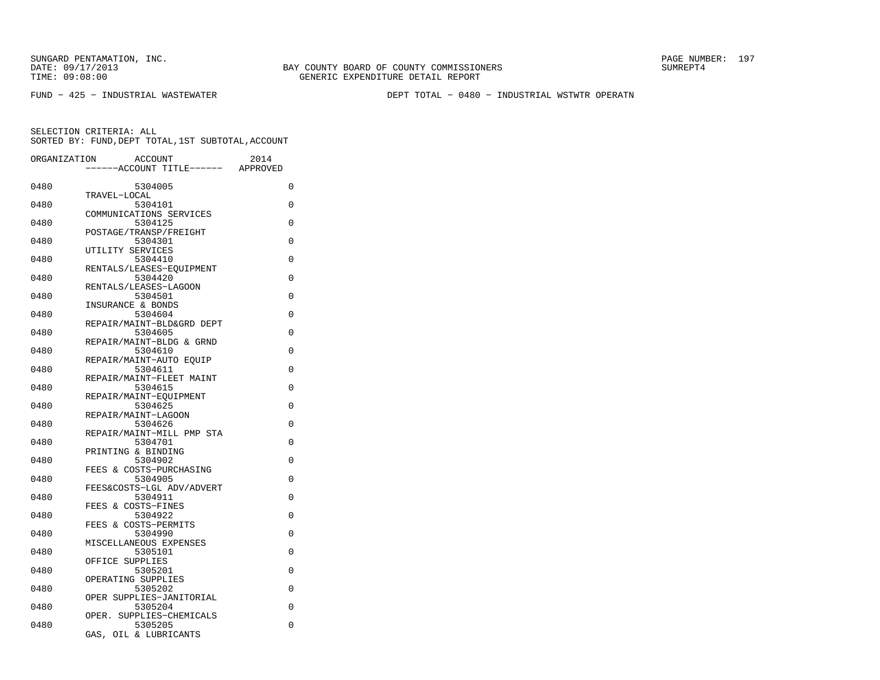FUND − 425 − INDUSTRIAL WASTEWATER DEPT TOTAL − 0480 − INDUSTRIAL WSTWTR OPERATN

| ORGANIZATION | <b>ACCOUNT</b>                       | 2014     |
|--------------|--------------------------------------|----------|
|              | --ACCOUNT TITLE------                | APPROVED |
| 0480         | 5304005                              | 0        |
|              | TRAVEL-LOCAL                         |          |
| 0480         | 5304101                              | $\Omega$ |
|              | COMMUNICATIONS SERVICES              |          |
| 0480         | 5304125<br>POSTAGE/TRANSP/FREIGHT    | 0        |
| 0480         | 5304301                              | 0        |
|              | UTILITY SERVICES                     |          |
| 0480         | 5304410                              | 0        |
|              | RENTALS/LEASES-EOUIPMENT             |          |
| 0480         | 5304420                              | $\Omega$ |
|              | RENTALS/LEASES-LAGOON                |          |
| 0480         | 5304501                              | 0        |
|              | INSURANCE & BONDS                    |          |
| 0480         | 5304604                              | 0        |
| 0480         | REPAIR/MAINT-BLD&GRD DEPT<br>5304605 | 0        |
|              | REPAIR/MAINT-BLDG & GRND             |          |
| 0480         | 5304610                              | 0        |
|              | REPAIR/MAINT-AUTO EOUIP              |          |
| 0480         | 5304611                              | $\Omega$ |
|              | REPAIR/MAINT-FLEET MAINT             |          |
| 0480         | 5304615                              | 0        |
|              | REPAIR/MAINT-EQUIPMENT               |          |
| 0480         | 5304625                              | 0        |
| 0480         | REPAIR/MAINT-LAGOON<br>5304626       | 0        |
|              | REPAIR/MAINT-MILL PMP STA            |          |
| 0480         | 5304701                              | 0        |
|              | PRINTING & BINDING                   |          |
| 0480         | 5304902                              | 0        |
|              | FEES & COSTS-PURCHASING              |          |
| 0480         | 5304905                              | 0        |
|              | FEES&COSTS-LGL ADV/ADVERT            |          |
| 0480         | 5304911                              | 0        |
| 0480         | FEES & COSTS-FINES<br>5304922        | 0        |
|              | FEES & COSTS-PERMITS                 |          |
| 0480         | 5304990                              | 0        |
|              | MISCELLANEOUS EXPENSES               |          |
| 0480         | 5305101                              | 0        |
|              | OFFICE SUPPLIES                      |          |
| 0480         | 5305201                              | 0        |
|              | OPERATING SUPPLIES                   |          |
| 0480         | 5305202                              | 0        |
| 0480         | OPER SUPPLIES-JANITORIAL<br>5305204  | 0        |
|              | OPER. SUPPLIES-CHEMICALS             |          |
| 0480         | 5305205                              | 0        |
|              | GAS, OIL & LUBRICANTS                |          |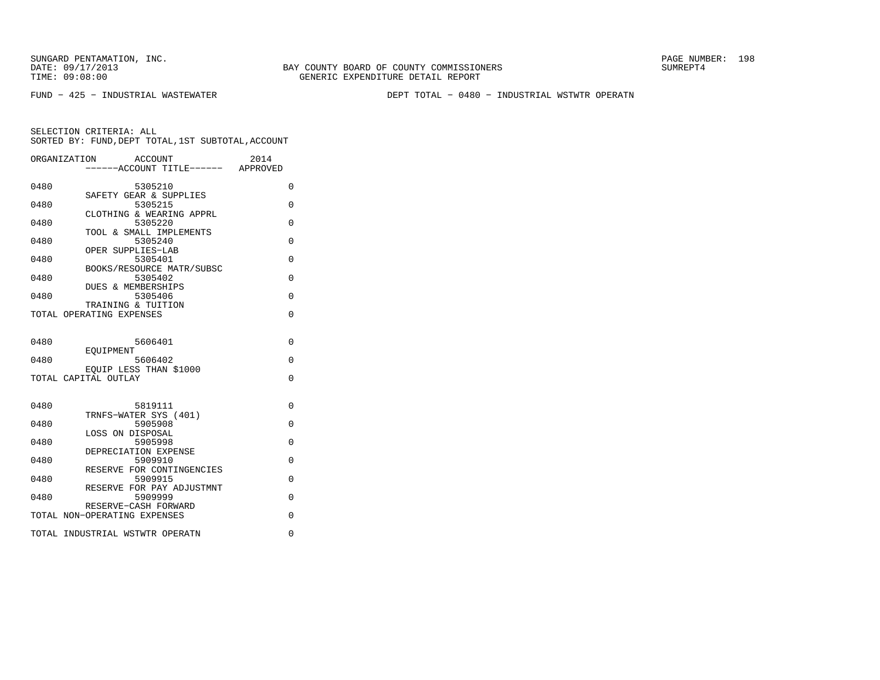BAY COUNTY BOARD OF COUNTY COMMISSIONERS TIME: 09:08:00 GENERIC EXPENDITURE DETAIL REPORT

FUND − 425 − INDUSTRIAL WASTEWATER DEPT TOTAL − 0480 − INDUSTRIAL WSTWTR OPERATN

|      | ORGANIZATION<br>ACCOUNT              | 2014        |
|------|--------------------------------------|-------------|
|      | -----ACCOUNT TITLE------ APPROVED    |             |
| 0480 | 5305210                              | $\Omega$    |
| 0480 | SAFETY GEAR & SUPPLIES<br>5305215    | $\Omega$    |
| 0480 | CLOTHING & WEARING APPRL<br>5305220  | $\Omega$    |
|      | TOOL & SMALL IMPLEMENTS              |             |
| 0480 | 5305240<br>OPER SUPPLIES-LAB         | $\Omega$    |
| 0480 | 5305401                              | 0           |
| 0480 | BOOKS/RESOURCE MATR/SUBSC<br>5305402 | $\Omega$    |
|      | DUES & MEMBERSHIPS                   |             |
| 0480 | 5305406<br>TRAINING & TUITION        | $\Omega$    |
|      | TOTAL OPERATING EXPENSES             | $\Omega$    |
|      |                                      |             |
| 0480 | 5606401                              | $\Omega$    |
| 0480 | EOUIPMENT<br>5606402                 | $\Omega$    |
|      | EOUIP LESS THAN \$1000               |             |
|      | TOTAL CAPITAL OUTLAY                 | $\mathbf 0$ |
|      |                                      |             |
| 0480 | 5819111                              | 0           |
| 0480 | TRNFS-WATER SYS (401)<br>5905908     | $\Omega$    |
|      | LOSS ON DISPOSAL                     |             |
| 0480 | 5905998                              | $\Omega$    |
| 0480 | DEPRECIATION EXPENSE<br>5909910      | $\Omega$    |
|      | RESERVE FOR CONTINGENCIES            |             |
| 0480 | 5909915<br>RESERVE FOR PAY ADJUSTMNT | $\Omega$    |
| 0480 | 5909999                              | 0           |
|      | RESERVE-CASH FORWARD                 |             |
|      | TOTAL NON-OPERATING EXPENSES         | 0           |
|      | TOTAL INDUSTRIAL WSTWTR OPERATN      | 0           |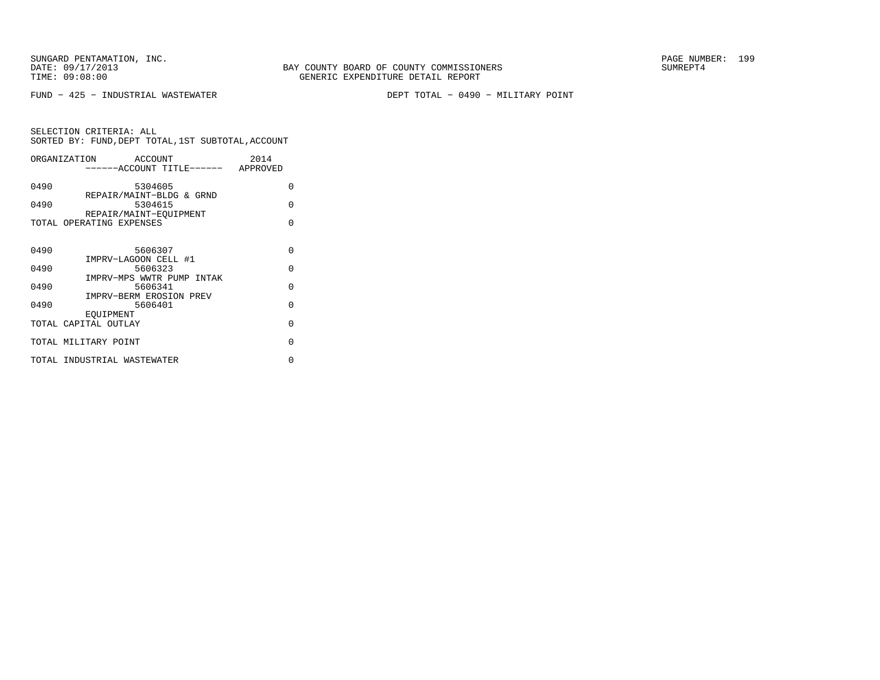FUND − 425 − INDUSTRIAL WASTEWATER DEPT TOTAL − 0490 − MILITARY POINT

|      | ORGANIZATION<br>ACCOUNT                            | 2014     |
|------|----------------------------------------------------|----------|
|      | -----ACCOUNT TITLE------ APPROVED                  |          |
| 0490 | 5304605                                            | $\Omega$ |
| 0490 | REPAIR/MAINT-BLDG & GRND<br>5304615                | $\Omega$ |
|      | REPAIR/MAINT-EOUIPMENT<br>TOTAL OPERATING EXPENSES | $\Omega$ |
|      |                                                    |          |
| 0490 | 5606307                                            | $\Omega$ |
| 0490 | IMPRV-LAGOON CELL #1<br>5606323                    | $\Omega$ |
| 0490 | IMPRV-MPS WWTR PUMP INTAK<br>5606341               | $\Omega$ |
| 0490 | IMPRV-BERM EROSION PREV<br>5606401                 | $\Omega$ |
|      | EOUIPMENT                                          |          |
|      | TOTAL CAPITAL OUTLAY                               | $\Omega$ |
|      | TOTAL MILITARY POINT                               | $\Omega$ |
|      | TOTAL INDUSTRIAL WASTEWATER                        | U        |
|      |                                                    |          |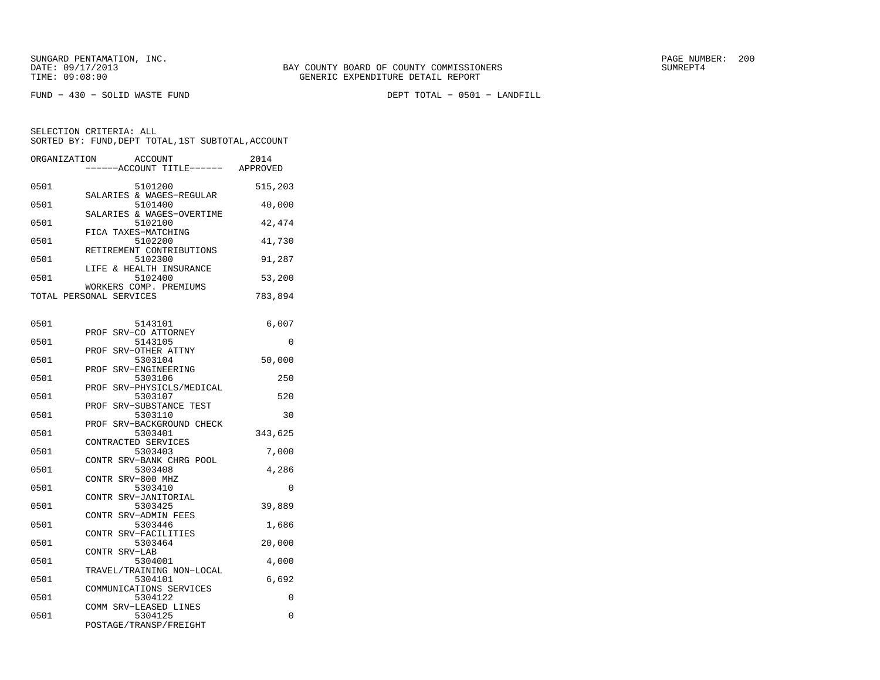| ORGANIZATION |                         | <b>ACCOUNT</b><br>---ACCOUNT TITLE------ APPROVED | 2014     |
|--------------|-------------------------|---------------------------------------------------|----------|
| 0501         |                         | 5101200<br>SALARIES & WAGES-REGULAR               | 515,203  |
| 0501         |                         | 5101400<br>SALARIES & WAGES-OVERTIME              | 40,000   |
| 0501         | FICA TAXES-MATCHING     | 5102100                                           | 42,474   |
| 0501         |                         | 5102200<br>RETIREMENT CONTRIBUTIONS               | 41,730   |
| 0501         |                         | 5102300<br>LIFE & HEALTH INSURANCE                | 91,287   |
| 0501         |                         | 5102400<br>WORKERS COMP. PREMIUMS                 | 53,200   |
|              | TOTAL PERSONAL SERVICES |                                                   | 783,894  |
| 0501         |                         | 5143101                                           | 6,007    |
| 0501         | PROF                    | SRV-CO ATTORNEY<br>5143105                        | $\Omega$ |
| 0501         | PROF<br>PROF            | SRV-OTHER ATTNY<br>5303104<br>SRV-ENGINEERING     | 50,000   |
| 0501         |                         | 5303106<br>PROF SRV-PHYSICLS/MEDICAL              | 250      |
| 0501         | PROF                    | 5303107<br>SRV-SUBSTANCE TEST                     | 520      |
| 0501         |                         | 5303110<br>PROF SRV-BACKGROUND CHECK              | 30       |
| 0501         | CONTRACTED SERVICES     | 5303401                                           | 343,625  |
| 0501         |                         | 5303403<br>CONTR SRV-BANK CHRG POOL               | 7,000    |
| 0501         | CONTR SRV-800 MHZ       | 5303408                                           | 4,286    |
| 0501         | CONTR SRV-JANITORIAL    | 5303410                                           | $\Omega$ |
| 0501         | CONTR SRV-ADMIN FEES    | 5303425                                           | 39,889   |
| 0501         | CONTR SRV-FACILITIES    | 5303446                                           | 1,686    |
| 0501         | CONTR SRV-LAB           | 5303464                                           | 20,000   |
| 0501         |                         | 5304001<br>TRAVEL/TRAINING NON-LOCAL              | 4,000    |
| 0501         |                         | 5304101<br>COMMUNICATIONS SERVICES                | 6,692    |
| 0501         | COMM SRV-LEASED LINES   | 5304122                                           | 0        |
| 0501         |                         | 5304125<br>POSTAGE/TRANSP/FREIGHT                 | 0        |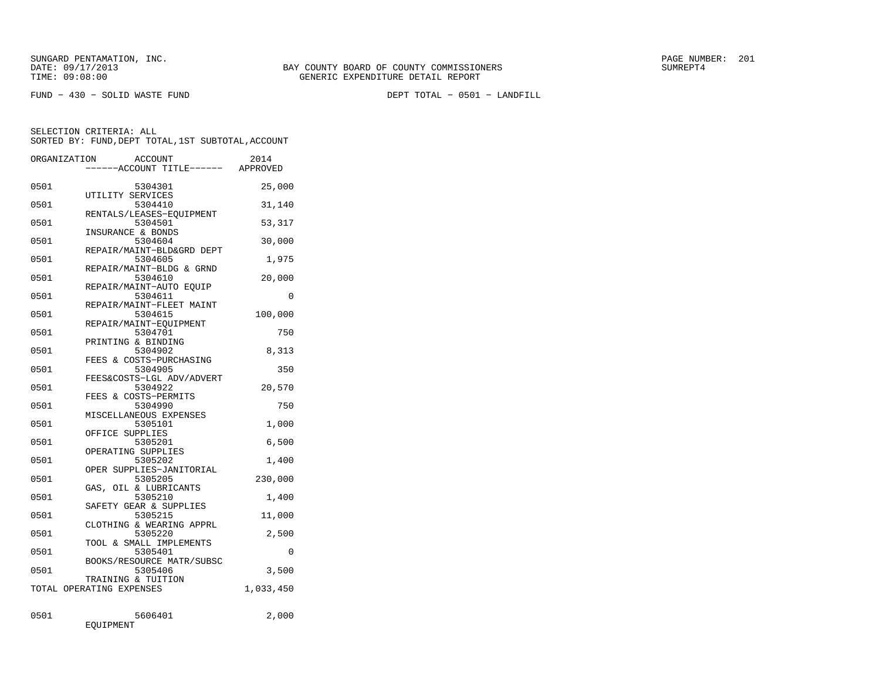| ORGANIZATION | <b>ACCOUNT</b><br>---ACCOUNT TITLE------ APPROVED | 2014      |
|--------------|---------------------------------------------------|-----------|
| 0501         | 5304301<br>UTILITY SERVICES                       | 25,000    |
| 0501         | 5304410                                           | 31,140    |
| 0501         | RENTALS/LEASES-EQUIPMENT<br>5304501               | 53,317    |
| 0501         | INSURANCE & BONDS<br>5304604                      | 30,000    |
| 0501         | REPAIR/MAINT-BLD&GRD DEPT<br>5304605              | 1,975     |
| 0501         | REPAIR/MAINT-BLDG & GRND<br>5304610               | 20,000    |
| 0501         | REPAIR/MAINT-AUTO EQUIP<br>5304611                | 0         |
| 0501         | REPAIR/MAINT-FLEET MAINT<br>5304615               | 100,000   |
| 0501         | REPAIR/MAINT-EOUIPMENT<br>5304701                 | 750       |
| 0501         | PRINTING & BINDING<br>5304902                     | 8,313     |
| 0501         | FEES & COSTS-PURCHASING<br>5304905                | 350       |
| 0501         | FEES&COSTS-LGL ADV/ADVERT<br>5304922              | 20,570    |
| 0501         | FEES & COSTS-PERMITS<br>5304990                   | 750       |
| 0501         | MISCELLANEOUS EXPENSES<br>5305101                 | 1,000     |
| 0501         | OFFICE SUPPLIES<br>5305201                        | 6,500     |
| 0501         | OPERATING SUPPLIES<br>5305202                     | 1,400     |
| 0501         | OPER SUPPLIES-JANITORIAL<br>5305205               | 230,000   |
| 0501         | GAS, OIL & LUBRICANTS<br>5305210                  | 1,400     |
| 0501         | SAFETY GEAR & SUPPLIES<br>5305215                 | 11,000    |
| 0501         | CLOTHING & WEARING APPRL<br>5305220               | 2,500     |
| 0501         | TOOL & SMALL IMPLEMENTS<br>5305401                | 0         |
| 0501         | BOOKS/RESOURCE MATR/SUBSC<br>5305406              | 3,500     |
|              | TRAINING & TUITION<br>TOTAL OPERATING EXPENSES    | 1,033,450 |
| 0501         | 5606401<br>EQUIPMENT                              | 2,000     |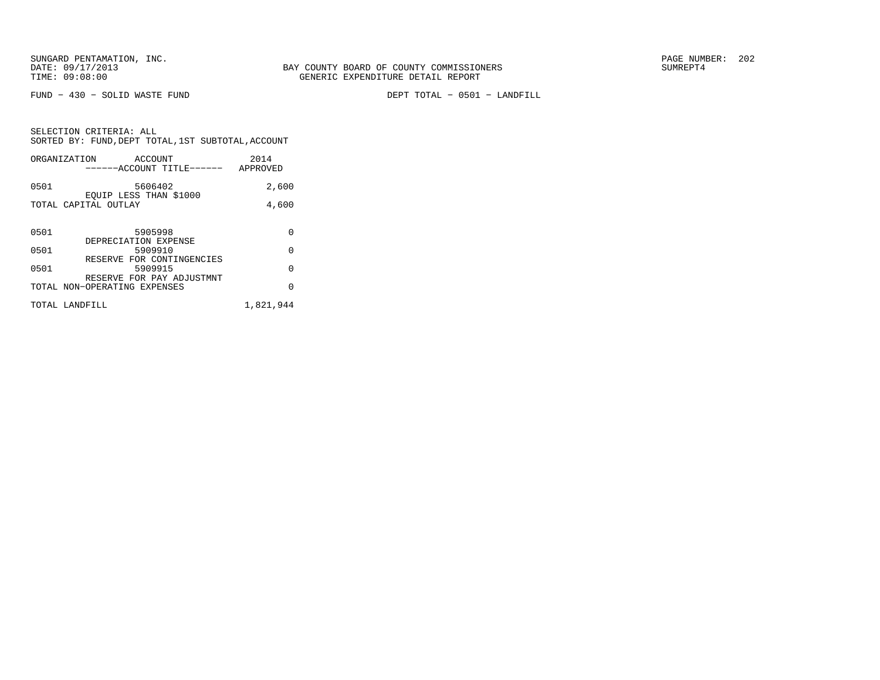FUND − 430 − SOLID WASTE FUND DEPT TOTAL − 0501 − LANDFILL

| SELECTION CRITERIA: ALL |         | SORTED BY: FUND, DEPT TOTAL, 1ST SUBTOTAL, ACCOUNT |
|-------------------------|---------|----------------------------------------------------|
|                         |         |                                                    |
| ORGANIZATION            | ACCOUNT | 2014                                               |

|      | ------ACCOUNT TITLE------                                 | APPROVED |
|------|-----------------------------------------------------------|----------|
| 0501 | 5606402<br>EOUIP LESS THAN \$1000                         | 2,600    |
|      | TOTAL CAPITAL OUTLAY                                      | 4,600    |
| 0501 | 5905998                                                   | O        |
| 0501 | DEPRECIATION EXPENSE<br>5909910                           | O        |
| 0501 | RESERVE FOR CONTINGENCIES<br>5909915                      | U        |
|      | RESERVE FOR PAY ADJUSTMNT<br>TOTAL NON-OPERATING EXPENSES |          |

| TOTAL LANDFILL | 1,821,944 |  |
|----------------|-----------|--|
|                |           |  |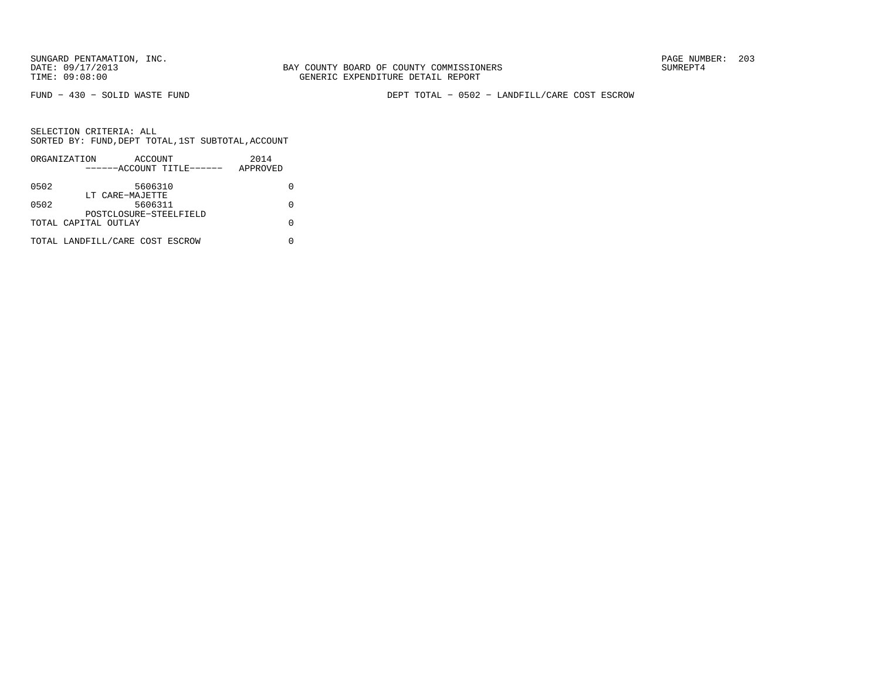BAY COUNTY BOARD OF COUNTY COMMISSIONERS TIME: 09:08:00 GENERIC EXPENDITURE DETAIL REPORT

FUND − 430 − SOLID WASTE FUND DEPT TOTAL − 0502 − LANDFILL/CARE COST ESCROW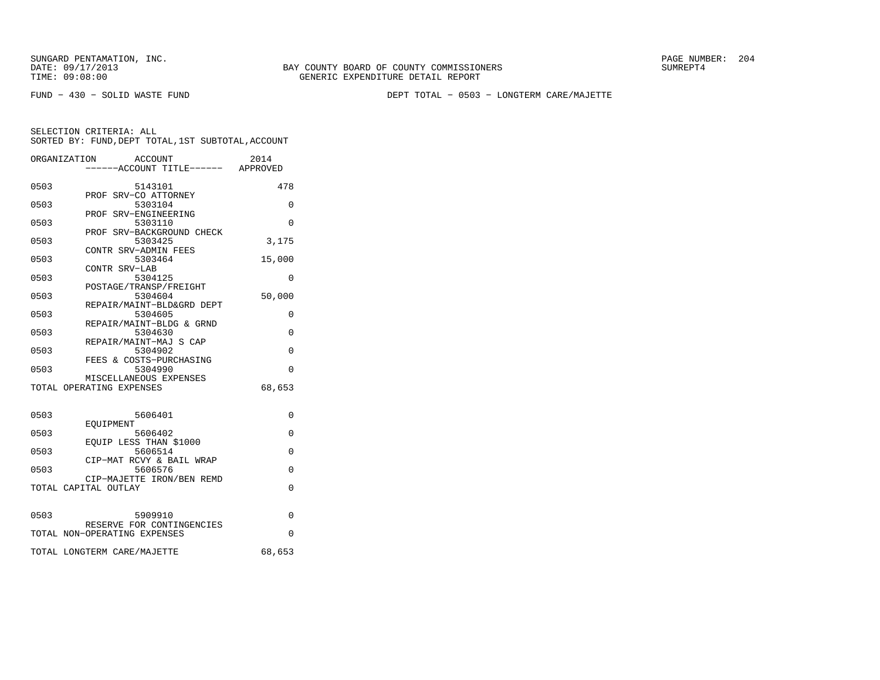BAY COUNTY BOARD OF COUNTY COMMISSIONERS TIME: 09:08:00 GENERIC EXPENDITURE DETAIL REPORT

FUND − 430 − SOLID WASTE FUND DEPT TOTAL − 0503 − LONGTERM CARE/MAJETTE

|      | ORGANIZATION<br>ACCOUNT<br>-----ACCOUNT TITLE------ APPROVED | 2014     |
|------|--------------------------------------------------------------|----------|
| 0503 | 5143101                                                      | 478      |
| 0503 | PROF SRV-CO ATTORNEY<br>5303104                              | $\Omega$ |
| 0503 | PROF SRV-ENGINEERING<br>5303110                              | $\Omega$ |
| 0503 | PROF SRV-BACKGROUND CHECK<br>5303425                         | 3,175    |
| 0503 | CONTR SRV-ADMIN FEES<br>5303464                              | 15,000   |
| 0503 | CONTR SRV-LAB<br>5304125                                     | 0        |
| 0503 | POSTAGE/TRANSP/FREIGHT<br>5304604                            | 50,000   |
| 0503 | REPAIR/MAINT-BLD&GRD DEPT<br>5304605                         | $\Omega$ |
| 0503 | REPAIR/MAINT-BLDG & GRND<br>5304630                          | $\Omega$ |
| 0503 | REPAIR/MAINT-MAJ S CAP<br>5304902                            | $\Omega$ |
| 0503 | FEES & COSTS-PURCHASING<br>5304990                           | $\Omega$ |
|      | MISCELLANEOUS EXPENSES<br>TOTAL OPERATING EXPENSES           | 68,653   |
| 0503 | 5606401                                                      | 0        |
| 0503 | EOUIPMENT<br>5606402                                         | $\Omega$ |
|      | EQUIP LESS THAN \$1000<br>5606514                            |          |
| 0503 | CIP-MAT RCVY & BAIL WRAP                                     | 0        |
| 0503 | 5606576<br>CIP-MAJETTE IRON/BEN REMD                         | 0        |
|      | TOTAL CAPITAL OUTLAY                                         | 0        |
| 0503 | 5909910                                                      | $\Omega$ |
|      | RESERVE FOR CONTINGENCIES<br>TOTAL NON-OPERATING EXPENSES    | 0        |
|      | TOTAL LONGTERM CARE/MAJETTE                                  | 68,653   |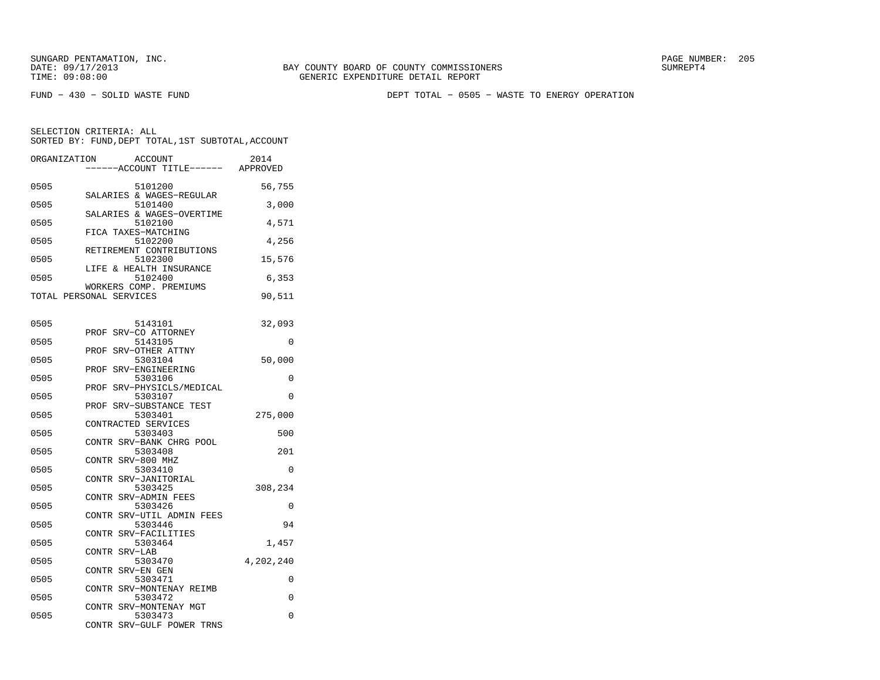FUND − 430 − SOLID WASTE FUND DEPT TOTAL − 0505 − WASTE TO ENERGY OPERATION

| ORGANIZATION            |               | ACCOUNT<br>---ACCOUNT TITLE------    | 2014<br>APPROVED |
|-------------------------|---------------|--------------------------------------|------------------|
| 0505                    |               | 5101200<br>SALARIES & WAGES-REGULAR  | 56,755           |
| 0505                    |               | 5101400<br>SALARIES & WAGES-OVERTIME | 3,000            |
| 0505                    |               | 5102100                              | 4,571            |
| 0505                    |               | FICA TAXES-MATCHING<br>5102200       | 4,256            |
| 0505                    |               | RETIREMENT CONTRIBUTIONS<br>5102300  | 15,576           |
| 0505                    |               | LIFE & HEALTH INSURANCE<br>5102400   | 6,353            |
| TOTAL PERSONAL SERVICES |               | WORKERS COMP. PREMIUMS               | 90,511           |
| 0505                    |               | 5143101                              | 32,093           |
| 0505                    | PROF          | SRV-CO ATTORNEY<br>5143105           | 0                |
| 0505                    | PROF          | SRV-OTHER ATTNY<br>5303104           | 50,000           |
| 0505                    | PROF          | SRV-ENGINEERING<br>5303106           | 0                |
| 0505                    | PROF          | SRV-PHYSICLS/MEDICAL<br>5303107      | $\Omega$         |
| 0505                    | PROF          | SRV-SUBSTANCE TEST<br>5303401        | 275,000          |
| 0505                    |               | CONTRACTED SERVICES<br>5303403       | 500              |
| 0505                    |               | CONTR SRV-BANK CHRG POOL<br>5303408  | 201              |
| 0505                    | CONTR         | SRV-800 MHZ<br>5303410               | 0                |
| 0505                    |               | CONTR SRV-JANITORIAL<br>5303425      | 308,234          |
| 0505                    |               | CONTR SRV-ADMIN FEES<br>5303426      | 0                |
| 0505                    |               | CONTR SRV-UTIL ADMIN FEES<br>5303446 | 94               |
| 0505                    | CONTR         | SRV-FACILITIES<br>5303464            | 1,457            |
| 0505                    | CONTR SRV-LAB | 5303470                              | 4,202,240        |
| 0505                    | CONTR         | SRV-EN GEN<br>5303471                | 0                |
| 0505                    | CONTR         | SRV-MONTENAY REIMB<br>5303472        | 0                |
| 0505                    |               | CONTR SRV-MONTENAY MGT<br>5303473    | 0                |
|                         | CONTR         | SRV-GULF POWER TRNS                  |                  |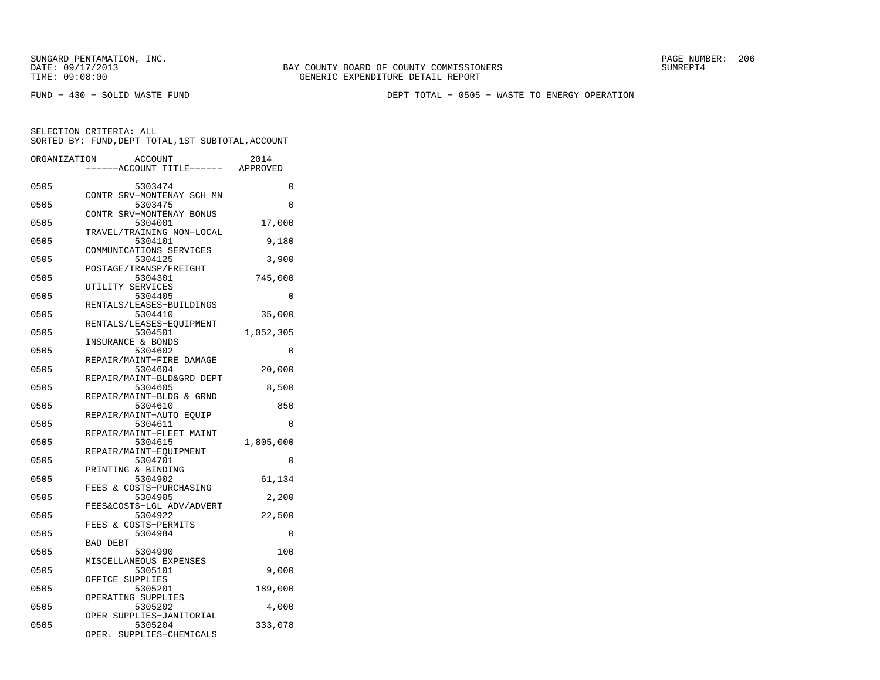FUND − 430 − SOLID WASTE FUND DEPT TOTAL − 0505 − WASTE TO ENERGY OPERATION

| 0505<br>0<br>5303474<br>CONTR SRV-MONTENAY SCH MN<br>0505<br>5303475<br>0<br>CONTR SRV-MONTENAY BONUS<br>0505<br>5304001<br>17,000<br>TRAVEL/TRAINING NON-LOCAL<br>0505<br>5304101<br>9,180<br>COMMUNICATIONS SERVICES<br>5304125<br>3,900<br>0505<br>POSTAGE/TRANSP/FREIGHT<br>0505<br>745,000<br>5304301<br>UTILITY SERVICES<br>0505<br>5304405<br>0<br>RENTALS/LEASES-BUILDINGS<br>0505<br>5304410<br>35,000<br>RENTALS/LEASES-EQUIPMENT<br>0505<br>5304501<br>1,052,305<br>INSURANCE & BONDS<br>5304602<br>0505<br>0<br>REPAIR/MAINT-FIRE DAMAGE<br>0505<br>5304604<br>20,000<br>REPAIR/MAINT-BLD&GRD DEPT<br>0505<br>8,500<br>5304605<br>REPAIR/MAINT-BLDG & GRND<br>0505<br>850<br>5304610<br>REPAIR/MAINT-AUTO EQUIP<br>0505<br>5304611<br>$\Omega$<br>REPAIR/MAINT-FLEET MAINT<br>0505<br>5304615<br>1,805,000<br>REPAIR/MAINT-EOUIPMENT<br>0505<br>5304701<br>0<br>PRINTING & BINDING<br>0505<br>61,134<br>5304902<br>FEES & COSTS-PURCHASING<br>0505<br>5304905<br>2,200<br>FEES&COSTS-LGL ADV/ADVERT<br>0505<br>5304922<br>22,500<br>FEES & COSTS-PERMITS<br>0505<br>5304984<br>0<br><b>BAD DEBT</b><br>0505<br>100<br>5304990<br>MISCELLANEOUS EXPENSES<br>9,000<br>0505<br>5305101<br>OFFICE SUPPLIES<br>0505<br>5305201<br>189,000<br>OPERATING SUPPLIES<br>0505<br>5305202<br>4,000<br>OPER SUPPLIES-JANITORIAL<br>0505<br>5305204<br>333,078<br>OPER.<br>SUPPLIES-CHEMICALS | ORGANIZATION | <b>ACCOUNT</b><br>----ACCOUNT TITLE------ APPROVED | 2014 |
|---------------------------------------------------------------------------------------------------------------------------------------------------------------------------------------------------------------------------------------------------------------------------------------------------------------------------------------------------------------------------------------------------------------------------------------------------------------------------------------------------------------------------------------------------------------------------------------------------------------------------------------------------------------------------------------------------------------------------------------------------------------------------------------------------------------------------------------------------------------------------------------------------------------------------------------------------------------------------------------------------------------------------------------------------------------------------------------------------------------------------------------------------------------------------------------------------------------------------------------------------------------------------------------------------------------------------------------------------------------------------------------------|--------------|----------------------------------------------------|------|
|                                                                                                                                                                                                                                                                                                                                                                                                                                                                                                                                                                                                                                                                                                                                                                                                                                                                                                                                                                                                                                                                                                                                                                                                                                                                                                                                                                                             |              |                                                    |      |
|                                                                                                                                                                                                                                                                                                                                                                                                                                                                                                                                                                                                                                                                                                                                                                                                                                                                                                                                                                                                                                                                                                                                                                                                                                                                                                                                                                                             |              |                                                    |      |
|                                                                                                                                                                                                                                                                                                                                                                                                                                                                                                                                                                                                                                                                                                                                                                                                                                                                                                                                                                                                                                                                                                                                                                                                                                                                                                                                                                                             |              |                                                    |      |
|                                                                                                                                                                                                                                                                                                                                                                                                                                                                                                                                                                                                                                                                                                                                                                                                                                                                                                                                                                                                                                                                                                                                                                                                                                                                                                                                                                                             |              |                                                    |      |
|                                                                                                                                                                                                                                                                                                                                                                                                                                                                                                                                                                                                                                                                                                                                                                                                                                                                                                                                                                                                                                                                                                                                                                                                                                                                                                                                                                                             |              |                                                    |      |
|                                                                                                                                                                                                                                                                                                                                                                                                                                                                                                                                                                                                                                                                                                                                                                                                                                                                                                                                                                                                                                                                                                                                                                                                                                                                                                                                                                                             |              |                                                    |      |
|                                                                                                                                                                                                                                                                                                                                                                                                                                                                                                                                                                                                                                                                                                                                                                                                                                                                                                                                                                                                                                                                                                                                                                                                                                                                                                                                                                                             |              |                                                    |      |
|                                                                                                                                                                                                                                                                                                                                                                                                                                                                                                                                                                                                                                                                                                                                                                                                                                                                                                                                                                                                                                                                                                                                                                                                                                                                                                                                                                                             |              |                                                    |      |
|                                                                                                                                                                                                                                                                                                                                                                                                                                                                                                                                                                                                                                                                                                                                                                                                                                                                                                                                                                                                                                                                                                                                                                                                                                                                                                                                                                                             |              |                                                    |      |
|                                                                                                                                                                                                                                                                                                                                                                                                                                                                                                                                                                                                                                                                                                                                                                                                                                                                                                                                                                                                                                                                                                                                                                                                                                                                                                                                                                                             |              |                                                    |      |
|                                                                                                                                                                                                                                                                                                                                                                                                                                                                                                                                                                                                                                                                                                                                                                                                                                                                                                                                                                                                                                                                                                                                                                                                                                                                                                                                                                                             |              |                                                    |      |
|                                                                                                                                                                                                                                                                                                                                                                                                                                                                                                                                                                                                                                                                                                                                                                                                                                                                                                                                                                                                                                                                                                                                                                                                                                                                                                                                                                                             |              |                                                    |      |
|                                                                                                                                                                                                                                                                                                                                                                                                                                                                                                                                                                                                                                                                                                                                                                                                                                                                                                                                                                                                                                                                                                                                                                                                                                                                                                                                                                                             |              |                                                    |      |
|                                                                                                                                                                                                                                                                                                                                                                                                                                                                                                                                                                                                                                                                                                                                                                                                                                                                                                                                                                                                                                                                                                                                                                                                                                                                                                                                                                                             |              |                                                    |      |
|                                                                                                                                                                                                                                                                                                                                                                                                                                                                                                                                                                                                                                                                                                                                                                                                                                                                                                                                                                                                                                                                                                                                                                                                                                                                                                                                                                                             |              |                                                    |      |
|                                                                                                                                                                                                                                                                                                                                                                                                                                                                                                                                                                                                                                                                                                                                                                                                                                                                                                                                                                                                                                                                                                                                                                                                                                                                                                                                                                                             |              |                                                    |      |
|                                                                                                                                                                                                                                                                                                                                                                                                                                                                                                                                                                                                                                                                                                                                                                                                                                                                                                                                                                                                                                                                                                                                                                                                                                                                                                                                                                                             |              |                                                    |      |
|                                                                                                                                                                                                                                                                                                                                                                                                                                                                                                                                                                                                                                                                                                                                                                                                                                                                                                                                                                                                                                                                                                                                                                                                                                                                                                                                                                                             |              |                                                    |      |
|                                                                                                                                                                                                                                                                                                                                                                                                                                                                                                                                                                                                                                                                                                                                                                                                                                                                                                                                                                                                                                                                                                                                                                                                                                                                                                                                                                                             |              |                                                    |      |
|                                                                                                                                                                                                                                                                                                                                                                                                                                                                                                                                                                                                                                                                                                                                                                                                                                                                                                                                                                                                                                                                                                                                                                                                                                                                                                                                                                                             |              |                                                    |      |
|                                                                                                                                                                                                                                                                                                                                                                                                                                                                                                                                                                                                                                                                                                                                                                                                                                                                                                                                                                                                                                                                                                                                                                                                                                                                                                                                                                                             |              |                                                    |      |
|                                                                                                                                                                                                                                                                                                                                                                                                                                                                                                                                                                                                                                                                                                                                                                                                                                                                                                                                                                                                                                                                                                                                                                                                                                                                                                                                                                                             |              |                                                    |      |
|                                                                                                                                                                                                                                                                                                                                                                                                                                                                                                                                                                                                                                                                                                                                                                                                                                                                                                                                                                                                                                                                                                                                                                                                                                                                                                                                                                                             |              |                                                    |      |
|                                                                                                                                                                                                                                                                                                                                                                                                                                                                                                                                                                                                                                                                                                                                                                                                                                                                                                                                                                                                                                                                                                                                                                                                                                                                                                                                                                                             |              |                                                    |      |
|                                                                                                                                                                                                                                                                                                                                                                                                                                                                                                                                                                                                                                                                                                                                                                                                                                                                                                                                                                                                                                                                                                                                                                                                                                                                                                                                                                                             |              |                                                    |      |
|                                                                                                                                                                                                                                                                                                                                                                                                                                                                                                                                                                                                                                                                                                                                                                                                                                                                                                                                                                                                                                                                                                                                                                                                                                                                                                                                                                                             |              |                                                    |      |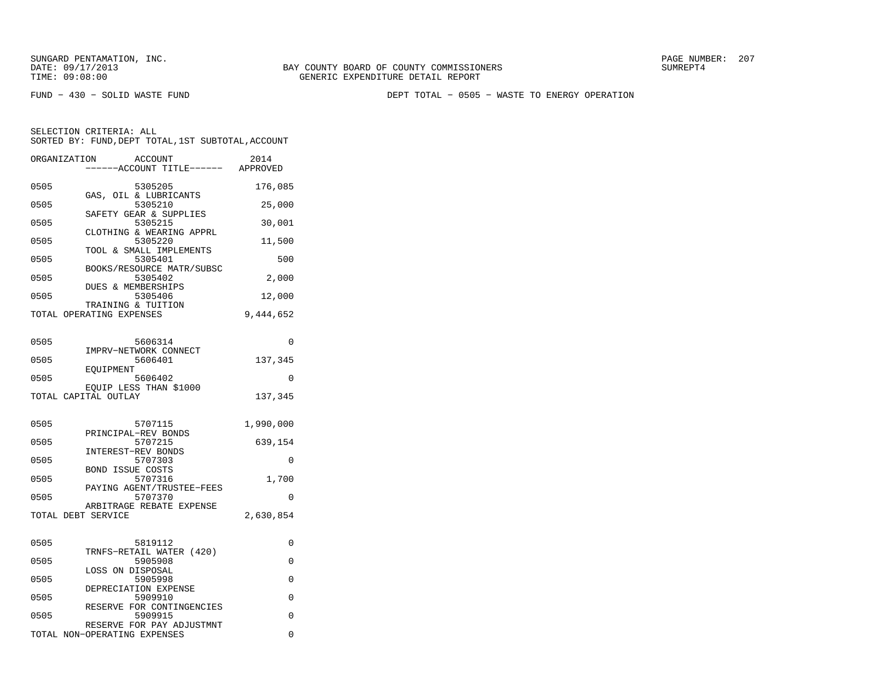FUND − 430 − SOLID WASTE FUND DEPT TOTAL − 0505 − WASTE TO ENERGY OPERATION

| ----ACCOUNT TITLE------ APPROVED<br>0505<br>5305205<br>176,085<br>GAS, OIL & LUBRICANTS<br>0505<br>5305210<br>25,000<br>SAFETY GEAR & SUPPLIES<br>0505<br>5305215<br>30,001<br>CLOTHING & WEARING APPRL<br>0505<br>5305220<br>11,500<br>TOOL & SMALL IMPLEMENTS<br>0505<br>5305401<br>500<br>BOOKS/RESOURCE MATR/SUBSC<br>5305402<br>0505<br>2,000<br>DUES & MEMBERSHIPS<br>0505<br>5305406<br>12,000<br>TRAINING & TUITION<br>9,444,652<br>TOTAL OPERATING EXPENSES<br>0505<br>5606314<br>$\Omega$<br>IMPRV-NETWORK CONNECT<br>0505<br>5606401<br>137,345<br>EOUIPMENT<br>0505<br>0<br>5606402<br>EQUIP LESS THAN \$1000<br>TOTAL CAPITAL OUTLAY<br>137,345<br>0505<br>5707115<br>1,990,000<br>PRINCIPAL-REV BONDS<br>5707215<br>639,154<br>0505<br>INTEREST-REV BONDS<br>0505<br>5707303<br>$\Omega$<br><b>BOND ISSUE COSTS</b><br>0505<br>5707316<br>1,700<br>PAYING AGENT/TRUSTEE-FEES<br>0505<br>5707370<br>0<br>ARBITRAGE REBATE EXPENSE<br>TOTAL DEBT SERVICE<br>2,630,854<br>0505<br>5819112<br>0<br>TRNFS-RETAIL WATER (420)<br>0505<br>5905908<br>0<br>LOSS ON DISPOSAL<br>0505<br>5905998<br>0<br>DEPRECIATION EXPENSE<br>0505<br>5909910<br>0<br>RESERVE FOR CONTINGENCIES<br>0505<br>5909915<br>0<br>RESERVE FOR PAY ADJUSTMNT<br>TOTAL NON-OPERATING EXPENSES<br>0 | ORGANIZATION | <b>ACCOUNT</b> | 2014 |
|----------------------------------------------------------------------------------------------------------------------------------------------------------------------------------------------------------------------------------------------------------------------------------------------------------------------------------------------------------------------------------------------------------------------------------------------------------------------------------------------------------------------------------------------------------------------------------------------------------------------------------------------------------------------------------------------------------------------------------------------------------------------------------------------------------------------------------------------------------------------------------------------------------------------------------------------------------------------------------------------------------------------------------------------------------------------------------------------------------------------------------------------------------------------------------------------------------------------------------------------------------------------------------|--------------|----------------|------|
|                                                                                                                                                                                                                                                                                                                                                                                                                                                                                                                                                                                                                                                                                                                                                                                                                                                                                                                                                                                                                                                                                                                                                                                                                                                                                  |              |                |      |
|                                                                                                                                                                                                                                                                                                                                                                                                                                                                                                                                                                                                                                                                                                                                                                                                                                                                                                                                                                                                                                                                                                                                                                                                                                                                                  |              |                |      |
|                                                                                                                                                                                                                                                                                                                                                                                                                                                                                                                                                                                                                                                                                                                                                                                                                                                                                                                                                                                                                                                                                                                                                                                                                                                                                  |              |                |      |
|                                                                                                                                                                                                                                                                                                                                                                                                                                                                                                                                                                                                                                                                                                                                                                                                                                                                                                                                                                                                                                                                                                                                                                                                                                                                                  |              |                |      |
|                                                                                                                                                                                                                                                                                                                                                                                                                                                                                                                                                                                                                                                                                                                                                                                                                                                                                                                                                                                                                                                                                                                                                                                                                                                                                  |              |                |      |
|                                                                                                                                                                                                                                                                                                                                                                                                                                                                                                                                                                                                                                                                                                                                                                                                                                                                                                                                                                                                                                                                                                                                                                                                                                                                                  |              |                |      |
|                                                                                                                                                                                                                                                                                                                                                                                                                                                                                                                                                                                                                                                                                                                                                                                                                                                                                                                                                                                                                                                                                                                                                                                                                                                                                  |              |                |      |
|                                                                                                                                                                                                                                                                                                                                                                                                                                                                                                                                                                                                                                                                                                                                                                                                                                                                                                                                                                                                                                                                                                                                                                                                                                                                                  |              |                |      |
|                                                                                                                                                                                                                                                                                                                                                                                                                                                                                                                                                                                                                                                                                                                                                                                                                                                                                                                                                                                                                                                                                                                                                                                                                                                                                  |              |                |      |
|                                                                                                                                                                                                                                                                                                                                                                                                                                                                                                                                                                                                                                                                                                                                                                                                                                                                                                                                                                                                                                                                                                                                                                                                                                                                                  |              |                |      |
|                                                                                                                                                                                                                                                                                                                                                                                                                                                                                                                                                                                                                                                                                                                                                                                                                                                                                                                                                                                                                                                                                                                                                                                                                                                                                  |              |                |      |
|                                                                                                                                                                                                                                                                                                                                                                                                                                                                                                                                                                                                                                                                                                                                                                                                                                                                                                                                                                                                                                                                                                                                                                                                                                                                                  |              |                |      |
|                                                                                                                                                                                                                                                                                                                                                                                                                                                                                                                                                                                                                                                                                                                                                                                                                                                                                                                                                                                                                                                                                                                                                                                                                                                                                  |              |                |      |
|                                                                                                                                                                                                                                                                                                                                                                                                                                                                                                                                                                                                                                                                                                                                                                                                                                                                                                                                                                                                                                                                                                                                                                                                                                                                                  |              |                |      |
|                                                                                                                                                                                                                                                                                                                                                                                                                                                                                                                                                                                                                                                                                                                                                                                                                                                                                                                                                                                                                                                                                                                                                                                                                                                                                  |              |                |      |
|                                                                                                                                                                                                                                                                                                                                                                                                                                                                                                                                                                                                                                                                                                                                                                                                                                                                                                                                                                                                                                                                                                                                                                                                                                                                                  |              |                |      |
|                                                                                                                                                                                                                                                                                                                                                                                                                                                                                                                                                                                                                                                                                                                                                                                                                                                                                                                                                                                                                                                                                                                                                                                                                                                                                  |              |                |      |
|                                                                                                                                                                                                                                                                                                                                                                                                                                                                                                                                                                                                                                                                                                                                                                                                                                                                                                                                                                                                                                                                                                                                                                                                                                                                                  |              |                |      |
|                                                                                                                                                                                                                                                                                                                                                                                                                                                                                                                                                                                                                                                                                                                                                                                                                                                                                                                                                                                                                                                                                                                                                                                                                                                                                  |              |                |      |
|                                                                                                                                                                                                                                                                                                                                                                                                                                                                                                                                                                                                                                                                                                                                                                                                                                                                                                                                                                                                                                                                                                                                                                                                                                                                                  |              |                |      |
|                                                                                                                                                                                                                                                                                                                                                                                                                                                                                                                                                                                                                                                                                                                                                                                                                                                                                                                                                                                                                                                                                                                                                                                                                                                                                  |              |                |      |
|                                                                                                                                                                                                                                                                                                                                                                                                                                                                                                                                                                                                                                                                                                                                                                                                                                                                                                                                                                                                                                                                                                                                                                                                                                                                                  |              |                |      |
|                                                                                                                                                                                                                                                                                                                                                                                                                                                                                                                                                                                                                                                                                                                                                                                                                                                                                                                                                                                                                                                                                                                                                                                                                                                                                  |              |                |      |
|                                                                                                                                                                                                                                                                                                                                                                                                                                                                                                                                                                                                                                                                                                                                                                                                                                                                                                                                                                                                                                                                                                                                                                                                                                                                                  |              |                |      |
|                                                                                                                                                                                                                                                                                                                                                                                                                                                                                                                                                                                                                                                                                                                                                                                                                                                                                                                                                                                                                                                                                                                                                                                                                                                                                  |              |                |      |
|                                                                                                                                                                                                                                                                                                                                                                                                                                                                                                                                                                                                                                                                                                                                                                                                                                                                                                                                                                                                                                                                                                                                                                                                                                                                                  |              |                |      |
|                                                                                                                                                                                                                                                                                                                                                                                                                                                                                                                                                                                                                                                                                                                                                                                                                                                                                                                                                                                                                                                                                                                                                                                                                                                                                  |              |                |      |
|                                                                                                                                                                                                                                                                                                                                                                                                                                                                                                                                                                                                                                                                                                                                                                                                                                                                                                                                                                                                                                                                                                                                                                                                                                                                                  |              |                |      |
|                                                                                                                                                                                                                                                                                                                                                                                                                                                                                                                                                                                                                                                                                                                                                                                                                                                                                                                                                                                                                                                                                                                                                                                                                                                                                  |              |                |      |
|                                                                                                                                                                                                                                                                                                                                                                                                                                                                                                                                                                                                                                                                                                                                                                                                                                                                                                                                                                                                                                                                                                                                                                                                                                                                                  |              |                |      |
|                                                                                                                                                                                                                                                                                                                                                                                                                                                                                                                                                                                                                                                                                                                                                                                                                                                                                                                                                                                                                                                                                                                                                                                                                                                                                  |              |                |      |
|                                                                                                                                                                                                                                                                                                                                                                                                                                                                                                                                                                                                                                                                                                                                                                                                                                                                                                                                                                                                                                                                                                                                                                                                                                                                                  |              |                |      |
|                                                                                                                                                                                                                                                                                                                                                                                                                                                                                                                                                                                                                                                                                                                                                                                                                                                                                                                                                                                                                                                                                                                                                                                                                                                                                  |              |                |      |
|                                                                                                                                                                                                                                                                                                                                                                                                                                                                                                                                                                                                                                                                                                                                                                                                                                                                                                                                                                                                                                                                                                                                                                                                                                                                                  |              |                |      |
|                                                                                                                                                                                                                                                                                                                                                                                                                                                                                                                                                                                                                                                                                                                                                                                                                                                                                                                                                                                                                                                                                                                                                                                                                                                                                  |              |                |      |
|                                                                                                                                                                                                                                                                                                                                                                                                                                                                                                                                                                                                                                                                                                                                                                                                                                                                                                                                                                                                                                                                                                                                                                                                                                                                                  |              |                |      |
|                                                                                                                                                                                                                                                                                                                                                                                                                                                                                                                                                                                                                                                                                                                                                                                                                                                                                                                                                                                                                                                                                                                                                                                                                                                                                  |              |                |      |
|                                                                                                                                                                                                                                                                                                                                                                                                                                                                                                                                                                                                                                                                                                                                                                                                                                                                                                                                                                                                                                                                                                                                                                                                                                                                                  |              |                |      |
|                                                                                                                                                                                                                                                                                                                                                                                                                                                                                                                                                                                                                                                                                                                                                                                                                                                                                                                                                                                                                                                                                                                                                                                                                                                                                  |              |                |      |
|                                                                                                                                                                                                                                                                                                                                                                                                                                                                                                                                                                                                                                                                                                                                                                                                                                                                                                                                                                                                                                                                                                                                                                                                                                                                                  |              |                |      |
|                                                                                                                                                                                                                                                                                                                                                                                                                                                                                                                                                                                                                                                                                                                                                                                                                                                                                                                                                                                                                                                                                                                                                                                                                                                                                  |              |                |      |
|                                                                                                                                                                                                                                                                                                                                                                                                                                                                                                                                                                                                                                                                                                                                                                                                                                                                                                                                                                                                                                                                                                                                                                                                                                                                                  |              |                |      |
|                                                                                                                                                                                                                                                                                                                                                                                                                                                                                                                                                                                                                                                                                                                                                                                                                                                                                                                                                                                                                                                                                                                                                                                                                                                                                  |              |                |      |
|                                                                                                                                                                                                                                                                                                                                                                                                                                                                                                                                                                                                                                                                                                                                                                                                                                                                                                                                                                                                                                                                                                                                                                                                                                                                                  |              |                |      |
|                                                                                                                                                                                                                                                                                                                                                                                                                                                                                                                                                                                                                                                                                                                                                                                                                                                                                                                                                                                                                                                                                                                                                                                                                                                                                  |              |                |      |
|                                                                                                                                                                                                                                                                                                                                                                                                                                                                                                                                                                                                                                                                                                                                                                                                                                                                                                                                                                                                                                                                                                                                                                                                                                                                                  |              |                |      |
|                                                                                                                                                                                                                                                                                                                                                                                                                                                                                                                                                                                                                                                                                                                                                                                                                                                                                                                                                                                                                                                                                                                                                                                                                                                                                  |              |                |      |
|                                                                                                                                                                                                                                                                                                                                                                                                                                                                                                                                                                                                                                                                                                                                                                                                                                                                                                                                                                                                                                                                                                                                                                                                                                                                                  |              |                |      |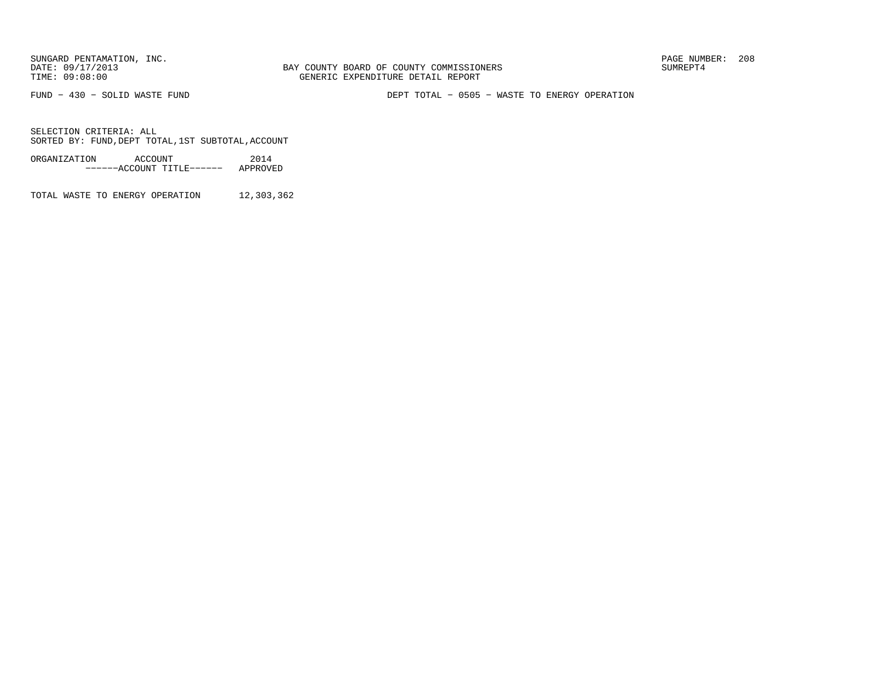FUND − 430 − SOLID WASTE FUND DEPT TOTAL − 0505 − WASTE TO ENERGY OPERATION

SELECTION CRITERIA: ALLSORTED BY: FUND,DEPT TOTAL,1ST SUBTOTAL,ACCOUNT

ORGANIZATION ACCOUNT 2014−−−−−−ACCOUNT TITLE−−−−−− APPROVED

TOTAL WASTE TO ENERGY OPERATION 12,303,362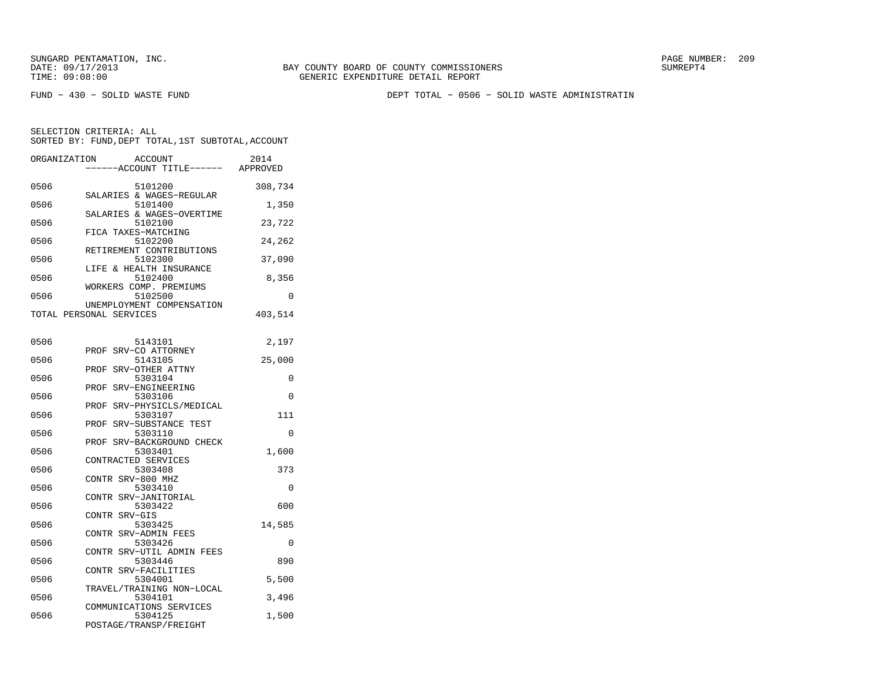FUND − 430 − SOLID WASTE FUND DEPT TOTAL − 0506 − SOLID WASTE ADMINISTRATIN

| ORGANIZATION | ACCOUNT<br>---ACCOUNT TITLE------ APPROVED                   | 2014    |
|--------------|--------------------------------------------------------------|---------|
| 0506         | 5101200<br>SALARIES & WAGES-REGULAR                          | 308,734 |
| 0506         | 5101400<br>SALARIES & WAGES-OVERTIME                         | 1,350   |
| 0506         | 5102100                                                      | 23,722  |
| 0506         | FICA TAXES-MATCHING<br>5102200                               | 24,262  |
| 0506         | RETIREMENT CONTRIBUTIONS<br>5102300                          | 37,090  |
| 0506         | LIFE & HEALTH INSURANCE<br>5102400                           | 8,356   |
| 0506         | WORKERS COMP. PREMIUMS<br>5102500                            | 0       |
|              | UNEMPLOYMENT COMPENSATION<br>TOTAL PERSONAL SERVICES         | 403,514 |
| 0506         | 5143101                                                      | 2,197   |
| 0506         | SRV-CO ATTORNEY<br>PROF<br>5143105                           | 25,000  |
| 0506         | SRV-OTHER ATTNY<br>PROF<br>5303104                           | 0       |
| 0506         | SRV-ENGINEERING<br>PROF<br>5303106                           | 0       |
| 0506         | SRV-PHYSICLS/MEDICAL<br>PROF<br>5303107                      | 111     |
| 0506         | PROF SRV-SUBSTANCE TEST<br>5303110                           | 0       |
| 0506         | PROF<br>SRV-BACKGROUND CHECK<br>5303401                      | 1,600   |
| 0506         | CONTRACTED SERVICES<br>5303408                               | 373     |
| 0506         | CONTR SRV-800 MHZ<br>5303410                                 | 0       |
| 0506         | SRV-JANITORIAL<br><b>CONTR</b><br>5303422                    | 600     |
| 0506         | CONTR SRV-GIS<br>5303425                                     | 14,585  |
| 0506         | CONTR SRV-ADMIN FEES<br>5303426                              | 0       |
| 0506         | CONTR SRV-UTIL ADMIN FEES<br>5303446                         | 890     |
| 0506         | CONTR SRV-FACILITIES<br>5304001                              | 5,500   |
| 0506         | TRAVEL/TRAINING NON-LOCAL<br>5304101                         | 3,496   |
| 0506         | COMMUNICATIONS SERVICES<br>5304125<br>POSTAGE/TRANSP/FREIGHT | 1,500   |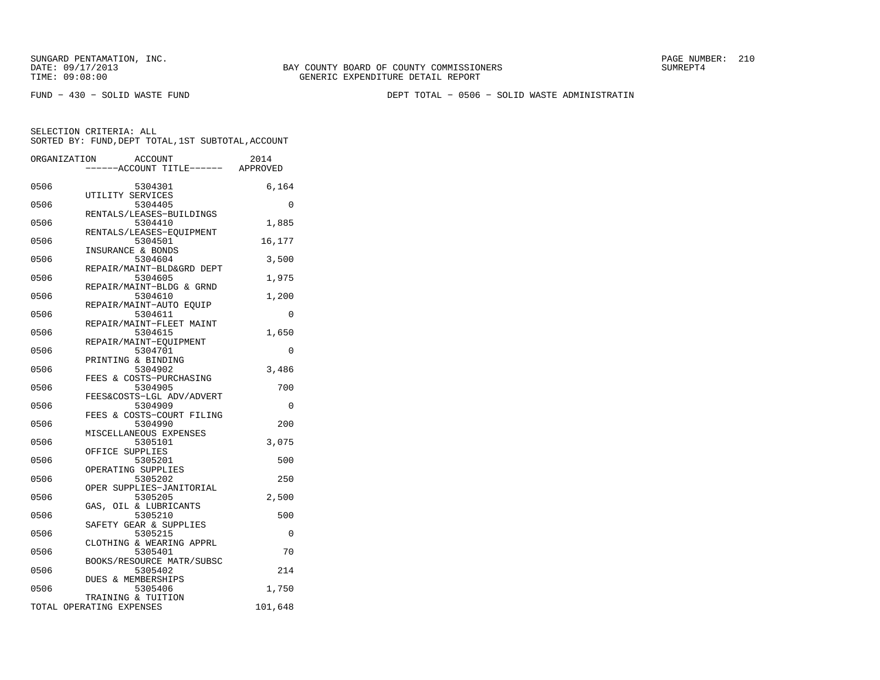BAY COUNTY BOARD OF COUNTY COMMISSIONERS TIME: 09:08:00 GENERIC EXPENDITURE DETAIL REPORT

FUND − 430 − SOLID WASTE FUND DEPT TOTAL − 0506 − SOLID WASTE ADMINISTRATIN

| ORGANIZATION |                                                | ACCOUNT<br>---ACCOUNT TITLE------ APPROVED | 2014     |
|--------------|------------------------------------------------|--------------------------------------------|----------|
| 0506         | UTILITY SERVICES                               | 5304301                                    | 6,164    |
| 0506         |                                                | 5304405<br>RENTALS/LEASES-BUILDINGS        | 0        |
| 0506         |                                                | 5304410                                    | 1,885    |
| 0506         |                                                | RENTALS/LEASES-EQUIPMENT<br>5304501        | 16,177   |
| 0506         | INSURANCE & BONDS                              | 5304604                                    | 3,500    |
| 0506         |                                                | REPAIR/MAINT-BLD&GRD DEPT<br>5304605       | 1,975    |
| 0506         |                                                | REPAIR/MAINT-BLDG & GRND<br>5304610        | 1,200    |
| 0506         |                                                | REPAIR/MAINT-AUTO EQUIP<br>5304611         | 0        |
| 0506         |                                                | REPAIR/MAINT-FLEET MAINT<br>5304615        | 1,650    |
| 0506         |                                                | REPAIR/MAINT-EOUIPMENT<br>5304701          | 0        |
| 0506         | PRINTING & BINDING                             | 5304902                                    |          |
|              |                                                | FEES & COSTS-PURCHASING                    | 3,486    |
| 0506         |                                                | 5304905<br>FEES&COSTS-LGL ADV/ADVERT       | 700      |
| 0506         |                                                | 5304909<br>FEES & COSTS-COURT FILING       | 0        |
| 0506         |                                                | 5304990<br>MISCELLANEOUS EXPENSES          | 200      |
| 0506         | OFFICE SUPPLIES                                | 5305101                                    | 3,075    |
| 0506         | OPERATING SUPPLIES                             | 5305201                                    | 500      |
| 0506         |                                                | 5305202<br>OPER SUPPLIES-JANITORIAL        | 250      |
| 0506         |                                                | 5305205                                    | 2,500    |
| 0506         |                                                | GAS, OIL & LUBRICANTS<br>5305210           | 500      |
| 0506         |                                                | SAFETY GEAR & SUPPLIES<br>5305215          | $\Omega$ |
| 0506         |                                                | CLOTHING & WEARING APPRL<br>5305401        | 70       |
| 0506         |                                                | BOOKS/RESOURCE MATR/SUBSC<br>5305402       | 214      |
| 0506         | <b>DUES &amp; MEMBERSHIPS</b>                  | 5305406                                    | 1,750    |
|              | TRAINING & TUITION<br>TOTAL OPERATING EXPENSES |                                            | 101,648  |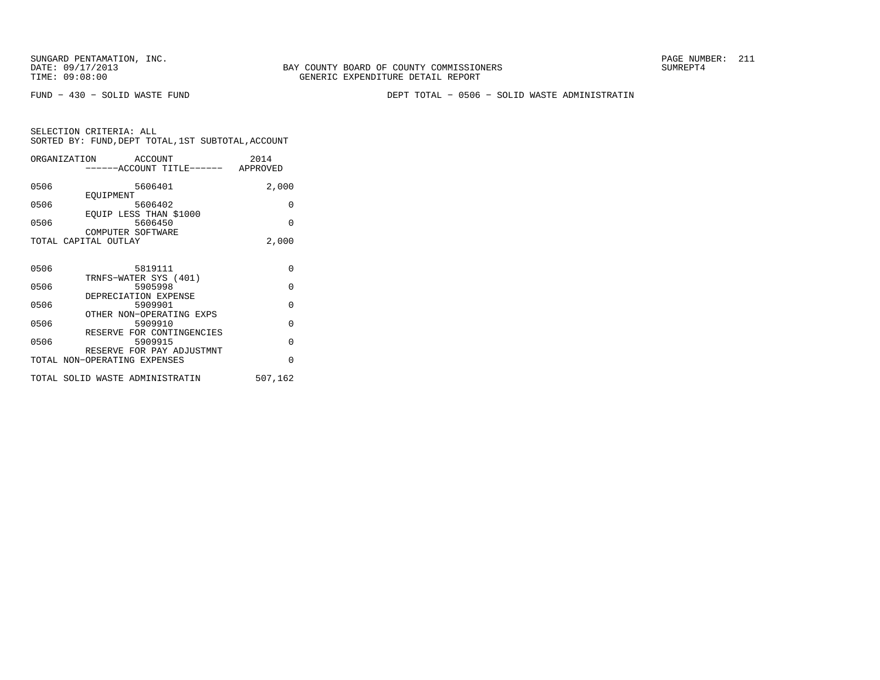FUND − 430 − SOLID WASTE FUND DEPT TOTAL − 0506 − SOLID WASTE ADMINISTRATIN

|      | ORGANIZATION                    | ACCOUNT |                                   | 2014    |
|------|---------------------------------|---------|-----------------------------------|---------|
|      |                                 |         | -----ACCOUNT TITLE------ APPROVED |         |
|      |                                 |         |                                   |         |
| 0506 |                                 | 5606401 |                                   | 2,000   |
| 0506 | EOUIPMENT                       | 5606402 |                                   | 0       |
|      | EQUIP LESS THAN \$1000          |         |                                   |         |
| 0506 |                                 | 5606450 |                                   | 0       |
|      | COMPUTER SOFTWARE               |         |                                   |         |
|      | TOTAL CAPITAL OUTLAY            |         |                                   | 2,000   |
|      |                                 |         |                                   |         |
|      |                                 |         |                                   |         |
| 0506 |                                 | 5819111 |                                   | 0       |
| 0506 | TRNFS-WATER SYS (401)           | 5905998 |                                   | 0       |
|      | DEPRECIATION EXPENSE            |         |                                   |         |
| 0506 |                                 | 5909901 |                                   | 0       |
|      |                                 |         | OTHER NON-OPERATING EXPS          |         |
| 0506 |                                 | 5909910 |                                   | 0       |
|      |                                 |         | RESERVE FOR CONTINGENCIES         |         |
| 0506 |                                 | 5909915 |                                   | 0       |
|      |                                 |         | RESERVE FOR PAY ADJUSTMNT         | 0       |
|      | TOTAL NON-OPERATING EXPENSES    |         |                                   |         |
|      | TOTAL SOLID WASTE ADMINISTRATIN |         |                                   | 507,162 |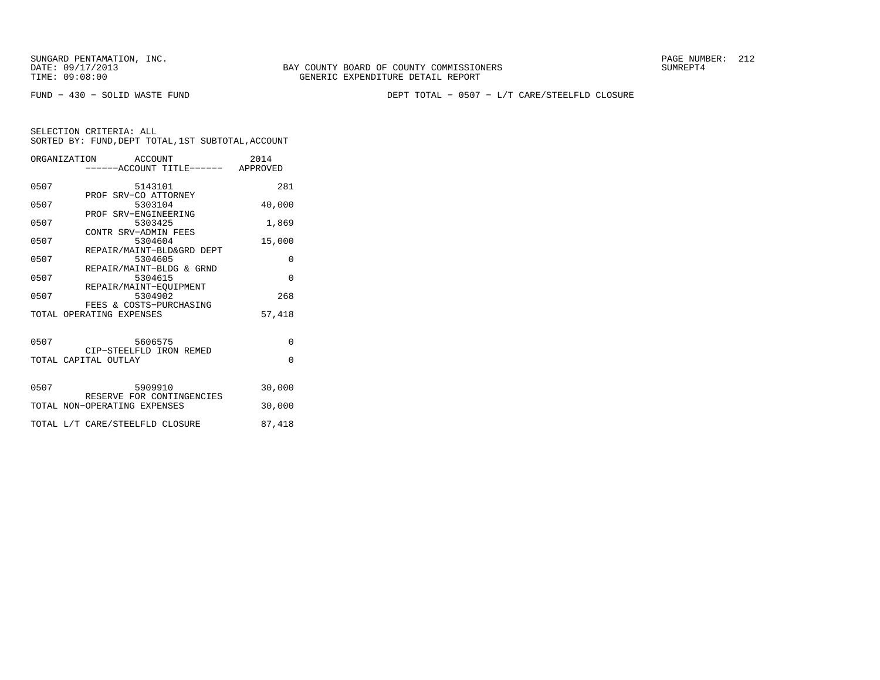BAY COUNTY BOARD OF COUNTY COMMISSIONERS TIME: 09:08:00 GENERIC EXPENDITURE DETAIL REPORT

FUND − 430 − SOLID WASTE FUND DEPT TOTAL − 0507 − L/T CARE/STEELFLD CLOSURE

|      | ORGANIZATION ACCOUNT<br>-----ACCOUNT TITLE------ APPROVED | 2014     |
|------|-----------------------------------------------------------|----------|
| 0507 | 5143101                                                   | 281      |
| 0507 | PROF SRV-CO ATTORNEY<br>5303104                           | 40,000   |
| 0507 | PROF SRV-ENGINEERING<br>5303425                           | 1,869    |
| 0507 | CONTR SRV-ADMIN FEES<br>5304604                           | 15,000   |
| 0507 | REPAIR/MAINT-BLD&GRD DEPT<br>5304605                      | 0        |
| 0507 | REPAIR/MAINT-BLDG & GRND<br>5304615                       | $\Omega$ |
| 0507 | REPAIR/MAINT-EOUIPMENT<br>5304902                         | 268      |
|      | FEES & COSTS-PURCHASING<br>TOTAL OPERATING EXPENSES       | 57,418   |
|      | 5606575                                                   |          |
| 0507 | CIP-STEELFLD IRON REMED                                   | 0        |
|      | TOTAL CAPITAL OUTLAY                                      | $\Omega$ |
| 0507 | 5909910                                                   | 30,000   |
|      | RESERVE FOR CONTINGENCIES<br>TOTAL NON-OPERATING EXPENSES | 30,000   |
|      | TOTAL L/T CARE/STEELFLD CLOSURE                           | 87,418   |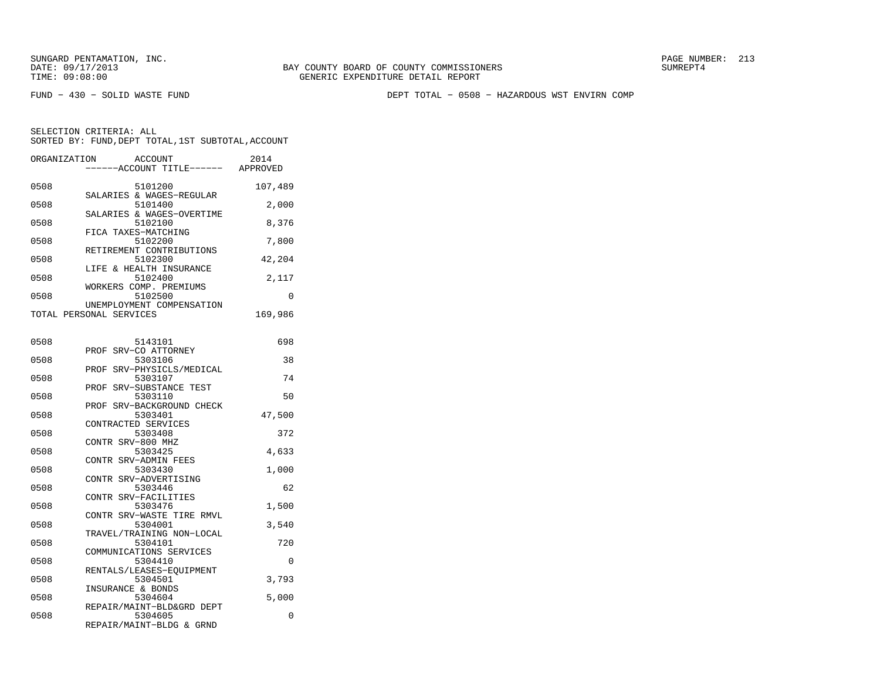FUND − 430 − SOLID WASTE FUND DEPT TOTAL − 0508 − HAZARDOUS WST ENVIRN COMP

| ORGANIZATION | ACCOUNT<br>---ACCOUNT TITLE------                                | 2014<br>APPROVED |
|--------------|------------------------------------------------------------------|------------------|
| 0508         | 5101200<br>SALARIES & WAGES-REGULAR                              | 107,489          |
| 0508         | 5101400<br>SALARIES & WAGES-OVERTIME                             | 2,000            |
| 0508         | 5102100<br>FICA TAXES-MATCHING                                   | 8,376            |
| 0508         | 5102200<br>RETIREMENT CONTRIBUTIONS                              | 7,800            |
| 0508         | 5102300                                                          | 42,204           |
| 0508         | LIFE & HEALTH INSURANCE<br>5102400                               | 2,117            |
| 0508         | WORKERS COMP. PREMIUMS<br>5102500                                | 0                |
|              | UNEMPLOYMENT COMPENSATION<br>TOTAL PERSONAL SERVICES             | 169,986          |
| 0508         | 5143101                                                          | 698              |
| 0508         | SRV-CO ATTORNEY<br>PROF<br>5303106                               | 38               |
| 0508         | SRV-PHYSICLS/MEDICAL<br>PROF<br>5303107                          | 74               |
| 0508         | PROF SRV-SUBSTANCE TEST<br>5303110                               | 50               |
| 0508         | PROF SRV-BACKGROUND CHECK<br>5303401                             | 47,500           |
| 0508         | CONTRACTED SERVICES<br>5303408                                   | 372              |
| 0508         | CONTR SRV-800 MHZ<br>5303425                                     | 4,633            |
| 0508         | CONTR SRV-ADMIN FEES<br>5303430                                  | 1,000            |
| 0508         | CONTR SRV-ADVERTISING<br>5303446                                 | 62               |
| 0508         | CONTR SRV-FACILITIES<br>5303476                                  | 1,500            |
| 0508         | CONTR SRV-WASTE TIRE RMVL<br>5304001                             | 3,540            |
| 0508         | TRAVEL/TRAINING NON-LOCAL<br>5304101                             | 720              |
| 0508         | COMMUNICATIONS SERVICES<br>5304410                               | 0                |
| 0508         | RENTALS/LEASES-EOUIPMENT<br>5304501                              | 3,793            |
| 0508         | INSURANCE & BONDS<br>5304604                                     | 5,000            |
| 0508         | REPAIR/MAINT-BLD&GRD DEPT<br>5304605<br>REPAIR/MAINT-BLDG & GRND | 0                |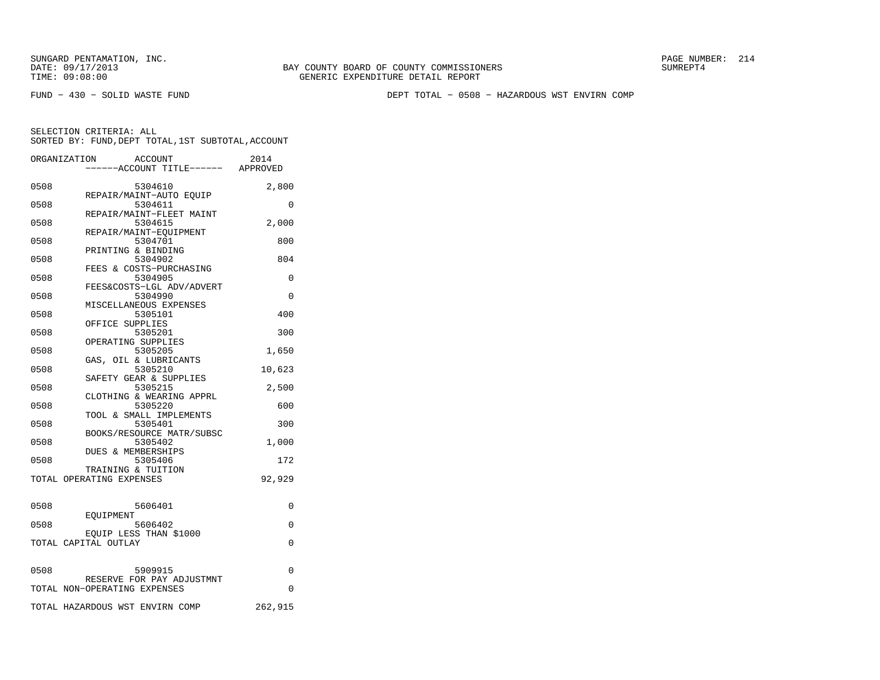FUND − 430 − SOLID WASTE FUND DEPT TOTAL − 0508 − HAZARDOUS WST ENVIRN COMP

|      | ORGANIZATION<br><b>ACCOUNT</b><br>---ACCOUNT TITLE------ APPROVED | 2014     |
|------|-------------------------------------------------------------------|----------|
| 0508 | 5304610                                                           | 2,800    |
| 0508 | REPAIR/MAINT-AUTO EQUIP<br>5304611                                | 0        |
| 0508 | REPAIR/MAINT-FLEET MAINT<br>5304615                               | 2,000    |
| 0508 | REPAIR/MAINT-EQUIPMENT<br>5304701                                 | 800      |
| 0508 | PRINTING & BINDING<br>5304902                                     | 804      |
| 0508 | FEES & COSTS-PURCHASING<br>5304905                                | 0        |
| 0508 | FEES&COSTS-LGL ADV/ADVERT<br>5304990                              | $\Omega$ |
| 0508 | MISCELLANEOUS EXPENSES<br>5305101                                 | 400      |
| 0508 | OFFICE SUPPLIES<br>5305201                                        | 300      |
| 0508 | OPERATING SUPPLIES<br>5305205                                     | 1,650    |
| 0508 | GAS, OIL & LUBRICANTS<br>5305210                                  | 10,623   |
| 0508 | SAFETY GEAR & SUPPLIES<br>5305215                                 | 2,500    |
| 0508 | CLOTHING & WEARING APPRL<br>5305220                               | 600      |
| 0508 | TOOL & SMALL IMPLEMENTS<br>5305401                                | 300      |
| 0508 | BOOKS/RESOURCE MATR/SUBSC<br>5305402                              | 1,000    |
| 0508 | DUES & MEMBERSHIPS<br>5305406                                     | 172      |
|      | TRAINING & TUITION<br>TOTAL OPERATING EXPENSES                    | 92,929   |
|      |                                                                   |          |
| 0508 | 5606401<br>EOUIPMENT                                              | 0        |
| 0508 | 5606402<br>EQUIP LESS THAN \$1000                                 | 0        |
|      | TOTAL CAPITAL OUTLAY                                              | 0        |
| 0508 | 5909915                                                           | 0        |
|      | RESERVE FOR PAY ADJUSTMNT<br>TOTAL NON-OPERATING EXPENSES         | $\Omega$ |
|      | TOTAL HAZARDOUS WST ENVIRN COMP                                   | 262,915  |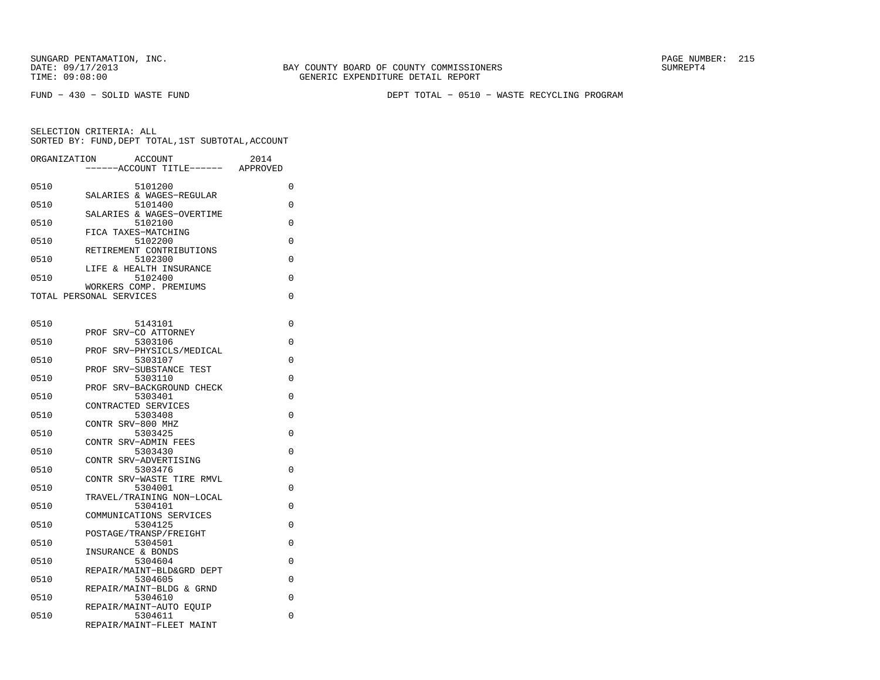FUND − 430 − SOLID WASTE FUND DEPT TOTAL − 0510 − WASTE RECYCLING PROGRAM

| ORGANIZATION | <b>ACCOUNT</b>                       | 2014     |
|--------------|--------------------------------------|----------|
|              | ---ACCOUNT TITLE------ APPROVED      |          |
| 0510         | 5101200                              | 0        |
|              | SALARIES & WAGES-REGULAR             |          |
| 0510         | 5101400<br>SALARIES & WAGES-OVERTIME | 0        |
| 0510         | 5102100                              | $\Omega$ |
|              | FICA TAXES-MATCHING                  |          |
| 0510         | 5102200                              | 0        |
| 0510         | RETIREMENT CONTRIBUTIONS<br>5102300  | 0        |
|              | LIFE & HEALTH INSURANCE              |          |
| 0510         | 5102400                              | 0        |
|              | WORKERS COMP. PREMIUMS               |          |
|              | TOTAL PERSONAL SERVICES              | 0        |
|              |                                      |          |
| 0510         | 5143101                              | 0        |
|              | SRV-CO ATTORNEY<br>PROF              |          |
| 0510         | 5303106                              | 0        |
| 0510         | PROF SRV-PHYSICLS/MEDICAL<br>5303107 | 0        |
|              | PROF<br>SRV-SUBSTANCE TEST           |          |
| 0510         | 5303110                              | $\Omega$ |
|              | PROF SRV-BACKGROUND CHECK            |          |
| 0510         | 5303401                              | $\Omega$ |
| 0510         | CONTRACTED SERVICES<br>5303408       | $\Omega$ |
|              | CONTR SRV-800 MHZ                    |          |
| 0510         | 5303425                              | 0        |
|              | CONTR SRV-ADMIN FEES                 |          |
| 0510         | 5303430                              | $\Omega$ |
| 0510         | CONTR SRV-ADVERTISING<br>5303476     | 0        |
|              | CONTR SRV-WASTE TIRE RMVL            |          |
| 0510         | 5304001                              | $\Omega$ |
|              | TRAVEL/TRAINING NON-LOCAL            |          |
| 0510         | 5304101<br>COMMUNICATIONS SERVICES   | 0        |
| 0510         | 5304125                              | 0        |
|              | POSTAGE/TRANSP/FREIGHT               |          |
| 0510         | 5304501                              | 0        |
|              | INSURANCE & BONDS                    |          |
| 0510         | 5304604<br>REPAIR/MAINT-BLD&GRD DEPT | 0        |
| 0510         | 5304605                              | 0        |
|              | REPAIR/MAINT-BLDG & GRND             |          |
| 0510         | 5304610                              | 0        |
|              | REPAIR/MAINT-AUTO EQUIP              | 0        |
| 0510         | 5304611<br>REPAIR/MAINT-FLEET MAINT  |          |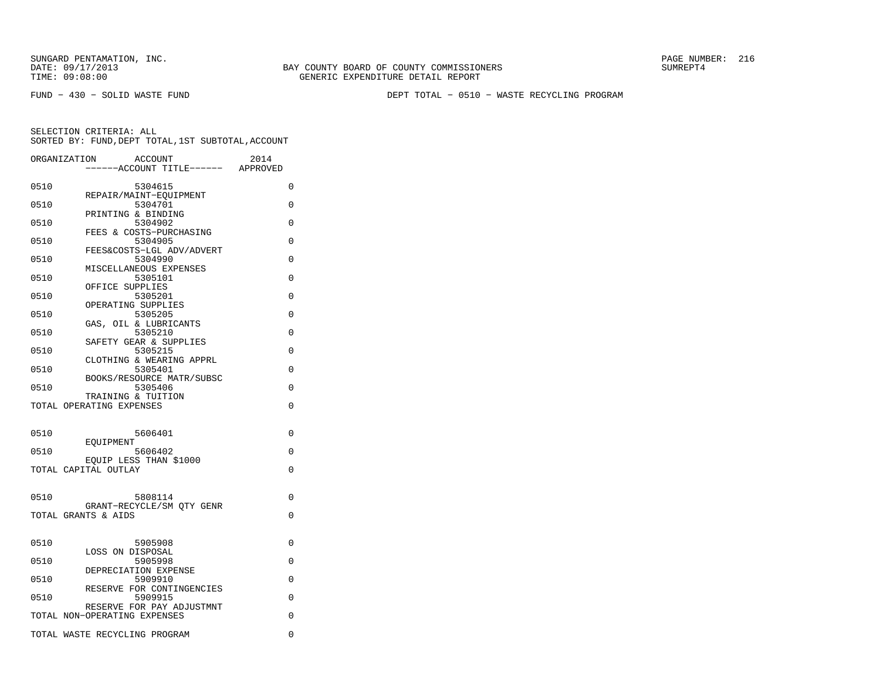BAY COUNTY BOARD OF COUNTY COMMISSIONERS TIME: 09:08:00 GENERIC EXPENDITURE DETAIL REPORT

FUND − 430 − SOLID WASTE FUND DEPT TOTAL − 0510 − WASTE RECYCLING PROGRAM

|      | <b>ACCOUNT</b><br>ORGANIZATION<br>----ACCOUNT TITLE------ | 2014<br>APPROVED |
|------|-----------------------------------------------------------|------------------|
| 0510 | 5304615                                                   | 0                |
| 0510 | REPAIR/MAINT-EQUIPMENT<br>5304701                         | $\Omega$         |
| 0510 | PRINTING & BINDING<br>5304902                             | 0                |
| 0510 | FEES & COSTS-PURCHASING<br>5304905                        | 0                |
| 0510 | FEES&COSTS-LGL ADV/ADVERT<br>5304990                      | 0                |
| 0510 | MISCELLANEOUS EXPENSES<br>5305101                         | 0                |
|      | OFFICE SUPPLIES                                           |                  |
| 0510 | 5305201<br>OPERATING SUPPLIES                             | $\Omega$         |
| 0510 | 5305205<br>GAS, OIL & LUBRICANTS                          | $\Omega$         |
| 0510 | 5305210<br>SAFETY GEAR & SUPPLIES                         | 0                |
| 0510 | 5305215<br>CLOTHING & WEARING APPRL                       | $\Omega$         |
| 0510 | 5305401<br>BOOKS/RESOURCE MATR/SUBSC                      | 0                |
| 0510 | 5305406<br>TRAINING & TUITION                             | $\Omega$         |
|      | TOTAL OPERATING EXPENSES                                  | 0                |
| 0510 | 5606401                                                   | 0                |
|      | EOUIPMENT                                                 | $\Omega$         |
| 0510 | 5606402<br>EQUIP LESS THAN \$1000                         |                  |
|      | TOTAL CAPITAL OUTLAY                                      | 0                |
| 0510 | 5808114                                                   | $\Omega$         |
|      | GRANT-RECYCLE/SM OTY GENR<br>TOTAL GRANTS & AIDS          | 0                |
|      |                                                           |                  |
| 0510 | 5905908<br>LOSS ON DISPOSAL                               | 0                |
| 0510 | 5905998<br>DEPRECIATION EXPENSE                           | 0                |
| 0510 | 5909910<br>RESERVE FOR CONTINGENCIES                      | 0                |
| 0510 | 5909915<br>RESERVE FOR PAY ADJUSTMNT                      | $\Omega$         |
|      | TOTAL NON-OPERATING EXPENSES                              | 0                |
|      | TOTAL WASTE RECYCLING PROGRAM                             | 0                |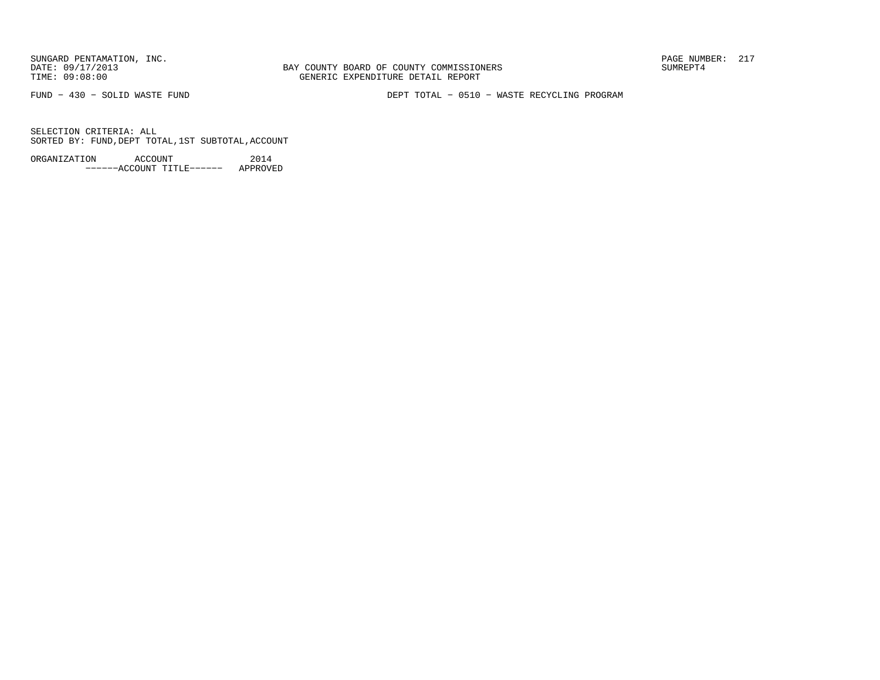BAY COUNTY BOARD OF COUNTY COMMISSIONERS TIME: 09:08:00 GENERIC EXPENDITURE DETAIL REPORT

FUND − 430 − SOLID WASTE FUND DEPT TOTAL − 0510 − WASTE RECYCLING PROGRAM

SELECTION CRITERIA: ALLSORTED BY: FUND,DEPT TOTAL,1ST SUBTOTAL,ACCOUNT

ORGANIZATION ACCOUNT 2014−−−−−−ACCOUNT TITLE−−−−−− APPROVED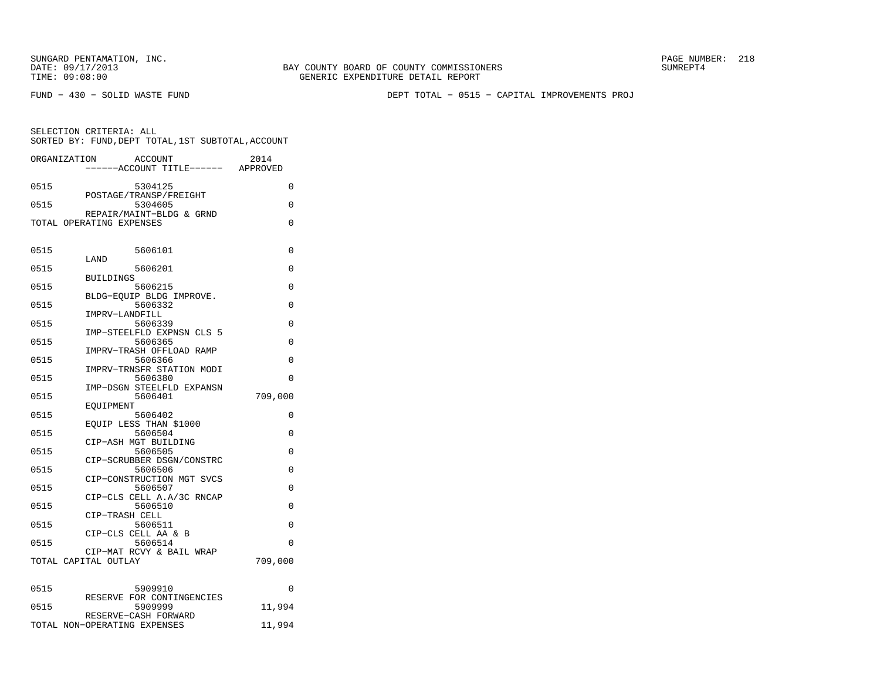SELECTION CRITERIA: ALL

BAY COUNTY BOARD OF COUNTY COMMISSIONERS TIME: 09:08:00 GENERIC EXPENDITURE DETAIL REPORT

FUND − 430 − SOLID WASTE FUND DEPT TOTAL − 0515 − CAPITAL IMPROVEMENTS PROJ

 SORTED BY: FUND,DEPT TOTAL,1ST SUBTOTAL,ACCOUNTORGANIZATION ACCOUNT 2014 −−−−−−ACCOUNT TITLE−−−−−− APPROVED0515 5304125 0 POSTAGE/TRANSP/FREIGHT0515 5304605 0

REPAIR/MAINT−BLDG & GRND

|      | TOTAL OPERATING EXPENSES        | $\Omega$    |
|------|---------------------------------|-------------|
| 0515 | 5606101                         | 0           |
| 0515 | LAND<br>5606201                 | $\Omega$    |
|      | <b>BUILDINGS</b>                |             |
| 0515 | 5606215                         | 0           |
|      | BLDG-EOUIP BLDG IMPROVE.        |             |
| 0515 | 5606332<br>IMPRV-LANDFILL       | $\Omega$    |
| 0515 | 5606339                         | 0           |
|      | IMP-STEELFLD EXPNSN CLS 5       |             |
| 0515 | 5606365                         | 0           |
|      | IMPRV-TRASH OFFLOAD RAMP        |             |
| 0515 | 5606366                         | $\Omega$    |
|      | IMPRV-TRNSFR STATION MODI       |             |
| 0515 | 5606380                         | $\Omega$    |
|      | IMP-DSGN STEELFLD EXPANSN       |             |
| 0515 | 5606401                         | 709,000     |
| 0515 | EOUIPMENT<br>5606402            | 0           |
|      | EOUIP LESS THAN \$1000          |             |
| 0515 | 5606504                         | 0           |
|      | CIP-ASH MGT BUILDING            |             |
| 0515 | 5606505                         | $\Omega$    |
|      | CIP-SCRUBBER DSGN/CONSTRC       |             |
| 0515 | 5606506                         | $\Omega$    |
|      | CIP-CONSTRUCTION MGT SVCS       |             |
| 0515 | 5606507                         | 0           |
|      | CIP-CLS CELL A.A/3C RNCAP       |             |
| 0515 | 5606510<br>CIP-TRASH CELL       | $\mathbf 0$ |
| 0515 | 5606511                         | 0           |
|      | CIP-CLS CELL AA & B             |             |
| 0515 | 5606514                         | 0           |
|      | CIP-MAT RCVY & BAIL WRAP        |             |
|      | TOTAL CAPITAL OUTLAY            | 709,000     |
|      |                                 |             |
|      |                                 |             |
| 0515 | 5909910                         | 0           |
|      | RESERVE FOR CONTINGENCIES       |             |
| 0515 | 5909999<br>RESERVE-CASH FORWARD | 11,994      |
|      | TOTAL NON-OPERATING EXPENSES    | 11,994      |
|      |                                 |             |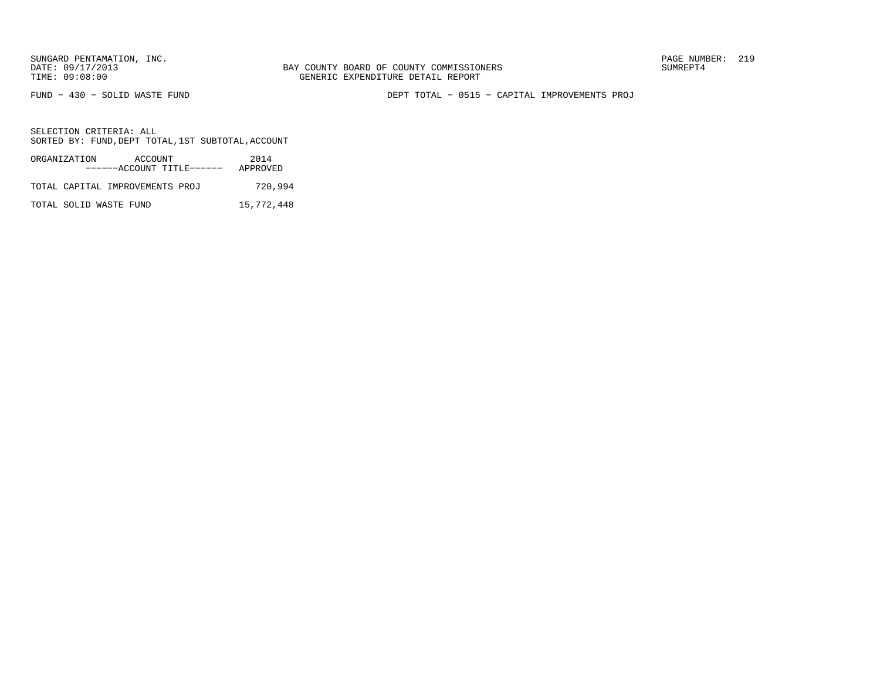FUND − 430 − SOLID WASTE FUND DEPT TOTAL − 0515 − CAPITAL IMPROVEMENTS PROJ

| ORGANIZATION           | ACCOUNT<br>------ACCOUNT TITLE------ | 2014<br>APPROVED |
|------------------------|--------------------------------------|------------------|
|                        | TOTAL CAPITAL IMPROVEMENTS PROJ      | 720,994          |
| TOTAL SOLID WASTE FUND |                                      | 15,772,448       |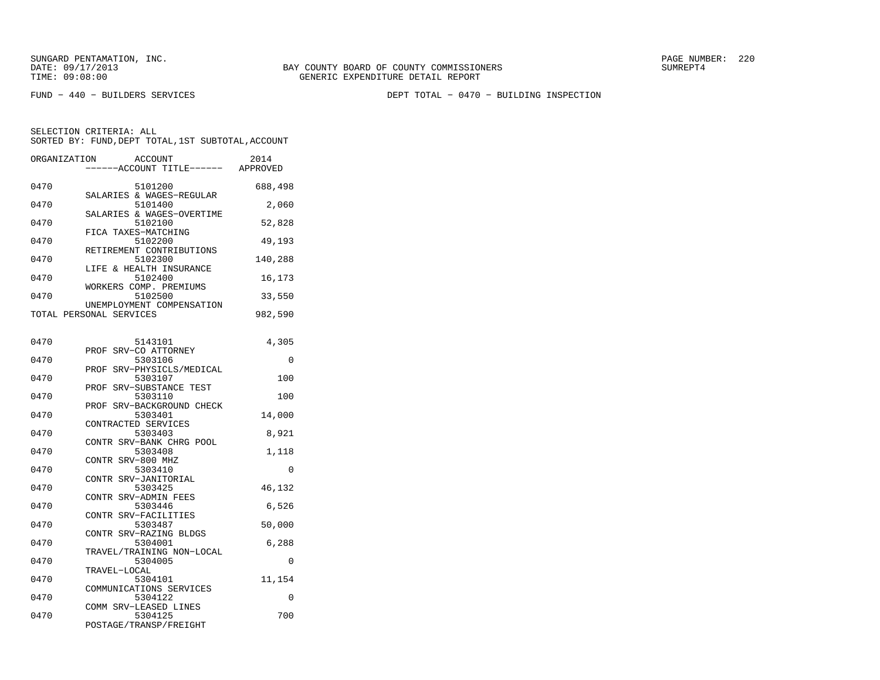FUND − 440 − BUILDERS SERVICES DEPT TOTAL − 0470 − BUILDING INSPECTION

| ORGANIZATION | <b>ACCOUNT</b><br>---ACCOUNT TITLE------             | 2014<br>APPROVED |
|--------------|------------------------------------------------------|------------------|
| 0470         | 5101200<br>SALARIES & WAGES-REGULAR                  | 688,498          |
| 0470         | 5101400                                              | 2,060            |
| 0470         | SALARIES & WAGES-OVERTIME<br>5102100                 | 52,828           |
| 0470         | FICA TAXES-MATCHING<br>5102200                       | 49,193           |
| 0470         | RETIREMENT CONTRIBUTIONS<br>5102300                  | 140,288          |
| 0470         | LIFE & HEALTH INSURANCE<br>5102400                   | 16,173           |
| 0470         | WORKERS COMP. PREMIUMS<br>5102500                    | 33,550           |
|              | UNEMPLOYMENT COMPENSATION<br>TOTAL PERSONAL SERVICES | 982,590          |
| 0470         | 5143101                                              | 4,305            |
| 0470         | SRV-CO ATTORNEY<br>PROF<br>5303106                   | 0                |
| 0470         | SRV-PHYSICLS/MEDICAL<br>PROF<br>5303107              | 100              |
| 0470         | SRV-SUBSTANCE TEST<br>PROF<br>5303110                | 100              |
| 0470         | PROF<br>SRV-BACKGROUND CHECK<br>5303401              | 14,000           |
| 0470         | CONTRACTED SERVICES<br>5303403                       | 8,921            |
| 0470         | CONTR SRV-BANK CHRG POOL<br>5303408                  | 1,118            |
| 0470         | CONTR SRV-800 MHZ<br>5303410                         | 0                |
| 0470         | CONTR SRV-JANITORIAL<br>5303425                      | 46,132           |
| 0470         | CONTR SRV-ADMIN FEES<br>5303446                      | 6,526            |
| 0470         | CONTR SRV-FACILITIES<br>5303487                      | 50,000           |
| 0470         | CONTR SRV-RAZING BLDGS<br>5304001                    | 6,288            |
| 0470         | TRAVEL/TRAINING NON-LOCAL<br>5304005                 | 0                |
| 0470         | TRAVEL-LOCAL<br>5304101                              | 11,154           |
| 0470         | COMMUNICATIONS SERVICES<br>5304122                   | 0                |
| 0470         | COMM SRV-LEASED LINES<br>5304125                     | 700              |
|              | POSTAGE/TRANSP/FREIGHT                               |                  |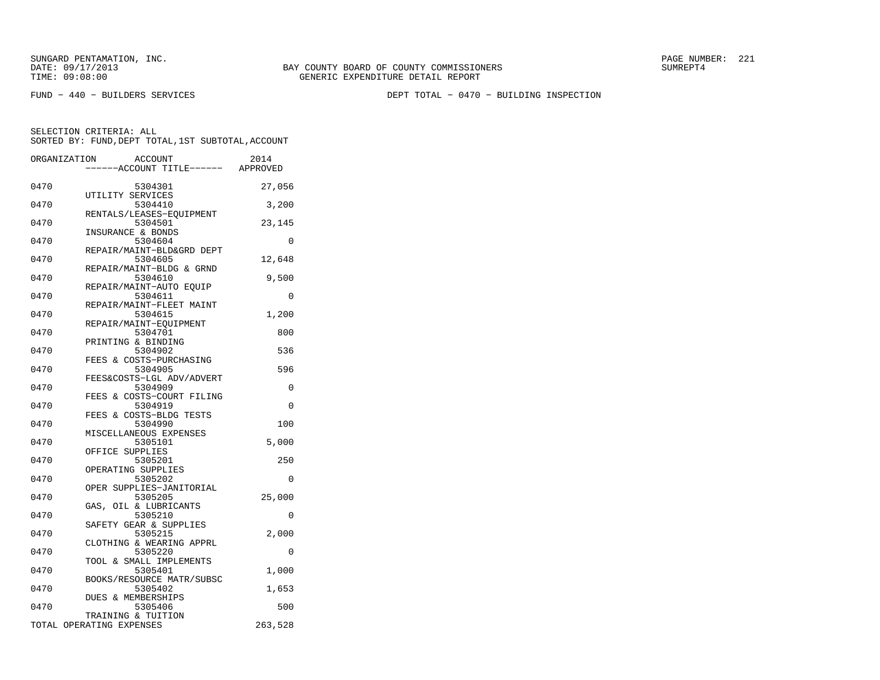FUND − 440 − BUILDERS SERVICES DEPT TOTAL − 0470 − BUILDING INSPECTION

|      | ORGANIZATION<br><b>ACCOUNT</b><br>---ACCOUNT TITLE------ APPROVED | 2014    |
|------|-------------------------------------------------------------------|---------|
| 0470 | 5304301                                                           | 27,056  |
| 0470 | UTILITY SERVICES<br>5304410                                       | 3,200   |
| 0470 | RENTALS/LEASES-EQUIPMENT<br>5304501                               | 23,145  |
| 0470 | INSURANCE & BONDS<br>5304604                                      | 0       |
| 0470 | REPAIR/MAINT-BLD&GRD DEPT<br>5304605                              | 12,648  |
| 0470 | REPAIR/MAINT-BLDG & GRND<br>5304610                               | 9,500   |
| 0470 | REPAIR/MAINT-AUTO EQUIP<br>5304611                                | 0       |
| 0470 | REPAIR/MAINT-FLEET MAINT<br>5304615                               | 1,200   |
| 0470 | REPAIR/MAINT-EOUIPMENT<br>5304701                                 | 800     |
| 0470 | PRINTING & BINDING<br>5304902                                     | 536     |
| 0470 | FEES & COSTS-PURCHASING<br>5304905                                | 596     |
| 0470 | FEES&COSTS-LGL ADV/ADVERT<br>5304909                              | 0       |
| 0470 | & COSTS-COURT FILING<br>FEES<br>5304919                           | 0       |
| 0470 | FEES & COSTS-BLDG TESTS<br>5304990                                | 100     |
| 0470 | MISCELLANEOUS EXPENSES<br>5305101                                 | 5,000   |
| 0470 | OFFICE SUPPLIES<br>5305201                                        | 250     |
| 0470 | OPERATING SUPPLIES<br>5305202                                     | 0       |
| 0470 | OPER SUPPLIES-JANITORIAL<br>5305205                               | 25,000  |
| 0470 | GAS, OIL & LUBRICANTS<br>5305210                                  | 0       |
| 0470 | SAFETY GEAR & SUPPLIES<br>5305215                                 | 2,000   |
| 0470 | CLOTHING & WEARING APPRL<br>5305220                               | 0       |
| 0470 | TOOL & SMALL IMPLEMENTS<br>5305401                                | 1,000   |
| 0470 | BOOKS/RESOURCE MATR/SUBSC<br>5305402                              | 1,653   |
| 0470 | DUES & MEMBERSHIPS<br>5305406                                     | 500     |
|      | TRAINING & TUITION<br>TOTAL OPERATING EXPENSES                    | 263,528 |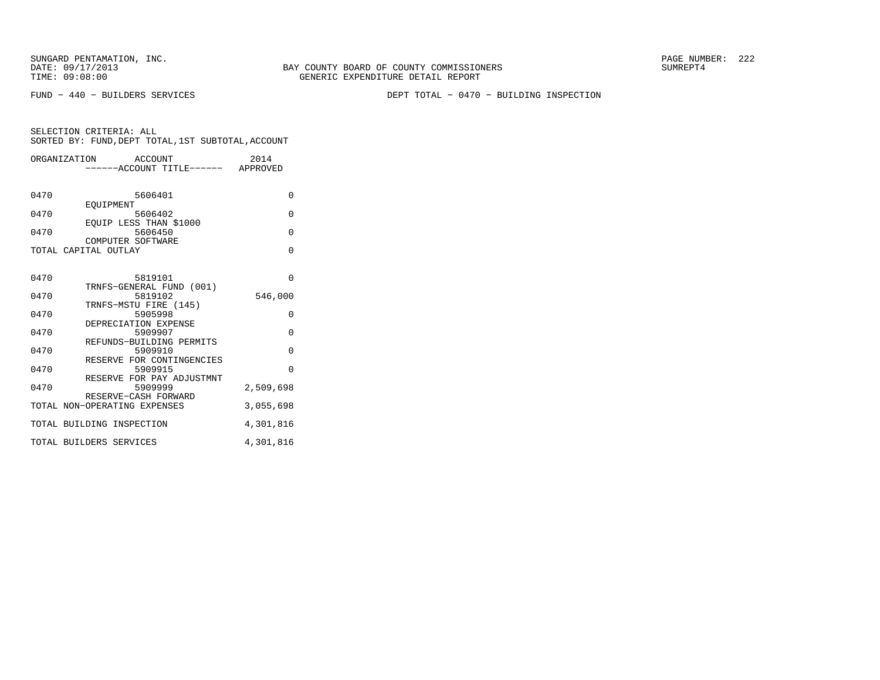FUND − 440 − BUILDERS SERVICES DEPT TOTAL − 0470 − BUILDING INSPECTION

| ORGANIZATION ACCOUNT         | -----ACCOUNT TITLE------ APPROVED    | 2014      |
|------------------------------|--------------------------------------|-----------|
| 0470<br>EOUIPMENT            | 5606401                              | $\Omega$  |
| 0470                         | 5606402<br>EOUIP LESS THAN \$1000    | $\Omega$  |
| 0470                         | 5606450<br>COMPUTER SOFTWARE         | $\Omega$  |
| TOTAL CAPITAL OUTLAY         |                                      | $\Omega$  |
| 0470                         | 5819101                              | $\Omega$  |
| 0470                         | TRNFS-GENERAL FUND (001)<br>5819102  | 546,000   |
| 0470                         | TRNFS-MSTU FIRE (145)<br>5905998     | 0         |
| 0470                         | DEPRECIATION EXPENSE<br>5909907      | $\Omega$  |
| 0470                         | REFUNDS-BUILDING PERMITS<br>5909910  | $\Omega$  |
| 0470                         | RESERVE FOR CONTINGENCIES<br>5909915 | $\Omega$  |
| 0470                         | RESERVE FOR PAY ADJUSTMNT<br>5909999 | 2,509,698 |
| TOTAL NON-OPERATING EXPENSES | RESERVE-CASH FORWARD                 | 3,055,698 |
| TOTAL BUILDING INSPECTION    |                                      | 4,301,816 |
| TOTAL BUILDERS SERVICES      |                                      | 4,301,816 |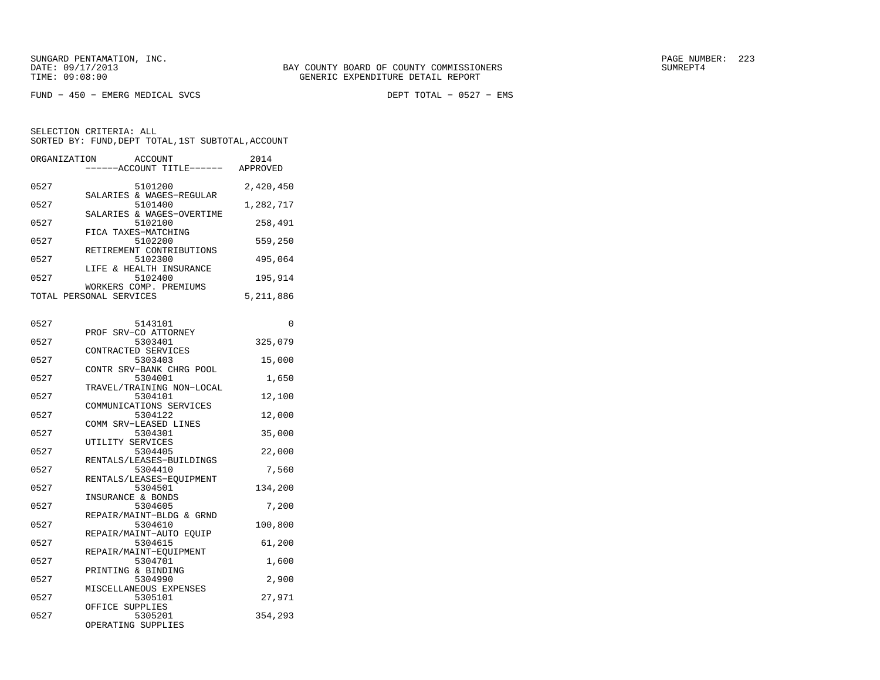FUND − 450 − EMERG MEDICAL SVCS DEPT TOTAL − 0527 − EMS

BAY COUNTY BOARD OF COUNTY COMMISSIONERS

SELECTION CRITERIA: ALLSORTED BY: FUND,DEPT TOTAL,1ST SUBTOTAL,ACCOUNT

|      | ORGANIZATION ACCOUNT<br>-----ACCOUNT TITLE------ APPROVED | 2014      |
|------|-----------------------------------------------------------|-----------|
| 0527 | 5101200                                                   | 2,420,450 |
| 0527 | SALARIES & WAGES-REGULAR<br>5101400                       | 1,282,717 |
| 0527 | SALARIES & WAGES-OVERTIME<br>5102100                      | 258,491   |
| 0527 | FICA TAXES-MATCHING<br>5102200                            | 559,250   |
| 0527 | RETIREMENT CONTRIBUTIONS<br>5102300                       | 495,064   |
| 0527 | LIFE & HEALTH INSURANCE<br>5102400                        | 195,914   |
|      | WORKERS COMP. PREMIUMS<br>TOTAL PERSONAL SERVICES         | 5,211,886 |
|      |                                                           |           |
| 0527 | 5143101                                                   | $\Omega$  |
| 0527 | PROF SRV-CO ATTORNEY<br>5303401                           | 325,079   |
| 0527 | CONTRACTED SERVICES<br>5303403                            | 15,000    |
| 0527 | CONTR SRV-BANK CHRG POOL<br>5304001                       | 1,650     |
| 0527 | TRAVEL/TRAINING NON-LOCAL<br>5304101                      | 12,100    |
|      | COMMUNICATIONS SERVICES                                   |           |

| 0527 | 5304001                   | 1,650   |
|------|---------------------------|---------|
|      | TRAVEL/TRAINING NON-LOCAL |         |
| 0527 | 5304101                   | 12,100  |
|      | COMMUNICATIONS SERVICES   |         |
| 0527 | 5304122                   | 12,000  |
|      | COMM SRV-LEASED LINES     |         |
| 0527 | 5304301                   | 35,000  |
|      | UTILITY SERVICES          |         |
| 0527 | 5304405                   | 22,000  |
|      | RENTALS/LEASES-BUILDINGS  |         |
| 0527 | 5304410                   | 7,560   |
|      | RENTALS/LEASES-EOUIPMENT  |         |
| 0527 | 5304501                   | 134,200 |
|      | INSURANCE & BONDS         |         |
| 0527 | 5304605                   | 7,200   |
|      | REPAIR/MAINT-BLDG & GRND  |         |
| 0527 | 5304610                   | 100,800 |
|      | REPAIR/MAINT-AUTO EOUIP   |         |
| 0527 | 5304615                   | 61,200  |
|      | REPAIR/MAINT-EOUIPMENT    |         |
| 0527 | 5304701                   | 1,600   |
|      | PRINTING & BINDING        |         |
| 0527 | 5304990                   | 2,900   |
|      | MISCELLANEOUS EXPENSES    |         |
| 0527 | 5305101                   | 27,971  |
|      | OFFICE SUPPLIES           |         |
| 0527 | 5305201                   | 354.293 |

0527 5305201 354,293

OPERATING SUPPLIES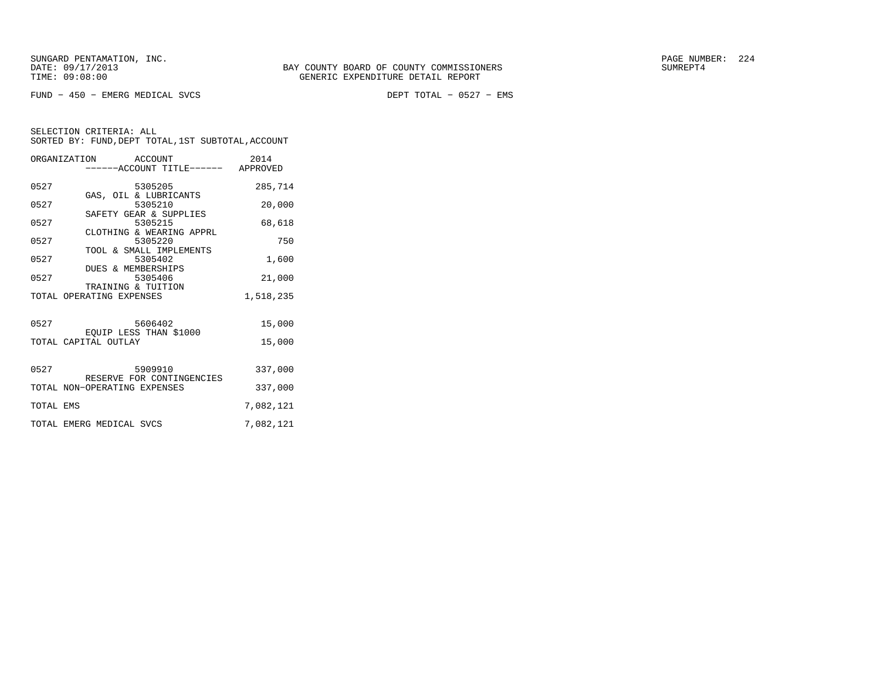FUND − 450 − EMERG MEDICAL SVCS DEPT TOTAL − 0527 − EMS

|           | ORGANIZATION ACCOUNT<br>------ACCOUNT TITLE------ APPROVED | 2014      |
|-----------|------------------------------------------------------------|-----------|
| 0527      | 5305205                                                    | 285,714   |
| 0527      | GAS, OIL & LUBRICANTS<br>5305210                           | 20,000    |
| 0527      | SAFETY GEAR & SUPPLIES<br>5305215                          | 68,618    |
| 0527      | CLOTHING & WEARING APPRL<br>5305220                        | 750       |
| 0527      | TOOL & SMALL IMPLEMENTS<br>5305402                         | 1,600     |
| 0527      | DUES & MEMBERSHIPS<br>5305406                              | 21,000    |
|           | TRAINING & TUITION<br>TOTAL OPERATING EXPENSES             | 1,518,235 |
| 0527      | 5606402                                                    | 15,000    |
|           | EQUIP LESS THAN \$1000<br>TOTAL CAPITAL OUTLAY             | 15,000    |
|           | 0527 5909910<br>RESERVE FOR CONTINGENCIES                  | 337,000   |
|           | TOTAL NON-OPERATING EXPENSES                               | 337,000   |
| TOTAL EMS |                                                            | 7,082,121 |
|           | TOTAL EMERG MEDICAL SVCS                                   | 7,082,121 |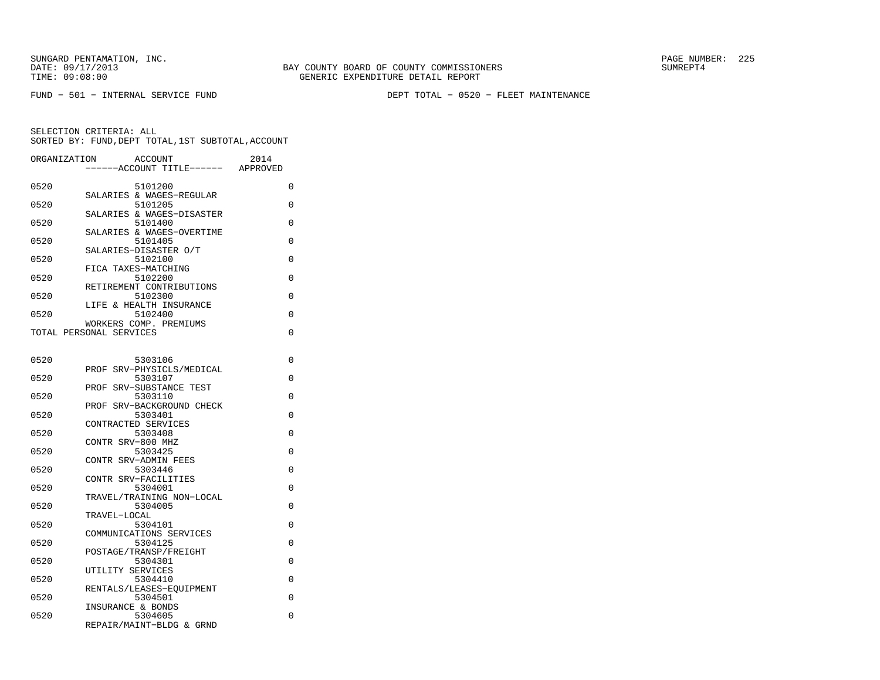FUND − 501 − INTERNAL SERVICE FUND DEPT TOTAL − 0520 − FLEET MAINTENANCE

| ORGANIZATION            |                   | ACCOUNT<br>---ACCOUNT TITLE------    | 2014<br>APPROVED |
|-------------------------|-------------------|--------------------------------------|------------------|
|                         |                   |                                      |                  |
| 0520                    |                   | 5101200<br>SALARIES & WAGES-REGULAR  | 0                |
| 0520                    |                   | 5101205                              | 0                |
|                         |                   | SALARIES & WAGES-DISASTER            |                  |
| 0520                    |                   | 5101400<br>SALARIES & WAGES-OVERTIME | 0                |
| 0520                    |                   | 5101405                              | 0                |
|                         |                   | SALARIES-DISASTER O/T                |                  |
| 0520                    |                   | 5102100                              | 0                |
| 0520                    |                   | FICA TAXES-MATCHING<br>5102200       | 0                |
|                         |                   | RETIREMENT CONTRIBUTIONS             |                  |
| 0520                    |                   | 5102300                              | $\Omega$         |
| 0520                    |                   | LIFE & HEALTH INSURANCE<br>5102400   | $\Omega$         |
|                         |                   | WORKERS COMP. PREMIUMS               |                  |
| TOTAL PERSONAL SERVICES |                   |                                      | 0                |
|                         |                   |                                      |                  |
| 0520                    |                   | 5303106                              | 0                |
|                         | PROF              | SRV-PHYSICLS/MEDICAL                 |                  |
| 0520                    |                   | 5303107                              | 0                |
|                         |                   | PROF SRV-SUBSTANCE TEST              |                  |
| 0520                    |                   | 5303110                              | 0                |
| 0520                    | PROF              | SRV-BACKGROUND CHECK<br>5303401      | $\Omega$         |
|                         |                   | CONTRACTED SERVICES                  |                  |
| 0520                    |                   | 5303408                              | $\Omega$         |
|                         | CONTR SRV-800 MHZ |                                      |                  |
| 0520                    |                   | 5303425<br>CONTR SRV-ADMIN FEES      | $\Omega$         |
| 0520                    |                   | 5303446                              | 0                |
|                         |                   | CONTR SRV-FACILITIES                 |                  |
| 0520                    |                   | 5304001                              | 0                |
| 0520                    |                   | TRAVEL/TRAINING NON-LOCAL<br>5304005 | 0                |
|                         | TRAVEL-LOCAL      |                                      |                  |
| 0520                    |                   | 5304101                              | 0                |
|                         |                   | COMMUNICATIONS SERVICES<br>5304125   |                  |
| 0520                    |                   | POSTAGE/TRANSP/FREIGHT               | 0                |
| 0520                    |                   | 5304301                              | 0                |
|                         | UTILITY SERVICES  |                                      |                  |
| 0520                    |                   | 5304410                              | $\Omega$         |
| 0520                    |                   | RENTALS/LEASES-EOUIPMENT<br>5304501  | 0                |
|                         | INSURANCE & BONDS |                                      |                  |
| 0520                    |                   | 5304605                              | 0                |
|                         |                   | REPAIR/MAINT-BLDG & GRND             |                  |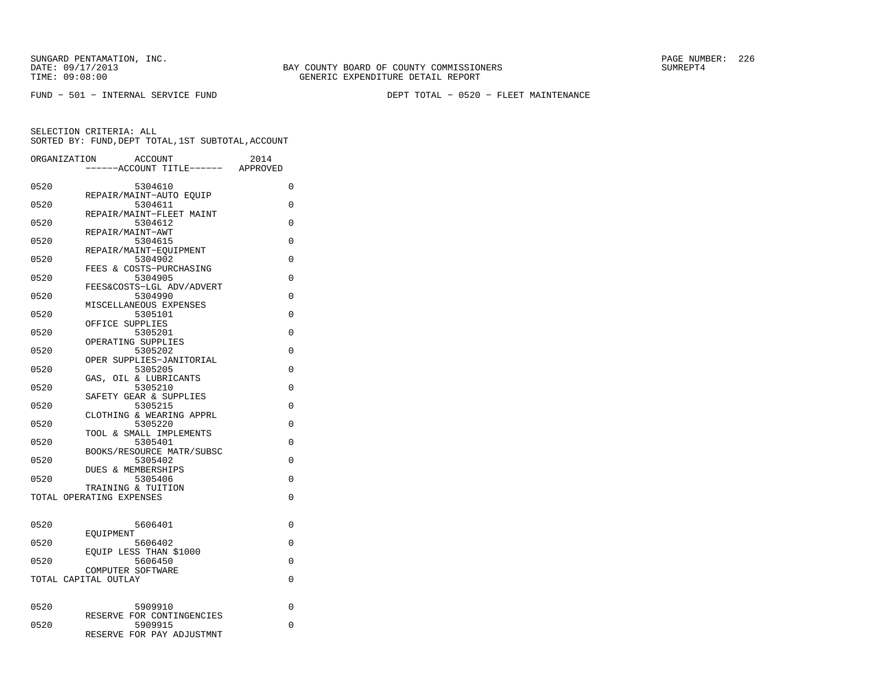FUND − 501 − INTERNAL SERVICE FUND DEPT TOTAL − 0520 − FLEET MAINTENANCE

| ORGANIZATION |                          | <b>ACCOUNT</b><br>---ACCOUNT TITLE------ | 2014<br>APPROVED |  |
|--------------|--------------------------|------------------------------------------|------------------|--|
| 0520         |                          | 5304610                                  | 0                |  |
| 0520         |                          | REPAIR/MAINT-AUTO EOUIP<br>5304611       | 0                |  |
| 0520         |                          | REPAIR/MAINT-FLEET MAINT<br>5304612      | $\Omega$         |  |
| 0520         | REPAIR/MAINT-AWT         | 5304615                                  | 0                |  |
| 0520         |                          | REPAIR/MAINT-EQUIPMENT<br>5304902        | 0                |  |
| 0520         |                          | FEES & COSTS-PURCHASING<br>5304905       | $\Omega$         |  |
| 0520         |                          | FEES&COSTS-LGL ADV/ADVERT<br>5304990     | $\Omega$         |  |
| 0520         |                          | MISCELLANEOUS EXPENSES                   | $\Omega$         |  |
|              | OFFICE SUPPLIES          | 5305101                                  |                  |  |
| 0520         |                          | 5305201<br>OPERATING SUPPLIES            | 0                |  |
| 0520         |                          | 5305202<br>OPER SUPPLIES-JANITORIAL      | 0                |  |
| 0520         |                          | 5305205<br>GAS, OIL & LUBRICANTS         | 0                |  |
| 0520         |                          | 5305210<br>SAFETY GEAR & SUPPLIES        | 0                |  |
| 0520         |                          | 5305215<br>CLOTHING & WEARING APPRL      | 0                |  |
| 0520         |                          | 5305220<br>TOOL & SMALL IMPLEMENTS       | $\Omega$         |  |
| 0520         |                          | 5305401                                  | $\Omega$         |  |
| 0520         |                          | BOOKS/RESOURCE MATR/SUBSC<br>5305402     | 0                |  |
| 0520         |                          | DUES & MEMBERSHIPS<br>5305406            | 0                |  |
|              | TOTAL OPERATING EXPENSES | TRAINING & TUITION                       | 0                |  |
|              |                          |                                          |                  |  |
| 0520         | EOUIPMENT                | 5606401                                  | 0                |  |
| 0520         |                          | 5606402<br>EOUIP LESS THAN \$1000        | $\Omega$         |  |
| 0520         | COMPUTER SOFTWARE        | 5606450                                  | 0                |  |
|              | TOTAL CAPITAL OUTLAY     |                                          | 0                |  |
| 0520         |                          | 5909910                                  | 0                |  |
| 0520         |                          | RESERVE FOR CONTINGENCIES<br>5909915     | 0                |  |
|              |                          | RESERVE FOR PAY ADJUSTMNT                |                  |  |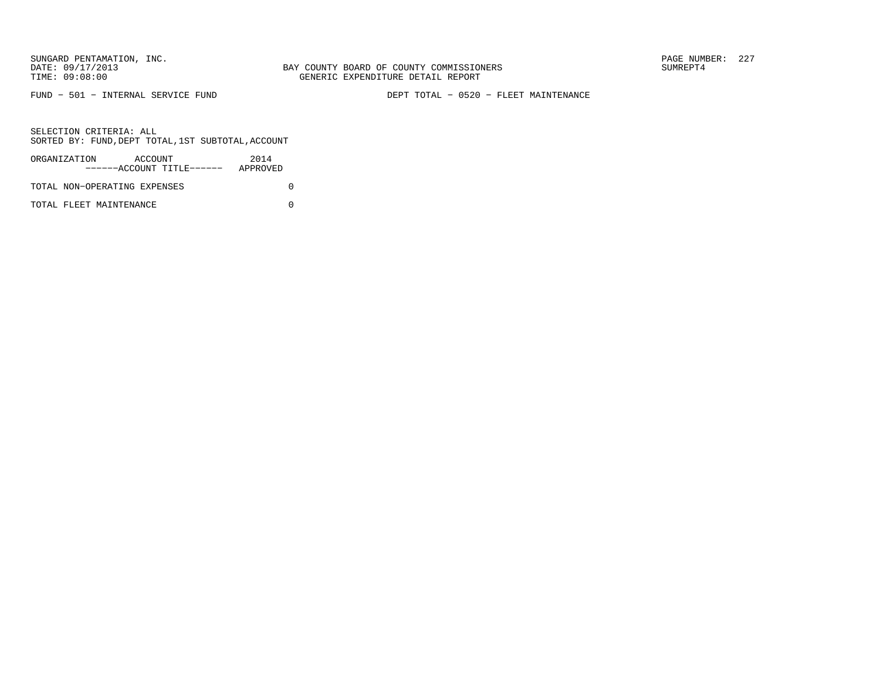FUND − 501 − INTERNAL SERVICE FUND DEPT TOTAL − 0520 − FLEET MAINTENANCE

SELECTION CRITERIA: ALLSORTED BY: FUND,DEPT TOTAL,1ST SUBTOTAL,ACCOUNT

| ORGANIZATION                 | ACCOUNT |                           | 2014     |  |
|------------------------------|---------|---------------------------|----------|--|
|                              |         | ------ACCOUNT TITLE------ | APPROVED |  |
| TOTAL NON-OPERATING EXPENSES |         |                           |          |  |

TOTAL FLEET MAINTENANCE 0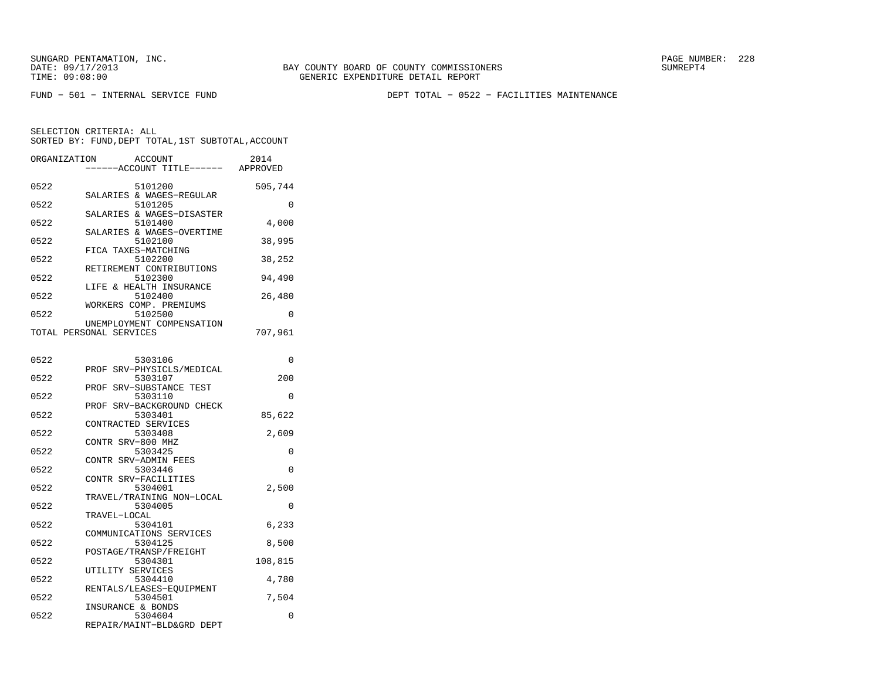FUND − 501 − INTERNAL SERVICE FUND DEPT TOTAL − 0522 − FACILITIES MAINTENANCE

| ORGANIZATION | <b>ACCOUNT</b><br>--ACCOUNT TITLE------                     | 2014<br>APPROVED |
|--------------|-------------------------------------------------------------|------------------|
| 0522         | 5101200<br>SALARIES & WAGES-REGULAR                         | 505,744          |
| 0522         | 5101205                                                     | 0                |
| 0522         | SALARIES & WAGES-DISASTER<br>5101400                        | 4,000            |
| 0522         | SALARIES & WAGES-OVERTIME<br>5102100<br>FICA TAXES-MATCHING | 38,995           |
| 0522         | 5102200                                                     | 38,252           |
| 0522         | RETIREMENT CONTRIBUTIONS<br>5102300                         | 94,490           |
| 0522         | LIFE & HEALTH INSURANCE<br>5102400                          | 26,480           |
| 0522         | WORKERS COMP. PREMIUMS<br>5102500                           | 0                |
|              | UNEMPLOYMENT COMPENSATION<br>TOTAL PERSONAL SERVICES        | 707,961          |
| 0522         | 5303106                                                     | 0                |
| 0522         | PROF SRV-PHYSICLS/MEDICAL<br>5303107                        | 200              |
| 0522         | SRV-SUBSTANCE TEST<br>PROF                                  | 0                |
|              | 5303110<br>PROF SRV-BACKGROUND CHECK                        |                  |
| 0522         | 5303401<br>CONTRACTED SERVICES                              | 85,622           |
| 0522         | 5303408<br>CONTR SRV-800 MHZ                                | 2,609            |
| 0522         | 5303425<br>CONTR SRV-ADMIN FEES                             | 0                |
| 0522         | 5303446<br>CONTR SRV-FACILITIES                             | $\Omega$         |
| 0522         | 5304001<br>TRAVEL/TRAINING NON-LOCAL                        | 2,500            |
| 0522         | 5304005                                                     | 0                |
| 0522         | TRAVEL-LOCAL<br>5304101                                     | 6,233            |
| 0522         | COMMUNICATIONS SERVICES<br>5304125                          | 8,500            |
| 0522         | POSTAGE/TRANSP/FREIGHT<br>5304301                           | 108,815          |
| 0522         | UTILITY SERVICES<br>5304410                                 | 4,780            |
| 0522         | RENTALS/LEASES-EOUIPMENT<br>5304501                         | 7,504            |
| 0522         | INSURANCE & BONDS<br>5304604<br>REPAIR/MAINT-BLD&GRD DEPT   | 0                |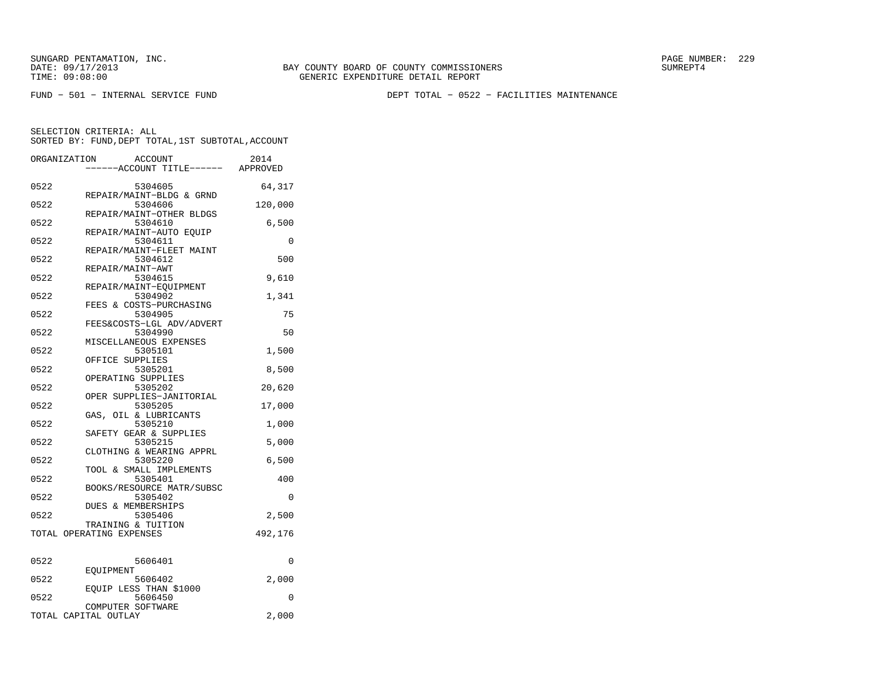FUND − 501 − INTERNAL SERVICE FUND DEPT TOTAL − 0522 − FACILITIES MAINTENANCE

|      | ORGANIZATION<br><b>ACCOUNT</b><br>---ACCOUNT TITLE------ APPROVED | 2014     |
|------|-------------------------------------------------------------------|----------|
| 0522 | 5304605                                                           | 64,317   |
| 0522 | REPAIR/MAINT-BLDG & GRND<br>5304606                               | 120,000  |
| 0522 | REPAIR/MAINT-OTHER BLDGS<br>5304610                               | 6,500    |
|      | REPAIR/MAINT-AUTO EQUIP                                           |          |
| 0522 | 5304611<br>REPAIR/MAINT-FLEET MAINT                               | 0        |
| 0522 | 5304612<br>REPAIR/MAINT-AWT                                       | 500      |
| 0522 | 5304615<br>REPAIR/MAINT-EQUIPMENT                                 | 9,610    |
| 0522 | 5304902                                                           | 1,341    |
| 0522 | FEES & COSTS-PURCHASING<br>5304905                                | 75       |
| 0522 | FEES&COSTS-LGL ADV/ADVERT<br>5304990                              | 50       |
| 0522 | MISCELLANEOUS EXPENSES<br>5305101                                 | 1,500    |
| 0522 | OFFICE SUPPLIES<br>5305201                                        | 8,500    |
| 0522 | OPERATING SUPPLIES<br>5305202                                     | 20,620   |
|      | OPER SUPPLIES-JANITORIAL                                          |          |
| 0522 | 5305205<br>GAS, OIL & LUBRICANTS                                  | 17,000   |
| 0522 | 5305210<br>SAFETY GEAR & SUPPLIES                                 | 1,000    |
| 0522 | 5305215<br>CLOTHING & WEARING APPRL                               | 5,000    |
| 0522 | 5305220<br>TOOL & SMALL IMPLEMENTS                                | 6,500    |
| 0522 | 5305401                                                           | 400      |
| 0522 | BOOKS/RESOURCE MATR/SUBSC<br>5305402                              | $\Omega$ |
| 0522 | <b>DUES &amp; MEMBERSHIPS</b><br>5305406                          | 2,500    |
|      | TRAINING & TUITION<br>TOTAL OPERATING EXPENSES                    | 492,176  |
|      |                                                                   |          |
| 0522 | 5606401<br>EOUIPMENT                                              | $\Omega$ |
| 0522 | 5606402<br>EQUIP LESS THAN \$1000                                 | 2,000    |
| 0522 | 5606450                                                           | $\Omega$ |
|      | COMPUTER SOFTWARE<br>TOTAL CAPITAL OUTLAY                         | 2,000    |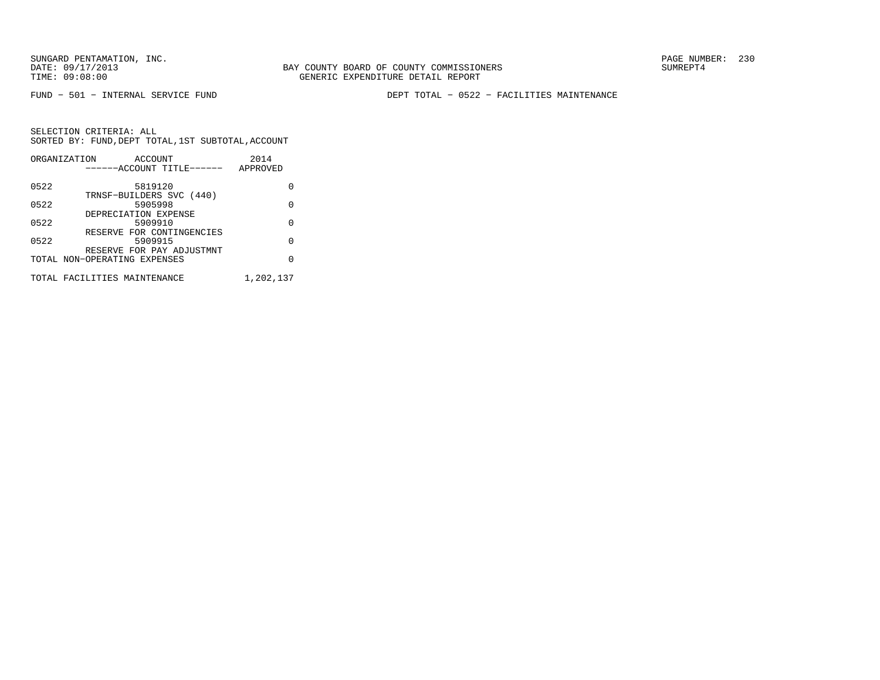BAY COUNTY BOARD OF COUNTY COMMISSIONERS TIME: 09:08:00 GENERIC EXPENDITURE DETAIL REPORT

FUND − 501 − INTERNAL SERVICE FUND DEPT TOTAL − 0522 − FACILITIES MAINTENANCE

|      | ORGANIZATION<br>ACCOUNT      | 2014      |
|------|------------------------------|-----------|
|      | ------ACCOUNT TITLE------    | APPROVED  |
|      |                              |           |
| 0522 | 5819120                      | O         |
|      | TRNSF-BUILDERS SVC (440)     |           |
| 0522 | 5905998                      | U         |
|      | DEPRECIATION EXPENSE         |           |
| 0522 | 5909910                      | O         |
|      | RESERVE FOR CONTINGENCIES    |           |
| 0522 | 5909915                      | O         |
|      | RESERVE FOR PAY ADJUSTMNT    |           |
|      | TOTAL NON-OPERATING EXPENSES | U         |
|      |                              |           |
|      | TOTAL FACILITIES MAINTENANCE | 1,202,137 |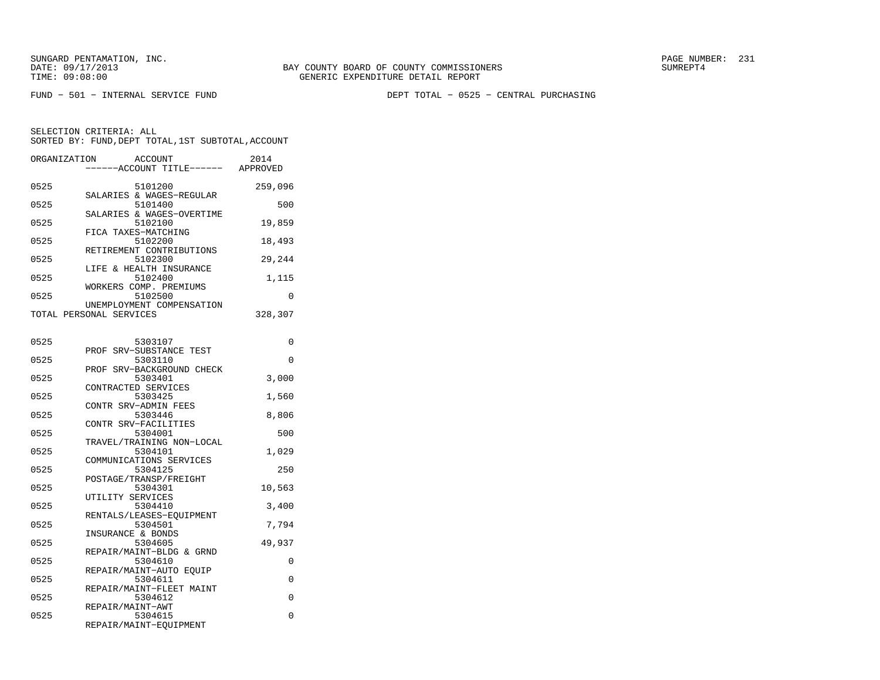FUND − 501 − INTERNAL SERVICE FUND DEPT TOTAL − 0525 − CENTRAL PURCHASING

| ORGANIZATION | ACCOUNT<br>---ACCOUNT TITLE------ APPROVED           | 2014     |
|--------------|------------------------------------------------------|----------|
| 0525         | 5101200<br>SALARIES & WAGES-REGULAR                  | 259,096  |
| 0525         | 5101400                                              | 500      |
| 0525         | SALARIES & WAGES-OVERTIME<br>5102100                 | 19,859   |
| 0525         | FICA TAXES-MATCHING<br>5102200                       | 18,493   |
| 0525         | RETIREMENT CONTRIBUTIONS<br>5102300                  | 29,244   |
| 0525         | LIFE & HEALTH INSURANCE<br>5102400                   | 1,115    |
| 0525         | WORKERS COMP. PREMIUMS<br>5102500                    | 0        |
|              | UNEMPLOYMENT COMPENSATION<br>TOTAL PERSONAL SERVICES | 328,307  |
| 0525         | 5303107                                              | 0        |
| 0525         | PROF<br>SRV-SUBSTANCE TEST<br>5303110                | 0        |
| 0525         | PROF SRV-BACKGROUND CHECK<br>5303401                 | 3,000    |
|              | CONTRACTED SERVICES                                  |          |
| 0525         | 5303425<br>CONTR SRV-ADMIN FEES                      | 1,560    |
| 0525         | 5303446<br>CONTR SRV-FACILITIES                      | 8,806    |
| 0525         | 5304001<br>TRAVEL/TRAINING NON-LOCAL                 | 500      |
| 0525         | 5304101<br>COMMUNICATIONS SERVICES                   | 1,029    |
| 0525         | 5304125<br>POSTAGE/TRANSP/FREIGHT                    | 250      |
| 0525         | 5304301                                              | 10,563   |
| 0525         | UTILITY SERVICES<br>5304410                          | 3,400    |
| 0525         | RENTALS/LEASES-EQUIPMENT<br>5304501                  | 7,794    |
| 0525         | INSURANCE & BONDS<br>5304605                         | 49,937   |
| 0525         | REPAIR/MAINT-BLDG & GRND<br>5304610                  | $\Omega$ |
| 0525         | REPAIR/MAINT-AUTO EQUIP<br>5304611                   | 0        |
| 0525         | REPAIR/MAINT-FLEET MAINT<br>5304612                  | 0        |
| 0525         | REPAIR/MAINT-AWT<br>5304615                          | 0        |
|              | REPAIR/MAINT-EQUIPMENT                               |          |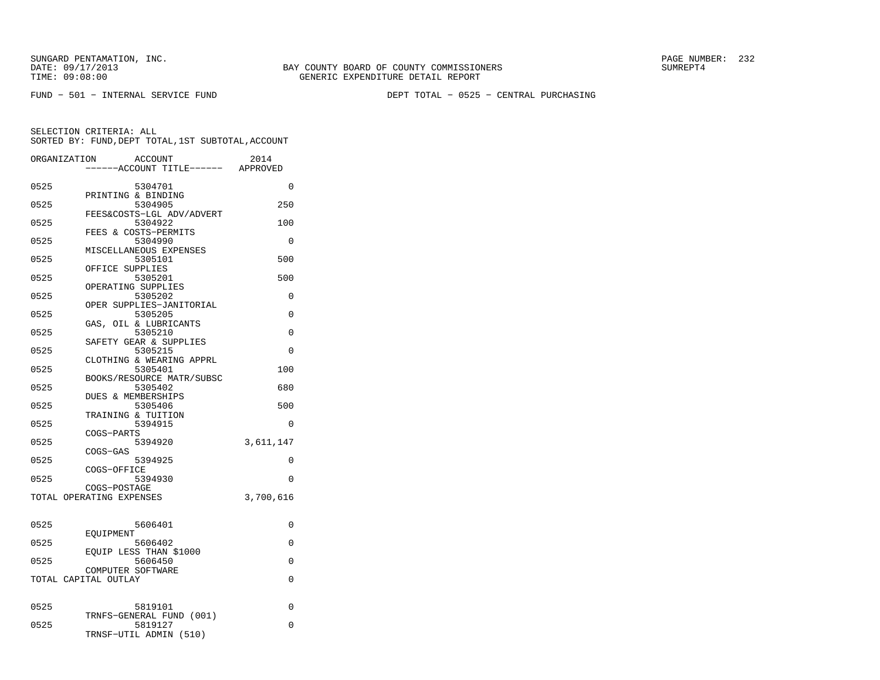FUND − 501 − INTERNAL SERVICE FUND DEPT TOTAL − 0525 − CENTRAL PURCHASING

| ORGANIZATION | <b>ACCOUNT</b>                       | 2014      |
|--------------|--------------------------------------|-----------|
|              | ---ACCOUNT TITLE------               | APPROVED  |
| 0525         | 5304701                              | $\Omega$  |
|              | PRINTING & BINDING                   |           |
| 0525         | 5304905<br>FEES&COSTS-LGL ADV/ADVERT | 250       |
| 0525         | 5304922                              | 100       |
|              | FEES & COSTS-PERMITS                 |           |
| 0525         | 5304990<br>MISCELLANEOUS EXPENSES    | $\Omega$  |
| 0525         | 5305101                              | 500       |
|              | OFFICE SUPPLIES                      |           |
| 0525         | 5305201                              | 500       |
| 0525         | OPERATING SUPPLIES<br>5305202        | $\Omega$  |
|              | OPER SUPPLIES-JANITORIAL             |           |
| 0525         | 5305205                              | $\Omega$  |
| 0525         | GAS, OIL & LUBRICANTS<br>5305210     | $\Omega$  |
|              | SAFETY GEAR & SUPPLIES               |           |
| 0525         | 5305215                              | 0         |
|              | CLOTHING & WEARING APPRL             |           |
| 0525         | 5305401<br>BOOKS/RESOURCE MATR/SUBSC | 100       |
| 0525         | 5305402                              | 680       |
|              | DUES & MEMBERSHIPS                   |           |
| 0525         | 5305406                              | 500       |
| 0525         | TRAINING & TUITION<br>5394915        | 0         |
|              | COGS-PARTS                           |           |
| 0525         | 5394920                              | 3,611,147 |
|              | COGS-GAS                             |           |
| 0525         | 5394925<br>COGS-OFFICE               | 0         |
| 0525         | 5394930                              | 0         |
|              | COGS-POSTAGE                         |           |
|              | TOTAL OPERATING EXPENSES             | 3,700,616 |
|              |                                      |           |
| 0525         | 5606401                              | 0         |
| 0525         | EOUIPMENT<br>5606402                 | 0         |
|              | EOUIP LESS THAN \$1000               |           |
| 0525         | 5606450                              | 0         |
|              | COMPUTER SOFTWARE                    |           |
|              | TOTAL CAPITAL OUTLAY                 | 0         |
|              |                                      |           |
| 0525         | 5819101                              | 0         |
| 0525         | TRNFS-GENERAL FUND (001)<br>5819127  | $\Omega$  |
|              | TRNSF-UTIL ADMIN (510)               |           |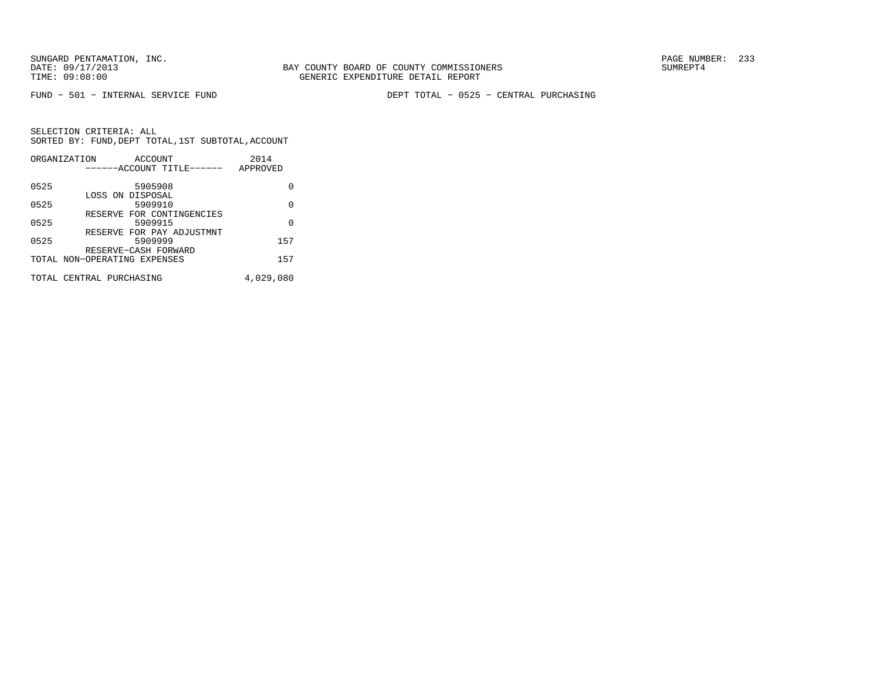FUND − 501 − INTERNAL SERVICE FUND DEPT TOTAL − 0525 − CENTRAL PURCHASING

|      | ORGANIZATION<br>ACCOUNT<br>------ACCOUNT TITLE------ | 2014<br>APPROVED |
|------|------------------------------------------------------|------------------|
|      |                                                      |                  |
| 0525 | 5905908                                              | U                |
|      | LOSS ON DISPOSAL                                     |                  |
| 0525 | 5909910                                              | 0                |
| 0525 | RESERVE FOR CONTINGENCIES<br>5909915                 | $\Omega$         |
|      | RESERVE FOR PAY ADJUSTMNT                            |                  |
| 0525 | 5909999                                              | 157              |
|      | RESERVE-CASH FORWARD                                 |                  |
|      | TOTAL NON-OPERATING EXPENSES                         | 157              |
|      | TOTAL CENTRAL PURCHASING                             | 4,029,080        |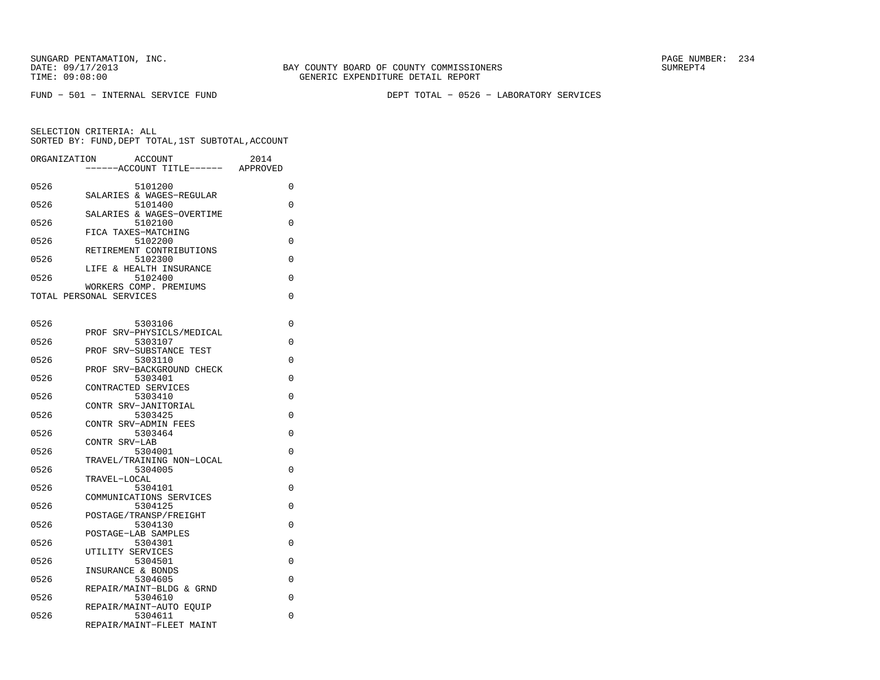FUND − 501 − INTERNAL SERVICE FUND DEPT TOTAL − 0526 − LABORATORY SERVICES

| ORGANIZATION | ACCOUNT<br>--ACCOUNT TITLE------                  | 2014<br>APPROVED |
|--------------|---------------------------------------------------|------------------|
|              |                                                   |                  |
| 0526         | 5101200                                           | 0                |
|              | SALARIES & WAGES-REGULAR                          |                  |
| 0526         | 5101400                                           | 0                |
| 0526         | SALARIES & WAGES-OVERTIME<br>5102100              | 0                |
|              | FICA TAXES-MATCHING                               |                  |
| 0526         | 5102200                                           | 0                |
|              | RETIREMENT CONTRIBUTIONS                          |                  |
| 0526         | 5102300                                           | 0                |
|              | LIFE & HEALTH INSURANCE                           |                  |
| 0526         | 5102400                                           | 0                |
|              | WORKERS COMP. PREMIUMS<br>TOTAL PERSONAL SERVICES | 0                |
|              |                                                   |                  |
|              |                                                   |                  |
| 0526         | 5303106                                           | 0                |
|              | PROF SRV-PHYSICLS/MEDICAL                         |                  |
| 0526         | 5303107                                           | 0                |
|              | SRV-SUBSTANCE TEST<br>PROF                        |                  |
| 0526         | 5303110                                           | 0                |
| 0526         | SRV-BACKGROUND CHECK<br>PROF<br>5303401           | 0                |
|              | CONTRACTED SERVICES                               |                  |
| 0526         | 5303410                                           | 0                |
|              | CONTR SRV-JANITORIAL                              |                  |
| 0526         | 5303425                                           | 0                |
|              | CONTR SRV-ADMIN FEES                              |                  |
| 0526         | 5303464                                           | 0                |
| 0526         | CONTR SRV-LAB<br>5304001                          | 0                |
|              | TRAVEL/TRAINING NON-LOCAL                         |                  |
| 0526         | 5304005                                           | 0                |
|              | TRAVEL-LOCAL                                      |                  |
| 0526         | 5304101                                           | 0                |
|              | COMMUNICATIONS SERVICES                           |                  |
| 0526         | 5304125                                           | 0                |
| 0526         | POSTAGE/TRANSP/FREIGHT<br>5304130                 | 0                |
|              | POSTAGE-LAB SAMPLES                               |                  |
| 0526         | 5304301                                           | 0                |
|              | UTILITY SERVICES                                  |                  |
| 0526         | 5304501                                           | 0                |
|              | INSURANCE & BONDS                                 |                  |
| 0526         | 5304605                                           | 0                |
| 0526         | REPAIR/MAINT-BLDG & GRND<br>5304610               | 0                |
|              | REPAIR/MAINT-AUTO EQUIP                           |                  |
| 0526         | 5304611                                           | 0                |
|              | REPAIR/MAINT-FLEET MAINT                          |                  |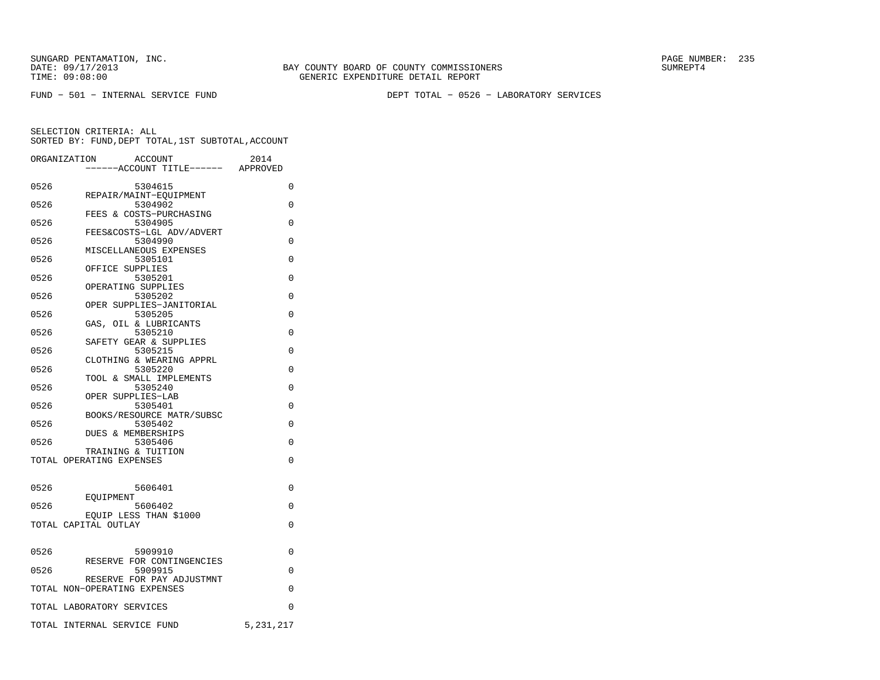FUND − 501 − INTERNAL SERVICE FUND DEPT TOTAL − 0526 − LABORATORY SERVICES

|      | <b>ACCOUNT</b><br>ORGANIZATION                 | 2014        |
|------|------------------------------------------------|-------------|
|      | ----ACCOUNT TITLE------ APPROVED               |             |
| 0526 | 5304615                                        | 0           |
|      | REPAIR/MAINT-EOUIPMENT                         |             |
| 0526 | 5304902<br>FEES & COSTS-PURCHASING             | 0           |
| 0526 | 5304905                                        | $\Omega$    |
|      | FEES&COSTS-LGL ADV/ADVERT                      |             |
| 0526 | 5304990                                        | $\Omega$    |
| 0526 | MISCELLANEOUS EXPENSES<br>5305101              | $\Omega$    |
|      | OFFICE SUPPLIES                                |             |
| 0526 | 5305201                                        | 0           |
|      | OPERATING SUPPLIES                             |             |
| 0526 | 5305202<br>OPER SUPPLIES-JANITORIAL            | 0           |
| 0526 | 5305205                                        | $\Omega$    |
|      | GAS, OIL & LUBRICANTS                          |             |
| 0526 | 5305210                                        | $\Omega$    |
| 0526 | SAFETY GEAR & SUPPLIES<br>5305215              | 0           |
|      | CLOTHING & WEARING APPRL                       |             |
| 0526 | 5305220                                        | 0           |
|      | TOOL & SMALL IMPLEMENTS                        |             |
| 0526 | 5305240<br>OPER SUPPLIES-LAB                   | 0           |
| 0526 | 5305401                                        | 0           |
|      | BOOKS/RESOURCE MATR/SUBSC                      |             |
| 0526 | 5305402                                        | $\Omega$    |
| 0526 | DUES & MEMBERSHIPS<br>5305406                  | 0           |
|      | TRAINING & TUITION                             |             |
|      | TOTAL OPERATING EXPENSES                       | $\Omega$    |
|      |                                                |             |
| 0526 | 5606401                                        | 0           |
|      | <b>EOUIPMENT</b>                               |             |
| 0526 | 5606402                                        | $\Omega$    |
|      | EOUIP LESS THAN \$1000<br>TOTAL CAPITAL OUTLAY | 0           |
|      |                                                |             |
|      |                                                |             |
| 0526 | 5909910<br>RESERVE FOR CONTINGENCIES           | $\Omega$    |
| 0526 | 5909915                                        | 0           |
|      | RESERVE FOR PAY ADJUSTMNT                      |             |
|      | TOTAL NON-OPERATING EXPENSES                   | $\Omega$    |
|      | TOTAL LABORATORY SERVICES                      | 0           |
|      | TOTAL INTERNAL SERVICE FUND                    | 5, 231, 217 |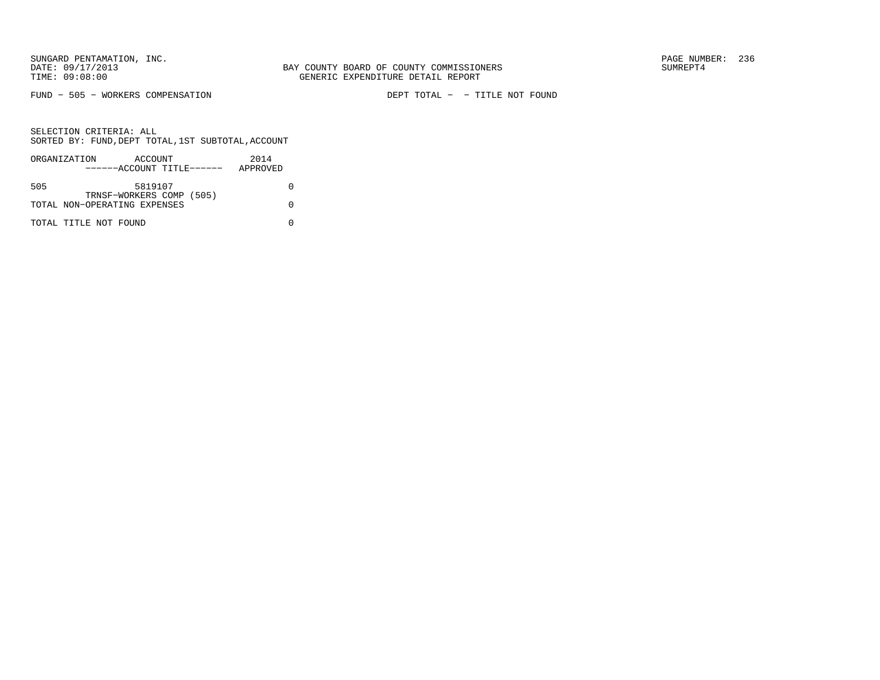FUND − 505 − WORKERS COMPENSATION DEPT TOTAL − − TITLE NOT FOUND

|     | ORGANIZATION                 | ACCOUNT                   |  | 2014     |  |
|-----|------------------------------|---------------------------|--|----------|--|
|     |                              | ------ACCOUNT TITLE------ |  | APPROVED |  |
|     |                              |                           |  |          |  |
| 505 |                              | 5819107                   |  |          |  |
|     |                              | TRNSF-WORKERS COMP (505)  |  |          |  |
|     | TOTAL NON-OPERATING EXPENSES |                           |  |          |  |
|     |                              |                           |  |          |  |
|     | TOTAL TITLE NOT FOUND        |                           |  |          |  |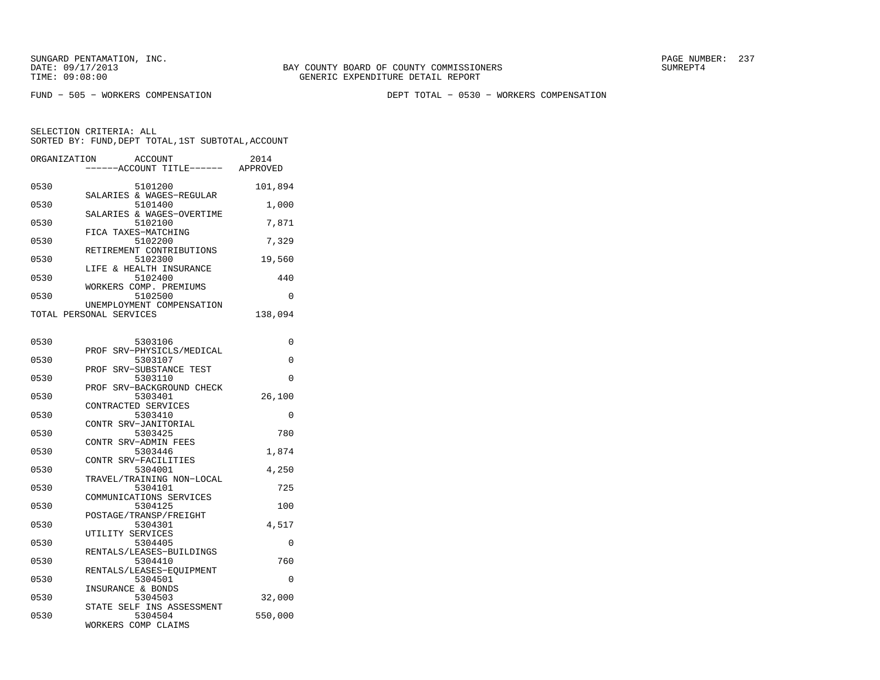BAY COUNTY BOARD OF COUNTY COMMISSIONERS TIME: 09:08:00 GENERIC EXPENDITURE DETAIL REPORT

FUND − 505 − WORKERS COMPENSATION DEPT TOTAL − 0530 − WORKERS COMPENSATION

SELECTION CRITERIA: ALL

SORTED BY: FUND,DEPT TOTAL,1ST SUBTOTAL,ACCOUNT

| ORGANIZATION | ACCOUNT<br>---ACCOUNT TITLE------ APPROVED           | 2014     |
|--------------|------------------------------------------------------|----------|
| 0530         | 5101200                                              | 101,894  |
| 0530         | SALARIES & WAGES-REGULAR<br>5101400                  | 1,000    |
| 0530         | SALARIES & WAGES-OVERTIME<br>5102100                 | 7,871    |
| 0530         | FICA TAXES-MATCHING<br>5102200                       | 7,329    |
| 0530         | RETIREMENT CONTRIBUTIONS<br>5102300                  | 19,560   |
| 0530         | LIFE & HEALTH INSURANCE<br>5102400                   | 440      |
| 0530         | WORKERS COMP. PREMIUMS<br>5102500                    | $\Omega$ |
|              | UNEMPLOYMENT COMPENSATION<br>TOTAL PERSONAL SERVICES | 138,094  |
| 0530         | 5303106                                              | 0        |
| 0530         | SRV-PHYSICLS/MEDICAL<br>PROF<br>5303107              | 0        |
| 0530         | SRV-SUBSTANCE TEST<br>PROF<br>5303110                | 0        |
| 0530         | PROF SRV-BACKGROUND CHECK<br>5303401                 | 26,100   |
| 0530         | CONTRACTED SERVICES<br>5303410                       | 0        |
| 0530         | CONTR SRV-JANITORIAL<br>5303425                      | 780      |
| 0530         | CONTR SRV-ADMIN FEES<br>5303446                      |          |
|              | CONTR SRV-FACILITIES                                 | 1,874    |
| 0530         | 5304001<br>TRAVEL/TRAINING NON-LOCAL                 | 4,250    |
| 0530         | 5304101<br>COMMUNICATIONS SERVICES                   | 725      |
| 0530         | 5304125<br>POSTAGE/TRANSP/FREIGHT                    | 100      |
| 0530         | 5304301<br>UTILITY SERVICES                          | 4,517    |
| 0530         | 5304405<br>RENTALS/LEASES-BUILDINGS                  | 0        |
| 0530         | 5304410<br>RENTALS/LEASES-EQUIPMENT                  | 760      |
| 0530         | 5304501<br>INSURANCE & BONDS                         | 0        |
| 0530         | 5304503<br>STATE SELF INS ASSESSMENT                 | 32,000   |
| 0530         | 5304504<br>WORKERS COMP CLAIMS                       | 550,000  |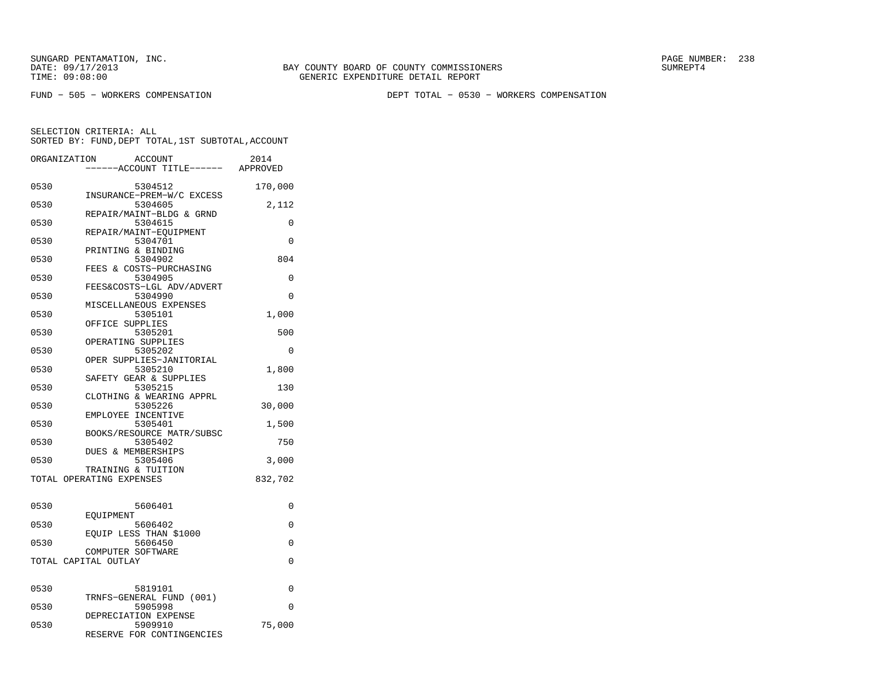FUND − 505 − WORKERS COMPENSATION DEPT TOTAL − 0530 − WORKERS COMPENSATION

SELECTION CRITERIA: ALL

SORTED BY: FUND,DEPT TOTAL,1ST SUBTOTAL,ACCOUNT

| ORGANIZATION             |                   | <b>ACCOUNT</b><br>---ACCOUNT TITLE------ APPROVED       | 2014     |
|--------------------------|-------------------|---------------------------------------------------------|----------|
| 0530                     |                   | 5304512<br>INSURANCE-PREM-W/C EXCESS                    | 170,000  |
| 0530                     |                   | 5304605<br>REPAIR/MAINT-BLDG & GRND                     | 2,112    |
| 0530                     |                   | 5304615                                                 | 0        |
| 0530                     |                   | REPAIR/MAINT-EQUIPMENT<br>5304701<br>PRINTING & BINDING | $\Omega$ |
| 0530                     |                   | 5304902<br>FEES & COSTS-PURCHASING                      | 804      |
| 0530                     |                   | 5304905<br>FEES&COSTS-LGL ADV/ADVERT                    | 0        |
| 0530                     |                   | 5304990                                                 | 0        |
| 0530                     |                   | MISCELLANEOUS EXPENSES<br>5305101                       | 1,000    |
| 0530                     | OFFICE SUPPLIES   | 5305201                                                 | 500      |
| 0530                     |                   | OPERATING SUPPLIES<br>5305202                           | 0        |
| 0530                     |                   | OPER SUPPLIES-JANITORIAL<br>5305210                     | 1,800    |
| 0530                     |                   | SAFETY GEAR & SUPPLIES<br>5305215                       | 130      |
| 0530                     |                   | CLOTHING & WEARING APPRL<br>5305226                     | 30,000   |
| 0530                     |                   | EMPLOYEE INCENTIVE<br>5305401                           | 1,500    |
| 0530                     |                   | BOOKS/RESOURCE MATR/SUBSC<br>5305402                    | 750      |
| 0530                     |                   | DUES & MEMBERSHIPS<br>5305406                           | 3,000    |
| TOTAL OPERATING EXPENSES |                   | TRAINING & TUITION                                      | 832,702  |
| 0530                     |                   | 5606401                                                 | 0        |
| 0530                     | EOUIPMENT         | 5606402                                                 | 0        |
| 0530                     |                   | EQUIP LESS THAN \$1000<br>5606450                       | 0        |
| TOTAL CAPITAL OUTLAY     | COMPUTER SOFTWARE |                                                         | 0        |
|                          |                   |                                                         |          |
| 0530                     |                   | 5819101<br>TRNFS-GENERAL FUND (001)                     | 0        |
| 0530                     |                   | 5905998<br>DEPRECIATION EXPENSE                         | $\Omega$ |
| 0530                     |                   | 5909910<br>RESERVE FOR CONTINGENCIES                    | 75,000   |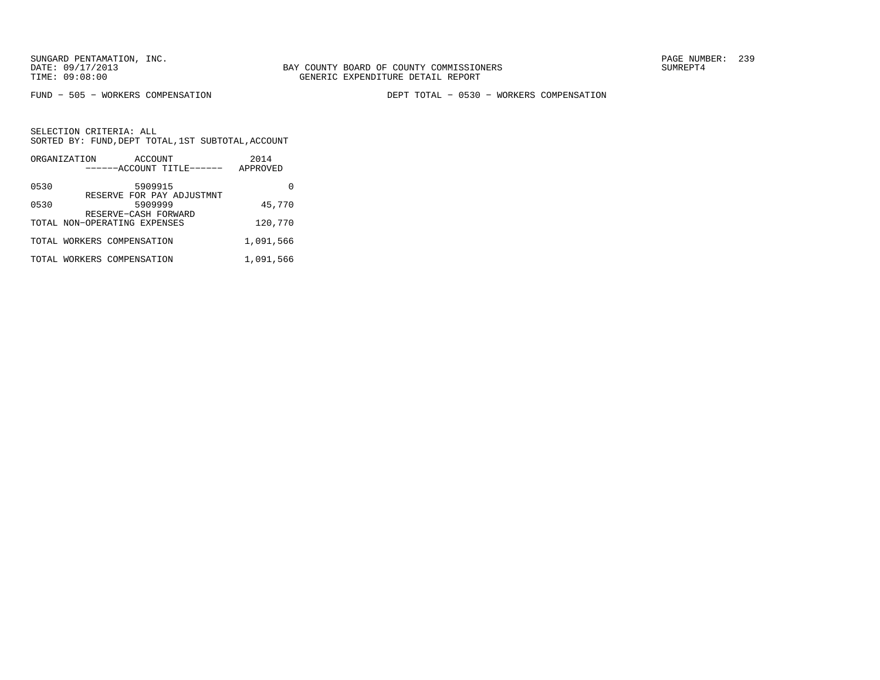FUND − 505 − WORKERS COMPENSATION DEPT TOTAL − 0530 − WORKERS COMPENSATION

|      | ORGANIZATION                 | ACCOUNT                                                      | 2014      |
|------|------------------------------|--------------------------------------------------------------|-----------|
|      |                              | ------ACCOUNT TITLE------                                    | APPROVED  |
| 0530 |                              | 5909915                                                      |           |
| 0530 |                              | RESERVE FOR PAY ADJUSTMNT<br>5909999<br>RESERVE-CASH FORWARD | 45,770    |
|      | TOTAL NON-OPERATING EXPENSES |                                                              | 120,770   |
|      | TOTAL WORKERS COMPENSATION   |                                                              | 1,091,566 |
|      | TOTAL WORKERS COMPENSATION   |                                                              | 1,091,566 |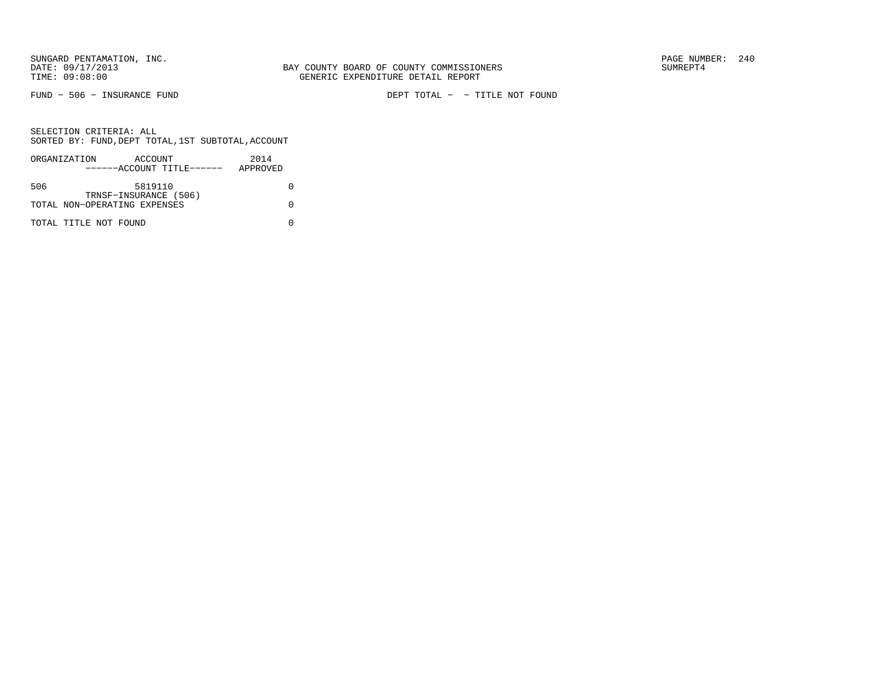FUND − 506 − INSURANCE FUND DEPT TOTAL − − TITLE NOT FOUND

|     | ORGANIZATION                 | ACCOUNT               |                           | 2014     |  |
|-----|------------------------------|-----------------------|---------------------------|----------|--|
|     |                              |                       | ------ACCOUNT TITLE------ | APPROVED |  |
|     |                              |                       |                           |          |  |
| 506 |                              | 5819110               |                           |          |  |
|     |                              | TRNSF-INSURANCE (506) |                           |          |  |
|     | TOTAL NON-OPERATING EXPENSES |                       |                           |          |  |
|     |                              |                       |                           |          |  |
|     | TOTAL TITLE NOT FOUND        |                       |                           |          |  |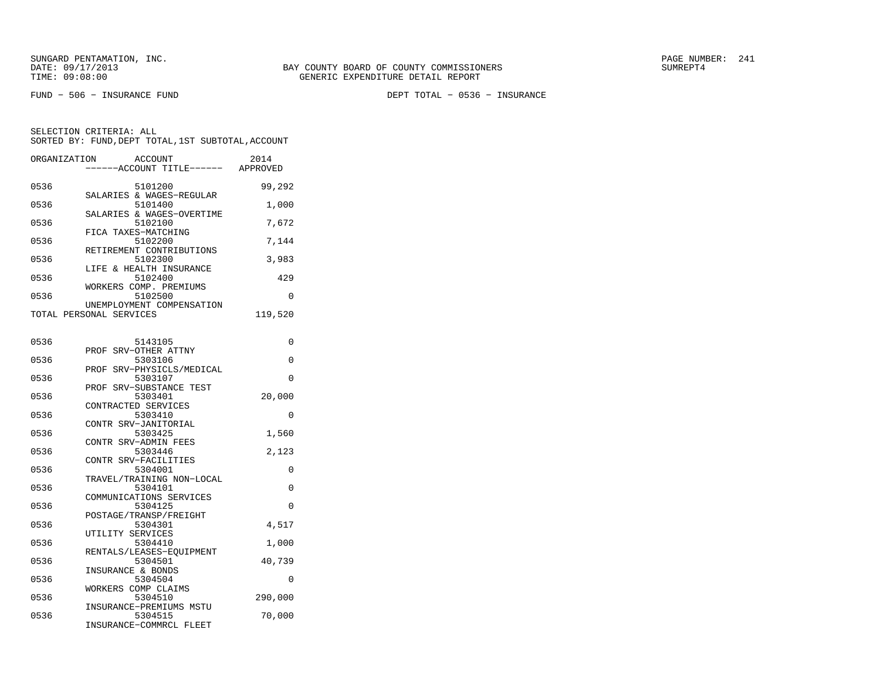FUND − 506 − INSURANCE FUND DEPT TOTAL − 0536 − INSURANCE

| ORGANIZATION | <b>ACCOUNT</b>                      | 2014     |
|--------------|-------------------------------------|----------|
|              | ----ACCOUNT TITLE------             | APPROVED |
|              |                                     |          |
| 0536         | 5101200                             | 99,292   |
| 0536         | SALARIES & WAGES-REGULAR<br>5101400 | 1,000    |
|              | SALARIES & WAGES-OVERTIME           |          |
| 0536         | 5102100                             | 7,672    |
|              | FICA TAXES-MATCHING                 |          |
| 0536         | 5102200                             | 7,144    |
|              | RETIREMENT CONTRIBUTIONS            |          |
| 0536         | 5102300                             | 3,983    |
| 0536         | LIFE & HEALTH INSURANCE<br>5102400  | 429      |
|              | WORKERS COMP. PREMIUMS              |          |
| 0536         | 5102500                             | 0        |
|              | UNEMPLOYMENT COMPENSATION           |          |
|              | TOTAL PERSONAL SERVICES             | 119,520  |
|              |                                     |          |
|              |                                     |          |
| 0536         | 5143105                             | 0        |
| 0536         | PROF SRV-OTHER ATTNY<br>5303106     | 0        |
|              | PROF SRV-PHYSICLS/MEDICAL           |          |
| 0536         | 5303107                             | 0        |
|              | PROF SRV-SUBSTANCE TEST             |          |
| 0536         | 5303401                             | 20,000   |
|              | CONTRACTED SERVICES                 |          |
| 0536         | 5303410                             | 0        |
|              | CONTR SRV-JANITORIAL                |          |
| 0536         | 5303425<br>CONTR SRV-ADMIN FEES     | 1,560    |
| 0536         | 5303446                             | 2,123    |
|              | CONTR SRV-FACILITIES                |          |
| 0536         | 5304001                             | 0        |
|              | TRAVEL/TRAINING NON-LOCAL           |          |
| 0536         | 5304101                             | $\Omega$ |
|              | COMMUNICATIONS SERVICES             |          |
| 0536         | 5304125                             | 0        |
| 0536         | POSTAGE/TRANSP/FREIGHT<br>5304301   | 4,517    |
|              | UTILITY SERVICES                    |          |
| 0536         | 5304410                             | 1,000    |
|              | RENTALS/LEASES-EOUIPMENT            |          |
| 0536         | 5304501                             | 40,739   |
|              | INSURANCE & BONDS                   |          |
| 0536         | 5304504                             | $\Omega$ |
|              | WORKERS COMP CLAIMS                 |          |
| 0536         | 5304510<br>INSURANCE-PREMIUMS MSTU  | 290,000  |
| 0536         | 5304515                             | 70,000   |
|              | INSURANCE-COMMRCL FLEET             |          |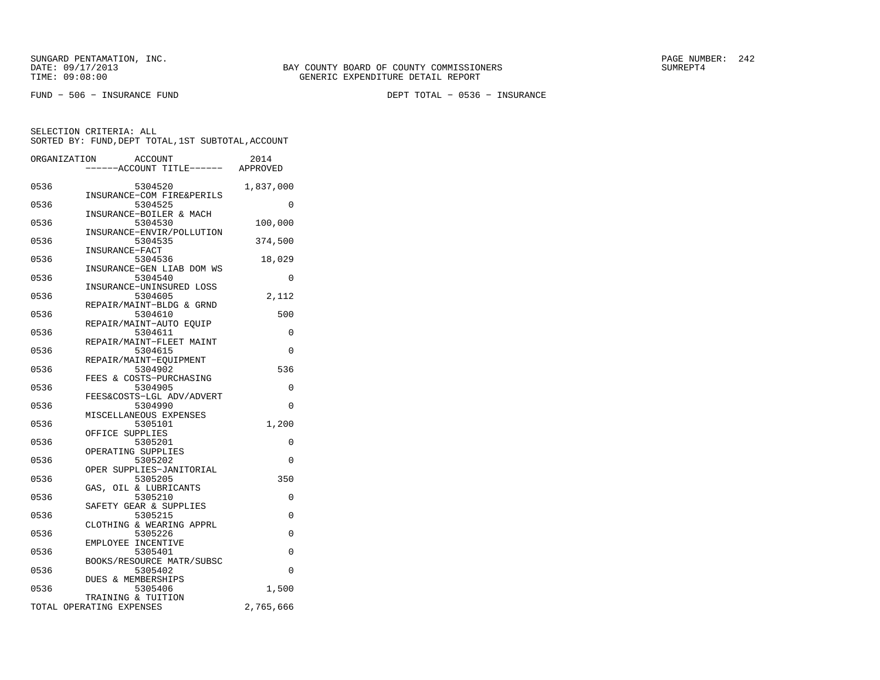FUND − 506 − INSURANCE FUND DEPT TOTAL − 0536 − INSURANCE

|      | ORGANIZATION<br><b>ACCOUNT</b><br>---ACCOUNT TITLE------ APPROVED | 2014      |
|------|-------------------------------------------------------------------|-----------|
| 0536 | 5304520<br>INSURANCE-COM FIRE&PERILS                              | 1,837,000 |
| 0536 | 5304525<br>INSURANCE-BOILER & MACH                                | 0         |
| 0536 | 5304530<br>INSURANCE-ENVIR/POLLUTION                              | 100,000   |
| 0536 | 5304535<br>INSURANCE-FACT                                         | 374,500   |
| 0536 | 5304536<br>INSURANCE-GEN LIAB DOM WS                              | 18,029    |
| 0536 | 5304540<br>INSURANCE-UNINSURED LOSS                               | 0         |
| 0536 | 5304605<br>REPAIR/MAINT-BLDG & GRND                               | 2,112     |
| 0536 | 5304610                                                           | 500       |
| 0536 | REPAIR/MAINT-AUTO EQUIP<br>5304611                                | 0         |
| 0536 | REPAIR/MAINT-FLEET MAINT<br>5304615<br>REPAIR/MAINT-EQUIPMENT     | 0         |
| 0536 | 5304902<br>FEES & COSTS-PURCHASING                                | 536       |
| 0536 | 5304905<br>FEES&COSTS-LGL ADV/ADVERT                              | 0         |
| 0536 | 5304990                                                           | $\Omega$  |
| 0536 | MISCELLANEOUS EXPENSES<br>5305101<br>OFFICE SUPPLIES              | 1,200     |
| 0536 | 5305201                                                           | 0         |
| 0536 | OPERATING SUPPLIES<br>5305202<br>OPER SUPPLIES-JANITORIAL         | $\Omega$  |
| 0536 | 5305205<br>GAS, OIL & LUBRICANTS                                  | 350       |
| 0536 | 5305210<br>SAFETY GEAR & SUPPLIES                                 | 0         |
| 0536 | 5305215<br>CLOTHING & WEARING APPRL                               | 0         |
| 0536 | 5305226<br>EMPLOYEE INCENTIVE                                     | 0         |
| 0536 | 5305401<br>BOOKS/RESOURCE MATR/SUBSC                              | 0         |
| 0536 | 5305402<br>DUES & MEMBERSHIPS                                     | $\Omega$  |
| 0536 | 5305406<br>TRAINING & TUITION                                     | 1,500     |
|      | TOTAL OPERATING EXPENSES                                          | 2,765,666 |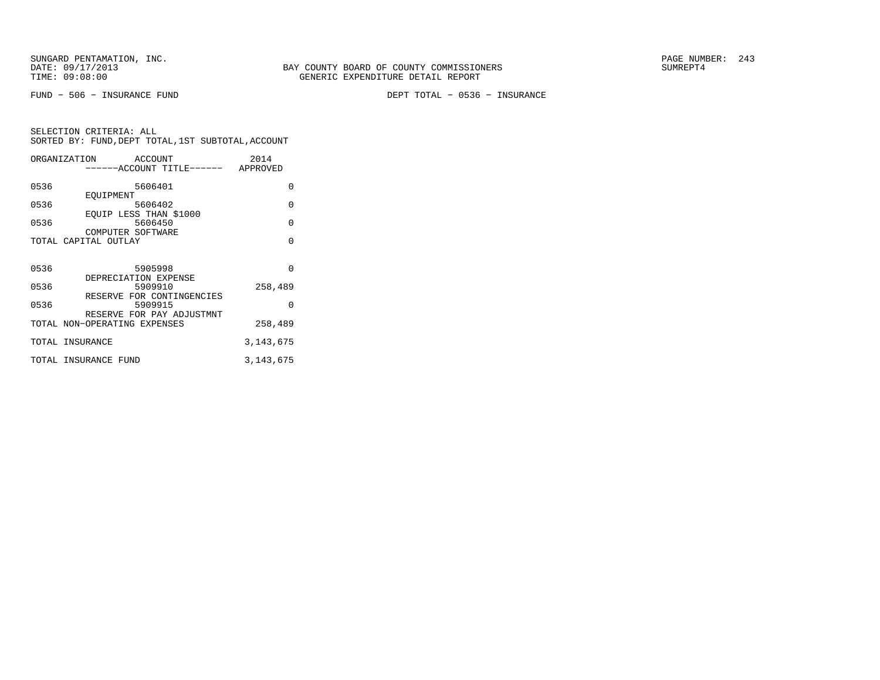FUND − 506 − INSURANCE FUND DEPT TOTAL − 0536 − INSURANCE

|      | ORGANIZATION<br>ACCOUNT                                   | 2014        |
|------|-----------------------------------------------------------|-------------|
|      | -----ACCOUNT TITLE------ APPROVED                         |             |
| 0536 | 5606401                                                   | $\Omega$    |
| 0536 | EOUIPMENT<br>5606402                                      | $\Omega$    |
| 0536 | EQUIP LESS THAN \$1000<br>5606450                         | $\Omega$    |
|      | COMPUTER SOFTWARE<br>TOTAL CAPITAL OUTLAY                 | $\Omega$    |
|      |                                                           |             |
| 0536 | 5905998<br>DEPRECIATION EXPENSE                           | $\Omega$    |
| 0536 | 5909910                                                   | 258,489     |
| 0536 | RESERVE FOR CONTINGENCIES<br>5909915                      | O           |
|      | RESERVE FOR PAY ADJUSTMNT<br>TOTAL NON-OPERATING EXPENSES | 258,489     |
|      | TOTAL INSURANCE                                           | 3, 143, 675 |
|      | TOTAL INSURANCE FUND                                      | 3, 143, 675 |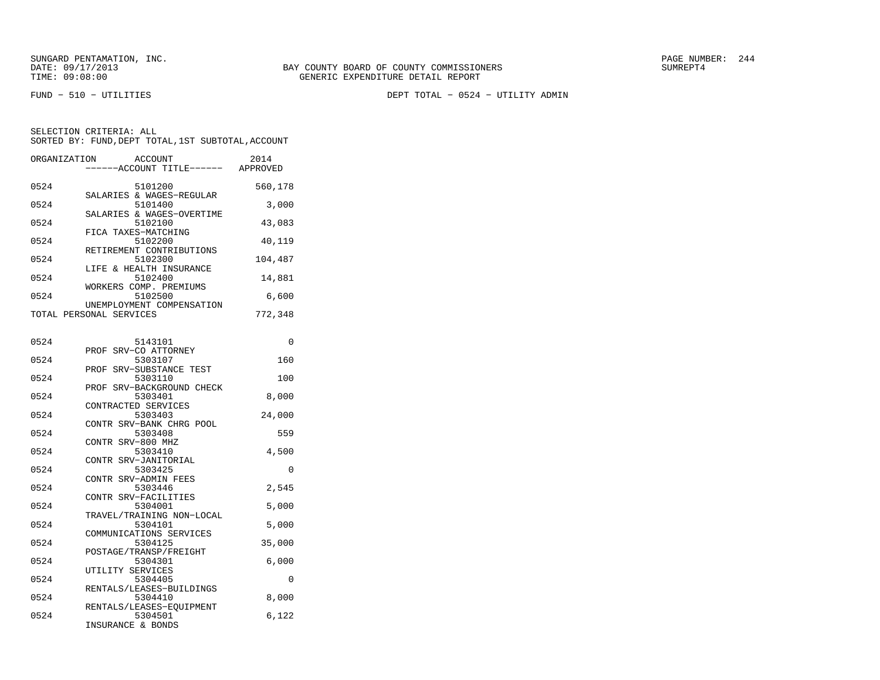FUND − 510 − UTILITIES DEPT TOTAL − 0524 − UTILITY ADMIN

SELECTION CRITERIA: ALLSORTED BY: FUND,DEPT TOTAL,1ST SUBTOTAL,ACCOUNT

|      | ORGANIZATION ACCOUNT<br>------ACCOUNT TITLE------ APPROVED | 2014     |
|------|------------------------------------------------------------|----------|
| 0524 | 5101200                                                    | 560,178  |
| 0524 | SALARIES & WAGES-REGULAR<br>5101400                        | 3,000    |
| 0524 | SALARIES & WAGES-OVERTIME<br>5102100                       | 43,083   |
| 0524 | FICA TAXES-MATCHING<br>5102200                             | 40,119   |
| 0524 | RETIREMENT CONTRIBUTIONS<br>5102300                        | 104,487  |
| 0524 | LIFE & HEALTH INSURANCE<br>5102400                         | 14,881   |
| 0524 | WORKERS COMP. PREMIUMS<br>5102500                          | 6,600    |
|      | UNEMPLOYMENT COMPENSATION<br>TOTAL PERSONAL SERVICES       | 772,348  |
|      |                                                            |          |
| 0524 | 5143101                                                    | $\Omega$ |
| 0524 | PROF SRV-CO ATTORNEY<br>5303107                            | 160      |
| 0524 | PROF SRV-SUBSTANCE TEST<br>5303110                         | 100      |
|      | PROF SRV-BACKGROUND CHECK                                  |          |

|      | PROF SRV-BACKGROUND CHECK |          |
|------|---------------------------|----------|
| 0524 | 5303401                   | 8,000    |
|      | CONTRACTED SERVICES       |          |
| 0524 | 5303403                   | 24,000   |
|      | CONTR SRV-BANK CHRG POOL  |          |
| 0524 | 5303408                   | 559      |
|      | CONTR SRV-800 MHZ         |          |
| 0524 | 5303410                   | 4,500    |
|      | CONTR SRV-JANITORIAL      |          |
| 0524 | 5303425                   | $\Omega$ |
|      | CONTR SRV-ADMIN FEES      |          |
| 0524 | 5303446                   | 2,545    |
|      | CONTR SRV-FACILITIES      |          |
| 0524 | 5304001                   | 5,000    |
|      | TRAVEL/TRAINING NON-LOCAL |          |
| 0524 | 5304101                   | 5,000    |
|      | COMMUNICATIONS SERVICES   |          |
| 0524 | 5304125                   | 35,000   |
|      | POSTAGE/TRANSP/FREIGHT    |          |
| 0524 | 5304301                   | 6,000    |
|      | UTILITY SERVICES          |          |
| 0524 | 5304405                   | $\Omega$ |
|      | RENTALS/LEASES-BUILDINGS  |          |
| 0524 | 5304410                   | 8,000    |
|      | RENTALS/LEASES-EOUIPMENT  |          |
| 0524 | 5304501                   | 6,122    |

INSURANCE & BONDS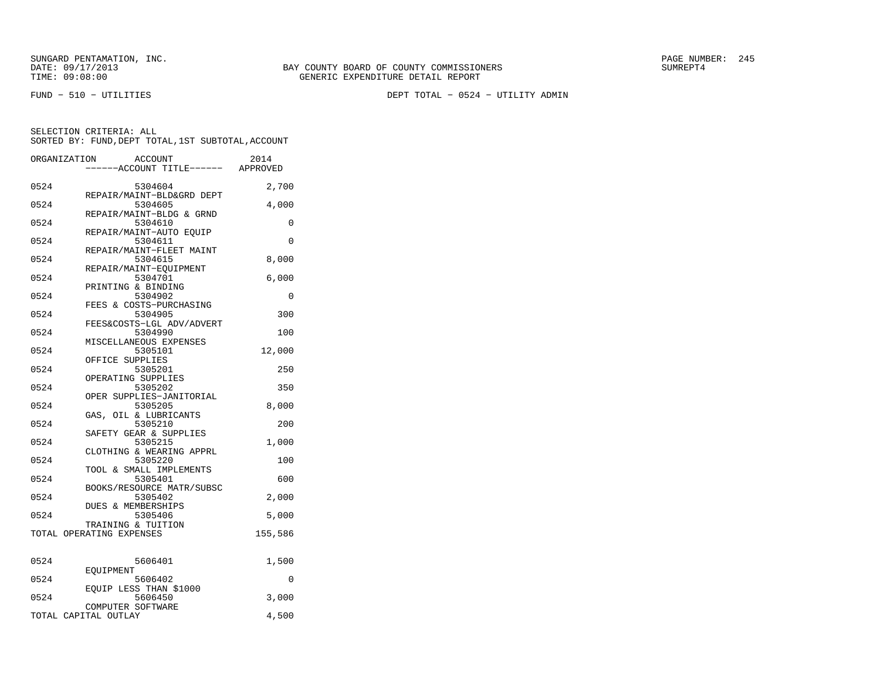FUND − 510 − UTILITIES DEPT TOTAL − 0524 − UTILITY ADMIN

|      | ORGANIZATION<br>ACCOUNT<br>----ACCOUNT TITLE------ APPROVED | 2014    |
|------|-------------------------------------------------------------|---------|
|      |                                                             |         |
| 0524 | 5304604                                                     | 2,700   |
| 0524 | REPAIR/MAINT-BLD&GRD DEPT<br>5304605                        | 4,000   |
| 0524 | REPAIR/MAINT-BLDG & GRND<br>5304610                         | 0       |
| 0524 | REPAIR/MAINT-AUTO EOUIP<br>5304611                          | 0       |
|      | REPAIR/MAINT-FLEET MAINT                                    |         |
| 0524 | 5304615<br>REPAIR/MAINT-EQUIPMENT                           | 8,000   |
| 0524 | 5304701<br>PRINTING & BINDING                               | 6,000   |
| 0524 | 5304902                                                     | 0       |
| 0524 | FEES & COSTS-PURCHASING<br>5304905                          | 300     |
| 0524 | FEES&COSTS-LGL ADV/ADVERT<br>5304990                        | 100     |
|      | MISCELLANEOUS EXPENSES                                      |         |
| 0524 | 5305101<br>OFFICE SUPPLIES                                  | 12,000  |
| 0524 | 5305201<br>OPERATING SUPPLIES                               | 250     |
| 0524 | 5305202                                                     | 350     |
| 0524 | OPER SUPPLIES-JANITORIAL<br>5305205                         | 8,000   |
| 0524 | GAS, OIL & LUBRICANTS<br>5305210                            | 200     |
|      | SAFETY GEAR & SUPPLIES                                      |         |
| 0524 | 5305215<br>CLOTHING & WEARING APPRL                         | 1,000   |
| 0524 | 5305220<br>TOOL & SMALL IMPLEMENTS                          | 100     |
| 0524 | 5305401                                                     | 600     |
| 0524 | BOOKS/RESOURCE MATR/SUBSC<br>5305402                        | 2,000   |
| 0524 | DUES & MEMBERSHIPS<br>5305406                               | 5,000   |
|      | TRAINING & TUITION<br>TOTAL OPERATING EXPENSES              | 155,586 |
|      |                                                             |         |
| 0524 | 5606401                                                     | 1,500   |
| 0524 | EOUIPMENT<br>5606402                                        | 0       |
| 0524 | EQUIP LESS THAN \$1000<br>5606450                           | 3,000   |
|      | COMPUTER SOFTWARE                                           |         |
|      | TOTAL CAPITAL OUTLAY                                        | 4,500   |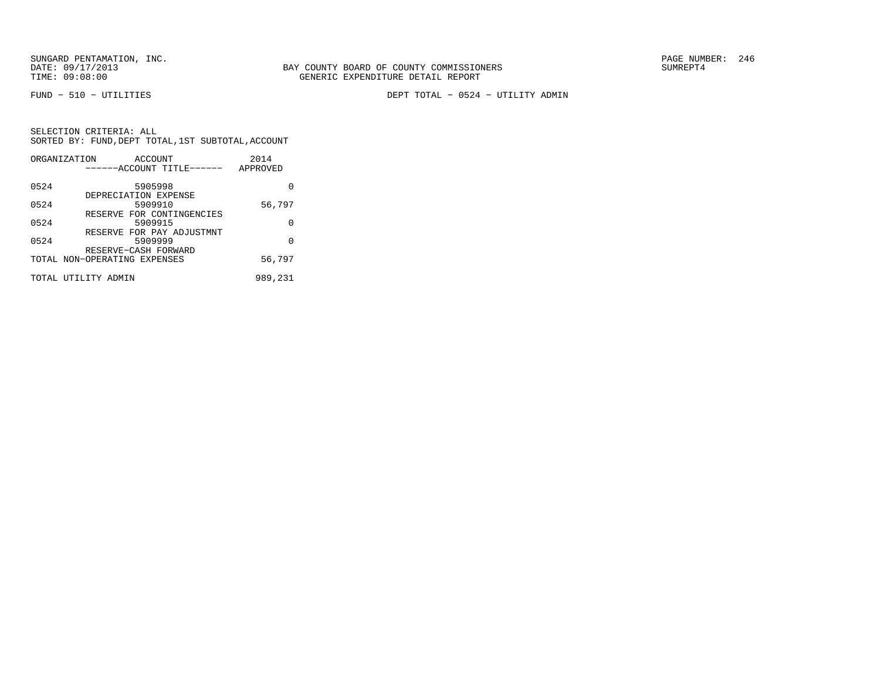FUND − 510 − UTILITIES DEPT TOTAL − 0524 − UTILITY ADMIN

|      | ORGANIZATION<br>ACCOUNT<br>------ACCOUNT TITLE------ | 2014<br>APPROVED |
|------|------------------------------------------------------|------------------|
|      |                                                      |                  |
| 0524 | 5905998                                              |                  |
| 0524 | DEPRECIATION EXPENSE<br>5909910                      | 56,797           |
|      | RESERVE FOR CONTINGENCIES                            |                  |
| 0524 | 5909915<br>RESERVE FOR PAY ADJUSTMNT                 | O                |
| 0524 | 5909999                                              | $\Omega$         |
|      | RESERVE-CASH FORWARD                                 |                  |
|      | TOTAL NON-OPERATING EXPENSES                         | 56,797           |
|      | TOTAL UTILITY ADMIN                                  | 989,231          |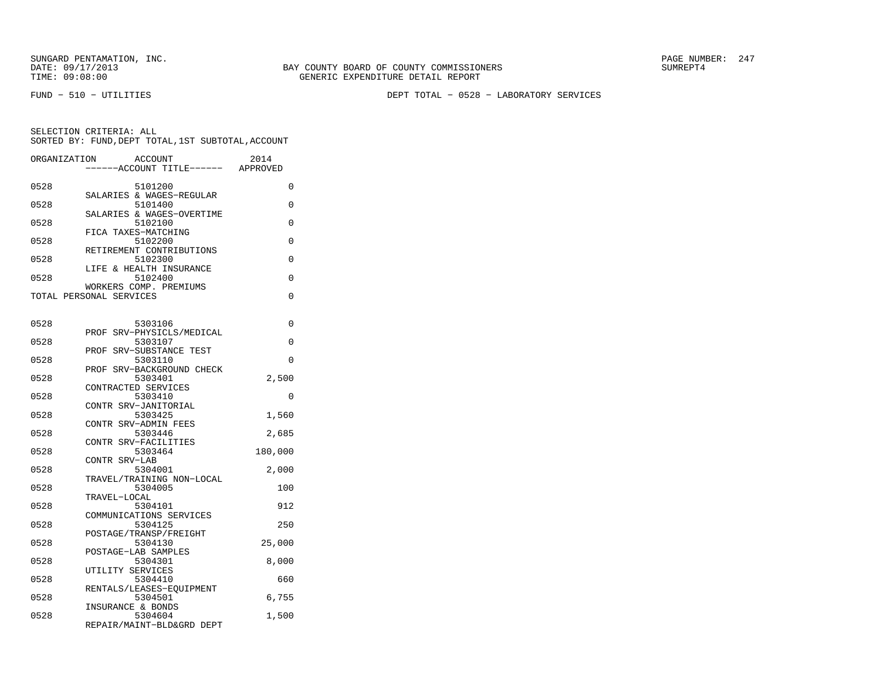FUND − 510 − UTILITIES DEPT TOTAL − 0528 − LABORATORY SERVICES

| ORGANIZATION | <b>ACCOUNT</b><br>----ACCOUNT TITLE------ APPROVED | 2014     |
|--------------|----------------------------------------------------|----------|
|              |                                                    |          |
| 0528         | 5101200                                            | 0        |
| 0528         | SALARIES & WAGES-REGULAR<br>5101400                | 0        |
|              | SALARIES & WAGES-OVERTIME                          |          |
| 0528         | 5102100                                            | 0        |
|              | FICA TAXES-MATCHING                                |          |
| 0528         | 5102200<br>RETIREMENT CONTRIBUTIONS                | 0        |
| 0528         | 5102300                                            | 0        |
|              | LIFE & HEALTH INSURANCE                            |          |
| 0528         | 5102400                                            | 0        |
|              | WORKERS COMP. PREMIUMS                             |          |
|              | TOTAL PERSONAL SERVICES                            | 0        |
|              |                                                    |          |
| 0528         | 5303106                                            | 0        |
| 0528         | PROF SRV-PHYSICLS/MEDICAL<br>5303107               | 0        |
|              | PROF SRV-SUBSTANCE TEST                            |          |
| 0528         | 5303110                                            | 0        |
|              | PROF SRV-BACKGROUND CHECK                          |          |
| 0528         | 5303401                                            | 2,500    |
|              | CONTRACTED SERVICES                                | $\Omega$ |
| 0528         | 5303410<br>CONTR SRV-JANITORIAL                    |          |
| 0528         | 5303425                                            | 1,560    |
|              | CONTR SRV-ADMIN FEES                               |          |
| 0528         | 5303446                                            | 2,685    |
|              | CONTR SRV-FACILITIES                               |          |
| 0528         | 5303464<br>CONTR SRV-LAB                           | 180,000  |
| 0528         | 5304001                                            | 2,000    |
|              | TRAVEL/TRAINING NON-LOCAL                          |          |
| 0528         | 5304005                                            | 100      |
|              | TRAVEL-LOCAL                                       |          |
| 0528         | 5304101<br>COMMUNICATIONS SERVICES                 | 912      |
| 0528         | 5304125                                            | 250      |
|              | POSTAGE/TRANSP/FREIGHT                             |          |
| 0528         | 5304130                                            | 25,000   |
|              | POSTAGE-LAB SAMPLES                                |          |
| 0528         | 5304301<br>UTILITY SERVICES                        | 8,000    |
| 0528         | 5304410                                            | 660      |
|              | RENTALS/LEASES-EOUIPMENT                           |          |
| 0528         | 5304501                                            | 6,755    |
|              | INSURANCE & BONDS                                  |          |
| 0528         | 5304604<br>REPAIR/MAINT-BLD&GRD DEPT               | 1,500    |
|              |                                                    |          |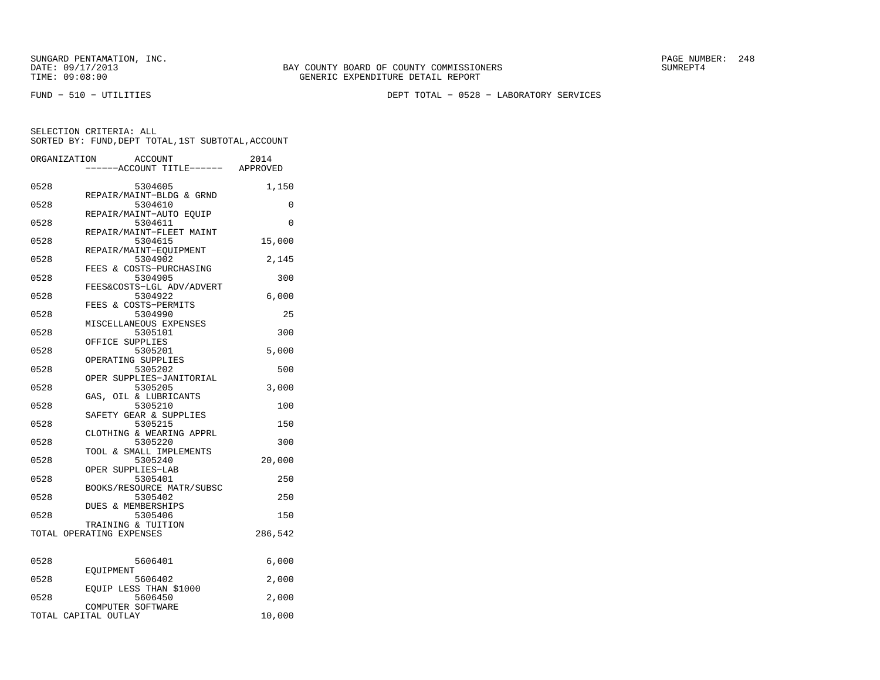FUND − 510 − UTILITIES DEPT TOTAL − 0528 − LABORATORY SERVICES

| ORGANIZATION | <b>ACCOUNT</b>                      | 2014     |
|--------------|-------------------------------------|----------|
|              | ----ACCOUNT TITLE------             | APPROVED |
|              |                                     |          |
| 0528         | 5304605<br>REPAIR/MAINT-BLDG & GRND | 1,150    |
| 0528         | 5304610                             | $\Omega$ |
|              | REPAIR/MAINT-AUTO EOUIP             |          |
| 0528         | 5304611                             | $\Omega$ |
|              | REPAIR/MAINT-FLEET MAINT            |          |
| 0528         | 5304615                             | 15,000   |
|              | REPAIR/MAINT-EOUIPMENT              |          |
| 0528         | 5304902<br>FEES & COSTS-PURCHASING  | 2,145    |
| 0528         | 5304905                             | 300      |
|              | FEES&COSTS-LGL ADV/ADVERT           |          |
| 0528         | 5304922                             | 6,000    |
|              | FEES & COSTS-PERMITS                |          |
| 0528         | 5304990                             | 25       |
|              | MISCELLANEOUS EXPENSES              |          |
| 0528         | 5305101                             | 300      |
| 0528         | OFFICE SUPPLIES<br>5305201          | 5,000    |
|              | OPERATING SUPPLIES                  |          |
| 0528         | 5305202                             | 500      |
|              | OPER SUPPLIES-JANITORIAL            |          |
| 0528         | 5305205                             | 3,000    |
|              | GAS, OIL & LUBRICANTS               |          |
| 0528         | 5305210                             | 100      |
|              | SAFETY GEAR & SUPPLIES              |          |
| 0528         | 5305215<br>CLOTHING & WEARING APPRL | 150      |
| 0528         | 5305220                             | 300      |
|              | TOOL & SMALL IMPLEMENTS             |          |
| 0528         | 5305240                             | 20,000   |
|              | OPER SUPPLIES-LAB                   |          |
| 0528         | 5305401                             | 250      |
| 0528         | BOOKS/RESOURCE MATR/SUBSC           |          |
|              | 5305402<br>DUES & MEMBERSHIPS       | 250      |
| 0528         | 5305406                             | 150      |
|              | TRAINING & TUITION                  |          |
|              | TOTAL OPERATING EXPENSES            | 286,542  |
|              |                                     |          |
|              |                                     |          |
| 0528         | 5606401<br>EOUIPMENT                | 6,000    |
| 0528         | 5606402                             | 2,000    |
|              | EOUIP LESS THAN \$1000              |          |
| 0528         | 5606450                             | 2,000    |
|              | COMPUTER SOFTWARE                   |          |
|              | TOTAL CAPITAL OUTLAY                | 10,000   |